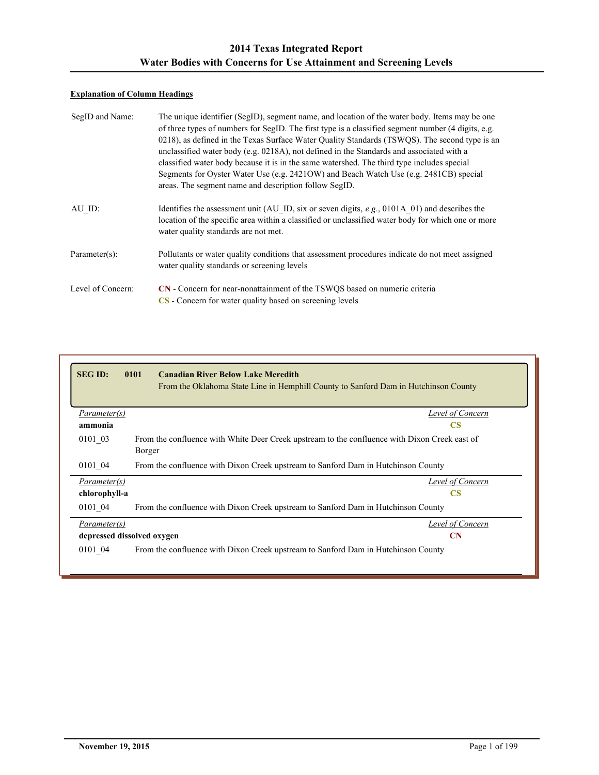#### **Explanation of Column Headings**

г

| SegID and Name:   | The unique identifier (SegID), segment name, and location of the water body. Items may be one<br>of three types of numbers for SegID. The first type is a classified segment number (4 digits, e.g.<br>0218), as defined in the Texas Surface Water Quality Standards (TSWQS). The second type is an<br>unclassified water body (e.g. $0218A$ ), not defined in the Standards and associated with a<br>classified water body because it is in the same watershed. The third type includes special<br>Segments for Oyster Water Use (e.g. 24210W) and Beach Watch Use (e.g. 2481CB) special<br>areas. The segment name and description follow SegID. |
|-------------------|-----------------------------------------------------------------------------------------------------------------------------------------------------------------------------------------------------------------------------------------------------------------------------------------------------------------------------------------------------------------------------------------------------------------------------------------------------------------------------------------------------------------------------------------------------------------------------------------------------------------------------------------------------|
| AU ID:            | Identifies the assessment unit (AU ID, six or seven digits, e.g., 0101A 01) and describes the<br>location of the specific area within a classified or unclassified water body for which one or more<br>water quality standards are not met.                                                                                                                                                                                                                                                                                                                                                                                                         |
| $Parameter(s)$ :  | Pollutants or water quality conditions that assessment procedures indicate do not meet assigned<br>water quality standards or screening levels                                                                                                                                                                                                                                                                                                                                                                                                                                                                                                      |
| Level of Concern: | CN - Concern for near-nonattainment of the TSWQS based on numeric criteria<br>CS - Concern for water quality based on screening levels                                                                                                                                                                                                                                                                                                                                                                                                                                                                                                              |

| <b>SEG ID:</b>                          | <b>Canadian River Below Lake Meredith</b><br>0101<br>From the Oklahoma State Line in Hemphill County to Sanford Dam in Hutchinson County |                  |
|-----------------------------------------|------------------------------------------------------------------------------------------------------------------------------------------|------------------|
| <i>Parameter(s)</i>                     |                                                                                                                                          | Level of Concern |
| ammonia                                 |                                                                                                                                          | <b>CS</b>        |
| 0101 03                                 | From the confluence with White Deer Creek upstream to the confluence with Dixon Creek east of<br><b>Borger</b>                           |                  |
| 0101 04                                 | From the confluence with Dixon Creek upstream to Sanford Dam in Hutchinson County                                                        |                  |
| Parameter(s)                            |                                                                                                                                          | Level of Concern |
| chlorophyll-a                           |                                                                                                                                          | <b>CS</b>        |
| 0101 04                                 | From the confluence with Dixon Creek upstream to Sanford Dam in Hutchinson County                                                        |                  |
| Parameter(s)                            |                                                                                                                                          | Level of Concern |
| depressed dissolved oxygen<br><b>CN</b> |                                                                                                                                          |                  |
| 0101 04                                 | From the confluence with Dixon Creek upstream to Sanford Dam in Hutchinson County                                                        |                  |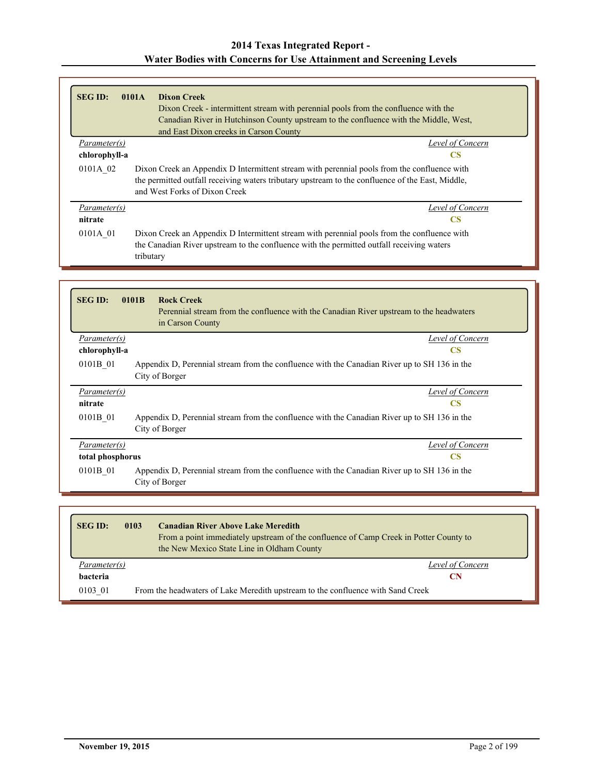| <b>SEG ID:</b>                                                                                                                                                                                                    | <b>Dixon Creek</b><br>0101A<br>Dixon Creek - intermittent stream with perennial pools from the confluence with the<br>Canadian River in Hutchinson County upstream to the confluence with the Middle, West,<br>and East Dixon creeks in Carson County |  |
|-------------------------------------------------------------------------------------------------------------------------------------------------------------------------------------------------------------------|-------------------------------------------------------------------------------------------------------------------------------------------------------------------------------------------------------------------------------------------------------|--|
| Level of Concern<br>Parameter(s)                                                                                                                                                                                  |                                                                                                                                                                                                                                                       |  |
| chlorophyll-a                                                                                                                                                                                                     | <b>CS</b>                                                                                                                                                                                                                                             |  |
| 0101A 02                                                                                                                                                                                                          | Dixon Creek an Appendix D Intermittent stream with perennial pools from the confluence with<br>the permitted outfall receiving waters tributary upstream to the confluence of the East, Middle,<br>and West Forks of Dixon Creek                      |  |
| Parameter(s)                                                                                                                                                                                                      | Level of Concern                                                                                                                                                                                                                                      |  |
| nitrate                                                                                                                                                                                                           | <b>CS</b>                                                                                                                                                                                                                                             |  |
| 0101A 01<br>Dixon Creek an Appendix D Intermittent stream with perennial pools from the confluence with<br>the Canadian River upstream to the confluence with the permitted outfall receiving waters<br>tributary |                                                                                                                                                                                                                                                       |  |

| <b>SEG ID:</b>                                                                                                             | 0101B<br><b>Rock Creek</b><br>Perennial stream from the confluence with the Canadian River upstream to the headwaters<br>in Carson County |  |  |
|----------------------------------------------------------------------------------------------------------------------------|-------------------------------------------------------------------------------------------------------------------------------------------|--|--|
| Parameter(s)                                                                                                               | Level of Concern                                                                                                                          |  |  |
| chlorophyll-a                                                                                                              | CS                                                                                                                                        |  |  |
| 0101B 01<br>Appendix D, Perennial stream from the confluence with the Canadian River up to SH 136 in the<br>City of Borger |                                                                                                                                           |  |  |
| Parameter(s)                                                                                                               | Level of Concern                                                                                                                          |  |  |
| nitrate                                                                                                                    | <b>CS</b>                                                                                                                                 |  |  |
| 0101B 01                                                                                                                   | Appendix D, Perennial stream from the confluence with the Canadian River up to SH 136 in the<br>City of Borger                            |  |  |
| Parameter(s)                                                                                                               | Level of Concern                                                                                                                          |  |  |
| total phosphorus<br><b>CS</b>                                                                                              |                                                                                                                                           |  |  |
| 0101B 01<br>Appendix D, Perennial stream from the confluence with the Canadian River up to SH 136 in the<br>City of Borger |                                                                                                                                           |  |  |

| <b>SEG ID:</b>  | <b>Canadian River Above Lake Meredith</b><br>0103<br>From a point immediately upstream of the confluence of Camp Creek in Potter County to<br>the New Mexico State Line in Oldham County |  |
|-----------------|------------------------------------------------------------------------------------------------------------------------------------------------------------------------------------------|--|
| Parameter(s)    | Level of Concern                                                                                                                                                                         |  |
| <b>bacteria</b> |                                                                                                                                                                                          |  |
| 0103 01         | From the headwaters of Lake Meredith upstream to the confluence with Sand Creek                                                                                                          |  |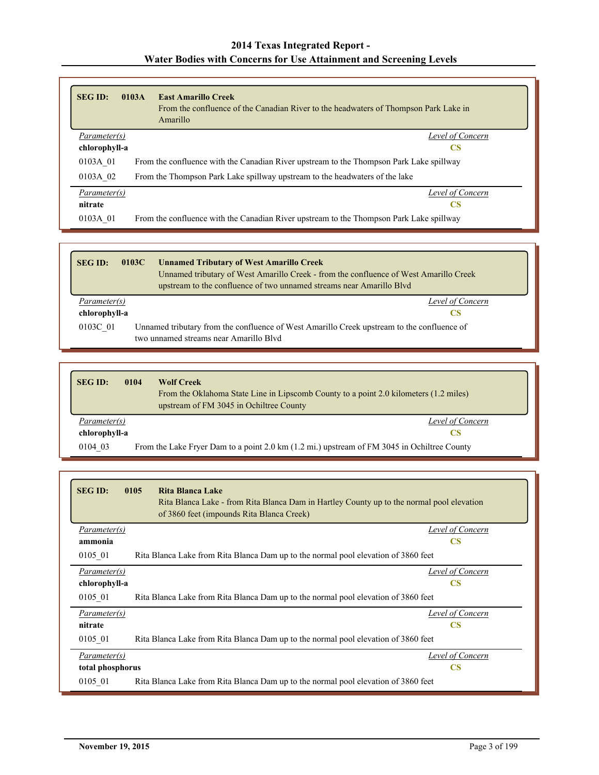| <b>SEG ID:</b>             | 0103A | <b>East Amarillo Creek</b><br>From the confluence of the Canadian River to the headwaters of Thompson Park Lake in<br>Amarillo |  |
|----------------------------|-------|--------------------------------------------------------------------------------------------------------------------------------|--|
| Parameter(s)               |       | Level of Concern                                                                                                               |  |
| chlorophyll-a<br><b>CS</b> |       |                                                                                                                                |  |
| 0103A 01                   |       | From the confluence with the Canadian River upstream to the Thompson Park Lake spillway                                        |  |
| 0103A 02                   |       | From the Thompson Park Lake spillway upstream to the headwaters of the lake                                                    |  |
| Parameter(s)               |       | Level of Concern                                                                                                               |  |
| nitrate                    |       | <b>CS</b>                                                                                                                      |  |
| 0103A 01                   |       | From the confluence with the Canadian River upstream to the Thompson Park Lake spillway                                        |  |

| <b>SEG ID:</b>                                                                                                                                   | <b>Unnamed Tributary of West Amarillo Creek</b><br>0103C | Unnamed tributary of West Amarillo Creek - from the confluence of West Amarillo Creek<br>upstream to the confluence of two unnamed streams near Amarillo Blvd |
|--------------------------------------------------------------------------------------------------------------------------------------------------|----------------------------------------------------------|---------------------------------------------------------------------------------------------------------------------------------------------------------------|
| Parameter(s)                                                                                                                                     |                                                          | Level of Concern                                                                                                                                              |
| chlorophyll-a                                                                                                                                    |                                                          | CS                                                                                                                                                            |
| Unnamed tributary from the confluence of West Amarillo Creek upstream to the confluence of<br>0103C 01<br>two unnamed streams near Amarillo Blvd |                                                          |                                                                                                                                                               |

| <b>SEG ID:</b> | 0104<br><b>Wolf Creek</b><br>From the Oklahoma State Line in Lipscomb County to a point 2.0 kilometers (1.2 miles)<br>upstream of FM 3045 in Ochiltree County |                  |  |
|----------------|---------------------------------------------------------------------------------------------------------------------------------------------------------------|------------------|--|
| Parameter(s)   |                                                                                                                                                               | Level of Concern |  |
|                | chlorophyll-a<br>CS                                                                                                                                           |                  |  |
| 0104 03        | From the Lake Fryer Dam to a point 2.0 km (1.2 mi.) upstream of FM 3045 in Ochiltree County                                                                   |                  |  |

| <b>SEG ID:</b> | 0105<br>Rita Blanca Lake<br>Rita Blanca Lake - from Rita Blanca Dam in Hartley County up to the normal pool elevation<br>of 3860 feet (impounds Rita Blanca Creek) |  |  |
|----------------|--------------------------------------------------------------------------------------------------------------------------------------------------------------------|--|--|
| Parameter(s)   | Level of Concern                                                                                                                                                   |  |  |
| ammonia        | <b>CS</b>                                                                                                                                                          |  |  |
| 0105 01        | Rita Blanca Lake from Rita Blanca Dam up to the normal pool elevation of 3860 feet                                                                                 |  |  |
| Parameter(s)   | Level of Concern                                                                                                                                                   |  |  |
| chlorophyll-a  | CS                                                                                                                                                                 |  |  |
| 0105 01        | Rita Blanca Lake from Rita Blanca Dam up to the normal pool elevation of 3860 feet                                                                                 |  |  |
| Parameter(s)   | Level of Concern                                                                                                                                                   |  |  |
| nitrate        | <b>CS</b>                                                                                                                                                          |  |  |
| 0105 01        | Rita Blanca Lake from Rita Blanca Dam up to the normal pool elevation of 3860 feet                                                                                 |  |  |
| Parameter(s)   | Level of Concern                                                                                                                                                   |  |  |
|                | $\overline{\text{CS}}$<br>total phosphorus                                                                                                                         |  |  |
| 0105 01        | Rita Blanca Lake from Rita Blanca Dam up to the normal pool elevation of 3860 feet                                                                                 |  |  |

Г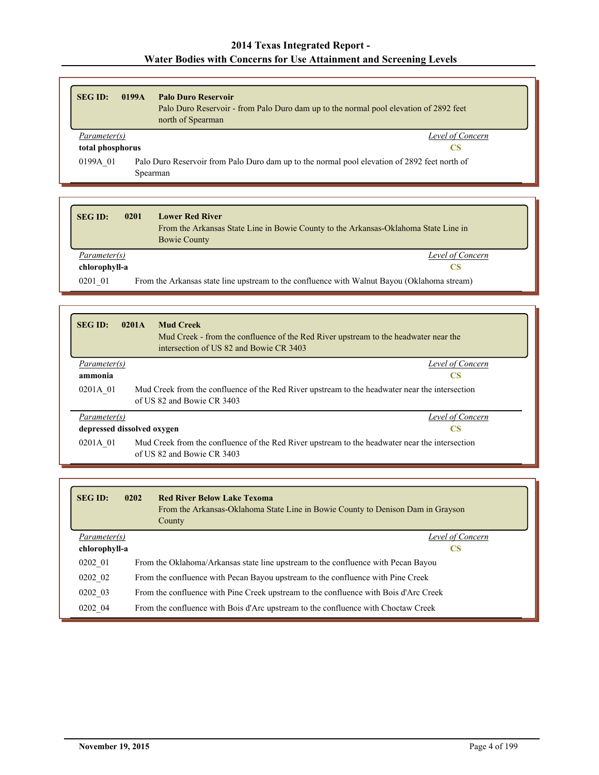| <b>SEG ID:</b>                                                                                                       | 0199A | <b>Palo Duro Reservoir</b><br>Palo Duro Reservoir - from Palo Duro dam up to the normal pool elevation of 2892 feet<br>north of Spearman |
|----------------------------------------------------------------------------------------------------------------------|-------|------------------------------------------------------------------------------------------------------------------------------------------|
| Parameter(s)                                                                                                         |       | Level of Concern                                                                                                                         |
| total phosphorus<br>CS                                                                                               |       |                                                                                                                                          |
| Palo Duro Reservoir from Palo Duro dam up to the normal pool elevation of 2892 feet north of<br>0199A 01<br>Spearman |       |                                                                                                                                          |

| <b>SEG ID:</b>                                                                                         | 0201<br><b>Lower Red River</b><br>From the Arkansas State Line in Bowie County to the Arkansas-Oklahoma State Line in<br><b>Bowie County</b> |
|--------------------------------------------------------------------------------------------------------|----------------------------------------------------------------------------------------------------------------------------------------------|
| Parameter(s)                                                                                           | Level of Concern                                                                                                                             |
| chlorophyll-a                                                                                          | CS                                                                                                                                           |
| 0201 01<br>From the Arkansas state line upstream to the confluence with Walnut Bayou (Oklahoma stream) |                                                                                                                                              |

| <b>SEGID:</b> | <b>Mud Creek</b><br>0201A<br>Mud Creek - from the confluence of the Red River upstream to the headwater near the<br>intersection of US 82 and Bowie CR 3403 |                  |  |
|---------------|-------------------------------------------------------------------------------------------------------------------------------------------------------------|------------------|--|
| Parameter(s)  |                                                                                                                                                             | Level of Concern |  |
| ammonia       | CS                                                                                                                                                          |                  |  |
| 0201A 01      | Mud Creek from the confluence of the Red River upstream to the headwater near the intersection<br>of US 82 and Bowie CR 3403                                |                  |  |
| Parameter(s)  |                                                                                                                                                             | Level of Concern |  |
|               | depressed dissolved oxygen<br>CS                                                                                                                            |                  |  |
| 0201A 01      | Mud Creek from the confluence of the Red River upstream to the headwater near the intersection<br>of US 82 and Bowie CR 3403                                |                  |  |

| <b>SEG ID:</b> | 0202 | <b>Red River Below Lake Texoma</b><br>From the Arkansas-Oklahoma State Line in Bowie County to Denison Dam in Grayson<br>County |
|----------------|------|---------------------------------------------------------------------------------------------------------------------------------|
| Parameter(s)   |      | Level of Concern                                                                                                                |
| chlorophyll-a  |      | CS                                                                                                                              |
| 0202 01        |      | From the Oklahoma/Arkansas state line upstream to the confluence with Pecan Bayou                                               |
| 0202 02        |      | From the confluence with Pecan Bayou upstream to the confluence with Pine Creek                                                 |
| 0202 03        |      | From the confluence with Pine Creek upstream to the confluence with Bois d'Arc Creek                                            |
| 0202 04        |      | From the confluence with Bois d'Arc upstream to the confluence with Choctaw Creek                                               |

Г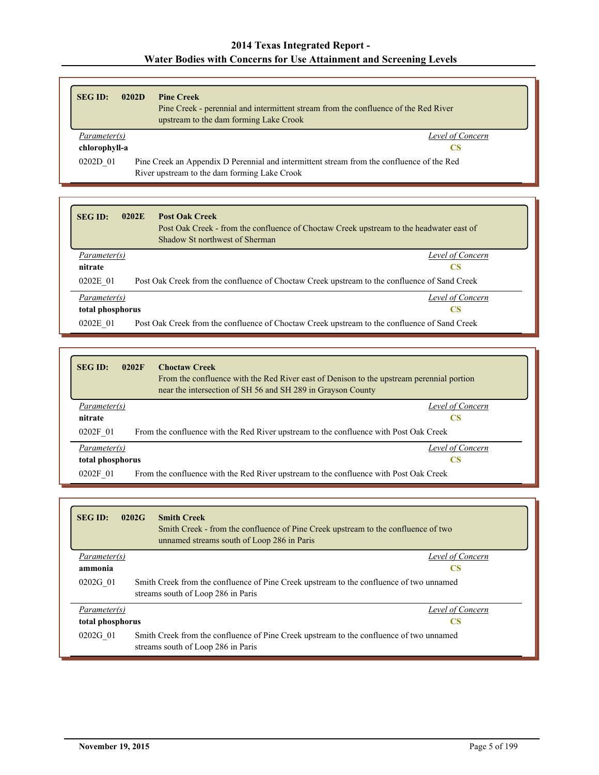| <b>SEG ID:</b> | <b>Pine Creek</b><br>0202D<br>Pine Creek - perennial and intermittent stream from the confluence of the Red River<br>upstream to the dam forming Lake Crook |                  |
|----------------|-------------------------------------------------------------------------------------------------------------------------------------------------------------|------------------|
| Parameter(s)   |                                                                                                                                                             | Level of Concern |
| chlorophyll-a  |                                                                                                                                                             | CS               |
| 0202D 01       | Pine Creek an Appendix D Perennial and intermittent stream from the confluence of the Red                                                                   |                  |
|                | River upstream to the dam forming Lake Crook                                                                                                                |                  |

| <b>SEG ID:</b>                                                                                           | 0202E | <b>Post Oak Creek</b><br>Post Oak Creek - from the confluence of Choctaw Creek upstream to the headwater east of<br>Shadow St northwest of Sherman |
|----------------------------------------------------------------------------------------------------------|-------|----------------------------------------------------------------------------------------------------------------------------------------------------|
| Parameter(s)                                                                                             |       | Level of Concern                                                                                                                                   |
| nitrate                                                                                                  |       | CS                                                                                                                                                 |
| 0202E 01                                                                                                 |       | Post Oak Creek from the confluence of Choctaw Creek upstream to the confluence of Sand Creek                                                       |
| Parameter(s)                                                                                             |       | Level of Concern                                                                                                                                   |
| total phosphorus                                                                                         |       | CS                                                                                                                                                 |
| Post Oak Creek from the confluence of Choctaw Creek upstream to the confluence of Sand Creek<br>0202E 01 |       |                                                                                                                                                    |

| <b>SEG ID:</b>   | 0202F | <b>Choctaw Creek</b><br>From the confluence with the Red River east of Denison to the upstream perennial portion<br>near the intersection of SH 56 and SH 289 in Grayson County |
|------------------|-------|---------------------------------------------------------------------------------------------------------------------------------------------------------------------------------|
| Parameter(s)     |       | Level of Concern                                                                                                                                                                |
| nitrate          |       | CS                                                                                                                                                                              |
| 0202F 01         |       | From the confluence with the Red River upstream to the confluence with Post Oak Creek                                                                                           |
| Parameter(s)     |       | Level of Concern                                                                                                                                                                |
| total phosphorus |       | CS                                                                                                                                                                              |
| 0202F 01         |       | From the confluence with the Red River upstream to the confluence with Post Oak Creek                                                                                           |

| <b>SEGID:</b>          | <b>Smith Creek</b><br>0202G<br>Smith Creek - from the confluence of Pine Creek upstream to the confluence of two<br>unnamed streams south of Loop 286 in Paris |
|------------------------|----------------------------------------------------------------------------------------------------------------------------------------------------------------|
| Parameter(s)           | Level of Concern                                                                                                                                               |
| ammonia                | CS                                                                                                                                                             |
| 0202G 01               | Smith Creek from the confluence of Pine Creek upstream to the confluence of two unnamed<br>streams south of Loop 286 in Paris                                  |
| Parameter(s)           | Level of Concern                                                                                                                                               |
| total phosphorus<br>CS |                                                                                                                                                                |
| 0202G 01               | Smith Creek from the confluence of Pine Creek upstream to the confluence of two unnamed<br>streams south of Loop 286 in Paris                                  |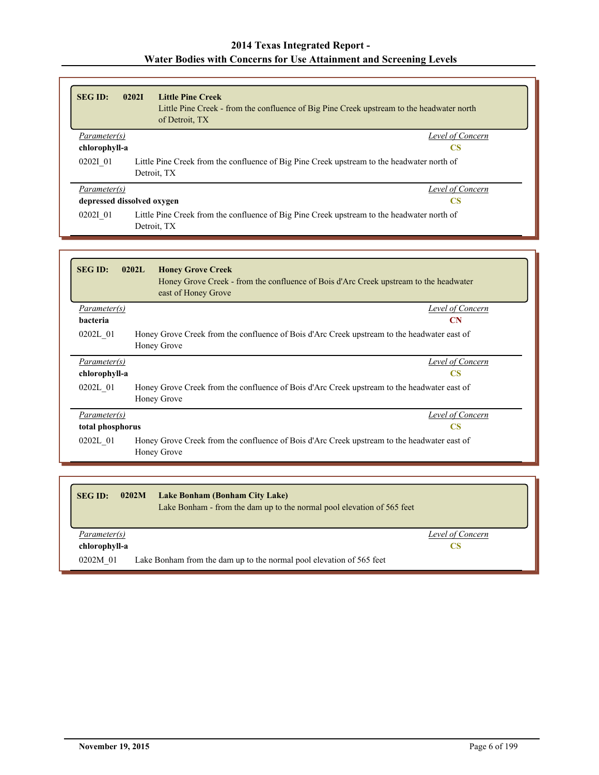| <b>SEG ID:</b>                   | 0202I | <b>Little Pine Creek</b><br>Little Pine Creek - from the confluence of Big Pine Creek upstream to the headwater north<br>of Detroit, TX |  |
|----------------------------------|-------|-----------------------------------------------------------------------------------------------------------------------------------------|--|
| Parameter(s)                     |       | Level of Concern                                                                                                                        |  |
| chlorophyll-a                    |       | <b>CS</b>                                                                                                                               |  |
| 02021 01                         |       | Little Pine Creek from the confluence of Big Pine Creek upstream to the headwater north of<br>Detroit, TX                               |  |
| Parameter(s)                     |       | Level of Concern                                                                                                                        |  |
| depressed dissolved oxygen<br>CS |       |                                                                                                                                         |  |
| 02021 01                         |       | Little Pine Creek from the confluence of Big Pine Creek upstream to the headwater north of<br>Detroit, TX                               |  |

| <b>SEG ID:</b>                | 0202L<br><b>Honey Grove Creek</b><br>Honey Grove Creek - from the confluence of Bois d'Arc Creek upstream to the headwater<br>east of Honey Grove |
|-------------------------------|---------------------------------------------------------------------------------------------------------------------------------------------------|
| Parameter(s)                  | Level of Concern                                                                                                                                  |
| bacteria                      | CN                                                                                                                                                |
| 0202L 01                      | Honey Grove Creek from the confluence of Bois d'Arc Creek upstream to the headwater east of<br>Honey Grove                                        |
| Parameter(s)                  | Level of Concern                                                                                                                                  |
| chlorophyll-a                 | <b>CS</b>                                                                                                                                         |
| 0202L 01                      | Honey Grove Creek from the confluence of Bois d'Arc Creek upstream to the headwater east of<br>Honey Grove                                        |
| Parameter(s)                  | Level of Concern                                                                                                                                  |
| <b>CS</b><br>total phosphorus |                                                                                                                                                   |
| 0202L 01                      | Honey Grove Creek from the confluence of Bois d'Arc Creek upstream to the headwater east of<br>Honey Grove                                        |

| <b>SEG ID:</b><br>0202M | Lake Bonham (Bonham City Lake)<br>Lake Bonham - from the dam up to the normal pool elevation of 565 feet |                  |
|-------------------------|----------------------------------------------------------------------------------------------------------|------------------|
| Parameter(s)            |                                                                                                          | Level of Concern |
| chlorophyll-a           |                                                                                                          | CS               |
| 0202M 01                | Lake Bonham from the dam up to the normal pool elevation of 565 feet                                     |                  |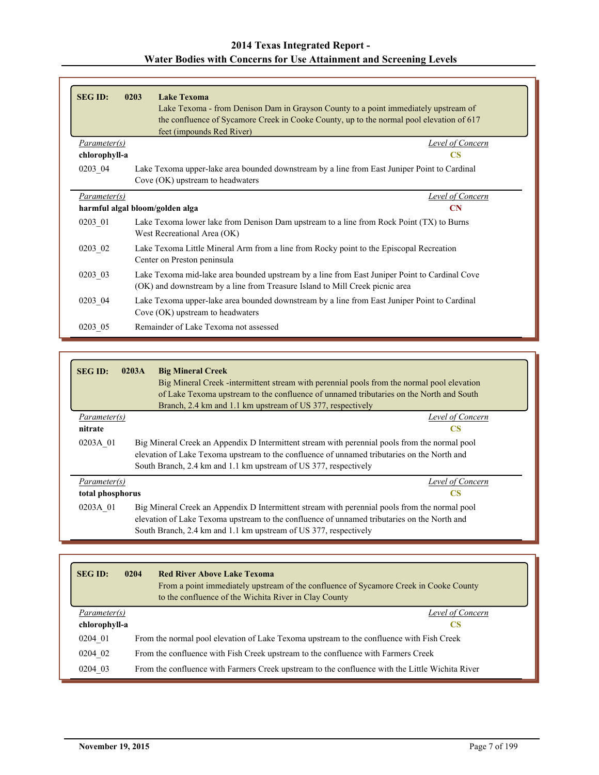| <b>SEG ID:</b>                                            | 0203<br><b>Lake Texoma</b><br>Lake Texoma - from Denison Dam in Grayson County to a point immediately upstream of<br>the confluence of Sycamore Creek in Cooke County, up to the normal pool elevation of 617<br>feet (impounds Red River) |  |
|-----------------------------------------------------------|--------------------------------------------------------------------------------------------------------------------------------------------------------------------------------------------------------------------------------------------|--|
| Parameter(s)                                              | Level of Concern                                                                                                                                                                                                                           |  |
| chlorophyll-a                                             | $\mathbf{CS}$                                                                                                                                                                                                                              |  |
| 0203 04                                                   | Lake Texoma upper-lake area bounded downstream by a line from East Juniper Point to Cardinal<br>Cove (OK) upstream to headwaters                                                                                                           |  |
| Parameter(s)<br>Level of Concern                          |                                                                                                                                                                                                                                            |  |
| $\mathbf{C}\mathbf{N}$<br>harmful algal bloom/golden alga |                                                                                                                                                                                                                                            |  |
| 0203 01                                                   | Lake Texoma lower lake from Denison Dam upstream to a line from Rock Point (TX) to Burns<br>West Recreational Area (OK)                                                                                                                    |  |
| 0203 02                                                   | Lake Texoma Little Mineral Arm from a line from Rocky point to the Episcopal Recreation<br>Center on Preston peninsula                                                                                                                     |  |
| 0203 03                                                   | Lake Texoma mid-lake area bounded upstream by a line from East Juniper Point to Cardinal Cove<br>(OK) and downstream by a line from Treasure Island to Mill Creek picnic area                                                              |  |
| 0203 04                                                   | Lake Texoma upper-lake area bounded downstream by a line from East Juniper Point to Cardinal<br>Cove (OK) upstream to headwaters                                                                                                           |  |
| 0203 05                                                   | Remainder of Lake Texoma not assessed                                                                                                                                                                                                      |  |

| <b>SEG ID:</b>   | 0203A<br><b>Big Mineral Creek</b><br>Big Mineral Creek -intermittent stream with perennial pools from the normal pool elevation<br>of Lake Texoma upstream to the confluence of unnamed tributaries on the North and South<br>Branch, 2.4 km and 1.1 km upstream of US 377, respectively |
|------------------|------------------------------------------------------------------------------------------------------------------------------------------------------------------------------------------------------------------------------------------------------------------------------------------|
| Parameter(s)     | Level of Concern                                                                                                                                                                                                                                                                         |
| nitrate          | <b>CS</b>                                                                                                                                                                                                                                                                                |
| 0203A 01         | Big Mineral Creek an Appendix D Intermittent stream with perennial pools from the normal pool<br>elevation of Lake Texoma upstream to the confluence of unnamed tributaries on the North and<br>South Branch, 2.4 km and 1.1 km upstream of US 377, respectively                         |
| Parameter(s)     | Level of Concern                                                                                                                                                                                                                                                                         |
| total phosphorus |                                                                                                                                                                                                                                                                                          |
| 0203A 01         | Big Mineral Creek an Appendix D Intermittent stream with perennial pools from the normal pool<br>elevation of Lake Texoma upstream to the confluence of unnamed tributaries on the North and<br>South Branch, 2.4 km and 1.1 km upstream of US 377, respectively                         |

| <b>SEG ID:</b> | 0204 | <b>Red River Above Lake Texoma</b><br>From a point immediately upstream of the confluence of Sycamore Creek in Cooke County<br>to the confluence of the Wichita River in Clay County |
|----------------|------|--------------------------------------------------------------------------------------------------------------------------------------------------------------------------------------|
| Parameter(s)   |      | Level of Concern                                                                                                                                                                     |
| chlorophyll-a  |      | <b>CS</b>                                                                                                                                                                            |
| 0204 01        |      | From the normal pool elevation of Lake Texoma upstream to the confluence with Fish Creek                                                                                             |
| 0204 02        |      | From the confluence with Fish Creek upstream to the confluence with Farmers Creek                                                                                                    |
| 0204 03        |      | From the confluence with Farmers Creek upstream to the confluence with the Little Wichita River                                                                                      |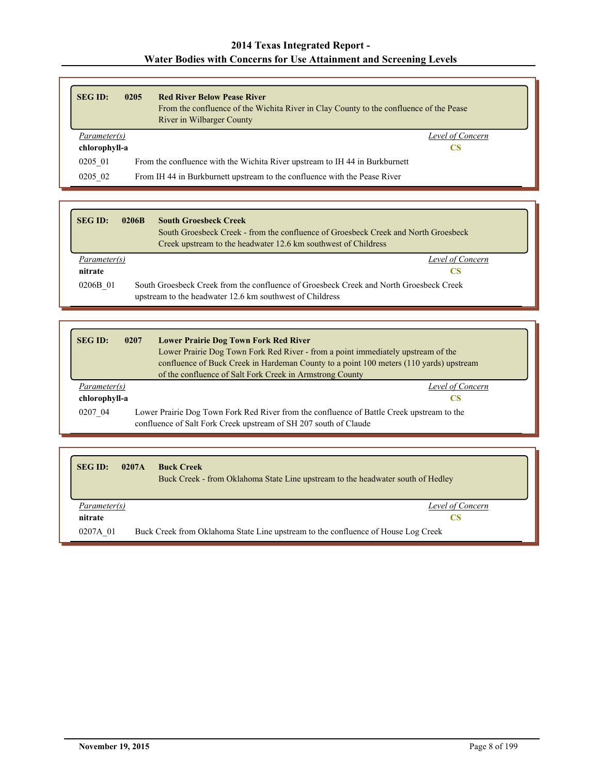| <b>SEG ID:</b>                                                                         | 0205 | <b>Red River Below Pease River</b><br>From the confluence of the Wichita River in Clay County to the confluence of the Pease<br>River in Wilbarger County |                  |
|----------------------------------------------------------------------------------------|------|-----------------------------------------------------------------------------------------------------------------------------------------------------------|------------------|
| Parameter(s)                                                                           |      |                                                                                                                                                           | Level of Concern |
| chlorophyll-a                                                                          |      |                                                                                                                                                           | CS               |
| 0205 01<br>From the confluence with the Wichita River upstream to IH 44 in Burkburnett |      |                                                                                                                                                           |                  |
| 0205 02                                                                                |      | From IH 44 in Burkburnett upstream to the confluence with the Pease River                                                                                 |                  |

| <b>SEG ID:</b>          | <b>South Groesbeck Creek</b><br>0206B<br>South Groesbeck Creek - from the confluence of Groesbeck Creek and North Groesbeck<br>Creek upstream to the headwater 12.6 km southwest of Childress |
|-------------------------|-----------------------------------------------------------------------------------------------------------------------------------------------------------------------------------------------|
| Parameter(s)<br>nitrate | Level of Concern<br>CS                                                                                                                                                                        |
|                         | South Groesbeck Creek from the confluence of Groesbeck Creek and North Groesbeck Creek                                                                                                        |
| 0206B 01                | upstream to the headwater 12.6 km southwest of Childress                                                                                                                                      |

| <b>SEG ID:</b>                | <b>Lower Prairie Dog Town Fork Red River</b><br>0207<br>Lower Prairie Dog Town Fork Red River - from a point immediately upstream of the<br>confluence of Buck Creek in Hardeman County to a point 100 meters (110 yards) upstream<br>of the confluence of Salt Fork Creek in Armstrong County |
|-------------------------------|------------------------------------------------------------------------------------------------------------------------------------------------------------------------------------------------------------------------------------------------------------------------------------------------|
| Parameter(s)<br>chlorophyll-a | Level of Concern<br>CS                                                                                                                                                                                                                                                                         |
| 0207 04                       | Lower Prairie Dog Town Fork Red River from the confluence of Battle Creek upstream to the<br>confluence of Salt Fork Creek upstream of SH 207 south of Claude                                                                                                                                  |

| <b>SEG ID:</b>      | 0207A | <b>Buck Creek</b><br>Buck Creek - from Oklahoma State Line upstream to the headwater south of Hedley |
|---------------------|-------|------------------------------------------------------------------------------------------------------|
| <i>Parameter(s)</i> |       | Level of Concern                                                                                     |
| nitrate             |       | CS                                                                                                   |
| 0207A 01            |       | Buck Creek from Oklahoma State Line upstream to the confluence of House Log Creek                    |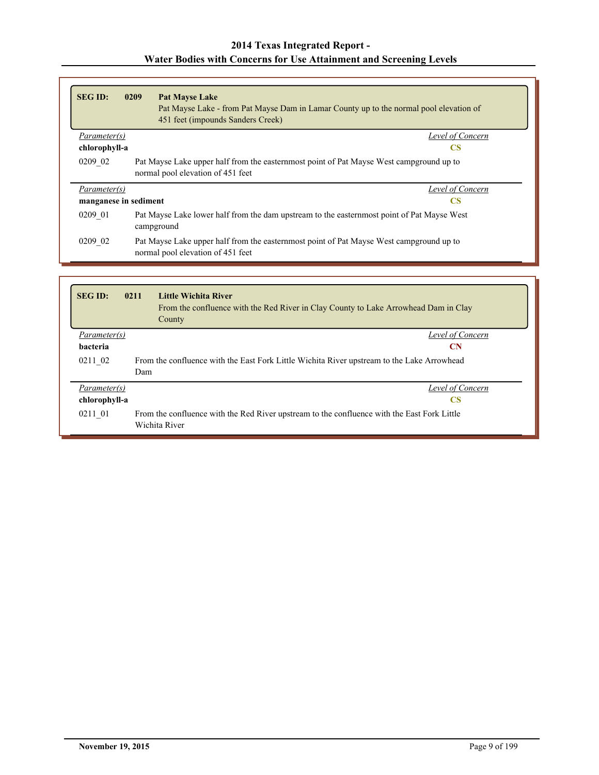| <b>SEG ID:</b>        | 0209<br><b>Pat Mayse Lake</b><br>Pat Mayse Lake - from Pat Mayse Dam in Lamar County up to the normal pool elevation of<br>451 feet (impounds Sanders Creek) |                  |
|-----------------------|--------------------------------------------------------------------------------------------------------------------------------------------------------------|------------------|
| Parameter(s)          |                                                                                                                                                              | Level of Concern |
| chlorophyll-a         |                                                                                                                                                              | <b>CS</b>        |
| 0209 02               | Pat Mayse Lake upper half from the easternmost point of Pat Mayse West campground up to<br>normal pool elevation of 451 feet                                 |                  |
| Parameter(s)          |                                                                                                                                                              | Level of Concern |
| manganese in sediment |                                                                                                                                                              | <b>CS</b>        |
| 0209 01               | Pat Mayse Lake lower half from the dam upstream to the easternmost point of Pat Mayse West<br>campground                                                     |                  |
| 0209 02               | Pat Mayse Lake upper half from the easternmost point of Pat Mayse West campground up to<br>normal pool elevation of 451 feet                                 |                  |

| <b>SEG ID:</b>  | <b>Little Wichita River</b><br>0211<br>County | From the confluence with the Red River in Clay County to Lake Arrowhead Dam in Clay         |
|-----------------|-----------------------------------------------|---------------------------------------------------------------------------------------------|
| Parameter(s)    |                                               | Level of Concern                                                                            |
| <b>bacteria</b> |                                               | CN                                                                                          |
| 0211 02         | Dam                                           | From the confluence with the East Fork Little Wichita River upstream to the Lake Arrowhead  |
| Parameter(s)    |                                               | Level of Concern                                                                            |
| chlorophyll-a   |                                               | <b>CS</b>                                                                                   |
| 0211 01         | Wichita River                                 | From the confluence with the Red River upstream to the confluence with the East Fork Little |

Г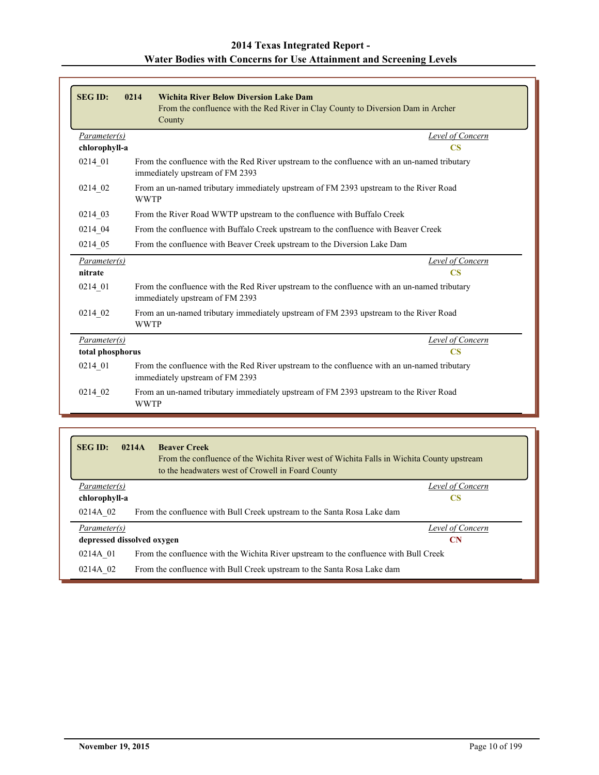| <b>SEG ID:</b>                             | 0214<br><b>Wichita River Below Diversion Lake Dam</b><br>From the confluence with the Red River in Clay County to Diversion Dam in Archer<br>County |
|--------------------------------------------|-----------------------------------------------------------------------------------------------------------------------------------------------------|
| Parameter(s)                               | Level of Concern                                                                                                                                    |
| chlorophyll-a                              | <b>CS</b>                                                                                                                                           |
| 0214 01                                    | From the confluence with the Red River upstream to the confluence with an un-named tributary<br>immediately upstream of FM 2393                     |
| 0214 02                                    | From an un-named tributary immediately upstream of FM 2393 upstream to the River Road<br><b>WWTP</b>                                                |
| 0214 03                                    | From the River Road WWTP upstream to the confluence with Buffalo Creek                                                                              |
| 0214 04                                    | From the confluence with Buffalo Creek upstream to the confluence with Beaver Creek                                                                 |
| 0214 05                                    | From the confluence with Beaver Creek upstream to the Diversion Lake Dam                                                                            |
| Parameter(s)                               | <b>Level of Concern</b>                                                                                                                             |
| nitrate                                    | $\overline{\text{CS}}$                                                                                                                              |
| 0214 01                                    | From the confluence with the Red River upstream to the confluence with an un-named tributary<br>immediately upstream of FM 2393                     |
| 0214 02                                    | From an un-named tributary immediately upstream of FM 2393 upstream to the River Road<br><b>WWTP</b>                                                |
| Parameter(s)                               | <b>Level of Concern</b>                                                                                                                             |
| $\overline{\text{CS}}$<br>total phosphorus |                                                                                                                                                     |
| 0214 01                                    | From the confluence with the Red River upstream to the confluence with an un-named tributary<br>immediately upstream of FM 2393                     |
| 0214 02                                    | From an un-named tributary immediately upstream of FM 2393 upstream to the River Road<br><b>WWTP</b>                                                |

| <b>SEG ID:</b>                          | <b>Beaver Creek</b><br>0214A<br>From the confluence of the Wichita River west of Wichita Falls in Wichita County upstream<br>to the headwaters west of Crowell in Foard County |                  |
|-----------------------------------------|--------------------------------------------------------------------------------------------------------------------------------------------------------------------------------|------------------|
| Parameter(s)                            |                                                                                                                                                                                | Level of Concern |
| chlorophyll-a                           |                                                                                                                                                                                | <b>CS</b>        |
| 0214A 02                                | From the confluence with Bull Creek upstream to the Santa Rosa Lake dam                                                                                                        |                  |
| <i>Parameter(s)</i>                     |                                                                                                                                                                                | Level of Concern |
| depressed dissolved oxygen<br><b>CN</b> |                                                                                                                                                                                |                  |
| 0214A 01                                | From the confluence with the Wichita River upstream to the confluence with Bull Creek                                                                                          |                  |
| 0214A 02                                | From the confluence with Bull Creek upstream to the Santa Rosa Lake dam                                                                                                        |                  |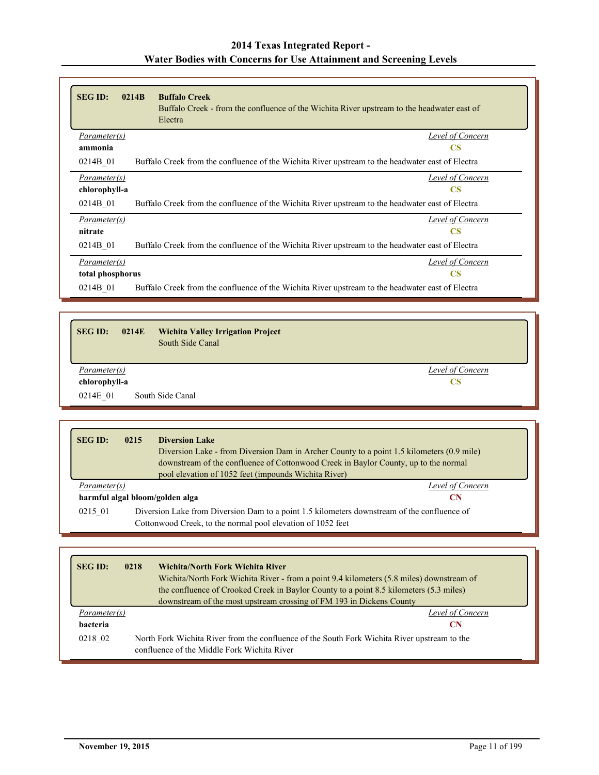| <b>SEG ID:</b>      | 0214B<br><b>Buffalo Creek</b><br>Buffalo Creek - from the confluence of the Wichita River upstream to the headwater east of<br>Electra |
|---------------------|----------------------------------------------------------------------------------------------------------------------------------------|
| <i>Parameter(s)</i> | Level of Concern                                                                                                                       |
| ammonia             | <b>CS</b>                                                                                                                              |
| 0214B 01            | Buffalo Creek from the confluence of the Wichita River upstream to the headwater east of Electra                                       |
| Parameter(s)        | Level of Concern                                                                                                                       |
| chlorophyll-a       | <b>CS</b>                                                                                                                              |
| 0214B 01            | Buffalo Creek from the confluence of the Wichita River upstream to the headwater east of Electra                                       |
| Parameter(s)        | Level of Concern                                                                                                                       |
| nitrate             | <b>CS</b>                                                                                                                              |
| 0214B 01            | Buffalo Creek from the confluence of the Wichita River upstream to the headwater east of Electra                                       |
| <i>Parameter(s)</i> | Level of Concern                                                                                                                       |
| total phosphorus    | <b>CS</b>                                                                                                                              |
| 0214B 01            | Buffalo Creek from the confluence of the Wichita River upstream to the headwater east of Electra                                       |

| <b>SEG ID:</b><br><b>0214E</b> | <b>Wichita Valley Irrigation Project</b><br>South Side Canal |
|--------------------------------|--------------------------------------------------------------|
| Parameter(s)                   | Level of Concern                                             |
| chlorophyll-a                  | <b>CS</b>                                                    |
| 0214E 01                       | South Side Canal                                             |

| <b>SEG ID:</b>                         | 0215 | <b>Diversion Lake</b><br>Diversion Lake - from Diversion Dam in Archer County to a point 1.5 kilometers (0.9 mile)<br>downstream of the confluence of Cottonwood Creek in Baylor County, up to the normal<br>pool elevation of 1052 feet (impounds Wichita River) |  |
|----------------------------------------|------|-------------------------------------------------------------------------------------------------------------------------------------------------------------------------------------------------------------------------------------------------------------------|--|
| Parameter(s)                           |      | Level of Concern                                                                                                                                                                                                                                                  |  |
| harmful algal bloom/golden alga<br>CN. |      |                                                                                                                                                                                                                                                                   |  |
| 0215 01                                |      | Diversion Lake from Diversion Dam to a point 1.5 kilometers downstream of the confluence of<br>Cottonwood Creek, to the normal pool elevation of 1052 feet                                                                                                        |  |

| <b>SEG ID:</b>                  | 0218 | <b>Wichita/North Fork Wichita River</b><br>Wichita/North Fork Wichita River - from a point 9.4 kilometers (5.8 miles) downstream of<br>the confluence of Crooked Creek in Baylor County to a point 8.5 kilometers (5.3 miles)<br>downstream of the most upstream crossing of FM 193 in Dickens County |
|---------------------------------|------|-------------------------------------------------------------------------------------------------------------------------------------------------------------------------------------------------------------------------------------------------------------------------------------------------------|
| Parameter(s)<br><b>bacteria</b> |      | Level of Concern<br>CN                                                                                                                                                                                                                                                                                |
| 0218 02                         |      | North Fork Wichita River from the confluence of the South Fork Wichita River upstream to the<br>confluence of the Middle Fork Wichita River                                                                                                                                                           |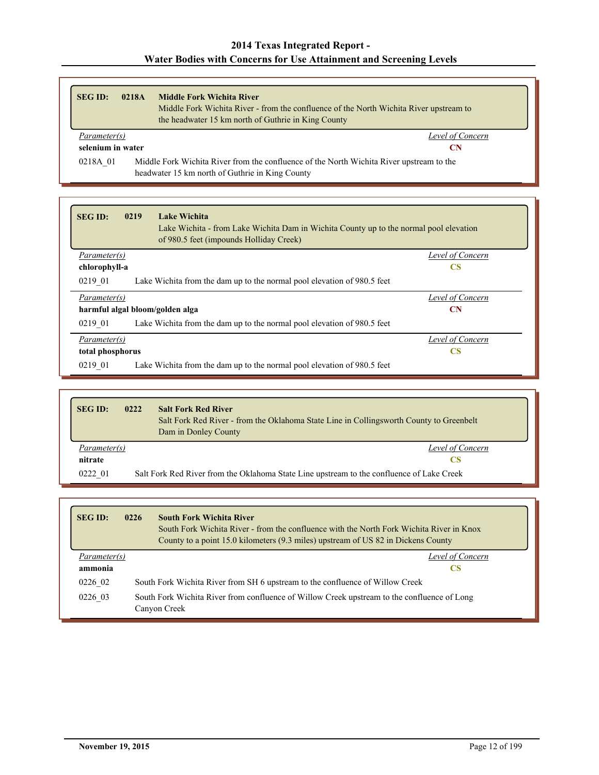| <b>SEG ID:</b>                                                                                                                                          | 0218A                            | <b>Middle Fork Wichita River</b><br>Middle Fork Wichita River - from the confluence of the North Wichita River upstream to<br>the headwater 15 km north of Guthrie in King County |  |
|---------------------------------------------------------------------------------------------------------------------------------------------------------|----------------------------------|-----------------------------------------------------------------------------------------------------------------------------------------------------------------------------------|--|
|                                                                                                                                                         | Level of Concern<br>Parameter(s) |                                                                                                                                                                                   |  |
| selenium in water<br><b>CN</b>                                                                                                                          |                                  |                                                                                                                                                                                   |  |
| Middle Fork Wichita River from the confluence of the North Wichita River upstream to the<br>0218A 01<br>headwater 15 km north of Guthrie in King County |                                  |                                                                                                                                                                                   |  |

| <b>SEG ID:</b><br>0219 | <b>Lake Wichita</b><br>Lake Wichita - from Lake Wichita Dam in Wichita County up to the normal pool elevation<br>of 980.5 feet (impounds Holliday Creek) |                  |
|------------------------|----------------------------------------------------------------------------------------------------------------------------------------------------------|------------------|
| Parameter(s)           |                                                                                                                                                          | Level of Concern |
| chlorophyll-a          |                                                                                                                                                          | CS               |
| 0219 01                | Lake Wichita from the dam up to the normal pool elevation of 980.5 feet                                                                                  |                  |
| Parameter(s)           |                                                                                                                                                          | Level of Concern |
|                        | harmful algal bloom/golden alga                                                                                                                          | <b>CN</b>        |
| 0219 01                | Lake Wichita from the dam up to the normal pool elevation of 980.5 feet                                                                                  |                  |
| <i>Parameter(s)</i>    |                                                                                                                                                          | Level of Concern |
| total phosphorus<br>CS |                                                                                                                                                          |                  |
| 0219 01                | Lake Wichita from the dam up to the normal pool elevation of 980.5 feet                                                                                  |                  |

| <b>SEG ID:</b> | 0222 | <b>Salt Fork Red River</b><br>Salt Fork Red River - from the Oklahoma State Line in Collingsworth County to Greenbelt<br>Dam in Donley County |
|----------------|------|-----------------------------------------------------------------------------------------------------------------------------------------------|
| Parameter(s)   |      | Level of Concern                                                                                                                              |
| nitrate        |      | CS                                                                                                                                            |
| 0222 01        |      | Salt Fork Red River from the Oklahoma State Line upstream to the confluence of Lake Creek                                                     |

| <b>SEG ID:</b> | 0226                                                                                                        | <b>South Fork Wichita River</b><br>South Fork Wichita River - from the confluence with the North Fork Wichita River in Knox<br>County to a point 15.0 kilometers (9.3 miles) upstream of US 82 in Dickens County |  |
|----------------|-------------------------------------------------------------------------------------------------------------|------------------------------------------------------------------------------------------------------------------------------------------------------------------------------------------------------------------|--|
| Parameter(s)   |                                                                                                             | Level of Concern                                                                                                                                                                                                 |  |
| ammonia        |                                                                                                             | CS                                                                                                                                                                                                               |  |
| 0226 02        |                                                                                                             | South Fork Wichita River from SH 6 upstream to the confluence of Willow Creek                                                                                                                                    |  |
| 0226 03        | South Fork Wichita River from confluence of Willow Creek upstream to the confluence of Long<br>Canyon Creek |                                                                                                                                                                                                                  |  |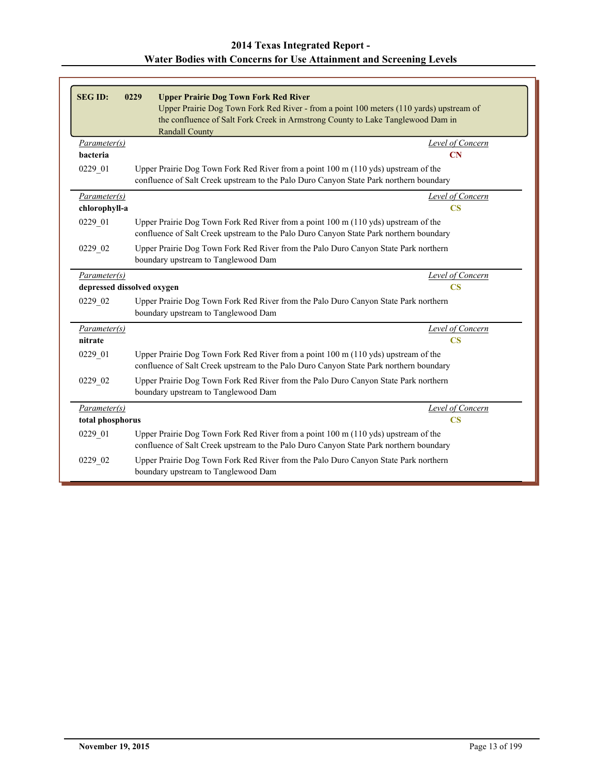| <b>SEGID:</b>              | <b>Upper Prairie Dog Town Fork Red River</b><br>0229<br>Upper Prairie Dog Town Fork Red River - from a point 100 meters (110 yards) upstream of<br>the confluence of Salt Fork Creek in Armstrong County to Lake Tanglewood Dam in<br><b>Randall County</b> |
|----------------------------|-------------------------------------------------------------------------------------------------------------------------------------------------------------------------------------------------------------------------------------------------------------|
| Parameter(s)               | Level of Concern                                                                                                                                                                                                                                            |
| <b>bacteria</b>            | CN                                                                                                                                                                                                                                                          |
| 0229_01                    | Upper Prairie Dog Town Fork Red River from a point 100 m (110 yds) upstream of the<br>confluence of Salt Creek upstream to the Palo Duro Canyon State Park northern boundary                                                                                |
| Parameter(s)               | Level of Concern                                                                                                                                                                                                                                            |
| chlorophyll-a              | $\overline{\text{CS}}$                                                                                                                                                                                                                                      |
| 0229 01                    | Upper Prairie Dog Town Fork Red River from a point 100 m (110 yds) upstream of the<br>confluence of Salt Creek upstream to the Palo Duro Canyon State Park northern boundary                                                                                |
| 0229 02                    | Upper Prairie Dog Town Fork Red River from the Palo Duro Canyon State Park northern<br>boundary upstream to Tanglewood Dam                                                                                                                                  |
| Parameter(s)               | Level of Concern                                                                                                                                                                                                                                            |
| depressed dissolved oxygen | $\overline{\text{CS}}$                                                                                                                                                                                                                                      |
| 0229 02                    | Upper Prairie Dog Town Fork Red River from the Palo Duro Canyon State Park northern<br>boundary upstream to Tanglewood Dam                                                                                                                                  |
| Parameter(s)               | Level of Concern                                                                                                                                                                                                                                            |
| nitrate                    | $\overline{\text{CS}}$                                                                                                                                                                                                                                      |
| 0229 01                    | Upper Prairie Dog Town Fork Red River from a point 100 m (110 yds) upstream of the<br>confluence of Salt Creek upstream to the Palo Duro Canyon State Park northern boundary                                                                                |
| 0229 02                    | Upper Prairie Dog Town Fork Red River from the Palo Duro Canyon State Park northern<br>boundary upstream to Tanglewood Dam                                                                                                                                  |
| Parameter(s)               | <b>Level of Concern</b>                                                                                                                                                                                                                                     |
| total phosphorus           | $\overline{\text{CS}}$                                                                                                                                                                                                                                      |
| 0229 01                    | Upper Prairie Dog Town Fork Red River from a point 100 m (110 yds) upstream of the<br>confluence of Salt Creek upstream to the Palo Duro Canyon State Park northern boundary                                                                                |
| 0229 02                    | Upper Prairie Dog Town Fork Red River from the Palo Duro Canyon State Park northern<br>boundary upstream to Tanglewood Dam                                                                                                                                  |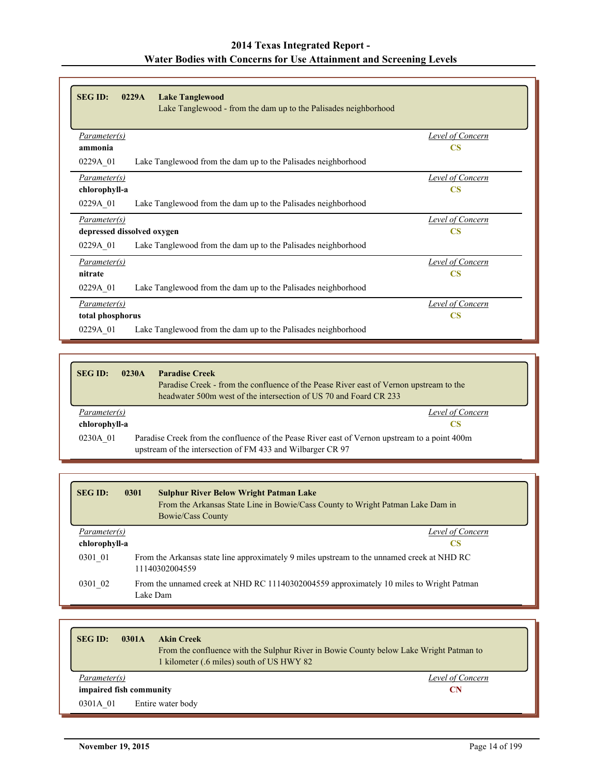| <b>SEG ID:</b><br>0229A<br><b>Lake Tanglewood</b><br>Lake Tanglewood - from the dam up to the Palisades neighborhood |                        |
|----------------------------------------------------------------------------------------------------------------------|------------------------|
| Parameter(s)                                                                                                         | Level of Concern       |
| ammonia                                                                                                              | <b>CS</b>              |
| 0229A 01<br>Lake Tanglewood from the dam up to the Palisades neighborhood                                            |                        |
| Parameter(s)                                                                                                         | Level of Concern       |
| chlorophyll-a                                                                                                        | $\mathbf{CS}$          |
| 0229A_01<br>Lake Tanglewood from the dam up to the Palisades neighborhood                                            |                        |
| Parameter(s)                                                                                                         | Level of Concern       |
| depressed dissolved oxygen                                                                                           | $\overline{\text{CS}}$ |
| 0229A_01<br>Lake Tanglewood from the dam up to the Palisades neighborhood                                            |                        |
| Parameter(s)                                                                                                         | Level of Concern       |
| nitrate                                                                                                              | $\mathbf{CS}$          |
| 0229A 01<br>Lake Tanglewood from the dam up to the Palisades neighborhood                                            |                        |
| <i>Parameter(s)</i>                                                                                                  | Level of Concern       |
| total phosphorus                                                                                                     | $\mathbf{CS}$          |
| 0229A 01<br>Lake Tanglewood from the dam up to the Palisades neighborhood                                            |                        |

| <b>SEG ID:</b>                                                                                                                                                          | <b>Paradise Creek</b><br>0230A<br>Paradise Creek - from the confluence of the Pease River east of Vernon upstream to the<br>headwater 500m west of the intersection of US 70 and Foard CR 233 |
|-------------------------------------------------------------------------------------------------------------------------------------------------------------------------|-----------------------------------------------------------------------------------------------------------------------------------------------------------------------------------------------|
| Parameter(s)                                                                                                                                                            | Level of Concern                                                                                                                                                                              |
| chlorophyll-a                                                                                                                                                           | <b>CS</b>                                                                                                                                                                                     |
| Paradise Creek from the confluence of the Pease River east of Vernon upstream to a point 400m<br>0230A 01<br>upstream of the intersection of FM 433 and Wilbarger CR 97 |                                                                                                                                                                                               |

| <b>SEG ID:</b> | 0301 | <b>Sulphur River Below Wright Patman Lake</b><br>From the Arkansas State Line in Bowie/Cass County to Wright Patman Lake Dam in<br><b>Bowie/Cass County</b> |
|----------------|------|-------------------------------------------------------------------------------------------------------------------------------------------------------------|
| Parameter(s)   |      | Level of Concern                                                                                                                                            |
| chlorophyll-a  |      | <b>CS</b>                                                                                                                                                   |
| 0301 01        |      | From the Arkansas state line approximately 9 miles upstream to the unnamed creek at NHD RC<br>11140302004559                                                |
| 0301 02        |      | From the unnamed creek at NHD RC 11140302004559 approximately 10 miles to Wright Patman<br>Lake Dam                                                         |

| <b>SEG ID:</b>          | 0301A | <b>Akin Creek</b><br>From the confluence with the Sulphur River in Bowie County below Lake Wright Patman to<br>1 kilometer (.6 miles) south of US HWY 82 |
|-------------------------|-------|----------------------------------------------------------------------------------------------------------------------------------------------------------|
| Parameter(s)            |       | Level of Concern                                                                                                                                         |
| impaired fish community |       | CN                                                                                                                                                       |
| 0301A 01                |       | Entire water body                                                                                                                                        |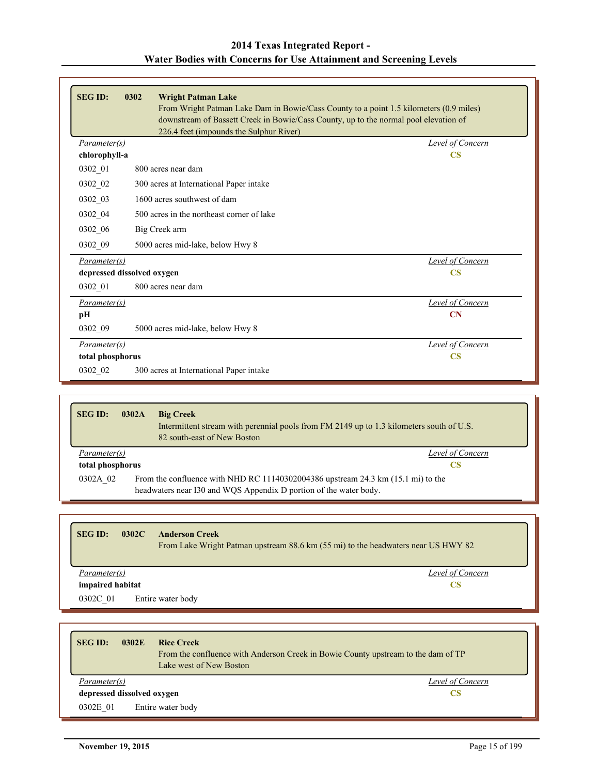| 2014 Texas Integrated Report -                                     |
|--------------------------------------------------------------------|
| Water Bodies with Concerns for Use Attainment and Screening Levels |

| <b>SEG ID:</b> | 0302<br><b>Wright Patman Lake</b><br>From Wright Patman Lake Dam in Bowie/Cass County to a point 1.5 kilometers (0.9 miles)<br>downstream of Bassett Creek in Bowie/Cass County, up to the normal pool elevation of<br>226.4 feet (impounds the Sulphur River) |                        |  |
|----------------|----------------------------------------------------------------------------------------------------------------------------------------------------------------------------------------------------------------------------------------------------------------|------------------------|--|
| Parameter(s)   |                                                                                                                                                                                                                                                                | Level of Concern       |  |
| chlorophyll-a  |                                                                                                                                                                                                                                                                | <b>CS</b>              |  |
| 0302 01        | 800 acres near dam                                                                                                                                                                                                                                             |                        |  |
| 0302 02        | 300 acres at International Paper intake                                                                                                                                                                                                                        |                        |  |
| 0302 03        | 1600 acres southwest of dam                                                                                                                                                                                                                                    |                        |  |
| 0302 04        | 500 acres in the northeast corner of lake                                                                                                                                                                                                                      |                        |  |
| 0302 06        | Big Creek arm                                                                                                                                                                                                                                                  |                        |  |
| 0302 09        | 5000 acres mid-lake, below Hwy 8                                                                                                                                                                                                                               |                        |  |
| Parameter(s)   |                                                                                                                                                                                                                                                                | Level of Concern       |  |
|                | depressed dissolved oxygen                                                                                                                                                                                                                                     | $\overline{\text{CS}}$ |  |
| 0302 01        | 800 acres near dam                                                                                                                                                                                                                                             |                        |  |
| Parameter(s)   |                                                                                                                                                                                                                                                                | Level of Concern       |  |
| pH             |                                                                                                                                                                                                                                                                | $\mathbf{C}$ N         |  |
| 0302 09        | 5000 acres mid-lake, below Hwy 8                                                                                                                                                                                                                               |                        |  |
| Parameter(s)   |                                                                                                                                                                                                                                                                | Level of Concern       |  |
|                | $\overline{\text{CS}}$<br>total phosphorus                                                                                                                                                                                                                     |                        |  |
| 0302 02        | 300 acres at International Paper intake                                                                                                                                                                                                                        |                        |  |

| <b>SEG ID:</b>                                                                                                                                                              | 0302A<br><b>Big Creek</b><br>Intermittent stream with perennial pools from FM 2149 up to 1.3 kilometers south of U.S.<br>82 south-east of New Boston |
|-----------------------------------------------------------------------------------------------------------------------------------------------------------------------------|------------------------------------------------------------------------------------------------------------------------------------------------------|
| Parameter(s)                                                                                                                                                                | Level of Concern                                                                                                                                     |
| total phosphorus                                                                                                                                                            | <b>CS</b>                                                                                                                                            |
| From the confluence with NHD RC 11140302004386 upstream 24.3 km $(15.1 \text{ mi})$ to the<br>0302A 02<br>headwaters near I30 and WQS Appendix D portion of the water body. |                                                                                                                                                      |

| <b>SEG ID:</b><br>0302C | <b>Anderson Creek</b><br>From Lake Wright Patman upstream 88.6 km (55 mi) to the headwaters near US HWY 82 |                  |  |  |
|-------------------------|------------------------------------------------------------------------------------------------------------|------------------|--|--|
| Parameter(s)            |                                                                                                            | Level of Concern |  |  |
| impaired habitat        |                                                                                                            | <b>CS</b>        |  |  |
| 0302C 01                | Entire water body                                                                                          |                  |  |  |
|                         |                                                                                                            |                  |  |  |
|                         |                                                                                                            |                  |  |  |

| <b>SEG ID:</b><br>0302E    | <b>Rice Creek</b>       |                                                                                   |
|----------------------------|-------------------------|-----------------------------------------------------------------------------------|
|                            |                         | From the confluence with Anderson Creek in Bowie County upstream to the dam of TP |
|                            | Lake west of New Boston |                                                                                   |
| Parameter(s)               |                         | Level of Concern                                                                  |
| depressed dissolved oxygen |                         | CS.                                                                               |
| 0302E 01                   | Entire water body       |                                                                                   |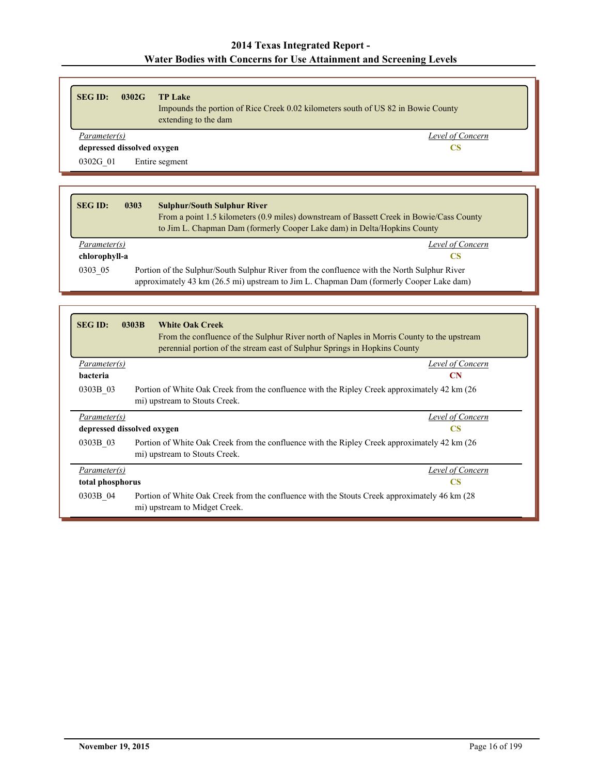| <b>SEG ID:</b><br>0302G    | <b>TP</b> Lake<br>Impounds the portion of Rice Creek 0.02 kilometers south of US 82 in Bowie County<br>extending to the dam |                  |
|----------------------------|-----------------------------------------------------------------------------------------------------------------------------|------------------|
| Parameter(s)               |                                                                                                                             | Level of Concern |
| depressed dissolved oxygen |                                                                                                                             | CS               |
| 0302G 01                   | Entire segment                                                                                                              |                  |

| <b>SEG ID:</b> | <b>Sulphur/South Sulphur River</b><br>0303 | From a point 1.5 kilometers (0.9 miles) downstream of Bassett Creek in Bowie/Cass County<br>to Jim L. Chapman Dam (formerly Cooper Lake dam) in Delta/Hopkins County                   |
|----------------|--------------------------------------------|----------------------------------------------------------------------------------------------------------------------------------------------------------------------------------------|
| Parameter(s)   |                                            | Level of Concern                                                                                                                                                                       |
| chlorophyll-a  |                                            |                                                                                                                                                                                        |
| 0303 05        |                                            | Portion of the Sulphur/South Sulphur River from the confluence with the North Sulphur River<br>approximately 43 km (26.5 mi) upstream to Jim L. Chapman Dam (formerly Cooper Lake dam) |

| <b>SEG ID:</b>             | 0303B<br><b>White Oak Creek</b><br>From the confluence of the Sulphur River north of Naples in Morris County to the upstream<br>perennial portion of the stream east of Sulphur Springs in Hopkins County |
|----------------------------|-----------------------------------------------------------------------------------------------------------------------------------------------------------------------------------------------------------|
| <i>Parameter(s)</i>        | Level of Concern                                                                                                                                                                                          |
| bacteria                   | <b>CN</b>                                                                                                                                                                                                 |
| 0303B 03                   | Portion of White Oak Creek from the confluence with the Ripley Creek approximately 42 km (26)<br>mi) upstream to Stouts Creek.                                                                            |
| Parameter(s)               | Level of Concern                                                                                                                                                                                          |
| depressed dissolved oxygen | <b>CS</b>                                                                                                                                                                                                 |
| 0303B 03                   | Portion of White Oak Creek from the confluence with the Ripley Creek approximately 42 km (26)<br>mi) upstream to Stouts Creek.                                                                            |
| Parameter(s)               | Level of Concern                                                                                                                                                                                          |
| total phosphorus           | <b>CS</b>                                                                                                                                                                                                 |
| 0303B 04                   | Portion of White Oak Creek from the confluence with the Stouts Creek approximately 46 km (28)<br>mi) upstream to Midget Creek.                                                                            |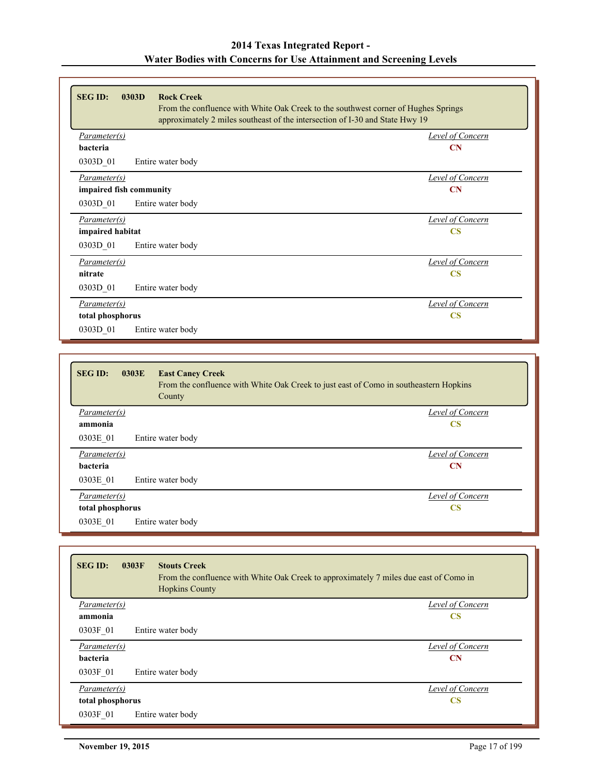| <b>SEG ID:</b><br>0303D<br><b>Rock Creek</b><br>From the confluence with White Oak Creek to the southwest corner of Hughes Springs<br>approximately 2 miles southeast of the intersection of I-30 and State Hwy 19 |                         |
|--------------------------------------------------------------------------------------------------------------------------------------------------------------------------------------------------------------------|-------------------------|
| Parameter(s)                                                                                                                                                                                                       | Level of Concern        |
| <b>bacteria</b>                                                                                                                                                                                                    | CN                      |
| 0303D 01<br>Entire water body                                                                                                                                                                                      |                         |
| Parameter(s)                                                                                                                                                                                                       | Level of Concern        |
| impaired fish community                                                                                                                                                                                            | $\mathbf{C} \mathbf{N}$ |
| 0303D_01<br>Entire water body                                                                                                                                                                                      |                         |
| Parameter(s)                                                                                                                                                                                                       | Level of Concern        |
| impaired habitat                                                                                                                                                                                                   | $\overline{\text{CS}}$  |
| 0303D 01<br>Entire water body                                                                                                                                                                                      |                         |
| Parameter(s)                                                                                                                                                                                                       | <b>Level of Concern</b> |
| nitrate                                                                                                                                                                                                            | <b>CS</b>               |
| Entire water body<br>0303D 01                                                                                                                                                                                      |                         |
| Parameter(s)                                                                                                                                                                                                       | Level of Concern        |
| total phosphorus                                                                                                                                                                                                   | <b>CS</b>               |
| 0303D 01<br>Entire water body                                                                                                                                                                                      |                         |

| 0303E<br><b>East Caney Creek</b><br><b>SEG ID:</b><br>From the confluence with White Oak Creek to just east of Como in southeastern Hopkins<br>County |                        |
|-------------------------------------------------------------------------------------------------------------------------------------------------------|------------------------|
| Parameter(s)                                                                                                                                          | Level of Concern       |
| ammonia                                                                                                                                               | $\overline{\text{CS}}$ |
| 0303E 01<br>Entire water body                                                                                                                         |                        |
| Parameter(s)                                                                                                                                          | Level of Concern       |
| bacteria                                                                                                                                              | $\mathbf{CN}$          |
| 0303E 01<br>Entire water body                                                                                                                         |                        |
| Parameter(s)                                                                                                                                          | Level of Concern       |
| total phosphorus                                                                                                                                      | <b>CS</b>              |
| 0303E 01<br>Entire water body                                                                                                                         |                        |

| <b>SEG ID:</b><br>0303F<br><b>Stouts Creek</b><br>From the confluence with White Oak Creek to approximately 7 miles due east of Como in<br><b>Hopkins County</b> |                  |
|------------------------------------------------------------------------------------------------------------------------------------------------------------------|------------------|
| Parameter(s)                                                                                                                                                     | Level of Concern |
| ammonia                                                                                                                                                          | <b>CS</b>        |
| 0303F 01<br>Entire water body                                                                                                                                    |                  |
| Parameter(s)                                                                                                                                                     | Level of Concern |
| bacteria                                                                                                                                                         | $\mathbf{CN}$    |
| 0303F 01<br>Entire water body                                                                                                                                    |                  |
| Parameter(s)                                                                                                                                                     | Level of Concern |
| total phosphorus<br>$\overline{\mathbf{C}}$                                                                                                                      |                  |
| 0303F 01<br>Entire water body                                                                                                                                    |                  |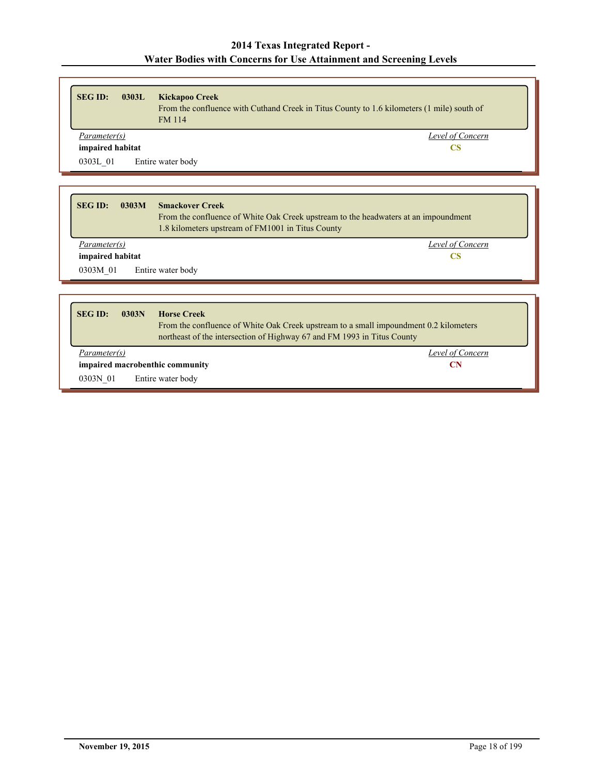| <b>SEG ID:</b><br>0303L | <b>Kickapoo Creek</b><br>From the confluence with Cuthand Creek in Titus County to 1.6 kilometers (1 mile) south of<br><b>FM 114</b>                               |
|-------------------------|--------------------------------------------------------------------------------------------------------------------------------------------------------------------|
| <i>Parameter(s)</i>     | Level of Concern                                                                                                                                                   |
| impaired habitat        | CS                                                                                                                                                                 |
| 0303L 01                | Entire water body                                                                                                                                                  |
|                         |                                                                                                                                                                    |
|                         |                                                                                                                                                                    |
| <b>SEG ID:</b><br>0303M | <b>Smackover Creek</b><br>From the confluence of White Oak Creek upstream to the headwaters at an impoundment<br>1.8 kilometers upstream of FM1001 in Titus County |
| <i>Parameter(s)</i>     | Level of Concern                                                                                                                                                   |
|                         |                                                                                                                                                                    |
| impaired habitat        | CS                                                                                                                                                                 |

| <b>SEG ID:</b> | 0303N                                 | <b>Horse Creek</b><br>From the confluence of White Oak Creek upstream to a small impoundment 0.2 kilometers<br>northeast of the intersection of Highway 67 and FM 1993 in Titus County |  |
|----------------|---------------------------------------|----------------------------------------------------------------------------------------------------------------------------------------------------------------------------------------|--|
| Parameter(s)   |                                       | Level of Concern                                                                                                                                                                       |  |
|                | impaired macrobenthic community<br>CN |                                                                                                                                                                                        |  |
| 0303N 01       |                                       | Entire water body                                                                                                                                                                      |  |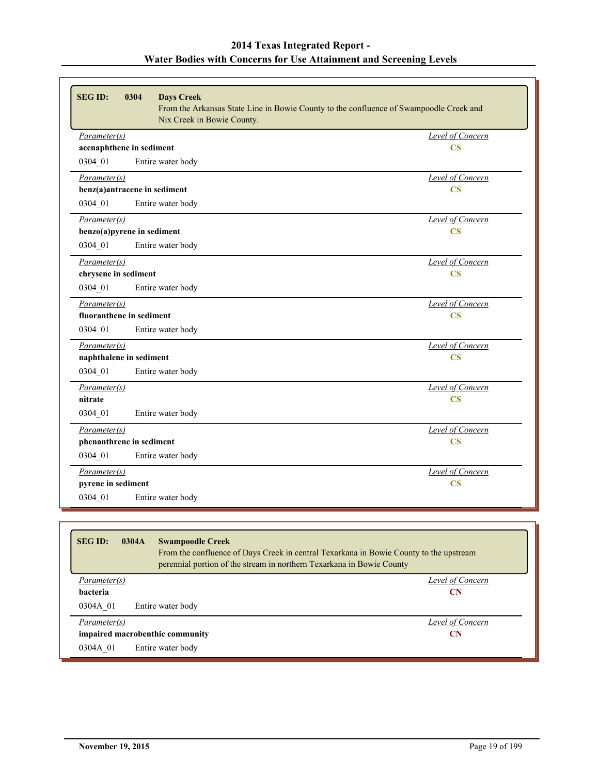| <b>SEG ID:</b><br>0304<br><b>Days Creek</b><br>From the Arkansas State Line in Bowie County to the confluence of Swampoodle Creek and<br>Nix Creek in Bowie County. |                        |
|---------------------------------------------------------------------------------------------------------------------------------------------------------------------|------------------------|
| Parameter(s)                                                                                                                                                        | Level of Concern       |
| acenaphthene in sediment                                                                                                                                            | $\overline{\text{CS}}$ |
| 0304 01<br>Entire water body                                                                                                                                        |                        |
| Parameter(s)                                                                                                                                                        | Level of Concern       |
| benz(a)antracene in sediment                                                                                                                                        | $\overline{\text{CS}}$ |
| 0304 01<br>Entire water body                                                                                                                                        |                        |
| Parameter(s)                                                                                                                                                        | Level of Concern       |
| benzo(a)pyrene in sediment                                                                                                                                          | $\overline{\text{CS}}$ |
| 0304 01<br>Entire water body                                                                                                                                        |                        |
| Parameter(s)                                                                                                                                                        | Level of Concern       |
| chrysene in sediment                                                                                                                                                | $\overline{\text{CS}}$ |
| 0304 01<br>Entire water body                                                                                                                                        |                        |
| Parameter(s)                                                                                                                                                        | Level of Concern       |
| fluoranthene in sediment                                                                                                                                            | <b>CS</b>              |
| 0304 01<br>Entire water body                                                                                                                                        |                        |
| Parameter(s)                                                                                                                                                        | Level of Concern       |
| naphthalene in sediment                                                                                                                                             | $\overline{\text{CS}}$ |
| 0304 01<br>Entire water body                                                                                                                                        |                        |
| Parameter(s)                                                                                                                                                        | Level of Concern       |
| nitrate                                                                                                                                                             | <b>CS</b>              |
| Entire water body<br>0304 01                                                                                                                                        |                        |
| Parameter(s)                                                                                                                                                        | Level of Concern       |
| phenanthrene in sediment                                                                                                                                            | <b>CS</b>              |
| 0304 01<br>Entire water body                                                                                                                                        |                        |
| Parameter(s)                                                                                                                                                        | Level of Concern       |
| pyrene in sediment                                                                                                                                                  | <b>CS</b>              |
| 0304 01<br>Entire water body                                                                                                                                        |                        |

| <b>SEG ID:</b>  | 0304A | <b>Swampoodle Creek</b><br>From the confluence of Days Creek in central Texarkana in Bowie County to the upstream<br>perennial portion of the stream in northern Texarkana in Bowie County |
|-----------------|-------|--------------------------------------------------------------------------------------------------------------------------------------------------------------------------------------------|
| Parameter(s)    |       | Level of Concern                                                                                                                                                                           |
| <b>bacteria</b> |       | CN                                                                                                                                                                                         |
| 0304A 01        |       | Entire water body                                                                                                                                                                          |
| Parameter(s)    |       | Level of Concern                                                                                                                                                                           |
|                 |       | impaired macrobenthic community<br>CN                                                                                                                                                      |
| 0304A 01        |       | Entire water body                                                                                                                                                                          |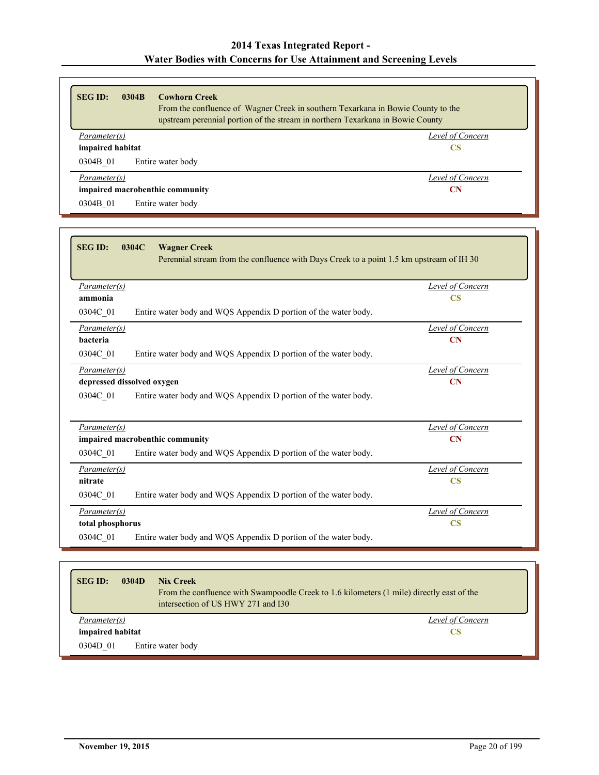| <b>SEG ID:</b>                               | 0304B | <b>Cowhorn Creek</b><br>From the confluence of Wagner Creek in southern Texarkana in Bowie County to the<br>upstream perennial portion of the stream in northern Texarkana in Bowie County |  |
|----------------------------------------------|-------|--------------------------------------------------------------------------------------------------------------------------------------------------------------------------------------------|--|
| Parameter(s)                                 |       | Level of Concern                                                                                                                                                                           |  |
| impaired habitat                             |       | CS                                                                                                                                                                                         |  |
| 0304B 01                                     |       | Entire water body                                                                                                                                                                          |  |
| Parameter(s)                                 |       | Level of Concern                                                                                                                                                                           |  |
| impaired macrobenthic community<br><b>CN</b> |       |                                                                                                                                                                                            |  |
| 0304B 01                                     |       | Entire water body                                                                                                                                                                          |  |

| <b>SEG ID:</b>             | 0304C<br><b>Wagner Creek</b><br>Perennial stream from the confluence with Days Creek to a point 1.5 km upstream of IH 30 |                        |
|----------------------------|--------------------------------------------------------------------------------------------------------------------------|------------------------|
| Parameter(s)               |                                                                                                                          | Level of Concern       |
| ammonia                    |                                                                                                                          | $\overline{\text{CS}}$ |
| 0304C 01                   | Entire water body and WQS Appendix D portion of the water body.                                                          |                        |
| Parameter(s)               |                                                                                                                          | Level of Concern       |
| bacteria                   |                                                                                                                          | CN                     |
| 0304C_01                   | Entire water body and WQS Appendix D portion of the water body.                                                          |                        |
| Parameter(s)               |                                                                                                                          | Level of Concern       |
| depressed dissolved oxygen |                                                                                                                          | CN                     |
| 0304C 01                   | Entire water body and WQS Appendix D portion of the water body.                                                          |                        |
| Parameter(s)               |                                                                                                                          | Level of Concern       |
|                            | impaired macrobenthic community                                                                                          | <b>CN</b>              |
| 0304C 01                   | Entire water body and WQS Appendix D portion of the water body.                                                          |                        |
| Parameter(s)               |                                                                                                                          | Level of Concern       |
| nitrate                    |                                                                                                                          | $\mathbf{CS}$          |
| 0304C 01                   | Entire water body and WQS Appendix D portion of the water body.                                                          |                        |
| Parameter(s)               |                                                                                                                          | Level of Concern       |
| total phosphorus           |                                                                                                                          | $\overline{\text{CS}}$ |
| 0304C 01                   | Entire water body and WQS Appendix D portion of the water body.                                                          |                        |

| <b>SEG ID:</b><br>0304D | <b>Nix Creek</b><br>From the confluence with Swampoodle Creek to 1.6 kilometers (1 mile) directly east of the<br>intersection of US HWY 271 and I30 |
|-------------------------|-----------------------------------------------------------------------------------------------------------------------------------------------------|
| Parameter(s)            | Level of Concern                                                                                                                                    |
| impaired habitat        | CS                                                                                                                                                  |
| 0304D 01                | Entire water body                                                                                                                                   |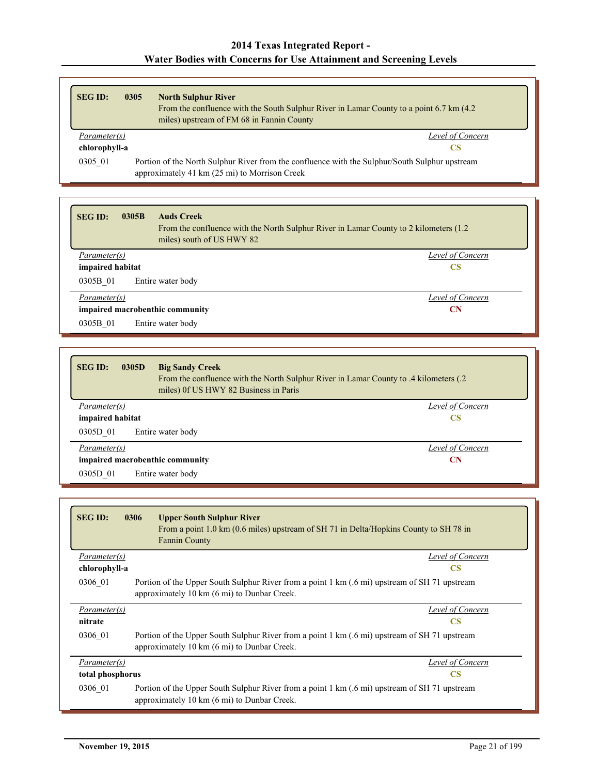| <b>SEG ID:</b> | 0305 | <b>North Sulphur River</b><br>From the confluence with the South Sulphur River in Lamar County to a point 6.7 km (4.2)<br>miles) upstream of FM 68 in Fannin County |
|----------------|------|---------------------------------------------------------------------------------------------------------------------------------------------------------------------|
| Parameter(s)   |      | Level of Concern                                                                                                                                                    |
| chlorophyll-a  |      | CS                                                                                                                                                                  |
| 0305 01        |      | Portion of the North Sulphur River from the confluence with the Sulphur/South Sulphur upstream<br>approximately 41 km (25 mi) to Morrison Creek                     |

| <b>SEG ID:</b>   | 0305B<br><b>Auds Creek</b><br>miles) south of US HWY 82 | From the confluence with the North Sulphur River in Lamar County to 2 kilometers (1.2) |
|------------------|---------------------------------------------------------|----------------------------------------------------------------------------------------|
| Parameter(s)     |                                                         | Level of Concern                                                                       |
| impaired habitat |                                                         | <b>CS</b>                                                                              |
| 0305B 01         | Entire water body                                       |                                                                                        |
| Parameter(s)     |                                                         | Level of Concern                                                                       |
|                  | impaired macrobenthic community                         | <b>CN</b>                                                                              |
| 0305B 01         | Entire water body                                       |                                                                                        |

| <b>SEG ID:</b>                   | 0305D | <b>Big Sandy Creek</b><br>From the confluence with the North Sulphur River in Lamar County to .4 kilometers (.2)<br>miles) Of US HWY 82 Business in Paris |
|----------------------------------|-------|-----------------------------------------------------------------------------------------------------------------------------------------------------------|
| Parameter(s)                     |       | Level of Concern                                                                                                                                          |
| impaired habitat                 |       | <b>CS</b>                                                                                                                                                 |
| 0305D 01                         |       | Entire water body                                                                                                                                         |
| Level of Concern<br>Parameter(s) |       |                                                                                                                                                           |
|                                  |       | impaired macrobenthic community<br><b>CN</b>                                                                                                              |
| 0305D 01                         |       | Entire water body                                                                                                                                         |

| <b>SEG ID:</b>   | 0306<br><b>Upper South Sulphur River</b><br>From a point 1.0 km (0.6 miles) upstream of SH 71 in Delta/Hopkins County to SH 78 in<br><b>Fannin County</b> |
|------------------|-----------------------------------------------------------------------------------------------------------------------------------------------------------|
| Parameter(s)     | Level of Concern                                                                                                                                          |
| chlorophyll-a    | CS                                                                                                                                                        |
| 0306 01          | Portion of the Upper South Sulphur River from a point 1 km (.6 mi) upstream of SH 71 upstream<br>approximately 10 km (6 mi) to Dunbar Creek.              |
| Parameter(s)     | Level of Concern                                                                                                                                          |
| nitrate          | <b>CS</b>                                                                                                                                                 |
| 0306 01          | Portion of the Upper South Sulphur River from a point 1 km (.6 mi) upstream of SH 71 upstream<br>approximately 10 km (6 mi) to Dunbar Creek.              |
| Parameter(s)     | Level of Concern                                                                                                                                          |
| total phosphorus | <b>CS</b>                                                                                                                                                 |
| 0306 01          | Portion of the Upper South Sulphur River from a point 1 km (.6 mi) upstream of SH 71 upstream<br>approximately 10 km (6 mi) to Dunbar Creek.              |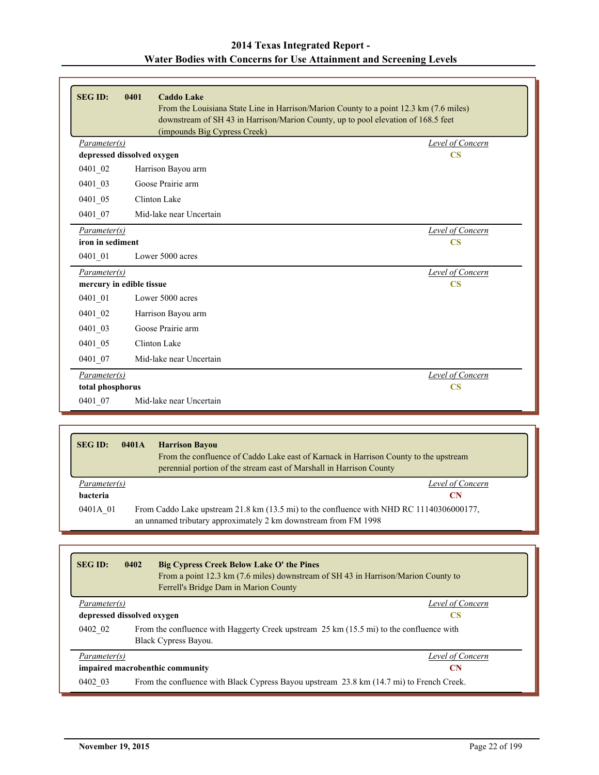| <b>SEG ID:</b>   | 0401<br><b>Caddo Lake</b>                                                              |                         |
|------------------|----------------------------------------------------------------------------------------|-------------------------|
|                  | From the Louisiana State Line in Harrison/Marion County to a point 12.3 km (7.6 miles) |                         |
|                  | downstream of SH 43 in Harrison/Marion County, up to pool elevation of 168.5 feet      |                         |
|                  | (impounds Big Cypress Creek)                                                           |                         |
| Parameter(s)     |                                                                                        | Level of Concern        |
|                  | depressed dissolved oxygen                                                             | $\overline{\text{CS}}$  |
| 0401 02          | Harrison Bayou arm                                                                     |                         |
| 0401 03          | Goose Prairie arm                                                                      |                         |
| 0401 05          | Clinton Lake                                                                           |                         |
| 0401 07          | Mid-lake near Uncertain                                                                |                         |
| Parameter(s)     |                                                                                        | <b>Level of Concern</b> |
| iron in sediment |                                                                                        | $\overline{\text{CS}}$  |
| 0401 01          | Lower 5000 acres                                                                       |                         |
| Parameter(s)     |                                                                                        | Level of Concern        |
|                  | mercury in edible tissue                                                               | $\overline{\mathbf{C}}$ |
| 0401 01          | Lower 5000 acres                                                                       |                         |
| 0401 02          | Harrison Bayou arm                                                                     |                         |
| $0401 - 03$      | Goose Prairie arm                                                                      |                         |
| $0401 - 05$      | Clinton Lake                                                                           |                         |
| 0401 07          | Mid-lake near Uncertain                                                                |                         |
| Parameter(s)     |                                                                                        | Level of Concern        |
| total phosphorus |                                                                                        | $\overline{\text{CS}}$  |
| 0401 07          | Mid-lake near Uncertain                                                                |                         |

| <b>SEG ID:</b> | 0401A | <b>Harrison Bayou</b><br>From the confluence of Caddo Lake east of Karnack in Harrison County to the upstream<br>perennial portion of the stream east of Marshall in Harrison County |
|----------------|-------|--------------------------------------------------------------------------------------------------------------------------------------------------------------------------------------|
| Parameter(s)   |       | Level of Concern                                                                                                                                                                     |
| bacteria       |       | СN                                                                                                                                                                                   |
| 0401A 01       |       | From Caddo Lake upstream 21.8 km (13.5 mi) to the confluence with NHD RC 11140306000177,<br>an unnamed tributary approximately 2 km downstream from FM 1998                          |

| <b>SEG ID:</b>             | 0402 | <b>Big Cypress Creek Below Lake O' the Pines</b><br>From a point 12.3 km (7.6 miles) downstream of SH 43 in Harrison/Marion County to<br>Ferrell's Bridge Dam in Marion County |                  |
|----------------------------|------|--------------------------------------------------------------------------------------------------------------------------------------------------------------------------------|------------------|
| Parameter(s)               |      |                                                                                                                                                                                | Level of Concern |
| depressed dissolved oxygen |      |                                                                                                                                                                                | CS               |
| 0402 02                    |      | From the confluence with Haggerty Creek upstream 25 km (15.5 mi) to the confluence with<br>Black Cypress Bayou.                                                                |                  |
| Parameter(s)               |      |                                                                                                                                                                                | Level of Concern |
|                            |      | impaired macrobenthic community                                                                                                                                                | <b>CN</b>        |
| 0402 03                    |      | From the confluence with Black Cypress Bayou upstream 23.8 km (14.7 mi) to French Creek.                                                                                       |                  |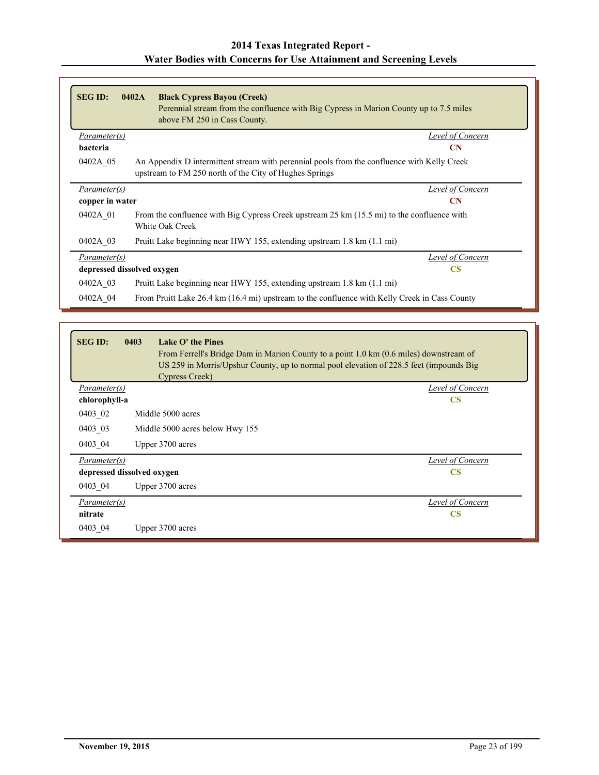| <b>SEG ID:</b>  | 0402A<br><b>Black Cypress Bayou (Creek)</b><br>Perennial stream from the confluence with Big Cypress in Marion County up to 7.5 miles<br>above FM 250 in Cass County. |                  |
|-----------------|-----------------------------------------------------------------------------------------------------------------------------------------------------------------------|------------------|
| Parameter(s)    |                                                                                                                                                                       | Level of Concern |
| bacteria        |                                                                                                                                                                       | <b>CN</b>        |
| 0402A 05        | An Appendix D intermittent stream with perennial pools from the confluence with Kelly Creek<br>upstream to FM 250 north of the City of Hughes Springs                 |                  |
| Parameter(s)    |                                                                                                                                                                       | Level of Concern |
| copper in water |                                                                                                                                                                       | <b>CN</b>        |
| 0402A 01        | From the confluence with Big Cypress Creek upstream 25 km (15.5 mi) to the confluence with<br>White Oak Creek                                                         |                  |
| 0402A 03        | Pruitt Lake beginning near HWY 155, extending upstream 1.8 km (1.1 mi)                                                                                                |                  |
| Parameter(s)    |                                                                                                                                                                       | Level of Concern |
|                 | depressed dissolved oxygen                                                                                                                                            | <b>CS</b>        |
| 0402A 03        | Pruitt Lake beginning near HWY 155, extending upstream 1.8 km (1.1 mi)                                                                                                |                  |
| 0402A 04        | From Pruitt Lake 26.4 km (16.4 mi) upstream to the confluence with Kelly Creek in Cass County                                                                         |                  |

| <b>SEG ID:</b>             | 0403 | Lake O' the Pines<br>From Ferrell's Bridge Dam in Marion County to a point 1.0 km (0.6 miles) downstream of<br>US 259 in Morris/Upshur County, up to normal pool elevation of 228.5 feet (impounds Big<br>Cypress Creek) |                  |
|----------------------------|------|--------------------------------------------------------------------------------------------------------------------------------------------------------------------------------------------------------------------------|------------------|
| Parameter(s)               |      |                                                                                                                                                                                                                          | Level of Concern |
| chlorophyll-a              |      |                                                                                                                                                                                                                          | <b>CS</b>        |
| 0403 02                    |      | Middle 5000 acres                                                                                                                                                                                                        |                  |
| 0403 03                    |      | Middle 5000 acres below Hwy 155                                                                                                                                                                                          |                  |
| 0403 04                    |      | Upper 3700 acres                                                                                                                                                                                                         |                  |
| Parameter(s)               |      |                                                                                                                                                                                                                          | Level of Concern |
| depressed dissolved oxygen |      |                                                                                                                                                                                                                          | <b>CS</b>        |
| 0403 04                    |      | Upper 3700 acres                                                                                                                                                                                                         |                  |
| Parameter(s)               |      |                                                                                                                                                                                                                          | Level of Concern |
| nitrate                    |      |                                                                                                                                                                                                                          | $\mathbf{CS}$    |
| 0403 04                    |      | Upper 3700 acres                                                                                                                                                                                                         |                  |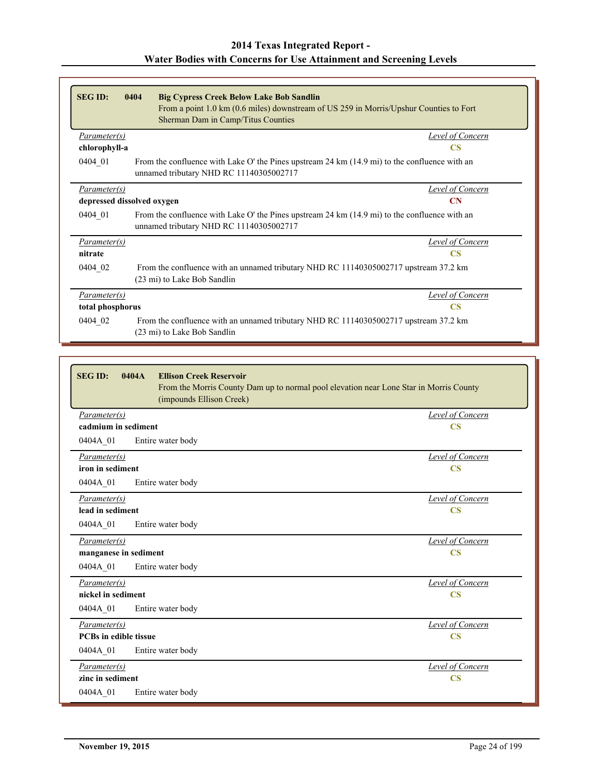| <b>SEG ID:</b>             | 0404<br><b>Big Cypress Creek Below Lake Bob Sandlin</b><br>From a point 1.0 km (0.6 miles) downstream of US 259 in Morris/Upshur Counties to Fort<br>Sherman Dam in Camp/Titus Counties |  |
|----------------------------|-----------------------------------------------------------------------------------------------------------------------------------------------------------------------------------------|--|
| Parameter(s)               | Level of Concern                                                                                                                                                                        |  |
| chlorophyll-a              | <b>CS</b>                                                                                                                                                                               |  |
| 0404 01                    | From the confluence with Lake O' the Pines upstream 24 km (14.9 mi) to the confluence with an<br>unnamed tributary NHD RC 11140305002717                                                |  |
| Parameter(s)               | Level of Concern                                                                                                                                                                        |  |
| depressed dissolved oxygen | $\overline{\text{CN}}$                                                                                                                                                                  |  |
| 0404 01                    | From the confluence with Lake O' the Pines upstream 24 km (14.9 mi) to the confluence with an<br>unnamed tributary NHD RC 11140305002717                                                |  |
| <i>Parameter(s)</i>        | Level of Concern                                                                                                                                                                        |  |
| nitrate                    | <b>CS</b>                                                                                                                                                                               |  |
| 0404 02                    | From the confluence with an unnamed tributary NHD RC 11140305002717 upstream 37.2 km<br>(23 mi) to Lake Bob Sandlin                                                                     |  |
| Parameter(s)               | Level of Concern                                                                                                                                                                        |  |
| total phosphorus           | <b>CS</b>                                                                                                                                                                               |  |
| 0404 02                    | From the confluence with an unnamed tributary NHD RC 11140305002717 upstream 37.2 km<br>(23 mi) to Lake Bob Sandlin                                                                     |  |

| (impounds Ellison Creek)      | From the Morris County Dam up to normal pool elevation near Lone Star in Morris County |
|-------------------------------|----------------------------------------------------------------------------------------|
| Parameter(s)                  | Level of Concern                                                                       |
| cadmium in sediment           | $\overline{\text{CS}}$                                                                 |
| 0404A 01<br>Entire water body |                                                                                        |
| Parameter(s)                  | Level of Concern                                                                       |
| iron in sediment              | $\overline{\text{CS}}$                                                                 |
| 0404A 01<br>Entire water body |                                                                                        |
| Parameter(s)                  | Level of Concern                                                                       |
| lead in sediment              | $\overline{\text{CS}}$                                                                 |
| 0404A 01<br>Entire water body |                                                                                        |
| Parameter(s)                  | Level of Concern                                                                       |
| manganese in sediment         | $\overline{\text{CS}}$                                                                 |
| 0404A 01<br>Entire water body |                                                                                        |
| Parameter(s)                  | Level of Concern                                                                       |
| nickel in sediment            | $\overline{\text{CS}}$                                                                 |
| 0404A 01<br>Entire water body |                                                                                        |
| Parameter(s)                  | Level of Concern                                                                       |
| <b>PCBs in edible tissue</b>  | $\overline{\text{CS}}$                                                                 |
| 0404A_01<br>Entire water body |                                                                                        |
| Parameter(s)                  | Level of Concern                                                                       |
| zinc in sediment              | $\overline{\text{CS}}$                                                                 |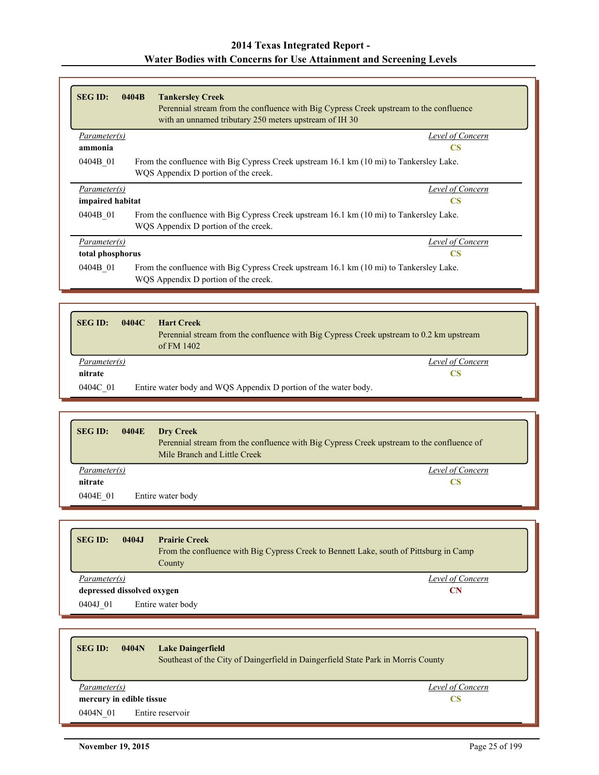| <b>SEG ID:</b>   | 0404B<br><b>Tankersley Creek</b><br>Perennial stream from the confluence with Big Cypress Creek upstream to the confluence<br>with an unnamed tributary 250 meters upstream of IH 30 |
|------------------|--------------------------------------------------------------------------------------------------------------------------------------------------------------------------------------|
| Parameter(s)     | Level of Concern                                                                                                                                                                     |
| ammonia          | $\overline{\text{CS}}$                                                                                                                                                               |
| 0404B 01         | From the confluence with Big Cypress Creek upstream 16.1 km (10 mi) to Tankersley Lake.<br>WQS Appendix D portion of the creek.                                                      |
| Parameter(s)     | Level of Concern                                                                                                                                                                     |
| impaired habitat | CS                                                                                                                                                                                   |
| 0404B 01         | From the confluence with Big Cypress Creek upstream 16.1 km (10 mi) to Tankersley Lake.<br>WQS Appendix D portion of the creek.                                                      |
| Parameter(s)     | Level of Concern                                                                                                                                                                     |
| total phosphorus | <b>CS</b>                                                                                                                                                                            |
| 0404B 01         | From the confluence with Big Cypress Creek upstream 16.1 km (10 mi) to Tankersley Lake.<br>WQS Appendix D portion of the creek.                                                      |

| <b>SEG ID:</b> | 0404C<br><b>Hart Creek</b><br>Perennial stream from the confluence with Big Cypress Creek upstream to 0.2 km upstream<br>of FM $1402$ |
|----------------|---------------------------------------------------------------------------------------------------------------------------------------|
| Parameter(s)   | Level of Concern                                                                                                                      |
| nitrate        | CS.                                                                                                                                   |
| 0404C 01       | Entire water body and WQS Appendix D portion of the water body.                                                                       |

| <b>SEG ID:</b>      | 0404E<br><b>Dry Creek</b><br>Perennial stream from the confluence with Big Cypress Creek upstream to the confluence of<br>Mile Branch and Little Creek |
|---------------------|--------------------------------------------------------------------------------------------------------------------------------------------------------|
| <i>Parameter(s)</i> | Level of Concern                                                                                                                                       |
| nitrate             | CS                                                                                                                                                     |
| 0404E 01            | Entire water body                                                                                                                                      |

| <b>SEG ID:</b><br>0404.J                | <b>Prairie Creek</b><br>From the confluence with Big Cypress Creek to Bennett Lake, south of Pittsburg in Camp<br>County |
|-----------------------------------------|--------------------------------------------------------------------------------------------------------------------------|
| Parameter(s)                            | Level of Concern                                                                                                         |
| depressed dissolved oxygen<br><b>CN</b> |                                                                                                                          |
| 0404J 01                                | Entire water body                                                                                                        |

| <b>SEG ID:</b><br>0404N  | <b>Lake Daingerfield</b><br>Southeast of the City of Daingerfield in Daingerfield State Park in Morris County |
|--------------------------|---------------------------------------------------------------------------------------------------------------|
| Parameter(s)             | Level of Concern                                                                                              |
| mercury in edible tissue | CS                                                                                                            |
| 0404N 01                 | Entire reservoir                                                                                              |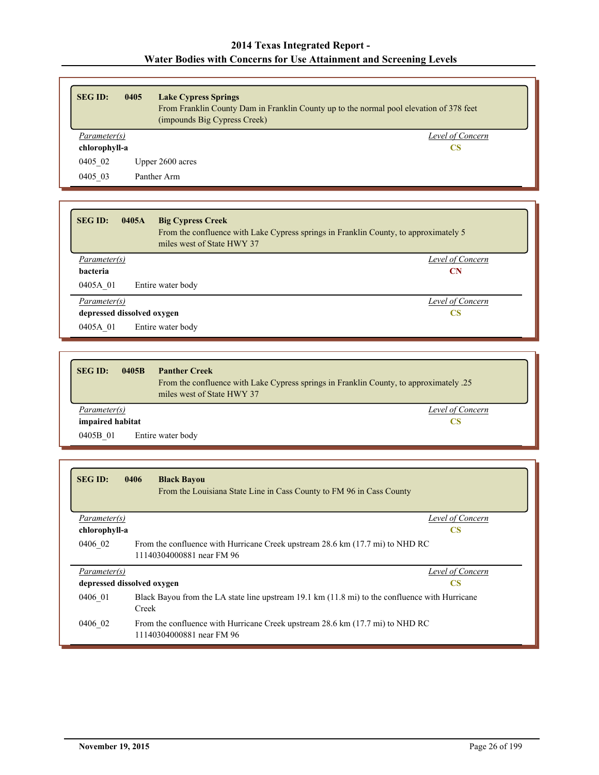| <b>SEG ID:</b> | 0405 | <b>Lake Cypress Springs</b><br>From Franklin County Dam in Franklin County up to the normal pool elevation of 378 feet<br>(impounds Big Cypress Creek) |
|----------------|------|--------------------------------------------------------------------------------------------------------------------------------------------------------|
| Parameter(s)   |      | Level of Concern                                                                                                                                       |
| chlorophyll-a  |      | CS                                                                                                                                                     |
| 0405 02        |      | Upper 2600 acres                                                                                                                                       |
| 0405 03        |      | Panther Arm                                                                                                                                            |

| <b>SEG ID:</b><br>0405A    | <b>Big Cypress Creek</b><br>miles west of State HWY 37 | From the confluence with Lake Cypress springs in Franklin County, to approximately 5 |
|----------------------------|--------------------------------------------------------|--------------------------------------------------------------------------------------|
| Parameter(s)               |                                                        | Level of Concern                                                                     |
| bacteria                   |                                                        | <b>CN</b>                                                                            |
| 0405A 01                   | Entire water body                                      |                                                                                      |
| Parameter(s)               |                                                        | Level of Concern                                                                     |
| depressed dissolved oxygen |                                                        | CS                                                                                   |
| 0405A 01                   | Entire water body                                      |                                                                                      |

| <b>SEG ID:</b><br>0405B | <b>Panther Creek</b><br>Erom the confluence with Lake Cypress springs in Franklin County, to approximately .25<br>miles west of State HWY 37 |
|-------------------------|----------------------------------------------------------------------------------------------------------------------------------------------|
| Parameter(s)            | Level of Concern                                                                                                                             |
| impaired habitat        | CS                                                                                                                                           |
| 0405B 01                | Entire water body                                                                                                                            |

| <b>SEG ID:</b> | 0406<br><b>Black Bayou</b><br>From the Louisiana State Line in Cass County to FM 96 in Cass County                |                        |
|----------------|-------------------------------------------------------------------------------------------------------------------|------------------------|
| Parameter(s)   |                                                                                                                   | Level of Concern       |
| chlorophyll-a  |                                                                                                                   | $\overline{\text{CS}}$ |
| 0406 02        | From the confluence with Hurricane Creek upstream 28.6 km (17.7 mi) to NHD RC<br>11140304000881 near FM 96        |                        |
| Parameter(s)   |                                                                                                                   | Level of Concern       |
|                | depressed dissolved oxygen                                                                                        | <b>CS</b>              |
| 0406 01        | Black Bayou from the LA state line upstream 19.1 km $(11.8 \text{ mi})$ to the confluence with Hurricane<br>Creek |                        |
| 0406 02        | From the confluence with Hurricane Creek upstream 28.6 km (17.7 mi) to NHD RC<br>11140304000881 near FM 96        |                        |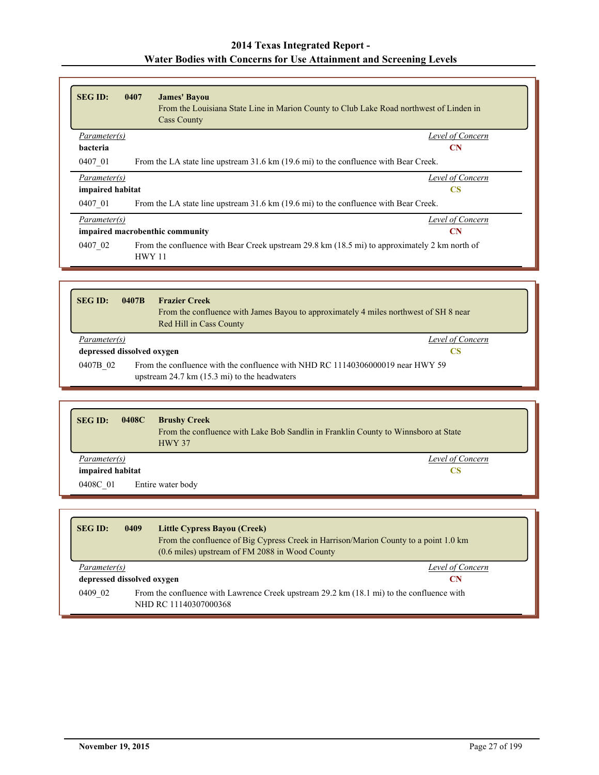| <b>SEG ID:</b>   | 0407<br><b>James' Bayou</b><br><b>Cass County</b>                                    | From the Louisiana State Line in Marion County to Club Lake Road northwest of Linden in       |
|------------------|--------------------------------------------------------------------------------------|-----------------------------------------------------------------------------------------------|
| Parameter(s)     |                                                                                      | Level of Concern                                                                              |
| bacteria         |                                                                                      | <b>CN</b>                                                                                     |
| 0407 01          | From the LA state line upstream 31.6 km (19.6 mi) to the confluence with Bear Creek. |                                                                                               |
| Parameter(s)     |                                                                                      | Level of Concern                                                                              |
| impaired habitat |                                                                                      | <b>CS</b>                                                                                     |
| 0407 01          | From the LA state line upstream 31.6 km (19.6 mi) to the confluence with Bear Creek. |                                                                                               |
| Parameter(s)     |                                                                                      | Level of Concern                                                                              |
|                  | impaired macrobenthic community                                                      | <b>CN</b>                                                                                     |
| 0407 02          | <b>HWY 11</b>                                                                        | From the confluence with Bear Creek upstream 29.8 km (18.5 mi) to approximately 2 km north of |

| <b>SEG ID:</b>             | 0407B | <b>Frazier Creek</b><br>From the confluence with James Bayou to approximately 4 miles northwest of SH 8 near<br>Red Hill in Cass County  |  |
|----------------------------|-------|------------------------------------------------------------------------------------------------------------------------------------------|--|
| Parameter(s)               |       | Level of Concern                                                                                                                         |  |
| depressed dissolved oxygen |       | CS                                                                                                                                       |  |
| 0407B 02                   |       | From the confluence with the confluence with NHD RC 11140306000019 near HWY 59<br>upstream $24.7 \text{ km}$ (15.3 mi) to the headwaters |  |

| <b>SEG ID:</b><br>0408C | <b>Brushy Creek</b><br>From the confluence with Lake Bob Sandlin in Franklin County to Winnsboro at State<br><b>HWY 37</b> |
|-------------------------|----------------------------------------------------------------------------------------------------------------------------|
| Parameter(s)            | Level of Concern                                                                                                           |
| impaired habitat        | CS                                                                                                                         |
| 0408C 01                | Entire water body                                                                                                          |

| <b>SEG ID:</b>                                                                                                                | 0409                             | Little Cypress Bayou (Creek)<br>From the confluence of Big Cypress Creek in Harrison/Marion County to a point 1.0 km<br>(0.6 miles) upstream of FM 2088 in Wood County |  |  |
|-------------------------------------------------------------------------------------------------------------------------------|----------------------------------|------------------------------------------------------------------------------------------------------------------------------------------------------------------------|--|--|
|                                                                                                                               | Level of Concern<br>Parameter(s) |                                                                                                                                                                        |  |  |
| depressed dissolved oxygen<br>CN                                                                                              |                                  |                                                                                                                                                                        |  |  |
| From the confluence with Lawrence Creek upstream 29.2 km (18.1 mi) to the confluence with<br>0409 02<br>NHD RC 11140307000368 |                                  |                                                                                                                                                                        |  |  |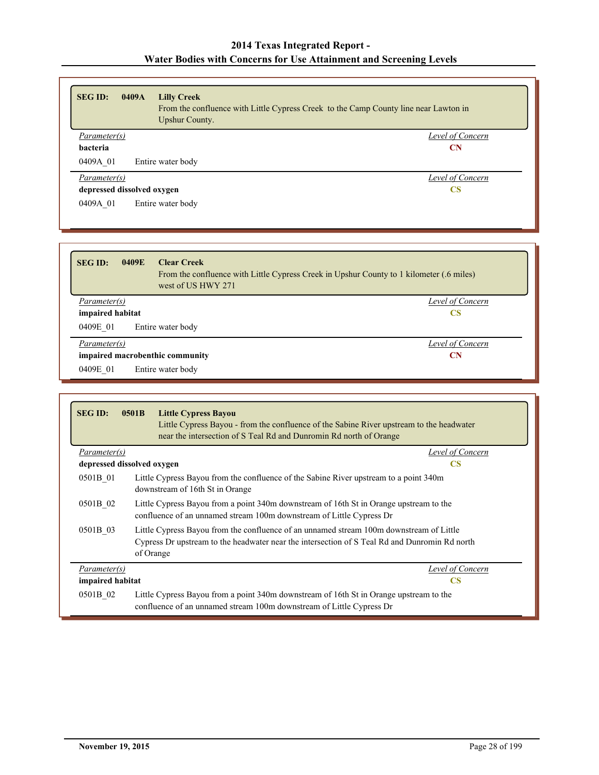| <b>SEG ID:</b> | <b>Lilly Creek</b><br>0409A<br><b>Upshur County.</b> | From the confluence with Little Cypress Creek to the Camp County line near Lawton in |
|----------------|------------------------------------------------------|--------------------------------------------------------------------------------------|
| Parameter(s)   |                                                      | Level of Concern                                                                     |
| bacteria       |                                                      | <b>CN</b>                                                                            |
| 0409A 01       | Entire water body                                    |                                                                                      |
| Parameter(s)   |                                                      | Level of Concern                                                                     |
|                | depressed dissolved oxygen                           | <b>CS</b>                                                                            |
| 0409A 01       | Entire water body                                    |                                                                                      |

| <b>SEG ID:</b>                               | <b>Clear Creek</b><br>0409E<br>west of US HWY 271 | From the confluence with Little Cypress Creek in Upshur County to 1 kilometer (.6 miles) |
|----------------------------------------------|---------------------------------------------------|------------------------------------------------------------------------------------------|
| Parameter(s)<br>impaired habitat             |                                                   | Level of Concern<br><b>CS</b>                                                            |
| 0409E 01                                     | Entire water body                                 |                                                                                          |
| Parameter(s)                                 |                                                   | Level of Concern                                                                         |
| impaired macrobenthic community<br><b>CN</b> |                                                   |                                                                                          |
| 0409E 01                                     | Entire water body                                 |                                                                                          |

| <b>SEG ID:</b>                | 0501B<br><b>Little Cypress Bayou</b><br>Little Cypress Bayou - from the confluence of the Sabine River upstream to the headwater<br>near the intersection of S Teal Rd and Dunromin Rd north of Orange |  |
|-------------------------------|--------------------------------------------------------------------------------------------------------------------------------------------------------------------------------------------------------|--|
| Parameter(s)                  | Level of Concern                                                                                                                                                                                       |  |
|                               | depressed dissolved oxygen<br><b>CS</b>                                                                                                                                                                |  |
| 0501B 01                      | Little Cypress Bayou from the confluence of the Sabine River upstream to a point 340m<br>downstream of 16th St in Orange                                                                               |  |
| 0501B 02                      | Little Cypress Bayou from a point 340m downstream of 16th St in Orange upstream to the<br>confluence of an unnamed stream 100m downstream of Little Cypress Dr                                         |  |
| 0501B 03                      | Little Cypress Bayou from the confluence of an unnamed stream 100m downstream of Little<br>Cypress Dr upstream to the headwater near the intersection of S Teal Rd and Dunromin Rd north<br>of Orange  |  |
| Parameter(s)                  | Level of Concern                                                                                                                                                                                       |  |
| impaired habitat<br><b>CS</b> |                                                                                                                                                                                                        |  |
| 0501B 02                      | Little Cypress Bayou from a point 340m downstream of 16th St in Orange upstream to the<br>confluence of an unnamed stream 100m downstream of Little Cypress Dr                                         |  |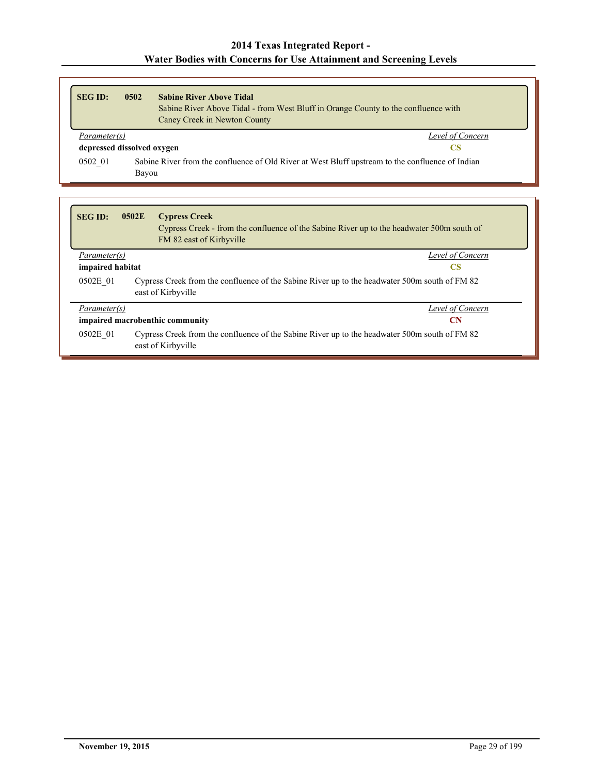| <b>SEG ID:</b>             | 0502 | <b>Sabine River Above Tidal</b><br>Sabine River Above Tidal - from West Bluff in Orange County to the confluence with<br>Caney Creek in Newton County |
|----------------------------|------|-------------------------------------------------------------------------------------------------------------------------------------------------------|
| Parameter(s)               |      | Level of Concern                                                                                                                                      |
| depressed dissolved oxygen |      | CS                                                                                                                                                    |
| 0502 01<br>Bayou           |      | Sabine River from the confluence of Old River at West Bluff upstream to the confluence of Indian                                                      |

| <b>SEG ID:</b>      | 0502E | <b>Cypress Creek</b><br>Cypress Creek - from the confluence of the Sabine River up to the headwater 500m south of<br>FM 82 east of Kirbyville |  |
|---------------------|-------|-----------------------------------------------------------------------------------------------------------------------------------------------|--|
| <i>Parameter(s)</i> |       | Level of Concern                                                                                                                              |  |
| impaired habitat    |       | CS                                                                                                                                            |  |
| 0502E 01            |       | Cypress Creek from the confluence of the Sabine River up to the headwater 500m south of FM 82<br>east of Kirbyville                           |  |
| Parameter(s)        |       | Level of Concern                                                                                                                              |  |
|                     |       | impaired macrobenthic community<br><b>CN</b>                                                                                                  |  |
| 0502E 01            |       | Cypress Creek from the confluence of the Sabine River up to the headwater 500m south of FM 82<br>east of Kirbyville                           |  |

 $\Gamma$ 

Ъ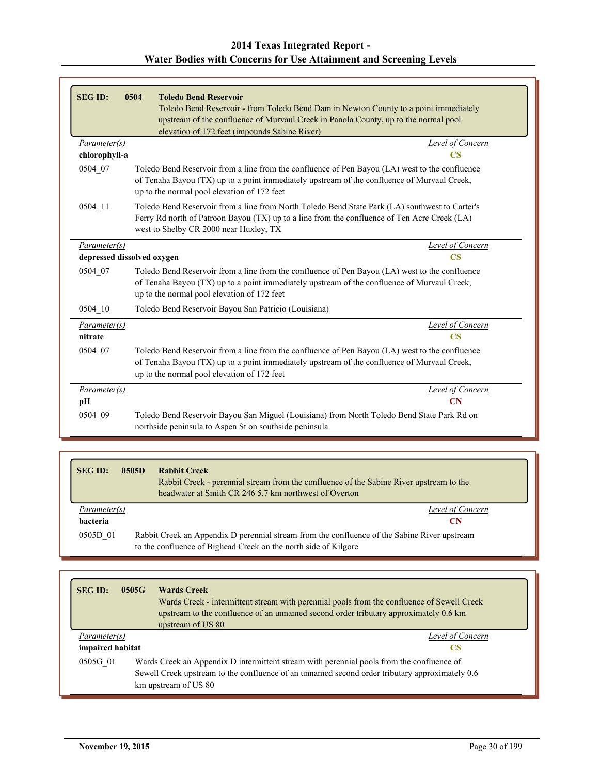| <b>SEG ID:</b>                             | <b>Toledo Bend Reservoir</b><br>0504<br>Toledo Bend Reservoir - from Toledo Bend Dam in Newton County to a point immediately<br>upstream of the confluence of Murvaul Creek in Panola County, up to the normal pool<br>elevation of 172 feet (impounds Sabine River) |
|--------------------------------------------|----------------------------------------------------------------------------------------------------------------------------------------------------------------------------------------------------------------------------------------------------------------------|
| <i>Parameter(s)</i><br>chlorophyll-a       | Level of Concern<br>$\overline{\text{CS}}$                                                                                                                                                                                                                           |
| 0504 07                                    | Toledo Bend Reservoir from a line from the confluence of Pen Bayou (LA) west to the confluence<br>of Tenaha Bayou (TX) up to a point immediately upstream of the confluence of Murvaul Creek,<br>up to the normal pool elevation of 172 feet                         |
| 0504 11                                    | Toledo Bend Reservoir from a line from North Toledo Bend State Park (LA) southwest to Carter's<br>Ferry Rd north of Patroon Bayou (TX) up to a line from the confluence of Ten Acre Creek (LA)<br>west to Shelby CR 2000 near Huxley, TX                             |
| Parameter(s)<br>depressed dissolved oxygen | Level of Concern<br>$\overline{\text{CS}}$                                                                                                                                                                                                                           |
| 0504 07                                    | Toledo Bend Reservoir from a line from the confluence of Pen Bayou (LA) west to the confluence<br>of Tenaha Bayou (TX) up to a point immediately upstream of the confluence of Murvaul Creek,<br>up to the normal pool elevation of 172 feet                         |
| 0504 10                                    | Toledo Bend Reservoir Bayou San Patricio (Louisiana)                                                                                                                                                                                                                 |
| Parameter(s)<br>nitrate                    | <b>Level of Concern</b><br>$\overline{\text{CS}}$                                                                                                                                                                                                                    |
| 0504 07                                    | Toledo Bend Reservoir from a line from the confluence of Pen Bayou (LA) west to the confluence<br>of Tenaha Bayou (TX) up to a point immediately upstream of the confluence of Murvaul Creek,<br>up to the normal pool elevation of 172 feet                         |
| Parameter(s)<br>pН                         | Level of Concern<br>$\mathbf{CN}$                                                                                                                                                                                                                                    |
| 0504 09                                    | Toledo Bend Reservoir Bayou San Miguel (Louisiana) from North Toledo Bend State Park Rd on<br>northside peninsula to Aspen St on southside peninsula                                                                                                                 |

| <b>SEGID:</b>   | <b>Rabbit Creek</b><br>0505D<br>Rabbit Creek - perennial stream from the confluence of the Sabine River upstream to the<br>headwater at Smith CR 246 5.7 km northwest of Overton |
|-----------------|----------------------------------------------------------------------------------------------------------------------------------------------------------------------------------|
| Parameter(s)    | Level of Concern                                                                                                                                                                 |
| <b>bacteria</b> | CN                                                                                                                                                                               |
| 0505D 01        | Rabbit Creek an Appendix D perennial stream from the confluence of the Sabine River upstream<br>to the confluence of Bighead Creek on the north side of Kilgore                  |

| <b>SEG ID:</b>   | 0505G | <b>Wards Creek</b><br>Wards Creek - intermittent stream with perennial pools from the confluence of Sewell Creek<br>upstream to the confluence of an unnamed second order tributary approximately 0.6 km<br>upstream of US 80 |
|------------------|-------|-------------------------------------------------------------------------------------------------------------------------------------------------------------------------------------------------------------------------------|
| Parameter(s)     |       | Level of Concern                                                                                                                                                                                                              |
| impaired habitat |       | CS                                                                                                                                                                                                                            |
| 0505G 01         |       | Wards Creek an Appendix D intermittent stream with perennial pools from the confluence of<br>Sewell Creek upstream to the confluence of an unnamed second order tributary approximately 0.6<br>km upstream of US 80           |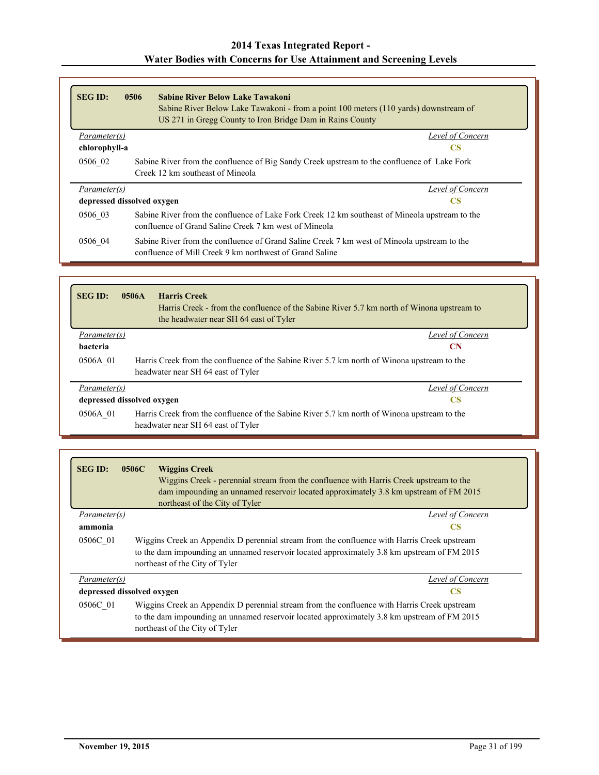| <b>SEGID:</b> | <b>Sabine River Below Lake Tawakoni</b><br>0506<br>US 271 in Gregg County to Iron Bridge Dam in Rains County | Sabine River Below Lake Tawakoni - from a point 100 meters (110 yards) downstream of           |
|---------------|--------------------------------------------------------------------------------------------------------------|------------------------------------------------------------------------------------------------|
| Parameter(s)  |                                                                                                              | Level of Concern                                                                               |
| chlorophyll-a |                                                                                                              | CS                                                                                             |
| 0506 02       | Creek 12 km southeast of Mineola                                                                             | Sabine River from the confluence of Big Sandy Creek upstream to the confluence of Lake Fork    |
| Parameter(s)  |                                                                                                              | Level of Concern                                                                               |
|               | depressed dissolved oxygen                                                                                   | CS                                                                                             |
| 0506 03       | confluence of Grand Saline Creek 7 km west of Mineola                                                        | Sabine River from the confluence of Lake Fork Creek 12 km southeast of Mineola upstream to the |
| 0506 04       | confluence of Mill Creek 9 km northwest of Grand Saline                                                      | Sabine River from the confluence of Grand Saline Creek 7 km west of Mineola upstream to the    |

| <b>SEG ID:</b> | <b>Harris Creek</b><br>0506A<br>Harris Creek - from the confluence of the Sabine River 5.7 km north of Winona upstream to<br>the headwater near SH 64 east of Tyler |  |
|----------------|---------------------------------------------------------------------------------------------------------------------------------------------------------------------|--|
| Parameter(s)   | Level of Concern                                                                                                                                                    |  |
| bacteria       | <b>CN</b>                                                                                                                                                           |  |
| 0506A 01       | Harris Creek from the confluence of the Sabine River 5.7 km north of Winona upstream to the<br>headwater near SH 64 east of Tyler                                   |  |
| Parameter(s)   | Level of Concern                                                                                                                                                    |  |
|                | depressed dissolved oxygen<br>CS.                                                                                                                                   |  |
| 0506A 01       | Harris Creek from the confluence of the Sabine River 5.7 km north of Winona upstream to the<br>headwater near SH 64 east of Tyler                                   |  |

| <b>SEG ID:</b> | 0506C<br><b>Wiggins Creek</b><br>Wiggins Creek - perennial stream from the confluence with Harris Creek upstream to the<br>dam impounding an unnamed reservoir located approximately 3.8 km upstream of FM 2015<br>northeast of the City of Tyler |  |
|----------------|---------------------------------------------------------------------------------------------------------------------------------------------------------------------------------------------------------------------------------------------------|--|
| Parameter(s)   | Level of Concern                                                                                                                                                                                                                                  |  |
| ammonia        |                                                                                                                                                                                                                                                   |  |
| 0506C 01       | Wiggins Creek an Appendix D perennial stream from the confluence with Harris Creek upstream<br>to the dam impounding an unnamed reservoir located approximately 3.8 km upstream of FM 2015<br>northeast of the City of Tyler                      |  |
| Parameter(s)   | Level of Concern                                                                                                                                                                                                                                  |  |
|                | depressed dissolved oxygen<br>CS                                                                                                                                                                                                                  |  |
| 0506C 01       | Wiggins Creek an Appendix D perennial stream from the confluence with Harris Creek upstream<br>to the dam impounding an unnamed reservoir located approximately 3.8 km upstream of FM 2015<br>northeast of the City of Tyler                      |  |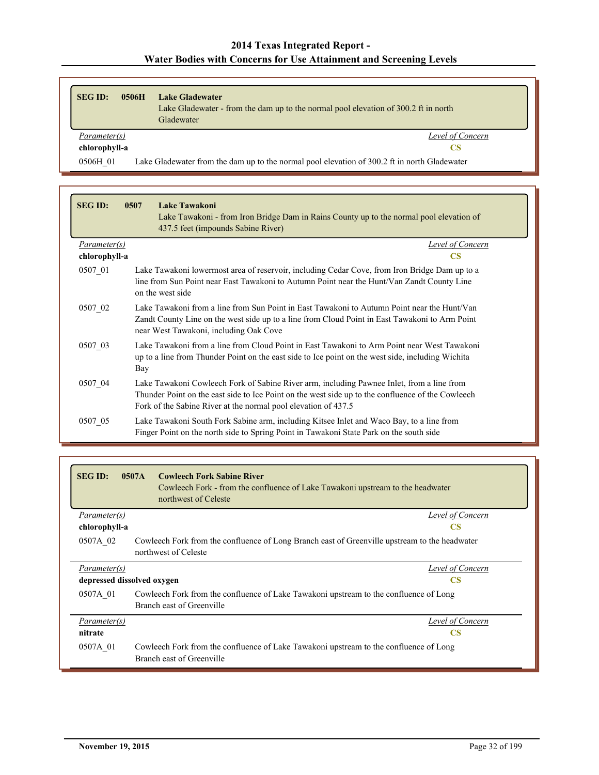| <b>SEG ID:</b><br>0506H | Lake Gladewater<br>Lake Gladewater - from the dam up to the normal pool elevation of 300.2 ft in north<br>Gladewater |
|-------------------------|----------------------------------------------------------------------------------------------------------------------|
| Parameter(s)            | Level of Concern                                                                                                     |
| chlorophyll-a           | CS.                                                                                                                  |
| 0506H 01                | Lake Gladewater from the dam up to the normal pool elevation of 300.2 ft in north Gladewater                         |

| <b>SEG ID:</b> | <b>Lake Tawakoni</b><br>0507<br>Lake Tawakoni - from Iron Bridge Dam in Rains County up to the normal pool elevation of<br>437.5 feet (impounds Sabine River)                                                                                                    |
|----------------|------------------------------------------------------------------------------------------------------------------------------------------------------------------------------------------------------------------------------------------------------------------|
| Parameter(s)   | Level of Concern                                                                                                                                                                                                                                                 |
| chlorophyll-a  | $\overline{\text{CS}}$                                                                                                                                                                                                                                           |
| 0507 01        | Lake Tawakoni lowermost area of reservoir, including Cedar Cove, from Iron Bridge Dam up to a<br>line from Sun Point near East Tawakoni to Autumn Point near the Hunt/Van Zandt County Line<br>on the west side                                                  |
| 0507 02        | Lake Tawakoni from a line from Sun Point in East Tawakoni to Autumn Point near the Hunt/Van<br>Zandt County Line on the west side up to a line from Cloud Point in East Tawakoni to Arm Point<br>near West Tawakoni, including Oak Cove                          |
| 0507_03        | Lake Tawakoni from a line from Cloud Point in East Tawakoni to Arm Point near West Tawakoni<br>up to a line from Thunder Point on the east side to Ice point on the west side, including Wichita<br>Bay                                                          |
| 0507 04        | Lake Tawakoni Cowleech Fork of Sabine River arm, including Pawnee Inlet, from a line from<br>Thunder Point on the east side to Ice Point on the west side up to the confluence of the Cowleech<br>Fork of the Sabine River at the normal pool elevation of 437.5 |
| 0507 05        | Lake Tawakoni South Fork Sabine arm, including Kitsee Inlet and Waco Bay, to a line from<br>Finger Point on the north side to Spring Point in Tawakoni State Park on the south side                                                                              |

| <b>SEG ID:</b>             | 0507A<br><b>Cowleech Fork Sabine River</b><br>Cowleech Fork - from the confluence of Lake Tawakoni upstream to the headwater<br>northwest of Celeste |
|----------------------------|------------------------------------------------------------------------------------------------------------------------------------------------------|
| Parameter(s)               | Level of Concern                                                                                                                                     |
| chlorophyll-a              | CS                                                                                                                                                   |
| 0507A 02                   | Cowleech Fork from the confluence of Long Branch east of Greenville upstream to the headwater<br>northwest of Celeste                                |
| Parameter(s)               | Level of Concern                                                                                                                                     |
| depressed dissolved oxygen | CS                                                                                                                                                   |
| 0507A 01                   | Cowleech Fork from the confluence of Lake Tawakoni upstream to the confluence of Long<br>Branch east of Greenville                                   |
| Parameter(s)               | Level of Concern                                                                                                                                     |
| nitrate                    | CS                                                                                                                                                   |
| 0507A 01                   | Cowleech Fork from the confluence of Lake Tawakoni upstream to the confluence of Long<br>Branch east of Greenville                                   |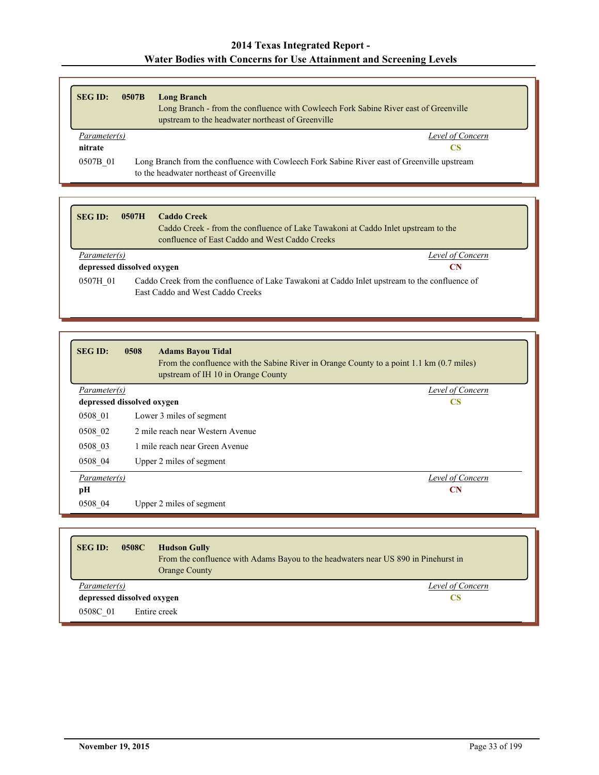| <b>SEG ID:</b> | 0507B | <b>Long Branch</b><br>Long Branch - from the confluence with Cowleech Fork Sabine River east of Greenville<br>upstream to the headwater northeast of Greenville |
|----------------|-------|-----------------------------------------------------------------------------------------------------------------------------------------------------------------|
| Parameter(s)   |       | Level of Concern                                                                                                                                                |
| nitrate        |       | CS.                                                                                                                                                             |
| 0507B 01       |       | Long Branch from the confluence with Cowleech Fork Sabine River east of Greenville upstream<br>to the headwater northeast of Greenville                         |

| <b>SEG ID:</b>                                                                                                                                | 0507H | <b>Caddo Creek</b><br>Caddo Creek - from the confluence of Lake Tawakoni at Caddo Inlet upstream to the<br>confluence of East Caddo and West Caddo Creeks |
|-----------------------------------------------------------------------------------------------------------------------------------------------|-------|-----------------------------------------------------------------------------------------------------------------------------------------------------------|
| Level of Concern<br>Parameter(s)                                                                                                              |       |                                                                                                                                                           |
| depressed dissolved oxygen<br>CN                                                                                                              |       |                                                                                                                                                           |
| Caddo Creek from the confluence of Lake Tawakoni at Caddo Inlet upstream to the confluence of<br>0507H 01<br>East Caddo and West Caddo Creeks |       |                                                                                                                                                           |

| <b>SEG ID:</b> | 0508<br><b>Adams Bayou Tidal</b><br>upstream of IH 10 in Orange County | From the confluence with the Sabine River in Orange County to a point 1.1 km (0.7 miles) |
|----------------|------------------------------------------------------------------------|------------------------------------------------------------------------------------------|
| Parameter(s)   |                                                                        | <b>Level of Concern</b>                                                                  |
|                | depressed dissolved oxygen                                             | <b>CS</b>                                                                                |
| 0508 01        | Lower 3 miles of segment                                               |                                                                                          |
| 0508 02        | 2 mile reach near Western Avenue                                       |                                                                                          |
| 0508 03        | 1 mile reach near Green Avenue                                         |                                                                                          |
| 0508 04        | Upper 2 miles of segment                                               |                                                                                          |
| Parameter(s)   |                                                                        | Level of Concern                                                                         |
| pН             |                                                                        | <b>CN</b>                                                                                |
| 0508 04        | Upper 2 miles of segment                                               |                                                                                          |

| <b>SEG ID:</b>             | 0508C<br><b>Hudson Gully</b><br>From the confluence with Adams Bayou to the headwaters near US 890 in Pinehurst in<br><b>Orange County</b> |                  |
|----------------------------|--------------------------------------------------------------------------------------------------------------------------------------------|------------------|
| Parameter(s)               |                                                                                                                                            | Level of Concern |
| depressed dissolved oxygen |                                                                                                                                            | CS               |
| 0508C 01                   | Entire creek                                                                                                                               |                  |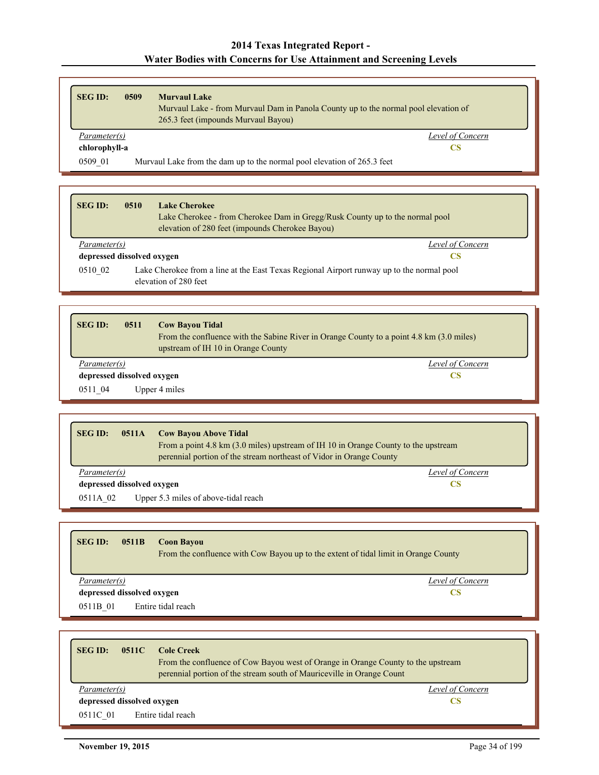| <b>SEGID:</b> | 0509<br><b>Murvaul Lake</b><br>Murvaul Lake - from Murvaul Dam in Panola County up to the normal pool elevation of<br>265.3 feet (impounds Murvaul Bayou) |  |
|---------------|-----------------------------------------------------------------------------------------------------------------------------------------------------------|--|
| Parameter(s)  | Level of Concern                                                                                                                                          |  |
| chlorophyll-a | CS                                                                                                                                                        |  |
| 0509 01       | Murvaul Lake from the dam up to the normal pool elevation of 265.3 feet                                                                                   |  |

| <b>SEG ID:</b>                                                                                                                | 0510                             | <b>Lake Cherokee</b><br>Lake Cherokee - from Cherokee Dam in Gregg/Rusk County up to the normal pool<br>elevation of 280 feet (impounds Cherokee Bayou) |  |
|-------------------------------------------------------------------------------------------------------------------------------|----------------------------------|---------------------------------------------------------------------------------------------------------------------------------------------------------|--|
|                                                                                                                               | Level of Concern<br>Parameter(s) |                                                                                                                                                         |  |
| depressed dissolved oxygen                                                                                                    |                                  | CS                                                                                                                                                      |  |
| Lake Cherokee from a line at the East Texas Regional Airport runway up to the normal pool<br>0510 02<br>elevation of 280 feet |                                  |                                                                                                                                                         |  |

| <b>SEG ID:</b> | <b>Cow Bayou Tidal</b><br>0511          | From the confluence with the Sabine River in Orange County to a point 4.8 km (3.0 miles)<br>upstream of IH 10 in Orange County |  |  |
|----------------|-----------------------------------------|--------------------------------------------------------------------------------------------------------------------------------|--|--|
|                | Level of Concern<br><i>Parameter(s)</i> |                                                                                                                                |  |  |
|                | depressed dissolved oxygen<br>CS        |                                                                                                                                |  |  |
| 0511 04        | Upper 4 miles                           |                                                                                                                                |  |  |

| <b>SEG ID:</b><br>0511A          | <b>Cow Bayou Above Tidal</b><br>From a point 4.8 km (3.0 miles) upstream of IH 10 in Orange County to the upstream<br>perennial portion of the stream northeast of Vidor in Orange County |                  |
|----------------------------------|-------------------------------------------------------------------------------------------------------------------------------------------------------------------------------------------|------------------|
| Parameter(s)                     |                                                                                                                                                                                           | Level of Concern |
| depressed dissolved oxygen<br>CS |                                                                                                                                                                                           |                  |
| 0511A 02                         | Upper 5.3 miles of above-tidal reach                                                                                                                                                      |                  |

| <b>SEG ID:</b> | 0511B                            | <b>Coon Bayou</b><br>From the confluence with Cow Bayou up to the extent of tidal limit in Orange County |  |
|----------------|----------------------------------|----------------------------------------------------------------------------------------------------------|--|
|                | Level of Concern<br>Parameter(s) |                                                                                                          |  |
|                | depressed dissolved oxygen<br>CS |                                                                                                          |  |
| 0511B 01       |                                  | Entire tidal reach                                                                                       |  |

| 0511C<br><b>SEG ID:</b>        | <b>Cole Creek</b><br>From the confluence of Cow Bayou west of Orange in Orange County to the upstream<br>perennial portion of the stream south of Mauriceville in Orange Count |  |  |
|--------------------------------|--------------------------------------------------------------------------------------------------------------------------------------------------------------------------------|--|--|
| Parameter(s)                   | Level of Concern                                                                                                                                                               |  |  |
| depressed dissolved oxygen     |                                                                                                                                                                                |  |  |
| Entire tidal reach<br>0511C 01 |                                                                                                                                                                                |  |  |

Г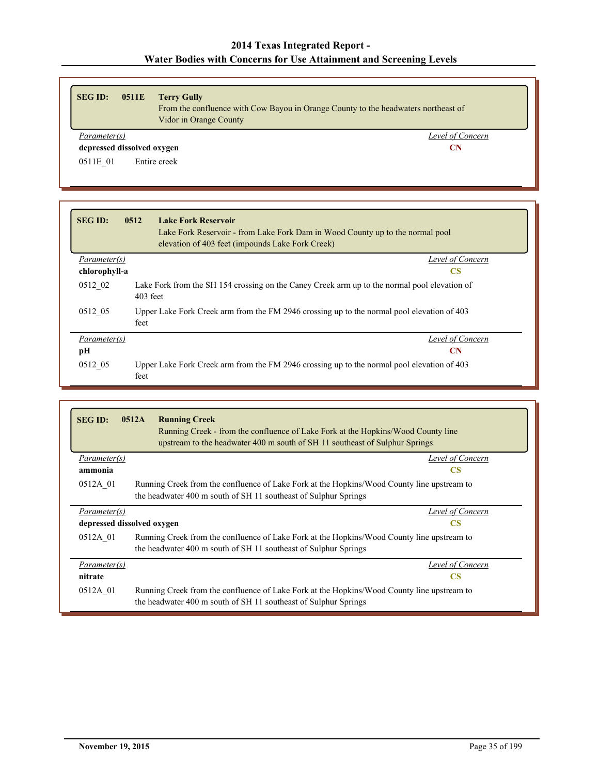| <b>SEG ID:</b> | 0511E                            | <b>Terry Gully</b><br>From the confluence with Cow Bayou in Orange County to the headwaters northeast of<br>Vidor in Orange County |  |
|----------------|----------------------------------|------------------------------------------------------------------------------------------------------------------------------------|--|
|                | Parameter(s)<br>Level of Concern |                                                                                                                                    |  |
|                | depressed dissolved oxygen       | CN                                                                                                                                 |  |
| 0511E 01       | Entire creek                     |                                                                                                                                    |  |

| <b>SEG ID:</b> | 0512<br><b>Lake Fork Reservoir</b><br>Lake Fork Reservoir - from Lake Fork Dam in Wood County up to the normal pool<br>elevation of 403 feet (impounds Lake Fork Creek) |
|----------------|-------------------------------------------------------------------------------------------------------------------------------------------------------------------------|
| Parameter(s)   | Level of Concern                                                                                                                                                        |
| chlorophyll-a  | <b>CS</b>                                                                                                                                                               |
| 0512 02        | Lake Fork from the SH 154 crossing on the Caney Creek arm up to the normal pool elevation of<br>$403$ feet                                                              |
| 0512 05        | Upper Lake Fork Creek arm from the FM 2946 crossing up to the normal pool elevation of 403<br>feet                                                                      |
| Parameter(s)   | Level of Concern                                                                                                                                                        |
| pН             | <b>CN</b>                                                                                                                                                               |
| 0512 05        | Upper Lake Fork Creek arm from the FM 2946 crossing up to the normal pool elevation of 403<br>feet                                                                      |

| <b>SEGID:</b>              | 0512A<br><b>Running Creek</b><br>Running Creek - from the confluence of Lake Fork at the Hopkins/Wood County line<br>upstream to the headwater 400 m south of SH 11 southeast of Sulphur Springs |
|----------------------------|--------------------------------------------------------------------------------------------------------------------------------------------------------------------------------------------------|
| Parameter(s)               | Level of Concern                                                                                                                                                                                 |
| ammonia                    | CS                                                                                                                                                                                               |
| 0512A 01                   | Running Creek from the confluence of Lake Fork at the Hopkins/Wood County line upstream to<br>the headwater 400 m south of SH 11 southeast of Sulphur Springs                                    |
| Parameter(s)               | Level of Concern                                                                                                                                                                                 |
| depressed dissolved oxygen | <b>CS</b>                                                                                                                                                                                        |
| 0512A 01                   | Running Creek from the confluence of Lake Fork at the Hopkins/Wood County line upstream to                                                                                                       |
|                            | the headwater 400 m south of SH 11 southeast of Sulphur Springs                                                                                                                                  |
| Parameter(s)               | Level of Concern                                                                                                                                                                                 |
| nitrate                    | CS                                                                                                                                                                                               |
| 0512A 01                   | Running Creek from the confluence of Lake Fork at the Hopkins/Wood County line upstream to<br>the headwater 400 m south of SH 11 southeast of Sulphur Springs                                    |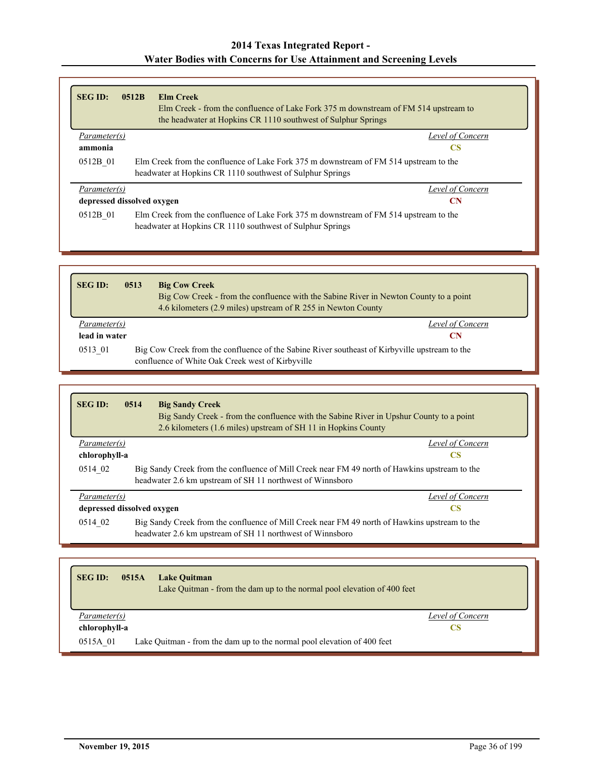| <b>SEG ID:</b> | <b>Elm Creek</b><br>0512B<br>Elm Creek - from the confluence of Lake Fork 375 m downstream of FM 514 upstream to<br>the headwater at Hopkins CR 1110 southwest of Sulphur Springs |
|----------------|-----------------------------------------------------------------------------------------------------------------------------------------------------------------------------------|
| Parameter(s)   | Level of Concern                                                                                                                                                                  |
| ammonia        | CS                                                                                                                                                                                |
| 0512B 01       | Elm Creek from the confluence of Lake Fork 375 m downstream of FM 514 upstream to the<br>headwater at Hopkins CR 1110 southwest of Sulphur Springs                                |
| Parameter(s)   | Level of Concern                                                                                                                                                                  |
|                | depressed dissolved oxygen<br>CN                                                                                                                                                  |
| 0512B 01       | Elm Creek from the confluence of Lake Fork 375 m downstream of FM 514 upstream to the<br>headwater at Hopkins CR 1110 southwest of Sulphur Springs                                |

| <b>SEG ID:</b> | <b>Big Cow Creek</b><br>0513<br>Big Cow Creek - from the confluence with the Sabine River in Newton County to a point<br>4.6 kilometers (2.9 miles) upstream of R 255 in Newton County |  |
|----------------|----------------------------------------------------------------------------------------------------------------------------------------------------------------------------------------|--|
| Parameter(s)   | Level of Concern                                                                                                                                                                       |  |
| lead in water  | CN                                                                                                                                                                                     |  |
| 0513 01        | Big Cow Creek from the confluence of the Sabine River southeast of Kirbyville upstream to the<br>confluence of White Oak Creek west of Kirbyville                                      |  |

| <b>SEGID:</b>              | 0514 | <b>Big Sandy Creek</b><br>Big Sandy Creek - from the confluence with the Sabine River in Upshur County to a point<br>2.6 kilometers (1.6 miles) upstream of SH 11 in Hopkins County |  |
|----------------------------|------|-------------------------------------------------------------------------------------------------------------------------------------------------------------------------------------|--|
| Parameter(s)               |      | Level of Concern                                                                                                                                                                    |  |
| chlorophyll-a              |      | CS                                                                                                                                                                                  |  |
| 0514 02                    |      | Big Sandy Creek from the confluence of Mill Creek near FM 49 north of Hawkins upstream to the<br>headwater 2.6 km upstream of SH 11 northwest of Winnsboro                          |  |
| Parameter(s)               |      | Level of Concern                                                                                                                                                                    |  |
| depressed dissolved oxygen |      | CS                                                                                                                                                                                  |  |
| 0514 02                    |      | Big Sandy Creek from the confluence of Mill Creek near FM 49 north of Hawkins upstream to the<br>headwater 2.6 km upstream of SH 11 northwest of Winnsboro                          |  |

| <b>SEG ID:</b>      | 0515A | <b>Lake Quitman</b><br>Lake Quitman - from the dam up to the normal pool elevation of 400 feet |
|---------------------|-------|------------------------------------------------------------------------------------------------|
| <i>Parameter(s)</i> |       | Level of Concern                                                                               |
| chlorophyll-a       |       | CS                                                                                             |
| 0515A 01            |       | Lake Quitman - from the dam up to the normal pool elevation of 400 feet                        |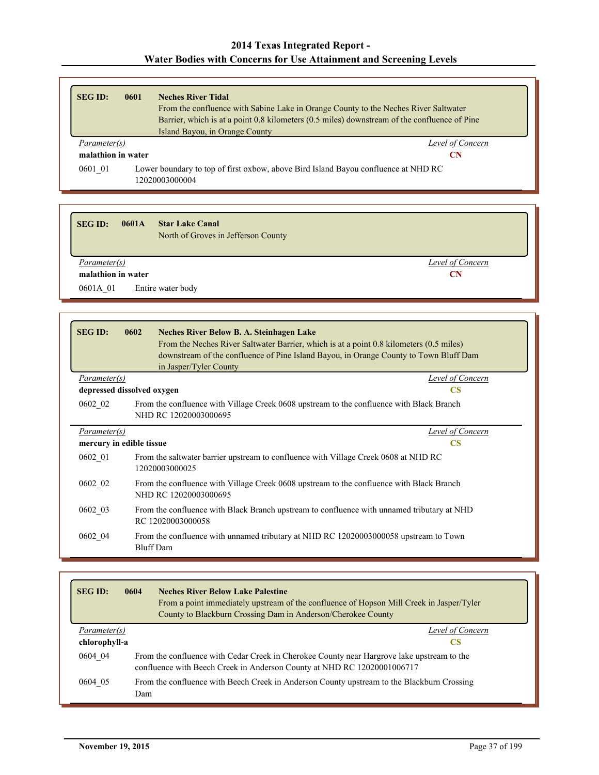| <b>SEG ID:</b>     | 0601 | <b>Neches River Tidal</b><br>From the confluence with Sabine Lake in Orange County to the Neches River Saltwater               |
|--------------------|------|--------------------------------------------------------------------------------------------------------------------------------|
|                    |      | Barrier, which is at a point 0.8 kilometers (0.5 miles) downstream of the confluence of Pine<br>Island Bayou, in Orange County |
| Parameter(s)       |      | Level of Concern                                                                                                               |
| malathion in water |      | CN                                                                                                                             |
| 0601 01            |      | Lower boundary to top of first oxbow, above Bird Island Bayou confluence at NHD RC<br>12020003000004                           |

| <b>SEG ID:</b>     | 0601A | <b>Star Lake Canal</b><br>North of Groves in Jefferson County |                  |
|--------------------|-------|---------------------------------------------------------------|------------------|
|                    |       |                                                               |                  |
| Parameter(s)       |       |                                                               | Level of Concern |
| malathion in water |       |                                                               | CN               |

| <b>SEG ID:</b>                            | 0602 | <b>Neches River Below B. A. Steinhagen Lake</b><br>From the Neches River Saltwater Barrier, which is at a point 0.8 kilometers (0.5 miles)<br>downstream of the confluence of Pine Island Bayou, in Orange County to Town Bluff Dam<br>in Jasper/Tyler County |  |
|-------------------------------------------|------|---------------------------------------------------------------------------------------------------------------------------------------------------------------------------------------------------------------------------------------------------------------|--|
| Parameter(s)                              |      | Level of Concern                                                                                                                                                                                                                                              |  |
| depressed dissolved oxygen<br><b>CS</b>   |      |                                                                                                                                                                                                                                                               |  |
| 0602 02                                   |      | From the confluence with Village Creek 0608 upstream to the confluence with Black Branch<br>NHD RC 12020003000695                                                                                                                                             |  |
| Parameter(s)                              |      | Level of Concern                                                                                                                                                                                                                                              |  |
| mercury in edible tissue<br>$\mathbf{CS}$ |      |                                                                                                                                                                                                                                                               |  |
| 0602 01                                   |      | From the saltwater barrier upstream to confluence with Village Creek 0608 at NHD RC<br>12020003000025                                                                                                                                                         |  |
| 0602 02                                   |      | From the confluence with Village Creek 0608 upstream to the confluence with Black Branch<br>NHD RC 12020003000695                                                                                                                                             |  |
| 0602 03                                   |      | From the confluence with Black Branch upstream to confluence with unnamed tributary at NHD<br>RC 12020003000058                                                                                                                                               |  |
| 0602 04                                   |      | From the confluence with unnamed tributary at NHD RC 12020003000058 upstream to Town<br>Bluff Dam                                                                                                                                                             |  |

| <b>SEG ID:</b> | 0604 | <b>Neches River Below Lake Palestine</b><br>From a point immediately upstream of the confluence of Hopson Mill Creek in Jasper/Tyler<br>County to Blackburn Crossing Dam in Anderson/Cherokee County |
|----------------|------|------------------------------------------------------------------------------------------------------------------------------------------------------------------------------------------------------|
| Parameter(s)   |      | Level of Concern                                                                                                                                                                                     |
| chlorophyll-a  |      | CS                                                                                                                                                                                                   |
| 0604 04        |      | From the confluence with Cedar Creek in Cherokee County near Hargrove lake upstream to the<br>confluence with Beech Creek in Anderson County at NHD RC 12020001006717                                |
| 0604 05        | Dam  | From the confluence with Beech Creek in Anderson County upstream to the Blackburn Crossing                                                                                                           |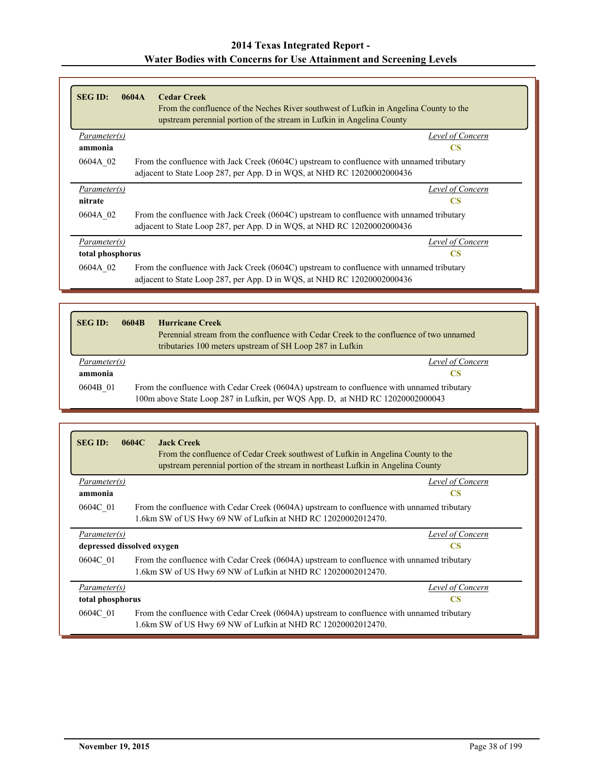| <b>SEG ID:</b>   | 0604A<br><b>Cedar Creek</b><br>From the confluence of the Neches River southwest of Lufkin in Angelina County to the<br>upstream perennial portion of the stream in Lufkin in Angelina County |
|------------------|-----------------------------------------------------------------------------------------------------------------------------------------------------------------------------------------------|
| Parameter(s)     | Level of Concern                                                                                                                                                                              |
| ammonia          | <b>CS</b>                                                                                                                                                                                     |
| 0604A 02         | From the confluence with Jack Creek (0604C) upstream to confluence with unnamed tributary<br>adjacent to State Loop 287, per App. D in WQS, at NHD RC 12020002000436                          |
| Parameter(s)     | Level of Concern                                                                                                                                                                              |
| nitrate          | <b>CS</b>                                                                                                                                                                                     |
| 0604A 02         | From the confluence with Jack Creek (0604C) upstream to confluence with unnamed tributary<br>adjacent to State Loop 287, per App. D in WQS, at NHD RC 12020002000436                          |
| Parameter(s)     | Level of Concern                                                                                                                                                                              |
| total phosphorus | <b>CS</b>                                                                                                                                                                                     |
| 0604A 02         | From the confluence with Jack Creek (0604C) upstream to confluence with unnamed tributary<br>adjacent to State Loop 287, per App. D in WQS, at NHD RC 12020002000436                          |

| <b>SEG ID:</b> | 0604B | <b>Hurricane Creek</b><br>Perennial stream from the confluence with Cedar Creek to the confluence of two unnamed<br>tributaries 100 meters upstream of SH Loop 287 in Lufkin |
|----------------|-------|------------------------------------------------------------------------------------------------------------------------------------------------------------------------------|
| Parameter(s)   |       | Level of Concern                                                                                                                                                             |
| ammonia        |       | CS                                                                                                                                                                           |
| 0604B 01       |       | From the confluence with Cedar Creek (0604A) upstream to confluence with unnamed tributary<br>100m above State Loop 287 in Lufkin, per WQS App. D, at NHD RC 12020002000043  |

| <b>SEG ID:</b>             | 0604C<br><b>Jack Creek</b><br>From the confluence of Cedar Creek southwest of Lufkin in Angelina County to the<br>upstream perennial portion of the stream in northeast Lufkin in Angelina County |                         |
|----------------------------|---------------------------------------------------------------------------------------------------------------------------------------------------------------------------------------------------|-------------------------|
| <i>Parameter(s)</i>        |                                                                                                                                                                                                   | Level of Concern        |
| ammonia                    |                                                                                                                                                                                                   | CS                      |
| 0604C 01                   | From the confluence with Cedar Creek (0604A) upstream to confluence with unnamed tributary<br>1.6km SW of US Hwy 69 NW of Lufkin at NHD RC 12020002012470.                                        |                         |
| Parameter(s)               |                                                                                                                                                                                                   | <b>Level of Concern</b> |
| depressed dissolved oxygen |                                                                                                                                                                                                   | <b>CS</b>               |
| 0604C 01                   | From the confluence with Cedar Creek (0604A) upstream to confluence with unnamed tributary<br>1.6km SW of US Hwy 69 NW of Lufkin at NHD RC 12020002012470.                                        |                         |
| Parameter(s)               |                                                                                                                                                                                                   | Level of Concern        |
| total phosphorus<br>CS     |                                                                                                                                                                                                   |                         |
| 0604C 01                   | From the confluence with Cedar Creek (0604A) upstream to confluence with unnamed tributary<br>1.6km SW of US Hwy 69 NW of Lufkin at NHD RC 12020002012470.                                        |                         |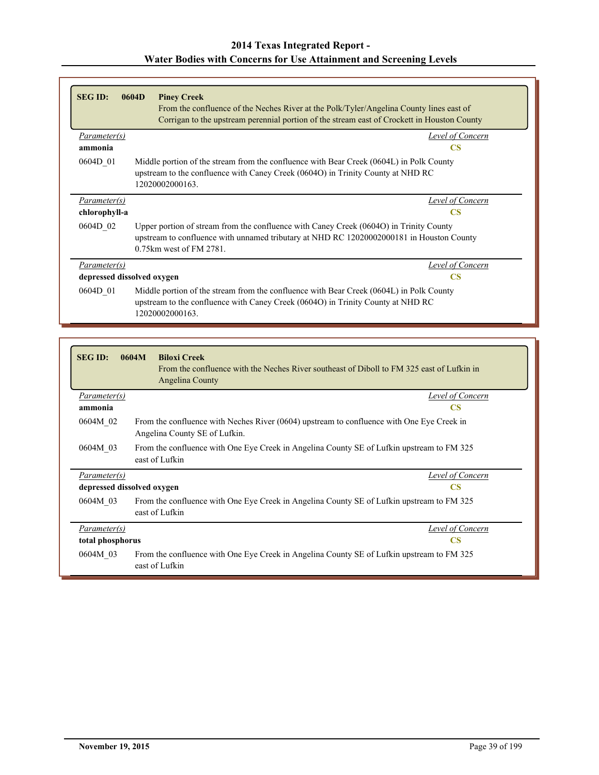| <b>SEG ID:</b>             | <b>Piney Creek</b><br>0604D<br>From the confluence of the Neches River at the Polk/Tyler/Angelina County lines east of<br>Corrigan to the upstream perennial portion of the stream east of Crockett in Houston County |
|----------------------------|-----------------------------------------------------------------------------------------------------------------------------------------------------------------------------------------------------------------------|
| Parameter(s)               | Level of Concern                                                                                                                                                                                                      |
| ammonia                    | CS                                                                                                                                                                                                                    |
| 0604D 01                   | Middle portion of the stream from the confluence with Bear Creek (0604L) in Polk County<br>upstream to the confluence with Caney Creek (0604O) in Trinity County at NHD RC<br>12020002000163.                         |
| Parameter(s)               | <b>Level of Concern</b>                                                                                                                                                                                               |
| chlorophyll-a              | <b>CS</b>                                                                                                                                                                                                             |
| 0604D 02                   | Upper portion of stream from the confluence with Caney Creek (0604O) in Trinity County<br>upstream to confluence with unnamed tributary at NHD RC 12020002000181 in Houston County<br>0.75 km west of FM 2781.        |
| Parameter(s)               | Level of Concern                                                                                                                                                                                                      |
| depressed dissolved oxygen | CS                                                                                                                                                                                                                    |
| 0604D 01                   | Middle portion of the stream from the confluence with Bear Creek (0604L) in Polk County<br>upstream to the confluence with Caney Creek (0604O) in Trinity County at NHD RC<br>12020002000163.                         |

| <b>SEGID:</b>                              | <b>Biloxi Creek</b><br>0604M<br>From the confluence with the Neches River southeast of Diboll to FM 325 east of Lufkin in<br>Angelina County |
|--------------------------------------------|----------------------------------------------------------------------------------------------------------------------------------------------|
| Parameter(s)                               | Level of Concern                                                                                                                             |
| ammonia                                    | $\overline{\text{CS}}$                                                                                                                       |
| 0604M 02                                   | From the confluence with Neches River (0604) upstream to confluence with One Eye Creek in<br>Angelina County SE of Lufkin.                   |
| 0604M 03                                   | From the confluence with One Eye Creek in Angelina County SE of Lufkin upstream to FM 325<br>east of Lufkin                                  |
| Parameter(s)                               | Level of Concern                                                                                                                             |
| depressed dissolved oxygen                 | $\mathbf{CS}$                                                                                                                                |
| 0604M 03                                   | From the confluence with One Eye Creek in Angelina County SE of Lufkin upstream to FM 325<br>east of Lufkin                                  |
| Parameter(s)                               | Level of Concern                                                                                                                             |
| $\overline{\text{CS}}$<br>total phosphorus |                                                                                                                                              |
| 0604M 03                                   | From the confluence with One Eye Creek in Angelina County SE of Lufkin upstream to FM 325<br>east of Lufkin                                  |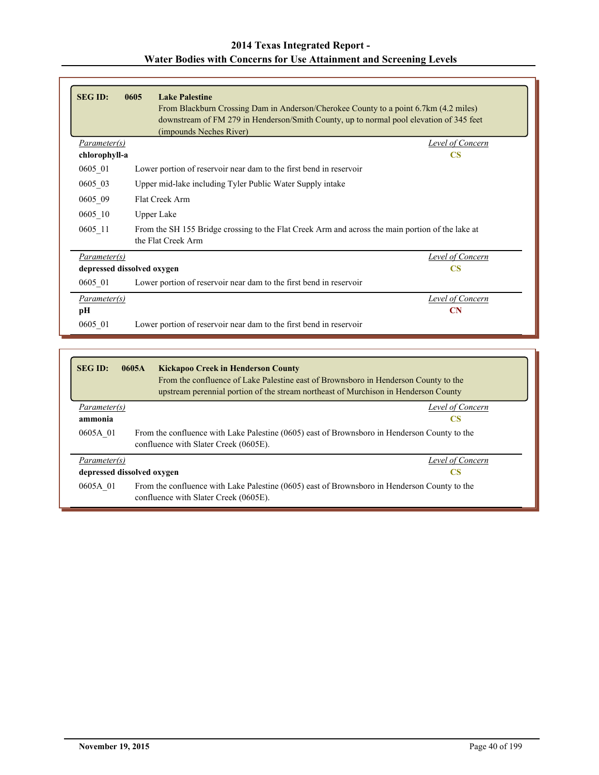| <b>SEG ID:</b>             | 0605 | <b>Lake Palestine</b><br>From Blackburn Crossing Dam in Anderson/Cherokee County to a point 6.7km (4.2 miles)<br>downstream of FM 279 in Henderson/Smith County, up to normal pool elevation of 345 feet<br>(impounds Neches River) |  |
|----------------------------|------|-------------------------------------------------------------------------------------------------------------------------------------------------------------------------------------------------------------------------------------|--|
| <i>Parameter(s)</i>        |      | Level of Concern                                                                                                                                                                                                                    |  |
| chlorophyll-a              |      | $\overline{\text{CS}}$                                                                                                                                                                                                              |  |
| 0605_01                    |      | Lower portion of reservoir near dam to the first bend in reservoir                                                                                                                                                                  |  |
| 0605 03                    |      | Upper mid-lake including Tyler Public Water Supply intake                                                                                                                                                                           |  |
| 0605 09                    |      | Flat Creek Arm                                                                                                                                                                                                                      |  |
| 0605 10                    |      | Upper Lake                                                                                                                                                                                                                          |  |
| 0605 11                    |      | From the SH 155 Bridge crossing to the Flat Creek Arm and across the main portion of the lake at<br>the Flat Creek Arm                                                                                                              |  |
| Parameter(s)               |      | Level of Concern                                                                                                                                                                                                                    |  |
| depressed dissolved oxygen |      | $\overline{\text{CS}}$                                                                                                                                                                                                              |  |
| 0605 01                    |      | Lower portion of reservoir near dam to the first bend in reservoir                                                                                                                                                                  |  |
| <i>Parameter(s)</i>        |      | Level of Concern                                                                                                                                                                                                                    |  |
| pН                         |      | $\mathbf{C} \mathbf{N}$                                                                                                                                                                                                             |  |
| 0605 01                    |      | Lower portion of reservoir near dam to the first bend in reservoir                                                                                                                                                                  |  |

| <b>SEG ID:</b> | 0605A<br><b>Kickapoo Creek in Henderson County</b><br>From the confluence of Lake Palestine east of Brownsboro in Henderson County to the<br>upstream perennial portion of the stream northeast of Murchison in Henderson County |                  |
|----------------|----------------------------------------------------------------------------------------------------------------------------------------------------------------------------------------------------------------------------------|------------------|
| Parameter(s)   |                                                                                                                                                                                                                                  | Level of Concern |
| ammonia        |                                                                                                                                                                                                                                  | CS               |
| 0605A 01       | From the confluence with Lake Palestine (0605) east of Brownsboro in Henderson County to the<br>confluence with Slater Creek (0605E).                                                                                            |                  |
| Parameter(s)   |                                                                                                                                                                                                                                  | Level of Concern |
|                | depressed dissolved oxygen                                                                                                                                                                                                       | CS               |
| 0605A 01       | From the confluence with Lake Palestine (0605) east of Brownsboro in Henderson County to the<br>confluence with Slater Creek (0605E).                                                                                            |                  |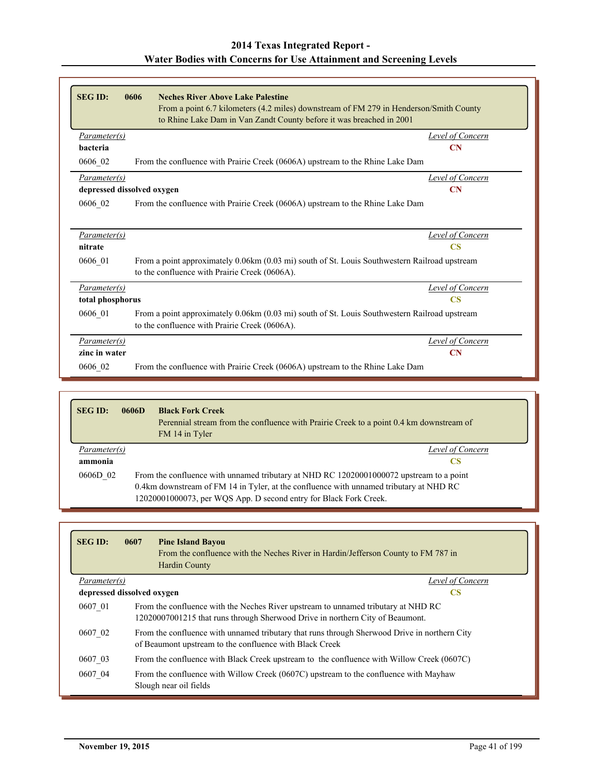| <b>SEG ID:</b>             | <b>Neches River Above Lake Palestine</b><br>0606<br>From a point 6.7 kilometers (4.2 miles) downstream of FM 279 in Henderson/Smith County<br>to Rhine Lake Dam in Van Zandt County before it was breached in 2001 |
|----------------------------|--------------------------------------------------------------------------------------------------------------------------------------------------------------------------------------------------------------------|
| Parameter(s)               | Level of Concern                                                                                                                                                                                                   |
| <b>bacteria</b>            | $\mathbf{CN}$                                                                                                                                                                                                      |
| 0606 02                    | From the confluence with Prairie Creek (0606A) upstream to the Rhine Lake Dam                                                                                                                                      |
| Parameter(s)               | Level of Concern                                                                                                                                                                                                   |
| depressed dissolved oxygen | $\mathbf{CN}$                                                                                                                                                                                                      |
| 0606 02                    | From the confluence with Prairie Creek (0606A) upstream to the Rhine Lake Dam                                                                                                                                      |
|                            |                                                                                                                                                                                                                    |
| Parameter(s)               | <b>Level of Concern</b>                                                                                                                                                                                            |
| nitrate                    | $\overline{\text{CS}}$                                                                                                                                                                                             |
| 0606 01                    | From a point approximately 0.06km (0.03 mi) south of St. Louis Southwestern Railroad upstream<br>to the confluence with Prairie Creek (0606A).                                                                     |
| Parameter(s)               | Level of Concern                                                                                                                                                                                                   |
| total phosphorus           | <b>CS</b>                                                                                                                                                                                                          |
| 0606_01                    | From a point approximately 0.06km (0.03 mi) south of St. Louis Southwestern Railroad upstream<br>to the confluence with Prairie Creek (0606A).                                                                     |
| Parameter(s)               | Level of Concern                                                                                                                                                                                                   |
| zinc in water              | CN                                                                                                                                                                                                                 |
| 0606_02                    | From the confluence with Prairie Creek (0606A) upstream to the Rhine Lake Dam                                                                                                                                      |

| <b>SEG ID:</b> | 0606D | <b>Black Fork Creek</b><br>Perennial stream from the confluence with Prairie Creek to a point 0.4 km downstream of<br>FM 14 in Tyler                                                                                                                   |
|----------------|-------|--------------------------------------------------------------------------------------------------------------------------------------------------------------------------------------------------------------------------------------------------------|
| Parameter(s)   |       | Level of Concern                                                                                                                                                                                                                                       |
| ammonia        |       | <b>CS</b>                                                                                                                                                                                                                                              |
| 0606D 02       |       | From the confluence with unnamed tributary at NHD RC 12020001000072 upstream to a point<br>0.4km downstream of FM 14 in Tyler, at the confluence with unnamed tributary at NHD RC<br>12020001000073, per WQS App. D second entry for Black Fork Creek. |

| <b>SEG ID:</b> | 0607<br><b>Pine Island Bayou</b><br>From the confluence with the Neches River in Hardin/Jefferson County to FM 787 in<br><b>Hardin County</b>                      |                  |
|----------------|--------------------------------------------------------------------------------------------------------------------------------------------------------------------|------------------|
| Parameter(s)   |                                                                                                                                                                    | Level of Concern |
|                | depressed dissolved oxygen                                                                                                                                         | <b>CS</b>        |
| 0607 01        | From the confluence with the Neches River upstream to unnamed tributary at NHD RC<br>12020007001215 that runs through Sherwood Drive in northern City of Beaumont. |                  |
| 0607 02        | From the confluence with unnamed tributary that runs through Sherwood Drive in northern City<br>of Beaumont upstream to the confluence with Black Creek            |                  |
| 0607 03        | From the confluence with Black Creek upstream to the confluence with Willow Creek (0607C)                                                                          |                  |
| 0607 04        | From the confluence with Willow Creek (0607C) upstream to the confluence with Mayhaw<br>Slough near oil fields                                                     |                  |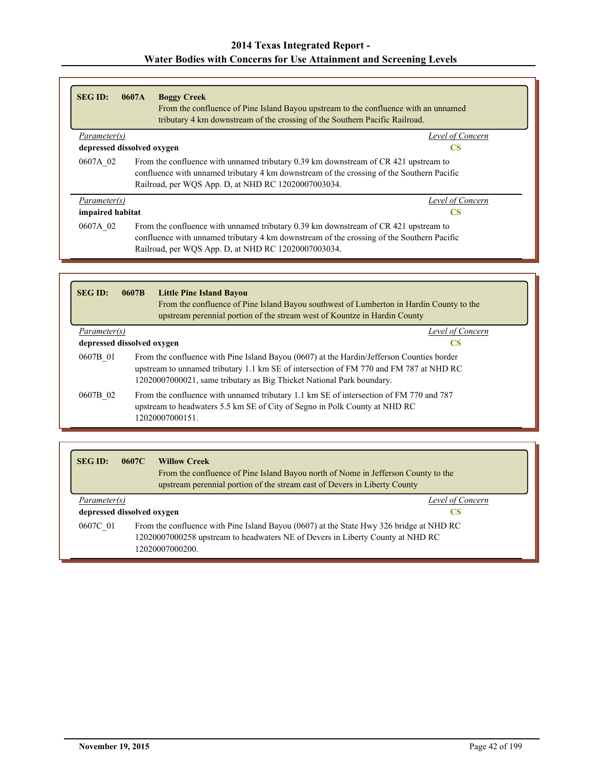| <b>SEG ID:</b>   | 0607A<br><b>Boggy Creek</b><br>From the confluence of Pine Island Bayou upstream to the confluence with an unnamed<br>tributary 4 km downstream of the crossing of the Southern Pacific Railroad.                                       |                  |
|------------------|-----------------------------------------------------------------------------------------------------------------------------------------------------------------------------------------------------------------------------------------|------------------|
| Parameter(s)     |                                                                                                                                                                                                                                         | Level of Concern |
|                  | depressed dissolved oxygen                                                                                                                                                                                                              | CS               |
| 0607A 02         | From the confluence with unnamed tributary 0.39 km downstream of CR 421 upstream to<br>confluence with unnamed tributary 4 km downstream of the crossing of the Southern Pacific<br>Railroad, per WQS App. D, at NHD RC 12020007003034. |                  |
| Parameter(s)     |                                                                                                                                                                                                                                         | Level of Concern |
| impaired habitat |                                                                                                                                                                                                                                         | CS               |
| 0607A 02         | From the confluence with unnamed tributary 0.39 km downstream of CR 421 upstream to<br>confluence with unnamed tributary 4 km downstream of the crossing of the Southern Pacific<br>Railroad, per WQS App. D, at NHD RC 12020007003034. |                  |

| <b>SEGID:</b> | <b>Little Pine Island Bayou</b><br>0607B<br>From the confluence of Pine Island Bayou southwest of Lumberton in Hardin County to the<br>upstream perennial portion of the stream west of Kountze in Hardin County                                             |                  |
|---------------|--------------------------------------------------------------------------------------------------------------------------------------------------------------------------------------------------------------------------------------------------------------|------------------|
| Parameter(s)  |                                                                                                                                                                                                                                                              | Level of Concern |
|               | depressed dissolved oxygen<br>CS                                                                                                                                                                                                                             |                  |
| 0607B 01      | From the confluence with Pine Island Bayou (0607) at the Hardin/Jefferson Counties border<br>upstream to unnamed tributary 1.1 km SE of intersection of FM 770 and FM 787 at NHD RC<br>12020007000021, same tributary as Big Thicket National Park boundary. |                  |
| 0607B 02      | From the confluence with unnamed tributary 1.1 km SE of intersection of FM 770 and 787<br>upstream to headwaters 5.5 km SE of City of Segno in Polk County at NHD RC<br>12020007000151                                                                       |                  |

| <b>SEG ID:</b>                   | 0607C | <b>Willow Creek</b><br>From the confluence of Pine Island Bayou north of Nome in Jefferson County to the<br>upstream perennial portion of the stream east of Devers in Liberty County |  |
|----------------------------------|-------|---------------------------------------------------------------------------------------------------------------------------------------------------------------------------------------|--|
| Level of Concern<br>Parameter(s) |       |                                                                                                                                                                                       |  |
| depressed dissolved oxygen<br>CS |       |                                                                                                                                                                                       |  |
| 0607C 01<br>12020007000200.      |       | From the confluence with Pine Island Bayou (0607) at the State Hwy 326 bridge at NHD RC<br>12020007000258 upstream to headwaters NE of Devers in Liberty County at NHD RC             |  |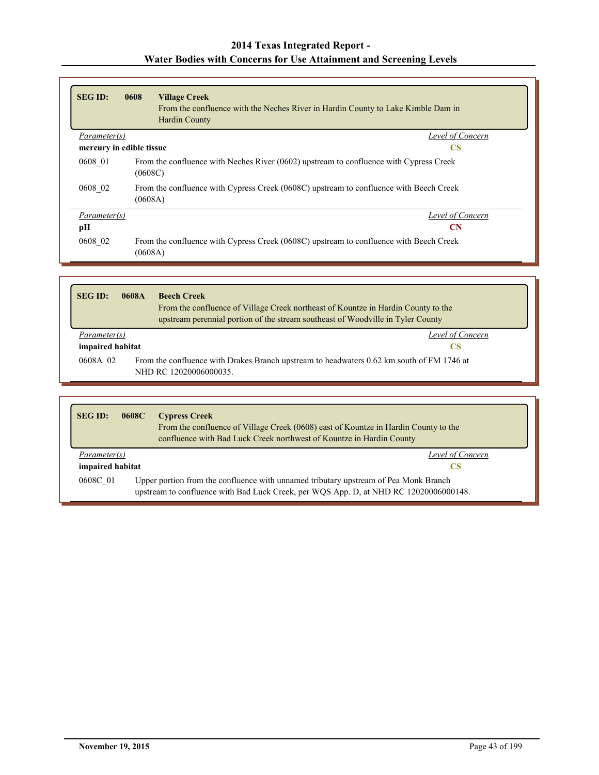| <b>SEG ID:</b>           | 0608<br><b>Village Creek</b><br>From the confluence with the Neches River in Hardin County to Lake Kimble Dam in<br><b>Hardin County</b> |                  |
|--------------------------|------------------------------------------------------------------------------------------------------------------------------------------|------------------|
| Parameter(s)             |                                                                                                                                          | Level of Concern |
| mercury in edible tissue |                                                                                                                                          | CS               |
| 0608 01                  | From the confluence with Neches River (0602) upstream to confluence with Cypress Creek<br>(0608C)                                        |                  |
| 0608 02                  | From the confluence with Cypress Creek (0608C) upstream to confluence with Beech Creek<br>(0608A)                                        |                  |
| Parameter(s)             |                                                                                                                                          | Level of Concern |
| pН                       |                                                                                                                                          | <b>CN</b>        |
| 0608 02                  | From the confluence with Cypress Creek (0608C) upstream to confluence with Beech Creek<br>(0608A)                                        |                  |

| <b>SEG ID:</b>                                                                                                                  | 0608A | <b>Beech Creek</b><br>From the confluence of Village Creek northeast of Kountze in Hardin County to the<br>upstream perennial portion of the stream southeast of Woodville in Tyler County |
|---------------------------------------------------------------------------------------------------------------------------------|-------|--------------------------------------------------------------------------------------------------------------------------------------------------------------------------------------------|
| Level of Concern<br>Parameter(s)                                                                                                |       |                                                                                                                                                                                            |
| impaired habitat                                                                                                                |       | CS                                                                                                                                                                                         |
| From the confluence with Drakes Branch upstream to headwaters 0.62 km south of FM 1746 at<br>0608A 02<br>NHD RC 12020006000035. |       |                                                                                                                                                                                            |

| <b>SEG ID:</b>   | 0608C                            | <b>Cypress Creek</b><br>From the confluence of Village Creek (0608) east of Kountze in Hardin County to the<br>confluence with Bad Luck Creek northwest of Kountze in Hardin County |  |
|------------------|----------------------------------|-------------------------------------------------------------------------------------------------------------------------------------------------------------------------------------|--|
|                  | Level of Concern<br>Parameter(s) |                                                                                                                                                                                     |  |
| impaired habitat |                                  | CS                                                                                                                                                                                  |  |
| 0608C 01         |                                  | Upper portion from the confluence with unnamed tributary upstream of Pea Monk Branch<br>upstream to confluence with Bad Luck Creek, per WQS App. D, at NHD RC 12020006000148.       |  |

Г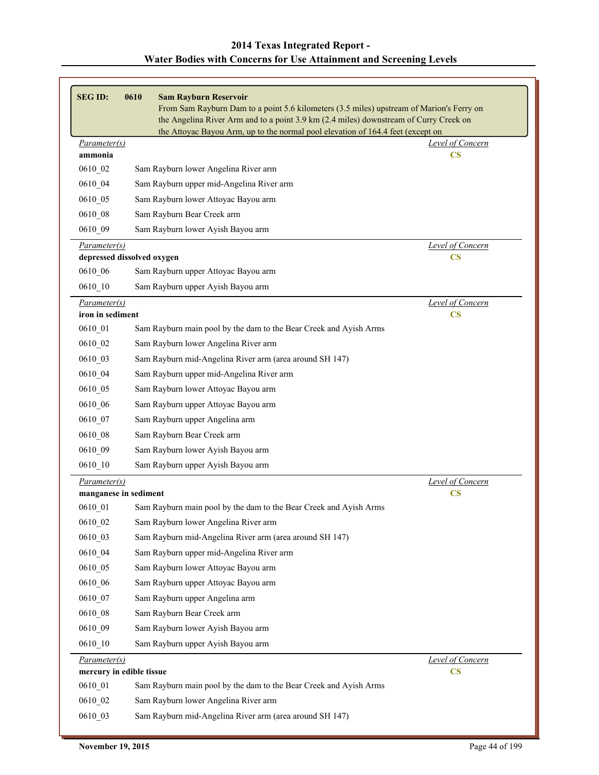| <b>SEG ID:</b>                                  | 0610 | <b>Sam Rayburn Reservoir</b>                                                                                                                                             |                                   |
|-------------------------------------------------|------|--------------------------------------------------------------------------------------------------------------------------------------------------------------------------|-----------------------------------|
|                                                 |      | From Sam Rayburn Dam to a point 5.6 kilometers (3.5 miles) upstream of Marion's Ferry on                                                                                 |                                   |
|                                                 |      | the Angelina River Arm and to a point 3.9 km (2.4 miles) downstream of Curry Creek on<br>the Attoyac Bayou Arm, up to the normal pool elevation of 164.4 feet (except on |                                   |
| Parameter(s)                                    |      |                                                                                                                                                                          | Level of Concern                  |
| ammonia                                         |      |                                                                                                                                                                          | $\overline{\text{CS}}$            |
| 0610 02                                         |      | Sam Rayburn lower Angelina River arm                                                                                                                                     |                                   |
| 0610_04                                         |      | Sam Rayburn upper mid-Angelina River arm                                                                                                                                 |                                   |
| 0610 05                                         |      | Sam Rayburn lower Attoyac Bayou arm                                                                                                                                      |                                   |
| 0610_08                                         |      | Sam Rayburn Bear Creek arm                                                                                                                                               |                                   |
| 0610_09                                         |      | Sam Rayburn lower Ayish Bayou arm                                                                                                                                        |                                   |
| Parameter(s)                                    |      |                                                                                                                                                                          | Level of Concern                  |
| depressed dissolved oxygen                      |      |                                                                                                                                                                          | $\overline{\text{CS}}$            |
| 0610_06                                         |      | Sam Rayburn upper Attoyac Bayou arm                                                                                                                                      |                                   |
| $0610 - 10$                                     |      | Sam Rayburn upper Ayish Bayou arm                                                                                                                                        |                                   |
| Parameter(s)                                    |      |                                                                                                                                                                          | <b>Level of Concern</b>           |
| iron in sediment<br>0610 01                     |      | Sam Rayburn main pool by the dam to the Bear Creek and Ayish Arms                                                                                                        | $\mathbf{CS}$                     |
|                                                 |      |                                                                                                                                                                          |                                   |
| 0610 02                                         |      | Sam Rayburn lower Angelina River arm                                                                                                                                     |                                   |
| 0610_03                                         |      | Sam Rayburn mid-Angelina River arm (area around SH 147)                                                                                                                  |                                   |
| 0610_04                                         |      | Sam Rayburn upper mid-Angelina River arm                                                                                                                                 |                                   |
| 0610_05                                         |      | Sam Rayburn lower Attoyac Bayou arm                                                                                                                                      |                                   |
| 0610 06                                         |      | Sam Rayburn upper Attoyac Bayou arm                                                                                                                                      |                                   |
| $0610$ 07                                       |      | Sam Rayburn upper Angelina arm                                                                                                                                           |                                   |
| 0610 08                                         |      | Sam Rayburn Bear Creek arm                                                                                                                                               |                                   |
| 0610 09                                         |      | Sam Rayburn lower Ayish Bayou arm                                                                                                                                        |                                   |
| $0610 - 10$                                     |      | Sam Rayburn upper Ayish Bayou arm                                                                                                                                        |                                   |
| Parameter(s)<br>manganese in sediment           |      |                                                                                                                                                                          | Level of Concern<br>$\mathbf{CS}$ |
| $0610 - 01$                                     |      | Sam Rayburn main pool by the dam to the Bear Creek and Ayish Arms                                                                                                        |                                   |
| 0610 02                                         |      | Sam Rayburn lower Angelina River arm                                                                                                                                     |                                   |
| 0610_03                                         |      | Sam Rayburn mid-Angelina River arm (area around SH 147)                                                                                                                  |                                   |
| 0610_04                                         |      | Sam Rayburn upper mid-Angelina River arm                                                                                                                                 |                                   |
| 0610_05                                         |      | Sam Rayburn lower Attoyac Bayou arm                                                                                                                                      |                                   |
| 0610 06                                         |      | Sam Rayburn upper Attoyac Bayou arm                                                                                                                                      |                                   |
| 0610 07                                         |      | Sam Rayburn upper Angelina arm                                                                                                                                           |                                   |
| $0610$ 08                                       |      | Sam Rayburn Bear Creek arm                                                                                                                                               |                                   |
| 0610 09                                         |      | Sam Rayburn lower Ayish Bayou arm                                                                                                                                        |                                   |
|                                                 |      | Sam Rayburn upper Ayish Bayou arm                                                                                                                                        |                                   |
| $0610 - 10$                                     |      |                                                                                                                                                                          |                                   |
| <i>Parameter(s)</i><br>mercury in edible tissue |      |                                                                                                                                                                          | Level of Concern<br><b>CS</b>     |
| $0610$ <sup>01</sup>                            |      | Sam Rayburn main pool by the dam to the Bear Creek and Ayish Arms                                                                                                        |                                   |
| 0610_02                                         |      | Sam Rayburn lower Angelina River arm                                                                                                                                     |                                   |
| 0610_03                                         |      | Sam Rayburn mid-Angelina River arm (area around SH 147)                                                                                                                  |                                   |
|                                                 |      |                                                                                                                                                                          |                                   |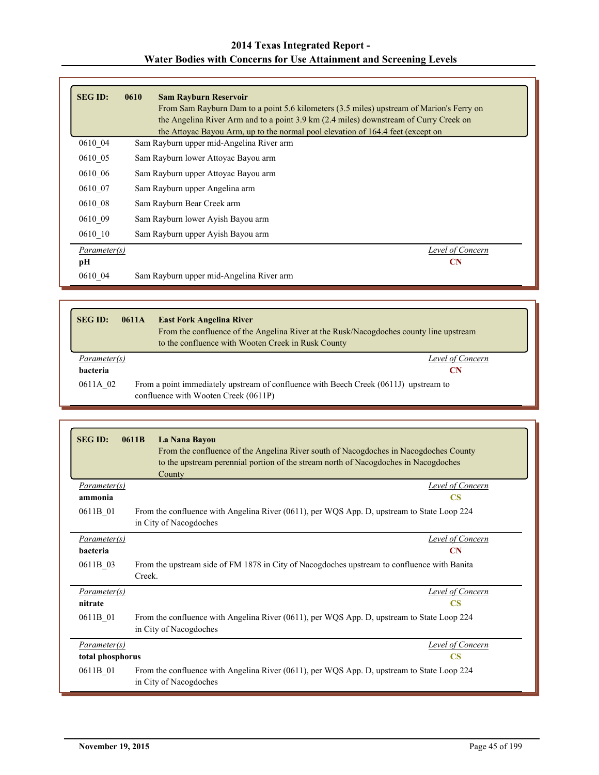| <b>SEG ID:</b>       | 0610<br><b>Sam Rayburn Reservoir</b> | From Sam Rayburn Dam to a point 5.6 kilometers (3.5 miles) upstream of Marion's Ferry on<br>the Angelina River Arm and to a point 3.9 km (2.4 miles) downstream of Curry Creek on<br>the Attoyac Bayou Arm, up to the normal pool elevation of 164.4 feet (except on |
|----------------------|--------------------------------------|----------------------------------------------------------------------------------------------------------------------------------------------------------------------------------------------------------------------------------------------------------------------|
| 0610 04              |                                      | Sam Rayburn upper mid-Angelina River arm                                                                                                                                                                                                                             |
| 0610 05              | Sam Rayburn lower Attoyac Bayou arm  |                                                                                                                                                                                                                                                                      |
| 0610 06              | Sam Rayburn upper Attoyac Bayou arm  |                                                                                                                                                                                                                                                                      |
| $0610$ <sup>07</sup> | Sam Rayburn upper Angelina arm       |                                                                                                                                                                                                                                                                      |
| 0610 08              | Sam Rayburn Bear Creek arm           |                                                                                                                                                                                                                                                                      |
| 0610 09              | Sam Rayburn lower Ayish Bayou arm    |                                                                                                                                                                                                                                                                      |
| 0610 10              | Sam Rayburn upper Ayish Bayou arm    |                                                                                                                                                                                                                                                                      |
| Parameter(s)         |                                      | Level of Concern                                                                                                                                                                                                                                                     |
| pН                   |                                      | <b>CN</b>                                                                                                                                                                                                                                                            |
| 0610 04              |                                      | Sam Rayburn upper mid-Angelina River arm                                                                                                                                                                                                                             |

| <b>SEG ID:</b> | 0611A | <b>East Fork Angelina River</b><br>From the confluence of the Angelina River at the Rusk/Nacogdoches county line upstream<br>to the confluence with Wooten Creek in Rusk County |
|----------------|-------|---------------------------------------------------------------------------------------------------------------------------------------------------------------------------------|
| Parameter(s)   |       | Level of Concern                                                                                                                                                                |
| bacteria       |       | CN                                                                                                                                                                              |
| 0611A 02       |       | From a point immediately upstream of confluence with Beech Creek (0611J) upstream to<br>confluence with Wooten Creek (0611P)                                                    |

| <b>SEG ID:</b>      | 0611B<br>La Nana Bayou<br>From the confluence of the Angelina River south of Nacogdoches in Nacogdoches County<br>to the upstream perennial portion of the stream north of Nacogdoches in Nacogdoches<br>County |
|---------------------|-----------------------------------------------------------------------------------------------------------------------------------------------------------------------------------------------------------------|
| <i>Parameter(s)</i> | Level of Concern                                                                                                                                                                                                |
| ammonia             | <b>CS</b>                                                                                                                                                                                                       |
| 0611B 01            | From the confluence with Angelina River (0611), per WQS App. D, upstream to State Loop 224<br>in City of Nacogdoches                                                                                            |
| Parameter(s)        | Level of Concern                                                                                                                                                                                                |
| bacteria            | <b>CN</b>                                                                                                                                                                                                       |
| 0611B 03            | From the upstream side of FM 1878 in City of Nacogdoches upstream to confluence with Banita<br>Creek.                                                                                                           |
| Parameter(s)        | Level of Concern                                                                                                                                                                                                |
| nitrate             | $\overline{\text{CS}}$                                                                                                                                                                                          |
| 0611B 01            | From the confluence with Angelina River (0611), per WQS App. D, upstream to State Loop 224<br>in City of Nacogdoches                                                                                            |
| Parameter(s)        | Level of Concern                                                                                                                                                                                                |
| total phosphorus    | $\overline{\text{CS}}$                                                                                                                                                                                          |
| 0611B 01            | From the confluence with Angelina River (0611), per WQS App. D, upstream to State Loop 224<br>in City of Nacogdoches                                                                                            |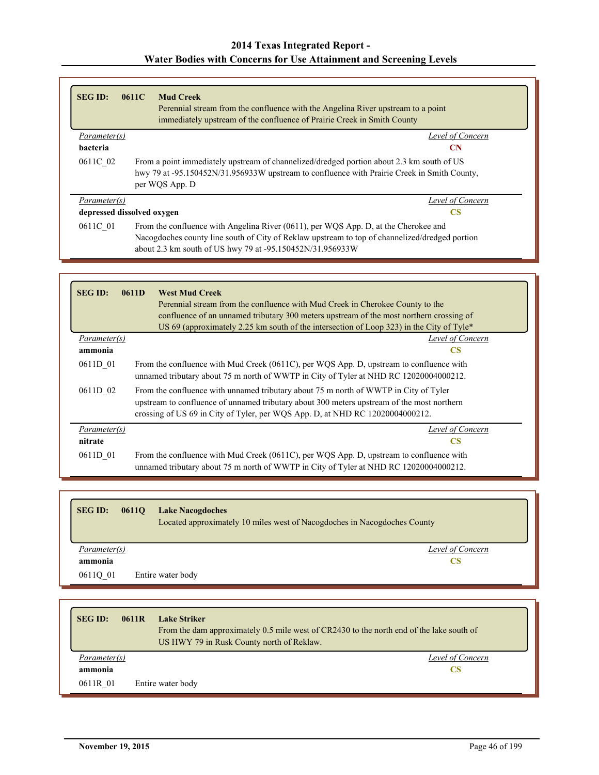| <b>SEG ID:</b> | 0611C<br><b>Mud Creek</b><br>Perennial stream from the confluence with the Angelina River upstream to a point<br>immediately upstream of the confluence of Prairie Creek in Smith County                                                           |                  |
|----------------|----------------------------------------------------------------------------------------------------------------------------------------------------------------------------------------------------------------------------------------------------|------------------|
| Parameter(s)   |                                                                                                                                                                                                                                                    | Level of Concern |
| bacteria       |                                                                                                                                                                                                                                                    | <b>CN</b>        |
| 0611C 02       | From a point immediately upstream of channelized/dredged portion about 2.3 km south of US<br>hwy 79 at -95.150452N/31.956933W upstream to confluence with Prairie Creek in Smith County,<br>per WQS App. D                                         |                  |
| Parameter(s)   |                                                                                                                                                                                                                                                    | Level of Concern |
|                | depressed dissolved oxygen                                                                                                                                                                                                                         | <b>CS</b>        |
| 0611C 01       | From the confluence with Angelina River (0611), per WQS App. D, at the Cherokee and<br>Nacogdoches county line south of City of Reklaw upstream to top of channelized/dredged portion<br>about 2.3 km south of US hwy 79 at -95.150452N/31.956933W |                  |

| <b>SEG ID:</b>      | 0611D<br><b>West Mud Creek</b><br>Perennial stream from the confluence with Mud Creek in Cherokee County to the<br>confluence of an unnamed tributary 300 meters upstream of the most northern crossing of<br>US 69 (approximately 2.25 km south of the intersection of Loop 323) in the City of Tyle* |
|---------------------|--------------------------------------------------------------------------------------------------------------------------------------------------------------------------------------------------------------------------------------------------------------------------------------------------------|
| <i>Parameter(s)</i> | <b>Level of Concern</b>                                                                                                                                                                                                                                                                                |
| ammonia             | <b>CS</b>                                                                                                                                                                                                                                                                                              |
| 0611D 01            | From the confluence with Mud Creek (0611C), per WQS App. D, upstream to confluence with<br>unnamed tributary about 75 m north of WWTP in City of Tyler at NHD RC 12020004000212.                                                                                                                       |
| 0611D 02            | From the confluence with unnamed tributary about 75 m north of WWTP in City of Tyler<br>upstream to confluence of unnamed tributary about 300 meters upstream of the most northern<br>crossing of US 69 in City of Tyler, per WQS App. D, at NHD RC 12020004000212.                                    |
| Parameter(s)        | Level of Concern                                                                                                                                                                                                                                                                                       |
| nitrate             | <b>CS</b>                                                                                                                                                                                                                                                                                              |
| 0611D 01            | From the confluence with Mud Creek (0611C), per WQS App. D, upstream to confluence with<br>unnamed tributary about 75 m north of WWTP in City of Tyler at NHD RC 12020004000212.                                                                                                                       |

| <b>SEG ID:</b> | <b>Lake Nacogdoches</b><br>0611Q<br>Located approximately 10 miles west of Nacogdoches in Nacogdoches County |                  |
|----------------|--------------------------------------------------------------------------------------------------------------|------------------|
| Parameter(s)   |                                                                                                              | Level of Concern |
| ammonia        |                                                                                                              | CS               |
| 0611Q 01       | Entire water body                                                                                            |                  |

| <b>SEG ID:</b><br>0611R | Lake Striker<br>From the dam approximately 0.5 mile west of CR2430 to the north end of the lake south of<br>US HWY 79 in Rusk County north of Reklaw. |
|-------------------------|-------------------------------------------------------------------------------------------------------------------------------------------------------|
| <i>Parameter(s)</i>     | Level of Concern                                                                                                                                      |
| ammonia                 | CS                                                                                                                                                    |
| 0611R 01                | Entire water body                                                                                                                                     |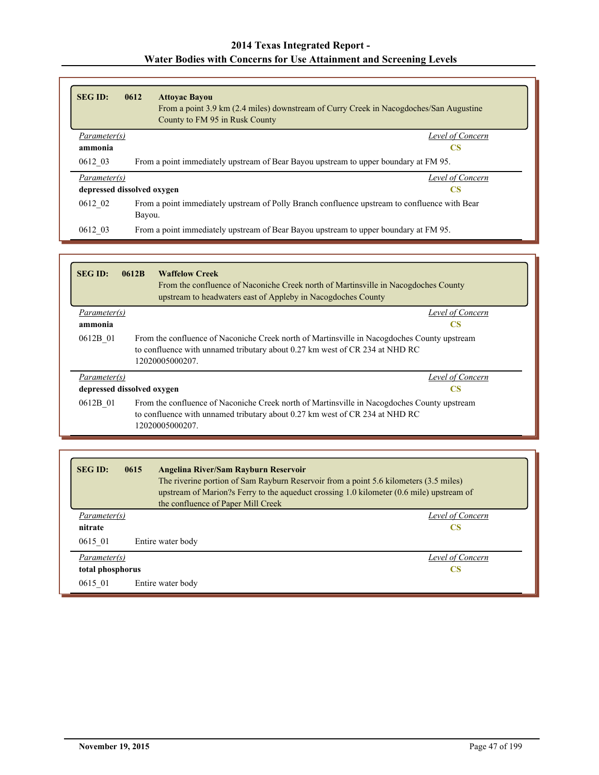| <b>SEG ID:</b> | 0612<br><b>Attoyac Bayou</b><br>From a point 3.9 km (2.4 miles) downstream of Curry Creek in Nacogdoches/San Augustine<br>County to FM 95 in Rusk County |                  |
|----------------|----------------------------------------------------------------------------------------------------------------------------------------------------------|------------------|
| Parameter(s)   |                                                                                                                                                          | Level of Concern |
| ammonia        |                                                                                                                                                          | <b>CS</b>        |
| 0612 03        | From a point immediately upstream of Bear Bayou upstream to upper boundary at FM 95.                                                                     |                  |
| Parameter(s)   |                                                                                                                                                          | Level of Concern |
|                | depressed dissolved oxygen                                                                                                                               | <b>CS</b>        |
| 0612 02        | From a point immediately upstream of Polly Branch confluence upstream to confluence with Bear<br>Bayou.                                                  |                  |
| 0612 03        | From a point immediately upstream of Bear Bayou upstream to upper boundary at FM 95.                                                                     |                  |

| <b>SEG ID:</b> | 0612B<br><b>Waffelow Creek</b><br>From the confluence of Naconiche Creek north of Martinsville in Nacogdoches County<br>upstream to headwaters east of Appleby in Nacogdoches County          |                  |
|----------------|-----------------------------------------------------------------------------------------------------------------------------------------------------------------------------------------------|------------------|
| Parameter(s)   |                                                                                                                                                                                               | Level of Concern |
| ammonia        |                                                                                                                                                                                               | <b>CS</b>        |
| 0612B 01       | From the confluence of Naconiche Creek north of Martinsville in Nacogdoches County upstream<br>to confluence with unnamed tributary about 0.27 km west of CR 234 at NHD RC<br>12020005000207. |                  |
| Parameter(s)   |                                                                                                                                                                                               | Level of Concern |
|                | depressed dissolved oxygen                                                                                                                                                                    | CS               |
| 0612B 01       | From the confluence of Naconiche Creek north of Martinsville in Nacogdoches County upstream<br>to confluence with unnamed tributary about 0.27 km west of CR 234 at NHD RC<br>12020005000207. |                  |

| <b>SEG ID:</b>   | 0615 | Angelina River/Sam Rayburn Reservoir<br>The riverine portion of Sam Rayburn Reservoir from a point 5.6 kilometers (3.5 miles)<br>upstream of Marion?s Ferry to the aqueduct crossing 1.0 kilometer (0.6 mile) upstream of<br>the confluence of Paper Mill Creek |
|------------------|------|-----------------------------------------------------------------------------------------------------------------------------------------------------------------------------------------------------------------------------------------------------------------|
| Parameter(s)     |      | Level of Concern                                                                                                                                                                                                                                                |
| nitrate          |      | <b>CS</b>                                                                                                                                                                                                                                                       |
| 0615 01          |      | Entire water body                                                                                                                                                                                                                                               |
| Parameter(s)     |      | Level of Concern                                                                                                                                                                                                                                                |
| total phosphorus |      | <b>CS</b>                                                                                                                                                                                                                                                       |
| 0615 01          |      | Entire water body                                                                                                                                                                                                                                               |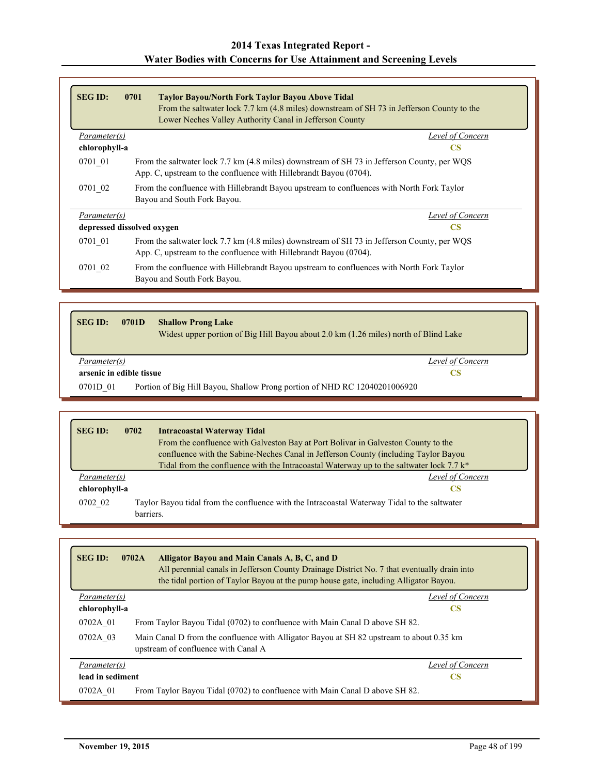| <b>SEG ID:</b> | 0701<br><b>Taylor Bayou/North Fork Taylor Bayou Above Tidal</b><br>From the saltwater lock 7.7 km (4.8 miles) downstream of SH 73 in Jefferson County to the<br>Lower Neches Valley Authority Canal in Jefferson County |  |
|----------------|-------------------------------------------------------------------------------------------------------------------------------------------------------------------------------------------------------------------------|--|
| Parameter(s)   | Level of Concern                                                                                                                                                                                                        |  |
| chlorophyll-a  | <b>CS</b>                                                                                                                                                                                                               |  |
| 0701 01        | From the saltwater lock 7.7 km (4.8 miles) downstream of SH 73 in Jefferson County, per WQS<br>App. C, upstream to the confluence with Hillebrandt Bayou (0704).                                                        |  |
| 0701 02        | From the confluence with Hillebrandt Bayou upstream to confluences with North Fork Taylor<br>Bayou and South Fork Bayou.                                                                                                |  |
| Parameter(s)   | Level of Concern                                                                                                                                                                                                        |  |
|                | depressed dissolved oxygen<br><b>CS</b>                                                                                                                                                                                 |  |
| 0701 01        | From the saltwater lock 7.7 km (4.8 miles) downstream of SH 73 in Jefferson County, per WQS<br>App. C, upstream to the confluence with Hillebrandt Bayou (0704).                                                        |  |
| 0701 02        | From the confluence with Hillebrandt Bayou upstream to confluences with North Fork Taylor<br>Bayou and South Fork Bayou.                                                                                                |  |

| <b>SEG ID:</b>           | 0701D | <b>Shallow Prong Lake</b><br>Widest upper portion of Big Hill Bayou about 2.0 km (1.26 miles) north of Blind Lake |                  |
|--------------------------|-------|-------------------------------------------------------------------------------------------------------------------|------------------|
| Parameter(s)             |       |                                                                                                                   | Level of Concern |
| arsenic in edible tissue |       |                                                                                                                   | CS               |
| 0701D 01                 |       | Portion of Big Hill Bayou, Shallow Prong portion of NHD RC 12040201006920                                         |                  |

| <b>SEG ID:</b> | 0702      | <b>Intracoastal Waterway Tidal</b>                                                           |  |
|----------------|-----------|----------------------------------------------------------------------------------------------|--|
|                |           | From the confluence with Galveston Bay at Port Bolivar in Galveston County to the            |  |
|                |           | confluence with the Sabine-Neches Canal in Jefferson County (including Taylor Bayou          |  |
|                |           | Tidal from the confluence with the Intracoastal Waterway up to the saltwater lock 7.7 $k^*$  |  |
| Parameter(s)   |           | Level of Concern                                                                             |  |
| chlorophyll-a  |           | CS                                                                                           |  |
| 0702 02        | barriers. | Taylor Bayou tidal from the confluence with the Intracoastal Waterway Tidal to the saltwater |  |

| <b>SEG ID:</b>   | 0702A<br>Alligator Bayou and Main Canals A, B, C, and D<br>All perennial canals in Jefferson County Drainage District No. 7 that eventually drain into<br>the tidal portion of Taylor Bayou at the pump house gate, including Alligator Bayou. |                  |
|------------------|------------------------------------------------------------------------------------------------------------------------------------------------------------------------------------------------------------------------------------------------|------------------|
| Parameter(s)     |                                                                                                                                                                                                                                                | Level of Concern |
| chlorophyll-a    |                                                                                                                                                                                                                                                | <b>CS</b>        |
| 0702A 01         | From Taylor Bayou Tidal (0702) to confluence with Main Canal D above SH 82.                                                                                                                                                                    |                  |
| 0702A 03         | Main Canal D from the confluence with Alligator Bayou at SH 82 upstream to about 0.35 km<br>upstream of confluence with Canal A                                                                                                                |                  |
| Parameter(s)     |                                                                                                                                                                                                                                                | Level of Concern |
| lead in sediment |                                                                                                                                                                                                                                                | <b>CS</b>        |
| 0702A 01         | From Taylor Bayou Tidal (0702) to confluence with Main Canal D above SH 82.                                                                                                                                                                    |                  |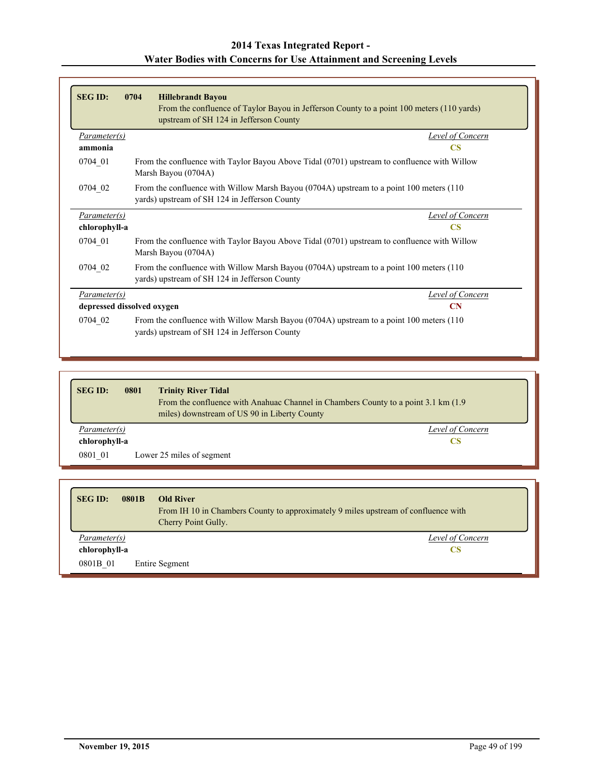| <b>SEG ID:</b>             | 0704<br><b>Hillebrandt Bayou</b><br>From the confluence of Taylor Bayou in Jefferson County to a point 100 meters (110 yards)<br>upstream of SH 124 in Jefferson County |
|----------------------------|-------------------------------------------------------------------------------------------------------------------------------------------------------------------------|
| <i>Parameter(s)</i>        | Level of Concern                                                                                                                                                        |
| ammonia                    | $\overline{\text{CS}}$                                                                                                                                                  |
| 0704_01                    | From the confluence with Taylor Bayou Above Tidal (0701) upstream to confluence with Willow<br>Marsh Bayou (0704A)                                                      |
| 0704 02                    | From the confluence with Willow Marsh Bayou (0704A) upstream to a point 100 meters (110<br>yards) upstream of SH 124 in Jefferson County                                |
| Parameter(s)               | Level of Concern                                                                                                                                                        |
| chlorophyll-a              | <b>CS</b>                                                                                                                                                               |
| 0704 01                    | From the confluence with Taylor Bayou Above Tidal (0701) upstream to confluence with Willow<br>Marsh Bayou (0704A)                                                      |
| 0704 02                    | From the confluence with Willow Marsh Bayou (0704A) upstream to a point 100 meters (110<br>yards) upstream of SH 124 in Jefferson County                                |
| Parameter(s)               | Level of Concern                                                                                                                                                        |
| depressed dissolved oxygen | <b>CN</b>                                                                                                                                                               |
| 0704 02                    | From the confluence with Willow Marsh Bayou (0704A) upstream to a point 100 meters (110<br>yards) upstream of SH 124 in Jefferson County                                |

| <b>SEG ID:</b> | 0801<br><b>Trinity River Tidal</b><br>From the confluence with Anahuac Channel in Chambers County to a point 3.1 km (1.9)<br>miles) downstream of US 90 in Liberty County |
|----------------|---------------------------------------------------------------------------------------------------------------------------------------------------------------------------|
| Parameter(s)   | Level of Concern                                                                                                                                                          |
| chlorophyll-a  | CS                                                                                                                                                                        |
| 0801 01        | Lower 25 miles of segment                                                                                                                                                 |

| <b>SEG ID:</b> | 0801B<br><b>Old River</b><br>From IH 10 in Chambers County to approximately 9 miles upstream of confluence with<br>Cherry Point Gully. |                  |
|----------------|----------------------------------------------------------------------------------------------------------------------------------------|------------------|
| Parameter(s)   |                                                                                                                                        | Level of Concern |
| chlorophyll-a  |                                                                                                                                        | CS               |
| 0801B 01       | <b>Entire Segment</b>                                                                                                                  |                  |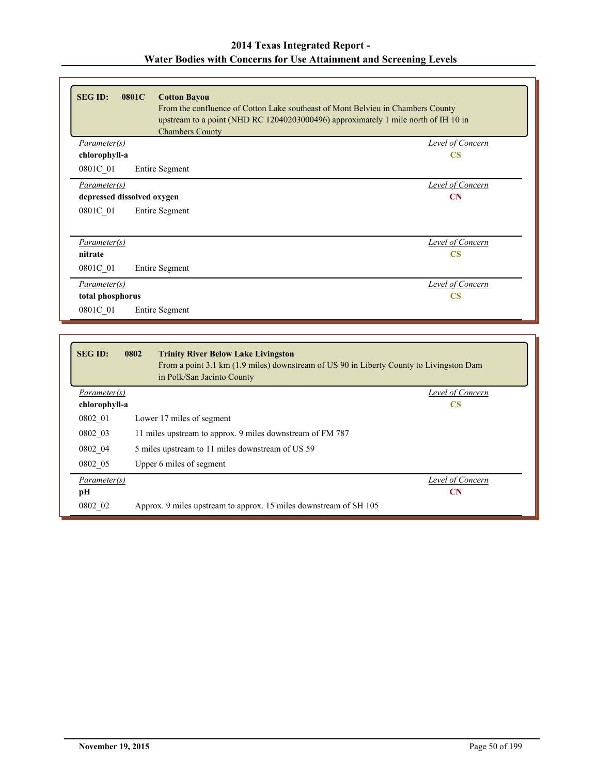| <b>SEG ID:</b><br>0801C<br><b>Cotton Bayou</b><br>From the confluence of Cotton Lake southeast of Mont Belvieu in Chambers County<br>upstream to a point (NHD RC 12040203000496) approximately 1 mile north of IH 10 in<br><b>Chambers County</b> |                  |
|---------------------------------------------------------------------------------------------------------------------------------------------------------------------------------------------------------------------------------------------------|------------------|
| Parameter(s)                                                                                                                                                                                                                                      | Level of Concern |
| chlorophyll-a                                                                                                                                                                                                                                     | $\mathbf{CS}$    |
| 0801C 01<br>Entire Segment                                                                                                                                                                                                                        |                  |
| Parameter(s)                                                                                                                                                                                                                                      | Level of Concern |
| depressed dissolved oxygen                                                                                                                                                                                                                        | CN               |
| 0801C 01<br>Entire Segment                                                                                                                                                                                                                        |                  |
| Parameter(s)                                                                                                                                                                                                                                      | Level of Concern |
| nitrate                                                                                                                                                                                                                                           | <b>CS</b>        |
| 0801C 01<br>Entire Segment                                                                                                                                                                                                                        |                  |
| Parameter(s)                                                                                                                                                                                                                                      | Level of Concern |
| total phosphorus                                                                                                                                                                                                                                  | <b>CS</b>        |
| 0801C 01<br><b>Entire Segment</b>                                                                                                                                                                                                                 |                  |

| <b>SEG ID:</b> | 0802<br><b>Trinity River Below Lake Livingston</b><br>From a point 3.1 km (1.9 miles) downstream of US 90 in Liberty County to Livingston Dam<br>in Polk/San Jacinto County |                  |
|----------------|-----------------------------------------------------------------------------------------------------------------------------------------------------------------------------|------------------|
| Parameter(s)   |                                                                                                                                                                             | Level of Concern |
| chlorophyll-a  |                                                                                                                                                                             | <b>CS</b>        |
| 0802 01        | Lower 17 miles of segment                                                                                                                                                   |                  |
| 0802 03        | 11 miles upstream to approx. 9 miles downstream of FM 787                                                                                                                   |                  |
| 0802 04        | 5 miles upstream to 11 miles downstream of US 59                                                                                                                            |                  |
| 0802 05        | Upper 6 miles of segment                                                                                                                                                    |                  |
| Parameter(s)   |                                                                                                                                                                             | Level of Concern |
| pН             |                                                                                                                                                                             | $\mathbf{CN}$    |
| 0802 02        | Approx. 9 miles upstream to approx. 15 miles downstream of SH 105                                                                                                           |                  |

Г

 $\mathcal{L}(\mathcal{A})$ 

۲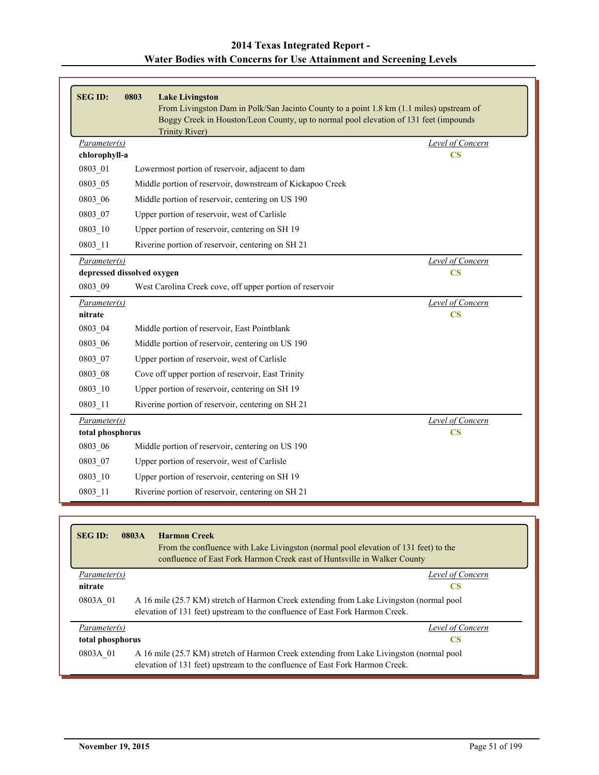| <b>SEGID:</b>                    | 0803<br><b>Lake Livingston</b><br>From Livingston Dam in Polk/San Jacinto County to a point 1.8 km (1.1 miles) upstream of<br>Boggy Creek in Houston/Leon County, up to normal pool elevation of 131 feet (impounds<br><b>Trinity River)</b> |                                          |
|----------------------------------|----------------------------------------------------------------------------------------------------------------------------------------------------------------------------------------------------------------------------------------------|------------------------------------------|
| Parameter(s)                     |                                                                                                                                                                                                                                              | Level of Concern                         |
| chlorophyll-a                    |                                                                                                                                                                                                                                              | $\overline{\text{CS}}$                   |
| 0803 01                          | Lowermost portion of reservoir, adjacent to dam                                                                                                                                                                                              |                                          |
| 0803 05                          | Middle portion of reservoir, downstream of Kickapoo Creek                                                                                                                                                                                    |                                          |
| 0803 06                          | Middle portion of reservoir, centering on US 190                                                                                                                                                                                             |                                          |
| 0803 07                          | Upper portion of reservoir, west of Carlisle                                                                                                                                                                                                 |                                          |
| 0803 10                          | Upper portion of reservoir, centering on SH 19                                                                                                                                                                                               |                                          |
| $0803 - 11$                      | Riverine portion of reservoir, centering on SH 21                                                                                                                                                                                            |                                          |
| Parameter(s)                     |                                                                                                                                                                                                                                              | Level of Concern                         |
|                                  | depressed dissolved oxygen                                                                                                                                                                                                                   | $\overline{\text{CS}}$                   |
| 0803 09                          | West Carolina Creek cove, off upper portion of reservoir                                                                                                                                                                                     |                                          |
| Parameter(s)                     |                                                                                                                                                                                                                                              | <b>Level of Concern</b>                  |
| nitrate                          |                                                                                                                                                                                                                                              | <b>CS</b>                                |
| 0803 04                          | Middle portion of reservoir, East Pointblank                                                                                                                                                                                                 |                                          |
| 0803 06                          | Middle portion of reservoir, centering on US 190                                                                                                                                                                                             |                                          |
| 0803_07                          | Upper portion of reservoir, west of Carlisle                                                                                                                                                                                                 |                                          |
| 0803 08                          | Cove off upper portion of reservoir, East Trinity                                                                                                                                                                                            |                                          |
| 0803 10                          | Upper portion of reservoir, centering on SH 19                                                                                                                                                                                               |                                          |
| $0803 - 11$                      | Riverine portion of reservoir, centering on SH 21                                                                                                                                                                                            |                                          |
| Parameter(s)<br>total phosphorus |                                                                                                                                                                                                                                              | <b>Level of Concern</b><br>$\mathbf{CS}$ |
| 0803 06                          | Middle portion of reservoir, centering on US 190                                                                                                                                                                                             |                                          |
| 0803 07                          | Upper portion of reservoir, west of Carlisle                                                                                                                                                                                                 |                                          |
| 0803 10                          | Upper portion of reservoir, centering on SH 19                                                                                                                                                                                               |                                          |
| 0803 11                          | Riverine portion of reservoir, centering on SH 21                                                                                                                                                                                            |                                          |

| <b>SEGID:</b>    | <b>Harmon Creek</b><br>0803A<br>From the confluence with Lake Livingston (normal pool elevation of 131 feet) to the<br>confluence of East Fork Harmon Creek east of Huntsville in Walker County |  |
|------------------|-------------------------------------------------------------------------------------------------------------------------------------------------------------------------------------------------|--|
| Parameter(s)     | Level of Concern                                                                                                                                                                                |  |
| nitrate          | CS                                                                                                                                                                                              |  |
| 0803A 01         | A 16 mile (25.7 KM) stretch of Harmon Creek extending from Lake Livingston (normal pool<br>elevation of 131 feet) upstream to the confluence of East Fork Harmon Creek.                         |  |
| Parameter(s)     | Level of Concern                                                                                                                                                                                |  |
| total phosphorus | CS                                                                                                                                                                                              |  |
| 0803A 01         | A 16 mile (25.7 KM) stretch of Harmon Creek extending from Lake Livingston (normal pool<br>elevation of 131 feet) upstream to the confluence of East Fork Harmon Creek.                         |  |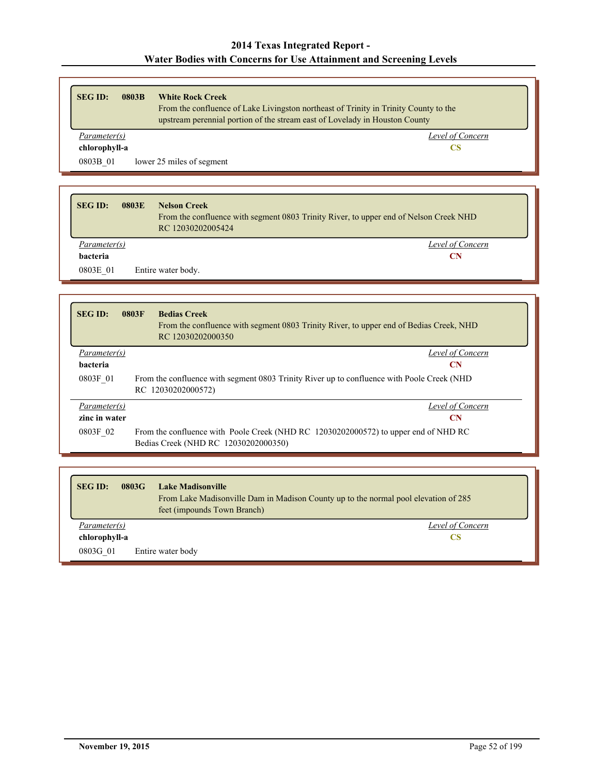| <b>SEGID:</b><br>0803B | <b>White Rock Creek</b><br>From the confluence of Lake Livingston northeast of Trinity in Trinity County to the |                  |
|------------------------|-----------------------------------------------------------------------------------------------------------------|------------------|
|                        | upstream perennial portion of the stream east of Lovelady in Houston County                                     |                  |
| Parameter(s)           |                                                                                                                 | Level of Concern |
| chlorophyll-a          |                                                                                                                 | CS               |
| 0803B 01               | lower 25 miles of segment                                                                                       |                  |

| <b>SEG ID:</b>  | 0803E<br><b>Nelson Creek</b><br>From the confluence with segment 0803 Trinity River, to upper end of Nelson Creek NHD<br>RC 12030202005424 |
|-----------------|--------------------------------------------------------------------------------------------------------------------------------------------|
| Parameter(s)    | Level of Concern                                                                                                                           |
| <b>bacteria</b> | CN                                                                                                                                         |
| 0803E 01        | Entire water body.                                                                                                                         |

| <b>SEG ID:</b>  | 0803F<br><b>Bedias Creek</b><br>From the confluence with segment 0803 Trinity River, to upper end of Bedias Creek, NHD<br>RC 12030202000350 |
|-----------------|---------------------------------------------------------------------------------------------------------------------------------------------|
| Parameter(s)    | Level of Concern                                                                                                                            |
| <b>bacteria</b> | CN                                                                                                                                          |
| 0803F 01        | From the confluence with segment 0803 Trinity River up to confluence with Poole Creek (NHD)<br>RC 12030202000572)                           |
| Parameter(s)    | Level of Concern                                                                                                                            |
| zinc in water   | <b>CN</b>                                                                                                                                   |
| 0803F 02        | From the confluence with Poole Creek (NHD RC 12030202000572) to upper end of NHD RC<br>Bedias Creek (NHD RC 12030202000350)                 |

| <b>SEG ID:</b>      | Lake Madisonville<br>0803G<br>From Lake Madisonville Dam in Madison County up to the normal pool elevation of 285<br>feet (impounds Town Branch) |
|---------------------|--------------------------------------------------------------------------------------------------------------------------------------------------|
| <i>Parameter(s)</i> | Level of Concern                                                                                                                                 |
| chlorophyll-a       | CS                                                                                                                                               |
| 0803G 01            | Entire water body                                                                                                                                |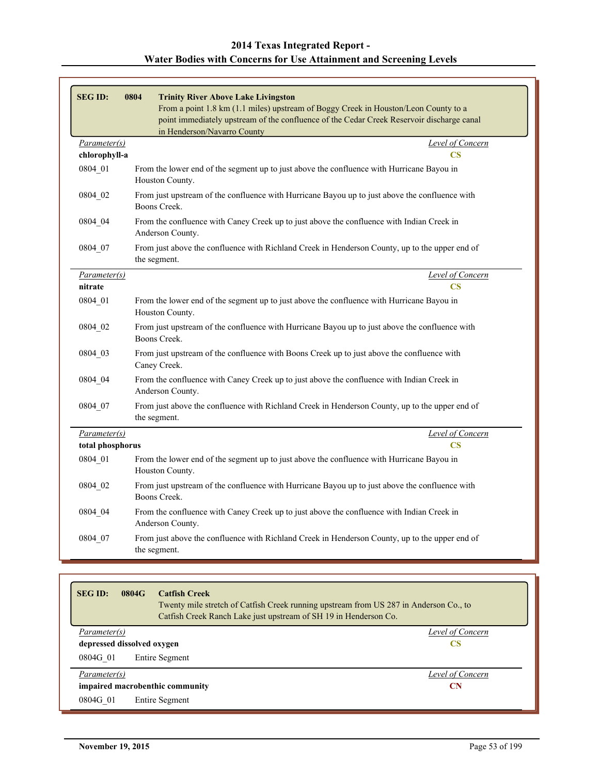| 2014 Texas Integrated Report -                                            |
|---------------------------------------------------------------------------|
| <b>Water Bodies with Concerns for Use Attainment and Screening Levels</b> |

| <b>SEG ID:</b>                | 0804<br><b>Trinity River Above Lake Livingston</b><br>From a point 1.8 km (1.1 miles) upstream of Boggy Creek in Houston/Leon County to a<br>point immediately upstream of the confluence of the Cedar Creek Reservoir discharge canal<br>in Henderson/Navarro County |
|-------------------------------|-----------------------------------------------------------------------------------------------------------------------------------------------------------------------------------------------------------------------------------------------------------------------|
| Parameter(s)<br>chlorophyll-a | Level of Concern<br>$\overline{\text{CS}}$                                                                                                                                                                                                                            |
| 0804 01                       | From the lower end of the segment up to just above the confluence with Hurricane Bayou in<br>Houston County.                                                                                                                                                          |
| 0804 02                       | From just upstream of the confluence with Hurricane Bayou up to just above the confluence with<br>Boons Creek.                                                                                                                                                        |
| 0804 04                       | From the confluence with Caney Creek up to just above the confluence with Indian Creek in<br>Anderson County.                                                                                                                                                         |
| 0804 07                       | From just above the confluence with Richland Creek in Henderson County, up to the upper end of<br>the segment.                                                                                                                                                        |
| Parameter(s)                  | Level of Concern                                                                                                                                                                                                                                                      |
| nitrate                       | $\overline{\text{CS}}$                                                                                                                                                                                                                                                |
| 0804 01                       | From the lower end of the segment up to just above the confluence with Hurricane Bayou in<br>Houston County.                                                                                                                                                          |
| 0804 02                       | From just upstream of the confluence with Hurricane Bayou up to just above the confluence with<br>Boons Creek.                                                                                                                                                        |
| 0804_03                       | From just upstream of the confluence with Boons Creek up to just above the confluence with<br>Caney Creek.                                                                                                                                                            |
| 0804 04                       | From the confluence with Caney Creek up to just above the confluence with Indian Creek in<br>Anderson County.                                                                                                                                                         |
| 0804 07                       | From just above the confluence with Richland Creek in Henderson County, up to the upper end of<br>the segment.                                                                                                                                                        |
| Parameter(s)                  | Level of Concern                                                                                                                                                                                                                                                      |
| total phosphorus              | <b>CS</b>                                                                                                                                                                                                                                                             |
| 0804 01                       | From the lower end of the segment up to just above the confluence with Hurricane Bayou in<br>Houston County.                                                                                                                                                          |
| 0804 02                       | From just upstream of the confluence with Hurricane Bayou up to just above the confluence with<br>Boons Creek.                                                                                                                                                        |
| 0804_04                       | From the confluence with Caney Creek up to just above the confluence with Indian Creek in<br>Anderson County.                                                                                                                                                         |
| 0804 07                       | From just above the confluence with Richland Creek in Henderson County, up to the upper end of<br>the segment.                                                                                                                                                        |

| <b>SEG ID:</b><br>0804G<br><b>Catfish Creek</b><br>Twenty mile stretch of Catfish Creek running upstream from US 287 in Anderson Co., to<br>Catfish Creek Ranch Lake just upstream of SH 19 in Henderson Co. |                  |
|--------------------------------------------------------------------------------------------------------------------------------------------------------------------------------------------------------------|------------------|
| Parameter(s)                                                                                                                                                                                                 | Level of Concern |
| depressed dissolved oxygen<br>CS                                                                                                                                                                             |                  |
| <b>Entire Segment</b><br>0804G 01                                                                                                                                                                            |                  |
| Parameter(s)                                                                                                                                                                                                 | Level of Concern |
| impaired macrobenthic community                                                                                                                                                                              | CN               |
| 0804G 01<br>Entire Segment                                                                                                                                                                                   |                  |

r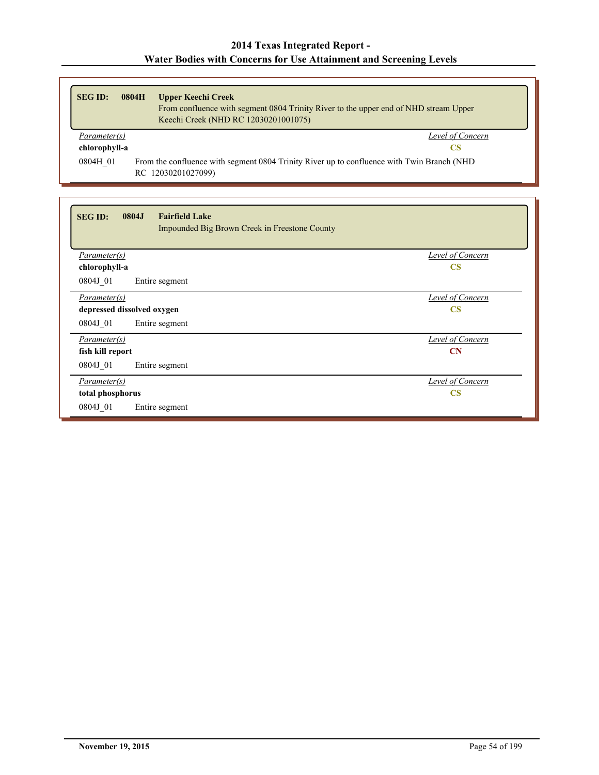| <b>SEG ID:</b> | 0804H | <b>Upper Keechi Creek</b><br>From confluence with segment 0804 Trinity River to the upper end of NHD stream Upper<br>Keechi Creek (NHD RC 12030201001075) |
|----------------|-------|-----------------------------------------------------------------------------------------------------------------------------------------------------------|
| Parameter(s)   |       | Level of Concern                                                                                                                                          |
| chlorophyll-a  |       | CS                                                                                                                                                        |
| 0804H 01       |       | From the confluence with segment 0804 Trinity River up to confluence with Twin Branch (NHD)<br>RC 12030201027099)                                         |

| <b>SEG ID:</b><br>0804J<br><b>Fairfield Lake</b><br>Impounded Big Brown Creek in Freestone County |                         |
|---------------------------------------------------------------------------------------------------|-------------------------|
| <i>Parameter(s)</i>                                                                               | <b>Level of Concern</b> |
| chlorophyll-a                                                                                     | $\overline{\text{CS}}$  |
| 0804J 01<br>Entire segment                                                                        |                         |
| Parameter(s)                                                                                      | <b>Level of Concern</b> |
| depressed dissolved oxygen                                                                        | $\mathbf{CS}$           |
| 0804J 01<br>Entire segment                                                                        |                         |
| Parameter(s)                                                                                      | <b>Level of Concern</b> |
| fish kill report                                                                                  | CN                      |
| 0804J 01<br>Entire segment                                                                        |                         |
| Parameter(s)                                                                                      | <b>Level of Concern</b> |
| total phosphorus                                                                                  | $\overline{\text{CS}}$  |
| 0804J 01<br>Entire segment                                                                        |                         |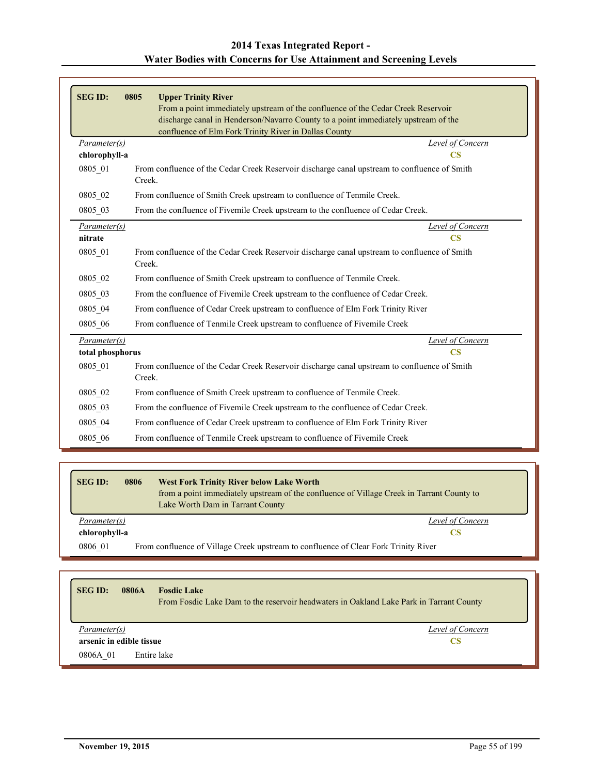| <b>SEG ID:</b>   | 0805<br><b>Upper Trinity River</b>                                                                                                                                     |
|------------------|------------------------------------------------------------------------------------------------------------------------------------------------------------------------|
|                  | From a point immediately upstream of the confluence of the Cedar Creek Reservoir<br>discharge canal in Henderson/Navarro County to a point immediately upstream of the |
|                  | confluence of Elm Fork Trinity River in Dallas County                                                                                                                  |
| Parameter(s)     | Level of Concern                                                                                                                                                       |
| chlorophyll-a    | $\overline{\text{CS}}$                                                                                                                                                 |
| 0805 01          | From confluence of the Cedar Creek Reservoir discharge canal upstream to confluence of Smith<br>Creek.                                                                 |
| 0805 02          | From confluence of Smith Creek upstream to confluence of Tenmile Creek.                                                                                                |
| 0805 03          | From the confluence of Fivemile Creek upstream to the confluence of Cedar Creek.                                                                                       |
| Parameter(s)     | <b>Level of Concern</b>                                                                                                                                                |
| nitrate          | $\overline{\text{CS}}$                                                                                                                                                 |
| 0805 01          | From confluence of the Cedar Creek Reservoir discharge canal upstream to confluence of Smith<br>Creek.                                                                 |
| 0805_02          | From confluence of Smith Creek upstream to confluence of Tenmile Creek.                                                                                                |
| 0805_03          | From the confluence of Fivemile Creek upstream to the confluence of Cedar Creek.                                                                                       |
| 0805 04          | From confluence of Cedar Creek upstream to confluence of Elm Fork Trinity River                                                                                        |
| 0805 06          | From confluence of Tenmile Creek upstream to confluence of Fivemile Creek                                                                                              |
| Parameter(s)     | Level of Concern                                                                                                                                                       |
| total phosphorus | $\overline{\text{CS}}$                                                                                                                                                 |
| 0805 01          | From confluence of the Cedar Creek Reservoir discharge canal upstream to confluence of Smith<br>Creek.                                                                 |
| 0805 02          | From confluence of Smith Creek upstream to confluence of Tenmile Creek.                                                                                                |
| 0805_03          | From the confluence of Fivemile Creek upstream to the confluence of Cedar Creek.                                                                                       |
| 0805 04          | From confluence of Cedar Creek upstream to confluence of Elm Fork Trinity River                                                                                        |
| 0805_06          | From confluence of Tenmile Creek upstream to confluence of Fivemile Creek                                                                                              |

| <b>SEG ID:</b> | 0806 | <b>West Fork Trinity River below Lake Worth</b><br>from a point immediately upstream of the confluence of Village Creek in Tarrant County to<br>Lake Worth Dam in Tarrant County |
|----------------|------|----------------------------------------------------------------------------------------------------------------------------------------------------------------------------------|
| Parameter(s)   |      | Level of Concern                                                                                                                                                                 |
| chlorophyll-a  |      | <b>CS</b>                                                                                                                                                                        |
| 0806 01        |      | From confluence of Village Creek upstream to confluence of Clear Fork Trinity River                                                                                              |

| <b>SEG ID:</b><br>0806A  | <b>Fosdic Lake</b><br>From Fosdic Lake Dam to the reservoir headwaters in Oakland Lake Park in Tarrant County |
|--------------------------|---------------------------------------------------------------------------------------------------------------|
| Parameter(s)             | Level of Concern                                                                                              |
| arsenic in edible tissue | CS                                                                                                            |
| 0806A 01                 | Entire lake                                                                                                   |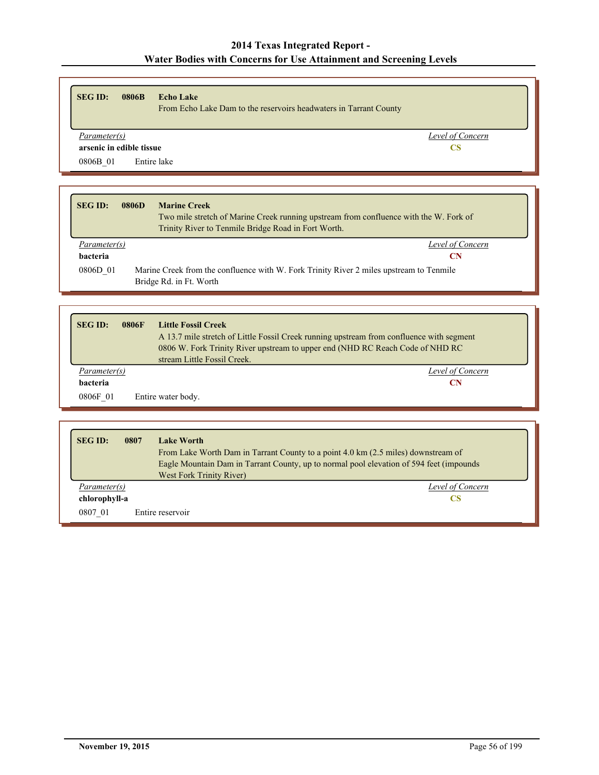| <b>SEG ID:</b>           | 0806B | <b>Echo Lake</b><br>From Echo Lake Dam to the reservoirs headwaters in Tarrant County |                  |
|--------------------------|-------|---------------------------------------------------------------------------------------|------------------|
| Parameter(s)             |       |                                                                                       | Level of Concern |
| arsenic in edible tissue |       |                                                                                       | CS               |
| 0806B 01                 |       | Entire lake                                                                           |                  |
|                          |       |                                                                                       |                  |

| <b>SEG ID:</b> | 0806D<br><b>Marine Creek</b><br>Two mile stretch of Marine Creek running upstream from confluence with the W. Fork of<br>Trinity River to Tenmile Bridge Road in Fort Worth. |  |
|----------------|------------------------------------------------------------------------------------------------------------------------------------------------------------------------------|--|
| Parameter(s)   | Level of Concern                                                                                                                                                             |  |
| bacteria       | CN                                                                                                                                                                           |  |
| 0806D 01       | Marine Creek from the confluence with W. Fork Trinity River 2 miles upstream to Tenmile<br>Bridge Rd. in Ft. Worth                                                           |  |

| <b>SEG ID:</b>           | 0806F | <b>Little Fossil Creek</b><br>A 13.7 mile stretch of Little Fossil Creek running upstream from confluence with segment<br>0806 W. Fork Trinity River upstream to upper end (NHD RC Reach Code of NHD RC<br>stream Little Fossil Creek. |  |
|--------------------------|-------|----------------------------------------------------------------------------------------------------------------------------------------------------------------------------------------------------------------------------------------|--|
| Parameter(s)<br>bacteria |       | Level of Concern<br>CN                                                                                                                                                                                                                 |  |
| 0806F 01                 |       | Entire water body.                                                                                                                                                                                                                     |  |

| <b>SEG ID:</b> | 0807 | <b>Lake Worth</b>                                                                       |
|----------------|------|-----------------------------------------------------------------------------------------|
|                |      | From Lake Worth Dam in Tarrant County to a point 4.0 km (2.5 miles) downstream of       |
|                |      | Eagle Mountain Dam in Tarrant County, up to normal pool elevation of 594 feet (impounds |
|                |      | West Fork Trinity River)                                                                |
| Parameter(s)   |      | Level of Concern                                                                        |
| chlorophyll-a  |      | CS                                                                                      |
| 0807 01        |      | Entire reservoir                                                                        |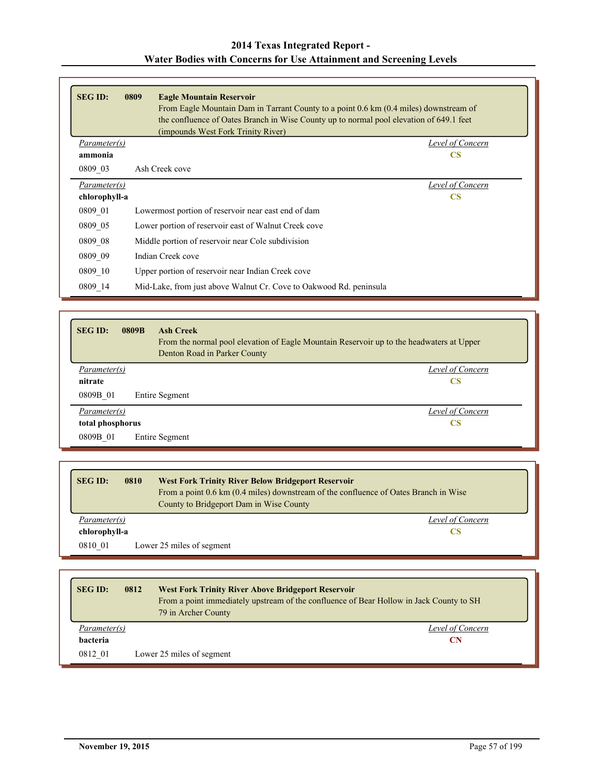| <b>SEG ID:</b>      | 0809<br><b>Eagle Mountain Reservoir</b><br>From Eagle Mountain Dam in Tarrant County to a point 0.6 km (0.4 miles) downstream of<br>the confluence of Oates Branch in Wise County up to normal pool elevation of 649.1 feet<br>(impounds West Fork Trinity River) |                  |
|---------------------|-------------------------------------------------------------------------------------------------------------------------------------------------------------------------------------------------------------------------------------------------------------------|------------------|
| <i>Parameter(s)</i> |                                                                                                                                                                                                                                                                   | Level of Concern |
| ammonia             |                                                                                                                                                                                                                                                                   | <b>CS</b>        |
| 0809 03             | Ash Creek cove                                                                                                                                                                                                                                                    |                  |
| Parameter(s)        |                                                                                                                                                                                                                                                                   | Level of Concern |
| chlorophyll-a       |                                                                                                                                                                                                                                                                   | <b>CS</b>        |
| 0809 01             | Lowermost portion of reservoir near east end of dam                                                                                                                                                                                                               |                  |
| 0809 05             | Lower portion of reservoir east of Walnut Creek cove                                                                                                                                                                                                              |                  |
| 0809 08             | Middle portion of reservoir near Cole subdivision                                                                                                                                                                                                                 |                  |
| 0809 09             | Indian Creek cove                                                                                                                                                                                                                                                 |                  |
| 0809 10             | Upper portion of reservoir near Indian Creek cove                                                                                                                                                                                                                 |                  |
| 0809 14             | Mid-Lake, from just above Walnut Cr. Cove to Oakwood Rd. peninsula                                                                                                                                                                                                |                  |

| <b>SEG ID:</b><br>0809B | <b>Ash Creek</b><br>From the normal pool elevation of Eagle Mountain Reservoir up to the headwaters at Upper<br>Denton Road in Parker County |                  |
|-------------------------|----------------------------------------------------------------------------------------------------------------------------------------------|------------------|
| Parameter(s)            |                                                                                                                                              | Level of Concern |
| nitrate                 |                                                                                                                                              | <b>CS</b>        |
| 0809B 01                | <b>Entire Segment</b>                                                                                                                        |                  |
| Parameter(s)            |                                                                                                                                              | Level of Concern |
| total phosphorus        |                                                                                                                                              | <b>CS</b>        |
| 0809B 01                | <b>Entire Segment</b>                                                                                                                        |                  |

| <b>SEG ID:</b><br>0810 | <b>West Fork Trinity River Below Bridgeport Reservoir</b><br>From a point 0.6 km (0.4 miles) downstream of the confluence of Oates Branch in Wise<br>County to Bridgeport Dam in Wise County |
|------------------------|----------------------------------------------------------------------------------------------------------------------------------------------------------------------------------------------|
| Parameter(s)           | Level of Concern                                                                                                                                                                             |
| chlorophyll-a          | CS                                                                                                                                                                                           |
| 0810 01                | Lower 25 miles of segment                                                                                                                                                                    |

| <b>SEG ID:</b>  | 0812 | <b>West Fork Trinity River Above Bridgeport Reservoir</b><br>From a point immediately upstream of the confluence of Bear Hollow in Jack County to SH<br>79 in Archer County |
|-----------------|------|-----------------------------------------------------------------------------------------------------------------------------------------------------------------------------|
| Parameter(s)    |      | Level of Concern                                                                                                                                                            |
| <b>bacteria</b> |      | CN                                                                                                                                                                          |
| 0812 01         |      | Lower 25 miles of segment                                                                                                                                                   |

ľ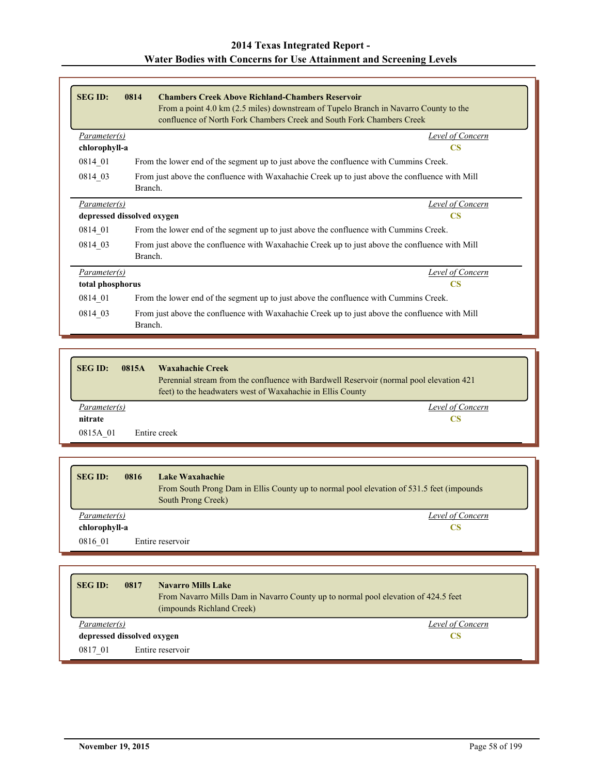| <b>SEG ID:</b>                   | 0814<br><b>Chambers Creek Above Richland-Chambers Reservoir</b><br>From a point 4.0 km (2.5 miles) downstream of Tupelo Branch in Navarro County to the |
|----------------------------------|---------------------------------------------------------------------------------------------------------------------------------------------------------|
|                                  | confluence of North Fork Chambers Creek and South Fork Chambers Creek                                                                                   |
| Parameter(s)                     | Level of Concern                                                                                                                                        |
| chlorophyll-a                    | CS                                                                                                                                                      |
| 0814 01                          | From the lower end of the segment up to just above the confluence with Cummins Creek.                                                                   |
| 0814 03                          | From just above the confluence with Waxahachie Creek up to just above the confluence with Mill                                                          |
|                                  | Branch.                                                                                                                                                 |
| Parameter(s)                     | Level of Concern                                                                                                                                        |
| depressed dissolved oxygen<br>CS |                                                                                                                                                         |
| 0814 01                          | From the lower end of the segment up to just above the confluence with Cummins Creek.                                                                   |
| 0814 03                          | From just above the confluence with Waxahachie Creek up to just above the confluence with Mill<br>Branch.                                               |
| Parameter(s)                     | Level of Concern                                                                                                                                        |
| <b>CS</b><br>total phosphorus    |                                                                                                                                                         |
| 0814 01                          | From the lower end of the segment up to just above the confluence with Cummins Creek.                                                                   |
| 0814 03                          | From just above the confluence with Waxahachie Creek up to just above the confluence with Mill<br>Branch.                                               |

| <b>SEG ID:</b> | <b>Waxahachie Creek</b><br>0815A<br>Perennial stream from the confluence with Bardwell Reservoir (normal pool elevation 421)<br>feet) to the headwaters west of Waxahachie in Ellis County |
|----------------|--------------------------------------------------------------------------------------------------------------------------------------------------------------------------------------------|
| Parameter(s)   | Level of Concern                                                                                                                                                                           |
| nitrate        | CS.                                                                                                                                                                                        |
| 0815A 01       | Entire creek                                                                                                                                                                               |

| <b>SEG ID:</b> | 0816 | Lake Waxahachie<br>From South Prong Dam in Ellis County up to normal pool elevation of 531.5 feet (impounds<br>South Prong Creek) |
|----------------|------|-----------------------------------------------------------------------------------------------------------------------------------|
| Parameter(s)   |      | Level of Concern                                                                                                                  |
| chlorophyll-a  |      | CS                                                                                                                                |
| 0816 01        |      | Entire reservoir                                                                                                                  |

| <b>SEG ID:</b>             | 0817                                    | <b>Navarro Mills Lake</b><br>From Navarro Mills Dam in Navarro County up to normal pool elevation of 424.5 feet<br>(impounds Richland Creek) |  |
|----------------------------|-----------------------------------------|----------------------------------------------------------------------------------------------------------------------------------------------|--|
|                            | Level of Concern<br><i>Parameter(s)</i> |                                                                                                                                              |  |
| depressed dissolved oxygen |                                         | CS                                                                                                                                           |  |
| 0817 01                    |                                         | Entire reservoir                                                                                                                             |  |

Г

Г

ŀ

۲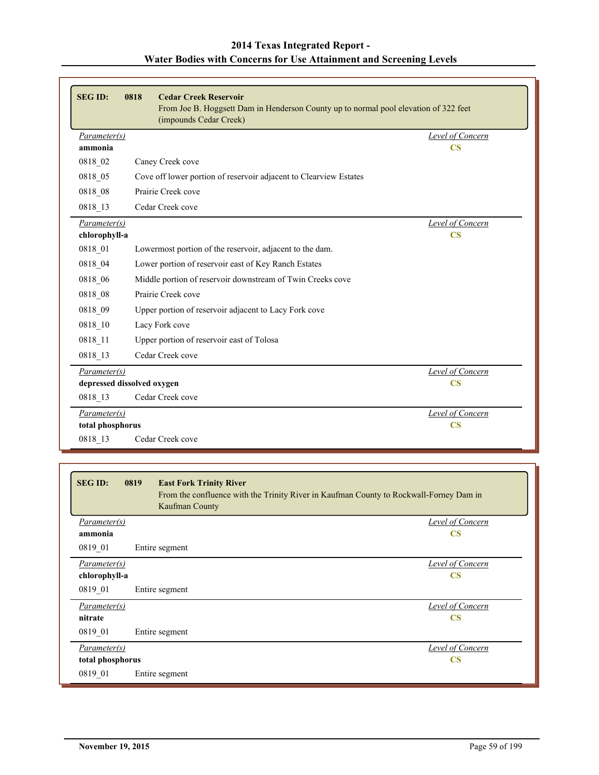| <b>SEG ID:</b> | 0818<br><b>Cedar Creek Reservoir</b><br>From Joe B. Hoggsett Dam in Henderson County up to normal pool elevation of 322 feet<br>(impounds Cedar Creek) |                         |
|----------------|--------------------------------------------------------------------------------------------------------------------------------------------------------|-------------------------|
| Parameter(s)   |                                                                                                                                                        | Level of Concern        |
| ammonia        |                                                                                                                                                        | CS                      |
| 0818 02        | Caney Creek cove                                                                                                                                       |                         |
| 0818 05        | Cove off lower portion of reservoir adjacent to Clearview Estates                                                                                      |                         |
| 0818 08        | Prairie Creek cove                                                                                                                                     |                         |
| 0818 13        | Cedar Creek cove                                                                                                                                       |                         |
| Parameter(s)   |                                                                                                                                                        | <b>Level of Concern</b> |
| chlorophyll-a  |                                                                                                                                                        | $\overline{\text{CS}}$  |
| 0818 01        | Lowermost portion of the reservoir, adjacent to the dam.                                                                                               |                         |
| 0818 04        | Lower portion of reservoir east of Key Ranch Estates                                                                                                   |                         |
| 0818 06        | Middle portion of reservoir downstream of Twin Creeks cove                                                                                             |                         |
| 0818 08        | Prairie Creek cove                                                                                                                                     |                         |
| 0818 09        | Upper portion of reservoir adjacent to Lacy Fork cove                                                                                                  |                         |
| 0818 10        | Lacy Fork cove                                                                                                                                         |                         |
| 0818 11        | Upper portion of reservoir east of Tolosa                                                                                                              |                         |
| 0818 13        | Cedar Creek cove                                                                                                                                       |                         |
| Parameter(s)   |                                                                                                                                                        | <b>Level of Concern</b> |
|                | depressed dissolved oxygen                                                                                                                             | $\overline{\text{CS}}$  |
| 0818 13        | Cedar Creek cove                                                                                                                                       |                         |
| Parameter(s)   |                                                                                                                                                        | Level of Concern        |

**total phosphorus CS** 0818\_13 Cedar Creek cove

| <b>SEG ID:</b><br>0819<br><b>East Fork Trinity River</b><br>From the confluence with the Trinity River in Kaufman County to Rockwall-Forney Dam in<br>Kaufman County |                  |
|----------------------------------------------------------------------------------------------------------------------------------------------------------------------|------------------|
| Parameter(s)                                                                                                                                                         | Level of Concern |
| ammonia                                                                                                                                                              | CS               |
| 0819 01<br>Entire segment                                                                                                                                            |                  |
| Parameter(s)                                                                                                                                                         | Level of Concern |
| chlorophyll-a                                                                                                                                                        | CS               |
| 0819 01<br>Entire segment                                                                                                                                            |                  |
| Parameter(s)                                                                                                                                                         | Level of Concern |
| nitrate                                                                                                                                                              | CS               |
| 0819 01<br>Entire segment                                                                                                                                            |                  |
| Parameter(s)                                                                                                                                                         | Level of Concern |
| total phosphorus                                                                                                                                                     | CS               |
| 0819 01<br>Entire segment                                                                                                                                            |                  |

ī.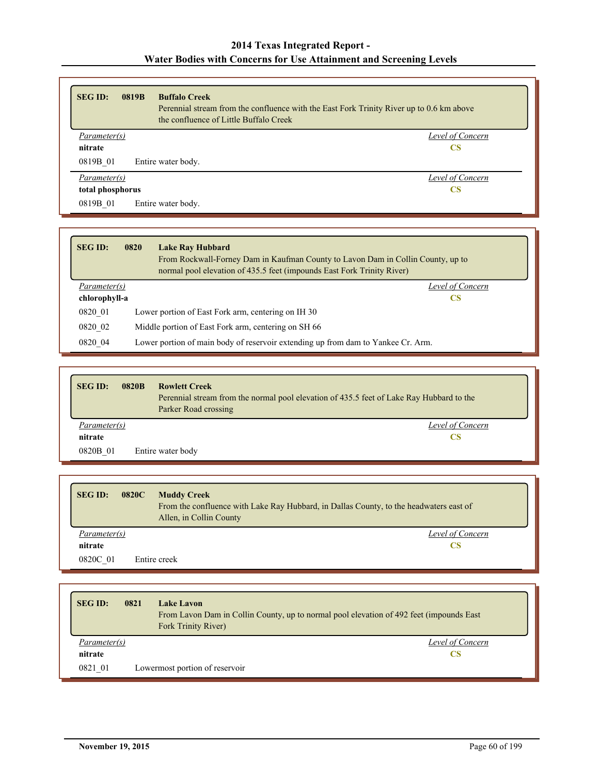| <b>SEG ID:</b>   | 0819B<br><b>Buffalo Creek</b><br>Perennial stream from the confluence with the East Fork Trinity River up to 0.6 km above<br>the confluence of Little Buffalo Creek |                  |
|------------------|---------------------------------------------------------------------------------------------------------------------------------------------------------------------|------------------|
| Parameter(s)     |                                                                                                                                                                     | Level of Concern |
| nitrate          |                                                                                                                                                                     | <b>CS</b>        |
| 0819B 01         | Entire water body.                                                                                                                                                  |                  |
| Parameter(s)     |                                                                                                                                                                     | Level of Concern |
| total phosphorus |                                                                                                                                                                     | <b>CS</b>        |
| 0819B 01         | Entire water body.                                                                                                                                                  |                  |

| <b>SEG ID:</b>                   | 0820 | <b>Lake Ray Hubbard</b><br>From Rockwall-Forney Dam in Kaufman County to Lavon Dam in Collin County, up to<br>normal pool elevation of 435.5 feet (impounds East Fork Trinity River) |  |
|----------------------------------|------|--------------------------------------------------------------------------------------------------------------------------------------------------------------------------------------|--|
| Level of Concern<br>Parameter(s) |      |                                                                                                                                                                                      |  |
| chlorophyll-a                    |      | CS                                                                                                                                                                                   |  |
| 0820 01                          |      | Lower portion of East Fork arm, centering on IH 30                                                                                                                                   |  |
| 0820 02                          |      | Middle portion of East Fork arm, centering on SH 66                                                                                                                                  |  |
| 0820 04                          |      | Lower portion of main body of reservoir extending up from dam to Yankee Cr. Arm.                                                                                                     |  |

| <b>SEG ID:</b> | 0820B<br><b>Rowlett Creek</b><br>Perennial stream from the normal pool elevation of 435.5 feet of Lake Ray Hubbard to the<br>Parker Road crossing |
|----------------|---------------------------------------------------------------------------------------------------------------------------------------------------|
| Parameter(s)   | Level of Concern                                                                                                                                  |
| nitrate        | CS                                                                                                                                                |
| 0820B 01       | Entire water body                                                                                                                                 |

| <b>SEG ID:</b><br>0820C | <b>Muddy Creek</b><br>From the confluence with Lake Ray Hubbard, in Dallas County, to the headwaters east of<br>Allen, in Collin County |
|-------------------------|-----------------------------------------------------------------------------------------------------------------------------------------|
| Parameter(s)            | Level of Concern                                                                                                                        |
| nitrate                 | CS                                                                                                                                      |
| 0820C 01                | Entire creek                                                                                                                            |

| <b>SEGID:</b> | 0821 | Lake Lavon<br>From Lavon Dam in Collin County, up to normal pool elevation of 492 feet (impounds East)<br>Fork Trinity River) |  |
|---------------|------|-------------------------------------------------------------------------------------------------------------------------------|--|
| Parameter(s)  |      | Level of Concern                                                                                                              |  |
| nitrate       |      | CS                                                                                                                            |  |
| 0821 01       |      | Lowermost portion of reservoir                                                                                                |  |

Г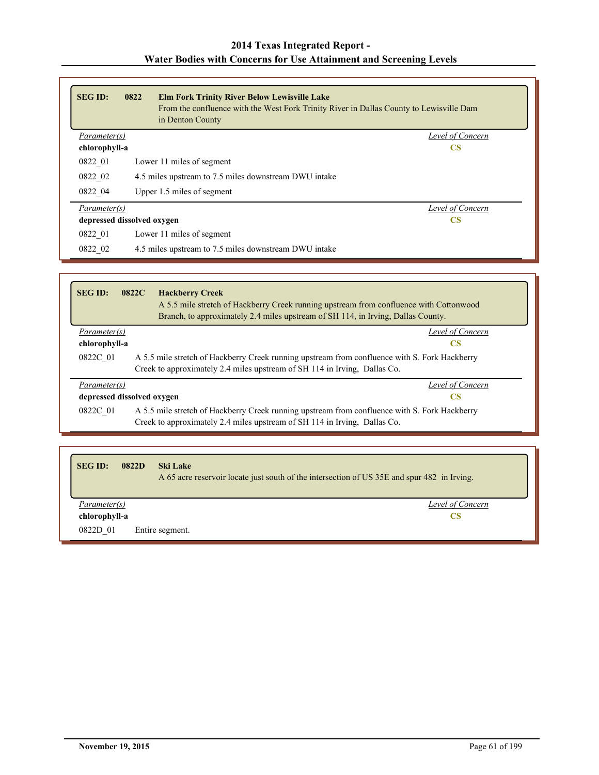| <b>SEG ID:</b> | 0822<br><b>Elm Fork Trinity River Below Lewisville Lake</b><br>From the confluence with the West Fork Trinity River in Dallas County to Lewisville Dam<br>in Denton County |                  |
|----------------|----------------------------------------------------------------------------------------------------------------------------------------------------------------------------|------------------|
| Parameter(s)   |                                                                                                                                                                            | Level of Concern |
| chlorophyll-a  |                                                                                                                                                                            | <b>CS</b>        |
| 0822 01        | Lower 11 miles of segment                                                                                                                                                  |                  |
| 0822 02        | 4.5 miles upstream to 7.5 miles downstream DWU intake                                                                                                                      |                  |
| 0822 04        | Upper 1.5 miles of segment                                                                                                                                                 |                  |
| Parameter(s)   |                                                                                                                                                                            | Level of Concern |
|                | depressed dissolved oxygen                                                                                                                                                 | <b>CS</b>        |
| 0822 01        | Lower 11 miles of segment                                                                                                                                                  |                  |
| 0822 02        | 4.5 miles upstream to 7.5 miles downstream DWU intake                                                                                                                      |                  |

| <b>SEG ID:</b>                          | 0822C<br><b>Hackberry Creek</b><br>A 5.5 mile stretch of Hackberry Creek running upstream from confluence with Cottonwood<br>Branch, to approximately 2.4 miles upstream of SH 114, in Irving, Dallas County. |
|-----------------------------------------|---------------------------------------------------------------------------------------------------------------------------------------------------------------------------------------------------------------|
| Parameter(s)                            | Level of Concern                                                                                                                                                                                              |
| chlorophyll-a                           | CS                                                                                                                                                                                                            |
| 0822C 01                                | A 5.5 mile stretch of Hackberry Creek running upstream from confluence with S. Fork Hackberry<br>Creek to approximately 2.4 miles upstream of SH 114 in Irving, Dallas Co.                                    |
| Parameter(s)                            | Level of Concern                                                                                                                                                                                              |
| depressed dissolved oxygen<br><b>CS</b> |                                                                                                                                                                                                               |
| 0822C 01                                | A 5.5 mile stretch of Hackberry Creek running upstream from confluence with S. Fork Hackberry<br>Creek to approximately 2.4 miles upstream of SH 114 in Irving, Dallas Co.                                    |

| <b>SEG ID:</b> | 0822D | <b>Ski Lake</b><br>A 65 acre reservoir locate just south of the intersection of US 35E and spur 482 in Irving. |
|----------------|-------|----------------------------------------------------------------------------------------------------------------|
| Parameter(s)   |       | Level of Concern                                                                                               |
| chlorophyll-a  |       | CS                                                                                                             |
| 0822D 01       |       | Entire segment.                                                                                                |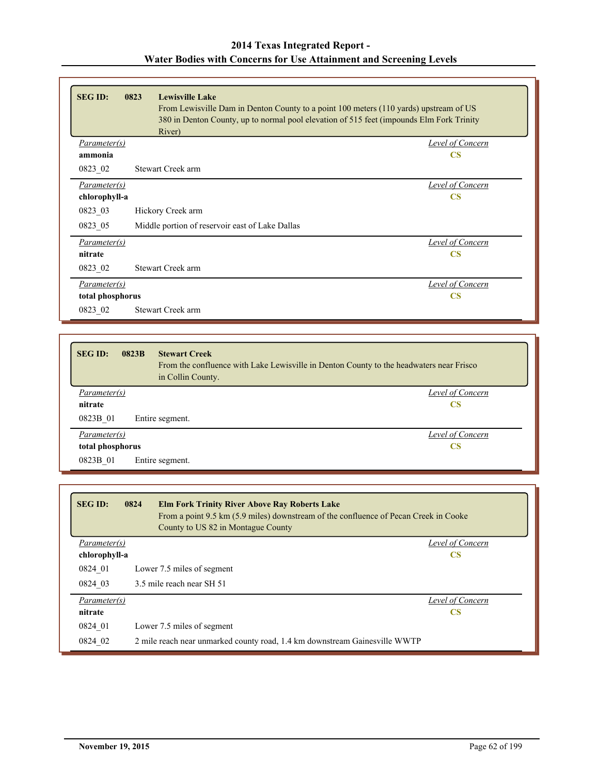| <b>SEG ID:</b>   | 0823<br><b>Lewisville Lake</b><br>River)        | From Lewisville Dam in Denton County to a point 100 meters (110 yards) upstream of US<br>380 in Denton County, up to normal pool elevation of 515 feet (impounds Elm Fork Trinity |
|------------------|-------------------------------------------------|-----------------------------------------------------------------------------------------------------------------------------------------------------------------------------------|
| Parameter(s)     |                                                 | <b>Level of Concern</b>                                                                                                                                                           |
| ammonia          |                                                 | <b>CS</b>                                                                                                                                                                         |
| 0823 02          | <b>Stewart Creek arm</b>                        |                                                                                                                                                                                   |
| Parameter(s)     |                                                 | <b>Level of Concern</b>                                                                                                                                                           |
| chlorophyll-a    |                                                 | <b>CS</b>                                                                                                                                                                         |
| 0823 03          | Hickory Creek arm                               |                                                                                                                                                                                   |
| 0823 05          | Middle portion of reservoir east of Lake Dallas |                                                                                                                                                                                   |
| Parameter(s)     |                                                 | Level of Concern                                                                                                                                                                  |
| nitrate          |                                                 | $\mathbf{CS}$                                                                                                                                                                     |
| 0823 02          | Stewart Creek arm                               |                                                                                                                                                                                   |
| Parameter(s)     |                                                 | Level of Concern                                                                                                                                                                  |
| total phosphorus |                                                 | <b>CS</b>                                                                                                                                                                         |
| 0823 02          | <b>Stewart Creek arm</b>                        |                                                                                                                                                                                   |

| <b>SEG ID:</b>      | 0823B | <b>Stewart Creek</b><br>From the confluence with Lake Lewisville in Denton County to the headwaters near Frisco<br>in Collin County. |  |
|---------------------|-------|--------------------------------------------------------------------------------------------------------------------------------------|--|
| <i>Parameter(s)</i> |       | Level of Concern                                                                                                                     |  |
| nitrate             |       | <b>CS</b>                                                                                                                            |  |
| 0823B 01            |       | Entire segment.                                                                                                                      |  |
| Parameter(s)        |       | Level of Concern                                                                                                                     |  |
| total phosphorus    |       | <b>CS</b>                                                                                                                            |  |
| 0823B 01            |       | Entire segment.                                                                                                                      |  |

| <b>SEG ID:</b>      | 0824<br><b>Elm Fork Trinity River Above Ray Roberts Lake</b><br>County to US 82 in Montague County | From a point 9.5 km (5.9 miles) downstream of the confluence of Pecan Creek in Cooke |
|---------------------|----------------------------------------------------------------------------------------------------|--------------------------------------------------------------------------------------|
| Parameter(s)        |                                                                                                    | Level of Concern                                                                     |
| chlorophyll-a       |                                                                                                    | CS                                                                                   |
| 0824 01             | Lower 7.5 miles of segment                                                                         |                                                                                      |
| 0824 03             | 3.5 mile reach near SH 51                                                                          |                                                                                      |
| <i>Parameter(s)</i> |                                                                                                    | Level of Concern                                                                     |
| nitrate             |                                                                                                    | <b>CS</b>                                                                            |
| 0824 01             | Lower 7.5 miles of segment                                                                         |                                                                                      |
| 0824 02             | 2 mile reach near unmarked county road, 1.4 km downstream Gainesville WWTP                         |                                                                                      |

Г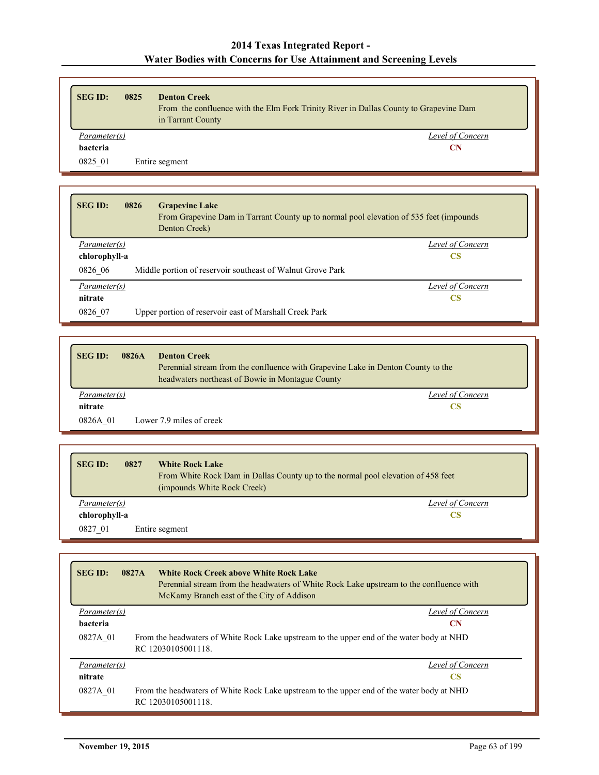| <b>SEG ID:</b> | 0825<br><b>Denton Creek</b><br>in Tarrant County | From the confluence with the Elm Fork Trinity River in Dallas County to Grapevine Dam |
|----------------|--------------------------------------------------|---------------------------------------------------------------------------------------|
| Parameter(s)   |                                                  | Level of Concern                                                                      |
| bacteria       |                                                  | CN                                                                                    |
| 0825 01        | Entire segment                                   |                                                                                       |

| <b>SEG ID:</b> | 0826<br><b>Grapevine Lake</b><br>From Grapevine Dam in Tarrant County up to normal pool elevation of 535 feet (impounds)<br>Denton Creek) |                  |
|----------------|-------------------------------------------------------------------------------------------------------------------------------------------|------------------|
| Parameter(s)   |                                                                                                                                           | Level of Concern |
| chlorophyll-a  |                                                                                                                                           | <b>CS</b>        |
| 0826 06        | Middle portion of reservoir southeast of Walnut Grove Park                                                                                |                  |
| Parameter(s)   |                                                                                                                                           | Level of Concern |
| nitrate        |                                                                                                                                           | <b>CS</b>        |
| 0826 07        | Upper portion of reservoir east of Marshall Creek Park                                                                                    |                  |

| <b>SEG ID:</b><br>0826A | <b>Denton Creek</b><br>Perennial stream from the confluence with Grapevine Lake in Denton County to the<br>headwaters northeast of Bowie in Montague County |
|-------------------------|-------------------------------------------------------------------------------------------------------------------------------------------------------------|
| Parameter(s)            | Level of Concern                                                                                                                                            |
| nitrate                 | CS                                                                                                                                                          |
| 0826A 01                | Lower 7.9 miles of creek                                                                                                                                    |

| <b>SEG ID:</b> | 0827<br><b>White Rock Lake</b><br>From White Rock Dam in Dallas County up to the normal pool elevation of 458 feet<br>(impounds White Rock Creek) |                  |
|----------------|---------------------------------------------------------------------------------------------------------------------------------------------------|------------------|
| Parameter(s)   |                                                                                                                                                   | Level of Concern |
| chlorophyll-a  |                                                                                                                                                   | <b>CS</b>        |
| 0827 01        | Entire segment                                                                                                                                    |                  |

| <b>SEG ID:</b> | 0827A<br><b>White Rock Creek above White Rock Lake</b><br>Perennial stream from the headwaters of White Rock Lake upstream to the confluence with<br>McKamy Branch east of the City of Addison |
|----------------|------------------------------------------------------------------------------------------------------------------------------------------------------------------------------------------------|
| Parameter(s)   | Level of Concern                                                                                                                                                                               |
| bacteria       | <b>CN</b>                                                                                                                                                                                      |
| 0827A 01       | From the headwaters of White Rock Lake upstream to the upper end of the water body at NHD<br>RC 12030105001118                                                                                 |
| Parameter(s)   | Level of Concern                                                                                                                                                                               |
| nitrate        | <b>CS</b>                                                                                                                                                                                      |
| 0827A 01       | From the headwaters of White Rock Lake upstream to the upper end of the water body at NHD<br>RC 12030105001118                                                                                 |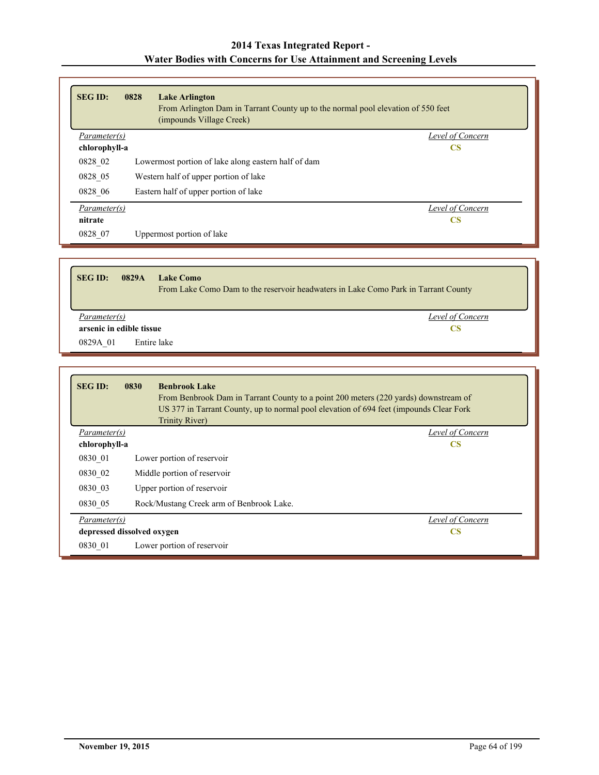| <b>SEG ID:</b> | 0828<br><b>Lake Arlington</b><br>From Arlington Dam in Tarrant County up to the normal pool elevation of 550 feet<br>(impounds Village Creek) |                  |
|----------------|-----------------------------------------------------------------------------------------------------------------------------------------------|------------------|
| Parameter(s)   |                                                                                                                                               | Level of Concern |
| chlorophyll-a  |                                                                                                                                               | <b>CS</b>        |
| 0828 02        | Lowermost portion of lake along eastern half of dam                                                                                           |                  |
| 0828 05        | Western half of upper portion of lake                                                                                                         |                  |
| 0828 06        | Eastern half of upper portion of lake                                                                                                         |                  |
| Parameter(s)   |                                                                                                                                               | Level of Concern |
| nitrate        |                                                                                                                                               | $\mathbf{CS}$    |
| 0828 07        | Uppermost portion of lake                                                                                                                     |                  |

| <b>SEG ID:</b>           | 0829A       | Lake Como<br>From Lake Como Dam to the reservoir headwaters in Lake Como Park in Tarrant County |
|--------------------------|-------------|-------------------------------------------------------------------------------------------------|
| Parameter(s)             |             | Level of Concern                                                                                |
| arsenic in edible tissue |             | CS                                                                                              |
| 0829A 01                 | Entire lake |                                                                                                 |

| <b>SEGID:</b>              | 0830<br><b>Benbrook Lake</b><br>From Benbrook Dam in Tarrant County to a point 200 meters (220 yards) downstream of<br>US 377 in Tarrant County, up to normal pool elevation of 694 feet (impounds Clear Fork<br>Trinity River) |                  |
|----------------------------|---------------------------------------------------------------------------------------------------------------------------------------------------------------------------------------------------------------------------------|------------------|
| Parameter(s)               |                                                                                                                                                                                                                                 | Level of Concern |
| chlorophyll-a              |                                                                                                                                                                                                                                 | $\mathbf{CS}$    |
| 0830 01                    | Lower portion of reservoir                                                                                                                                                                                                      |                  |
| 0830 02                    | Middle portion of reservoir                                                                                                                                                                                                     |                  |
| 0830 03                    | Upper portion of reservoir                                                                                                                                                                                                      |                  |
| 0830 05                    | Rock/Mustang Creek arm of Benbrook Lake.                                                                                                                                                                                        |                  |
| Parameter(s)               |                                                                                                                                                                                                                                 | Level of Concern |
| depressed dissolved oxygen |                                                                                                                                                                                                                                 | <b>CS</b>        |
| 0830 01                    | Lower portion of reservoir                                                                                                                                                                                                      |                  |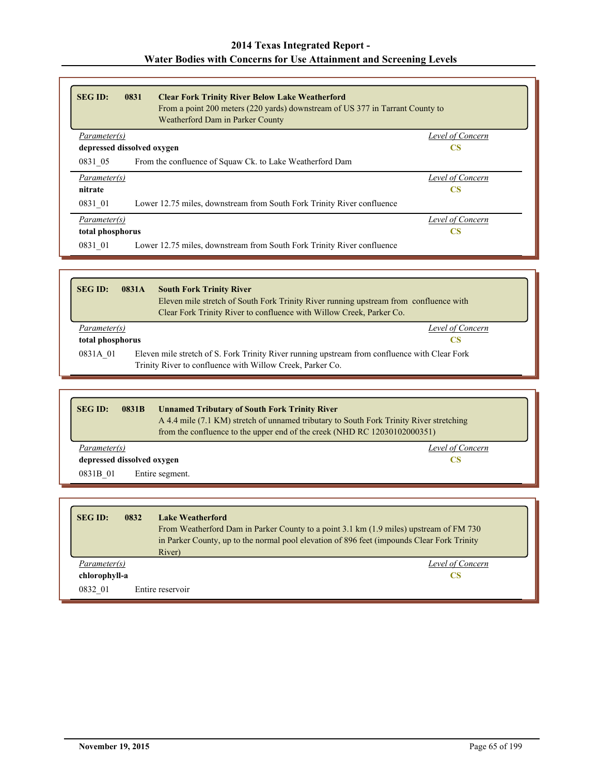| <b>SEG ID:</b>      | 0831<br><b>Clear Fork Trinity River Below Lake Weatherford</b><br>From a point 200 meters (220 yards) downstream of US 377 in Tarrant County to<br>Weatherford Dam in Parker County |                  |
|---------------------|-------------------------------------------------------------------------------------------------------------------------------------------------------------------------------------|------------------|
| <i>Parameter(s)</i> |                                                                                                                                                                                     | Level of Concern |
|                     | depressed dissolved oxygen                                                                                                                                                          | CS               |
| 0831 05             | From the confluence of Squaw Ck. to Lake Weatherford Dam                                                                                                                            |                  |
| Parameter(s)        |                                                                                                                                                                                     | Level of Concern |
| nitrate             |                                                                                                                                                                                     | <b>CS</b>        |
| 0831 01             | Lower 12.75 miles, downstream from South Fork Trinity River confluence                                                                                                              |                  |
| Parameter(s)        |                                                                                                                                                                                     | Level of Concern |
| total phosphorus    |                                                                                                                                                                                     | CS               |
| 0831 01             | Lower 12.75 miles, downstream from South Fork Trinity River confluence                                                                                                              |                  |

| <b>SEG ID:</b>   | 0831A | <b>South Fork Trinity River</b><br>Eleven mile stretch of South Fork Trinity River running upstream from confluence with<br>Clear Fork Trinity River to confluence with Willow Creek, Parker Co. |
|------------------|-------|--------------------------------------------------------------------------------------------------------------------------------------------------------------------------------------------------|
| Parameter(s)     |       | Level of Concern                                                                                                                                                                                 |
| total phosphorus |       | CS                                                                                                                                                                                               |
| 0831A 01         |       | Eleven mile stretch of S. Fork Trinity River running upstream from confluence with Clear Fork<br>Trinity River to confluence with Willow Creek, Parker Co.                                       |

| <b>SEGID:</b>                    | <b>Unnamed Tributary of South Fork Trinity River</b><br>0831B<br>A 4.4 mile (7.1 KM) stretch of unnamed tributary to South Fork Trinity River stretching<br>from the confluence to the upper end of the creek (NHD RC 12030102000351) |  |  |  |  |
|----------------------------------|---------------------------------------------------------------------------------------------------------------------------------------------------------------------------------------------------------------------------------------|--|--|--|--|
| Level of Concern<br>Parameter(s) |                                                                                                                                                                                                                                       |  |  |  |  |
| depressed dissolved oxygen       |                                                                                                                                                                                                                                       |  |  |  |  |
| 0831B 01                         | Entire segment.                                                                                                                                                                                                                       |  |  |  |  |
|                                  |                                                                                                                                                                                                                                       |  |  |  |  |
|                                  |                                                                                                                                                                                                                                       |  |  |  |  |

| <b>SEG ID:</b> | 0832<br><b>Lake Weatherford</b>                                                            |
|----------------|--------------------------------------------------------------------------------------------|
|                | From Weatherford Dam in Parker County to a point 3.1 km (1.9 miles) upstream of FM 730     |
|                | in Parker County, up to the normal pool elevation of 896 feet (impounds Clear Fork Trinity |
|                | River)                                                                                     |
| Parameter(s)   | Level of Concern                                                                           |
| chlorophyll-a  |                                                                                            |
| 0832 01        | Entire reservoir                                                                           |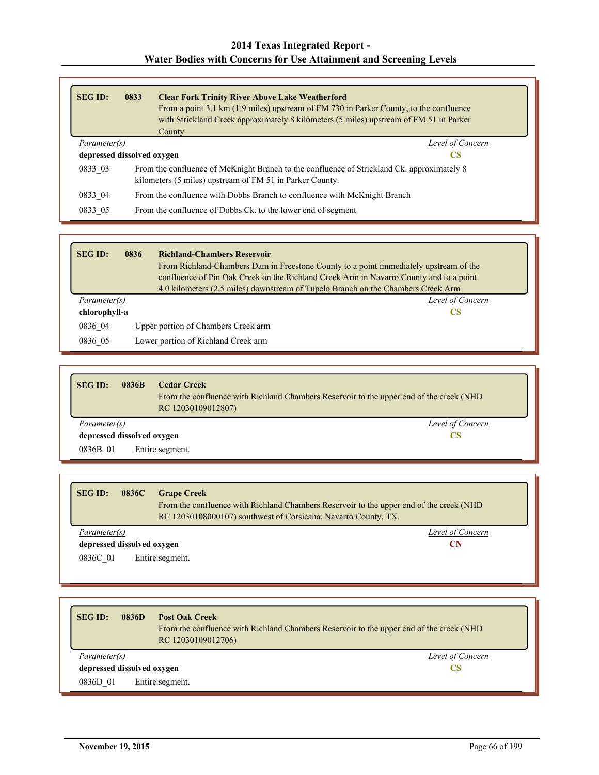| <b>SEG ID:</b>                                                                                                                                                    | 0833 | <b>Clear Fork Trinity River Above Lake Weatherford</b><br>From a point 3.1 km (1.9 miles) upstream of FM 730 in Parker County, to the confluence<br>with Strickland Creek approximately 8 kilometers (5 miles) upstream of FM 51 in Parker<br>County |                  |
|-------------------------------------------------------------------------------------------------------------------------------------------------------------------|------|------------------------------------------------------------------------------------------------------------------------------------------------------------------------------------------------------------------------------------------------------|------------------|
| Parameter(s)                                                                                                                                                      |      |                                                                                                                                                                                                                                                      | Level of Concern |
| depressed dissolved oxygen                                                                                                                                        |      |                                                                                                                                                                                                                                                      | <b>CS</b>        |
| 0833 03<br>From the confluence of McKnight Branch to the confluence of Strickland Ck, approximately 8<br>kilometers (5 miles) upstream of FM 51 in Parker County. |      |                                                                                                                                                                                                                                                      |                  |
| 0833 04                                                                                                                                                           |      | From the confluence with Dobbs Branch to confluence with McKnight Branch                                                                                                                                                                             |                  |
| 0833 05                                                                                                                                                           |      | From the confluence of Dobbs Ck, to the lower end of segment                                                                                                                                                                                         |                  |

| <b>SEG ID:</b> | 0836 | <b>Richland-Chambers Reservoir</b>                                                     |
|----------------|------|----------------------------------------------------------------------------------------|
|                |      | From Richland-Chambers Dam in Freestone County to a point immediately upstream of the  |
|                |      | confluence of Pin Oak Creek on the Richland Creek Arm in Navarro County and to a point |
|                |      | 4.0 kilometers (2.5 miles) downstream of Tupelo Branch on the Chambers Creek Arm       |
| Parameter(s)   |      | Level of Concern                                                                       |
| chlorophyll-a  |      | CS                                                                                     |
| 0836 04        |      | Upper portion of Chambers Creek arm                                                    |
| 0836 05        |      | Lower portion of Richland Creek arm                                                    |

| <b>SEG ID:</b>             | 0836B | <b>Cedar Creek</b><br>From the confluence with Richland Chambers Reservoir to the upper end of the creek (NHD)<br>RC 12030109012807) |  |
|----------------------------|-------|--------------------------------------------------------------------------------------------------------------------------------------|--|
| <i>Parameter(s)</i>        |       | Level of Concern                                                                                                                     |  |
| depressed dissolved oxygen |       | <b>CS</b>                                                                                                                            |  |
| 0836B 01                   |       | Entire segment.                                                                                                                      |  |

| <b>SEG ID:</b>                   | 0836C | <b>Grape Creek</b><br>From the confluence with Richland Chambers Reservoir to the upper end of the creek (NHD)<br>RC 12030108000107) southwest of Corsicana, Navarro County, TX. |
|----------------------------------|-------|----------------------------------------------------------------------------------------------------------------------------------------------------------------------------------|
| Level of Concern<br>Parameter(s) |       |                                                                                                                                                                                  |
| depressed dissolved oxygen<br>СN |       |                                                                                                                                                                                  |

0836C\_01 Entire segment.

| <b>SEG ID:</b> | <b>Post Oak Creek</b><br>0836D<br>RC 12030109012706) | From the confluence with Richland Chambers Reservoir to the upper end of the creek (NHD) |
|----------------|------------------------------------------------------|------------------------------------------------------------------------------------------|
| Parameter(s)   |                                                      | Level of Concern                                                                         |
|                | depressed dissolved oxygen                           | CS                                                                                       |
| 0836D 01       | Entire segment.                                      |                                                                                          |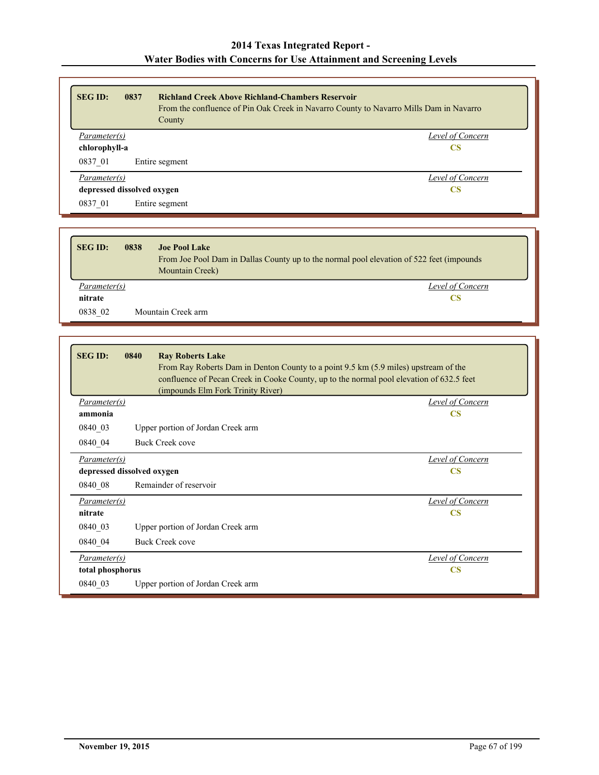| <b>SEG ID:</b>             | <b>Richland Creek Above Richland-Chambers Reservoir</b><br>0837<br>County | From the confluence of Pin Oak Creek in Navarro County to Navarro Mills Dam in Navarro |
|----------------------------|---------------------------------------------------------------------------|----------------------------------------------------------------------------------------|
| Parameter(s)               |                                                                           | Level of Concern                                                                       |
| chlorophyll-a              |                                                                           | CS                                                                                     |
| 0837 01                    | Entire segment                                                            |                                                                                        |
| Parameter(s)               |                                                                           | Level of Concern                                                                       |
| depressed dissolved oxygen |                                                                           | <b>CS</b>                                                                              |
| 0837 01                    | Entire segment                                                            |                                                                                        |

| <b>SEG ID:</b>      | 0838<br><b>Joe Pool Lake</b><br>From Joe Pool Dam in Dallas County up to the normal pool elevation of 522 feet (impounds)<br><b>Mountain Creek</b> ) |
|---------------------|------------------------------------------------------------------------------------------------------------------------------------------------------|
| <i>Parameter(s)</i> | Level of Concern                                                                                                                                     |
| nitrate             | CS                                                                                                                                                   |
| 0838 02             | Mountain Creek arm                                                                                                                                   |

| <b>SEG ID:</b>   | 0840<br><b>Ray Roberts Lake</b><br>(impounds Elm Fork Trinity River) | From Ray Roberts Dam in Denton County to a point 9.5 km (5.9 miles) upstream of the<br>confluence of Pecan Creek in Cooke County, up to the normal pool elevation of 632.5 feet |
|------------------|----------------------------------------------------------------------|---------------------------------------------------------------------------------------------------------------------------------------------------------------------------------|
| Parameter(s)     |                                                                      | Level of Concern                                                                                                                                                                |
| ammonia          |                                                                      | $\overline{\text{CS}}$                                                                                                                                                          |
| 0840 03          | Upper portion of Jordan Creek arm                                    |                                                                                                                                                                                 |
| 0840 04          | Buck Creek cove                                                      |                                                                                                                                                                                 |
| Parameter(s)     |                                                                      | Level of Concern                                                                                                                                                                |
|                  | depressed dissolved oxygen                                           | <b>CS</b>                                                                                                                                                                       |
| 0840 08          | Remainder of reservoir                                               |                                                                                                                                                                                 |
| Parameter(s)     |                                                                      | Level of Concern                                                                                                                                                                |
| nitrate          |                                                                      | $\overline{\text{CS}}$                                                                                                                                                          |
| 0840 03          | Upper portion of Jordan Creek arm                                    |                                                                                                                                                                                 |
| 0840 04          | <b>Buck Creek cove</b>                                               |                                                                                                                                                                                 |
| Parameter(s)     |                                                                      | Level of Concern                                                                                                                                                                |
| total phosphorus |                                                                      | $\mathbf{CS}$                                                                                                                                                                   |
| 0840 03          | Upper portion of Jordan Creek arm                                    |                                                                                                                                                                                 |

Ē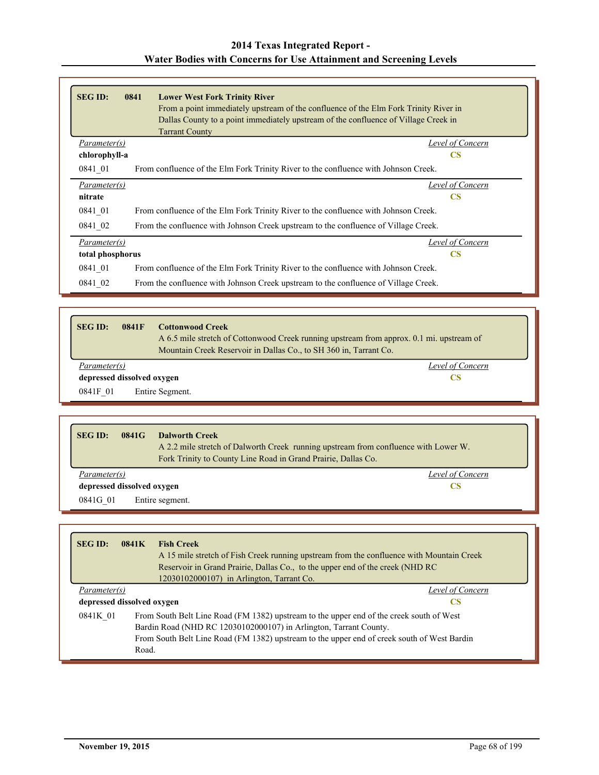| 0841                | <b>Lower West Fork Trinity River</b>                                                 |
|---------------------|--------------------------------------------------------------------------------------|
|                     | From a point immediately upstream of the confluence of the Elm Fork Trinity River in |
|                     | Dallas County to a point immediately upstream of the confluence of Village Creek in  |
|                     | <b>Tarrant County</b>                                                                |
| <i>Parameter(s)</i> | Level of Concern                                                                     |
| chlorophyll-a       | <b>CS</b>                                                                            |
|                     | From confluence of the Elm Fork Trinity River to the confluence with Johnson Creek.  |
| Parameter(s)        | Level of Concern                                                                     |
|                     | <b>CS</b>                                                                            |
|                     | From confluence of the Elm Fork Trinity River to the confluence with Johnson Creek.  |
|                     | From the confluence with Johnson Creek upstream to the confluence of Village Creek.  |
| <i>Parameter(s)</i> | Level of Concern                                                                     |
| total phosphorus    | <b>CS</b>                                                                            |
|                     | From confluence of the Elm Fork Trinity River to the confluence with Johnson Creek.  |
|                     | From the confluence with Johnson Creek upstream to the confluence of Village Creek.  |
|                     |                                                                                      |

| <b>SEG ID:</b><br>0841F | <b>Cottonwood Creek</b><br>A 6.5 mile stretch of Cottonwood Creek running upstream from approx. 0.1 mi. upstream of<br>Mountain Creek Reservoir in Dallas Co., to SH 360 in, Tarrant Co. |  |  |
|-------------------------|------------------------------------------------------------------------------------------------------------------------------------------------------------------------------------------|--|--|
| Parameter(s)            | Level of Concern                                                                                                                                                                         |  |  |
|                         | depressed dissolved oxygen<br>CS                                                                                                                                                         |  |  |
| 0841F 01                | Entire Segment.                                                                                                                                                                          |  |  |

| <b>SEG ID:</b><br>0841G          | <b>Dalworth Creek</b><br>A 2.2 mile stretch of Dalworth Creek running upstream from confluence with Lower W.<br>Fork Trinity to County Line Road in Grand Prairie, Dallas Co. |
|----------------------------------|-------------------------------------------------------------------------------------------------------------------------------------------------------------------------------|
| Level of Concern<br>Parameter(s) |                                                                                                                                                                               |
| depressed dissolved oxygen<br>CS |                                                                                                                                                                               |
| 0841G 01                         | Entire segment.                                                                                                                                                               |

| <b>SEG ID:</b>                                                                                                                                                                                                                                                                    | 0841K | <b>Fish Creek</b><br>A 15 mile stretch of Fish Creek running upstream from the confluence with Mountain Creek<br>Reservoir in Grand Prairie, Dallas Co., to the upper end of the creek (NHD RC<br>12030102000107) in Arlington, Tarrant Co. |  |
|-----------------------------------------------------------------------------------------------------------------------------------------------------------------------------------------------------------------------------------------------------------------------------------|-------|---------------------------------------------------------------------------------------------------------------------------------------------------------------------------------------------------------------------------------------------|--|
| Level of Concern<br>Parameter(s)                                                                                                                                                                                                                                                  |       |                                                                                                                                                                                                                                             |  |
| depressed dissolved oxygen<br>CS                                                                                                                                                                                                                                                  |       |                                                                                                                                                                                                                                             |  |
| From South Belt Line Road (FM 1382) upstream to the upper end of the creek south of West<br>0841K 01<br>Bardin Road (NHD RC 12030102000107) in Arlington, Tarrant County.<br>From South Belt Line Road (FM 1382) upstream to the upper end of creek south of West Bardin<br>Road. |       |                                                                                                                                                                                                                                             |  |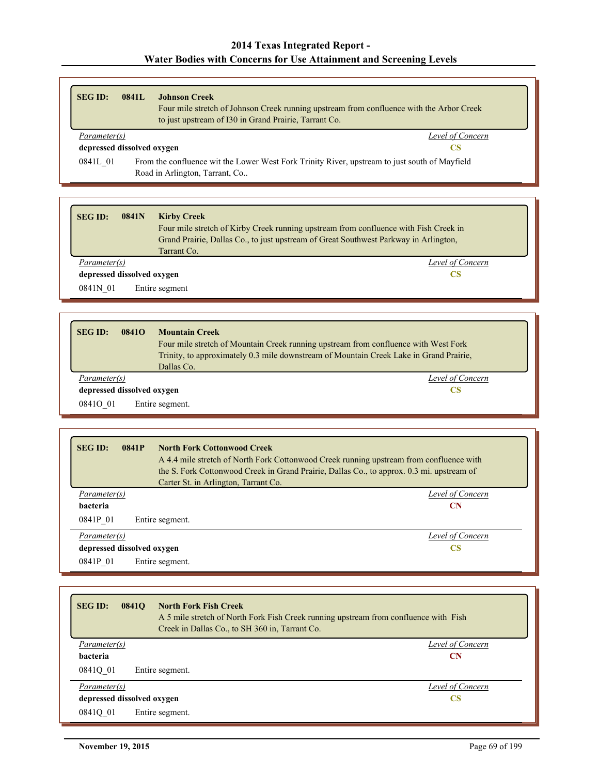| <b>SEG ID:</b>                             | 0841L | Johnson Creek<br>Four mile stretch of Johnson Creek running upstream from confluence with the Arbor Creek<br>to just upstream of I30 in Grand Prairie, Tarrant Co. |                  |
|--------------------------------------------|-------|--------------------------------------------------------------------------------------------------------------------------------------------------------------------|------------------|
| Parameter(s)                               |       |                                                                                                                                                                    | Level of Concern |
| depressed dissolved oxygen                 |       |                                                                                                                                                                    | CS               |
| 0841L 01<br>Road in Arlington, Tarrant, Co |       | From the confluence wit the Lower West Fork Trinity River, upstream to just south of Mayfield                                                                      |                  |
|                                            |       |                                                                                                                                                                    |                  |

| <b>SEG ID:</b>             | 0841N | <b>Kirby Creek</b>                                                                   |
|----------------------------|-------|--------------------------------------------------------------------------------------|
|                            |       | Four mile stretch of Kirby Creek running upstream from confluence with Fish Creek in |
|                            |       | Grand Prairie, Dallas Co., to just upstream of Great Southwest Parkway in Arlington, |
|                            |       | Tarrant Co.                                                                          |
| Parameter(s)               |       | Level of Concern                                                                     |
| depressed dissolved oxygen |       | CS                                                                                   |
| 0841N 01                   |       | Entire segment                                                                       |

| <b>SEG ID:</b><br>0841Q    | <b>Mountain Creek</b><br>Four mile stretch of Mountain Creek running upstream from confluence with West Fork<br>Trinity, to approximately 0.3 mile downstream of Mountain Creek Lake in Grand Prairie,<br>Dallas Co. |
|----------------------------|----------------------------------------------------------------------------------------------------------------------------------------------------------------------------------------------------------------------|
| Parameter(s)               | Level of Concern                                                                                                                                                                                                     |
| depressed dissolved oxygen | CS                                                                                                                                                                                                                   |
| 0841O 01                   | Entire segment.                                                                                                                                                                                                      |

| <b>SEGID:</b><br>0841P     | <b>North Fork Cottonwood Creek</b>                                                        |  |
|----------------------------|-------------------------------------------------------------------------------------------|--|
|                            | A 4.4 mile stretch of North Fork Cottonwood Creek running upstream from confluence with   |  |
|                            | the S. Fork Cottonwood Creek in Grand Prairie, Dallas Co., to approx. 0.3 mi. upstream of |  |
|                            | Carter St. in Arlington, Tarrant Co.                                                      |  |
| Parameter(s)               | Level of Concern                                                                          |  |
| <b>bacteria</b>            | <b>CN</b>                                                                                 |  |
| 0841P 01                   | Entire segment.                                                                           |  |
| Parameter(s)               | Level of Concern                                                                          |  |
| depressed dissolved oxygen | CS                                                                                        |  |
| 0841P 01                   | Entire segment.                                                                           |  |

| <b>SEG ID:</b><br><b>0841Q</b> | <b>North Fork Fish Creek</b><br>A 5 mile stretch of North Fork Fish Creek running upstream from confluence with Fish<br>Creek in Dallas Co., to SH 360 in, Tarrant Co. |                  |
|--------------------------------|------------------------------------------------------------------------------------------------------------------------------------------------------------------------|------------------|
| Parameter(s)                   |                                                                                                                                                                        | Level of Concern |
| <b>bacteria</b>                |                                                                                                                                                                        | <b>CN</b>        |
| 0841Q 01                       | Entire segment.                                                                                                                                                        |                  |
| Parameter(s)                   |                                                                                                                                                                        | Level of Concern |
| depressed dissolved oxygen     |                                                                                                                                                                        | CS               |
| 0841Q 01                       | Entire segment.                                                                                                                                                        |                  |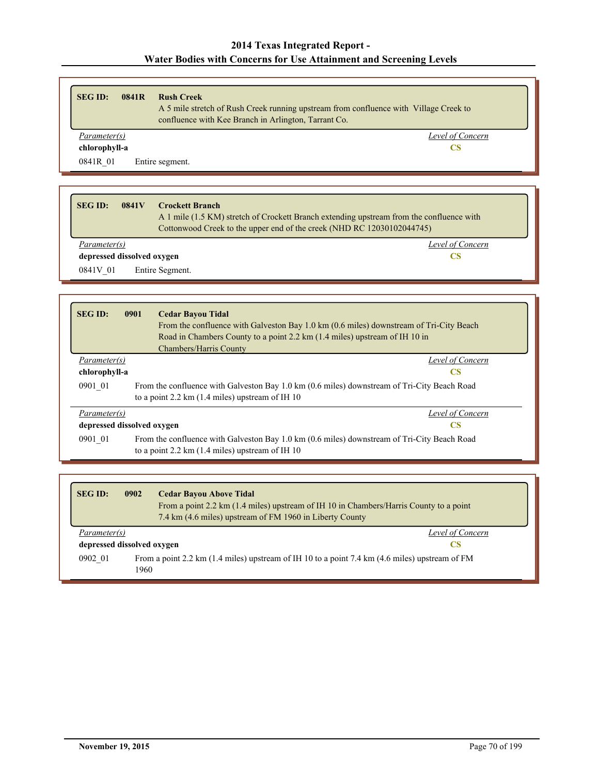| <b>SEG ID:</b><br>0841R | <b>Rush Creek</b><br>A 5 mile stretch of Rush Creek running upstream from confluence with Village Creek to<br>confluence with Kee Branch in Arlington, Tarrant Co. |                  |
|-------------------------|--------------------------------------------------------------------------------------------------------------------------------------------------------------------|------------------|
| Parameter(s)            |                                                                                                                                                                    | Level of Concern |
| chlorophyll-a           |                                                                                                                                                                    | CS               |
| 0841R 01                | Entire segment.                                                                                                                                                    |                  |

| <b>SEG ID:</b><br>0841 <sub>V</sub> | <b>Crockett Branch</b><br>A 1 mile (1.5 KM) stretch of Crockett Branch extending upstream from the confluence with<br>Cottonwood Creek to the upper end of the creek (NHD RC 12030102044745) |
|-------------------------------------|----------------------------------------------------------------------------------------------------------------------------------------------------------------------------------------------|
| Parameter(s)                        | Level of Concern                                                                                                                                                                             |
| depressed dissolved oxygen          | CS                                                                                                                                                                                           |
| 0841V 01<br>Entire Segment.         |                                                                                                                                                                                              |

| <b>SEG ID:</b>                                                                                                                                                      | 0901<br><b>Cedar Bayou Tidal</b>                                                                                                                         |  |
|---------------------------------------------------------------------------------------------------------------------------------------------------------------------|----------------------------------------------------------------------------------------------------------------------------------------------------------|--|
|                                                                                                                                                                     | From the confluence with Galveston Bay 1.0 km (0.6 miles) downstream of Tri-City Beach                                                                   |  |
|                                                                                                                                                                     | Road in Chambers County to a point 2.2 km (1.4 miles) upstream of IH 10 in                                                                               |  |
|                                                                                                                                                                     | <b>Chambers/Harris County</b>                                                                                                                            |  |
| Parameter(s)                                                                                                                                                        | Level of Concern                                                                                                                                         |  |
| chlorophyll-a                                                                                                                                                       | <b>CS</b>                                                                                                                                                |  |
| 0901 01                                                                                                                                                             | From the confluence with Galveston Bay 1.0 km (0.6 miles) downstream of Tri-City Beach Road<br>to a point $2.2 \text{ km}$ (1.4 miles) upstream of IH 10 |  |
| Parameter(s)                                                                                                                                                        | Level of Concern                                                                                                                                         |  |
| depressed dissolved oxygen                                                                                                                                          | <b>CS</b>                                                                                                                                                |  |
| From the confluence with Galveston Bay 1.0 km (0.6 miles) downstream of Tri-City Beach Road<br>0901 01<br>to a point $2.2 \text{ km}$ (1.4 miles) upstream of IH 10 |                                                                                                                                                          |  |

| <b>SEG ID:</b>                                                                                                    | 0902                             | <b>Cedar Bayou Above Tidal</b><br>From a point 2.2 km (1.4 miles) upstream of IH 10 in Chambers/Harris County to a point<br>7.4 km (4.6 miles) upstream of FM 1960 in Liberty County |  |
|-------------------------------------------------------------------------------------------------------------------|----------------------------------|--------------------------------------------------------------------------------------------------------------------------------------------------------------------------------------|--|
|                                                                                                                   | Level of Concern<br>Parameter(s) |                                                                                                                                                                                      |  |
| depressed dissolved oxygen                                                                                        |                                  | CS                                                                                                                                                                                   |  |
| From a point 2.2 km (1.4 miles) upstream of IH 10 to a point 7.4 km (4.6 miles) upstream of FM<br>0902 01<br>1960 |                                  |                                                                                                                                                                                      |  |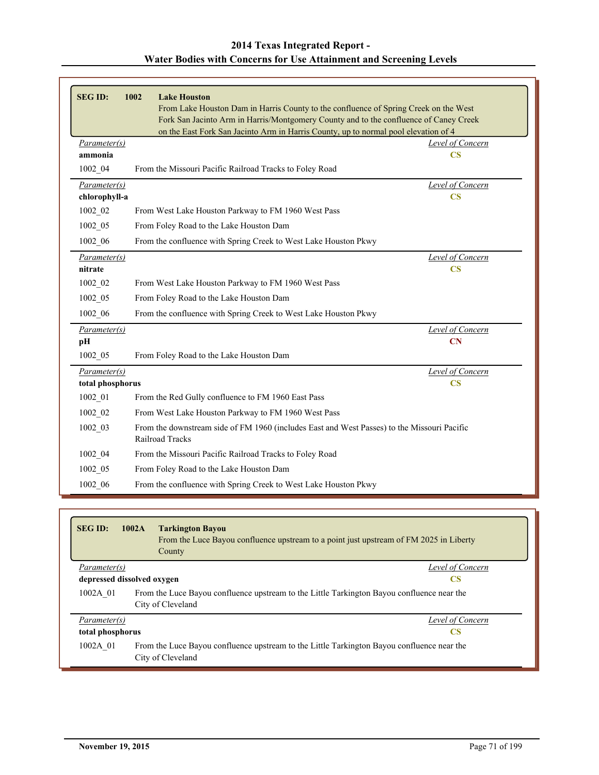| <b>SEG ID:</b>                   | 1002 | <b>Lake Houston</b><br>From Lake Houston Dam in Harris County to the confluence of Spring Creek on the West<br>Fork San Jacinto Arm in Harris/Montgomery County and to the confluence of Caney Creek<br>on the East Fork San Jacinto Arm in Harris County, up to normal pool elevation of 4 |                                                   |
|----------------------------------|------|---------------------------------------------------------------------------------------------------------------------------------------------------------------------------------------------------------------------------------------------------------------------------------------------|---------------------------------------------------|
| Parameter(s)                     |      |                                                                                                                                                                                                                                                                                             | Level of Concern                                  |
| ammonia                          |      |                                                                                                                                                                                                                                                                                             | $\overline{\text{CS}}$                            |
| 1002 04                          |      | From the Missouri Pacific Railroad Tracks to Foley Road                                                                                                                                                                                                                                     |                                                   |
| Parameter(s)<br>chlorophyll-a    |      |                                                                                                                                                                                                                                                                                             | Level of Concern<br>$\overline{\text{CS}}$        |
| 1002 02                          |      | From West Lake Houston Parkway to FM 1960 West Pass                                                                                                                                                                                                                                         |                                                   |
| 1002 05                          |      | From Foley Road to the Lake Houston Dam                                                                                                                                                                                                                                                     |                                                   |
| 1002 06                          |      | From the confluence with Spring Creek to West Lake Houston Pkwy                                                                                                                                                                                                                             |                                                   |
| Parameter(s)<br>nitrate          |      |                                                                                                                                                                                                                                                                                             | <b>Level of Concern</b><br>$\overline{\text{CS}}$ |
| $1002 - 02$                      |      | From West Lake Houston Parkway to FM 1960 West Pass                                                                                                                                                                                                                                         |                                                   |
| 1002 05                          |      | From Foley Road to the Lake Houston Dam                                                                                                                                                                                                                                                     |                                                   |
| 1002 06                          |      | From the confluence with Spring Creek to West Lake Houston Pkwy                                                                                                                                                                                                                             |                                                   |
| Parameter(s)<br>рH               |      |                                                                                                                                                                                                                                                                                             | Level of Concern<br><b>CN</b>                     |
| $1002 - 05$                      |      | From Foley Road to the Lake Houston Dam                                                                                                                                                                                                                                                     |                                                   |
| Parameter(s)<br>total phosphorus |      |                                                                                                                                                                                                                                                                                             | <b>Level of Concern</b><br>$\overline{\text{CS}}$ |
| 1002 01                          |      | From the Red Gully confluence to FM 1960 East Pass                                                                                                                                                                                                                                          |                                                   |
| $1002\_{02}$                     |      | From West Lake Houston Parkway to FM 1960 West Pass                                                                                                                                                                                                                                         |                                                   |
| 1002 03                          |      | From the downstream side of FM 1960 (includes East and West Passes) to the Missouri Pacific<br>Railroad Tracks                                                                                                                                                                              |                                                   |
| 1002 04                          |      | From the Missouri Pacific Railroad Tracks to Foley Road                                                                                                                                                                                                                                     |                                                   |
| $1002\_{05}$                     |      | From Foley Road to the Lake Houston Dam                                                                                                                                                                                                                                                     |                                                   |
| $1002\_{06}$                     |      | From the confluence with Spring Creek to West Lake Houston Pkwy                                                                                                                                                                                                                             |                                                   |
|                                  |      |                                                                                                                                                                                                                                                                                             |                                                   |

|                               | <b>SEG ID:</b>                   | 1002A                                                                                      | <b>Tarkington Bayou</b><br>From the Luce Bayou confluence upstream to a point just upstream of FM 2025 in Liberty<br>County |                  |
|-------------------------------|----------------------------------|--------------------------------------------------------------------------------------------|-----------------------------------------------------------------------------------------------------------------------------|------------------|
|                               | Parameter(s)                     |                                                                                            |                                                                                                                             | Level of Concern |
|                               | depressed dissolved oxygen       |                                                                                            |                                                                                                                             | CS               |
| 1002A 01<br>City of Cleveland |                                  | From the Luce Bayou confluence upstream to the Little Tarkington Bayou confluence near the |                                                                                                                             |                  |
|                               | Parameter(s)<br>total phosphorus |                                                                                            |                                                                                                                             | Level of Concern |
|                               |                                  |                                                                                            |                                                                                                                             | CS               |
|                               | 1002A 01                         |                                                                                            | From the Luce Bayou confluence upstream to the Little Tarkington Bayou confluence near the<br>City of Cleveland             |                  |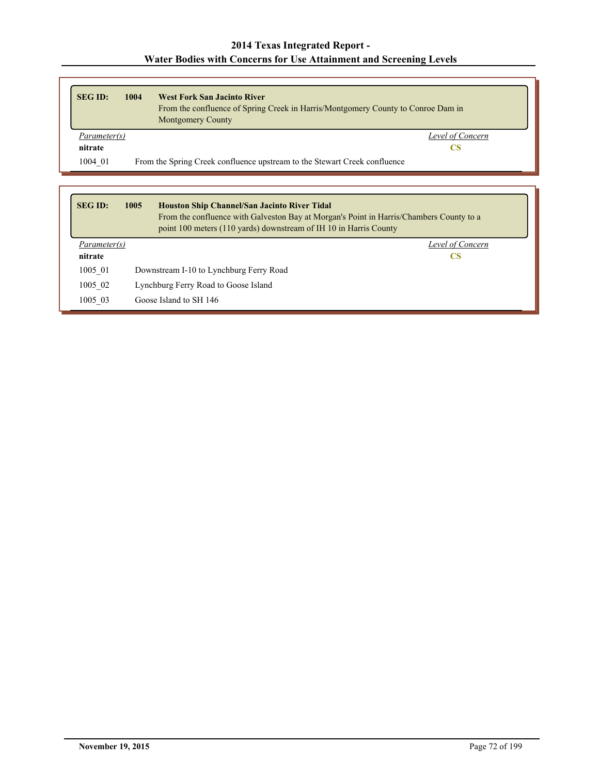| <b>SEG ID:</b> | 1004 | <b>West Fork San Jacinto River</b><br>From the confluence of Spring Creek in Harris/Montgomery County to Conroe Dam in<br><b>Montgomery County</b> |  |
|----------------|------|----------------------------------------------------------------------------------------------------------------------------------------------------|--|
| Parameter(s)   |      | Level of Concern                                                                                                                                   |  |
| nitrate        |      | CS                                                                                                                                                 |  |
| 1004 01        |      | From the Spring Creek confluence upstream to the Stewart Creek confluence                                                                          |  |

| <b>SEG ID:</b><br>1005<br><b>Houston Ship Channel/San Jacinto River Tidal</b><br>From the confluence with Galveston Bay at Morgan's Point in Harris/Chambers County to a<br>point 100 meters (110 yards) downstream of IH 10 in Harris County |  |                                         |  |
|-----------------------------------------------------------------------------------------------------------------------------------------------------------------------------------------------------------------------------------------------|--|-----------------------------------------|--|
| <i>Parameter(s)</i>                                                                                                                                                                                                                           |  | Level of Concern                        |  |
| nitrate                                                                                                                                                                                                                                       |  | CS                                      |  |
| 1005 01                                                                                                                                                                                                                                       |  | Downstream I-10 to Lynchburg Ferry Road |  |
| 1005 02                                                                                                                                                                                                                                       |  | Lynchburg Ferry Road to Goose Island    |  |
| 1005 03                                                                                                                                                                                                                                       |  | Goose Island to SH 146                  |  |

ī.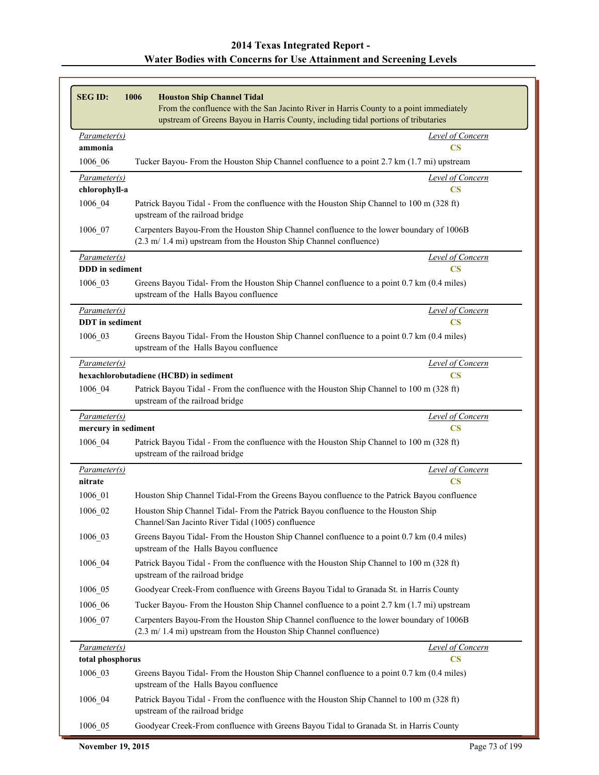| Parameter(s)                   | upstream of Greens Bayou in Harris County, including tidal portions of tributaries                                                                                     | <b>Level of Concern</b> |
|--------------------------------|------------------------------------------------------------------------------------------------------------------------------------------------------------------------|-------------------------|
| ammonia                        | $\overline{\text{CS}}$                                                                                                                                                 |                         |
| 1006_06                        | Tucker Bayou- From the Houston Ship Channel confluence to a point 2.7 km (1.7 mi) upstream                                                                             |                         |
| Parameter(s)                   |                                                                                                                                                                        | <b>Level of Concern</b> |
| chlorophyll-a                  | $\overline{\text{CS}}$                                                                                                                                                 |                         |
| 1006_04                        | Patrick Bayou Tidal - From the confluence with the Houston Ship Channel to 100 m (328 ft)<br>upstream of the railroad bridge                                           |                         |
| 1006 07                        | Carpenters Bayou-From the Houston Ship Channel confluence to the lower boundary of 1006B<br>(2.3 m/ 1.4 mi) upstream from the Houston Ship Channel confluence)         |                         |
| Parameter(s)                   |                                                                                                                                                                        | Level of Concern        |
| <b>DDD</b> in sediment         | $\overline{\text{CS}}$                                                                                                                                                 |                         |
| 1006 03                        | Greens Bayou Tidal- From the Houston Ship Channel confluence to a point 0.7 km (0.4 miles)<br>upstream of the Halls Bayou confluence                                   |                         |
| Parameter(s)                   |                                                                                                                                                                        | Level of Concern        |
| <b>DDT</b> in sediment         | <b>CS</b>                                                                                                                                                              |                         |
| 1006 03                        | Greens Bayou Tidal- From the Houston Ship Channel confluence to a point 0.7 km (0.4 miles)<br>upstream of the Halls Bayou confluence                                   |                         |
| <i>Parameter(s)</i>            |                                                                                                                                                                        | Level of Concern        |
|                                | hexachlorobutadiene (HCBD) in sediment<br>$\mathbf{CS}$                                                                                                                |                         |
| 1006 04                        | Patrick Bayou Tidal - From the confluence with the Houston Ship Channel to 100 m (328 ft)<br>upstream of the railroad bridge                                           |                         |
| Parameter(s)                   |                                                                                                                                                                        | Level of Concern        |
| mercury in sediment<br>1006 04 | <b>CS</b><br>Patrick Bayou Tidal - From the confluence with the Houston Ship Channel to 100 m (328 ft)<br>upstream of the railroad bridge                              |                         |
| Parameter(s)                   |                                                                                                                                                                        | Level of Concern        |
| nitrate                        | $\overline{\text{CS}}$                                                                                                                                                 |                         |
| 1006 01                        | Houston Ship Channel Tidal-From the Greens Bayou confluence to the Patrick Bayou confluence                                                                            |                         |
| 1006_02                        | Houston Ship Channel Tidal- From the Patrick Bayou confluence to the Houston Ship<br>Channel/San Jacinto River Tidal (1005) confluence                                 |                         |
| 1006 03                        | Greens Bayou Tidal- From the Houston Ship Channel confluence to a point 0.7 km (0.4 miles)<br>upstream of the Halls Bayou confluence                                   |                         |
| 1006_04                        | Patrick Bayou Tidal - From the confluence with the Houston Ship Channel to 100 m (328 ft)<br>upstream of the railroad bridge                                           |                         |
| 1006 05                        | Goodyear Creek-From confluence with Greens Bayou Tidal to Granada St. in Harris County                                                                                 |                         |
|                                | Tucker Bayou- From the Houston Ship Channel confluence to a point 2.7 km (1.7 mi) upstream                                                                             |                         |
|                                |                                                                                                                                                                        |                         |
| 1006_06<br>1006 07             | Carpenters Bayou-From the Houston Ship Channel confluence to the lower boundary of 1006B<br>(2.3 m/ 1.4 mi) upstream from the Houston Ship Channel confluence)         |                         |
| Parameter(s)                   |                                                                                                                                                                        | Level of Concern        |
| total phosphorus<br>1006 03    | $\overline{\text{CS}}$<br>Greens Bayou Tidal- From the Houston Ship Channel confluence to a point 0.7 km (0.4 miles)                                                   |                         |
| 1006 04                        | upstream of the Halls Bayou confluence<br>Patrick Bayou Tidal - From the confluence with the Houston Ship Channel to 100 m (328 ft)<br>upstream of the railroad bridge |                         |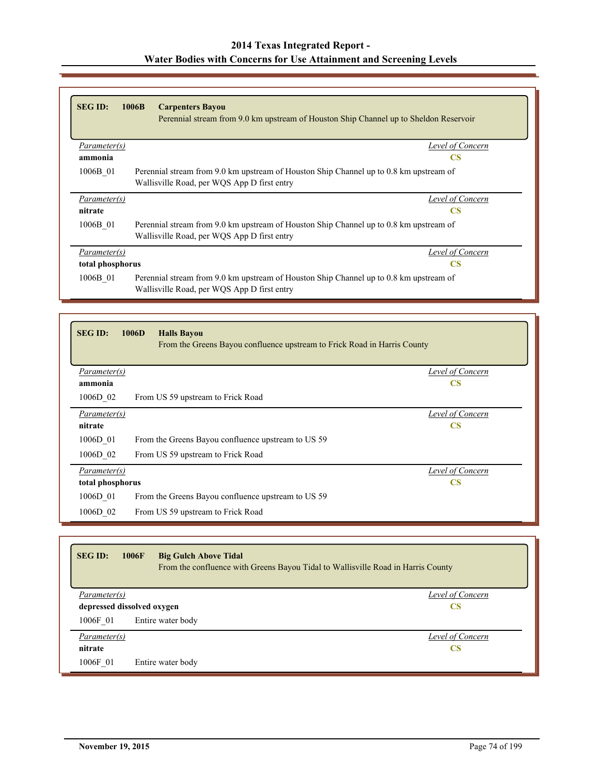| <b>SEG ID:</b>   | 1006B<br><b>Carpenters Bayou</b><br>Perennial stream from 9.0 km upstream of Houston Ship Channel up to Sheldon Reservoir             |
|------------------|---------------------------------------------------------------------------------------------------------------------------------------|
| Parameter(s)     | Level of Concern                                                                                                                      |
| ammonia          | <b>CS</b>                                                                                                                             |
| 1006B 01         | Perennial stream from 9.0 km upstream of Houston Ship Channel up to 0.8 km upstream of<br>Wallisville Road, per WQS App D first entry |
| Parameter(s)     | Level of Concern                                                                                                                      |
| nitrate          | <b>CS</b>                                                                                                                             |
| 1006B 01         | Perennial stream from 9.0 km upstream of Houston Ship Channel up to 0.8 km upstream of<br>Wallisville Road, per WQS App D first entry |
| Parameter(s)     | Level of Concern                                                                                                                      |
| total phosphorus | <b>CS</b>                                                                                                                             |
| 1006B 01         | Perennial stream from 9.0 km upstream of Houston Ship Channel up to 0.8 km upstream of<br>Wallisville Road, per WQS App D first entry |

| <b>SEG ID:</b>   | 1006D<br><b>Halls Bayou</b><br>From the Greens Bayou confluence upstream to Frick Road in Harris County |                        |
|------------------|---------------------------------------------------------------------------------------------------------|------------------------|
| Parameter(s)     |                                                                                                         | Level of Concern       |
| ammonia          |                                                                                                         | $\mathbf{CS}$          |
| 1006D 02         | From US 59 upstream to Frick Road                                                                       |                        |
| Parameter(s)     |                                                                                                         | Level of Concern       |
| nitrate          |                                                                                                         | $\mathbf{CS}$          |
| 1006D 01         | From the Greens Bayou confluence upstream to US 59                                                      |                        |
| 1006D 02         | From US 59 upstream to Frick Road                                                                       |                        |
| Parameter(s)     |                                                                                                         | Level of Concern       |
| total phosphorus |                                                                                                         | $\overline{\text{CS}}$ |
| 1006D 01         | From the Greens Bayou confluence upstream to US 59                                                      |                        |
| 1006D 02         | From US 59 upstream to Frick Road                                                                       |                        |

| <b>SEG ID:</b><br>1006F    | <b>Big Gulch Above Tidal</b><br>From the confluence with Greens Bayou Tidal to Wallisville Road in Harris County |
|----------------------------|------------------------------------------------------------------------------------------------------------------|
| Parameter(s)               | Level of Concern                                                                                                 |
| depressed dissolved oxygen | <b>CS</b>                                                                                                        |
| 1006F 01                   | Entire water body                                                                                                |
| Parameter(s)               | Level of Concern                                                                                                 |
| nitrate                    | <b>CS</b>                                                                                                        |
| 1006F 01                   | Entire water body                                                                                                |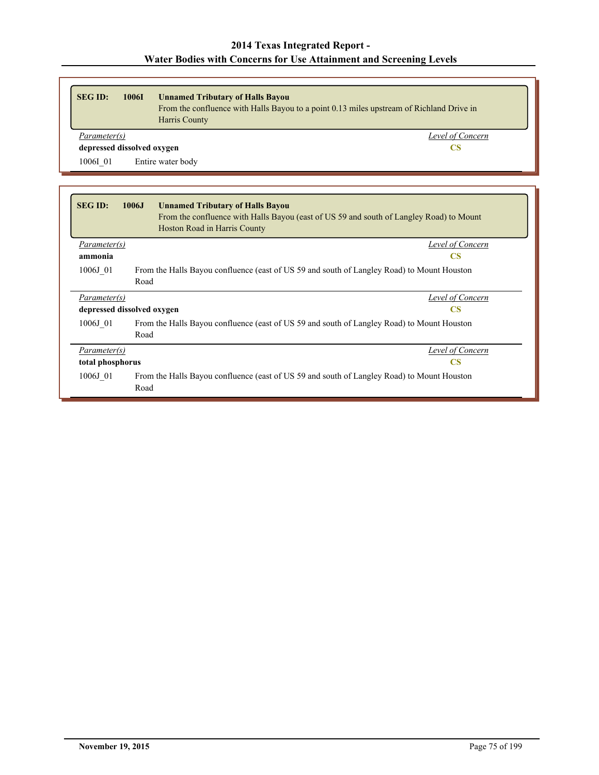| <b>Unnamed Tributary of Halls Bayou</b><br>From the confluence with Halls Bayou to a point 0.13 miles upstream of Richland Drive in<br>Harris County               |  |
|--------------------------------------------------------------------------------------------------------------------------------------------------------------------|--|
| Level of Concern                                                                                                                                                   |  |
| depressed dissolved oxygen<br><b>CS</b>                                                                                                                            |  |
| Entire water body                                                                                                                                                  |  |
|                                                                                                                                                                    |  |
| <b>Unnamed Tributary of Halls Bayou</b><br>From the confluence with Halls Bayou (east of US 59 and south of Langley Road) to Mount<br>Hoston Road in Harris County |  |
|                                                                                                                                                                    |  |

#### 1006J 01 From the Halls Bayou confluence (east of US 59 and south of Langley Road) to Mount Houston Road *Parameter(s) Level of Concern* **depressed dissolved oxygen CS** 1006J\_01 From the Halls Bayou confluence (east of US 59 and south of Langley Road) to Mount Houston Road *Parameter(s) Level of Concern* **total phosphorus CS** 1006J\_01 From the Halls Bayou confluence (east of US 59 and south of Langley Road) to Mount Houston Road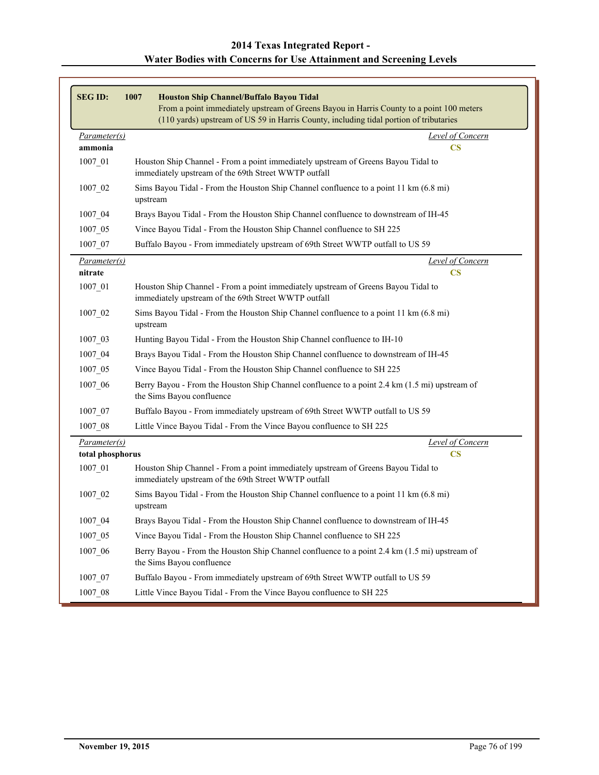| <b>SEGID:</b>                  | 1007<br>Houston Ship Channel/Buffalo Bayou Tidal<br>From a point immediately upstream of Greens Bayou in Harris County to a point 100 meters<br>(110 yards) upstream of US 59 in Harris County, including tidal portion of tributaries |
|--------------------------------|----------------------------------------------------------------------------------------------------------------------------------------------------------------------------------------------------------------------------------------|
| <i>Parameter(s)</i><br>ammonia | <b>Level of Concern</b><br>$\overline{\text{CS}}$                                                                                                                                                                                      |
| $1007 - 01$                    | Houston Ship Channel - From a point immediately upstream of Greens Bayou Tidal to<br>immediately upstream of the 69th Street WWTP outfall                                                                                              |
| $1007 - 02$                    | Sims Bayou Tidal - From the Houston Ship Channel confluence to a point 11 km (6.8 mi)<br>upstream                                                                                                                                      |
| $1007 - 04$                    | Brays Bayou Tidal - From the Houston Ship Channel confluence to downstream of IH-45                                                                                                                                                    |
| 1007_05                        | Vince Bayou Tidal - From the Houston Ship Channel confluence to SH 225                                                                                                                                                                 |
| 1007_07                        | Buffalo Bayou - From immediately upstream of 69th Street WWTP outfall to US 59                                                                                                                                                         |
| Parameter(s)                   | <b>Level of Concern</b>                                                                                                                                                                                                                |
| nitrate                        | $\overline{\text{CS}}$                                                                                                                                                                                                                 |
| $1007 - 01$                    | Houston Ship Channel - From a point immediately upstream of Greens Bayou Tidal to<br>immediately upstream of the 69th Street WWTP outfall                                                                                              |
| 1007 02                        | Sims Bayou Tidal - From the Houston Ship Channel confluence to a point 11 km (6.8 mi)<br>upstream                                                                                                                                      |
| $1007 - 03$                    | Hunting Bayou Tidal - From the Houston Ship Channel confluence to IH-10                                                                                                                                                                |
| $1007 - 04$                    | Brays Bayou Tidal - From the Houston Ship Channel confluence to downstream of IH-45                                                                                                                                                    |
| 1007_05                        | Vince Bayou Tidal - From the Houston Ship Channel confluence to SH 225                                                                                                                                                                 |
| 1007_06                        | Berry Bayou - From the Houston Ship Channel confluence to a point 2.4 km (1.5 mi) upstream of<br>the Sims Bayou confluence                                                                                                             |
| $1007 - 07$                    | Buffalo Bayou - From immediately upstream of 69th Street WWTP outfall to US 59                                                                                                                                                         |
| 1007_08                        | Little Vince Bayou Tidal - From the Vince Bayou confluence to SH 225                                                                                                                                                                   |
| <i>Parameter(s)</i>            | <b>Level of Concern</b>                                                                                                                                                                                                                |
| total phosphorus               | $\overline{\text{CS}}$                                                                                                                                                                                                                 |
| $1007 - 01$                    | Houston Ship Channel - From a point immediately upstream of Greens Bayou Tidal to<br>immediately upstream of the 69th Street WWTP outfall                                                                                              |
| 1007 02                        | Sims Bayou Tidal - From the Houston Ship Channel confluence to a point 11 km (6.8 mi)<br>upstream                                                                                                                                      |
| $1007 - 04$                    | Brays Bayou Tidal - From the Houston Ship Channel confluence to downstream of IH-45                                                                                                                                                    |
| 1007_05                        | Vince Bayou Tidal - From the Houston Ship Channel confluence to SH 225                                                                                                                                                                 |
| 1007_06                        | Berry Bayou - From the Houston Ship Channel confluence to a point 2.4 km (1.5 mi) upstream of<br>the Sims Bayou confluence                                                                                                             |
| 1007 07                        | Buffalo Bayou - From immediately upstream of 69th Street WWTP outfall to US 59                                                                                                                                                         |
| 1007_08                        | Little Vince Bayou Tidal - From the Vince Bayou confluence to SH 225                                                                                                                                                                   |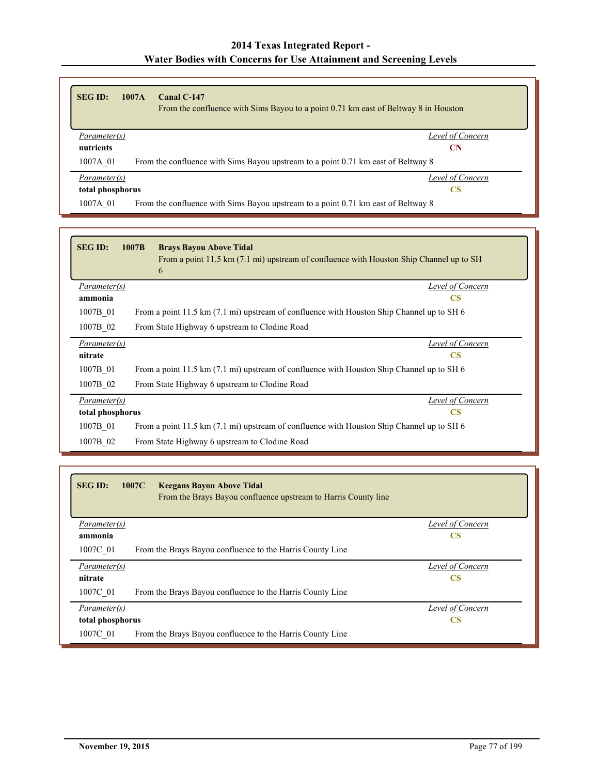| <b>SEG ID:</b>      | 1007A<br>Canal C-147                                                                |                  |
|---------------------|-------------------------------------------------------------------------------------|------------------|
|                     | From the confluence with Sims Bayou to a point 0.71 km east of Beltway 8 in Houston |                  |
| <i>Parameter(s)</i> |                                                                                     | Level of Concern |
| nutrients           |                                                                                     | CN               |
| 1007A 01            | From the confluence with Sims Bayou upstream to a point 0.71 km east of Beltway 8   |                  |
| Parameter(s)        |                                                                                     | Level of Concern |
| total phosphorus    |                                                                                     | CS               |
| 1007A 01            | From the confluence with Sims Bayou upstream to a point 0.71 km east of Beltway 8   |                  |

| <b>SEG ID:</b>      | 1007B<br><b>Brays Bayou Above Tidal</b><br>From a point 11.5 km (7.1 mi) upstream of confluence with Houston Ship Channel up to SH<br>6 |
|---------------------|-----------------------------------------------------------------------------------------------------------------------------------------|
| <i>Parameter(s)</i> | Level of Concern                                                                                                                        |
| ammonia             | <b>CS</b>                                                                                                                               |
| 1007B 01            | From a point 11.5 km (7.1 mi) upstream of confluence with Houston Ship Channel up to SH 6                                               |
| 1007B 02            | From State Highway 6 upstream to Clodine Road                                                                                           |
| Parameter(s)        | Level of Concern                                                                                                                        |
| nitrate             | $\mathbf{CS}$                                                                                                                           |
| 1007B 01            | From a point 11.5 km (7.1 mi) upstream of confluence with Houston Ship Channel up to SH 6                                               |
| 1007B 02            | From State Highway 6 upstream to Clodine Road                                                                                           |
| Parameter(s)        | Level of Concern                                                                                                                        |
| total phosphorus    | $\overline{\text{CS}}$                                                                                                                  |
| 1007B 01            | From a point 11.5 km (7.1 mi) upstream of confluence with Houston Ship Channel up to SH 6                                               |
| 1007B 02            | From State Highway 6 upstream to Clodine Road                                                                                           |

| <b>SEG ID:</b><br>1007C<br><b>Keegans Bayou Above Tidal</b><br>From the Brays Bayou confluence upstream to Harris County line |                  |
|-------------------------------------------------------------------------------------------------------------------------------|------------------|
| Parameter(s)                                                                                                                  | Level of Concern |
| ammonia                                                                                                                       | <b>CS</b>        |
| 1007C 01<br>From the Brays Bayou confluence to the Harris County Line                                                         |                  |
| Parameter(s)                                                                                                                  | Level of Concern |
| nitrate                                                                                                                       | <b>CS</b>        |
| 1007C 01<br>From the Brays Bayou confluence to the Harris County Line                                                         |                  |
| Parameter(s)                                                                                                                  | Level of Concern |
| total phosphorus                                                                                                              | <b>CS</b>        |
| 1007C 01<br>From the Brays Bayou confluence to the Harris County Line                                                         |                  |

Г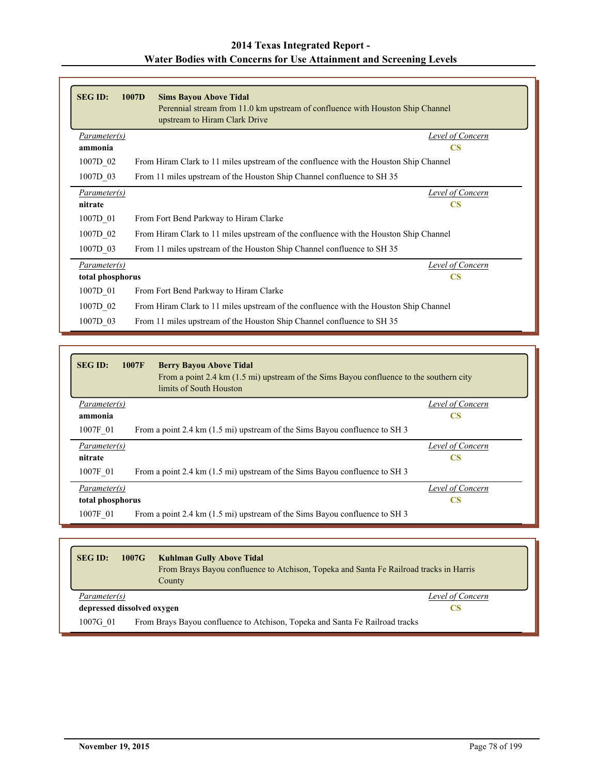| <b>SEG ID:</b>   | 1007D<br><b>Sims Bayou Above Tidal</b><br>Perennial stream from 11.0 km upstream of confluence with Houston Ship Channel<br>upstream to Hiram Clark Drive |
|------------------|-----------------------------------------------------------------------------------------------------------------------------------------------------------|
| Parameter(s)     | Level of Concern                                                                                                                                          |
| ammonia          | CS                                                                                                                                                        |
| 1007D_02         | From Hiram Clark to 11 miles upstream of the confluence with the Houston Ship Channel                                                                     |
| 1007D 03         | From 11 miles upstream of the Houston Ship Channel confluence to SH 35                                                                                    |
| Parameter(s)     | Level of Concern                                                                                                                                          |
| nitrate          | $\mathbf{CS}$                                                                                                                                             |
| 1007D_01         | From Fort Bend Parkway to Hiram Clarke                                                                                                                    |
| 1007D 02         | From Hiram Clark to 11 miles upstream of the confluence with the Houston Ship Channel                                                                     |
| 1007D 03         | From 11 miles upstream of the Houston Ship Channel confluence to SH 35                                                                                    |
| Parameter(s)     | <b>Level of Concern</b>                                                                                                                                   |
| total phosphorus | $\mathbf{CS}$                                                                                                                                             |
| 1007D_01         | From Fort Bend Parkway to Hiram Clarke                                                                                                                    |
| 1007D 02         | From Hiram Clark to 11 miles upstream of the confluence with the Houston Ship Channel                                                                     |
| 1007D_03         | From 11 miles upstream of the Houston Ship Channel confluence to SH 35                                                                                    |

| <b>SEG ID:</b>   | 1007F<br><b>Berry Bayou Above Tidal</b><br>From a point 2.4 km (1.5 mi) upstream of the Sims Bayou confluence to the southern city<br>limits of South Houston |                  |
|------------------|---------------------------------------------------------------------------------------------------------------------------------------------------------------|------------------|
| Parameter(s)     |                                                                                                                                                               | Level of Concern |
| ammonia          |                                                                                                                                                               | CS               |
| 1007F 01         | From a point 2.4 km (1.5 mi) upstream of the Sims Bayou confluence to SH 3                                                                                    |                  |
| Parameter(s)     |                                                                                                                                                               | Level of Concern |
| nitrate          |                                                                                                                                                               | <b>CS</b>        |
| 1007F 01         | From a point 2.4 km (1.5 mi) upstream of the Sims Bayou confluence to SH 3                                                                                    |                  |
| Parameter(s)     |                                                                                                                                                               | Level of Concern |
| total phosphorus |                                                                                                                                                               | <b>CS</b>        |
| 1007F 01         | From a point 2.4 km (1.5 mi) upstream of the Sims Bayou confluence to SH 3                                                                                    |                  |

| <b>SEG ID:</b>             | 1007G | <b>Kuhlman Gully Above Tidal</b><br>From Brays Bayou confluence to Atchison, Topeka and Santa Fe Railroad tracks in Harris<br>County |                  |
|----------------------------|-------|--------------------------------------------------------------------------------------------------------------------------------------|------------------|
| Parameter(s)               |       |                                                                                                                                      | Level of Concern |
| depressed dissolved oxygen |       |                                                                                                                                      | CS               |
| 1007G 01                   |       | From Brays Bayou confluence to Atchison, Topeka and Santa Fe Railroad tracks                                                         |                  |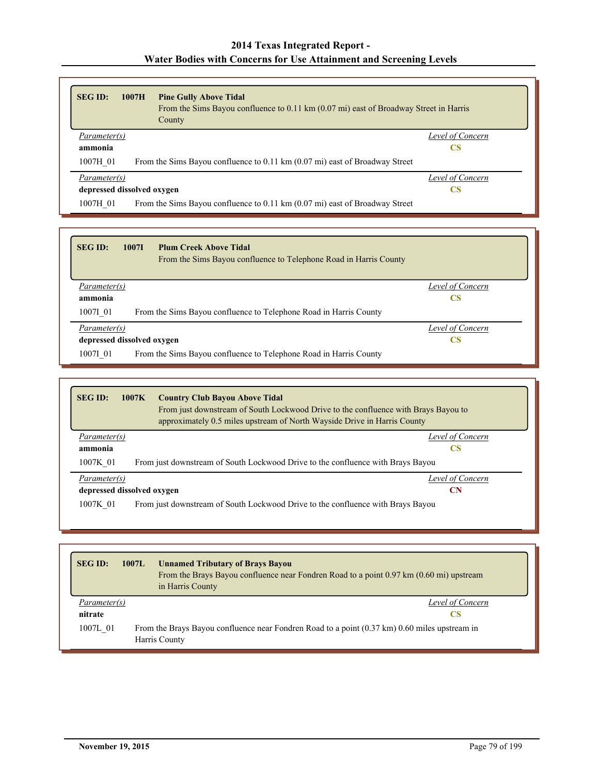| <b>SEG ID:</b> | <b>Pine Gully Above Tidal</b><br>1007H<br>From the Sims Bayou confluence to 0.11 km (0.07 mi) east of Broadway Street in Harris<br>County |                  |
|----------------|-------------------------------------------------------------------------------------------------------------------------------------------|------------------|
| Parameter(s)   |                                                                                                                                           | Level of Concern |
| ammonia        |                                                                                                                                           | CS               |
| 1007H 01       | From the Sims Bayou confluence to $0.11 \text{ km } (0.07 \text{ mi})$ east of Broadway Street                                            |                  |
| Parameter(s)   |                                                                                                                                           | Level of Concern |
|                | depressed dissolved oxygen                                                                                                                | CS               |
| 1007H 01       | From the Sims Bayou confluence to 0.11 km (0.07 mi) east of Broadway Street                                                               |                  |

| <b>SEG ID:</b> | 1007I<br><b>Plum Creek Above Tidal</b><br>From the Sims Bayou confluence to Telephone Road in Harris County |                  |
|----------------|-------------------------------------------------------------------------------------------------------------|------------------|
| Parameter(s)   |                                                                                                             | Level of Concern |
| ammonia        |                                                                                                             | CS               |
| 1007I 01       | From the Sims Bayou confluence to Telephone Road in Harris County                                           |                  |
| Parameter(s)   |                                                                                                             | Level of Concern |
|                | depressed dissolved oxygen                                                                                  | CS               |
| 1007I 01       | From the Sims Bayou confluence to Telephone Road in Harris County                                           |                  |

| <b>SEG ID:</b> | <b>Country Club Bayou Above Tidal</b><br>1007K<br>From just downstream of South Lockwood Drive to the confluence with Brays Bayou to<br>approximately 0.5 miles upstream of North Wayside Drive in Harris County |
|----------------|------------------------------------------------------------------------------------------------------------------------------------------------------------------------------------------------------------------|
| Parameter(s)   | Level of Concern                                                                                                                                                                                                 |
| ammonia        | CS.                                                                                                                                                                                                              |
| 1007K 01       | From just downstream of South Lockwood Drive to the confluence with Brays Bayou                                                                                                                                  |
| Parameter(s)   | Level of Concern                                                                                                                                                                                                 |
|                | depressed dissolved oxygen<br>CN                                                                                                                                                                                 |
| 1007K 01       | From just downstream of South Lockwood Drive to the confluence with Brays Bayou                                                                                                                                  |

| <b>SEG ID:</b> | <b>Unnamed Tributary of Brays Bayou</b><br>1007L<br>From the Brays Bayou confluence near Fondren Road to a point $0.97 \text{ km } (0.60 \text{ mi})$ upstream<br>in Harris County |
|----------------|------------------------------------------------------------------------------------------------------------------------------------------------------------------------------------|
| Parameter(s)   | Level of Concern                                                                                                                                                                   |
| nitrate        | CS                                                                                                                                                                                 |
| 1007L 01       | From the Brays Bayou confluence near Fondren Road to a point $(0.37 \text{ km})$ 0.60 miles upstream in<br>Harris County                                                           |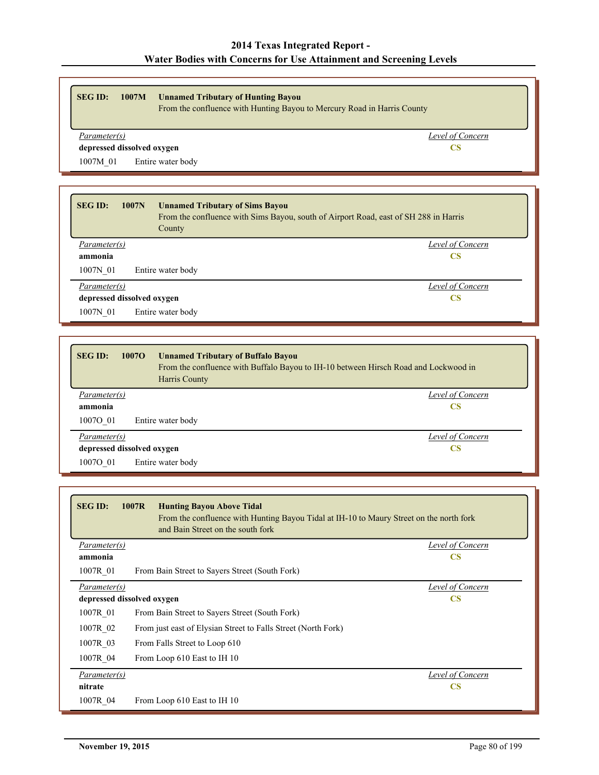| <b>SEG ID:</b><br>1007M<br><b>Unnamed Tributary of Hunting Bayou</b> | From the confluence with Hunting Bayou to Mercury Road in Harris County              |
|----------------------------------------------------------------------|--------------------------------------------------------------------------------------|
| Parameter(s)                                                         | Level of Concern                                                                     |
| depressed dissolved oxygen                                           | CS                                                                                   |
| 1007M 01<br>Entire water body                                        |                                                                                      |
|                                                                      |                                                                                      |
|                                                                      |                                                                                      |
|                                                                      |                                                                                      |
|                                                                      |                                                                                      |
|                                                                      |                                                                                      |
| 1007N<br><b>Unnamed Tributary of Sims Bayou</b>                      |                                                                                      |
|                                                                      | From the confluence with Sims Bayou, south of Airport Road, east of SH 288 in Harris |
| County                                                               |                                                                                      |
| <i>Parameter(s)</i>                                                  | Level of Concern                                                                     |
| ammonia                                                              | <b>CS</b>                                                                            |
| <b>SEG ID:</b><br>1007N 01<br>Entire water body                      |                                                                                      |

**depressed dissolved oxygen CS**

1007N\_01 Entire water body

| <b>SEG ID:</b>                   | 1007O<br><b>Unnamed Tributary of Buffalo Bayou</b><br>Harris County | From the confluence with Buffalo Bayou to IH-10 between Hirsch Road and Lockwood in |
|----------------------------------|---------------------------------------------------------------------|-------------------------------------------------------------------------------------|
| Parameter(s)                     |                                                                     | Level of Concern                                                                    |
| ammonia                          |                                                                     | <b>CS</b>                                                                           |
| 10070 01                         | Entire water body                                                   |                                                                                     |
| Parameter(s)                     |                                                                     | Level of Concern                                                                    |
| depressed dissolved oxygen<br>CS |                                                                     |                                                                                     |
| 1007O 01                         | Entire water body                                                   |                                                                                     |

| <b>SEG ID:</b>             | 1007R<br><b>Hunting Bayou Above Tidal</b><br>From the confluence with Hunting Bayou Tidal at IH-10 to Maury Street on the north fork<br>and Bain Street on the south fork |                         |
|----------------------------|---------------------------------------------------------------------------------------------------------------------------------------------------------------------------|-------------------------|
| <i>Parameter(s)</i>        |                                                                                                                                                                           | Level of Concern        |
| ammonia                    |                                                                                                                                                                           | <b>CS</b>               |
| 1007R 01                   | From Bain Street to Sayers Street (South Fork)                                                                                                                            |                         |
| Parameter(s)               |                                                                                                                                                                           | <b>Level of Concern</b> |
| depressed dissolved oxygen |                                                                                                                                                                           | $\overline{\text{CS}}$  |
| 1007R 01                   | From Bain Street to Sayers Street (South Fork)                                                                                                                            |                         |
| 1007R 02                   | From just east of Elysian Street to Falls Street (North Fork)                                                                                                             |                         |
| 1007R 03                   | From Falls Street to Loop 610                                                                                                                                             |                         |
| 1007R 04                   | From Loop 610 East to IH 10                                                                                                                                               |                         |
| Parameter(s)               |                                                                                                                                                                           | Level of Concern        |
| nitrate                    |                                                                                                                                                                           | $\mathbf{CS}$           |
| 1007R 04                   | From Loop 610 East to IH 10                                                                                                                                               |                         |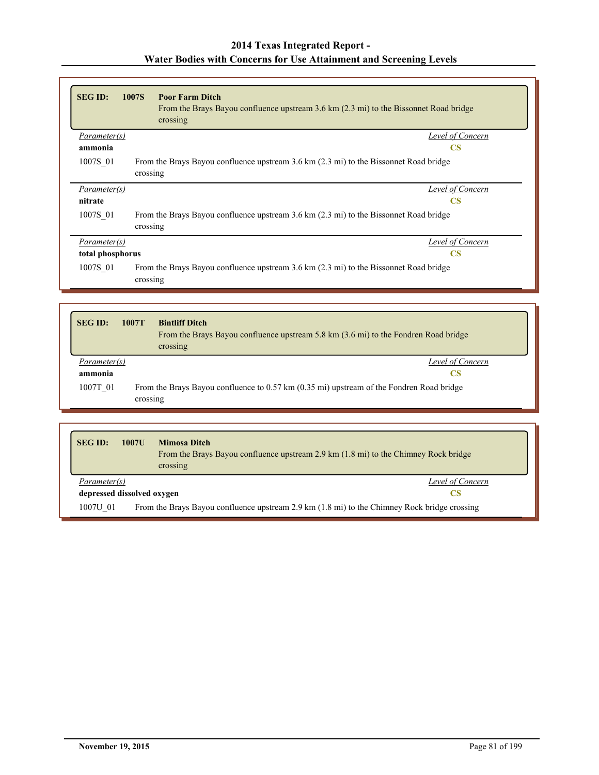| <b>SEG ID:</b>   | 1007S<br><b>Poor Farm Ditch</b><br>From the Brays Bayou confluence upstream 3.6 km (2.3 mi) to the Bissonnet Road bridge<br>crossing |
|------------------|--------------------------------------------------------------------------------------------------------------------------------------|
| Parameter(s)     | Level of Concern                                                                                                                     |
| ammonia          | <b>CS</b>                                                                                                                            |
| 1007S 01         | From the Brays Bayou confluence upstream 3.6 km (2.3 mi) to the Bissonnet Road bridge<br>crossing                                    |
| Parameter(s)     | Level of Concern                                                                                                                     |
| nitrate          | <b>CS</b>                                                                                                                            |
| 1007S 01         | From the Brays Bayou confluence upstream 3.6 km (2.3 mi) to the Bissonnet Road bridge<br>crossing                                    |
| Parameter(s)     | Level of Concern                                                                                                                     |
| total phosphorus | <b>CS</b>                                                                                                                            |
| 1007S 01         | From the Brays Bayou confluence upstream 3.6 km (2.3 mi) to the Bissonnet Road bridge                                                |

| <b>SEG ID:</b>      | <b>Bintliff Ditch</b><br>1007T<br>From the Brays Bayou confluence upstream 5.8 km (3.6 mi) to the Fondren Road bridge<br>crossing |
|---------------------|-----------------------------------------------------------------------------------------------------------------------------------|
| <i>Parameter(s)</i> | Level of Concern                                                                                                                  |
| ammonia             | CS                                                                                                                                |
| 1007T 01            | From the Brays Bayou confluence to 0.57 km (0.35 mi) upstream of the Fondren Road bridge<br>crossing                              |

| <b>SEG ID:</b>                                                                                           | 1007U | <b>Mimosa Ditch</b><br>From the Brays Bayou confluence upstream 2.9 km (1.8 mi) to the Chimney Rock bridge<br>crossing |  |
|----------------------------------------------------------------------------------------------------------|-------|------------------------------------------------------------------------------------------------------------------------|--|
| Parameter(s)                                                                                             |       | Level of Concern                                                                                                       |  |
| depressed dissolved oxygen<br>CS                                                                         |       |                                                                                                                        |  |
| From the Brays Bayou confluence upstream 2.9 km (1.8 mi) to the Chimney Rock bridge crossing<br>1007U 01 |       |                                                                                                                        |  |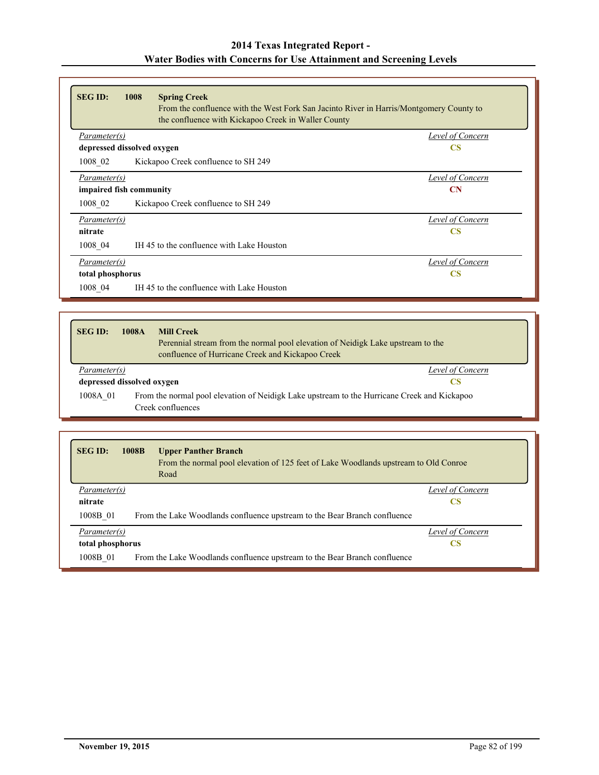| <b>SEG ID:</b><br>1008<br><b>Spring Creek</b><br>From the confluence with the West Fork San Jacinto River in Harris/Montgomery County to<br>the confluence with Kickapoo Creek in Waller County |                  |
|-------------------------------------------------------------------------------------------------------------------------------------------------------------------------------------------------|------------------|
| Parameter(s)                                                                                                                                                                                    | Level of Concern |
| depressed dissolved oxygen                                                                                                                                                                      | <b>CS</b>        |
| 1008 02<br>Kickapoo Creek confluence to SH 249                                                                                                                                                  |                  |
| Parameter(s)                                                                                                                                                                                    | Level of Concern |
| impaired fish community                                                                                                                                                                         | <b>CN</b>        |
| Kickapoo Creek confluence to SH 249<br>1008 02                                                                                                                                                  |                  |
| Parameter(s)                                                                                                                                                                                    | Level of Concern |
| nitrate                                                                                                                                                                                         | <b>CS</b>        |
| IH 45 to the confluence with Lake Houston<br>1008 04                                                                                                                                            |                  |
| Parameter(s)                                                                                                                                                                                    | Level of Concern |
| total phosphorus                                                                                                                                                                                | <b>CS</b>        |
| 1008 04<br>IH 45 to the confluence with Lake Houston                                                                                                                                            |                  |

| <b>SEG ID:</b>             | 1008A                                                                                                            | <b>Mill Creek</b><br>Perennial stream from the normal pool elevation of Neidigk Lake upstream to the<br>confluence of Hurricane Creek and Kickapoo Creek |  |  |
|----------------------------|------------------------------------------------------------------------------------------------------------------|----------------------------------------------------------------------------------------------------------------------------------------------------------|--|--|
|                            | Level of Concern<br>Parameter(s)                                                                                 |                                                                                                                                                          |  |  |
| depressed dissolved oxygen |                                                                                                                  | CS                                                                                                                                                       |  |  |
| 1008A 01                   | From the normal pool elevation of Neidigk Lake upstream to the Hurricane Creek and Kickapoo<br>Creek confluences |                                                                                                                                                          |  |  |

| <b>SEGID:</b>    | 1008B | <b>Upper Panther Branch</b><br>From the normal pool elevation of 125 feet of Lake Woodlands upstream to Old Conroe<br>Road |  |
|------------------|-------|----------------------------------------------------------------------------------------------------------------------------|--|
| Parameter(s)     |       | Level of Concern                                                                                                           |  |
| nitrate          |       | CS                                                                                                                         |  |
| 1008B 01         |       | From the Lake Woodlands confluence upstream to the Bear Branch confluence                                                  |  |
| Parameter(s)     |       | Level of Concern                                                                                                           |  |
| total phosphorus |       | CS                                                                                                                         |  |
| 1008B 01         |       | From the Lake Woodlands confluence upstream to the Bear Branch confluence                                                  |  |

Г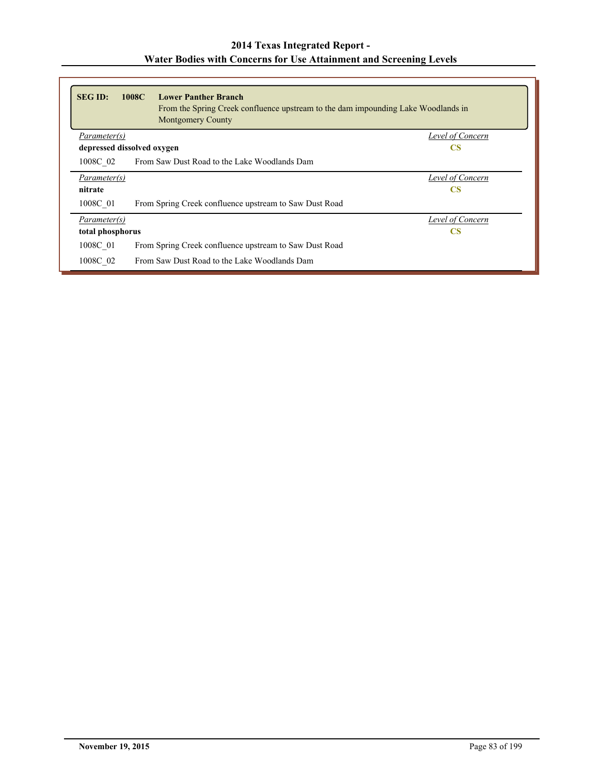| <b>SEG ID:</b>             | 1008C<br><b>Lower Panther Branch</b><br>From the Spring Creek confluence upstream to the dam impounding Lake Woodlands in<br><b>Montgomery County</b> |                  |
|----------------------------|-------------------------------------------------------------------------------------------------------------------------------------------------------|------------------|
| Parameter(s)               |                                                                                                                                                       | Level of Concern |
| depressed dissolved oxygen |                                                                                                                                                       | <b>CS</b>        |
| 1008C 02                   | From Saw Dust Road to the Lake Woodlands Dam                                                                                                          |                  |
| Parameter(s)               |                                                                                                                                                       | Level of Concern |
| nitrate                    |                                                                                                                                                       | <b>CS</b>        |
| 1008C 01                   | From Spring Creek confluence upstream to Saw Dust Road                                                                                                |                  |
| <i>Parameter(s)</i>        |                                                                                                                                                       | Level of Concern |
| total phosphorus           |                                                                                                                                                       | <b>CS</b>        |
| 1008C 01                   | From Spring Creek confluence upstream to Saw Dust Road                                                                                                |                  |
| 1008C 02                   | From Saw Dust Road to the Lake Woodlands Dam                                                                                                          |                  |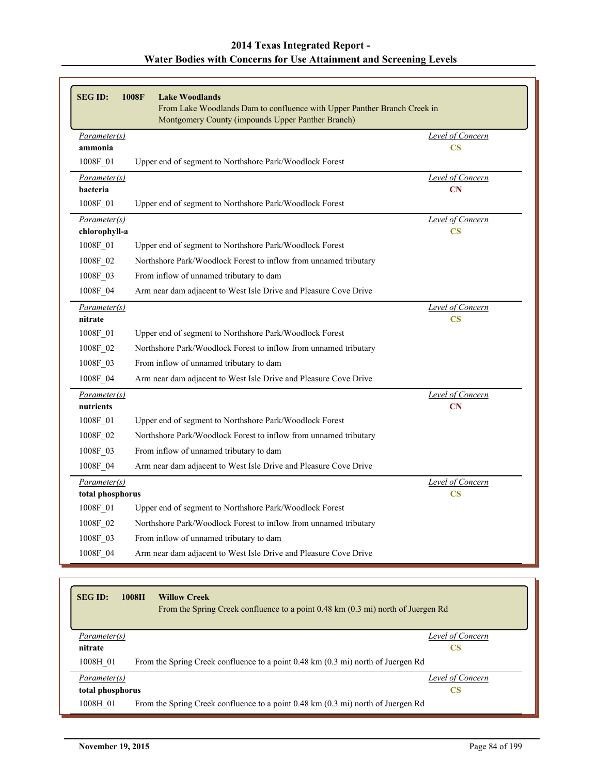| <b>SEGID:</b>                 | 1008F<br><b>Lake Woodlands</b>                                           |                                             |
|-------------------------------|--------------------------------------------------------------------------|---------------------------------------------|
|                               | From Lake Woodlands Dam to confluence with Upper Panther Branch Creek in |                                             |
|                               | Montgomery County (impounds Upper Panther Branch)                        |                                             |
| Parameter(s)                  |                                                                          | Level of Concern                            |
| ammonia                       |                                                                          | $\overline{\text{CS}}$                      |
| 1008F_01                      | Upper end of segment to Northshore Park/Woodlock Forest                  |                                             |
| <i>Parameter(s)</i>           |                                                                          | <b>Level of Concern</b>                     |
| bacteria                      |                                                                          | CN                                          |
| 1008F_01                      | Upper end of segment to Northshore Park/Woodlock Forest                  |                                             |
| Parameter(s)<br>chlorophyll-a |                                                                          | Level of Concern<br>$\overline{\mathbf{C}}$ |
| 1008F_01                      | Upper end of segment to Northshore Park/Woodlock Forest                  |                                             |
| 1008F_02                      | Northshore Park/Woodlock Forest to inflow from unnamed tributary         |                                             |
| 1008F_03                      | From inflow of unnamed tributary to dam                                  |                                             |
| 1008F_04                      | Arm near dam adjacent to West Isle Drive and Pleasure Cove Drive         |                                             |
| Parameter(s)                  |                                                                          | Level of Concern                            |
| nitrate                       |                                                                          | $\overline{\text{CS}}$                      |
| 1008F_01                      | Upper end of segment to Northshore Park/Woodlock Forest                  |                                             |
| 1008F 02                      | Northshore Park/Woodlock Forest to inflow from unnamed tributary         |                                             |
| 1008F_03                      | From inflow of unnamed tributary to dam                                  |                                             |
| 1008F_04                      | Arm near dam adjacent to West Isle Drive and Pleasure Cove Drive         |                                             |
| Parameter(s)                  |                                                                          | Level of Concern                            |
| nutrients                     |                                                                          | $\mathbf{CN}$                               |
| 1008F_01                      | Upper end of segment to Northshore Park/Woodlock Forest                  |                                             |
| 1008F_02                      | Northshore Park/Woodlock Forest to inflow from unnamed tributary         |                                             |
| 1008F_03                      | From inflow of unnamed tributary to dam                                  |                                             |
| 1008F_04                      | Arm near dam adjacent to West Isle Drive and Pleasure Cove Drive         |                                             |
| Parameter(s)                  |                                                                          | <b>Level of Concern</b>                     |
| total phosphorus              |                                                                          | $\mathbf{CS}$                               |
| 1008F_01                      | Upper end of segment to Northshore Park/Woodlock Forest                  |                                             |
| 1008F 02                      | Northshore Park/Woodlock Forest to inflow from unnamed tributary         |                                             |
| 1008F 03                      | From inflow of unnamed tributary to dam                                  |                                             |
| 1008F 04                      | Arm near dam adjacent to West Isle Drive and Pleasure Cove Drive         |                                             |

| <b>SEG ID:</b>   | 1008H | <b>Willow Creek</b><br>From the Spring Creek confluence to a point 0.48 km (0.3 mi) north of Juergen Rd |
|------------------|-------|---------------------------------------------------------------------------------------------------------|
| Parameter(s)     |       | Level of Concern                                                                                        |
| nitrate          |       | CS                                                                                                      |
| 1008H 01         |       | From the Spring Creek confluence to a point 0.48 km (0.3 mi) north of Juergen Rd                        |
| Parameter(s)     |       | Level of Concern                                                                                        |
| total phosphorus |       | CS                                                                                                      |
| 1008H 01         |       | From the Spring Creek confluence to a point 0.48 km (0.3 mi) north of Juergen Rd                        |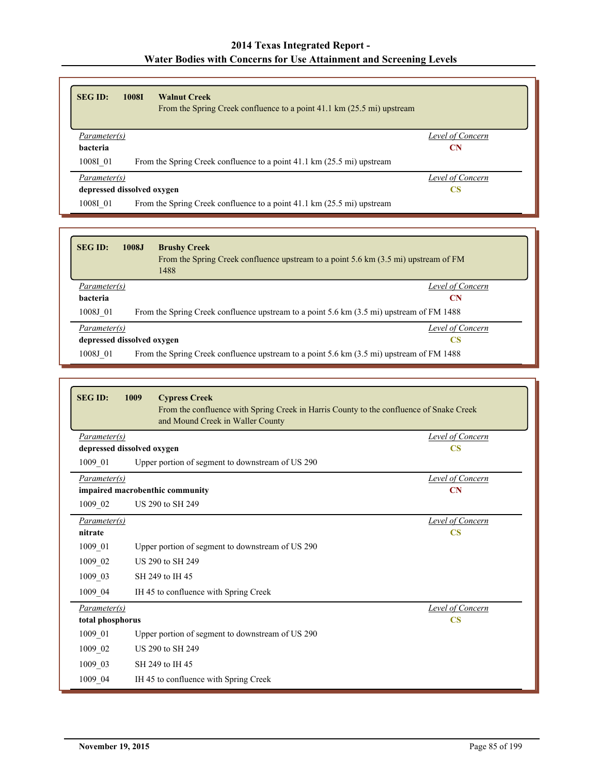| <b>SEG ID:</b> | <b>1008I</b><br><b>Walnut Creek</b><br>From the Spring Creek confluence to a point 41.1 km (25.5 mi) upstream |                  |
|----------------|---------------------------------------------------------------------------------------------------------------|------------------|
| Parameter(s)   |                                                                                                               | Level of Concern |
| bacteria       |                                                                                                               | CN               |
| 1008I 01       | From the Spring Creek confluence to a point 41.1 km (25.5 mi) upstream                                        |                  |
| Parameter(s)   |                                                                                                               | Level of Concern |
|                | depressed dissolved oxygen                                                                                    | <b>CS</b>        |
| 1008I 01       | From the Spring Creek confluence to a point 41.1 km (25.5 mi) upstream                                        |                  |

| <b>SEG ID:</b>             | 1008J | <b>Brushy Creek</b><br>From the Spring Creek confluence upstream to a point $5.6 \text{ km}$ (3.5 mi) upstream of FM<br>1488 |
|----------------------------|-------|------------------------------------------------------------------------------------------------------------------------------|
| Parameter(s)               |       | Level of Concern                                                                                                             |
| bacteria                   |       | CN                                                                                                                           |
| 1008J 01                   |       | From the Spring Creek confluence upstream to a point 5.6 km (3.5 mi) upstream of FM 1488                                     |
| Parameter(s)               |       | Level of Concern                                                                                                             |
| depressed dissolved oxygen |       | CS                                                                                                                           |
| 1008J 01                   |       | From the Spring Creek confluence upstream to a point 5.6 km (3.5 mi) upstream of FM 1488                                     |

| <b>SEG ID:</b>                                       | 1009 | <b>Cypress Creek</b><br>From the confluence with Spring Creek in Harris County to the confluence of Snake Creek<br>and Mound Creek in Waller County |                         |  |
|------------------------------------------------------|------|-----------------------------------------------------------------------------------------------------------------------------------------------------|-------------------------|--|
| Level of Concern<br>Parameter(s)                     |      |                                                                                                                                                     |                         |  |
| depressed dissolved oxygen<br>$\overline{\text{CS}}$ |      |                                                                                                                                                     |                         |  |
| 1009 01                                              |      | Upper portion of segment to downstream of US 290                                                                                                    |                         |  |
| Parameter(s)                                         |      |                                                                                                                                                     | Level of Concern        |  |
|                                                      |      | impaired macrobenthic community                                                                                                                     | $\mathbf{C} \mathbf{N}$ |  |
| 1009 02                                              |      | US 290 to SH 249                                                                                                                                    |                         |  |
| Parameter(s)                                         |      |                                                                                                                                                     | Level of Concern        |  |
| nitrate                                              |      |                                                                                                                                                     | $\overline{\text{CS}}$  |  |
| 1009_01                                              |      | Upper portion of segment to downstream of US 290                                                                                                    |                         |  |
| 1009_02                                              |      | US 290 to SH 249                                                                                                                                    |                         |  |
| 1009 03                                              |      | SH 249 to IH 45                                                                                                                                     |                         |  |
| 1009 04                                              |      | IH 45 to confluence with Spring Creek                                                                                                               |                         |  |
| Parameter(s)                                         |      |                                                                                                                                                     | Level of Concern        |  |
| total phosphorus                                     |      |                                                                                                                                                     | <b>CS</b>               |  |
| 1009 01                                              |      | Upper portion of segment to downstream of US 290                                                                                                    |                         |  |
| 1009_02                                              |      | US 290 to SH 249                                                                                                                                    |                         |  |
| 1009 03                                              |      | SH 249 to IH 45                                                                                                                                     |                         |  |
| 1009_04                                              |      | IH 45 to confluence with Spring Creek                                                                                                               |                         |  |

r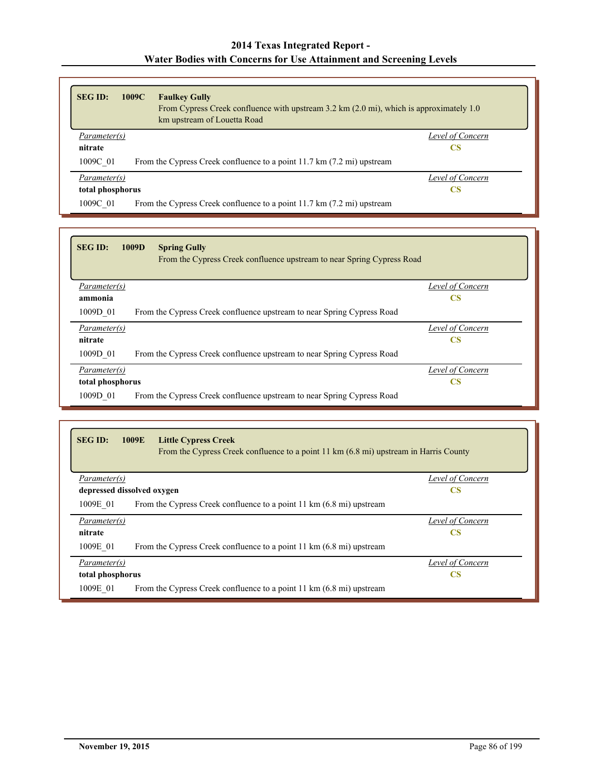| <b>SEG ID:</b>   | 1009C<br><b>Faulkey Gully</b><br>From Cypress Creek confluence with upstream $3.2 \text{ km}$ ( $2.0 \text{ mi}$ ), which is approximately 1.0<br>km upstream of Louetta Road |                  |
|------------------|-------------------------------------------------------------------------------------------------------------------------------------------------------------------------------|------------------|
| Parameter(s)     |                                                                                                                                                                               | Level of Concern |
| nitrate          |                                                                                                                                                                               | CS               |
| 1009C 01         | From the Cypress Creek confluence to a point 11.7 km (7.2 mi) upstream                                                                                                        |                  |
| Parameter(s)     |                                                                                                                                                                               | Level of Concern |
| total phosphorus |                                                                                                                                                                               | <b>CS</b>        |
| 1009C 01         | From the Cypress Creek confluence to a point 11.7 km (7.2 mi) upstream                                                                                                        |                  |

| <b>SEG ID:</b>      | 1009D<br><b>Spring Gully</b><br>From the Cypress Creek confluence upstream to near Spring Cypress Road |                  |
|---------------------|--------------------------------------------------------------------------------------------------------|------------------|
| <i>Parameter(s)</i> |                                                                                                        | Level of Concern |
| ammonia             |                                                                                                        | CS               |
| 1009D 01            | From the Cypress Creek confluence upstream to near Spring Cypress Road                                 |                  |
| Parameter(s)        |                                                                                                        | Level of Concern |
| nitrate             |                                                                                                        | CS               |
| 1009D 01            | From the Cypress Creek confluence upstream to near Spring Cypress Road                                 |                  |
| Parameter(s)        |                                                                                                        | Level of Concern |
| total phosphorus    |                                                                                                        | CS               |
| 1009D 01            | From the Cypress Creek confluence upstream to near Spring Cypress Road                                 |                  |

| <b>SEG ID:</b><br>1009E    | <b>Little Cypress Creek</b><br>From the Cypress Creek confluence to a point 11 km (6.8 mi) upstream in Harris County |                  |
|----------------------------|----------------------------------------------------------------------------------------------------------------------|------------------|
| Parameter(s)               |                                                                                                                      | Level of Concern |
| depressed dissolved oxygen |                                                                                                                      | <b>CS</b>        |
| 1009E 01                   | From the Cypress Creek confluence to a point 11 km (6.8 mi) upstream                                                 |                  |
| Parameter(s)               |                                                                                                                      | Level of Concern |
| nitrate                    |                                                                                                                      | <b>CS</b>        |
| 1009E 01                   | From the Cypress Creek confluence to a point 11 km (6.8 mi) upstream                                                 |                  |
| Parameter(s)               |                                                                                                                      | Level of Concern |
| total phosphorus<br>CS     |                                                                                                                      |                  |
| 1009E 01                   | From the Cypress Creek confluence to a point 11 km (6.8 mi) upstream                                                 |                  |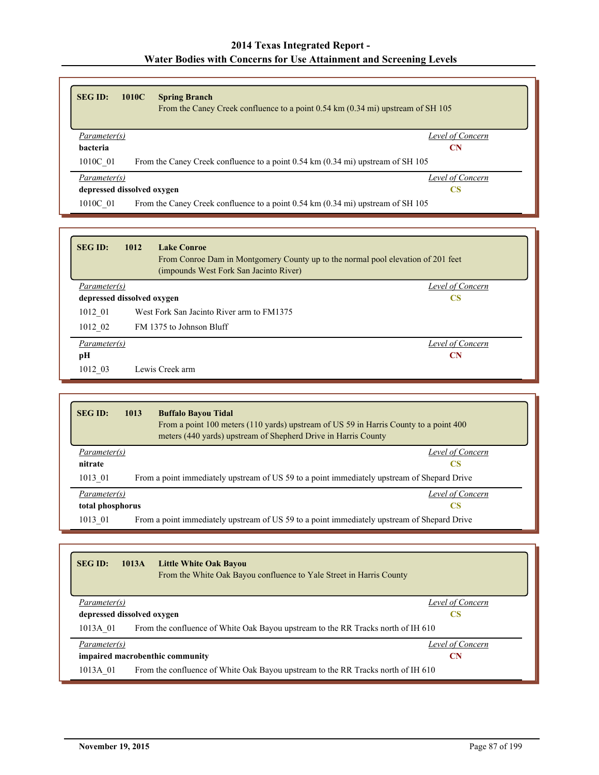| <b>SEG ID:</b>      | 1010C<br><b>Spring Branch</b><br>From the Caney Creek confluence to a point 0.54 km (0.34 mi) upstream of SH 105 |  |
|---------------------|------------------------------------------------------------------------------------------------------------------|--|
| Parameter(s)        | Level of Concern                                                                                                 |  |
| bacteria            | <b>CN</b>                                                                                                        |  |
| 1010C 01            | From the Caney Creek confluence to a point 0.54 km (0.34 mi) upstream of SH 105                                  |  |
| <i>Parameter(s)</i> | Level of Concern                                                                                                 |  |
|                     | depressed dissolved oxygen<br>CS                                                                                 |  |
| 1010C 01            | From the Caney Creek confluence to a point 0.54 km (0.34 mi) upstream of SH 105                                  |  |

| <b>SEG ID:</b>             | 1012 | <b>Lake Conroe</b><br>From Conroe Dam in Montgomery County up to the normal pool elevation of 201 feet<br>(impounds West Fork San Jacinto River) |
|----------------------------|------|--------------------------------------------------------------------------------------------------------------------------------------------------|
| Parameter(s)               |      | Level of Concern                                                                                                                                 |
| depressed dissolved oxygen |      | <b>CS</b>                                                                                                                                        |
| 1012 01                    |      | West Fork San Jacinto River arm to FM1375                                                                                                        |
| 1012 02                    |      | FM 1375 to Johnson Bluff                                                                                                                         |
| Parameter(s)               |      | Level of Concern                                                                                                                                 |
| рH                         |      | CN                                                                                                                                               |
| 1012 03                    |      | Lewis Creek arm                                                                                                                                  |

| <b>SEG ID:</b>      | 1013 | <b>Buffalo Bayou Tidal</b><br>From a point 100 meters (110 yards) upstream of US 59 in Harris County to a point 400<br>meters (440 yards) upstream of Shepherd Drive in Harris County |
|---------------------|------|---------------------------------------------------------------------------------------------------------------------------------------------------------------------------------------|
| <i>Parameter(s)</i> |      | Level of Concern                                                                                                                                                                      |
| nitrate             |      | CS                                                                                                                                                                                    |
| 1013 01             |      | From a point immediately upstream of US 59 to a point immediately upstream of Shepard Drive                                                                                           |
| <i>Parameter(s)</i> |      | Level of Concern                                                                                                                                                                      |
| total phosphorus    |      | <b>CS</b>                                                                                                                                                                             |
| 1013 01             |      | From a point immediately upstream of US 59 to a point immediately upstream of Shepard Drive                                                                                           |

| <b>SEG ID:</b>                        | Little White Oak Bayou<br>1013A<br>From the White Oak Bayou confluence to Yale Street in Harris County |  |  |
|---------------------------------------|--------------------------------------------------------------------------------------------------------|--|--|
| Parameter(s)                          | Level of Concern                                                                                       |  |  |
|                                       | depressed dissolved oxygen<br>CS                                                                       |  |  |
| 1013A 01                              | From the confluence of White Oak Bayou upstream to the RR Tracks north of IH 610                       |  |  |
| Parameter(s)                          | Level of Concern                                                                                       |  |  |
| impaired macrobenthic community<br>CN |                                                                                                        |  |  |
| 1013A 01                              | From the confluence of White Oak Bayou upstream to the RR Tracks north of IH 610                       |  |  |

Г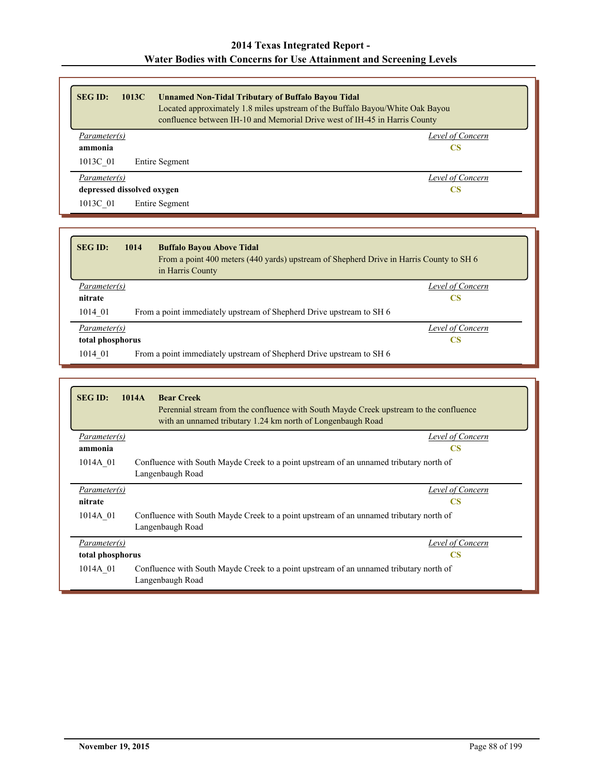| <b>SEG ID:</b> | <b>Unnamed Non-Tidal Tributary of Buffalo Bayou Tidal</b><br>1013C<br>confluence between IH-10 and Memorial Drive west of IH-45 in Harris County | Located approximately 1.8 miles upstream of the Buffalo Bayou/White Oak Bayou |
|----------------|--------------------------------------------------------------------------------------------------------------------------------------------------|-------------------------------------------------------------------------------|
| Parameter(s)   |                                                                                                                                                  | Level of Concern                                                              |
| ammonia        |                                                                                                                                                  | <b>CS</b>                                                                     |
| 1013C 01       | Entire Segment                                                                                                                                   |                                                                               |
| Parameter(s)   |                                                                                                                                                  | Level of Concern                                                              |
|                | depressed dissolved oxygen                                                                                                                       | <b>CS</b>                                                                     |
| 1013C 01       | Entire Segment                                                                                                                                   |                                                                               |

| <b>SEG ID:</b>      | <b>Buffalo Bayou Above Tidal</b><br>1014<br>From a point 400 meters (440 yards) upstream of Shepherd Drive in Harris County to SH 6<br>in Harris County |                  |
|---------------------|---------------------------------------------------------------------------------------------------------------------------------------------------------|------------------|
| <i>Parameter(s)</i> |                                                                                                                                                         | Level of Concern |
| nitrate             |                                                                                                                                                         | CS               |
| 1014 01             | From a point immediately upstream of Shepherd Drive upstream to SH 6                                                                                    |                  |
| Parameter(s)        |                                                                                                                                                         | Level of Concern |
| total phosphorus    |                                                                                                                                                         | CS               |
| 1014 01             | From a point immediately upstream of Shepherd Drive upstream to SH 6                                                                                    |                  |

| <b>SEGID:</b>    | <b>Bear Creek</b><br>1014A<br>Perennial stream from the confluence with South Mayde Creek upstream to the confluence<br>with an unnamed tributary 1.24 km north of Longenbaugh Road |
|------------------|-------------------------------------------------------------------------------------------------------------------------------------------------------------------------------------|
| Parameter(s)     | Level of Concern                                                                                                                                                                    |
| ammonia          | <b>CS</b>                                                                                                                                                                           |
| 1014A 01         | Confluence with South Mayde Creek to a point upstream of an unnamed tributary north of<br>Langenbaugh Road                                                                          |
| Parameter(s)     | Level of Concern                                                                                                                                                                    |
| nitrate          | <b>CS</b>                                                                                                                                                                           |
| 1014A 01         | Confluence with South Mayde Creek to a point upstream of an unnamed tributary north of<br>Langenbaugh Road                                                                          |
| Parameter(s)     | Level of Concern                                                                                                                                                                    |
| total phosphorus | $\overline{\text{CS}}$                                                                                                                                                              |
| 1014A 01         | Confluence with South Mayde Creek to a point upstream of an unnamed tributary north of<br>Langenbaugh Road                                                                          |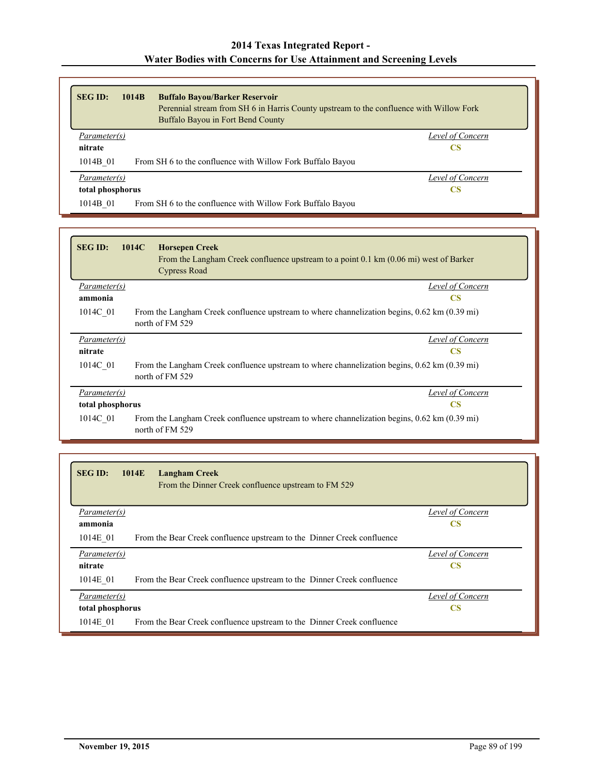| <b>SEG ID:</b>   | 1014B | <b>Buffalo Bayou/Barker Reservoir</b>                                                   |                  |
|------------------|-------|-----------------------------------------------------------------------------------------|------------------|
|                  |       | Perennial stream from SH 6 in Harris County upstream to the confluence with Willow Fork |                  |
|                  |       | Buffalo Bayou in Fort Bend County                                                       |                  |
| Parameter(s)     |       |                                                                                         | Level of Concern |
| nitrate          |       |                                                                                         | CS               |
| 1014B 01         |       | From SH 6 to the confluence with Willow Fork Buffalo Bayou                              |                  |
| Parameter(s)     |       |                                                                                         | Level of Concern |
| total phosphorus |       |                                                                                         | CS               |
| 1014B 01         |       | From SH 6 to the confluence with Willow Fork Buffalo Bayou                              |                  |

| <b>SEG ID:</b>   | 1014C<br><b>Horsepen Creek</b><br>From the Langham Creek confluence upstream to a point $0.1 \text{ km}$ ( $0.06 \text{ mi}$ ) west of Barker<br>Cypress Road |
|------------------|---------------------------------------------------------------------------------------------------------------------------------------------------------------|
| Parameter(s)     | Level of Concern                                                                                                                                              |
| ammonia          | <b>CS</b>                                                                                                                                                     |
| 1014C 01         | From the Langham Creek confluence upstream to where channelization begins, $0.62 \text{ km } (0.39 \text{ mi})$<br>north of FM 529                            |
| Parameter(s)     | Level of Concern                                                                                                                                              |
| nitrate          | CS                                                                                                                                                            |
| 1014C 01         | From the Langham Creek confluence upstream to where channelization begins, $0.62 \text{ km } (0.39 \text{ mi})$<br>north of FM 529                            |
| Parameter(s)     | Level of Concern                                                                                                                                              |
| total phosphorus | <b>CS</b>                                                                                                                                                     |
| 1014C 01         | From the Langham Creek confluence upstream to where channelization begins, $0.62 \text{ km } (0.39 \text{ mi})$<br>north of FM 529                            |

| <b>SEG ID:</b>   | 1014E<br><b>Langham Creek</b><br>From the Dinner Creek confluence upstream to FM 529 |                  |
|------------------|--------------------------------------------------------------------------------------|------------------|
| Parameter(s)     |                                                                                      | Level of Concern |
| ammonia          |                                                                                      | <b>CS</b>        |
| 1014E 01         | From the Bear Creek confluence upstream to the Dinner Creek confluence               |                  |
| Parameter(s)     |                                                                                      | Level of Concern |
| nitrate          |                                                                                      | <b>CS</b>        |
| 1014E 01         | From the Bear Creek confluence upstream to the Dinner Creek confluence               |                  |
| Parameter(s)     |                                                                                      | Level of Concern |
| total phosphorus |                                                                                      | CS               |
| 1014E 01         | From the Bear Creek confluence upstream to the Dinner Creek confluence               |                  |

r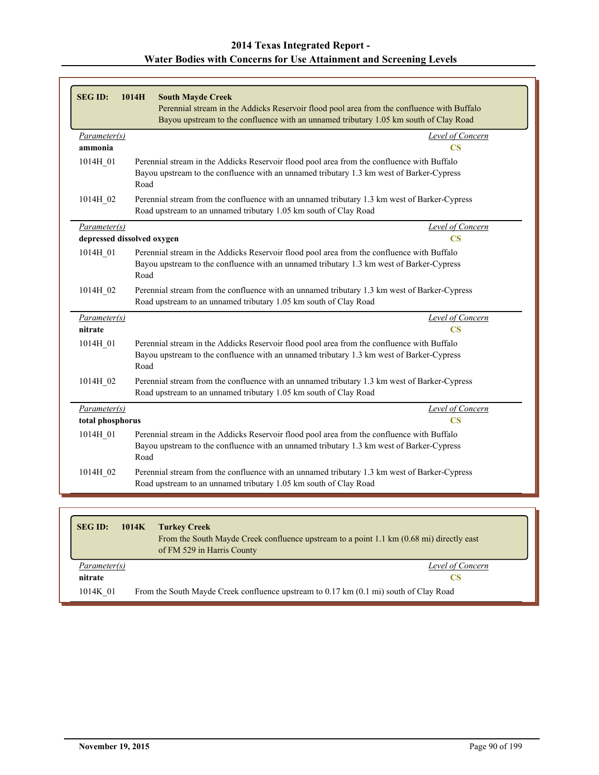|                         | <b>South Mayde Creek</b><br>Perennial stream in the Addicks Reservoir flood pool area from the confluence with Buffalo<br>Bayou upstream to the confluence with an unnamed tributary 1.05 km south of Clay Road |  |
|-------------------------|-----------------------------------------------------------------------------------------------------------------------------------------------------------------------------------------------------------------|--|
| Parameter(s)<br>ammonia | Level of Concern<br>$\overline{\text{CS}}$                                                                                                                                                                      |  |
| 1014H 01                | Perennial stream in the Addicks Reservoir flood pool area from the confluence with Buffalo<br>Bayou upstream to the confluence with an unnamed tributary 1.3 km west of Barker-Cypress<br>Road                  |  |
| 1014H 02                | Perennial stream from the confluence with an unnamed tributary 1.3 km west of Barker-Cypress<br>Road upstream to an unnamed tributary 1.05 km south of Clay Road                                                |  |
| Parameter(s)            | Level of Concern                                                                                                                                                                                                |  |
|                         | $\overline{\text{CS}}$<br>depressed dissolved oxygen                                                                                                                                                            |  |
| 1014H 01                | Perennial stream in the Addicks Reservoir flood pool area from the confluence with Buffalo<br>Bayou upstream to the confluence with an unnamed tributary 1.3 km west of Barker-Cypress<br>Road                  |  |
| 1014H_02                | Perennial stream from the confluence with an unnamed tributary 1.3 km west of Barker-Cypress<br>Road upstream to an unnamed tributary 1.05 km south of Clay Road                                                |  |
| Parameter(s)            | Level of Concern                                                                                                                                                                                                |  |
| nitrate                 | $\overline{\text{CS}}$                                                                                                                                                                                          |  |
| 1014H 01                | Perennial stream in the Addicks Reservoir flood pool area from the confluence with Buffalo<br>Bayou upstream to the confluence with an unnamed tributary 1.3 km west of Barker-Cypress<br>Road                  |  |
| 1014H 02                | Perennial stream from the confluence with an unnamed tributary 1.3 km west of Barker-Cypress<br>Road upstream to an unnamed tributary 1.05 km south of Clay Road                                                |  |
| Parameter(s)            | Level of Concern                                                                                                                                                                                                |  |
| total phosphorus        | $\overline{\text{CS}}$                                                                                                                                                                                          |  |
| 1014H 01                | Perennial stream in the Addicks Reservoir flood pool area from the confluence with Buffalo<br>Bayou upstream to the confluence with an unnamed tributary 1.3 km west of Barker-Cypress<br>Road                  |  |
| 1014H 02                | Perennial stream from the confluence with an unnamed tributary 1.3 km west of Barker-Cypress<br>Road upstream to an unnamed tributary 1.05 km south of Clay Road                                                |  |

| <b>SEG ID:</b> | 1014K | <b>Turkey Creek</b><br>From the South Mayde Creek confluence upstream to a point 1.1 km (0.68 mi) directly east<br>of FM 529 in Harris County |
|----------------|-------|-----------------------------------------------------------------------------------------------------------------------------------------------|
| Parameter(s)   |       | Level of Concern                                                                                                                              |
| nitrate        |       | CS                                                                                                                                            |
| 1014K 01       |       | From the South Mayde Creek confluence upstream to 0.17 km (0.1 mi) south of Clay Road                                                         |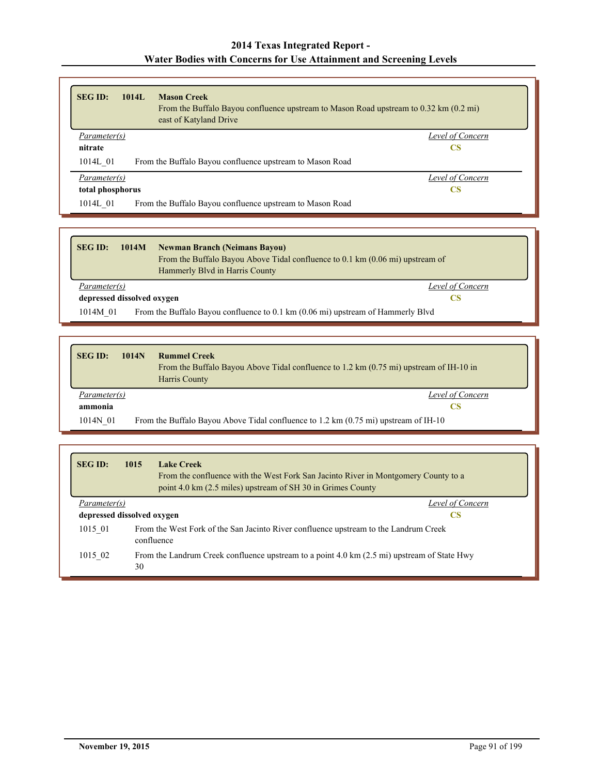| <b>SEG ID:</b>                                | 1014L | <b>Mason Creek</b><br>From the Buffalo Bayou confluence upstream to Mason Road upstream to 0.32 km (0.2 mi)<br>east of Katyland Drive |
|-----------------------------------------------|-------|---------------------------------------------------------------------------------------------------------------------------------------|
| Parameter(s)                                  |       | Level of Concern                                                                                                                      |
| nitrate                                       |       | <b>CS</b>                                                                                                                             |
| 1014L 01                                      |       | From the Buffalo Bayou confluence upstream to Mason Road                                                                              |
| Parameter(s)<br>total phosphorus<br><b>CS</b> |       | Level of Concern                                                                                                                      |
|                                               |       |                                                                                                                                       |
| 1014L 01                                      |       | From the Buffalo Bayou confluence upstream to Mason Road                                                                              |

| <b>SEG ID:</b>                                                                              | 1014M                            | <b>Newman Branch (Neimans Bayou)</b><br>From the Buffalo Bayou Above Tidal confluence to $0.1 \text{ km } (0.06 \text{ mi})$ upstream of<br>Hammerly Blvd in Harris County |  |
|---------------------------------------------------------------------------------------------|----------------------------------|----------------------------------------------------------------------------------------------------------------------------------------------------------------------------|--|
|                                                                                             | Level of Concern<br>Parameter(s) |                                                                                                                                                                            |  |
| depressed dissolved oxygen                                                                  |                                  |                                                                                                                                                                            |  |
| 1014M 01<br>From the Buffalo Bayou confluence to 0.1 km (0.06 mi) upstream of Hammerly Blvd |                                  |                                                                                                                                                                            |  |

| <b>SEG ID:</b> | 1014N<br><b>Rummel Creek</b><br>From the Buffalo Bayou Above Tidal confluence to 1.2 km (0.75 mi) upstream of IH-10 in<br>Harris County |
|----------------|-----------------------------------------------------------------------------------------------------------------------------------------|
| Parameter(s)   | Level of Concern                                                                                                                        |
| ammonia        | CS                                                                                                                                      |
| 1014N 01       | From the Buffalo Bayou Above Tidal confluence to 1.2 km $(0.75 \text{ mi})$ upstream of IH-10                                           |

| <b>SEG ID:</b>             | 1015 | <b>Lake Creek</b><br>From the confluence with the West Fork San Jacinto River in Montgomery County to a<br>point 4.0 km (2.5 miles) upstream of SH 30 in Grimes County |  |
|----------------------------|------|------------------------------------------------------------------------------------------------------------------------------------------------------------------------|--|
| Parameter(s)               |      | Level of Concern                                                                                                                                                       |  |
| depressed dissolved oxygen |      | CS                                                                                                                                                                     |  |
| 1015 01                    |      | From the West Fork of the San Jacinto River confluence upstream to the Landrum Creek<br>confluence                                                                     |  |
| 1015 02                    | 30   | From the Landrum Creek confluence upstream to a point 4.0 km (2.5 mi) upstream of State Hwy                                                                            |  |

Г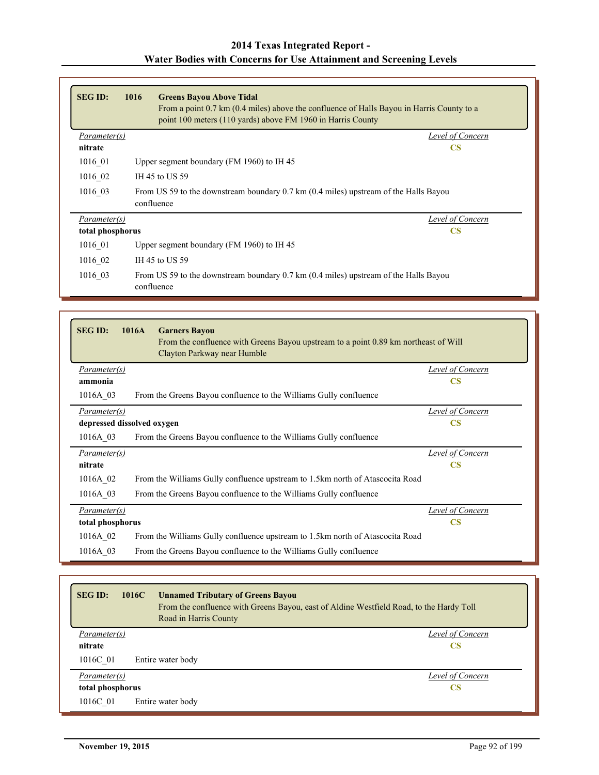| <b>SEG ID:</b>      | 1016<br><b>Greens Bayou Above Tidal</b><br>From a point 0.7 km (0.4 miles) above the confluence of Halls Bayou in Harris County to a<br>point 100 meters (110 yards) above FM 1960 in Harris County |                  |
|---------------------|-----------------------------------------------------------------------------------------------------------------------------------------------------------------------------------------------------|------------------|
| <i>Parameter(s)</i> |                                                                                                                                                                                                     | Level of Concern |
| nitrate             |                                                                                                                                                                                                     | <b>CS</b>        |
| 1016 01             | Upper segment boundary (FM 1960) to IH 45                                                                                                                                                           |                  |
| 1016 02             | IH 45 to US 59                                                                                                                                                                                      |                  |
| 1016 03             | From US 59 to the downstream boundary 0.7 km (0.4 miles) upstream of the Halls Bayou<br>confluence                                                                                                  |                  |
| Parameter(s)        |                                                                                                                                                                                                     | Level of Concern |
| total phosphorus    |                                                                                                                                                                                                     | <b>CS</b>        |
| 1016 01             | Upper segment boundary (FM 1960) to IH 45                                                                                                                                                           |                  |
| 1016 02             | IH 45 to US 59                                                                                                                                                                                      |                  |
| 1016 03             | From US 59 to the downstream boundary 0.7 km (0.4 miles) upstream of the Halls Bayou<br>confluence                                                                                                  |                  |

| <b>SEG ID:</b>             | 1016A<br><b>Garners Bayou</b><br>From the confluence with Greens Bayou upstream to a point 0.89 km northeast of Will<br>Clayton Parkway near Humble |                        |
|----------------------------|-----------------------------------------------------------------------------------------------------------------------------------------------------|------------------------|
| Parameter(s)               |                                                                                                                                                     | Level of Concern       |
| ammonia                    |                                                                                                                                                     | <b>CS</b>              |
| 1016A 03                   | From the Greens Bayou confluence to the Williams Gully confluence                                                                                   |                        |
| Parameter(s)               |                                                                                                                                                     | Level of Concern       |
| depressed dissolved oxygen |                                                                                                                                                     | <b>CS</b>              |
| 1016A 03                   | From the Greens Bayou confluence to the Williams Gully confluence                                                                                   |                        |
| <i>Parameter(s)</i>        |                                                                                                                                                     | Level of Concern       |
| nitrate                    |                                                                                                                                                     | $\overline{\text{CS}}$ |
| 1016A 02                   | From the Williams Gully confluence upstream to 1.5km north of Atascocita Road                                                                       |                        |
| 1016A 03                   | From the Greens Bayou confluence to the Williams Gully confluence                                                                                   |                        |
| <i>Parameter(s)</i>        |                                                                                                                                                     | Level of Concern       |
| total phosphorus           |                                                                                                                                                     | $\mathbf{CS}$          |
| 1016A 02                   | From the Williams Gully confluence upstream to 1.5km north of Atascocita Road                                                                       |                        |
| 1016A 03                   | From the Greens Bayou confluence to the Williams Gully confluence                                                                                   |                        |

| <b>SEG ID:</b><br>1016C | <b>Unnamed Tributary of Greens Bayou</b><br>From the confluence with Greens Bayou, east of Aldine Westfield Road, to the Hardy Toll<br>Road in Harris County |  |
|-------------------------|--------------------------------------------------------------------------------------------------------------------------------------------------------------|--|
| Parameter(s)            | Level of Concern                                                                                                                                             |  |
| nitrate                 | CS                                                                                                                                                           |  |
| 1016C 01                | Entire water body                                                                                                                                            |  |
| Parameter(s)            | Level of Concern                                                                                                                                             |  |
| total phosphorus        | CS                                                                                                                                                           |  |
| 1016C 01                | Entire water body                                                                                                                                            |  |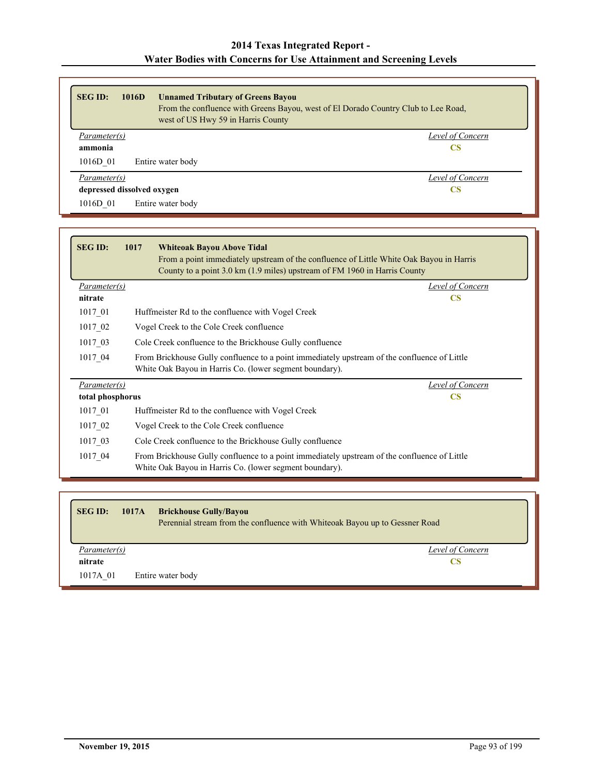| <b>SEG ID:</b> | 1016D<br><b>Unnamed Tributary of Greens Bayou</b><br>west of US Hwy 59 in Harris County | From the confluence with Greens Bayou, west of El Dorado Country Club to Lee Road, |
|----------------|-----------------------------------------------------------------------------------------|------------------------------------------------------------------------------------|
| Parameter(s)   |                                                                                         | Level of Concern                                                                   |
| ammonia        |                                                                                         | <b>CS</b>                                                                          |
| 1016D 01       | Entire water body                                                                       |                                                                                    |
| Parameter(s)   |                                                                                         | Level of Concern                                                                   |
|                | depressed dissolved oxygen                                                              | <b>CS</b>                                                                          |
| 1016D 01       | Entire water body                                                                       |                                                                                    |

| <b>SEG ID:</b>   | 1017<br><b>Whiteoak Bayou Above Tidal</b><br>From a point immediately upstream of the confluence of Little White Oak Bayou in Harris<br>County to a point 3.0 km (1.9 miles) upstream of FM 1960 in Harris County |
|------------------|-------------------------------------------------------------------------------------------------------------------------------------------------------------------------------------------------------------------|
| Parameter(s)     | <b>Level of Concern</b>                                                                                                                                                                                           |
| nitrate          | CS                                                                                                                                                                                                                |
| 1017 01          | Huffmeister Rd to the confluence with Vogel Creek                                                                                                                                                                 |
| 1017_02          | Vogel Creek to the Cole Creek confluence                                                                                                                                                                          |
| 1017 03          | Cole Creek confluence to the Brickhouse Gully confluence                                                                                                                                                          |
| 1017 04          | From Brickhouse Gully confluence to a point immediately upstream of the confluence of Little<br>White Oak Bayou in Harris Co. (lower segment boundary).                                                           |
| Parameter(s)     | Level of Concern                                                                                                                                                                                                  |
| total phosphorus | <b>CS</b>                                                                                                                                                                                                         |
| 1017 01          | Huffmeister Rd to the confluence with Vogel Creek                                                                                                                                                                 |
| $1017 - 02$      | Vogel Creek to the Cole Creek confluence                                                                                                                                                                          |
| 1017 03          | Cole Creek confluence to the Brickhouse Gully confluence                                                                                                                                                          |
| 1017 04          | From Brickhouse Gully confluence to a point immediately upstream of the confluence of Little<br>White Oak Bayou in Harris Co. (lower segment boundary).                                                           |

| <b>SEG ID:</b> | 1017A | <b>Brickhouse Gully/Bayou</b><br>Perennial stream from the confluence with Whiteoak Bayou up to Gessner Road |
|----------------|-------|--------------------------------------------------------------------------------------------------------------|
| Parameter(s)   |       | Level of Concern                                                                                             |
| nitrate        |       | CS                                                                                                           |
| 1017A 01       |       | Entire water body                                                                                            |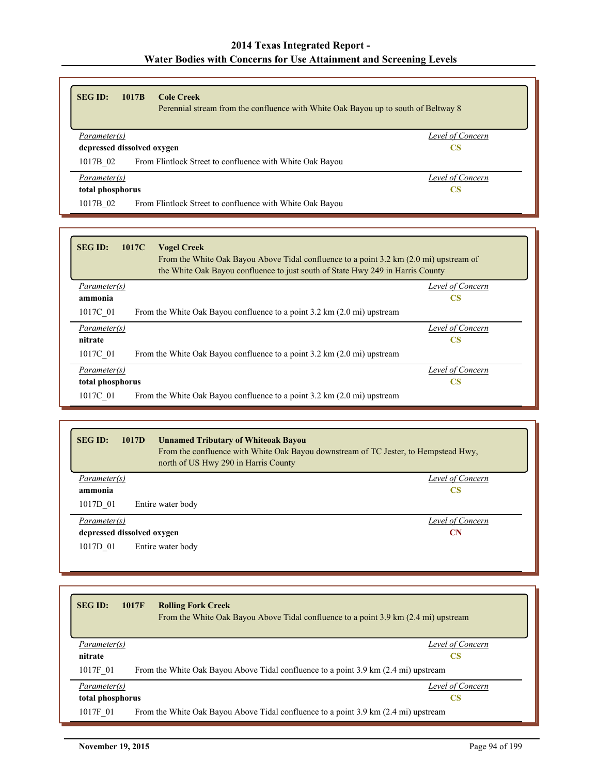| <b>SEG ID:</b>             | 1017B | <b>Cole Creek</b><br>Perennial stream from the confluence with White Oak Bayou up to south of Beltway 8 |                  |
|----------------------------|-------|---------------------------------------------------------------------------------------------------------|------------------|
| <i>Parameter(s)</i>        |       |                                                                                                         | Level of Concern |
| depressed dissolved oxygen |       |                                                                                                         | CS               |
| 1017B 02                   |       | From Flintlock Street to confluence with White Oak Bayou                                                |                  |
| Parameter(s)               |       |                                                                                                         | Level of Concern |
| total phosphorus           |       |                                                                                                         | CS               |
| 1017B 02                   |       | From Flintlock Street to confluence with White Oak Bayou                                                |                  |

| <b>SEG ID:</b>   | <b>Vogel Creek</b><br>1017C<br>From the White Oak Bayou Above Tidal confluence to a point 3.2 km (2.0 mi) upstream of<br>the White Oak Bayou confluence to just south of State Hwy 249 in Harris County |                  |
|------------------|---------------------------------------------------------------------------------------------------------------------------------------------------------------------------------------------------------|------------------|
| Parameter(s)     |                                                                                                                                                                                                         | Level of Concern |
| ammonia          |                                                                                                                                                                                                         | <b>CS</b>        |
| 1017C 01         | From the White Oak Bayou confluence to a point 3.2 km (2.0 mi) upstream                                                                                                                                 |                  |
| Parameter(s)     |                                                                                                                                                                                                         | Level of Concern |
| nitrate          |                                                                                                                                                                                                         | <b>CS</b>        |
| 1017C 01         | From the White Oak Bayou confluence to a point $3.2 \text{ km}$ (2.0 mi) upstream                                                                                                                       |                  |
| Parameter(s)     |                                                                                                                                                                                                         | Level of Concern |
| total phosphorus |                                                                                                                                                                                                         | <b>CS</b>        |
| 1017C 01         | From the White Oak Bayou confluence to a point 3.2 km (2.0 mi) upstream                                                                                                                                 |                  |

| <b>SEG ID:</b> | 1017D<br><b>Unnamed Tributary of Whiteoak Bayou</b><br>north of US Hwy 290 in Harris County | From the confluence with White Oak Bayou downstream of TC Jester, to Hempstead Hwy, |
|----------------|---------------------------------------------------------------------------------------------|-------------------------------------------------------------------------------------|
| Parameter(s)   |                                                                                             | Level of Concern                                                                    |
| ammonia        |                                                                                             | <b>CS</b>                                                                           |
| 1017D 01       | Entire water body                                                                           |                                                                                     |
| Parameter(s)   |                                                                                             | Level of Concern                                                                    |
|                | depressed dissolved oxygen                                                                  | CN                                                                                  |
| 1017D 01       | Entire water body                                                                           |                                                                                     |

| <b>SEG ID:</b>   | 1017F<br><b>Rolling Fork Creek</b><br>From the White Oak Bayou Above Tidal confluence to a point 3.9 km (2.4 mi) upstream |
|------------------|---------------------------------------------------------------------------------------------------------------------------|
| Parameter(s)     | Level of Concern                                                                                                          |
| nitrate          | <b>CS</b>                                                                                                                 |
| 1017F 01         | From the White Oak Bayou Above Tidal confluence to a point 3.9 km (2.4 mi) upstream                                       |
| Parameter(s)     | Level of Concern                                                                                                          |
| total phosphorus | CS                                                                                                                        |
| 1017F 01         | From the White Oak Bayou Above Tidal confluence to a point 3.9 km (2.4 mi) upstream                                       |

Ē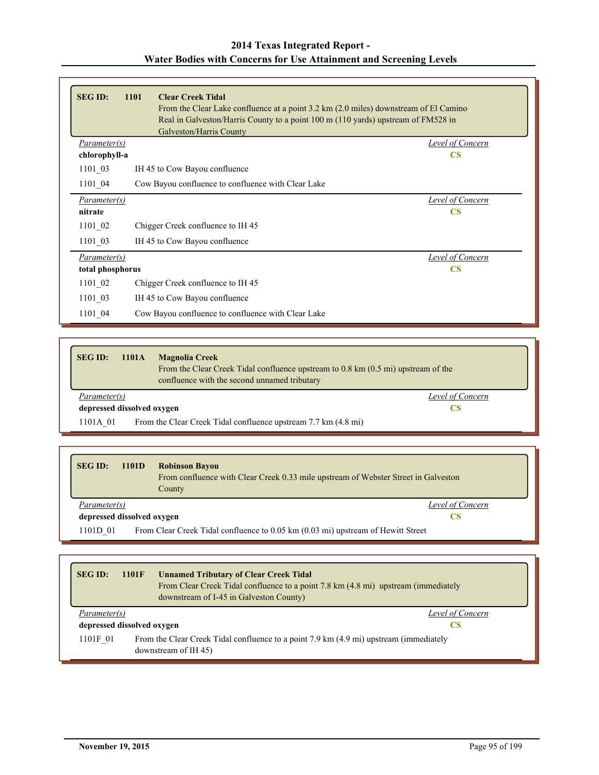| <b>SEG ID:</b><br>1101 | <b>Clear Creek Tidal</b><br>From the Clear Lake confluence at a point 3.2 km (2.0 miles) downstream of El Camino<br>Real in Galveston/Harris County to a point 100 m (110 yards) upstream of FM528 in<br>Galveston/Harris County |
|------------------------|----------------------------------------------------------------------------------------------------------------------------------------------------------------------------------------------------------------------------------|
| <i>Parameter(s)</i>    | Level of Concern                                                                                                                                                                                                                 |
| chlorophyll-a          | <b>CS</b>                                                                                                                                                                                                                        |
| 1101 03                | IH 45 to Cow Bayou confluence                                                                                                                                                                                                    |
| $1101_04$              | Cow Bayou confluence to confluence with Clear Lake                                                                                                                                                                               |
| Parameter(s)           | <b>Level of Concern</b>                                                                                                                                                                                                          |
| nitrate                | $\overline{\text{CS}}$                                                                                                                                                                                                           |
| 1101 02                | Chigger Creek confluence to IH 45                                                                                                                                                                                                |
| 1101 03                | IH 45 to Cow Bayou confluence                                                                                                                                                                                                    |
| Parameter(s)           | Level of Concern                                                                                                                                                                                                                 |
| total phosphorus       | <b>CS</b>                                                                                                                                                                                                                        |
| $1101_02$              | Chigger Creek confluence to IH 45                                                                                                                                                                                                |
| 1101 03                | IH 45 to Cow Bayou confluence                                                                                                                                                                                                    |
| 1101 04                | Cow Bayou confluence to confluence with Clear Lake                                                                                                                                                                               |

| <b>SEG ID:</b> | <b>Magnolia Creek</b><br>1101A<br>From the Clear Creek Tidal confluence upstream to $0.8 \text{ km } (0.5 \text{ mi})$ upstream of the<br>confluence with the second unnamed tributary |                  |
|----------------|----------------------------------------------------------------------------------------------------------------------------------------------------------------------------------------|------------------|
| Parameter(s)   |                                                                                                                                                                                        | Level of Concern |
|                | depressed dissolved oxygen                                                                                                                                                             |                  |
| 1101A 01       | From the Clear Creek Tidal confluence upstream 7.7 km (4.8 mi)                                                                                                                         |                  |

| <b>SEG ID:</b>             | 1101D | <b>Robinson Bayou</b><br>From confluence with Clear Creek 0.33 mile upstream of Webster Street in Galveston<br>County |
|----------------------------|-------|-----------------------------------------------------------------------------------------------------------------------|
| <i>Parameter(s)</i>        |       | Level of Concern                                                                                                      |
| depressed dissolved oxygen |       | CS                                                                                                                    |
| 1101D 01                   |       | From Clear Creek Tidal confluence to 0.05 km (0.03 mi) upstream of Hewitt Street                                      |

| <b>SEG ID:</b>             | 1101F | <b>Unnamed Tributary of Clear Creek Tidal</b><br>From Clear Creek Tidal confluence to a point 7.8 km (4.8 mi) upstream (immediately<br>downstream of I-45 in Galveston County) |                  |
|----------------------------|-------|--------------------------------------------------------------------------------------------------------------------------------------------------------------------------------|------------------|
| Parameter(s)               |       |                                                                                                                                                                                | Level of Concern |
| depressed dissolved oxygen |       |                                                                                                                                                                                | CS               |
| 1101F 01                   |       | From the Clear Creek Tidal confluence to a point 7.9 km (4.9 mi) upstream (immediately<br>downstream of IH 45)                                                                 |                  |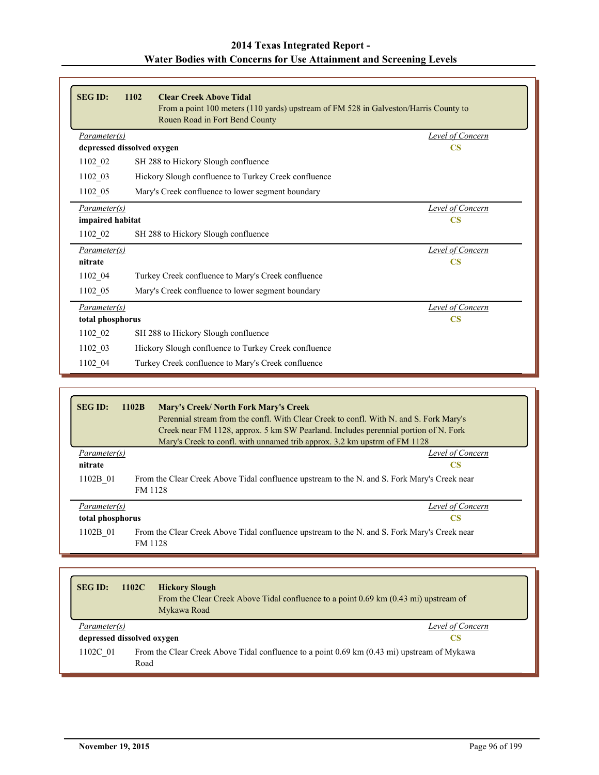| <b>SEG ID:</b>   | 1102<br><b>Clear Creek Above Tidal</b><br>From a point 100 meters (110 yards) upstream of FM 528 in Galveston/Harris County to<br>Rouen Road in Fort Bend County |                         |
|------------------|------------------------------------------------------------------------------------------------------------------------------------------------------------------|-------------------------|
| Parameter(s)     |                                                                                                                                                                  | <b>Level of Concern</b> |
|                  | depressed dissolved oxygen                                                                                                                                       | <b>CS</b>               |
| 1102_02          | SH 288 to Hickory Slough confluence                                                                                                                              |                         |
| 1102 03          | Hickory Slough confluence to Turkey Creek confluence                                                                                                             |                         |
| 1102 05          | Mary's Creek confluence to lower segment boundary                                                                                                                |                         |
| Parameter(s)     |                                                                                                                                                                  | <b>Level of Concern</b> |
| impaired habitat |                                                                                                                                                                  | $\mathbf{CS}$           |
| 1102 02          | SH 288 to Hickory Slough confluence                                                                                                                              |                         |
| Parameter(s)     |                                                                                                                                                                  | <b>Level of Concern</b> |
| nitrate          |                                                                                                                                                                  | $\overline{\text{CS}}$  |
| 1102 04          | Turkey Creek confluence to Mary's Creek confluence                                                                                                               |                         |
| 1102 05          | Mary's Creek confluence to lower segment boundary                                                                                                                |                         |
| Parameter(s)     |                                                                                                                                                                  | <b>Level of Concern</b> |
| total phosphorus |                                                                                                                                                                  | $\mathbf{CS}$           |
| 1102_02          | SH 288 to Hickory Slough confluence                                                                                                                              |                         |
| 1102 03          | Hickory Slough confluence to Turkey Creek confluence                                                                                                             |                         |
| 1102 04          | Turkey Creek confluence to Mary's Creek confluence                                                                                                               |                         |

| <b>SEGID:</b>    | 1102B          | <b>Mary's Creek/North Fork Mary's Creek</b><br>Perennial stream from the confl. With Clear Creek to confl. With N. and S. Fork Mary's<br>Creek near FM 1128, approx. 5 km SW Pearland. Includes perennial portion of N. Fork<br>Mary's Creek to confl. with unnamed trib approx. 3.2 km upstrm of FM 1128 |
|------------------|----------------|-----------------------------------------------------------------------------------------------------------------------------------------------------------------------------------------------------------------------------------------------------------------------------------------------------------|
| Parameter(s)     |                | Level of Concern                                                                                                                                                                                                                                                                                          |
| nitrate          |                | CS                                                                                                                                                                                                                                                                                                        |
| 1102B 01         | <b>FM 1128</b> | From the Clear Creek Above Tidal confluence upstream to the N. and S. Fork Mary's Creek near                                                                                                                                                                                                              |
| Parameter(s)     |                | Level of Concern                                                                                                                                                                                                                                                                                          |
| total phosphorus |                | CS                                                                                                                                                                                                                                                                                                        |
| 1102B 01         | <b>FM 1128</b> | From the Clear Creek Above Tidal confluence upstream to the N. and S. Fork Mary's Creek near                                                                                                                                                                                                              |

| <b>SEG ID:</b>                   | 1102C                            | <b>Hickory Slough</b><br>From the Clear Creek Above Tidal confluence to a point $0.69 \text{ km } (0.43 \text{ mi})$ upstream of<br>Mykawa Road |  |
|----------------------------------|----------------------------------|-------------------------------------------------------------------------------------------------------------------------------------------------|--|
|                                  | Parameter(s)<br>Level of Concern |                                                                                                                                                 |  |
| depressed dissolved oxygen<br>CS |                                  |                                                                                                                                                 |  |
| 1102C 01                         | Road                             | From the Clear Creek Above Tidal confluence to a point 0.69 km (0.43 mi) upstream of Mykawa                                                     |  |

ĥ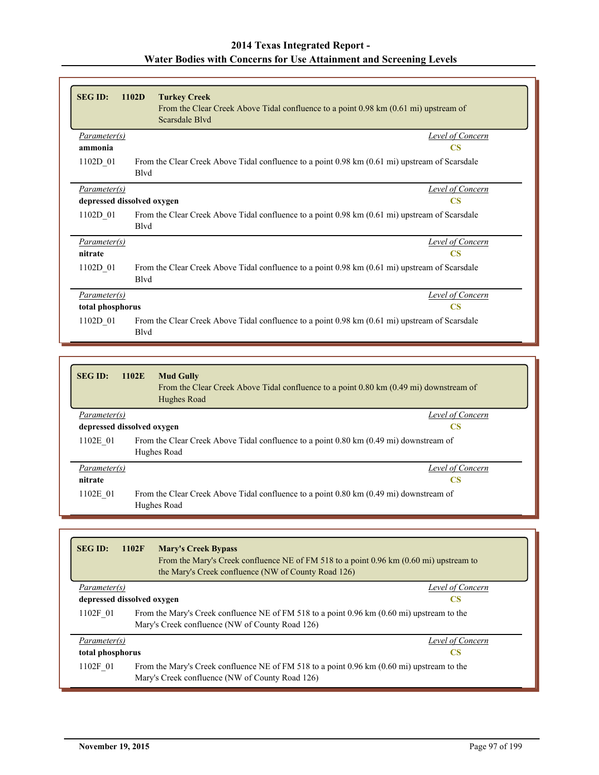| <b>SEG ID:</b>             | 1102D<br><b>Turkey Creek</b><br>From the Clear Creek Above Tidal confluence to a point 0.98 km (0.61 mi) upstream of<br>Scarsdale Blvd |  |
|----------------------------|----------------------------------------------------------------------------------------------------------------------------------------|--|
| Parameter(s)               | <b>Level of Concern</b>                                                                                                                |  |
| ammonia                    | <b>CS</b>                                                                                                                              |  |
| 1102D 01                   | From the Clear Creek Above Tidal confluence to a point 0.98 km (0.61 mi) upstream of Scarsdale<br>Blyd                                 |  |
| Parameter(s)               | Level of Concern                                                                                                                       |  |
| depressed dissolved oxygen | $\overline{\text{CS}}$                                                                                                                 |  |
| 1102D 01                   | From the Clear Creek Above Tidal confluence to a point 0.98 km (0.61 mi) upstream of Scarsdale<br><b>B</b> lvd                         |  |
| <i>Parameter(s)</i>        | Level of Concern                                                                                                                       |  |
| nitrate                    | $\overline{\text{CS}}$                                                                                                                 |  |
| 1102D 01                   | From the Clear Creek Above Tidal confluence to a point 0.98 km (0.61 mi) upstream of Scarsdale<br>Blyd                                 |  |
| Parameter(s)               | Level of Concern                                                                                                                       |  |
| total phosphorus           | $\mathbf{CS}$                                                                                                                          |  |
| 1102D 01                   | From the Clear Creek Above Tidal confluence to a point 0.98 km (0.61 mi) upstream of Scarsdale<br><b>B</b> lvd                         |  |

| <b>SEG ID:</b>             | 1102E | <b>Mud Gully</b><br>From the Clear Creek Above Tidal confluence to a point 0.80 km (0.49 mi) downstream of<br>Hughes Road |                  |
|----------------------------|-------|---------------------------------------------------------------------------------------------------------------------------|------------------|
| <i>Parameter(s)</i>        |       |                                                                                                                           | Level of Concern |
| depressed dissolved oxygen |       |                                                                                                                           | CS               |
| 1102E 01                   |       | From the Clear Creek Above Tidal confluence to a point 0.80 km (0.49 mi) downstream of<br>Hughes Road                     |                  |
| Parameter(s)               |       |                                                                                                                           | Level of Concern |
| nitrate                    |       |                                                                                                                           | CS               |
| 1102E 01                   |       | From the Clear Creek Above Tidal confluence to a point 0.80 km (0.49 mi) downstream of<br>Hughes Road                     |                  |

| <b>SEG ID:</b>             | 1102F | <b>Mary's Creek Bypass</b><br>From the Mary's Creek confluence NE of FM 518 to a point 0.96 km (0.60 mi) upstream to<br>the Mary's Creek confluence (NW of County Road 126) |  |
|----------------------------|-------|-----------------------------------------------------------------------------------------------------------------------------------------------------------------------------|--|
| Parameter(s)               |       | Level of Concern                                                                                                                                                            |  |
| depressed dissolved oxygen |       | <b>CS</b>                                                                                                                                                                   |  |
| 1102F 01                   |       | From the Mary's Creek confluence NE of FM 518 to a point $0.96 \text{ km}$ (0.60 mi) upstream to the<br>Mary's Creek confluence (NW of County Road 126)                     |  |
| Parameter(s)               |       | Level of Concern                                                                                                                                                            |  |
| total phosphorus           |       | <b>CS</b>                                                                                                                                                                   |  |
| 1102F 01                   |       | From the Mary's Creek confluence NE of FM 518 to a point $0.96 \text{ km}$ (0.60 mi) upstream to the<br>Mary's Creek confluence (NW of County Road 126)                     |  |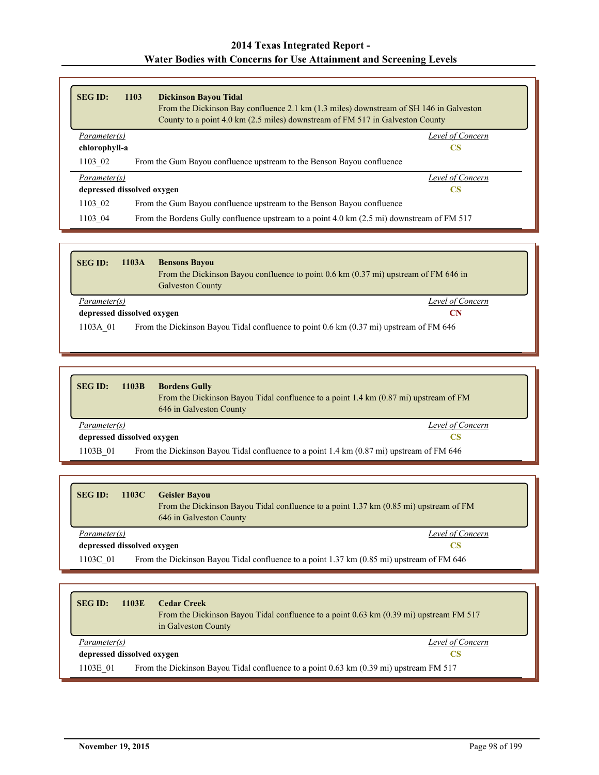| <b>SEG ID:</b>                   | 1103<br><b>Dickinson Bayou Tidal</b><br>From the Dickinson Bay confluence 2.1 km (1.3 miles) downstream of SH 146 in Galveston<br>County to a point 4.0 km (2.5 miles) downstream of FM 517 in Galveston County |                  |
|----------------------------------|-----------------------------------------------------------------------------------------------------------------------------------------------------------------------------------------------------------------|------------------|
| Parameter(s)                     |                                                                                                                                                                                                                 | Level of Concern |
| chlorophyll-a                    |                                                                                                                                                                                                                 | CS               |
| 1103 02                          | From the Gum Bayou confluence upstream to the Benson Bayou confluence                                                                                                                                           |                  |
| Parameter(s)                     |                                                                                                                                                                                                                 | Level of Concern |
| depressed dissolved oxygen<br>CS |                                                                                                                                                                                                                 |                  |
| 1103 02                          | From the Gum Bayou confluence upstream to the Benson Bayou confluence                                                                                                                                           |                  |
| 1103 04                          | From the Bordens Gully confluence upstream to a point 4.0 km (2.5 mi) downstream of FM 517                                                                                                                      |                  |

| <b>SEG ID:</b>             | 1103A | <b>Bensons Bayou</b><br>From the Dickinson Bayou confluence to point 0.6 km (0.37 mi) upstream of FM 646 in<br><b>Galveston County</b> |
|----------------------------|-------|----------------------------------------------------------------------------------------------------------------------------------------|
| Parameter(s)               |       | Level of Concern                                                                                                                       |
| depressed dissolved oxygen |       | СN                                                                                                                                     |
| 1103A 01                   |       | From the Dickinson Bayou Tidal confluence to point 0.6 km (0.37 mi) upstream of FM 646                                                 |

| <b>SEG ID:</b>             | 1103B | <b>Bordens Gully</b><br>From the Dickinson Bayou Tidal confluence to a point 1.4 km (0.87 mi) upstream of FM<br>646 in Galveston County |
|----------------------------|-------|-----------------------------------------------------------------------------------------------------------------------------------------|
| Parameter(s)               |       | Level of Concern                                                                                                                        |
| depressed dissolved oxygen |       |                                                                                                                                         |
| 1103B 01                   |       | From the Dickinson Bayou Tidal confluence to a point 1.4 km (0.87 mi) upstream of FM 646                                                |

| <b>SEG ID:</b>             | 1103C | <b>Geisler Bayou</b><br>From the Dickinson Bayou Tidal confluence to a point 1.37 km (0.85 mi) upstream of FM<br>646 in Galveston County |
|----------------------------|-------|------------------------------------------------------------------------------------------------------------------------------------------|
| Parameter(s)               |       | Level of Concern                                                                                                                         |
| depressed dissolved oxygen |       |                                                                                                                                          |
| 1103C 01                   |       | From the Dickinson Bayou Tidal confluence to a point 1.37 km (0.85 mi) upstream of FM 646                                                |

| <b>SEG ID:</b>             | 1103E | <b>Cedar Creek</b><br>From the Dickinson Bayou Tidal confluence to a point 0.63 km (0.39 mi) upstream FM 517<br>in Galveston County |  |
|----------------------------|-------|-------------------------------------------------------------------------------------------------------------------------------------|--|
| Parameter(s)               |       | Level of Concern                                                                                                                    |  |
| depressed dissolved oxygen |       | CS.                                                                                                                                 |  |
| 1103E 01                   |       | From the Dickinson Bayou Tidal confluence to a point $0.63 \text{ km}$ (0.39 mi) upstream FM 517                                    |  |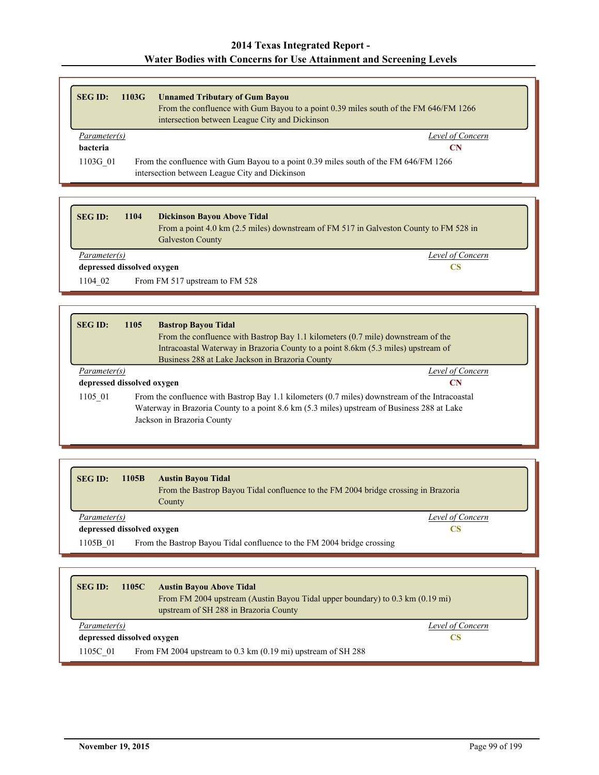| <b>SEG ID:</b>      | 1103G | <b>Unnamed Tributary of Gum Bayou</b>                                                |
|---------------------|-------|--------------------------------------------------------------------------------------|
|                     |       | From the confluence with Gum Bayou to a point 0.39 miles south of the FM 646/FM 1266 |
|                     |       | intersection between League City and Dickinson                                       |
| <i>Parameter(s)</i> |       | Level of Concern                                                                     |
| bacteria            |       | СN                                                                                   |
| 1103G 01            |       | From the confluence with Gum Bayou to a point 0.39 miles south of the FM 646/FM 1266 |
|                     |       |                                                                                      |

| <b>SEG ID:</b>             | 1104 | <b>Dickinson Bayou Above Tidal</b><br>From a point 4.0 km (2.5 miles) downstream of FM 517 in Galveston County to FM 528 in<br><b>Galveston County</b> |  |
|----------------------------|------|--------------------------------------------------------------------------------------------------------------------------------------------------------|--|
| Parameter(s)               |      | Level of Concern                                                                                                                                       |  |
| depressed dissolved oxygen |      | CS                                                                                                                                                     |  |
| 1104 02                    |      | From FM 517 upstream to FM 528                                                                                                                         |  |

| <b>SEG ID:</b>             | 1105 | <b>Bastrop Bayou Tidal</b><br>From the confluence with Bastrop Bay 1.1 kilometers (0.7 mile) downstream of the<br>Intracoastal Waterway in Brazoria County to a point 8.6km (5.3 miles) upstream of                        |
|----------------------------|------|----------------------------------------------------------------------------------------------------------------------------------------------------------------------------------------------------------------------------|
|                            |      | Business 288 at Lake Jackson in Brazoria County                                                                                                                                                                            |
| Parameter(s)               |      | Level of Concern                                                                                                                                                                                                           |
| depressed dissolved oxygen |      | CN                                                                                                                                                                                                                         |
| 1105 01                    |      | From the confluence with Bastrop Bay 1.1 kilometers (0.7 miles) downstream of the Intracoastal<br>Waterway in Brazoria County to a point 8.6 km (5.3 miles) upstream of Business 288 at Lake<br>Jackson in Brazoria County |

| <b>SEG ID:</b>             | 1105B | <b>Austin Bayou Tidal</b><br>From the Bastrop Bayou Tidal confluence to the FM 2004 bridge crossing in Brazoria<br>County |                  |
|----------------------------|-------|---------------------------------------------------------------------------------------------------------------------------|------------------|
| Parameter(s)               |       |                                                                                                                           | Level of Concern |
| depressed dissolved oxygen |       |                                                                                                                           | CS               |
| 1105B 01                   |       | From the Bastrop Bayou Tidal confluence to the FM 2004 bridge crossing                                                    |                  |
|                            |       |                                                                                                                           |                  |

| <b>SEG ID:</b>             | 1105C | <b>Austin Bayou Above Tidal</b><br>From FM 2004 upstream (Austin Bayou Tidal upper boundary) to 0.3 km (0.19 mi)<br>upstream of SH 288 in Brazoria County |                  |
|----------------------------|-------|-----------------------------------------------------------------------------------------------------------------------------------------------------------|------------------|
| Parameter(s)               |       |                                                                                                                                                           | Level of Concern |
| depressed dissolved oxygen |       |                                                                                                                                                           | CS               |
| 1105C 01                   |       | From FM 2004 upstream to $0.3 \text{ km } (0.19 \text{ mi})$ upstream of SH 288                                                                           |                  |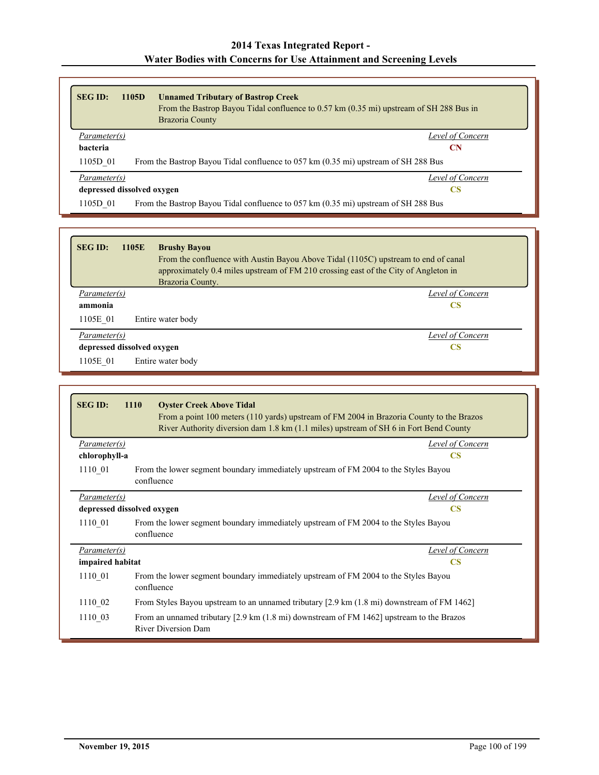| <b>SEG ID:</b>             | 1105D | <b>Unnamed Tributary of Bastrop Creek</b>                                              |  |
|----------------------------|-------|----------------------------------------------------------------------------------------|--|
|                            |       | From the Bastrop Bayou Tidal confluence to 0.57 km (0.35 mi) upstream of SH 288 Bus in |  |
|                            |       | <b>Brazoria County</b>                                                                 |  |
| Parameter(s)               |       | Level of Concern                                                                       |  |
| bacteria                   |       | <b>CN</b>                                                                              |  |
| 1105D 01                   |       | From the Bastrop Bayou Tidal confluence to 057 km (0.35 mi) upstream of SH 288 Bus     |  |
| Parameter(s)               |       | Level of Concern                                                                       |  |
| depressed dissolved oxygen |       | CS                                                                                     |  |
| 1105D 01                   |       | From the Bastrop Bayou Tidal confluence to 057 km (0.35 mi) upstream of SH 288 Bus     |  |

| <b>SEG ID:</b> | 1105E<br><b>Brushy Bayou</b> |                                                                                                                                                                           |
|----------------|------------------------------|---------------------------------------------------------------------------------------------------------------------------------------------------------------------------|
|                | Brazoria County.             | From the confluence with Austin Bayou Above Tidal (1105C) upstream to end of canal<br>approximately 0.4 miles upstream of FM 210 crossing east of the City of Angleton in |
| Parameter(s)   |                              | Level of Concern                                                                                                                                                          |
| ammonia        |                              | <b>CS</b>                                                                                                                                                                 |
| 1105E 01       | Entire water body            |                                                                                                                                                                           |
| Parameter(s)   |                              | Level of Concern                                                                                                                                                          |
|                | depressed dissolved oxygen   | CS                                                                                                                                                                        |
| 1105E 01       | Entire water body            |                                                                                                                                                                           |

| <b>SEG ID:</b>      | <b>1110</b><br><b>Oyster Creek Above Tidal</b><br>From a point 100 meters (110 yards) upstream of FM 2004 in Brazoria County to the Brazos<br>River Authority diversion dam 1.8 km (1.1 miles) upstream of SH 6 in Fort Bend County |  |
|---------------------|-------------------------------------------------------------------------------------------------------------------------------------------------------------------------------------------------------------------------------------|--|
| <i>Parameter(s)</i> | Level of Concern                                                                                                                                                                                                                    |  |
| chlorophyll-a       | $\mathbf{CS}$                                                                                                                                                                                                                       |  |
| 1110_01             | From the lower segment boundary immediately upstream of FM 2004 to the Styles Bayou<br>confluence                                                                                                                                   |  |
| Parameter(s)        | Level of Concern                                                                                                                                                                                                                    |  |
|                     | depressed dissolved oxygen<br>$\mathbf{CS}$                                                                                                                                                                                         |  |
| 1110 01             | From the lower segment boundary immediately upstream of FM 2004 to the Styles Bayou<br>confluence                                                                                                                                   |  |
| <i>Parameter(s)</i> | <b>Level of Concern</b>                                                                                                                                                                                                             |  |
| impaired habitat    | $\overline{\text{CS}}$                                                                                                                                                                                                              |  |
| 1110 01             | From the lower segment boundary immediately upstream of FM 2004 to the Styles Bayou<br>confluence                                                                                                                                   |  |
| 1110 02             | From Styles Bayou upstream to an unnamed tributary [2.9 km (1.8 mi) downstream of FM 1462]                                                                                                                                          |  |
| 1110 03             | From an unnamed tributary [2.9 km (1.8 mi) downstream of FM 1462] upstream to the Brazos<br><b>River Diversion Dam</b>                                                                                                              |  |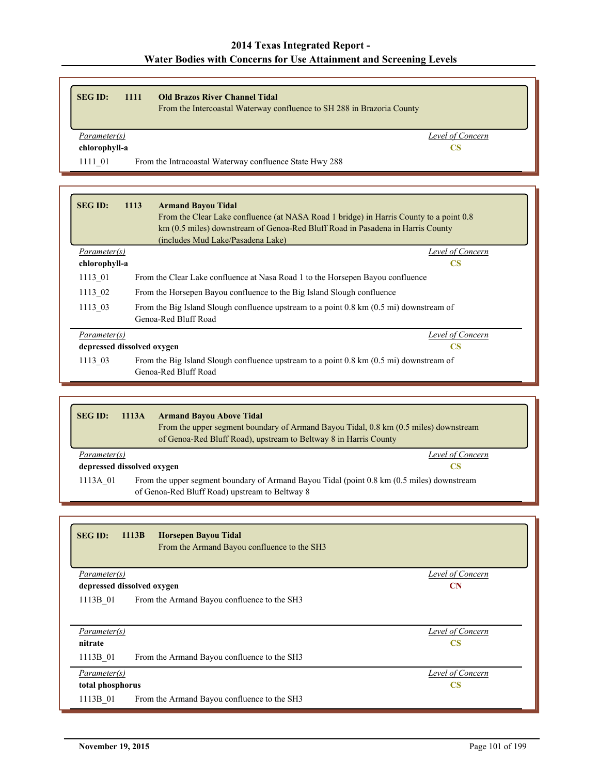| <b>SEG ID:</b>           | 1111 | <b>Old Brazos River Channel Tidal</b><br>From the Intercoastal Waterway confluence to SH 288 in Brazoria County |                  |
|--------------------------|------|-----------------------------------------------------------------------------------------------------------------|------------------|
| Parameter(s)             |      |                                                                                                                 | Level of Concern |
| chlorophyll-a<br>1111 01 |      | From the Intracoastal Waterway confluence State Hwy 288                                                         | CS               |

| <b>SEG ID:</b> | 1113                             | <b>Armand Bayou Tidal</b>                                                                                                          |  |
|----------------|----------------------------------|------------------------------------------------------------------------------------------------------------------------------------|--|
|                |                                  | From the Clear Lake confluence (at NASA Road 1 bridge) in Harris County to a point 0.8                                             |  |
|                |                                  | km (0.5 miles) downstream of Genoa-Red Bluff Road in Pasadena in Harris County                                                     |  |
|                |                                  | (includes Mud Lake/Pasadena Lake)                                                                                                  |  |
| Parameter(s)   |                                  | Level of Concern                                                                                                                   |  |
| chlorophyll-a  |                                  | <b>CS</b>                                                                                                                          |  |
| 1113 01        |                                  | From the Clear Lake confluence at Nasa Road 1 to the Horsepen Bayou confluence                                                     |  |
| 1113 02        |                                  | From the Horsepen Bayou confluence to the Big Island Slough confluence                                                             |  |
| 1113 03        |                                  | From the Big Island Slough confluence upstream to a point $0.8 \text{ km } (0.5 \text{ mi})$ downstream of<br>Genoa-Red Bluff Road |  |
| Parameter(s)   |                                  | Level of Concern                                                                                                                   |  |
|                | depressed dissolved oxygen<br>CS |                                                                                                                                    |  |
| 1113 03        |                                  | From the Big Island Slough confluence upstream to a point $0.8 \text{ km } (0.5 \text{ mi})$ downstream of<br>Genoa-Red Bluff Road |  |

| <b>SEG ID:</b>                                                                                                                                           | 1113A | <b>Armand Bayou Above Tidal</b><br>From the upper segment boundary of Armand Bayou Tidal, 0.8 km (0.5 miles) downstream<br>of Genoa-Red Bluff Road), upstream to Beltway 8 in Harris County |  |
|----------------------------------------------------------------------------------------------------------------------------------------------------------|-------|---------------------------------------------------------------------------------------------------------------------------------------------------------------------------------------------|--|
| Parameter(s)                                                                                                                                             |       | Level of Concern                                                                                                                                                                            |  |
| depressed dissolved oxygen<br>CS                                                                                                                         |       |                                                                                                                                                                                             |  |
| From the upper segment boundary of Armand Bayou Tidal (point 0.8 km (0.5 miles) downstream<br>1113A 01<br>of Genoa-Red Bluff Road) upstream to Beltway 8 |       |                                                                                                                                                                                             |  |

| <b>SEG ID:</b><br>1113B<br><b>Horsepen Bayou Tidal</b><br>From the Armand Bayou confluence to the SH3 |                         |
|-------------------------------------------------------------------------------------------------------|-------------------------|
| Parameter(s)                                                                                          | Level of Concern        |
| depressed dissolved oxygen                                                                            | <b>CN</b>               |
| 1113B 01<br>From the Armand Bayou confluence to the SH3                                               |                         |
| Parameter(s)                                                                                          | Level of Concern        |
| nitrate                                                                                               | $\overline{\text{CS}}$  |
| 1113B 01<br>From the Armand Bayou confluence to the SH3                                               |                         |
| Parameter(s)                                                                                          | <b>Level of Concern</b> |
| total phosphorus                                                                                      | <b>CS</b>               |
| 1113B 01<br>From the Armand Bayou confluence to the SH3                                               |                         |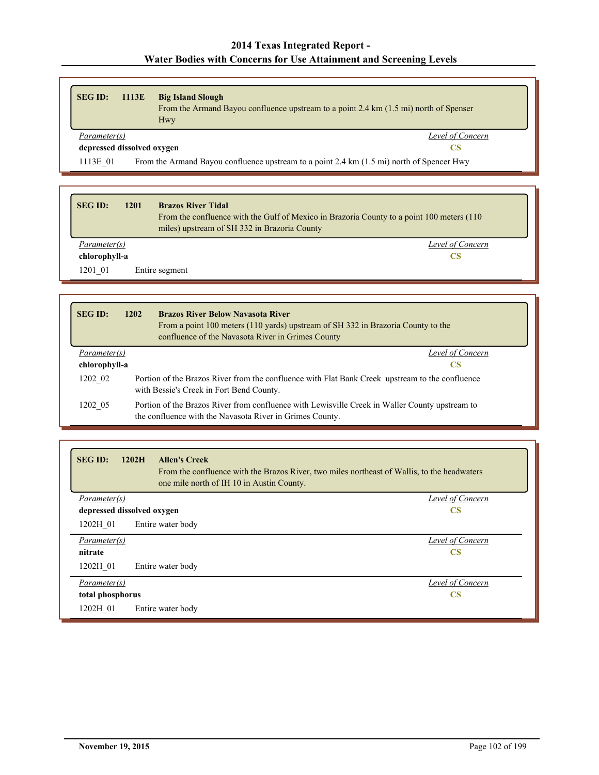| <b>SEG ID:</b>             | 1113E | <b>Big Island Slough</b><br>From the Armand Bayou confluence upstream to a point 2.4 km (1.5 mi) north of Spenser<br>Hwy |  |
|----------------------------|-------|--------------------------------------------------------------------------------------------------------------------------|--|
| <i>Parameter(s)</i>        |       | Level of Concern                                                                                                         |  |
| depressed dissolved oxygen |       | CS                                                                                                                       |  |
| 1113E 01                   |       | From the Armand Bayou confluence upstream to a point 2.4 km (1.5 mi) north of Spencer Hwy                                |  |

| <b>SEG ID:</b> | 1201<br><b>Brazos River Tidal</b> | From the confluence with the Gulf of Mexico in Brazoria County to a point 100 meters (110)<br>miles) upstream of SH 332 in Brazoria County |
|----------------|-----------------------------------|--------------------------------------------------------------------------------------------------------------------------------------------|
| Parameter(s)   |                                   | Level of Concern                                                                                                                           |
| chlorophyll-a  |                                   | CS.                                                                                                                                        |
| 1201 01        | Entire segment                    |                                                                                                                                            |

| <b>SEG ID:</b> | 1202 | <b>Brazos River Below Navasota River</b><br>From a point 100 meters (110 yards) upstream of SH 332 in Brazoria County to the<br>confluence of the Navasota River in Grimes County |
|----------------|------|-----------------------------------------------------------------------------------------------------------------------------------------------------------------------------------|
| Parameter(s)   |      | Level of Concern                                                                                                                                                                  |
| chlorophyll-a  |      | CS                                                                                                                                                                                |
| 1202 02        |      | Portion of the Brazos River from the confluence with Flat Bank Creek upstream to the confluence<br>with Bessie's Creek in Fort Bend County.                                       |
| 1202 05        |      | Portion of the Brazos River from confluence with Lewisville Creek in Waller County upstream to<br>the confluence with the Navasota River in Grimes County.                        |

| <b>SEG ID:</b><br>1202H<br><b>Allen's Creek</b><br>From the confluence with the Brazos River, two miles northeast of Wallis, to the headwaters<br>one mile north of IH 10 in Austin County. |                  |  |
|---------------------------------------------------------------------------------------------------------------------------------------------------------------------------------------------|------------------|--|
| <i>Parameter(s)</i>                                                                                                                                                                         | Level of Concern |  |
| depressed dissolved oxygen                                                                                                                                                                  | <b>CS</b>        |  |
| 1202H 01<br>Entire water body                                                                                                                                                               |                  |  |
| <i>Parameter(s)</i>                                                                                                                                                                         | Level of Concern |  |
| nitrate                                                                                                                                                                                     | CS               |  |
| 1202H 01<br>Entire water body                                                                                                                                                               |                  |  |
| Parameter(s)                                                                                                                                                                                | Level of Concern |  |
| total phosphorus<br><b>CS</b>                                                                                                                                                               |                  |  |
| 1202H 01<br>Entire water body                                                                                                                                                               |                  |  |

Г

۲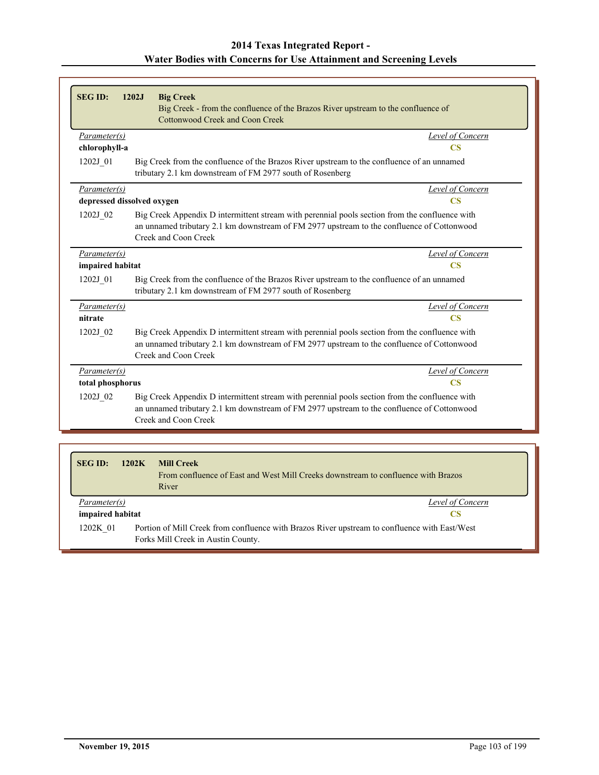|                                                                                                                                                                                                                                  | Big Creek - from the confluence of the Brazos River upstream to the confluence of<br><b>Cottonwood Creek and Coon Creek</b>                                                                                          |                         |  |
|----------------------------------------------------------------------------------------------------------------------------------------------------------------------------------------------------------------------------------|----------------------------------------------------------------------------------------------------------------------------------------------------------------------------------------------------------------------|-------------------------|--|
| Parameter(s)                                                                                                                                                                                                                     |                                                                                                                                                                                                                      | <b>Level of Concern</b> |  |
| chlorophyll-a                                                                                                                                                                                                                    |                                                                                                                                                                                                                      | $\overline{\text{CS}}$  |  |
| Big Creek from the confluence of the Brazos River upstream to the confluence of an unnamed<br>1202J 01<br>tributary 2.1 km downstream of FM 2977 south of Rosenberg                                                              |                                                                                                                                                                                                                      |                         |  |
| Parameter(s)                                                                                                                                                                                                                     |                                                                                                                                                                                                                      | Level of Concern        |  |
|                                                                                                                                                                                                                                  | depressed dissolved oxygen                                                                                                                                                                                           | $\overline{\text{CS}}$  |  |
| Big Creek Appendix D intermittent stream with perennial pools section from the confluence with<br>1202J 02<br>an unnamed tributary 2.1 km downstream of FM 2977 upstream to the confluence of Cottonwood<br>Creek and Coon Creek |                                                                                                                                                                                                                      |                         |  |
| Parameter(s)                                                                                                                                                                                                                     |                                                                                                                                                                                                                      | <b>Level of Concern</b> |  |
| impaired habitat<br>$\overline{\text{CS}}$                                                                                                                                                                                       |                                                                                                                                                                                                                      |                         |  |
| 1202J 01                                                                                                                                                                                                                         | Big Creek from the confluence of the Brazos River upstream to the confluence of an unnamed<br>tributary 2.1 km downstream of FM 2977 south of Rosenberg                                                              |                         |  |
| Parameter(s)                                                                                                                                                                                                                     |                                                                                                                                                                                                                      | Level of Concern        |  |
| nitrate                                                                                                                                                                                                                          |                                                                                                                                                                                                                      | $\overline{\text{CS}}$  |  |
| 1202J 02                                                                                                                                                                                                                         | Big Creek Appendix D intermittent stream with perennial pools section from the confluence with<br>an unnamed tributary 2.1 km downstream of FM 2977 upstream to the confluence of Cottonwood<br>Creek and Coon Creek |                         |  |
| Parameter(s)                                                                                                                                                                                                                     |                                                                                                                                                                                                                      | Level of Concern        |  |
| total phosphorus                                                                                                                                                                                                                 |                                                                                                                                                                                                                      | $\overline{\text{CS}}$  |  |
| 1202J_02                                                                                                                                                                                                                         | Big Creek Appendix D intermittent stream with perennial pools section from the confluence with<br>an unnamed tributary 2.1 km downstream of FM 2977 upstream to the confluence of Cottonwood<br>Creek and Coon Creek |                         |  |

| <b>SEG ID:</b>                                                                                                                                  | 1202K | <b>Mill Creek</b><br>From confluence of East and West Mill Creeks downstream to confluence with Brazos<br>River |
|-------------------------------------------------------------------------------------------------------------------------------------------------|-------|-----------------------------------------------------------------------------------------------------------------|
| Parameter(s)                                                                                                                                    |       | Level of Concern                                                                                                |
| impaired habitat                                                                                                                                |       | CS                                                                                                              |
| Portion of Mill Creek from confluence with Brazos River upstream to confluence with East/West<br>1202K 01<br>Forks Mill Creek in Austin County. |       |                                                                                                                 |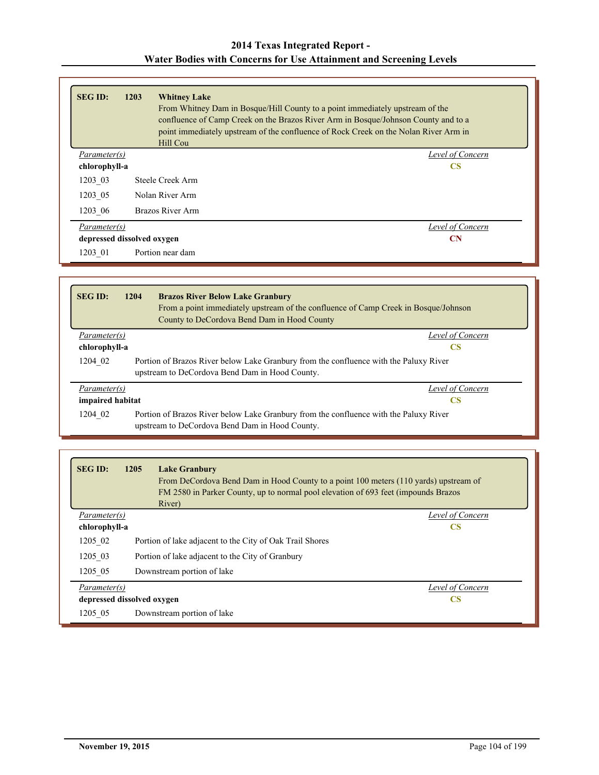| <b>SEG ID:</b>             | 1203 | <b>Whitney Lake</b><br>From Whitney Dam in Bosque/Hill County to a point immediately upstream of the<br>Hill Cou | confluence of Camp Creek on the Brazos River Arm in Bosque/Johnson County and to a<br>point immediately upstream of the confluence of Rock Creek on the Nolan River Arm in |
|----------------------------|------|------------------------------------------------------------------------------------------------------------------|----------------------------------------------------------------------------------------------------------------------------------------------------------------------------|
| Parameter(s)               |      |                                                                                                                  | Level of Concern                                                                                                                                                           |
| chlorophyll-a              |      |                                                                                                                  | <b>CS</b>                                                                                                                                                                  |
| 1203 03                    |      | Steele Creek Arm                                                                                                 |                                                                                                                                                                            |
| 1203 05                    |      | Nolan River Arm                                                                                                  |                                                                                                                                                                            |
| 1203 06                    |      | Brazos River Arm                                                                                                 |                                                                                                                                                                            |
| Parameter(s)               |      |                                                                                                                  | Level of Concern                                                                                                                                                           |
| depressed dissolved oxygen |      |                                                                                                                  | <b>CN</b>                                                                                                                                                                  |
| 1203 01                    |      | Portion near dam                                                                                                 |                                                                                                                                                                            |

| <b>SEG ID:</b>                          | 1204<br><b>Brazos River Below Lake Granbury</b><br>From a point immediately upstream of the confluence of Camp Creek in Bosque/Johnson<br>County to DeCordova Bend Dam in Hood County |                  |  |  |
|-----------------------------------------|---------------------------------------------------------------------------------------------------------------------------------------------------------------------------------------|------------------|--|--|
| Level of Concern<br><i>Parameter(s)</i> |                                                                                                                                                                                       |                  |  |  |
| chlorophyll-a<br>CS                     |                                                                                                                                                                                       |                  |  |  |
| 1204 02                                 | Portion of Brazos River below Lake Granbury from the confluence with the Paluxy River<br>upstream to DeCordova Bend Dam in Hood County.                                               |                  |  |  |
| Parameter(s)                            |                                                                                                                                                                                       | Level of Concern |  |  |
| impaired habitat<br><b>CS</b>           |                                                                                                                                                                                       |                  |  |  |
| 1204 02                                 | Portion of Brazos River below Lake Granbury from the confluence with the Paluxy River<br>upstream to DeCordova Bend Dam in Hood County.                                               |                  |  |  |

| <b>SEG ID:</b>                   | 1205 | <b>Lake Granbury</b><br>From DeCordova Bend Dam in Hood County to a point 100 meters (110 yards) upstream of<br>FM 2580 in Parker County, up to normal pool elevation of 693 feet (impounds Brazos<br>River) |                  |
|----------------------------------|------|--------------------------------------------------------------------------------------------------------------------------------------------------------------------------------------------------------------|------------------|
| Parameter(s)                     |      |                                                                                                                                                                                                              | Level of Concern |
| chlorophyll-a                    |      |                                                                                                                                                                                                              | <b>CS</b>        |
| 1205 02                          |      | Portion of lake adjacent to the City of Oak Trail Shores                                                                                                                                                     |                  |
| 1205 03                          |      | Portion of lake adjacent to the City of Granbury                                                                                                                                                             |                  |
| 1205 05                          |      | Downstream portion of lake                                                                                                                                                                                   |                  |
| Parameter(s)                     |      |                                                                                                                                                                                                              | Level of Concern |
| depressed dissolved oxygen<br>CS |      |                                                                                                                                                                                                              |                  |
| 1205 05                          |      | Downstream portion of lake                                                                                                                                                                                   |                  |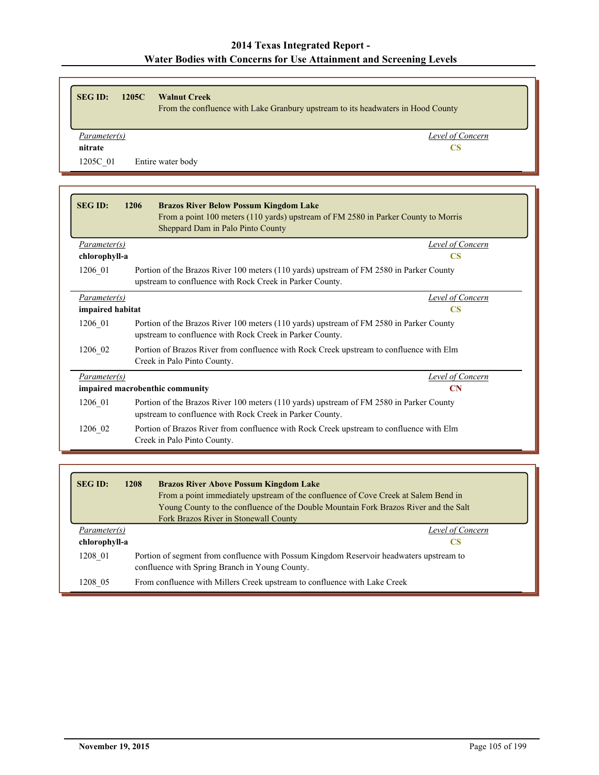| <b>SEG ID:</b> | 1205C<br><b>Walnut Creek</b><br>From the confluence with Lake Granbury upstream to its headwaters in Hood County |                  |
|----------------|------------------------------------------------------------------------------------------------------------------|------------------|
| Parameter(s)   |                                                                                                                  | Level of Concern |
| nitrate        |                                                                                                                  | <b>CS</b>        |
| 1205C 01       | Entire water body                                                                                                |                  |

| <b>SEG ID:</b>      | 1206<br><b>Brazos River Below Possum Kingdom Lake</b><br>From a point 100 meters (110 yards) upstream of FM 2580 in Parker County to Morris<br>Sheppard Dam in Palo Pinto County |  |
|---------------------|----------------------------------------------------------------------------------------------------------------------------------------------------------------------------------|--|
| <i>Parameter(s)</i> | Level of Concern                                                                                                                                                                 |  |
| chlorophyll-a       | $\overline{\text{CS}}$                                                                                                                                                           |  |
| 1206 01             | Portion of the Brazos River 100 meters (110 yards) upstream of FM 2580 in Parker County<br>upstream to confluence with Rock Creek in Parker County.                              |  |
| Parameter(s)        | Level of Concern                                                                                                                                                                 |  |
| impaired habitat    | <b>CS</b>                                                                                                                                                                        |  |
| 1206 01             | Portion of the Brazos River 100 meters (110 yards) upstream of FM 2580 in Parker County<br>upstream to confluence with Rock Creek in Parker County.                              |  |
| 1206 02             | Portion of Brazos River from confluence with Rock Creek upstream to confluence with Elm<br>Creek in Palo Pinto County.                                                           |  |
| Parameter(s)        | Level of Concern                                                                                                                                                                 |  |
|                     | impaired macrobenthic community<br><b>CN</b>                                                                                                                                     |  |
| 1206 01             | Portion of the Brazos River 100 meters (110 yards) upstream of FM 2580 in Parker County<br>upstream to confluence with Rock Creek in Parker County.                              |  |
| 1206 02             | Portion of Brazos River from confluence with Rock Creek upstream to confluence with Elm<br>Creek in Palo Pinto County.                                                           |  |

| <b>SEG ID:</b> | 1208 | <b>Brazos River Above Possum Kingdom Lake</b><br>From a point immediately upstream of the confluence of Cove Creek at Salem Bend in<br>Young County to the confluence of the Double Mountain Fork Brazos River and the Salt<br>Fork Brazos River in Stonewall County |
|----------------|------|----------------------------------------------------------------------------------------------------------------------------------------------------------------------------------------------------------------------------------------------------------------------|
| Parameter(s)   |      | Level of Concern                                                                                                                                                                                                                                                     |
| chlorophyll-a  |      | CS                                                                                                                                                                                                                                                                   |
| 1208 01        |      | Portion of segment from confluence with Possum Kingdom Reservoir headwaters upstream to<br>confluence with Spring Branch in Young County.                                                                                                                            |
| 1208 05        |      | From confluence with Millers Creek upstream to confluence with Lake Creek                                                                                                                                                                                            |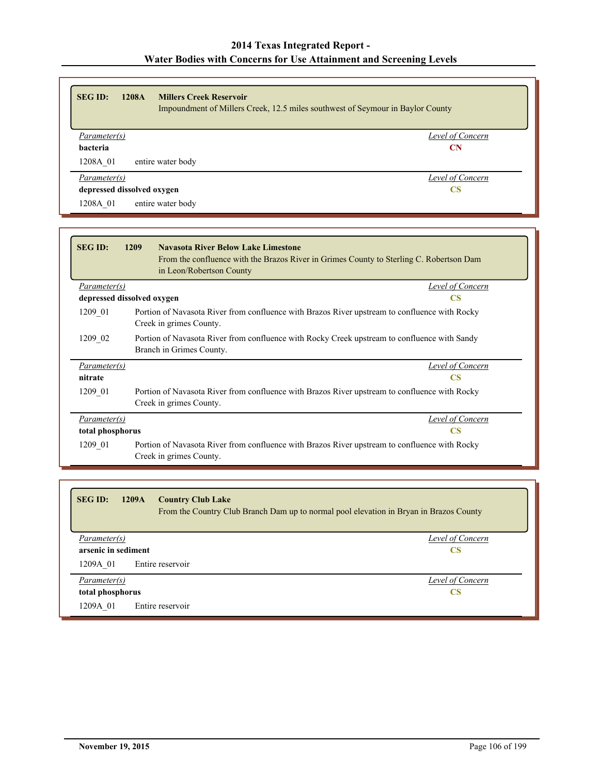| <b>SEGID:</b><br><b>1208A</b><br><b>Millers Creek Reservoir</b> | Impoundment of Millers Creek, 12.5 miles southwest of Seymour in Baylor County |
|-----------------------------------------------------------------|--------------------------------------------------------------------------------|
| Parameter(s)                                                    | Level of Concern                                                               |
| <b>bacteria</b>                                                 | <b>CN</b>                                                                      |
| 1208A 01<br>entire water body                                   |                                                                                |
| Parameter(s)                                                    | Level of Concern                                                               |
| depressed dissolved oxygen                                      | <b>CS</b>                                                                      |
| 1208A 01<br>entire water body                                   |                                                                                |

| <b>SEG ID:</b>      | <b>Navasota River Below Lake Limestone</b><br>1209<br>From the confluence with the Brazos River in Grimes County to Sterling C. Robertson Dam<br>in Leon/Robertson County |                        |
|---------------------|---------------------------------------------------------------------------------------------------------------------------------------------------------------------------|------------------------|
| Parameter(s)        |                                                                                                                                                                           | Level of Concern       |
|                     | depressed dissolved oxygen                                                                                                                                                | <b>CS</b>              |
| 1209 01             | Portion of Navasota River from confluence with Brazos River upstream to confluence with Rocky<br>Creek in grimes County.                                                  |                        |
| 1209 02             | Portion of Navasota River from confluence with Rocky Creek upstream to confluence with Sandy<br>Branch in Grimes County.                                                  |                        |
| Parameter(s)        |                                                                                                                                                                           | Level of Concern       |
| nitrate             |                                                                                                                                                                           | $\overline{\text{CS}}$ |
| 1209 01             | Portion of Navasota River from confluence with Brazos River upstream to confluence with Rocky<br>Creek in grimes County.                                                  |                        |
| <i>Parameter(s)</i> |                                                                                                                                                                           | Level of Concern       |
| total phosphorus    |                                                                                                                                                                           | $\overline{\text{CS}}$ |
| 1209 01             | Portion of Navasota River from confluence with Brazos River upstream to confluence with Rocky<br>Creek in grimes County.                                                  |                        |

| <b>SEG ID:</b><br>1209A<br><b>Country Club Lake</b><br>From the Country Club Branch Dam up to normal pool elevation in Bryan in Brazos County |                  |
|-----------------------------------------------------------------------------------------------------------------------------------------------|------------------|
| Parameter(s)                                                                                                                                  | Level of Concern |
| arsenic in sediment                                                                                                                           | CS               |
| Entire reservoir<br>1209A 01                                                                                                                  |                  |
| Parameter(s)                                                                                                                                  | Level of Concern |
| total phosphorus                                                                                                                              | <b>CS</b>        |
| Entire reservoir<br>1209A 01                                                                                                                  |                  |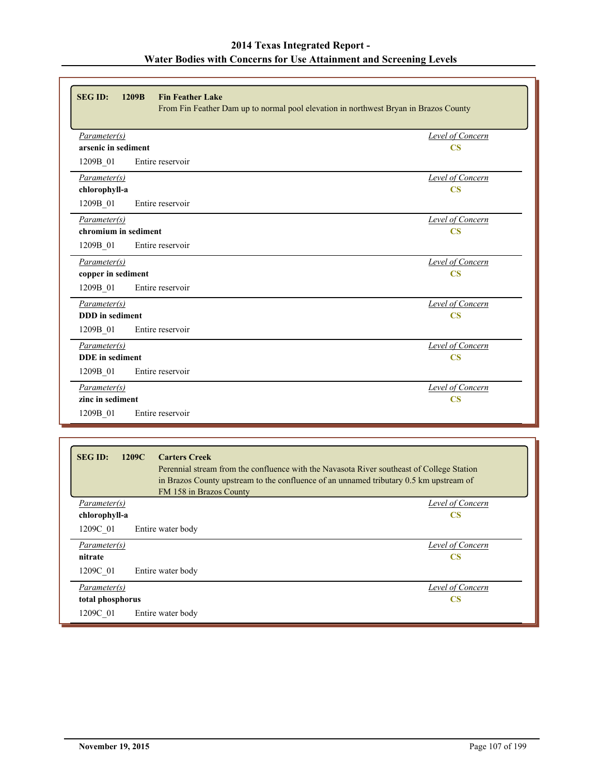| <b>SEG ID:</b><br>1209B<br><b>Fin Feather Lake</b> |                                                                                      |
|----------------------------------------------------|--------------------------------------------------------------------------------------|
|                                                    | From Fin Feather Dam up to normal pool elevation in northwest Bryan in Brazos County |
|                                                    |                                                                                      |
| Parameter(s)                                       | <b>Level of Concern</b>                                                              |
| arsenic in sediment                                | $\overline{\text{CS}}$                                                               |
| 1209B_01<br>Entire reservoir                       |                                                                                      |
| Parameter(s)                                       | Level of Concern                                                                     |
| chlorophyll-a                                      | $\overline{\text{CS}}$                                                               |
| 1209B 01<br>Entire reservoir                       |                                                                                      |
| Parameter(s)                                       | <b>Level of Concern</b>                                                              |
| chromium in sediment                               | $\overline{\text{CS}}$                                                               |
| Entire reservoir<br>1209B 01                       |                                                                                      |
| Parameter(s)                                       | Level of Concern                                                                     |
| copper in sediment                                 | $\overline{\text{CS}}$                                                               |
| Entire reservoir<br>1209B 01                       |                                                                                      |
| Parameter(s)                                       | Level of Concern                                                                     |
| <b>DDD</b> in sediment                             | $\overline{\text{CS}}$                                                               |
| Entire reservoir<br>1209B_01                       |                                                                                      |
| Parameter(s)                                       | <b>Level of Concern</b>                                                              |
| DDE in sediment                                    | $\overline{\text{CS}}$                                                               |
| Entire reservoir<br>1209B 01                       |                                                                                      |
| Parameter(s)                                       | Level of Concern                                                                     |
| zinc in sediment                                   | $\overline{\text{CS}}$                                                               |
| 1209B 01<br>Entire reservoir                       |                                                                                      |

| <b>SEG ID:</b><br>1209C<br><b>Carters Creek</b><br>Perennial stream from the confluence with the Navasota River southeast of College Station<br>in Brazos County upstream to the confluence of an unnamed tributary 0.5 km upstream of<br>FM 158 in Brazos County |                  |
|-------------------------------------------------------------------------------------------------------------------------------------------------------------------------------------------------------------------------------------------------------------------|------------------|
| <i>Parameter(s)</i>                                                                                                                                                                                                                                               | Level of Concern |
| chlorophyll-a                                                                                                                                                                                                                                                     | <b>CS</b>        |
| 1209C 01<br>Entire water body                                                                                                                                                                                                                                     |                  |
| Parameter(s)                                                                                                                                                                                                                                                      | Level of Concern |
| nitrate                                                                                                                                                                                                                                                           | <b>CS</b>        |
| 1209C 01<br>Entire water body                                                                                                                                                                                                                                     |                  |
| Parameter(s)                                                                                                                                                                                                                                                      | Level of Concern |
| total phosphorus                                                                                                                                                                                                                                                  | <b>CS</b>        |
| 1209C 01<br>Entire water body                                                                                                                                                                                                                                     |                  |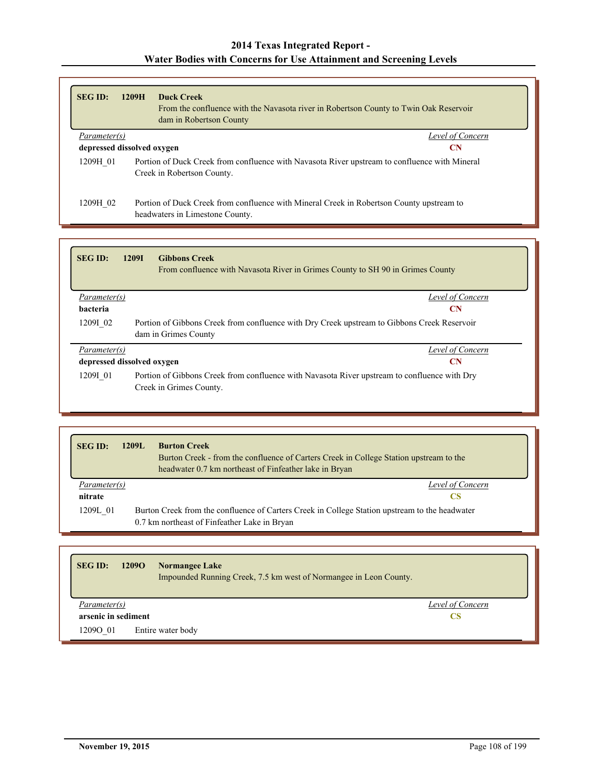| <b>SEG ID:</b>             | 1209H | <b>Duck Creek</b><br>From the confluence with the Navasota river in Robertson County to Twin Oak Reservoir<br>dam in Robertson County |
|----------------------------|-------|---------------------------------------------------------------------------------------------------------------------------------------|
| Parameter(s)               |       | Level of Concern                                                                                                                      |
| depressed dissolved oxygen |       | CN                                                                                                                                    |
| 1209H 01                   |       | Portion of Duck Creek from confluence with Navasota River upstream to confluence with Mineral<br>Creek in Robertson County.           |
| 1209H 02                   |       | Portion of Duck Creek from confluence with Mineral Creek in Robertson County upstream to<br>headwaters in Limestone County.           |

| <b>SEG ID:</b> | <b>Gibbons Creek</b><br><b>1209I</b><br>From confluence with Navasota River in Grimes County to SH 90 in Grimes County  |                  |
|----------------|-------------------------------------------------------------------------------------------------------------------------|------------------|
| Parameter(s)   |                                                                                                                         | Level of Concern |
| bacteria       |                                                                                                                         | <b>CN</b>        |
| 12091 02       | Portion of Gibbons Creek from confluence with Dry Creek upstream to Gibbons Creek Reservoir<br>dam in Grimes County     |                  |
| Parameter(s)   |                                                                                                                         | Level of Concern |
|                | depressed dissolved oxygen                                                                                              | <b>CN</b>        |
| 12091 01       | Portion of Gibbons Creek from confluence with Navasota River upstream to confluence with Dry<br>Creek in Grimes County. |                  |

| <b>SEG ID:</b> | 1209L | <b>Burton Creek</b><br>Burton Creek - from the confluence of Carters Creek in College Station upstream to the<br>headwater 0.7 km northeast of Finfeather lake in Bryan |
|----------------|-------|-------------------------------------------------------------------------------------------------------------------------------------------------------------------------|
| Parameter(s)   |       | Level of Concern                                                                                                                                                        |
| nitrate        |       | CS                                                                                                                                                                      |
| 1209L 01       |       | Burton Creek from the confluence of Carters Creek in College Station upstream to the headwater<br>0.7 km northeast of Finfeather Lake in Bryan                          |

| <b>SEG ID:</b>      | <b>1209O</b><br><b>Normangee Lake</b><br>Impounded Running Creek, 7.5 km west of Normangee in Leon County. |                  |
|---------------------|------------------------------------------------------------------------------------------------------------|------------------|
| Parameter(s)        |                                                                                                            | Level of Concern |
| arsenic in sediment |                                                                                                            | CS               |
| 12090 01            | Entire water body                                                                                          |                  |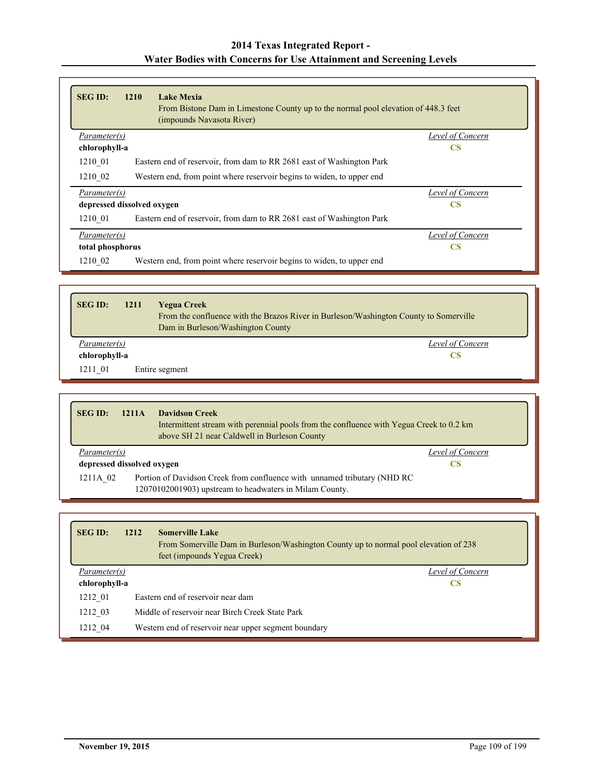| <b>SEG ID:</b>             | 1210<br><b>Lake Mexia</b><br>From Bistone Dam in Limestone County up to the normal pool elevation of 448.3 feet<br>(impounds Navasota River) |                  |  |
|----------------------------|----------------------------------------------------------------------------------------------------------------------------------------------|------------------|--|
| Parameter(s)               |                                                                                                                                              | Level of Concern |  |
| chlorophyll-a              |                                                                                                                                              | <b>CS</b>        |  |
| 1210 01                    | Eastern end of reservoir, from dam to RR 2681 east of Washington Park                                                                        |                  |  |
| 1210 02                    | Western end, from point where reservoir begins to widen, to upper end                                                                        |                  |  |
| Parameter(s)               |                                                                                                                                              | Level of Concern |  |
| depressed dissolved oxygen |                                                                                                                                              | <b>CS</b>        |  |
| 1210 01                    | Eastern end of reservoir, from dam to RR 2681 east of Washington Park                                                                        |                  |  |
| Parameter(s)               |                                                                                                                                              | Level of Concern |  |
|                            | <b>CS</b><br>total phosphorus                                                                                                                |                  |  |
| 1210 02                    | Western end, from point where reservoir begins to widen, to upper end                                                                        |                  |  |

| <b>SEG ID:</b><br><b>1211</b> | <b>Yegua Creek</b><br>From the confluence with the Brazos River in Burleson/Washington County to Somerville<br>Dam in Burleson/Washington County |
|-------------------------------|--------------------------------------------------------------------------------------------------------------------------------------------------|
| Parameter(s)                  | Level of Concern                                                                                                                                 |
| chlorophyll-a                 | CS                                                                                                                                               |
| 1211 01                       | Entire segment                                                                                                                                   |

| <b>SEG ID:</b>                                                                                                                                   | 1211A | <b>Davidson Creek</b><br>Intermittent stream with perennial pools from the confluence with Yegua Creek to 0.2 km<br>above SH 21 near Caldwell in Burleson County |    |
|--------------------------------------------------------------------------------------------------------------------------------------------------|-------|------------------------------------------------------------------------------------------------------------------------------------------------------------------|----|
| Level of Concern<br>Parameter(s)                                                                                                                 |       |                                                                                                                                                                  |    |
| depressed dissolved oxygen                                                                                                                       |       |                                                                                                                                                                  | CS |
| Portion of Davidson Creek from confluence with unnamed tributary (NHD RC)<br>1211A 02<br>12070102001903) upstream to headwaters in Milam County. |       |                                                                                                                                                                  |    |

| <b>SEGID:</b> | 1212 | <b>Somerville Lake</b><br>From Somerville Dam in Burleson/Washington County up to normal pool elevation of 238<br>feet (impounds Yegua Creek) |  |
|---------------|------|-----------------------------------------------------------------------------------------------------------------------------------------------|--|
| Parameter(s)  |      | Level of Concern                                                                                                                              |  |
| chlorophyll-a |      | <b>CS</b>                                                                                                                                     |  |
| 1212 01       |      | Eastern end of reservoir near dam                                                                                                             |  |
| 1212 03       |      | Middle of reservoir near Birch Creek State Park                                                                                               |  |
| 1212 04       |      | Western end of reservoir near upper segment boundary                                                                                          |  |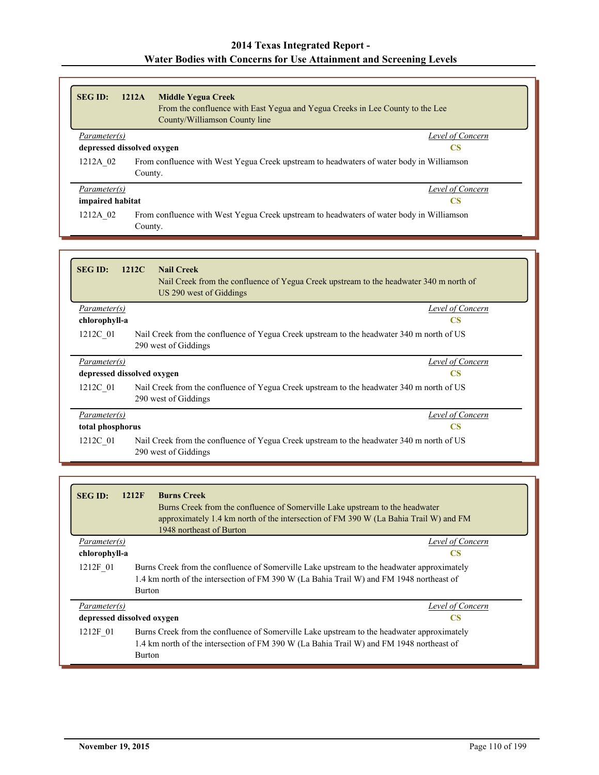| <b>SEG ID:</b>                   | 1212A                            | <b>Middle Yegua Creek</b><br>From the confluence with East Yegua and Yegua Creeks in Lee County to the Lee<br>County/Williamson County line |  |
|----------------------------------|----------------------------------|---------------------------------------------------------------------------------------------------------------------------------------------|--|
|                                  | Level of Concern<br>Parameter(s) |                                                                                                                                             |  |
| depressed dissolved oxygen<br>CS |                                  |                                                                                                                                             |  |
| 1212A 02                         | County.                          | From confluence with West Yegua Creek upstream to headwaters of water body in Williamson                                                    |  |
| Parameter(s)                     |                                  | Level of Concern                                                                                                                            |  |
| impaired habitat<br>CS           |                                  |                                                                                                                                             |  |
| 1212A 02                         | County.                          | From confluence with West Yegua Creek upstream to headwaters of water body in Williamson                                                    |  |

| <b>SEG ID:</b>                | 1212C<br><b>Nail Creek</b><br>Nail Creek from the confluence of Yegua Creek upstream to the headwater 340 m north of<br>US 290 west of Giddings |  |
|-------------------------------|-------------------------------------------------------------------------------------------------------------------------------------------------|--|
| Parameter(s)                  | Level of Concern                                                                                                                                |  |
| chlorophyll-a                 | <b>CS</b>                                                                                                                                       |  |
| 1212C 01                      | Nail Creek from the confluence of Yegua Creek upstream to the headwater 340 m north of US<br>290 west of Giddings                               |  |
| <i>Parameter(s)</i>           | Level of Concern                                                                                                                                |  |
|                               | depressed dissolved oxygen<br><b>CS</b>                                                                                                         |  |
| 1212C 01                      | Nail Creek from the confluence of Yegua Creek upstream to the headwater 340 m north of US<br>290 west of Giddings                               |  |
| Parameter(s)                  | Level of Concern                                                                                                                                |  |
| total phosphorus<br><b>CS</b> |                                                                                                                                                 |  |
| 1212C 01                      | Nail Creek from the confluence of Yegua Creek upstream to the headwater 340 m north of US<br>290 west of Giddings                               |  |

| <b>SEG ID:</b>             | <b>Burns Creek</b><br>1212F<br>Burns Creek from the confluence of Somerville Lake upstream to the headwater<br>approximately 1.4 km north of the intersection of FM 390 W (La Bahia Trail W) and FM<br>1948 northeast of Burton |
|----------------------------|---------------------------------------------------------------------------------------------------------------------------------------------------------------------------------------------------------------------------------|
| Parameter(s)               | Level of Concern                                                                                                                                                                                                                |
| chlorophyll-a              | <b>CS</b>                                                                                                                                                                                                                       |
| 1212F 01                   | Burns Creek from the confluence of Somerville Lake upstream to the headwater approximately<br>1.4 km north of the intersection of FM 390 W (La Bahia Trail W) and FM 1948 northeast of<br>Burton                                |
| Parameter(s)               | Level of Concern                                                                                                                                                                                                                |
| depressed dissolved oxygen | CS                                                                                                                                                                                                                              |
| 1212F 01                   | Burns Creek from the confluence of Somerville Lake upstream to the headwater approximately<br>1.4 km north of the intersection of FM 390 W (La Bahia Trail W) and FM 1948 northeast of<br><b>Burton</b>                         |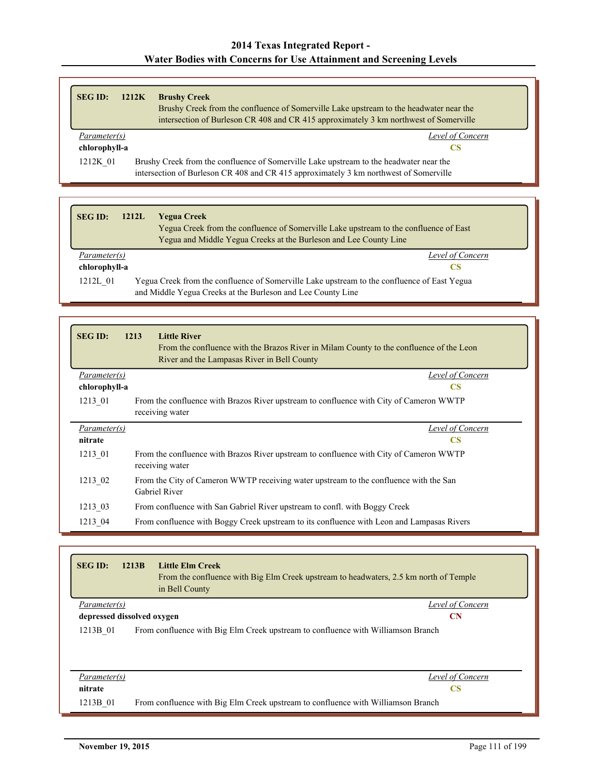| <b>SEG ID:</b> | 1212K                                                                                                                                                                           | <b>Brushy Creek</b><br>Brushy Creek from the confluence of Somerville Lake upstream to the headwater near the<br>intersection of Burleson CR 408 and CR 415 approximately 3 km northwest of Somerville |
|----------------|---------------------------------------------------------------------------------------------------------------------------------------------------------------------------------|--------------------------------------------------------------------------------------------------------------------------------------------------------------------------------------------------------|
| Parameter(s)   |                                                                                                                                                                                 | Level of Concern                                                                                                                                                                                       |
| chlorophyll-a  |                                                                                                                                                                                 | CS.                                                                                                                                                                                                    |
| 1212K 01       | Brushy Creek from the confluence of Somerville Lake upstream to the headwater near the<br>intersection of Burleson CR 408 and CR 415 approximately 3 km northwest of Somerville |                                                                                                                                                                                                        |

| <b>SEG ID:</b>                | 1212L<br><b>Yegua Creek</b><br>Yegua Creek from the confluence of Somerville Lake upstream to the confluence of East<br>Yegua and Middle Yegua Creeks at the Burleson and Lee County Line |  |
|-------------------------------|-------------------------------------------------------------------------------------------------------------------------------------------------------------------------------------------|--|
| Parameter(s)<br>chlorophyll-a | Level of Concern<br>CS                                                                                                                                                                    |  |
| 1212L 01                      | Yegua Creek from the confluence of Somerville Lake upstream to the confluence of East Yegua<br>and Middle Yegua Creeks at the Burleson and Lee County Line                                |  |

| <b>SEG ID:</b> | <b>Little River</b><br>1213<br>From the confluence with the Brazos River in Milam County to the confluence of the Leon<br>River and the Lampasas River in Bell County |
|----------------|-----------------------------------------------------------------------------------------------------------------------------------------------------------------------|
| Parameter(s)   | Level of Concern                                                                                                                                                      |
| chlorophyll-a  | <b>CS</b>                                                                                                                                                             |
| 1213 01        | From the confluence with Brazos River upstream to confluence with City of Cameron WWTP<br>receiving water                                                             |
| Parameter(s)   | Level of Concern                                                                                                                                                      |
| nitrate        | <b>CS</b>                                                                                                                                                             |
| 1213 01        | From the confluence with Brazos River upstream to confluence with City of Cameron WWTP<br>receiving water                                                             |
| 1213 02        | From the City of Cameron WWTP receiving water upstream to the confluence with the San<br><b>Gabriel River</b>                                                         |
| 1213 03        | From confluence with San Gabriel River upstream to confl. with Boggy Creek                                                                                            |
| 1213 04        | From confluence with Boggy Creek upstream to its confluence with Leon and Lampasas Rivers                                                                             |

| 1213B<br><b>SEG ID:</b>    | <b>Little Elm Creek</b><br>From the confluence with Big Elm Creek upstream to headwaters, 2.5 km north of Temple<br>in Bell County |                  |
|----------------------------|------------------------------------------------------------------------------------------------------------------------------------|------------------|
| Parameter(s)               |                                                                                                                                    | Level of Concern |
| depressed dissolved oxygen |                                                                                                                                    | CN               |
| 1213B 01                   | From confluence with Big Elm Creek upstream to confluence with Williamson Branch                                                   |                  |
| Parameter(s)               |                                                                                                                                    | Level of Concern |
| nitrate                    |                                                                                                                                    | <b>CS</b>        |
| 1213B 01                   | From confluence with Big Elm Creek upstream to confluence with Williamson Branch                                                   |                  |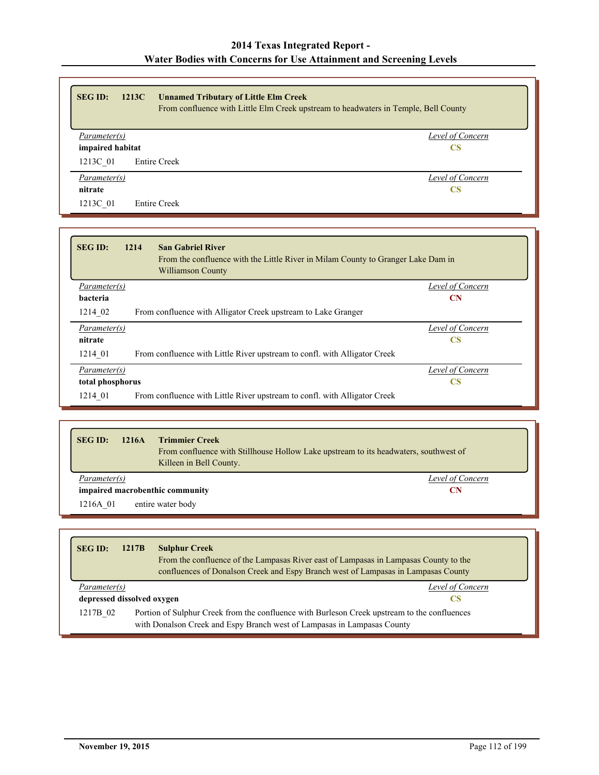| <b>SEG ID:</b>                | <b>Unnamed Tributary of Little Elm Creek</b><br>1213C | From confluence with Little Elm Creek upstream to headwaters in Temple, Bell County |  |
|-------------------------------|-------------------------------------------------------|-------------------------------------------------------------------------------------|--|
|                               | Level of Concern<br>Parameter(s)                      |                                                                                     |  |
| impaired habitat<br><b>CS</b> |                                                       |                                                                                     |  |
| 1213C 01                      | <b>Entire Creek</b>                                   |                                                                                     |  |
| Parameter(s)                  |                                                       | Level of Concern                                                                    |  |
| nitrate                       |                                                       | CS                                                                                  |  |
| 1213C 01                      | <b>Entire Creek</b>                                   |                                                                                     |  |

| <b>SEGID:</b>    | <b>San Gabriel River</b><br>1214<br>From the confluence with the Little River in Milam County to Granger Lake Dam in<br><b>Williamson County</b> |                  |
|------------------|--------------------------------------------------------------------------------------------------------------------------------------------------|------------------|
| Parameter(s)     |                                                                                                                                                  | Level of Concern |
| <b>bacteria</b>  |                                                                                                                                                  | <b>CN</b>        |
| 1214 02          | From confluence with Alligator Creek upstream to Lake Granger                                                                                    |                  |
| Parameter(s)     |                                                                                                                                                  | Level of Concern |
| nitrate          |                                                                                                                                                  | CS               |
| 1214 01          | From confluence with Little River upstream to confl. with Alligator Creek                                                                        |                  |
| Parameter(s)     |                                                                                                                                                  | Level of Concern |
| total phosphorus |                                                                                                                                                  | <b>CS</b>        |
| 1214 01          | From confluence with Little River upstream to confl. with Alligator Creek                                                                        |                  |

| Level of Concern<br>Parameter(s)<br>impaired macrobenthic community<br>CN<br>entire water body | <b>SEG ID:</b><br>1216A | <b>Trimmier Creek</b><br>From confluence with Stillhouse Hollow Lake upstream to its headwaters, southwest of<br>Killeen in Bell County. |  |
|------------------------------------------------------------------------------------------------|-------------------------|------------------------------------------------------------------------------------------------------------------------------------------|--|
|                                                                                                |                         |                                                                                                                                          |  |
|                                                                                                |                         |                                                                                                                                          |  |
|                                                                                                | 1216A 01                |                                                                                                                                          |  |

| <b>SEG ID:</b>             | 1217B                                                                                                                                                                   | <b>Sulphur Creek</b><br>From the confluence of the Lampasas River east of Lampasas in Lampasas County to the<br>confluences of Donalson Creek and Espy Branch west of Lampasas in Lampasas County |
|----------------------------|-------------------------------------------------------------------------------------------------------------------------------------------------------------------------|---------------------------------------------------------------------------------------------------------------------------------------------------------------------------------------------------|
| Parameter(s)               |                                                                                                                                                                         | Level of Concern                                                                                                                                                                                  |
| depressed dissolved oxygen |                                                                                                                                                                         |                                                                                                                                                                                                   |
| 1217B 02                   | Portion of Sulphur Creek from the confluence with Burleson Creek upstream to the confluences<br>with Donalson Creek and Espy Branch west of Lampasas in Lampasas County |                                                                                                                                                                                                   |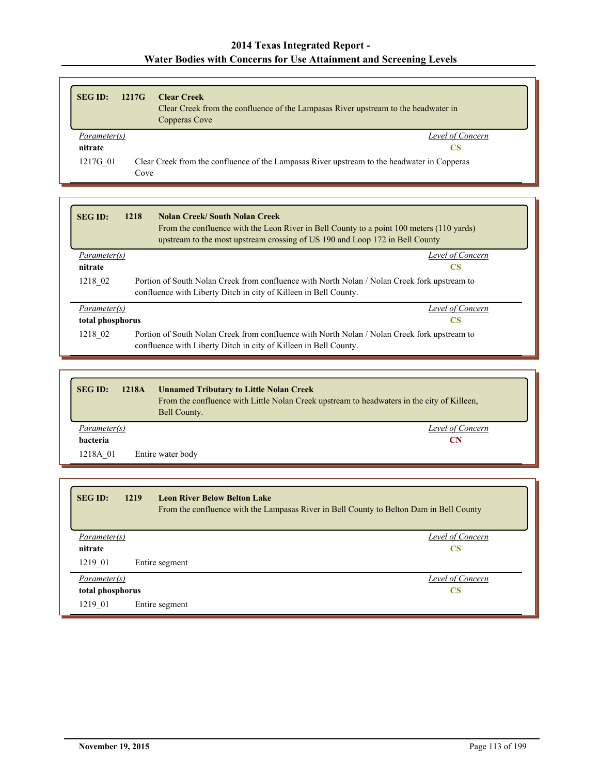| <b>SEG ID:</b> | 1217G | <b>Clear Creek</b>                                                                          |
|----------------|-------|---------------------------------------------------------------------------------------------|
|                |       | Clear Creek from the confluence of the Lampasas River upstream to the headwater in          |
|                |       | Copperas Cove                                                                               |
| Parameter(s)   |       | Level of Concern                                                                            |
| nitrate        |       | CS                                                                                          |
| 1217G 01       | Cove  | Clear Creek from the confluence of the Lampasas River upstream to the headwater in Copperas |

| <b>SEGID:</b>    | 1218<br><b>Nolan Creek/South Nolan Creek</b><br>From the confluence with the Leon River in Bell County to a point 100 meters (110 yards)<br>upstream to the most upstream crossing of US 190 and Loop 172 in Bell County |  |
|------------------|--------------------------------------------------------------------------------------------------------------------------------------------------------------------------------------------------------------------------|--|
| Parameter(s)     | Level of Concern                                                                                                                                                                                                         |  |
| nitrate          | CS                                                                                                                                                                                                                       |  |
| 1218 02          | Portion of South Nolan Creek from confluence with North Nolan / Nolan Creek fork upstream to<br>confluence with Liberty Ditch in city of Killeen in Bell County.                                                         |  |
| Parameter(s)     | Level of Concern                                                                                                                                                                                                         |  |
| total phosphorus | CS                                                                                                                                                                                                                       |  |
| 1218 02          | Portion of South Nolan Creek from confluence with North Nolan / Nolan Creek fork upstream to<br>confluence with Liberty Ditch in city of Killeen in Bell County.                                                         |  |

| <b>SEG ID:</b>  | <b>Unnamed Tributary to Little Nolan Creek</b><br>1218A<br>From the confluence with Little Nolan Creek upstream to headwaters in the city of Killeen,<br>Bell County. |  |
|-----------------|-----------------------------------------------------------------------------------------------------------------------------------------------------------------------|--|
| Parameter(s)    | Level of Concern                                                                                                                                                      |  |
| <b>bacteria</b> | <b>CN</b>                                                                                                                                                             |  |
| 1218A 01        | Entire water body                                                                                                                                                     |  |

| <b>SEG ID:</b>   | 1219 | <b>Leon River Below Belton Lake</b><br>From the confluence with the Lampasas River in Bell County to Belton Dam in Bell County |  |
|------------------|------|--------------------------------------------------------------------------------------------------------------------------------|--|
| Parameter(s)     |      | Level of Concern                                                                                                               |  |
| nitrate          |      | <b>CS</b>                                                                                                                      |  |
| 1219 01          |      | Entire segment                                                                                                                 |  |
| Parameter(s)     |      | <b>Level of Concern</b>                                                                                                        |  |
| total phosphorus |      | <b>CS</b>                                                                                                                      |  |
| 1219 01          |      | Entire segment                                                                                                                 |  |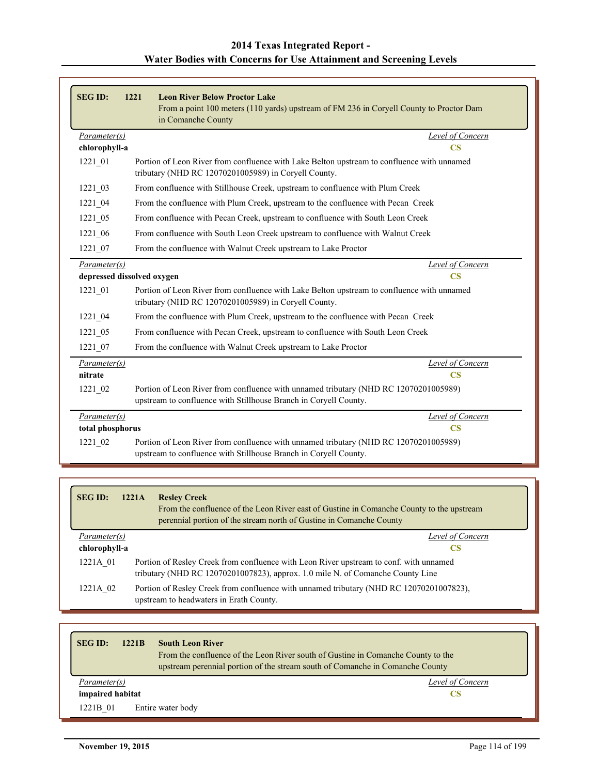| <b>SEG ID:</b>             | 1221 | <b>Leon River Below Proctor Lake</b><br>From a point 100 meters (110 yards) upstream of FM 236 in Coryell County to Proctor Dam<br>in Comanche County    |                         |
|----------------------------|------|----------------------------------------------------------------------------------------------------------------------------------------------------------|-------------------------|
| Parameter(s)               |      |                                                                                                                                                          | <b>Level of Concern</b> |
| chlorophyll-a              |      |                                                                                                                                                          | $\overline{\text{CS}}$  |
| $1221 - 01$                |      | Portion of Leon River from confluence with Lake Belton upstream to confluence with unnamed<br>tributary (NHD RC 12070201005989) in Coryell County.       |                         |
| $1221 - 03$                |      | From confluence with Stillhouse Creek, upstream to confluence with Plum Creek                                                                            |                         |
| 1221 04                    |      | From the confluence with Plum Creek, upstream to the confluence with Pecan Creek                                                                         |                         |
| 1221 05                    |      | From confluence with Pecan Creek, upstream to confluence with South Leon Creek                                                                           |                         |
| 1221 06                    |      | From confluence with South Leon Creek upstream to confluence with Walnut Creek                                                                           |                         |
| $1221 - 07$                |      | From the confluence with Walnut Creek upstream to Lake Proctor                                                                                           |                         |
| Parameter(s)               |      |                                                                                                                                                          | <b>Level of Concern</b> |
| depressed dissolved oxygen |      |                                                                                                                                                          | $\overline{\text{CS}}$  |
| 1221 01                    |      | Portion of Leon River from confluence with Lake Belton upstream to confluence with unnamed<br>tributary (NHD RC 12070201005989) in Coryell County.       |                         |
| $1221 - 04$                |      | From the confluence with Plum Creek, upstream to the confluence with Pecan Creek                                                                         |                         |
| $1221 - 05$                |      | From confluence with Pecan Creek, upstream to confluence with South Leon Creek                                                                           |                         |
| $1221 - 07$                |      | From the confluence with Walnut Creek upstream to Lake Proctor                                                                                           |                         |
| Parameter(s)               |      |                                                                                                                                                          | <b>Level of Concern</b> |
| nitrate                    |      |                                                                                                                                                          | $\overline{\text{CS}}$  |
| 1221 02                    |      | Portion of Leon River from confluence with unnamed tributary (NHD RC 12070201005989)                                                                     |                         |
|                            |      | upstream to confluence with Stillhouse Branch in Coryell County.                                                                                         |                         |
| Parameter(s)               |      |                                                                                                                                                          | <b>Level of Concern</b> |
| total phosphorus           |      |                                                                                                                                                          | $\overline{\text{CS}}$  |
| $1221 - 02$                |      | Portion of Leon River from confluence with unnamed tributary (NHD RC 12070201005989)<br>upstream to confluence with Stillhouse Branch in Coryell County. |                         |

| <b>SEG ID:</b> | 1221A | <b>Resley Creek</b><br>From the confluence of the Leon River east of Gustine in Comanche County to the upstream<br>perennial portion of the stream north of Gustine in Comanche County |  |
|----------------|-------|----------------------------------------------------------------------------------------------------------------------------------------------------------------------------------------|--|
| Parameter(s)   |       | Level of Concern                                                                                                                                                                       |  |
| chlorophyll-a  |       | CS                                                                                                                                                                                     |  |
| 1221A 01       |       | Portion of Resley Creek from confluence with Leon River upstream to conf. with unnamed<br>tributary (NHD RC 12070201007823), approx. 1.0 mile N. of Comanche County Line               |  |
| 1221A 02       |       | Portion of Resley Creek from confluence with unnamed tributary (NHD RC 12070201007823),<br>upstream to headwaters in Erath County.                                                     |  |

| <b>SEG ID:</b><br>1221B | <b>South Leon River</b><br>From the confluence of the Leon River south of Gustine in Comanche County to the<br>upstream perennial portion of the stream south of Comanche in Comanche County |
|-------------------------|----------------------------------------------------------------------------------------------------------------------------------------------------------------------------------------------|
| Parameter(s)            | Level of Concern                                                                                                                                                                             |
| impaired habitat        | CS                                                                                                                                                                                           |
| 1221B 01                | Entire water body                                                                                                                                                                            |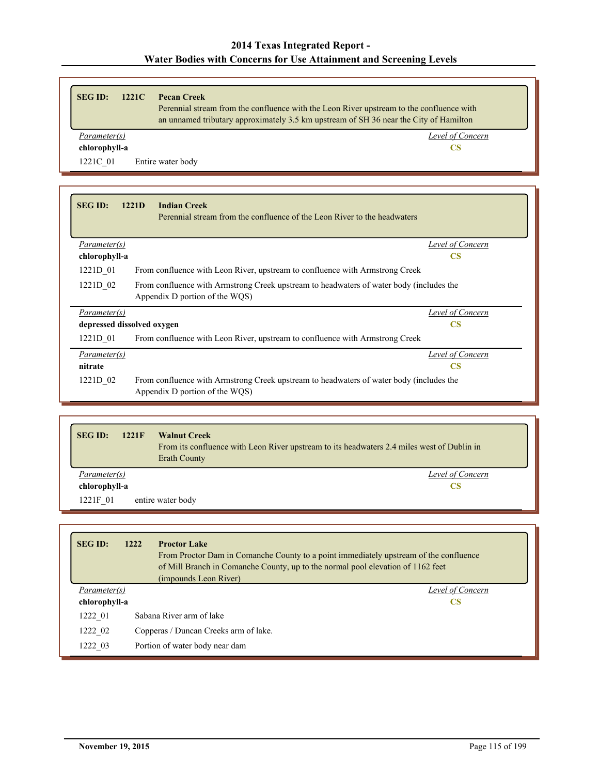| <b>SEG ID:</b><br>1221C       | <b>Pecan Creek</b><br>Perennial stream from the confluence with the Leon River upstream to the confluence with<br>an unnamed tributary approximately 3.5 km upstream of SH 36 near the City of Hamilton |
|-------------------------------|---------------------------------------------------------------------------------------------------------------------------------------------------------------------------------------------------------|
| Parameter(s)<br>chlorophyll-a | Level of Concern<br><b>CS</b>                                                                                                                                                                           |
| 1221C 01                      | Entire water body                                                                                                                                                                                       |
|                               |                                                                                                                                                                                                         |
| <b>SEG ID:</b><br>1221D       | <b>Indian Creek</b><br>Perennial stream from the confluence of the Leon River to the headwaters                                                                                                         |

| Parameter(s)               |                                                                                                                           | Level of Concern |
|----------------------------|---------------------------------------------------------------------------------------------------------------------------|------------------|
| chlorophyll-a              |                                                                                                                           | <b>CS</b>        |
| 1221D 01                   | From confluence with Leon River, upstream to confluence with Armstrong Creek                                              |                  |
| 1221D 02                   | From confluence with Armstrong Creek upstream to headwaters of water body (includes the<br>Appendix D portion of the WQS) |                  |
| Parameter(s)               |                                                                                                                           | Level of Concern |
| depressed dissolved oxygen |                                                                                                                           | <b>CS</b>        |
| 1221D 01                   | From confluence with Leon River, upstream to confluence with Armstrong Creek                                              |                  |
| Parameter(s)               |                                                                                                                           | Level of Concern |
| nitrate                    |                                                                                                                           | <b>CS</b>        |
| 1221D 02                   | From confluence with Armstrong Creek upstream to headwaters of water body (includes the<br>Appendix D portion of the WQS) |                  |

| <b>SEG ID:</b><br>1221F | <b>Walnut Creek</b><br>From its confluence with Leon River upstream to its headwaters 2.4 miles west of Dublin in<br><b>Erath County</b> |
|-------------------------|------------------------------------------------------------------------------------------------------------------------------------------|
| Parameter(s)            | Level of Concern                                                                                                                         |
| chlorophyll-a           | <b>CS</b>                                                                                                                                |
| 1221F 01                | entire water body                                                                                                                        |

| <b>SEG ID:</b> | 1222 | <b>Proctor Lake</b><br>From Proctor Dam in Comanche County to a point immediately upstream of the confluence<br>of Mill Branch in Comanche County, up to the normal pool elevation of 1162 feet<br>(impounds Leon River) |  |
|----------------|------|--------------------------------------------------------------------------------------------------------------------------------------------------------------------------------------------------------------------------|--|
| Parameter(s)   |      | Level of Concern                                                                                                                                                                                                         |  |
| chlorophyll-a  |      | CS                                                                                                                                                                                                                       |  |
| 1222 01        |      | Sabana River arm of lake                                                                                                                                                                                                 |  |
| 1222 02        |      | Copperas / Duncan Creeks arm of lake.                                                                                                                                                                                    |  |
| 1222 03        |      | Portion of water body near dam                                                                                                                                                                                           |  |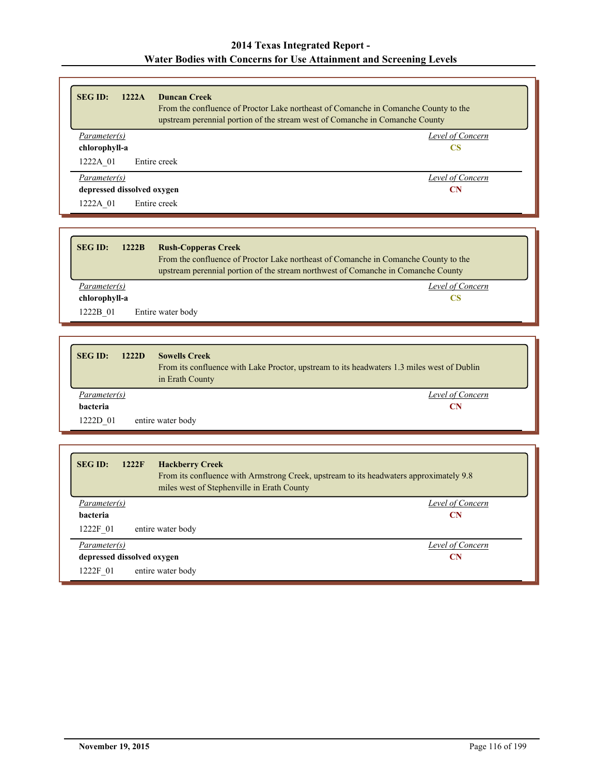| <b>SEG ID:</b><br><b>Duncan Creek</b><br>1222A | From the confluence of Proctor Lake northeast of Comanche in Comanche County to the<br>upstream perennial portion of the stream west of Comanche in Comanche County |
|------------------------------------------------|---------------------------------------------------------------------------------------------------------------------------------------------------------------------|
| Parameter(s)                                   | Level of Concern                                                                                                                                                    |
| chlorophyll-a                                  | CS                                                                                                                                                                  |
| Entire creek<br>1222A 01                       |                                                                                                                                                                     |
| Parameter(s)                                   | Level of Concern                                                                                                                                                    |
| depressed dissolved oxygen                     | CN                                                                                                                                                                  |
| Entire creek<br>1222A 01                       |                                                                                                                                                                     |

| <b>SEG ID:</b><br>1222B | <b>Rush-Copperas Creek</b><br>From the confluence of Proctor Lake northeast of Comanche in Comanche County to the<br>upstream perennial portion of the stream northwest of Comanche in Comanche County |
|-------------------------|--------------------------------------------------------------------------------------------------------------------------------------------------------------------------------------------------------|
| Parameter(s)            | Level of Concern                                                                                                                                                                                       |
| chlorophyll-a           | <b>CS</b>                                                                                                                                                                                              |
| 1222B 01                | Entire water body                                                                                                                                                                                      |

| <b>SEGID:</b><br>1222D | <b>Sowells Creek</b><br>From its confluence with Lake Proctor, upstream to its headwaters 1.3 miles west of Dublin<br>in Erath County |
|------------------------|---------------------------------------------------------------------------------------------------------------------------------------|
| Parameter(s)           | Level of Concern                                                                                                                      |
| bacteria               | CN                                                                                                                                    |
| 1222D 01               | entire water body                                                                                                                     |

| <b>SEG ID:</b>             | 1222F<br><b>Hackberry Creek</b><br>From its confluence with Armstrong Creek, upstream to its headwaters approximately 9.8<br>miles west of Stephenville in Erath County |  |
|----------------------------|-------------------------------------------------------------------------------------------------------------------------------------------------------------------------|--|
| Parameter(s)               | Level of Concern                                                                                                                                                        |  |
| bacteria                   | <b>CN</b>                                                                                                                                                               |  |
| 1222F 01                   | entire water body                                                                                                                                                       |  |
| Parameter(s)               | Level of Concern                                                                                                                                                        |  |
| depressed dissolved oxygen | <b>CN</b>                                                                                                                                                               |  |
| 1222F 01                   | entire water body                                                                                                                                                       |  |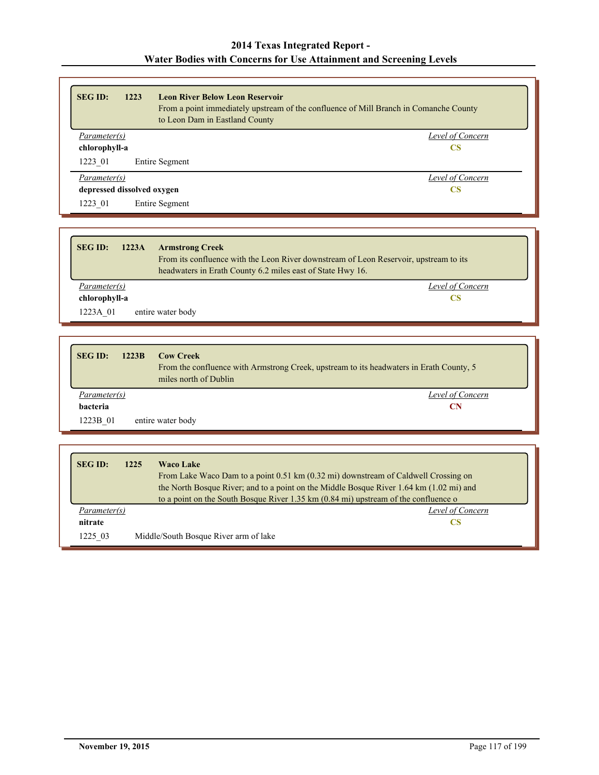| <b>SEG ID:</b>             | 1223 | <b>Leon River Below Leon Reservoir</b><br>From a point immediately upstream of the confluence of Mill Branch in Comanche County<br>to Leon Dam in Eastland County |
|----------------------------|------|-------------------------------------------------------------------------------------------------------------------------------------------------------------------|
| Parameter(s)               |      | Level of Concern                                                                                                                                                  |
| chlorophyll-a              |      | <b>CS</b>                                                                                                                                                         |
| 1223 01                    |      | <b>Entire Segment</b>                                                                                                                                             |
| <i>Parameter(s)</i>        |      | Level of Concern                                                                                                                                                  |
| depressed dissolved oxygen |      | <b>CS</b>                                                                                                                                                         |
| 1223 01                    |      | <b>Entire Segment</b>                                                                                                                                             |

| <b>SEG ID:</b><br>1223A | <b>Armstrong Creek</b><br>From its confluence with the Leon River downstream of Leon Reservoir, upstream to its<br>headwaters in Erath County 6.2 miles east of State Hwy 16. |
|-------------------------|-------------------------------------------------------------------------------------------------------------------------------------------------------------------------------|
| Parameter(s)            | Level of Concern                                                                                                                                                              |
| chlorophyll-a           | CS                                                                                                                                                                            |
| 1223A 01                | entire water body                                                                                                                                                             |

| <b>SEG ID:</b><br>1223B | <b>Cow Creek</b><br>From the confluence with Armstrong Creek, upstream to its headwaters in Erath County, 5<br>miles north of Dublin |
|-------------------------|--------------------------------------------------------------------------------------------------------------------------------------|
| Parameter(s)            | Level of Concern                                                                                                                     |
| <b>bacteria</b>         | CN                                                                                                                                   |
| 1223B 01                | entire water body                                                                                                                    |

| <b>Waco Lake</b><br><b>SEG ID:</b><br>1225<br>From Lake Waco Dam to a point 0.51 km (0.32 mi) downstream of Caldwell Crossing on<br>the North Bosque River; and to a point on the Middle Bosque River 1.64 km (1.02 mi) and |                                                                                               |  |                                       |
|-----------------------------------------------------------------------------------------------------------------------------------------------------------------------------------------------------------------------------|-----------------------------------------------------------------------------------------------|--|---------------------------------------|
|                                                                                                                                                                                                                             | to a point on the South Bosque River $1.35 \text{ km}$ (0.84 mi) upstream of the confluence o |  |                                       |
|                                                                                                                                                                                                                             | <i>Parameter(s)</i>                                                                           |  | Level of Concern                      |
|                                                                                                                                                                                                                             | nitrate                                                                                       |  | CS                                    |
|                                                                                                                                                                                                                             | 1225 03                                                                                       |  | Middle/South Bosque River arm of lake |

ľ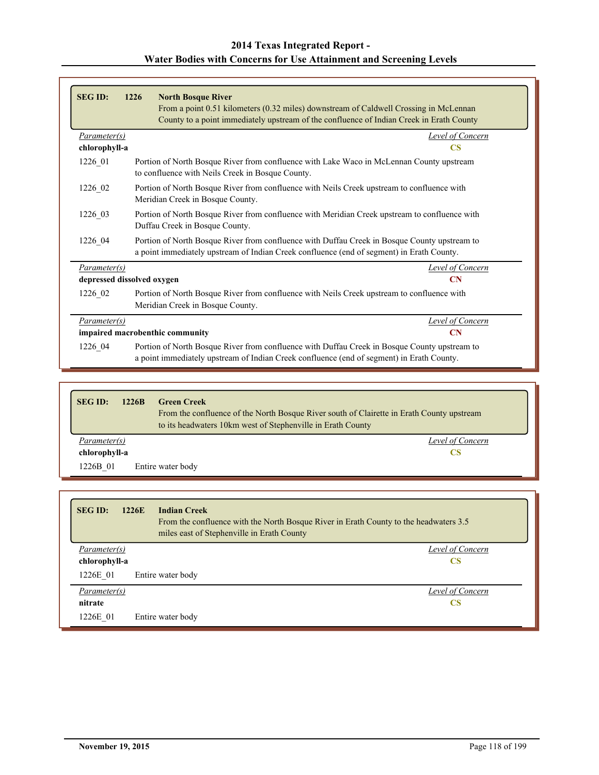|                            | From a point 0.51 kilometers (0.32 miles) downstream of Caldwell Crossing in McLennan<br>County to a point immediately upstream of the confluence of Indian Creek in Erath County         |                         |
|----------------------------|-------------------------------------------------------------------------------------------------------------------------------------------------------------------------------------------|-------------------------|
| Parameter(s)               |                                                                                                                                                                                           | Level of Concern        |
| chlorophyll-a              |                                                                                                                                                                                           | $\overline{\text{CS}}$  |
| 1226 01                    | Portion of North Bosque River from confluence with Lake Waco in McLennan County upstream<br>to confluence with Neils Creek in Bosque County.                                              |                         |
| 1226_02                    | Portion of North Bosque River from confluence with Neils Creek upstream to confluence with<br>Meridian Creek in Bosque County.                                                            |                         |
| 1226 03                    | Portion of North Bosque River from confluence with Meridian Creek upstream to confluence with<br>Duffau Creek in Bosque County.                                                           |                         |
| 1226 04                    | Portion of North Bosque River from confluence with Duffau Creek in Bosque County upstream to<br>a point immediately upstream of Indian Creek confluence (end of segment) in Erath County. |                         |
| Parameter(s)               |                                                                                                                                                                                           | Level of Concern        |
| depressed dissolved oxygen |                                                                                                                                                                                           | $\overline{\text{CN}}$  |
| 1226_02                    | Portion of North Bosque River from confluence with Neils Creek upstream to confluence with<br>Meridian Creek in Bosque County.                                                            |                         |
| Parameter(s)               |                                                                                                                                                                                           | <b>Level of Concern</b> |
|                            | impaired macrobenthic community                                                                                                                                                           | $\mathbf{CN}$           |
| 1226_04                    | Portion of North Bosque River from confluence with Duffau Creek in Bosque County upstream to<br>a point immediately upstream of Indian Creek confluence (end of segment) in Erath County. |                         |

| <b>SEG ID:</b> | 1226B<br><b>Green Creek</b><br>to its headwaters 10km west of Stephenville in Erath County | From the confluence of the North Bosque River south of Clairette in Erath County upstream |
|----------------|--------------------------------------------------------------------------------------------|-------------------------------------------------------------------------------------------|
| Parameter(s)   |                                                                                            | Level of Concern                                                                          |
| chlorophyll-a  |                                                                                            | CS.                                                                                       |
| 1226B 01       | Entire water body                                                                          |                                                                                           |

| <b>SEG ID:</b><br>1226E | <b>Indian Creek</b><br>From the confluence with the North Bosque River in Erath County to the headwaters 3.5<br>miles east of Stephenville in Erath County |                  |
|-------------------------|------------------------------------------------------------------------------------------------------------------------------------------------------------|------------------|
| Parameter(s)            |                                                                                                                                                            | Level of Concern |
| chlorophyll-a           |                                                                                                                                                            | <b>CS</b>        |
| 1226E 01                | Entire water body                                                                                                                                          |                  |
| Parameter(s)            |                                                                                                                                                            | Level of Concern |
| nitrate                 |                                                                                                                                                            | <b>CS</b>        |
| 1226E 01                | Entire water body                                                                                                                                          |                  |

t.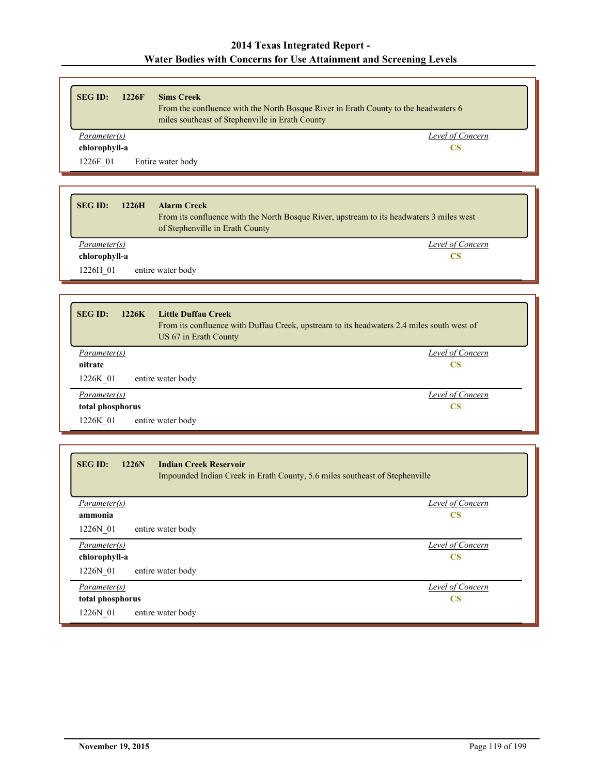| <b>SEG ID:</b>                | 1226F | <b>Sims Creek</b><br>From the confluence with the North Bosque River in Erath County to the headwaters 6<br>miles southeast of Stephenville in Erath County |
|-------------------------------|-------|-------------------------------------------------------------------------------------------------------------------------------------------------------------|
| Parameter(s)<br>chlorophyll-a |       | Level of Concern<br>CS                                                                                                                                      |
| 1226F 01                      |       | Entire water body                                                                                                                                           |

| <b>SEG ID:</b><br>1226H | <b>Alarm Creek</b><br>From its confluence with the North Bosque River, upstream to its headwaters 3 miles west<br>of Stephenville in Erath County |
|-------------------------|---------------------------------------------------------------------------------------------------------------------------------------------------|
| Parameter(s)            | Level of Concern                                                                                                                                  |
| chlorophyll-a           | CS                                                                                                                                                |
| 1226H 01                | entire water body                                                                                                                                 |

| <b>Little Duffau Creek</b><br>1226K<br><b>SEG ID:</b><br>From its confluence with Duffau Creek, upstream to its headwaters 2.4 miles south west of<br>US 67 in Erath County |                  |
|-----------------------------------------------------------------------------------------------------------------------------------------------------------------------------|------------------|
| Parameter(s)                                                                                                                                                                | Level of Concern |
| nitrate                                                                                                                                                                     | CS               |
| entire water body<br>1226K 01                                                                                                                                               |                  |
| Parameter(s)                                                                                                                                                                | Level of Concern |
| total phosphorus                                                                                                                                                            | <b>CS</b>        |
| entire water body<br>1226K 01                                                                                                                                               |                  |

| <b>Indian Creek Reservoir</b><br>1226N<br><b>SEGID:</b><br>Impounded Indian Creek in Erath County, 5.6 miles southeast of Stephenville |                        |
|----------------------------------------------------------------------------------------------------------------------------------------|------------------------|
| Parameter(s)                                                                                                                           | Level of Concern       |
| ammonia                                                                                                                                | $\overline{\text{CS}}$ |
| 1226N 01<br>entire water body                                                                                                          |                        |
| Parameter(s)                                                                                                                           | Level of Concern       |
| chlorophyll-a                                                                                                                          | $\overline{\text{CS}}$ |
| 1226N 01<br>entire water body                                                                                                          |                        |
| Parameter(s)                                                                                                                           | Level of Concern       |
| total phosphorus                                                                                                                       | $\overline{\text{CS}}$ |
| 1226N 01<br>entire water body                                                                                                          |                        |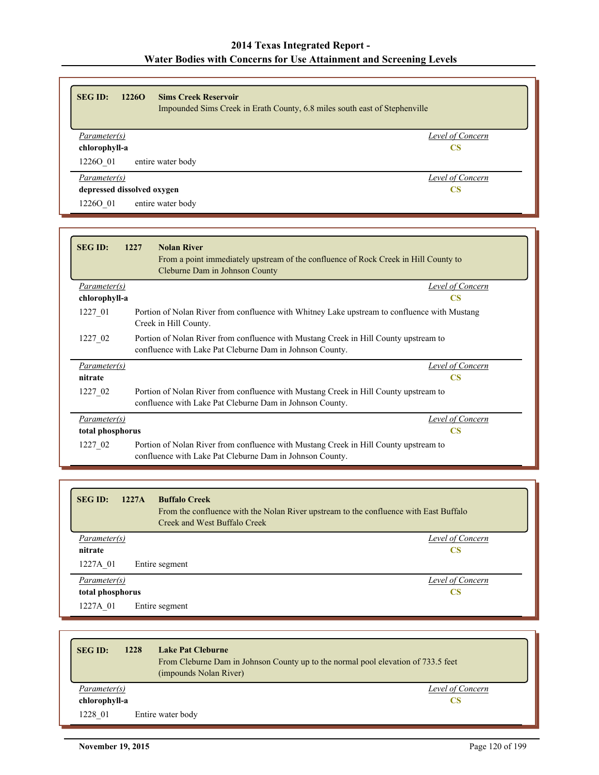| <b>SEG ID:</b><br><b>Sims Creek Reservoir</b><br>1226O | Impounded Sims Creek in Erath County, 6.8 miles south east of Stephenville |
|--------------------------------------------------------|----------------------------------------------------------------------------|
| Parameter(s)                                           | Level of Concern                                                           |
| chlorophyll-a                                          | CS                                                                         |
| 12260 01<br>entire water body                          |                                                                            |
| Parameter(s)                                           | Level of Concern                                                           |
| depressed dissolved oxygen                             | <b>CS</b>                                                                  |
| entire water body<br>12260 01                          |                                                                            |

| <b>SEG ID:</b>      | 1227<br><b>Nolan River</b><br>From a point immediately upstream of the confluence of Rock Creek in Hill County to<br>Cleburne Dam in Johnson County |
|---------------------|-----------------------------------------------------------------------------------------------------------------------------------------------------|
| Parameter(s)        | Level of Concern                                                                                                                                    |
| chlorophyll-a       | <b>CS</b>                                                                                                                                           |
| 1227 01             | Portion of Nolan River from confluence with Whitney Lake upstream to confluence with Mustang<br>Creek in Hill County.                               |
| 1227_02             | Portion of Nolan River from confluence with Mustang Creek in Hill County upstream to<br>confluence with Lake Pat Cleburne Dam in Johnson County.    |
| <i>Parameter(s)</i> | Level of Concern                                                                                                                                    |
| nitrate             | <b>CS</b>                                                                                                                                           |
| 1227 02             | Portion of Nolan River from confluence with Mustang Creek in Hill County upstream to<br>confluence with Lake Pat Cleburne Dam in Johnson County.    |
| Parameter(s)        | Level of Concern                                                                                                                                    |
| total phosphorus    | <b>CS</b>                                                                                                                                           |
| 1227 02             | Portion of Nolan River from confluence with Mustang Creek in Hill County upstream to<br>confluence with Lake Pat Cleburne Dam in Johnson County.    |

| <b>SEG ID:</b><br>1227A | <b>Buffalo Creek</b><br>From the confluence with the Nolan River upstream to the confluence with East Buffalo<br>Creek and West Buffalo Creek |
|-------------------------|-----------------------------------------------------------------------------------------------------------------------------------------------|
| Parameter(s)            | Level of Concern                                                                                                                              |
| nitrate                 | <b>CS</b>                                                                                                                                     |
| 1227A 01                | Entire segment                                                                                                                                |
| Parameter(s)            | Level of Concern                                                                                                                              |
| total phosphorus        | <b>CS</b>                                                                                                                                     |
| 1227A 01                | Entire segment                                                                                                                                |

| <b>SEG ID:</b> | 1228 | <b>Lake Pat Cleburne</b><br>From Cleburne Dam in Johnson County up to the normal pool elevation of 733.5 feet<br>(impounds Nolan River) |
|----------------|------|-----------------------------------------------------------------------------------------------------------------------------------------|
| Parameter(s)   |      | Level of Concern                                                                                                                        |
| chlorophyll-a  |      |                                                                                                                                         |
| 1228 01        |      | Entire water body                                                                                                                       |

Г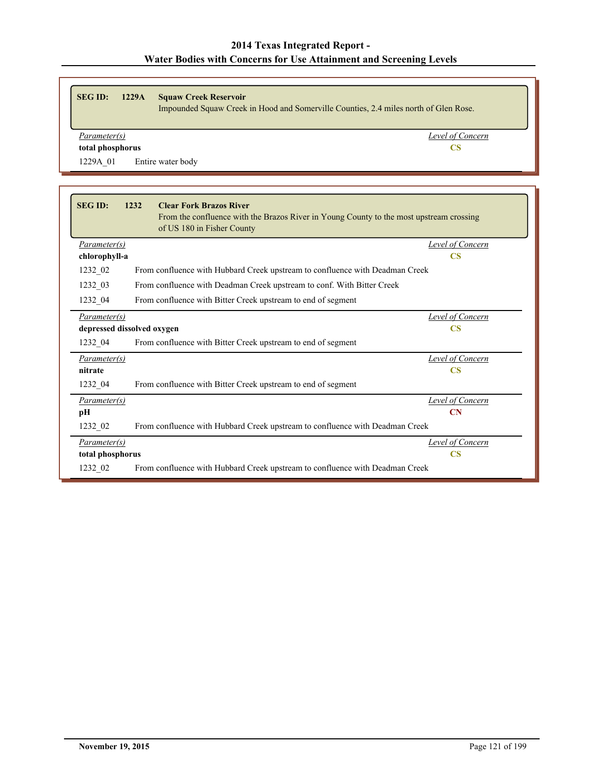| <b>SEG ID:</b><br>1229A | <b>Squaw Creek Reservoir</b><br>Impounded Squaw Creek in Hood and Somerville Counties, 2.4 miles north of Glen Rose. |
|-------------------------|----------------------------------------------------------------------------------------------------------------------|
| Parameter(s)            | Level of Concern                                                                                                     |
| total phosphorus        | CS.                                                                                                                  |
| 1229A 01                | Entire water body                                                                                                    |

| <b>SEG ID:</b>             | 1232<br><b>Clear Fork Brazos River</b><br>From the confluence with the Brazos River in Young County to the most upstream crossing<br>of US 180 in Fisher County |                         |
|----------------------------|-----------------------------------------------------------------------------------------------------------------------------------------------------------------|-------------------------|
| <i>Parameter(s)</i>        |                                                                                                                                                                 | Level of Concern        |
| chlorophyll-a              |                                                                                                                                                                 | $\overline{\text{CS}}$  |
| 1232_02                    | From confluence with Hubbard Creek upstream to confluence with Deadman Creek                                                                                    |                         |
| 1232 03                    | From confluence with Deadman Creek upstream to conf. With Bitter Creek                                                                                          |                         |
| 1232 04                    | From confluence with Bitter Creek upstream to end of segment                                                                                                    |                         |
| Parameter(s)               |                                                                                                                                                                 | Level of Concern        |
| depressed dissolved oxygen |                                                                                                                                                                 | $\mathbf{CS}$           |
| 1232 04                    | From confluence with Bitter Creek upstream to end of segment                                                                                                    |                         |
| Parameter(s)               |                                                                                                                                                                 | Level of Concern        |
| nitrate                    |                                                                                                                                                                 | $\overline{\text{CS}}$  |
| 1232 04                    | From confluence with Bitter Creek upstream to end of segment                                                                                                    |                         |
| Parameter(s)               |                                                                                                                                                                 | Level of Concern        |
| pН                         |                                                                                                                                                                 | $\mathbf{C}$ N          |
| 1232_02                    | From confluence with Hubbard Creek upstream to confluence with Deadman Creek                                                                                    |                         |
| Parameter(s)               |                                                                                                                                                                 | <b>Level of Concern</b> |
| total phosphorus           |                                                                                                                                                                 | <b>CS</b>               |
| 1232 02                    | From confluence with Hubbard Creek upstream to confluence with Deadman Creek                                                                                    |                         |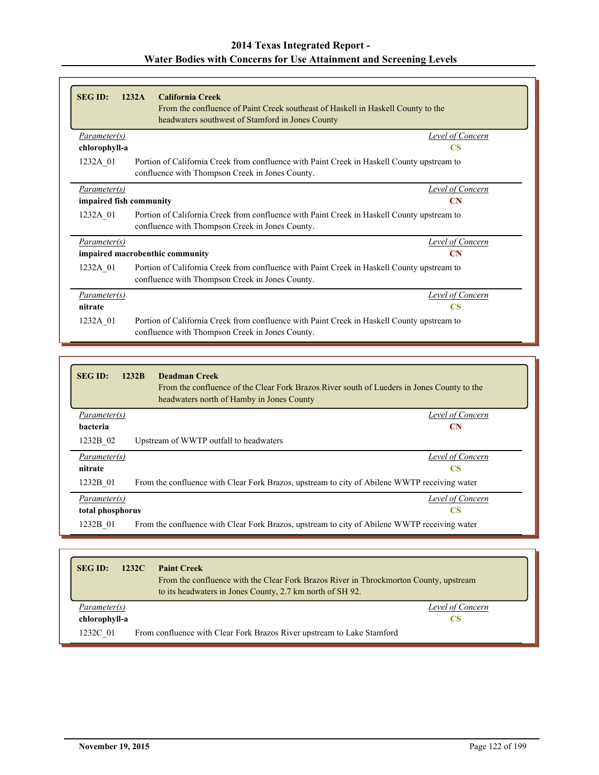| <b>SEG ID:</b>          | 1232A<br><b>California Creek</b><br>From the confluence of Paint Creek southeast of Haskell in Haskell County to the<br>headwaters southwest of Stamford in Jones County |
|-------------------------|--------------------------------------------------------------------------------------------------------------------------------------------------------------------------|
| Parameter(s)            | Level of Concern                                                                                                                                                         |
| chlorophyll-a           | <b>CS</b>                                                                                                                                                                |
| 1232A 01                | Portion of California Creek from confluence with Paint Creek in Haskell County upstream to<br>confluence with Thompson Creek in Jones County.                            |
| Parameter(s)            | Level of Concern                                                                                                                                                         |
| impaired fish community | $\overline{\text{CN}}$                                                                                                                                                   |
| 1232A 01                | Portion of California Creek from confluence with Paint Creek in Haskell County upstream to<br>confluence with Thompson Creek in Jones County.                            |
| Parameter(s)            | Level of Concern                                                                                                                                                         |
|                         | CN<br>impaired macrobenthic community                                                                                                                                    |
| 1232A 01                | Portion of California Creek from confluence with Paint Creek in Haskell County upstream to<br>confluence with Thompson Creek in Jones County.                            |
| Parameter(s)            | Level of Concern                                                                                                                                                         |
| nitrate                 | CS                                                                                                                                                                       |
| 1232A 01                | Portion of California Creek from confluence with Paint Creek in Haskell County upstream to<br>confluence with Thompson Creek in Jones County.                            |

| <b>SEG ID:</b>         | 1232B<br><b>Deadman Creek</b><br>From the confluence of the Clear Fork Brazos River south of Lueders in Jones County to the<br>headwaters north of Hamby in Jones County |
|------------------------|--------------------------------------------------------------------------------------------------------------------------------------------------------------------------|
| Parameter(s)           | Level of Concern                                                                                                                                                         |
| <b>bacteria</b>        | CN                                                                                                                                                                       |
| 1232B 02               | Upstream of WWTP outfall to headwaters                                                                                                                                   |
| Parameter(s)           | Level of Concern                                                                                                                                                         |
| nitrate                | CS                                                                                                                                                                       |
| 1232B 01               | From the confluence with Clear Fork Brazos, upstream to city of Abilene WWTP receiving water                                                                             |
| Parameter(s)           | Level of Concern                                                                                                                                                         |
| total phosphorus<br>CS |                                                                                                                                                                          |
| 1232B 01               | From the confluence with Clear Fork Brazos, upstream to city of Abilene WWTP receiving water                                                                             |

| <b>SEGID:</b> | 1232C | <b>Paint Creek</b><br>From the confluence with the Clear Fork Brazos River in Throckmorton County, upstream<br>to its headwaters in Jones County, 2.7 km north of SH 92. |
|---------------|-------|--------------------------------------------------------------------------------------------------------------------------------------------------------------------------|
| Parameter(s)  |       | Level of Concern                                                                                                                                                         |
| chlorophyll-a |       | CS.                                                                                                                                                                      |
| 1232C 01      |       | From confluence with Clear Fork Brazos River upstream to Lake Stamford                                                                                                   |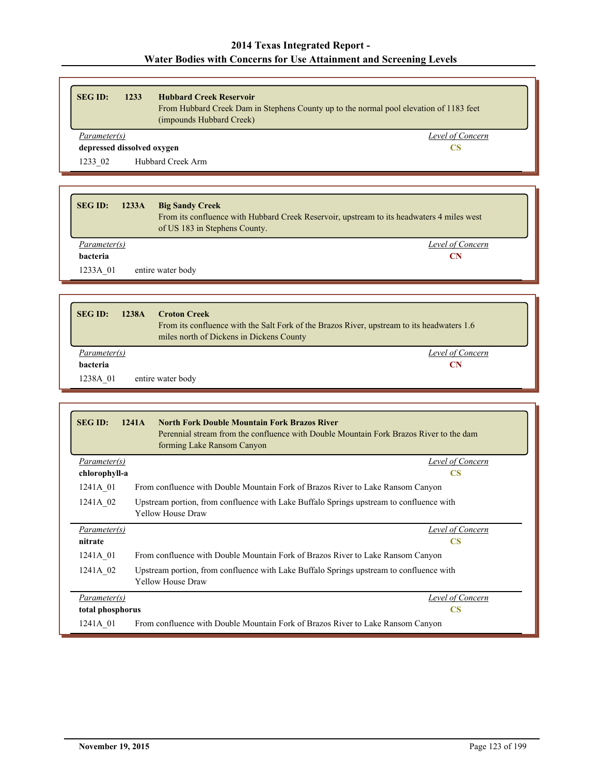| <b>SEG ID:</b>             | 1233 | <b>Hubbard Creek Reservoir</b><br>From Hubbard Creek Dam in Stephens County up to the normal pool elevation of 1183 feet<br>(impounds Hubbard Creek) |
|----------------------------|------|------------------------------------------------------------------------------------------------------------------------------------------------------|
| Parameter(s)               |      | Level of Concern                                                                                                                                     |
| depressed dissolved oxygen |      | CS                                                                                                                                                   |
| 1233 02                    |      | Hubbard Creek Arm                                                                                                                                    |

| <b>SEG ID:</b> | 1233A<br><b>Big Sandy Creek</b><br>From its confluence with Hubbard Creek Reservoir, upstream to its headwaters 4 miles west<br>of US 183 in Stephens County. |
|----------------|---------------------------------------------------------------------------------------------------------------------------------------------------------------|
| Parameter(s)   | Level of Concern                                                                                                                                              |
| bacteria       | CN                                                                                                                                                            |
| 1233A 01       | entire water body                                                                                                                                             |

| <b>SEG ID:</b>  | 1238A<br><b>Croton Creek</b><br>From its confluence with the Salt Fork of the Brazos River, upstream to its headwaters 1.6<br>miles north of Dickens in Dickens County |
|-----------------|------------------------------------------------------------------------------------------------------------------------------------------------------------------------|
| Parameter(s)    | Level of Concern                                                                                                                                                       |
| <b>bacteria</b> | CN                                                                                                                                                                     |
| 1238A 01        | entire water body                                                                                                                                                      |

| <b>SEG ID:</b>                | <b>North Fork Double Mountain Fork Brazos River</b><br>1241A<br>Perennial stream from the confluence with Double Mountain Fork Brazos River to the dam<br>forming Lake Ransom Canyon |
|-------------------------------|--------------------------------------------------------------------------------------------------------------------------------------------------------------------------------------|
| Parameter(s)                  | Level of Concern                                                                                                                                                                     |
| chlorophyll-a                 | <b>CS</b>                                                                                                                                                                            |
| 1241A 01                      | From confluence with Double Mountain Fork of Brazos River to Lake Ransom Canyon                                                                                                      |
| 1241A 02                      | Upstream portion, from confluence with Lake Buffalo Springs upstream to confluence with<br><b>Yellow House Draw</b>                                                                  |
| Parameter(s)                  | Level of Concern                                                                                                                                                                     |
| nitrate                       | <b>CS</b>                                                                                                                                                                            |
| 1241A 01                      | From confluence with Double Mountain Fork of Brazos River to Lake Ransom Canyon                                                                                                      |
| 1241A 02                      | Upstream portion, from confluence with Lake Buffalo Springs upstream to confluence with<br><b>Yellow House Draw</b>                                                                  |
| Parameter(s)                  | Level of Concern                                                                                                                                                                     |
| <b>CS</b><br>total phosphorus |                                                                                                                                                                                      |
| 1241A 01                      | From confluence with Double Mountain Fork of Brazos River to Lake Ransom Canyon                                                                                                      |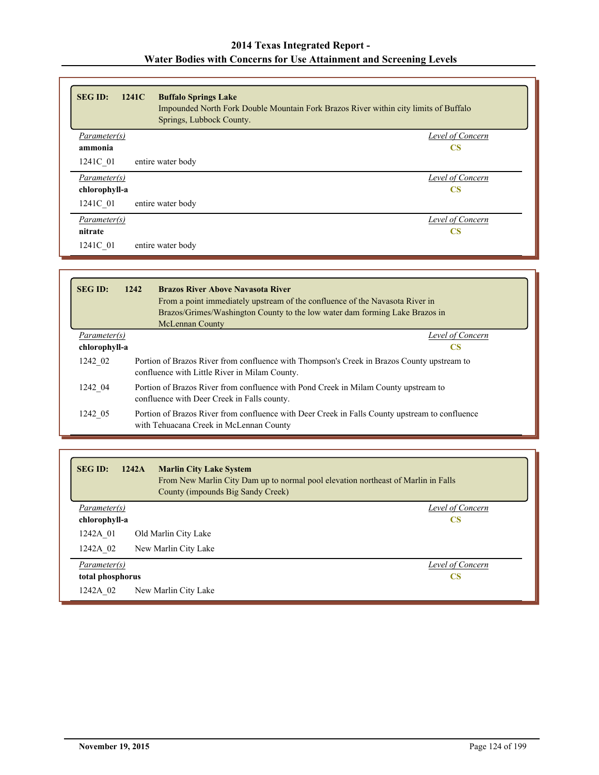| <b>SEG ID:</b><br>1241C<br><b>Buffalo Springs Lake</b><br>Impounded North Fork Double Mountain Fork Brazos River within city limits of Buffalo<br>Springs, Lubbock County. |                  |
|----------------------------------------------------------------------------------------------------------------------------------------------------------------------------|------------------|
| <i>Parameter(s)</i>                                                                                                                                                        | Level of Concern |
| ammonia                                                                                                                                                                    | $\mathbf{CS}$    |
| 1241C 01<br>entire water body                                                                                                                                              |                  |
| Parameter(s)                                                                                                                                                               | Level of Concern |
| chlorophyll-a                                                                                                                                                              | $\mathbf{CS}$    |
| 1241C 01<br>entire water body                                                                                                                                              |                  |
| Parameter(s)                                                                                                                                                               | Level of Concern |
| nitrate                                                                                                                                                                    | <b>CS</b>        |
| 1241C 01<br>entire water body                                                                                                                                              |                  |

| <b>SEG ID:</b> | 1242 | <b>Brazos River Above Navasota River</b><br>From a point immediately upstream of the confluence of the Navasota River in<br>Brazos/Grimes/Washington County to the low water dam forming Lake Brazos in<br><b>McLennan County</b> |  |
|----------------|------|-----------------------------------------------------------------------------------------------------------------------------------------------------------------------------------------------------------------------------------|--|
| Parameter(s)   |      | Level of Concern                                                                                                                                                                                                                  |  |
| chlorophyll-a  |      | CS                                                                                                                                                                                                                                |  |
| 1242 02        |      | Portion of Brazos River from confluence with Thompson's Creek in Brazos County upstream to<br>confluence with Little River in Milam County.                                                                                       |  |
| 1242 04        |      | Portion of Brazos River from confluence with Pond Creek in Milam County upstream to<br>confluence with Deer Creek in Falls county.                                                                                                |  |
| 1242 05        |      | Portion of Brazos River from confluence with Deer Creek in Falls County upstream to confluence<br>with Tehuacana Creek in McLennan County                                                                                         |  |

| <b>SEG ID:</b><br>1242A<br><b>Marlin City Lake System</b> | From New Marlin City Dam up to normal pool elevation northeast of Marlin in Falls<br>County (impounds Big Sandy Creek) |
|-----------------------------------------------------------|------------------------------------------------------------------------------------------------------------------------|
| <i>Parameter(s)</i>                                       | Level of Concern                                                                                                       |
| chlorophyll-a                                             | <b>CS</b>                                                                                                              |
| 1242A 01<br>Old Marlin City Lake                          |                                                                                                                        |
| 1242A 02<br>New Marlin City Lake                          |                                                                                                                        |
| Parameter(s)                                              | Level of Concern                                                                                                       |
| total phosphorus                                          | <b>CS</b>                                                                                                              |
| 1242A 02<br>New Marlin City Lake                          |                                                                                                                        |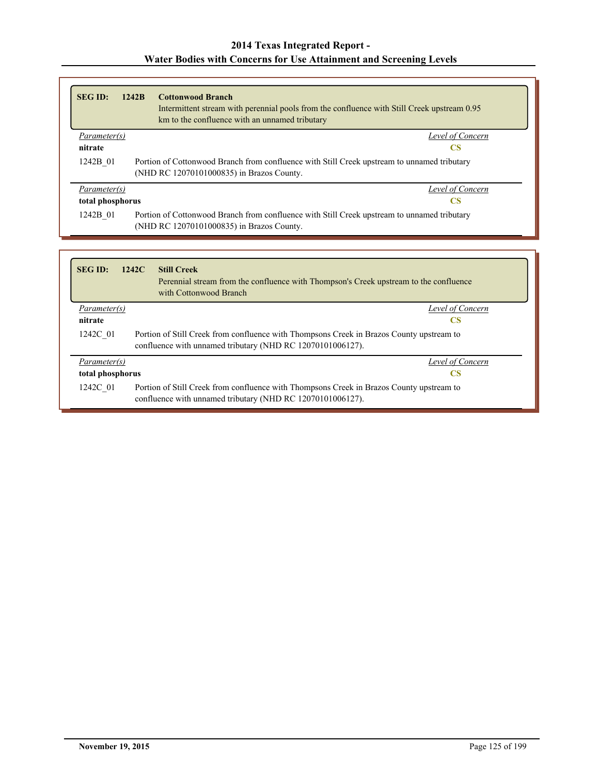| <b>SEG ID:</b>   | 1242 <sub>R</sub> | <b>Cottonwood Branch</b><br>Intermittent stream with perennial pools from the confluence with Still Creek upstream 0.95<br>km to the confluence with an unnamed tributary |
|------------------|-------------------|---------------------------------------------------------------------------------------------------------------------------------------------------------------------------|
| Parameter(s)     |                   | Level of Concern                                                                                                                                                          |
| nitrate          |                   | CS                                                                                                                                                                        |
| 1242B 01         |                   | Portion of Cottonwood Branch from confluence with Still Creek upstream to unnamed tributary<br>(NHD RC 12070101000835) in Brazos County.                                  |
| Parameter(s)     |                   | Level of Concern                                                                                                                                                          |
| total phosphorus |                   | <b>CS</b>                                                                                                                                                                 |
| 1242B 01         |                   | Portion of Cottonwood Branch from confluence with Still Creek upstream to unnamed tributary<br>(NHD RC 12070101000835) in Brazos County.                                  |

| <b>SEGID:</b>       | <b>Still Creek</b><br>1242C<br>Perennial stream from the confluence with Thompson's Creek upstream to the confluence<br>with Cottonwood Branch         |
|---------------------|--------------------------------------------------------------------------------------------------------------------------------------------------------|
| <i>Parameter(s)</i> | Level of Concern                                                                                                                                       |
| nitrate             | CS                                                                                                                                                     |
| 1242C 01            | Portion of Still Creek from confluence with Thompsons Creek in Brazos County upstream to<br>confluence with unnamed tributary (NHD RC 12070101006127). |
| <i>Parameter(s)</i> | Level of Concern                                                                                                                                       |
| total phosphorus    | CS                                                                                                                                                     |
| 1242C 01            | Portion of Still Creek from confluence with Thompsons Creek in Brazos County upstream to<br>confluence with unnamed tributary (NHD RC 12070101006127). |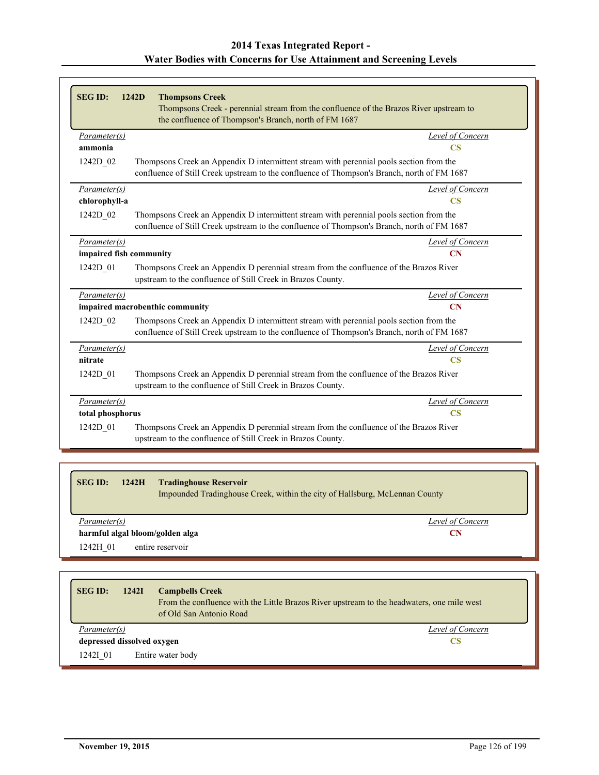| <b>SEG ID:</b>          | 1242D<br><b>Thompsons Creek</b><br>Thompsons Creek - perennial stream from the confluence of the Brazos River upstream to<br>the confluence of Thompson's Branch, north of FM 1687     |
|-------------------------|----------------------------------------------------------------------------------------------------------------------------------------------------------------------------------------|
| Parameter(s)            | Level of Concern                                                                                                                                                                       |
| ammonia                 | $\overline{\text{CS}}$                                                                                                                                                                 |
| 1242D 02                | Thompsons Creek an Appendix D intermittent stream with perennial pools section from the<br>confluence of Still Creek upstream to the confluence of Thompson's Branch, north of FM 1687 |
| Parameter(s)            | Level of Concern                                                                                                                                                                       |
| chlorophyll-a           | $\overline{\text{CS}}$                                                                                                                                                                 |
| 1242D 02                | Thompsons Creek an Appendix D intermittent stream with perennial pools section from the<br>confluence of Still Creek upstream to the confluence of Thompson's Branch, north of FM 1687 |
| Parameter(s)            | Level of Concern                                                                                                                                                                       |
| impaired fish community | $\overline{C}N$                                                                                                                                                                        |
| 1242D 01                | Thompsons Creek an Appendix D perennial stream from the confluence of the Brazos River<br>upstream to the confluence of Still Creek in Brazos County.                                  |
| Parameter(s)            | Level of Concern                                                                                                                                                                       |
|                         | impaired macrobenthic community<br>CN                                                                                                                                                  |
| 1242D_02                | Thompsons Creek an Appendix D intermittent stream with perennial pools section from the<br>confluence of Still Creek upstream to the confluence of Thompson's Branch, north of FM 1687 |
| Parameter(s)            | Level of Concern                                                                                                                                                                       |
| nitrate                 | CS                                                                                                                                                                                     |
| 1242D 01                | Thompsons Creek an Appendix D perennial stream from the confluence of the Brazos River<br>upstream to the confluence of Still Creek in Brazos County.                                  |
| Parameter(s)            | Level of Concern                                                                                                                                                                       |
| total phosphorus        | $\overline{\text{CS}}$                                                                                                                                                                 |
| 1242D 01                | Thompsons Creek an Appendix D perennial stream from the confluence of the Brazos River<br>upstream to the confluence of Still Creek in Brazos County.                                  |

| <b>SEG ID:</b> | 1242H | <b>Tradinghouse Reservoir</b><br>Impounded Tradinghouse Creek, within the city of Hallsburg, McLennan County |  |
|----------------|-------|--------------------------------------------------------------------------------------------------------------|--|
| Parameter(s)   |       | Level of Concern                                                                                             |  |
|                |       | harmful algal bloom/golden alga<br><b>CN</b>                                                                 |  |
| 1242H 01       |       | entire reservoir                                                                                             |  |
|                |       |                                                                                                              |  |

| <b>SEG ID:</b><br>1242I          | <b>Campbells Creek</b><br>From the confluence with the Little Brazos River upstream to the headwaters, one mile west<br>of Old San Antonio Road |
|----------------------------------|-------------------------------------------------------------------------------------------------------------------------------------------------|
| Level of Concern<br>Parameter(s) |                                                                                                                                                 |
| depressed dissolved oxygen<br>CS |                                                                                                                                                 |
| 12421 01                         | Entire water body                                                                                                                               |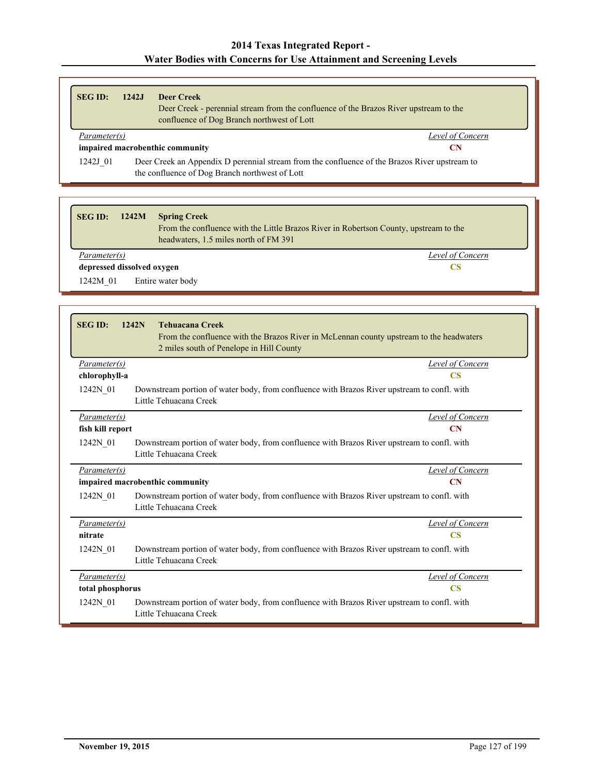| <b>SEGID:</b>                                                                                                                                               | 1242J | <b>Deer Creek</b><br>Deer Creek - perennial stream from the confluence of the Brazos River upstream to the<br>confluence of Dog Branch northwest of Lott |                  |
|-------------------------------------------------------------------------------------------------------------------------------------------------------------|-------|----------------------------------------------------------------------------------------------------------------------------------------------------------|------------------|
| Parameter(s)                                                                                                                                                |       |                                                                                                                                                          | Level of Concern |
| impaired macrobenthic community<br>CN                                                                                                                       |       |                                                                                                                                                          |                  |
| Deer Creek an Appendix D perennial stream from the confluence of the Brazos River upstream to<br>1242J 01<br>the confluence of Dog Branch northwest of Lott |       |                                                                                                                                                          |                  |

| <b>SEG ID:</b><br>1242M    | <b>Spring Creek</b><br>From the confluence with the Little Brazos River in Robertson County, upstream to the<br>headwaters, 1.5 miles north of FM 391 |
|----------------------------|-------------------------------------------------------------------------------------------------------------------------------------------------------|
| Parameter(s)               | Level of Concern                                                                                                                                      |
| depressed dissolved oxygen |                                                                                                                                                       |
| 1242M 01                   | Entire water body                                                                                                                                     |

| <b>SEG ID:</b>                             | 1242N<br><b>Tehuacana Creek</b><br>From the confluence with the Brazos River in McLennan county upstream to the headwaters<br>2 miles south of Penelope in Hill County |                         |  |  |
|--------------------------------------------|------------------------------------------------------------------------------------------------------------------------------------------------------------------------|-------------------------|--|--|
| Parameter(s)                               | Level of Concern                                                                                                                                                       |                         |  |  |
| chlorophyll-a                              |                                                                                                                                                                        | $\overline{\text{CS}}$  |  |  |
| 1242N 01                                   | Downstream portion of water body, from confluence with Brazos River upstream to confl. with<br>Little Tehuacana Creek                                                  |                         |  |  |
| Parameter(s)                               |                                                                                                                                                                        | Level of Concern        |  |  |
| fish kill report                           |                                                                                                                                                                        | CN                      |  |  |
| 1242N 01                                   | Downstream portion of water body, from confluence with Brazos River upstream to confl. with<br>Little Tehuacana Creek                                                  |                         |  |  |
| Parameter(s)                               |                                                                                                                                                                        | <u>Level of Concern</u> |  |  |
| impaired macrobenthic community<br>CN      |                                                                                                                                                                        |                         |  |  |
| 1242N 01                                   | Downstream portion of water body, from confluence with Brazos River upstream to confl. with<br>Little Tehuacana Creek                                                  |                         |  |  |
| Parameter(s)                               |                                                                                                                                                                        | <b>Level of Concern</b> |  |  |
| nitrate                                    |                                                                                                                                                                        | $\overline{\text{CS}}$  |  |  |
| 1242N 01                                   | Downstream portion of water body, from confluence with Brazos River upstream to confl. with<br>Little Tehuacana Creek                                                  |                         |  |  |
| Parameter(s)                               |                                                                                                                                                                        | <b>Level of Concern</b> |  |  |
| $\overline{\text{CS}}$<br>total phosphorus |                                                                                                                                                                        |                         |  |  |
| 1242N 01                                   | Downstream portion of water body, from confluence with Brazos River upstream to confl. with<br>Little Tehuacana Creek                                                  |                         |  |  |

Ъ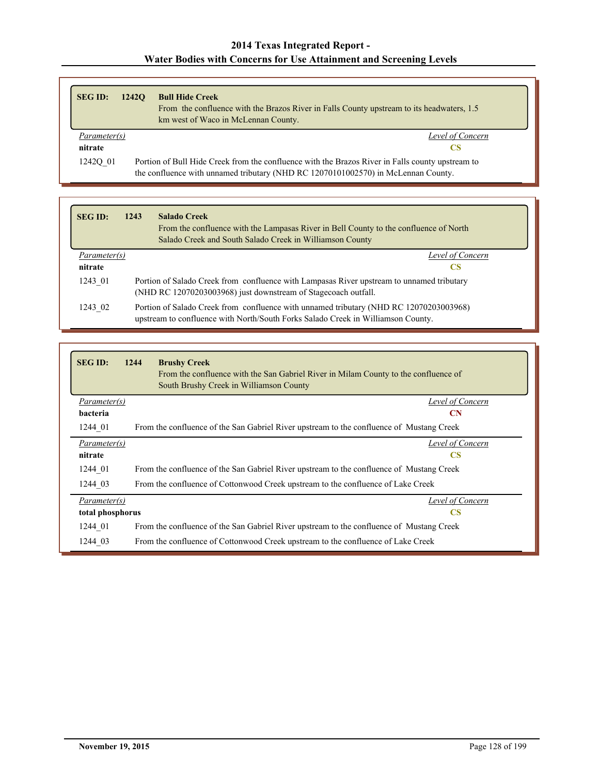| <b>SEG ID:</b> | 1242 <sub>O</sub> | <b>Bull Hide Creek</b><br>From the confluence with the Brazos River in Falls County upstream to its headwaters, 1.5<br>km west of Waco in McLennan County.                            |
|----------------|-------------------|---------------------------------------------------------------------------------------------------------------------------------------------------------------------------------------|
| Parameter(s)   |                   | Level of Concern                                                                                                                                                                      |
| nitrate        |                   | CS.                                                                                                                                                                                   |
| 12420 01       |                   | Portion of Bull Hide Creek from the confluence with the Brazos River in Falls county upstream to<br>the confluence with unnamed tributary (NHD RC 12070101002570) in McLennan County. |

| <b>SEG ID:</b> | 1243 | <b>Salado Creek</b><br>From the confluence with the Lampasas River in Bell County to the confluence of North<br>Salado Creek and South Salado Creek in Williamson County   |
|----------------|------|----------------------------------------------------------------------------------------------------------------------------------------------------------------------------|
| Parameter(s)   |      | Level of Concern                                                                                                                                                           |
| nitrate        |      | CS                                                                                                                                                                         |
| 1243 01        |      | Portion of Salado Creek from confluence with Lampasas River upstream to unnamed tributary<br>(NHD RC 12070203003968) just downstream of Stagecoach outfall.                |
| 1243 02        |      | Portion of Salado Creek from confluence with unnamed tributary (NHD RC 12070203003968)<br>upstream to confluence with North/South Forks Salado Creek in Williamson County. |

| <b>SEG ID:</b>   | 1244<br><b>Brushy Creek</b><br>From the confluence with the San Gabriel River in Milam County to the confluence of<br>South Brushy Creek in Williamson County |
|------------------|---------------------------------------------------------------------------------------------------------------------------------------------------------------|
| Parameter(s)     | Level of Concern                                                                                                                                              |
| bacteria         | <b>CN</b>                                                                                                                                                     |
| 1244 01          | From the confluence of the San Gabriel River upstream to the confluence of Mustang Creek                                                                      |
| Parameter(s)     | Level of Concern                                                                                                                                              |
| nitrate          | <b>CS</b>                                                                                                                                                     |
| 1244 01          | From the confluence of the San Gabriel River upstream to the confluence of Mustang Creek                                                                      |
| 1244 03          | From the confluence of Cottonwood Creek upstream to the confluence of Lake Creek                                                                              |
| Parameter(s)     | Level of Concern                                                                                                                                              |
| total phosphorus | CS                                                                                                                                                            |
| 1244 01          | From the confluence of the San Gabriel River upstream to the confluence of Mustang Creek                                                                      |
| 1244 03          | From the confluence of Cottonwood Creek upstream to the confluence of Lake Creek                                                                              |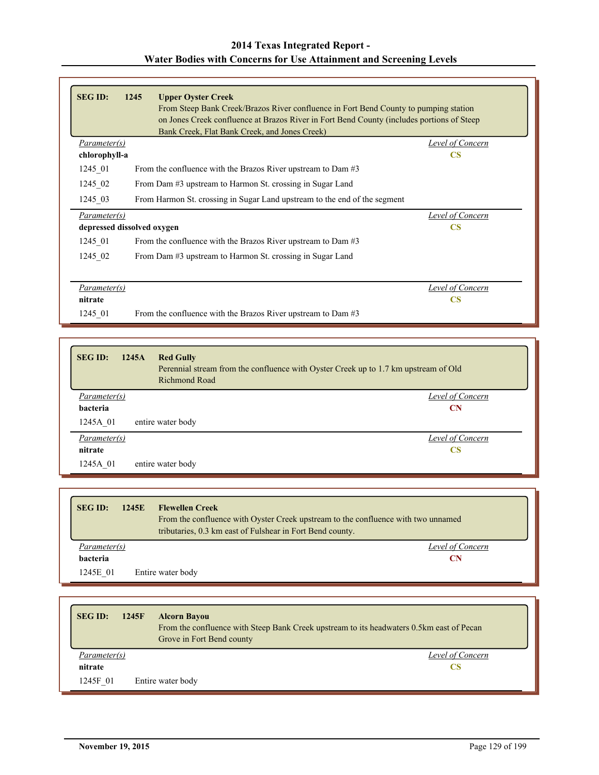| <b>SEG ID:</b>             | 1245<br><b>Upper Oyster Creek</b><br>From Steep Bank Creek/Brazos River confluence in Fort Bend County to pumping station<br>on Jones Creek confluence at Brazos River in Fort Bend County (includes portions of Steep<br>Bank Creek, Flat Bank Creek, and Jones Creek) |                  |
|----------------------------|-------------------------------------------------------------------------------------------------------------------------------------------------------------------------------------------------------------------------------------------------------------------------|------------------|
| Parameter(s)               |                                                                                                                                                                                                                                                                         | Level of Concern |
| chlorophyll-a              |                                                                                                                                                                                                                                                                         | <b>CS</b>        |
| 1245 01                    | From the confluence with the Brazos River upstream to Dam #3                                                                                                                                                                                                            |                  |
| 1245 02                    | From Dam #3 upstream to Harmon St. crossing in Sugar Land                                                                                                                                                                                                               |                  |
| 1245 03                    | From Harmon St. crossing in Sugar Land upstream to the end of the segment                                                                                                                                                                                               |                  |
| Parameter(s)               |                                                                                                                                                                                                                                                                         | Level of Concern |
| depressed dissolved oxygen |                                                                                                                                                                                                                                                                         | <b>CS</b>        |
| 1245_01                    | From the confluence with the Brazos River upstream to Dam #3                                                                                                                                                                                                            |                  |
| 1245_02                    | From Dam #3 upstream to Harmon St. crossing in Sugar Land                                                                                                                                                                                                               |                  |
| Parameter(s)               |                                                                                                                                                                                                                                                                         | Level of Concern |
| nitrate                    |                                                                                                                                                                                                                                                                         | CS               |

1245\_01 From the confluence with the Brazos River upstream to Dam #3

| <b>SEG ID:</b> | 1245A | <b>Red Gully</b><br>Perennial stream from the confluence with Oyster Creek up to 1.7 km upstream of Old<br><b>Richmond Road</b> |
|----------------|-------|---------------------------------------------------------------------------------------------------------------------------------|
| Parameter(s)   |       | Level of Concern                                                                                                                |
| bacteria       |       | <b>CN</b>                                                                                                                       |
| 1245A 01       |       | entire water body                                                                                                               |
| Parameter(s)   |       | Level of Concern                                                                                                                |
| nitrate        |       | <b>CS</b>                                                                                                                       |
| 1245A 01       |       | entire water body                                                                                                               |

| <b>SEG ID:</b>  | 1245E<br><b>Flewellen Creek</b><br>From the confluence with Oyster Creek upstream to the confluence with two unnamed<br>tributaries, 0.3 km east of Fulshear in Fort Bend county. |  |
|-----------------|-----------------------------------------------------------------------------------------------------------------------------------------------------------------------------------|--|
| Parameter(s)    | Level of Concern                                                                                                                                                                  |  |
| <b>bacteria</b> |                                                                                                                                                                                   |  |
| 1245E 01        | Entire water body                                                                                                                                                                 |  |

| <b>SEG ID:</b>      | 1245F | <b>Alcorn Bayou</b><br>From the confluence with Steep Bank Creek upstream to its headwaters 0.5km east of Pecan<br>Grove in Fort Bend county |
|---------------------|-------|----------------------------------------------------------------------------------------------------------------------------------------------|
| <i>Parameter(s)</i> |       | Level of Concern                                                                                                                             |
| nitrate             |       | CS                                                                                                                                           |
| 1245F 01            |       | Entire water body                                                                                                                            |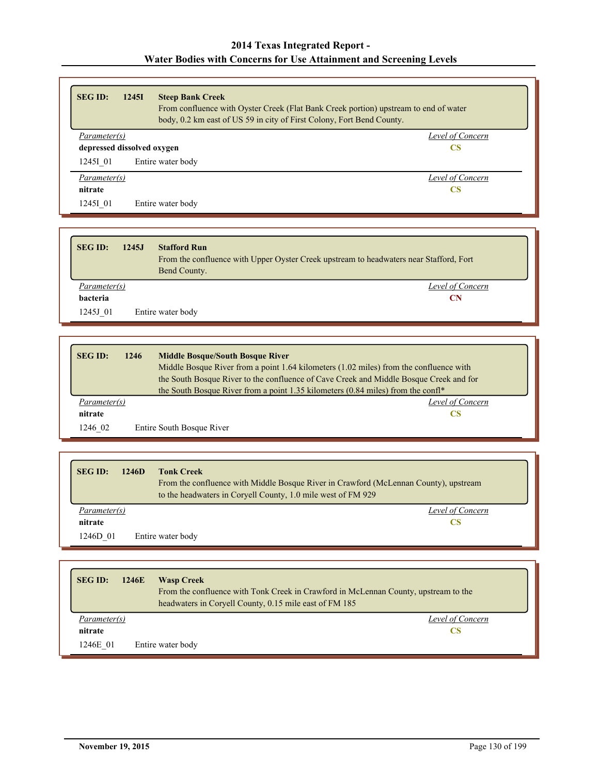| <b>SEG ID:</b> | 1245I                                   | <b>Steep Bank Creek</b><br>From confluence with Oyster Creek (Flat Bank Creek portion) upstream to end of water<br>body, 0.2 km east of US 59 in city of First Colony, Fort Bend County. |                  |
|----------------|-----------------------------------------|------------------------------------------------------------------------------------------------------------------------------------------------------------------------------------------|------------------|
| Parameter(s)   |                                         |                                                                                                                                                                                          | Level of Concern |
|                | depressed dissolved oxygen<br><b>CS</b> |                                                                                                                                                                                          |                  |
| 12451 01       |                                         | Entire water body                                                                                                                                                                        |                  |
| Parameter(s)   |                                         |                                                                                                                                                                                          | Level of Concern |
| nitrate        |                                         |                                                                                                                                                                                          | <b>CS</b>        |
| 12451 01       |                                         | Entire water body                                                                                                                                                                        |                  |

| <b>SEG ID:</b> | 1245J<br><b>Stafford Run</b><br>From the confluence with Upper Oyster Creek upstream to headwaters near Stafford, Fort<br>Bend County. |  |
|----------------|----------------------------------------------------------------------------------------------------------------------------------------|--|
| Parameter(s)   | Level of Concern                                                                                                                       |  |
| bacteria       | CN                                                                                                                                     |  |
| 1245J 01       | Entire water body                                                                                                                      |  |

| <b>SEG ID:</b> | 1246<br><b>Middle Bosque/South Bosque River</b>                                            |
|----------------|--------------------------------------------------------------------------------------------|
|                | Middle Bosque River from a point $1.64$ kilometers $(1.02$ miles) from the confluence with |
|                | the South Bosque River to the confluence of Cave Creek and Middle Bosque Creek and for     |
|                | the South Bosque River from a point 1.35 kilometers (0.84 miles) from the confl*           |
| Parameter(s)   | Level of Concern                                                                           |
| nitrate        |                                                                                            |
| 1246 02        | Entire South Bosque River                                                                  |

| <b>SEGID:</b> | <b>Tonk Creek</b><br>1246D<br>From the confluence with Middle Bosque River in Crawford (McLennan County), upstream<br>to the headwaters in Coryell County, 1.0 mile west of FM 929 |
|---------------|------------------------------------------------------------------------------------------------------------------------------------------------------------------------------------|
| Parameter(s)  | Level of Concern                                                                                                                                                                   |
| nitrate       | CS                                                                                                                                                                                 |
| 1246D 01      | Entire water body                                                                                                                                                                  |

| <b>SEG ID:</b> | 1246E<br><b>Wasp Creek</b><br>From the confluence with Tonk Creek in Crawford in McLennan County, upstream to the<br>headwaters in Coryell County, 0.15 mile east of FM 185 |
|----------------|-----------------------------------------------------------------------------------------------------------------------------------------------------------------------------|
| Parameter(s)   | Level of Concern                                                                                                                                                            |
| nitrate        | CS                                                                                                                                                                          |
| 1246E 01       | Entire water body                                                                                                                                                           |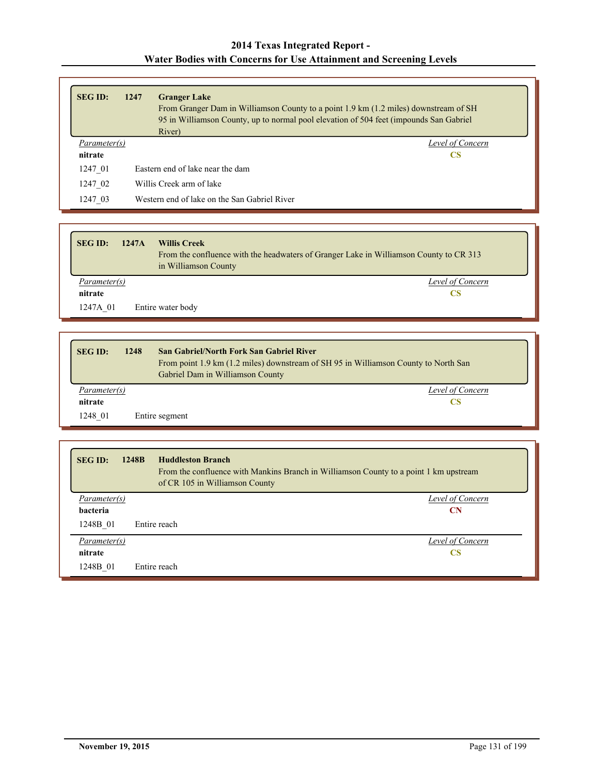| <b>SEG ID:</b> | 1247 | <b>Granger Lake</b><br>From Granger Dam in Williamson County to a point 1.9 km (1.2 miles) downstream of SH<br>95 in Williamson County, up to normal pool elevation of 504 feet (impounds San Gabriel<br>River) |  |
|----------------|------|-----------------------------------------------------------------------------------------------------------------------------------------------------------------------------------------------------------------|--|
| Parameter(s)   |      | Level of Concern                                                                                                                                                                                                |  |
| nitrate        |      | CS                                                                                                                                                                                                              |  |
| 1247 01        |      | Eastern end of lake near the dam                                                                                                                                                                                |  |
| 1247 02        |      | Willis Creek arm of lake                                                                                                                                                                                        |  |
| 1247 03        |      | Western end of lake on the San Gabriel River                                                                                                                                                                    |  |

| <b>SEG ID:</b><br>1247A | <b>Willis Creek</b><br>From the confluence with the headwaters of Granger Lake in Williamson County to CR 313<br>in Williamson County |
|-------------------------|---------------------------------------------------------------------------------------------------------------------------------------|
| <i>Parameter(s)</i>     | Level of Concern                                                                                                                      |
| nitrate                 | CS                                                                                                                                    |
| 1247A 01                | Entire water body                                                                                                                     |

| <b>SEG ID:</b> | 1248 | <b>San Gabriel/North Fork San Gabriel River</b><br>From point 1.9 km (1.2 miles) downstream of SH 95 in Williamson County to North San<br>Gabriel Dam in Williamson County |  |
|----------------|------|----------------------------------------------------------------------------------------------------------------------------------------------------------------------------|--|
| Parameter(s)   |      | Level of Concern                                                                                                                                                           |  |
| nitrate        |      | CS                                                                                                                                                                         |  |
| 1248 01        |      | Entire segment                                                                                                                                                             |  |

| 1248B<br><b>Huddleston Branch</b><br><b>SEG ID:</b> | From the confluence with Mankins Branch in Williamson County to a point 1 km upstream<br>of CR 105 in Williamson County |
|-----------------------------------------------------|-------------------------------------------------------------------------------------------------------------------------|
| Parameter(s)                                        | Level of Concern                                                                                                        |
| bacteria                                            | <b>CN</b>                                                                                                               |
| 1248B 01<br>Entire reach                            |                                                                                                                         |
| <i>Parameter(s)</i>                                 | Level of Concern                                                                                                        |
| nitrate                                             | <b>CS</b>                                                                                                               |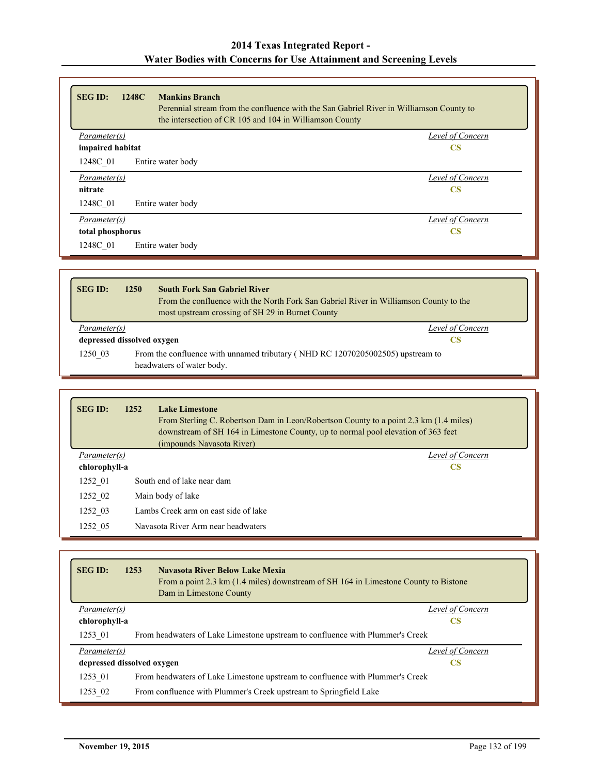| <b>SEG ID:</b><br>1248C<br><b>Mankins Branch</b><br>Perennial stream from the confluence with the San Gabriel River in Williamson County to<br>the intersection of CR 105 and 104 in Williamson County |                        |
|--------------------------------------------------------------------------------------------------------------------------------------------------------------------------------------------------------|------------------------|
| Parameter(s)                                                                                                                                                                                           | Level of Concern       |
| impaired habitat                                                                                                                                                                                       | $\overline{\text{CS}}$ |
| 1248C 01<br>Entire water body                                                                                                                                                                          |                        |
| Parameter(s)                                                                                                                                                                                           | Level of Concern       |
| nitrate                                                                                                                                                                                                | $\overline{\text{CS}}$ |
| 1248C 01<br>Entire water body                                                                                                                                                                          |                        |
| Parameter(s)                                                                                                                                                                                           | Level of Concern       |
| total phosphorus                                                                                                                                                                                       | <b>CS</b>              |
| 1248C 01<br>Entire water body                                                                                                                                                                          |                        |

| <b>SEG ID:</b>             | 1250 | <b>South Fork San Gabriel River</b><br>From the confluence with the North Fork San Gabriel River in Williamson County to the<br>most upstream crossing of SH 29 in Burnet County |
|----------------------------|------|----------------------------------------------------------------------------------------------------------------------------------------------------------------------------------|
| Parameter(s)               |      | Level of Concern                                                                                                                                                                 |
| depressed dissolved oxygen |      | CS                                                                                                                                                                               |
| 1250 03                    |      | From the confluence with unnamed tributary (NHD RC 12070205002505) upstream to<br>headwaters of water body.                                                                      |

| <b>SEG ID:</b> | 1252 | <b>Lake Limestone</b><br>From Sterling C. Robertson Dam in Leon/Robertson County to a point 2.3 km (1.4 miles)<br>downstream of SH 164 in Limestone County, up to normal pool elevation of 363 feet<br>(impounds Navasota River) |
|----------------|------|----------------------------------------------------------------------------------------------------------------------------------------------------------------------------------------------------------------------------------|
| Parameter(s)   |      | Level of Concern                                                                                                                                                                                                                 |
| chlorophyll-a  |      | <b>CS</b>                                                                                                                                                                                                                        |
| 1252 01        |      | South end of lake near dam                                                                                                                                                                                                       |
| 1252 02        |      | Main body of lake                                                                                                                                                                                                                |
| 1252 03        |      | Lambs Creek arm on east side of lake                                                                                                                                                                                             |
| 1252 05        |      | Navasota River Arm near headwaters                                                                                                                                                                                               |

| <b>SEG ID:</b> | 1253<br><b>Navasota River Below Lake Mexia</b><br>From a point 2.3 km (1.4 miles) downstream of SH 164 in Limestone County to Bistone<br>Dam in Limestone County |                  |
|----------------|------------------------------------------------------------------------------------------------------------------------------------------------------------------|------------------|
| Parameter(s)   |                                                                                                                                                                  | Level of Concern |
| chlorophyll-a  |                                                                                                                                                                  | <b>CS</b>        |
| 1253 01        | From headwaters of Lake Limestone upstream to confluence with Plummer's Creek                                                                                    |                  |
| Parameter(s)   |                                                                                                                                                                  | Level of Concern |
|                | depressed dissolved oxygen                                                                                                                                       | <b>CS</b>        |
| 1253 01        | From headwaters of Lake Limestone upstream to confluence with Plummer's Creek                                                                                    |                  |
| 1253 02        | From confluence with Plummer's Creek upstream to Springfield Lake                                                                                                |                  |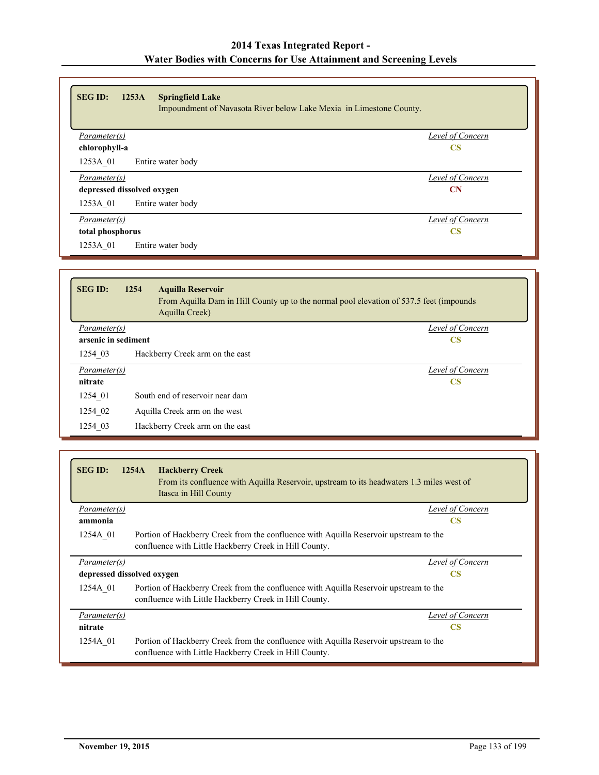| <b>SEG ID:</b><br>1253A<br><b>Springfield Lake</b><br>Impoundment of Navasota River below Lake Mexia in Limestone County. |                  |
|---------------------------------------------------------------------------------------------------------------------------|------------------|
| <i>Parameter(s)</i>                                                                                                       | Level of Concern |
| chlorophyll-a                                                                                                             | $\mathbf{CS}$    |
| 1253A 01<br>Entire water body                                                                                             |                  |
| Parameter(s)                                                                                                              | Level of Concern |
| depressed dissolved oxygen                                                                                                | CN               |
| 1253A 01<br>Entire water body                                                                                             |                  |
| Parameter(s)                                                                                                              | Level of Concern |
| total phosphorus                                                                                                          | <b>CS</b>        |
| 1253A 01<br>Entire water body                                                                                             |                  |

| <b>SEG ID:</b>                   | 1254<br><b>Aquilla Reservoir</b><br>From Aquilla Dam in Hill County up to the normal pool elevation of 537.5 feet (impounds<br>Aquilla Creek) |                  |
|----------------------------------|-----------------------------------------------------------------------------------------------------------------------------------------------|------------------|
| Parameter(s)                     |                                                                                                                                               | Level of Concern |
| arsenic in sediment<br><b>CS</b> |                                                                                                                                               |                  |
| 1254 03                          | Hackberry Creek arm on the east                                                                                                               |                  |
| Parameter(s)                     |                                                                                                                                               | Level of Concern |
| nitrate                          |                                                                                                                                               | <b>CS</b>        |
| 1254 01                          | South end of reservoir near dam                                                                                                               |                  |
| 1254 02                          | Aquilla Creek arm on the west                                                                                                                 |                  |
| 1254 03                          | Hackberry Creek arm on the east                                                                                                               |                  |

| <b>SEG ID:</b>             | 1254A<br><b>Hackberry Creek</b><br>From its confluence with Aquilla Reservoir, upstream to its headwaters 1.3 miles west of<br>Itasca in Hill County |
|----------------------------|------------------------------------------------------------------------------------------------------------------------------------------------------|
| Parameter(s)               | Level of Concern                                                                                                                                     |
| ammonia                    | <b>CS</b>                                                                                                                                            |
| 1254A 01                   | Portion of Hackberry Creek from the confluence with Aquilla Reservoir upstream to the<br>confluence with Little Hackberry Creek in Hill County.      |
| Parameter(s)               | Level of Concern                                                                                                                                     |
| depressed dissolved oxygen | <b>CS</b>                                                                                                                                            |
| 1254A 01                   | Portion of Hackberry Creek from the confluence with Aquilla Reservoir upstream to the<br>confluence with Little Hackberry Creek in Hill County.      |
| Parameter(s)               | Level of Concern                                                                                                                                     |
| nitrate                    | <b>CS</b>                                                                                                                                            |
| 1254A 01                   | Portion of Hackberry Creek from the confluence with Aquilla Reservoir upstream to the<br>confluence with Little Hackberry Creek in Hill County.      |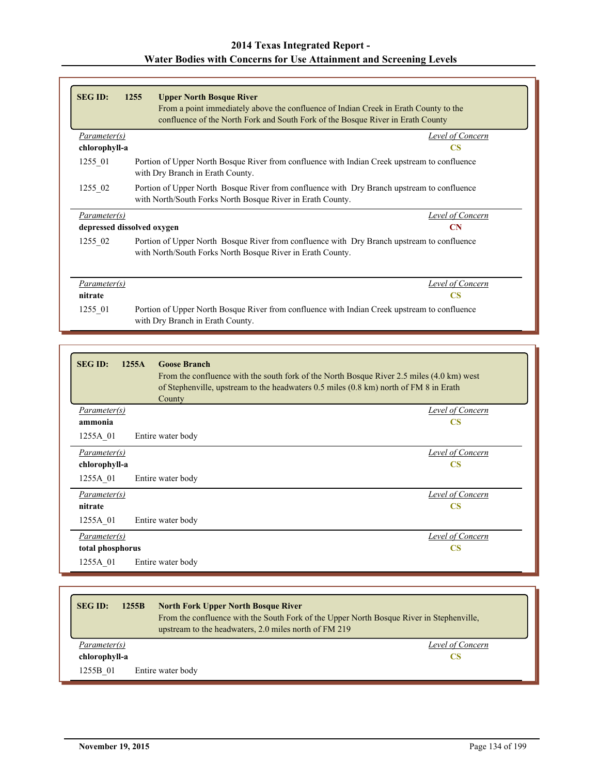| <b>SEG ID:</b>      | 1255<br><b>Upper North Bosque River</b><br>From a point immediately above the confluence of Indian Creek in Erath County to the<br>confluence of the North Fork and South Fork of the Bosque River in Erath County |  |
|---------------------|--------------------------------------------------------------------------------------------------------------------------------------------------------------------------------------------------------------------|--|
| Parameter(s)        | Level of Concern                                                                                                                                                                                                   |  |
| chlorophyll-a       | $\overline{\text{CS}}$                                                                                                                                                                                             |  |
| 1255 01             | Portion of Upper North Bosque River from confluence with Indian Creek upstream to confluence<br>with Dry Branch in Erath County.                                                                                   |  |
| 1255 02             | Portion of Upper North Bosque River from confluence with Dry Branch upstream to confluence<br>with North/South Forks North Bosque River in Erath County.                                                           |  |
| Parameter(s)        | Level of Concern                                                                                                                                                                                                   |  |
|                     | depressed dissolved oxygen<br>$\mathbf C\mathbf N$                                                                                                                                                                 |  |
| 1255 02             | Portion of Upper North Bosque River from confluence with Dry Branch upstream to confluence<br>with North/South Forks North Bosque River in Erath County.                                                           |  |
| <i>Parameter(s)</i> | Level of Concern                                                                                                                                                                                                   |  |
| nitrate             | $\overline{\text{CS}}$                                                                                                                                                                                             |  |
| 1255 01             | Portion of Upper North Bosque River from confluence with Indian Creek upstream to confluence<br>with Dry Branch in Erath County.                                                                                   |  |

| <b>SEG ID:</b><br>1255A<br><b>Goose Branch</b><br>County | From the confluence with the south fork of the North Bosque River 2.5 miles (4.0 km) west<br>of Stephenville, upstream to the headwaters 0.5 miles (0.8 km) north of FM 8 in Erath |
|----------------------------------------------------------|------------------------------------------------------------------------------------------------------------------------------------------------------------------------------------|
| Parameter(s)                                             | Level of Concern                                                                                                                                                                   |
| ammonia                                                  | <b>CS</b>                                                                                                                                                                          |
| Entire water body<br>1255A 01                            |                                                                                                                                                                                    |
| Parameter(s)                                             | <b>Level of Concern</b>                                                                                                                                                            |
| chlorophyll-a                                            | $\overline{\text{CS}}$                                                                                                                                                             |
| 1255A 01<br>Entire water body                            |                                                                                                                                                                                    |
| Parameter(s)                                             | Level of Concern                                                                                                                                                                   |
| nitrate                                                  | $\overline{\text{CS}}$                                                                                                                                                             |
| 1255A 01<br>Entire water body                            |                                                                                                                                                                                    |
| Parameter(s)                                             | Level of Concern                                                                                                                                                                   |
| total phosphorus                                         | $\overline{\text{CS}}$                                                                                                                                                             |
| 1255A 01<br>Entire water body                            |                                                                                                                                                                                    |

| 1255B<br><b>SEG ID:</b> | <b>North Fork Upper North Bosque River</b><br>From the confluence with the South Fork of the Upper North Bosque River in Stephenville,<br>upstream to the headwaters, 2.0 miles north of FM 219 |
|-------------------------|-------------------------------------------------------------------------------------------------------------------------------------------------------------------------------------------------|
| Parameter(s)            | Level of Concern                                                                                                                                                                                |
| chlorophyll-a           | CS                                                                                                                                                                                              |
| 1255B 01                | Entire water body                                                                                                                                                                               |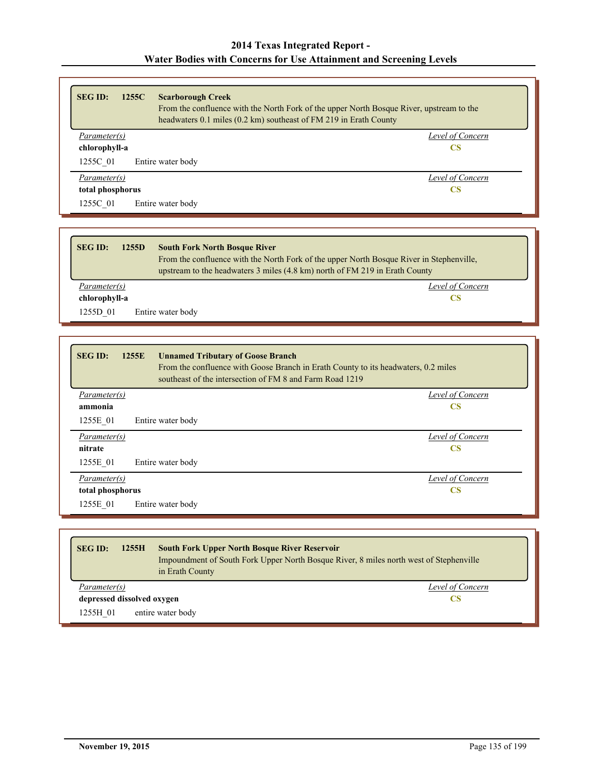| <b>SEG ID:</b><br>1255C<br><b>Scarborough Creek</b><br>headwaters 0.1 miles (0.2 km) southeast of FM 219 in Erath County | From the confluence with the North Fork of the upper North Bosque River, upstream to the |
|--------------------------------------------------------------------------------------------------------------------------|------------------------------------------------------------------------------------------|
| Parameter(s)                                                                                                             | Level of Concern                                                                         |
| chlorophyll-a                                                                                                            | <b>CS</b>                                                                                |
| 1255C 01<br>Entire water body                                                                                            |                                                                                          |
| Parameter(s)                                                                                                             | Level of Concern                                                                         |
| total phosphorus                                                                                                         | CS                                                                                       |
| 1255C 01<br>Entire water body                                                                                            |                                                                                          |

| <b>SEG ID:</b><br>1255D | <b>South Fork North Bosque River</b><br>From the confluence with the North Fork of the upper North Bosque River in Stephenville,<br>upstream to the headwaters 3 miles (4.8 km) north of FM 219 in Erath County |
|-------------------------|-----------------------------------------------------------------------------------------------------------------------------------------------------------------------------------------------------------------|
| Parameter(s)            | Level of Concern                                                                                                                                                                                                |
| chlorophyll-a           | CS                                                                                                                                                                                                              |
| 1255D 01                | Entire water body                                                                                                                                                                                               |

| <b>SEG ID:</b><br>1255E<br><b>Unnamed Tributary of Goose Branch</b><br>From the confluence with Goose Branch in Erath County to its headwaters, 0.2 miles<br>southeast of the intersection of FM 8 and Farm Road 1219 |                  |
|-----------------------------------------------------------------------------------------------------------------------------------------------------------------------------------------------------------------------|------------------|
| <i>Parameter(s)</i>                                                                                                                                                                                                   | Level of Concern |
| ammonia                                                                                                                                                                                                               | <b>CS</b>        |
| 1255E 01<br>Entire water body                                                                                                                                                                                         |                  |
| <i>Parameter(s)</i>                                                                                                                                                                                                   | Level of Concern |
| nitrate                                                                                                                                                                                                               | <b>CS</b>        |
| 1255E 01<br>Entire water body                                                                                                                                                                                         |                  |
| Parameter(s)                                                                                                                                                                                                          | Level of Concern |
| $\overline{\text{CS}}$<br>total phosphorus                                                                                                                                                                            |                  |
| 1255E 01<br>Entire water body                                                                                                                                                                                         |                  |

| <b>SEG ID:</b><br>1255H          | <b>South Fork Upper North Bosque River Reservoir</b><br>Impoundment of South Fork Upper North Bosque River, 8 miles north west of Stephenville<br>in Erath County |  |
|----------------------------------|-------------------------------------------------------------------------------------------------------------------------------------------------------------------|--|
| Parameter(s)                     | Level of Concern                                                                                                                                                  |  |
| depressed dissolved oxygen<br>CS |                                                                                                                                                                   |  |
| 1255H 01                         | entire water body                                                                                                                                                 |  |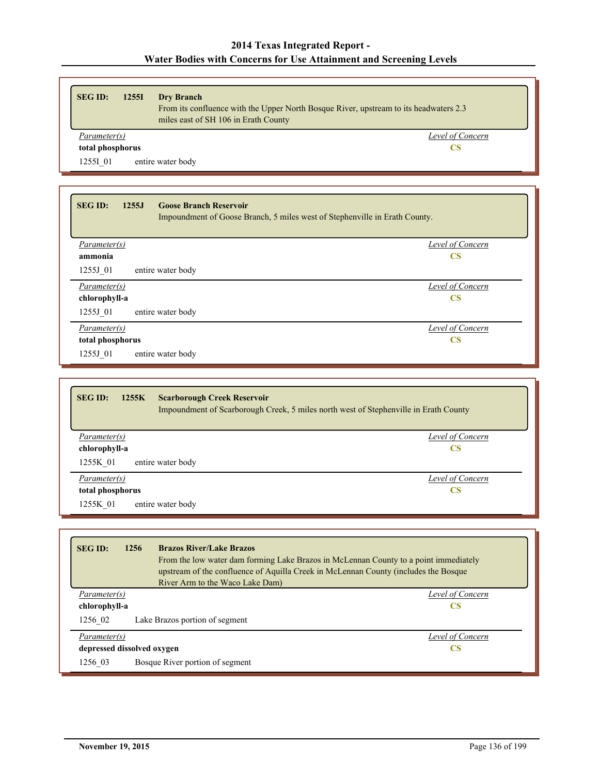| <b>SEG ID:</b>      | 1255I | <b>Dry Branch</b><br>From its confluence with the Upper North Bosque River, upstream to its headwaters 2.3<br>miles east of SH 106 in Erath County |
|---------------------|-------|----------------------------------------------------------------------------------------------------------------------------------------------------|
| <i>Parameter(s)</i> |       | Level of Concern                                                                                                                                   |
| total phosphorus    |       | CS                                                                                                                                                 |
| 12551 01            |       | entire water body                                                                                                                                  |

| <b>SEG ID:</b><br>1255J<br><b>Goose Branch Reservoir</b><br>Impoundment of Goose Branch, 5 miles west of Stephenville in Erath County. |                         |
|----------------------------------------------------------------------------------------------------------------------------------------|-------------------------|
| Parameter(s)                                                                                                                           | Level of Concern        |
| ammonia                                                                                                                                | <b>CS</b>               |
| 1255J 01<br>entire water body                                                                                                          |                         |
| Parameter(s)                                                                                                                           | Level of Concern        |
| chlorophyll-a                                                                                                                          | <b>CS</b>               |
| 1255J 01<br>entire water body                                                                                                          |                         |
| Parameter(s)                                                                                                                           | <b>Level of Concern</b> |
| total phosphorus                                                                                                                       | <b>CS</b>               |
| 1255J 01<br>entire water body                                                                                                          |                         |

| <b>SEG ID:</b><br><b>Scarborough Creek Reservoir</b><br>1255K<br>Impoundment of Scarborough Creek, 5 miles north west of Stephenville in Erath County |                  |
|-------------------------------------------------------------------------------------------------------------------------------------------------------|------------------|
| Parameter(s)                                                                                                                                          | Level of Concern |
| chlorophyll-a                                                                                                                                         | <b>CS</b>        |
| 1255K 01<br>entire water body                                                                                                                         |                  |
| Parameter(s)                                                                                                                                          | Level of Concern |
| total phosphorus                                                                                                                                      | <b>CS</b>        |
| entire water body<br>1255K 01                                                                                                                         |                  |

| <b>SEG ID:</b>                   | 1256 | <b>Brazos River/Lake Brazos</b><br>From the low water dam forming Lake Brazos in McLennan County to a point immediately<br>upstream of the confluence of Aquilla Creek in McLennan County (includes the Bosque<br>River Arm to the Waco Lake Dam) |
|----------------------------------|------|---------------------------------------------------------------------------------------------------------------------------------------------------------------------------------------------------------------------------------------------------|
| Parameter(s)                     |      | Level of Concern                                                                                                                                                                                                                                  |
| chlorophyll-a                    |      | CS                                                                                                                                                                                                                                                |
| 1256 02                          |      | Lake Brazos portion of segment                                                                                                                                                                                                                    |
| Parameter(s)                     |      | Level of Concern                                                                                                                                                                                                                                  |
| depressed dissolved oxygen<br>CS |      |                                                                                                                                                                                                                                                   |
| 1256 03                          |      | Bosque River portion of segment                                                                                                                                                                                                                   |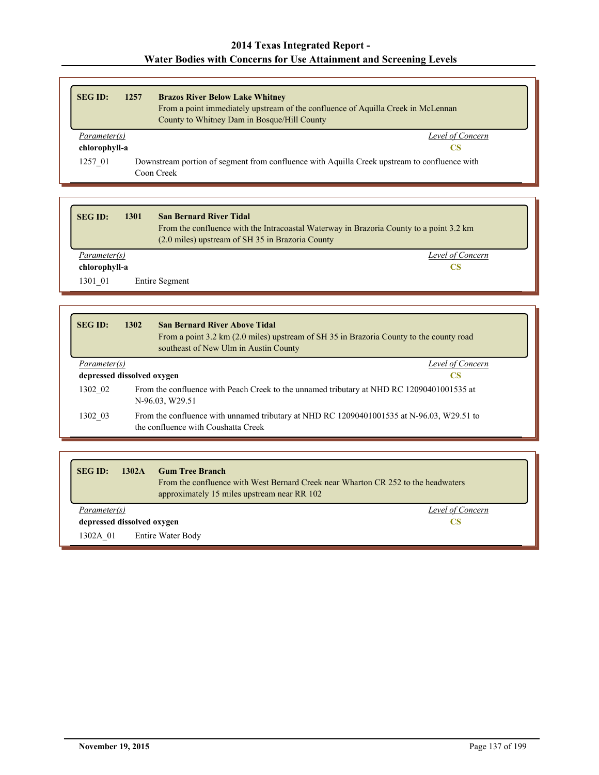| <b>SEG ID:</b>                                                                                          | 1257 | <b>Brazos River Below Lake Whitney</b>                                           |  |
|---------------------------------------------------------------------------------------------------------|------|----------------------------------------------------------------------------------|--|
|                                                                                                         |      | From a point immediately upstream of the confluence of Aquilla Creek in McLennan |  |
|                                                                                                         |      | County to Whitney Dam in Bosque/Hill County                                      |  |
| Parameter(s)                                                                                            |      | Level of Concern                                                                 |  |
| chlorophyll-a                                                                                           |      | CS                                                                               |  |
| Downstream portion of segment from confluence with Aquilla Creek upstream to confluence with<br>1257 01 |      |                                                                                  |  |
|                                                                                                         |      | Coon Creek                                                                       |  |

| <b>SEG ID:</b> | 1301<br><b>San Bernard River Tidal</b> | From the confluence with the Intracoastal Waterway in Brazoria County to a point 3.2 km<br>(2.0 miles) upstream of SH 35 in Brazoria County |
|----------------|----------------------------------------|---------------------------------------------------------------------------------------------------------------------------------------------|
| Parameter(s)   |                                        | Level of Concern                                                                                                                            |
| chlorophyll-a  |                                        | CS                                                                                                                                          |
| 1301 01        | Entire Segment                         |                                                                                                                                             |

| <b>SEG ID:</b>                   | 1302 | <b>San Bernard River Above Tidal</b><br>From a point 3.2 km (2.0 miles) upstream of SH 35 in Brazoria County to the county road<br>southeast of New Ulm in Austin County |  |
|----------------------------------|------|--------------------------------------------------------------------------------------------------------------------------------------------------------------------------|--|
| Parameter(s)                     |      | Level of Concern                                                                                                                                                         |  |
| depressed dissolved oxygen<br>CS |      |                                                                                                                                                                          |  |
| 1302 02                          |      | From the confluence with Peach Creek to the unnamed tributary at NHD RC 12090401001535 at<br>N-96.03, W29.51                                                             |  |
| 1302 03                          |      | From the confluence with unnamed tributary at NHD RC 12090401001535 at N-96.03, W29.51 to<br>the confluence with Coushatta Creek                                         |  |

| <b>SEG ID:</b>             | <b>Gum Tree Branch</b><br>1302A<br>From the confluence with West Bernard Creek near Wharton CR 252 to the headwaters<br>approximately 15 miles upstream near RR 102 |                  |
|----------------------------|---------------------------------------------------------------------------------------------------------------------------------------------------------------------|------------------|
| Parameter(s)               |                                                                                                                                                                     | Level of Concern |
| depressed dissolved oxygen |                                                                                                                                                                     | CS               |
| 1302A 01                   | Entire Water Body                                                                                                                                                   |                  |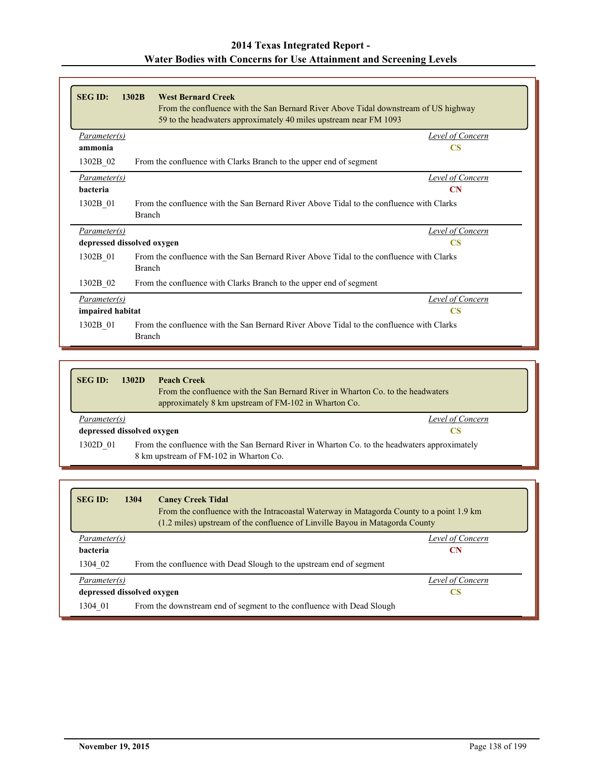| <b>SEG ID:</b>             | 1302B<br><b>West Bernard Creek</b><br>From the confluence with the San Bernard River Above Tidal downstream of US highway<br>59 to the headwaters approximately 40 miles upstream near FM 1093 |                        |
|----------------------------|------------------------------------------------------------------------------------------------------------------------------------------------------------------------------------------------|------------------------|
| Parameter(s)               |                                                                                                                                                                                                | Level of Concern       |
| ammonia                    |                                                                                                                                                                                                | <b>CS</b>              |
| 1302B 02                   | From the confluence with Clarks Branch to the upper end of segment                                                                                                                             |                        |
| Parameter(s)               |                                                                                                                                                                                                | Level of Concern       |
| <b>bacteria</b>            |                                                                                                                                                                                                | $\overline{\text{CN}}$ |
| 1302B 01                   | From the confluence with the San Bernard River Above Tidal to the confluence with Clarks<br><b>Branch</b>                                                                                      |                        |
| Parameter(s)               |                                                                                                                                                                                                | Level of Concern       |
| depressed dissolved oxygen |                                                                                                                                                                                                | $\overline{\text{CS}}$ |
| 1302B 01                   | From the confluence with the San Bernard River Above Tidal to the confluence with Clarks<br><b>Branch</b>                                                                                      |                        |
| 1302B 02                   | From the confluence with Clarks Branch to the upper end of segment                                                                                                                             |                        |
| Parameter(s)               |                                                                                                                                                                                                | Level of Concern       |
| impaired habitat           |                                                                                                                                                                                                | <b>CS</b>              |
| 1302B 01                   | From the confluence with the San Bernard River Above Tidal to the confluence with Clarks<br><b>Branch</b>                                                                                      |                        |

| <b>SEG ID:</b> | 1302D                            | <b>Peach Creek</b><br>From the confluence with the San Bernard River in Wharton Co. to the headwaters<br>approximately 8 km upstream of FM-102 in Wharton Co. |
|----------------|----------------------------------|---------------------------------------------------------------------------------------------------------------------------------------------------------------|
| Parameter(s)   |                                  | Level of Concern                                                                                                                                              |
|                | depressed dissolved oxygen<br>CS |                                                                                                                                                               |
| 1302D 01       |                                  | From the confluence with the San Bernard River in Wharton Co. to the headwaters approximately<br>8 km upstream of FM-102 in Wharton Co.                       |

| <b>SEG ID:</b>             | 1304 | <b>Caney Creek Tidal</b><br>From the confluence with the Intracoastal Waterway in Matagorda County to a point 1.9 km<br>(1.2 miles) upstream of the confluence of Linville Bayou in Matagorda County |                  |
|----------------------------|------|------------------------------------------------------------------------------------------------------------------------------------------------------------------------------------------------------|------------------|
| Parameter(s)               |      |                                                                                                                                                                                                      | Level of Concern |
| <b>bacteria</b>            |      |                                                                                                                                                                                                      | CN               |
| 1304 02                    |      | From the confluence with Dead Slough to the upstream end of segment                                                                                                                                  |                  |
| Parameter(s)               |      |                                                                                                                                                                                                      | Level of Concern |
| depressed dissolved oxygen |      |                                                                                                                                                                                                      | CS               |
| 1304 01                    |      | From the downstream end of segment to the confluence with Dead Slough                                                                                                                                |                  |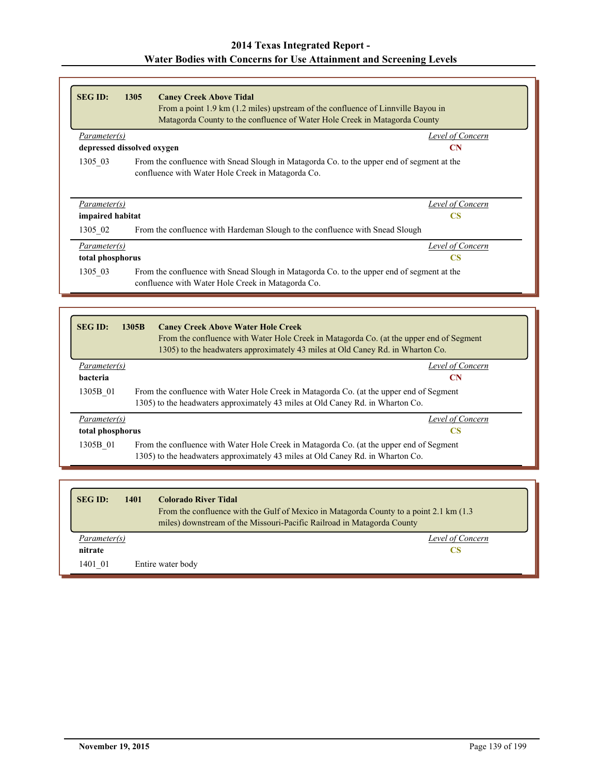| <b>SEG ID:</b>                                                                  | 1305<br><b>Caney Creek Above Tidal</b><br>Matagorda County to the confluence of Water Hole Creek in Matagorda County | From a point 1.9 km (1.2 miles) upstream of the confluence of Linnville Bayou in |
|---------------------------------------------------------------------------------|----------------------------------------------------------------------------------------------------------------------|----------------------------------------------------------------------------------|
| Parameter(s)                                                                    |                                                                                                                      | Level of Concern                                                                 |
|                                                                                 | depressed dissolved oxygen                                                                                           | <b>CN</b>                                                                        |
|                                                                                 | confluence with Water Hole Creek in Matagorda Co.                                                                    |                                                                                  |
|                                                                                 |                                                                                                                      |                                                                                  |
|                                                                                 |                                                                                                                      | Level of Concern                                                                 |
|                                                                                 |                                                                                                                      | <b>CS</b>                                                                        |
|                                                                                 | From the confluence with Hardeman Slough to the confluence with Snead Slough                                         |                                                                                  |
|                                                                                 |                                                                                                                      | Level of Concern                                                                 |
| Parameter(s)<br>impaired habitat<br>1305 02<br>Parameter(s)<br>total phosphorus |                                                                                                                      | <b>CS</b>                                                                        |

| <b>SEGID:</b>                 | <b>Caney Creek Above Water Hole Creek</b><br>1305B<br>From the confluence with Water Hole Creek in Matagorda Co. (at the upper end of Segment<br>1305) to the headwaters approximately 43 miles at Old Caney Rd. in Wharton Co. |  |
|-------------------------------|---------------------------------------------------------------------------------------------------------------------------------------------------------------------------------------------------------------------------------|--|
| Parameter(s)                  | Level of Concern                                                                                                                                                                                                                |  |
| bacteria                      | CN                                                                                                                                                                                                                              |  |
| 1305B 01                      | From the confluence with Water Hole Creek in Matagorda Co. (at the upper end of Segment<br>1305) to the headwaters approximately 43 miles at Old Caney Rd. in Wharton Co.                                                       |  |
| Parameter(s)                  | Level of Concern                                                                                                                                                                                                                |  |
| total phosphorus<br><b>CS</b> |                                                                                                                                                                                                                                 |  |
| 1305B 01                      | From the confluence with Water Hole Creek in Matagorda Co. (at the upper end of Segment<br>1305) to the headwaters approximately 43 miles at Old Caney Rd. in Wharton Co.                                                       |  |

| <b>SEG ID:</b> | <b>Colorado River Tidal</b><br>1401 | From the confluence with the Gulf of Mexico in Matagorda County to a point 2.1 km (1.3)<br>miles) downstream of the Missouri-Pacific Railroad in Matagorda County |
|----------------|-------------------------------------|-------------------------------------------------------------------------------------------------------------------------------------------------------------------|
| Parameter(s)   |                                     | Level of Concern                                                                                                                                                  |
| nitrate        |                                     | CS                                                                                                                                                                |
| 1401 01        | Entire water body                   |                                                                                                                                                                   |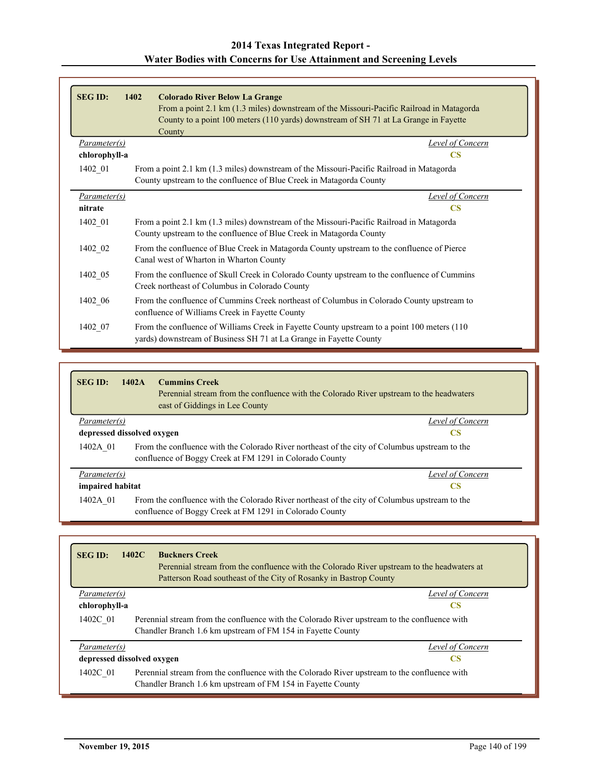| <b>SEG ID:</b>      | 1402<br><b>Colorado River Below La Grange</b><br>From a point 2.1 km (1.3 miles) downstream of the Missouri-Pacific Railroad in Matagorda<br>County to a point 100 meters (110 yards) downstream of SH 71 at La Grange in Fayette<br>County |
|---------------------|---------------------------------------------------------------------------------------------------------------------------------------------------------------------------------------------------------------------------------------------|
| <i>Parameter(s)</i> | Level of Concern                                                                                                                                                                                                                            |
| chlorophyll-a       | $\overline{\text{CS}}$                                                                                                                                                                                                                      |
| 1402 01             | From a point 2.1 km (1.3 miles) downstream of the Missouri-Pacific Railroad in Matagorda<br>County upstream to the confluence of Blue Creek in Matagorda County                                                                             |
| <i>Parameter(s)</i> | Level of Concern                                                                                                                                                                                                                            |
| nitrate             | $\mathbf{CS}$                                                                                                                                                                                                                               |
| 1402 01             | From a point 2.1 km (1.3 miles) downstream of the Missouri-Pacific Railroad in Matagorda<br>County upstream to the confluence of Blue Creek in Matagorda County                                                                             |
| 1402 02             | From the confluence of Blue Creek in Matagorda County upstream to the confluence of Pierce<br>Canal west of Wharton in Wharton County                                                                                                       |
| 1402 05             | From the confluence of Skull Creek in Colorado County upstream to the confluence of Cummins<br>Creek northeast of Columbus in Colorado County                                                                                               |
| 1402 06             | From the confluence of Cummins Creek northeast of Columbus in Colorado County upstream to<br>confluence of Williams Creek in Fayette County                                                                                                 |
| 1402 07             | From the confluence of Williams Creek in Fayette County upstream to a point 100 meters (110)<br>yards) downstream of Business SH 71 at La Grange in Fayette County                                                                          |

| <b>SEG ID:</b>                    | 1402A | <b>Cummins Creek</b><br>Perennial stream from the confluence with the Colorado River upstream to the headwaters<br>east of Giddings in Lee County        |                  |
|-----------------------------------|-------|----------------------------------------------------------------------------------------------------------------------------------------------------------|------------------|
| Parameter(s)                      |       |                                                                                                                                                          | Level of Concern |
| depressed dissolved oxygen<br>CS. |       |                                                                                                                                                          |                  |
| 1402A 01                          |       | From the confluence with the Colorado River northeast of the city of Columbus upstream to the<br>confluence of Boggy Creek at FM 1291 in Colorado County |                  |
| Parameter(s)                      |       |                                                                                                                                                          | Level of Concern |
| impaired habitat<br>CS.           |       |                                                                                                                                                          |                  |
| 1402A 01                          |       | From the confluence with the Colorado River northeast of the city of Columbus upstream to the<br>confluence of Boggy Creek at FM 1291 in Colorado County |                  |

| <b>SEGID:</b>                    | <b>Buckners Creek</b><br>1402C<br>Perennial stream from the confluence with the Colorado River upstream to the headwaters at<br>Patterson Road southeast of the City of Rosanky in Bastrop County |  |
|----------------------------------|---------------------------------------------------------------------------------------------------------------------------------------------------------------------------------------------------|--|
| Parameter(s)                     | Level of Concern                                                                                                                                                                                  |  |
| chlorophyll-a                    | <b>CS</b>                                                                                                                                                                                         |  |
| 1402C 01                         | Perennial stream from the confluence with the Colorado River upstream to the confluence with<br>Chandler Branch 1.6 km upstream of FM 154 in Fayette County                                       |  |
| Parameter(s)                     | Level of Concern                                                                                                                                                                                  |  |
| depressed dissolved oxygen<br>CS |                                                                                                                                                                                                   |  |
| 1402C 01                         | Perennial stream from the confluence with the Colorado River upstream to the confluence with<br>Chandler Branch 1.6 km upstream of FM 154 in Fayette County                                       |  |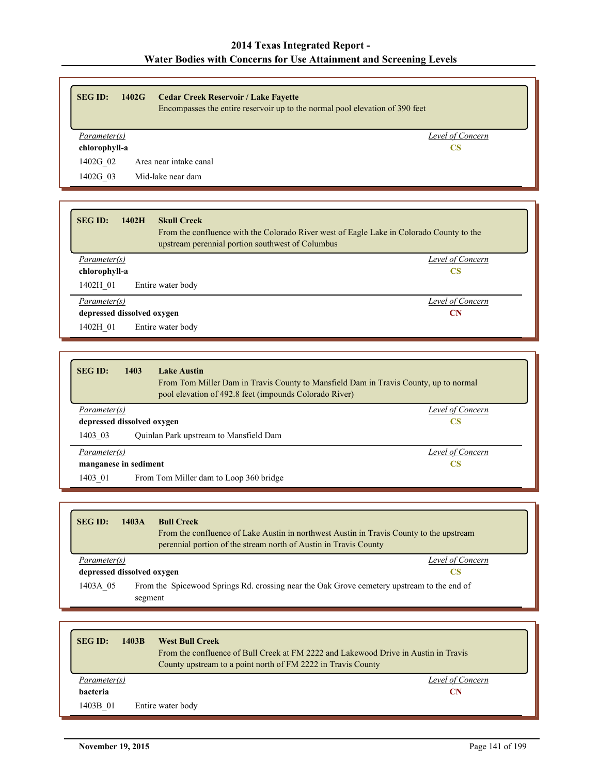| <b>SEG ID:</b> | 1402G | <b>Cedar Creek Reservoir / Lake Fayette</b><br>Encompasses the entire reservoir up to the normal pool elevation of 390 feet |  |
|----------------|-------|-----------------------------------------------------------------------------------------------------------------------------|--|
| Parameter(s)   |       | Level of Concern                                                                                                            |  |
| chlorophyll-a  |       | CS                                                                                                                          |  |
| 1402G 02       |       | Area near intake canal                                                                                                      |  |
| 1402G 03       |       | Mid-lake near dam                                                                                                           |  |

| <b>SEG ID:</b><br>1402H    | <b>Skull Creek</b><br>From the confluence with the Colorado River west of Eagle Lake in Colorado County to the<br>upstream perennial portion southwest of Columbus |                  |
|----------------------------|--------------------------------------------------------------------------------------------------------------------------------------------------------------------|------------------|
| Parameter(s)               |                                                                                                                                                                    | Level of Concern |
| chlorophyll-a              |                                                                                                                                                                    | <b>CS</b>        |
| 1402H 01                   | Entire water body                                                                                                                                                  |                  |
| Parameter(s)               |                                                                                                                                                                    | Level of Concern |
| depressed dissolved oxygen |                                                                                                                                                                    | <b>CN</b>        |
| 1402H 01                   | Entire water body                                                                                                                                                  |                  |

| <b>SEG ID:</b>              | 1403 | <b>Lake Austin</b><br>From Tom Miller Dam in Travis County to Mansfield Dam in Travis County, up to normal<br>pool elevation of 492.8 feet (impounds Colorado River) |                  |
|-----------------------------|------|----------------------------------------------------------------------------------------------------------------------------------------------------------------------|------------------|
| Parameter(s)                |      |                                                                                                                                                                      | Level of Concern |
| depressed dissolved oxygen  |      |                                                                                                                                                                      | CS               |
| 1403 03                     |      | Quinlan Park upstream to Mansfield Dam                                                                                                                               |                  |
| Parameter(s)                |      |                                                                                                                                                                      | Level of Concern |
| manganese in sediment<br>CS |      |                                                                                                                                                                      |                  |
| 1403 01                     |      | From Tom Miller dam to Loop 360 bridge                                                                                                                               |                  |

| <b>SEG ID:</b> | 1403A                                                                                                 | <b>Bull Creek</b><br>From the confluence of Lake Austin in northwest Austin in Travis County to the upstream<br>perennial portion of the stream north of Austin in Travis County |  |
|----------------|-------------------------------------------------------------------------------------------------------|----------------------------------------------------------------------------------------------------------------------------------------------------------------------------------|--|
|                | Level of Concern<br><i>Parameter(s)</i>                                                               |                                                                                                                                                                                  |  |
|                | depressed dissolved oxygen                                                                            |                                                                                                                                                                                  |  |
| 1403A 05       | From the Spicewood Springs Rd. crossing near the Oak Grove cemetery upstream to the end of<br>segment |                                                                                                                                                                                  |  |

| <b>SEG ID:</b>  | 1403B<br><b>West Bull Creek</b><br>From the confluence of Bull Creek at FM 2222 and Lakewood Drive in Austin in Travis<br>County upstream to a point north of FM 2222 in Travis County |
|-----------------|----------------------------------------------------------------------------------------------------------------------------------------------------------------------------------------|
| Parameter(s)    | Level of Concern                                                                                                                                                                       |
| <b>bacteria</b> | СN                                                                                                                                                                                     |
| 1403B 01        | Entire water body                                                                                                                                                                      |

I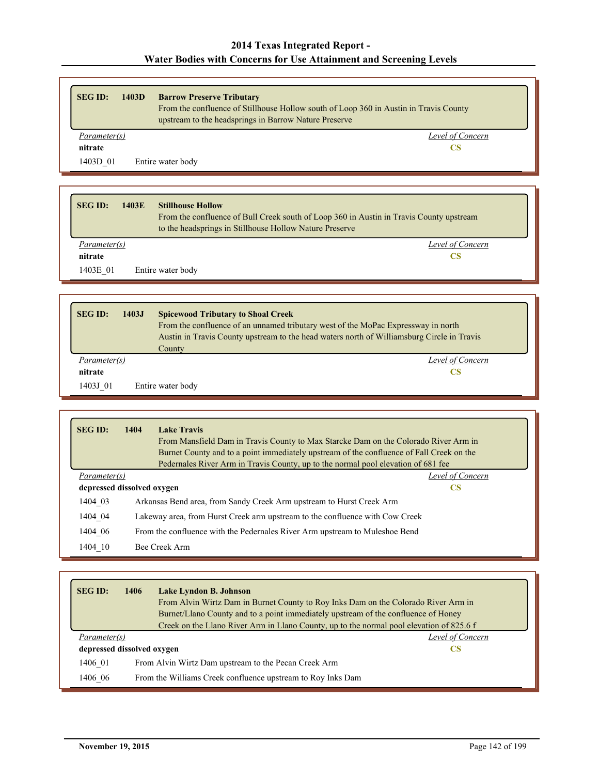| <b>SEG ID:</b> | <b>Barrow Preserve Tributary</b><br>1403D<br>From the confluence of Stillhouse Hollow south of Loop 360 in Austin in Travis County<br>upstream to the headsprings in Barrow Nature Preserve |
|----------------|---------------------------------------------------------------------------------------------------------------------------------------------------------------------------------------------|
| Parameter(s)   | Level of Concern                                                                                                                                                                            |
| nitrate        | CS                                                                                                                                                                                          |
| 1403D 01       | Entire water body                                                                                                                                                                           |

| <b>SEG ID:</b> | <b>Stillhouse Hollow</b><br>1403E<br>From the confluence of Bull Creek south of Loop 360 in Austin in Travis County upstream<br>to the headsprings in Stillhouse Hollow Nature Preserve |
|----------------|-----------------------------------------------------------------------------------------------------------------------------------------------------------------------------------------|
| Parameter(s)   | Level of Concern                                                                                                                                                                        |
| nitrate        | CS                                                                                                                                                                                      |
| 1403E 01       | Entire water body                                                                                                                                                                       |

| <b>SEG ID:</b> | 1403J<br><b>Spicewood Tributary to Shoal Creek</b><br>From the confluence of an unnamed tributary west of the MoPac Expressway in north<br>Austin in Travis County upstream to the head waters north of Williamsburg Circle in Travis<br>County |  |
|----------------|-------------------------------------------------------------------------------------------------------------------------------------------------------------------------------------------------------------------------------------------------|--|
| Parameter(s)   | Level of Concern                                                                                                                                                                                                                                |  |
| nitrate        | CS                                                                                                                                                                                                                                              |  |
| 1403J 01       | Entire water body                                                                                                                                                                                                                               |  |

| <b>SEG ID:</b>                   | 1404 | <b>Lake Travis</b><br>From Mansfield Dam in Travis County to Max Starcke Dam on the Colorado River Arm in<br>Burnet County and to a point immediately upstream of the confluence of Fall Creek on the<br>Pedernales River Arm in Travis County, up to the normal pool elevation of 681 fee |  |  |
|----------------------------------|------|--------------------------------------------------------------------------------------------------------------------------------------------------------------------------------------------------------------------------------------------------------------------------------------------|--|--|
| Level of Concern<br>Parameter(s) |      |                                                                                                                                                                                                                                                                                            |  |  |
| depressed dissolved oxygen<br>CS |      |                                                                                                                                                                                                                                                                                            |  |  |
| 1404 03                          |      | Arkansas Bend area, from Sandy Creek Arm upstream to Hurst Creek Arm                                                                                                                                                                                                                       |  |  |
| 1404 04                          |      | Lakeway area, from Hurst Creek arm upstream to the confluence with Cow Creek                                                                                                                                                                                                               |  |  |
| 1404 06                          |      | From the confluence with the Pedernales River Arm upstream to Muleshoe Bend                                                                                                                                                                                                                |  |  |
| 1404 10                          |      | Bee Creek Arm                                                                                                                                                                                                                                                                              |  |  |

| <b>SEG ID:</b>             | 1406 | Lake Lyndon B. Johnson                                                                   |  |
|----------------------------|------|------------------------------------------------------------------------------------------|--|
|                            |      | From Alvin Wirtz Dam in Burnet County to Roy Inks Dam on the Colorado River Arm in       |  |
|                            |      | Burnet/Llano County and to a point immediately upstream of the confluence of Honey       |  |
|                            |      | Creek on the Llano River Arm in Llano County, up to the normal pool elevation of 825.6 f |  |
| Parameter(s)               |      | Level of Concern                                                                         |  |
| depressed dissolved oxygen |      | CS                                                                                       |  |
| 1406 01                    |      | From Alvin Wirtz Dam upstream to the Pecan Creek Arm                                     |  |
| 1406 06                    |      | From the Williams Creek confluence upstream to Roy Inks Dam                              |  |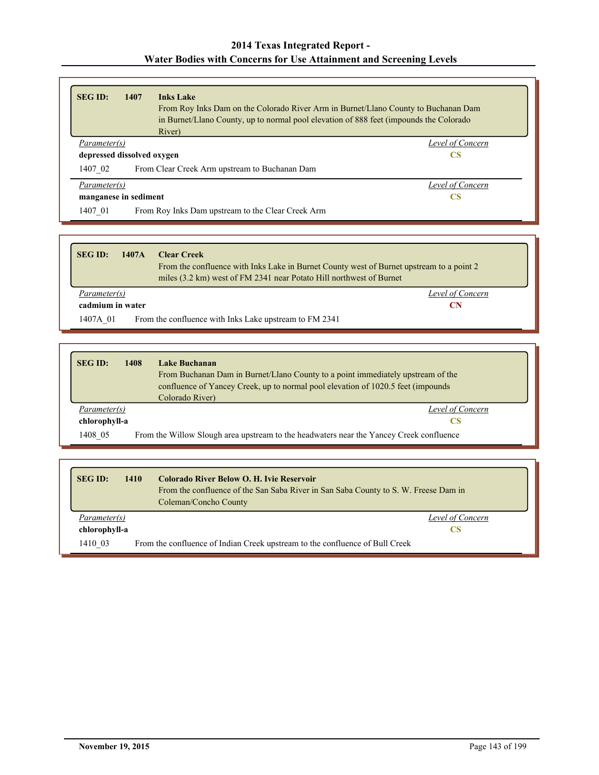| <b>SEG ID:</b>                                           | 1407 | <b>Inks Lake</b>                                                                       |                  |
|----------------------------------------------------------|------|----------------------------------------------------------------------------------------|------------------|
|                                                          |      | From Roy Inks Dam on the Colorado River Arm in Burnet/Llano County to Buchanan Dam     |                  |
|                                                          |      | in Burnet/Llano County, up to normal pool elevation of 888 feet (impounds the Colorado |                  |
|                                                          |      | River)                                                                                 |                  |
| <i>Parameter(s)</i>                                      |      |                                                                                        | Level of Concern |
| depressed dissolved oxygen                               |      |                                                                                        | CS               |
| 1407 02<br>From Clear Creek Arm upstream to Buchanan Dam |      |                                                                                        |                  |
| Parameter(s)                                             |      |                                                                                        | Level of Concern |
| manganese in sediment<br>CS                              |      |                                                                                        |                  |
| 1407 01                                                  |      | From Roy Inks Dam upstream to the Clear Creek Arm                                      |                  |

| <b>SEG ID:</b>         | 1407A<br><b>Clear Creek</b><br>From the confluence with Inks Lake in Burnet County west of Burnet upstream to a point 2<br>miles (3.2 km) west of FM 2341 near Potato Hill northwest of Burnet |                  |
|------------------------|------------------------------------------------------------------------------------------------------------------------------------------------------------------------------------------------|------------------|
| Parameter(s)           |                                                                                                                                                                                                | Level of Concern |
| cadmium in water<br>CN |                                                                                                                                                                                                |                  |
| 1407A 01               | From the confluence with Inks Lake upstream to FM 2341                                                                                                                                         |                  |

| <b>SEG ID:</b>                                                                                     | 1408 | <b>Lake Buchanan</b><br>From Buchanan Dam in Burnet/Llano County to a point immediately upstream of the<br>confluence of Yancey Creek, up to normal pool elevation of 1020.5 feet (impounds<br>Colorado River) |
|----------------------------------------------------------------------------------------------------|------|----------------------------------------------------------------------------------------------------------------------------------------------------------------------------------------------------------------|
| Parameter(s)                                                                                       |      | Level of Concern                                                                                                                                                                                               |
| chlorophyll-a                                                                                      |      |                                                                                                                                                                                                                |
| 1408 05<br>From the Willow Slough area upstream to the headwaters near the Yancey Creek confluence |      |                                                                                                                                                                                                                |

| <b>SEG ID:</b> | Colorado River Below O. H. Ivie Reservoir<br>1410<br>Coleman/Concho County   | From the confluence of the San Saba River in San Saba County to S. W. Freese Dam in |
|----------------|------------------------------------------------------------------------------|-------------------------------------------------------------------------------------|
| Parameter(s)   |                                                                              | Level of Concern                                                                    |
| chlorophyll-a  |                                                                              | CS                                                                                  |
| 1410 03        | From the confluence of Indian Creek upstream to the confluence of Bull Creek |                                                                                     |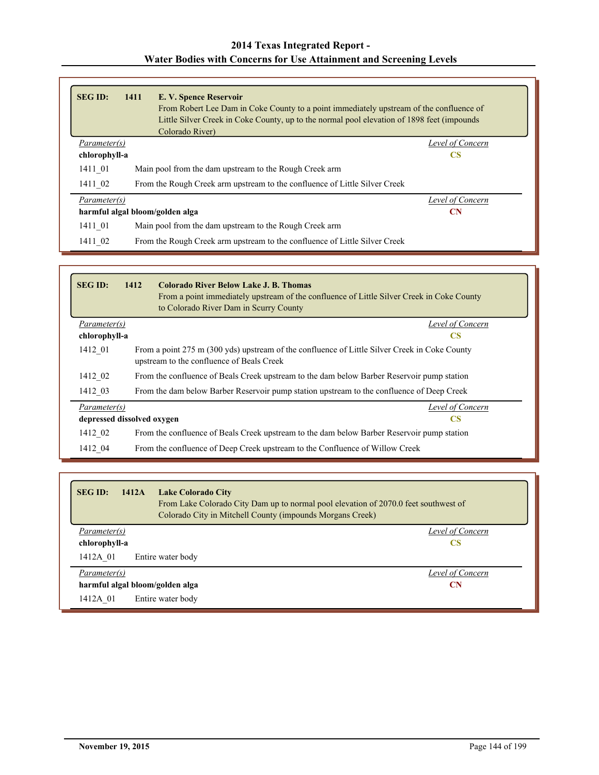| <b>SEG ID:</b>      | 1411                                         | E. V. Spence Reservoir                                                                     |  |
|---------------------|----------------------------------------------|--------------------------------------------------------------------------------------------|--|
|                     |                                              | From Robert Lee Dam in Coke County to a point immediately upstream of the confluence of    |  |
|                     |                                              | Little Silver Creek in Coke County, up to the normal pool elevation of 1898 feet (impounds |  |
|                     |                                              | Colorado River)                                                                            |  |
|                     | Level of Concern<br>Parameter(s)             |                                                                                            |  |
| chlorophyll-a<br>CS |                                              |                                                                                            |  |
| 1411 01             |                                              | Main pool from the dam upstream to the Rough Creek arm                                     |  |
| 1411 02             |                                              | From the Rough Creek arm upstream to the confluence of Little Silver Creek                 |  |
|                     | Level of Concern<br>Parameter(s)             |                                                                                            |  |
|                     | harmful algal bloom/golden alga<br><b>CN</b> |                                                                                            |  |
| 1411 01             |                                              | Main pool from the dam upstream to the Rough Creek arm                                     |  |
| 1411 02             |                                              | From the Rough Creek arm upstream to the confluence of Little Silver Creek                 |  |

| <b>SEG ID:</b> | 1412<br><b>Colorado River Below Lake J. B. Thomas</b><br>From a point immediately upstream of the confluence of Little Silver Creek in Coke County<br>to Colorado River Dam in Scurry County |  |
|----------------|----------------------------------------------------------------------------------------------------------------------------------------------------------------------------------------------|--|
| Parameter(s)   | Level of Concern                                                                                                                                                                             |  |
| chlorophyll-a  | CS                                                                                                                                                                                           |  |
| 1412 01        | From a point 275 m (300 yds) upstream of the confluence of Little Silver Creek in Coke County<br>upstream to the confluence of Beals Creek                                                   |  |
| 1412 02        | From the confluence of Beals Creek upstream to the dam below Barber Reservoir pump station                                                                                                   |  |
| 1412 03        | From the dam below Barber Reservoir pump station upstream to the confluence of Deep Creek                                                                                                    |  |
| Parameter(s)   | Level of Concern                                                                                                                                                                             |  |
|                | depressed dissolved oxygen<br><b>CS</b>                                                                                                                                                      |  |
| 1412 02        | From the confluence of Beals Creek upstream to the dam below Barber Reservoir pump station                                                                                                   |  |
| 1412 04        | From the confluence of Deep Creek upstream to the Confluence of Willow Creek                                                                                                                 |  |

| <b>SEG ID:</b><br>1412A<br><b>Lake Colorado City</b><br>From Lake Colorado City Dam up to normal pool elevation of 2070.0 feet southwest of<br>Colorado City in Mitchell County (impounds Morgans Creek) |                  |  |
|----------------------------------------------------------------------------------------------------------------------------------------------------------------------------------------------------------|------------------|--|
| Parameter(s)                                                                                                                                                                                             | Level of Concern |  |
| chlorophyll-a                                                                                                                                                                                            | CS               |  |
| 1412A 01<br>Entire water body                                                                                                                                                                            |                  |  |
| Parameter(s)                                                                                                                                                                                             | Level of Concern |  |
| harmful algal bloom/golden alga<br>CN                                                                                                                                                                    |                  |  |
| Entire water body<br>1412A 01                                                                                                                                                                            |                  |  |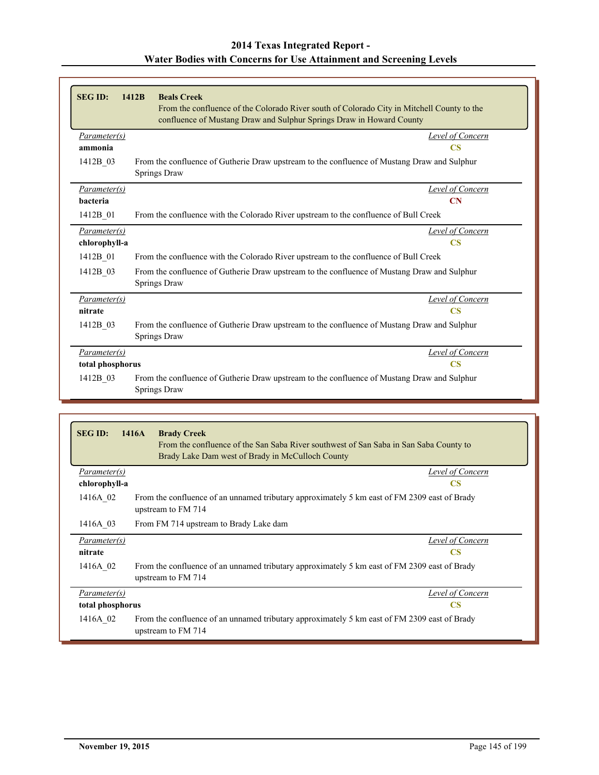| <b>SEG ID:</b>          | 1412B<br><b>Beals Creek</b><br>From the confluence of the Colorado River south of Colorado City in Mitchell County to the<br>confluence of Mustang Draw and Sulphur Springs Draw in Howard County |  |
|-------------------------|---------------------------------------------------------------------------------------------------------------------------------------------------------------------------------------------------|--|
| Parameter(s)<br>ammonia | Level of Concern<br>$\overline{\text{CS}}$                                                                                                                                                        |  |
| 1412B 03                | From the confluence of Gutherie Draw upstream to the confluence of Mustang Draw and Sulphur<br>Springs Draw                                                                                       |  |
| Parameter(s)            | Level of Concern                                                                                                                                                                                  |  |
| bacteria                | CN                                                                                                                                                                                                |  |
| 1412B 01                | From the confluence with the Colorado River upstream to the confluence of Bull Creek                                                                                                              |  |
| Parameter(s)            | <b>Level of Concern</b>                                                                                                                                                                           |  |
| chlorophyll-a           | $\overline{\text{CS}}$                                                                                                                                                                            |  |
| 1412B 01                | From the confluence with the Colorado River upstream to the confluence of Bull Creek                                                                                                              |  |
| 1412B 03                | From the confluence of Gutherie Draw upstream to the confluence of Mustang Draw and Sulphur<br>Springs Draw                                                                                       |  |
| Parameter(s)            | <b>Level of Concern</b>                                                                                                                                                                           |  |
| nitrate                 | $\overline{\text{CS}}$                                                                                                                                                                            |  |
| 1412B 03                | From the confluence of Gutherie Draw upstream to the confluence of Mustang Draw and Sulphur<br>Springs Draw                                                                                       |  |
| Parameter(s)            | <b>Level of Concern</b>                                                                                                                                                                           |  |
| total phosphorus        | $\overline{\text{CS}}$                                                                                                                                                                            |  |
| 1412B 03                | From the confluence of Gutherie Draw upstream to the confluence of Mustang Draw and Sulphur<br>Springs Draw                                                                                       |  |

| <b>SEG ID:</b>   | 1416A<br><b>Brady Creek</b><br>From the confluence of the San Saba River southwest of San Saba in San Saba County to<br>Brady Lake Dam west of Brady in McCulloch County |
|------------------|--------------------------------------------------------------------------------------------------------------------------------------------------------------------------|
| Parameter(s)     | Level of Concern                                                                                                                                                         |
| chlorophyll-a    | <b>CS</b>                                                                                                                                                                |
| 1416A 02         | From the confluence of an unnamed tributary approximately 5 km east of FM 2309 east of Brady<br>upstream to FM 714                                                       |
| 1416A 03         | From FM 714 upstream to Brady Lake dam                                                                                                                                   |
| Parameter(s)     | Level of Concern                                                                                                                                                         |
| nitrate          | <b>CS</b>                                                                                                                                                                |
| 1416A 02         | From the confluence of an unnamed tributary approximately 5 km east of FM 2309 east of Brady<br>upstream to FM 714                                                       |
| Parameter(s)     | Level of Concern                                                                                                                                                         |
| total phosphorus | <b>CS</b>                                                                                                                                                                |
| 1416A 02         | From the confluence of an unnamed tributary approximately 5 km east of FM 2309 east of Brady<br>upstream to FM 714                                                       |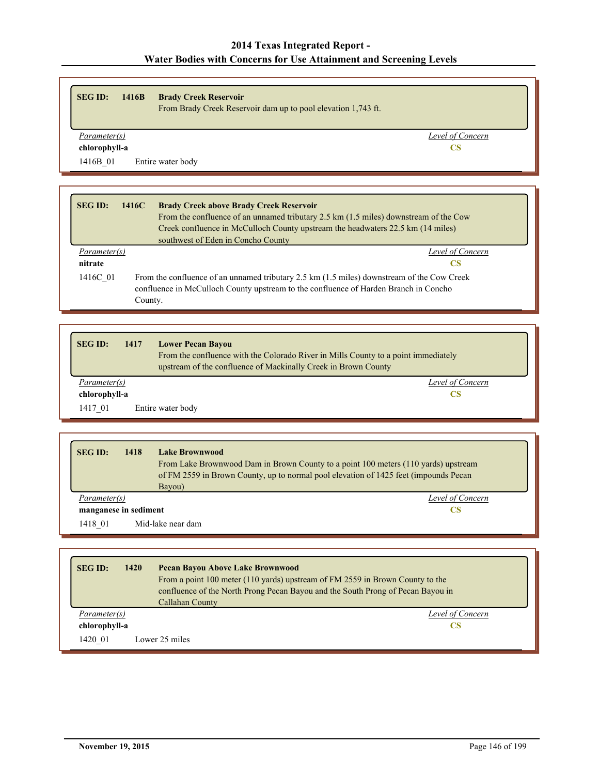| <b>SEG ID:</b><br>1416B<br><b>Brady Creek Reservoir</b><br>From Brady Creek Reservoir dam up to pool elevation 1,743 ft. |                                                                                      |
|--------------------------------------------------------------------------------------------------------------------------|--------------------------------------------------------------------------------------|
| Parameter(s)                                                                                                             | Level of Concern                                                                     |
| chlorophyll-a                                                                                                            | CS                                                                                   |
| 1416B 01<br>Entire water body                                                                                            |                                                                                      |
|                                                                                                                          |                                                                                      |
|                                                                                                                          |                                                                                      |
| <b>SEGID:</b><br><b>Brady Creek above Brady Creek Reservoir</b><br>1416C                                                 |                                                                                      |
|                                                                                                                          | From the confluence of an unnamed tributary 2.5 km (1.5 miles) downstream of the Cow |
|                                                                                                                          | Creek confluence in McCulloch County unstream the headwaters 22.5 km (14 miles)      |

|              | creen commented in the canonic county aponemic me near weens sono min (1) miles                      |
|--------------|------------------------------------------------------------------------------------------------------|
|              | southwest of Eden in Concho County                                                                   |
| Parameter(s) | Level of Concern                                                                                     |
| nitrate      |                                                                                                      |
| 1416C 01     | From the confluence of an unnamed tributary $2.5 \text{ km}$ (1.5 miles) downstream of the Cow Creek |
|              | confluence in McCulloch County upstream to the confluence of Harden Branch in Concho                 |
|              | County.                                                                                              |

| <b>SEG ID:</b> | 1417<br><b>Lower Pecan Bayou</b><br>From the confluence with the Colorado River in Mills County to a point immediately<br>upstream of the confluence of Mackinally Creek in Brown County |                  |
|----------------|------------------------------------------------------------------------------------------------------------------------------------------------------------------------------------------|------------------|
| Parameter(s)   |                                                                                                                                                                                          | Level of Concern |
| chlorophyll-a  |                                                                                                                                                                                          |                  |
| 1417 01        | Entire water body                                                                                                                                                                        |                  |

| <b>SEG ID:</b>        | 1418 | <b>Lake Brownwood</b><br>From Lake Brownwood Dam in Brown County to a point 100 meters (110 yards) upstream<br>of FM 2559 in Brown County, up to normal pool elevation of 1425 feet (impounds Pecan<br>Bayou) |
|-----------------------|------|---------------------------------------------------------------------------------------------------------------------------------------------------------------------------------------------------------------|
| Parameter(s)          |      | Level of Concern                                                                                                                                                                                              |
| manganese in sediment |      | CS                                                                                                                                                                                                            |
| 1418 01               |      | Mid-lake near dam                                                                                                                                                                                             |

| <b>SEG ID:</b> | 1420 | <b>Pecan Bayou Above Lake Brownwood</b>                                         |
|----------------|------|---------------------------------------------------------------------------------|
|                |      | From a point 100 meter (110 yards) upstream of FM 2559 in Brown County to the   |
|                |      | confluence of the North Prong Pecan Bayou and the South Prong of Pecan Bayou in |
|                |      | Callahan County                                                                 |
| Parameter(s)   |      | Level of Concern                                                                |
| chlorophyll-a  |      | CS                                                                              |
| 1420 01        |      | Lower 25 miles                                                                  |

г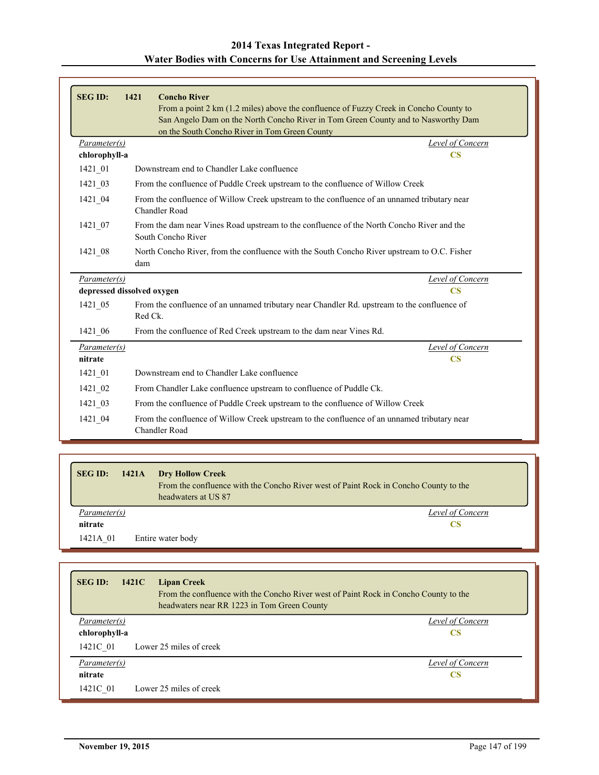| <b>SEG ID:</b>                | 1421<br><b>Concho River</b>                                                                                         |
|-------------------------------|---------------------------------------------------------------------------------------------------------------------|
|                               | From a point 2 km (1.2 miles) above the confluence of Fuzzy Creek in Concho County to                               |
|                               | San Angelo Dam on the North Concho River in Tom Green County and to Nasworthy Dam                                   |
|                               | on the South Concho River in Tom Green County                                                                       |
| Parameter(s)<br>chlorophyll-a | Level of Concern<br>$\overline{\text{CS}}$                                                                          |
|                               |                                                                                                                     |
| 1421 01                       | Downstream end to Chandler Lake confluence                                                                          |
| 1421 03                       | From the confluence of Puddle Creek upstream to the confluence of Willow Creek                                      |
| 1421 04                       | From the confluence of Willow Creek upstream to the confluence of an unnamed tributary near<br><b>Chandler Road</b> |
| 1421 07                       | From the dam near Vines Road upstream to the confluence of the North Concho River and the<br>South Concho River     |
| 1421 08                       | North Concho River, from the confluence with the South Concho River upstream to O.C. Fisher<br>dam                  |
| Parameter(s)                  | Level of Concern                                                                                                    |
| depressed dissolved oxygen    | $\overline{\text{CS}}$                                                                                              |
| 1421 05                       | From the confluence of an unnamed tributary near Chandler Rd. upstream to the confluence of<br>Red Ck.              |
| 1421 06                       | From the confluence of Red Creek upstream to the dam near Vines Rd.                                                 |
| Parameter(s)                  | <b>Level of Concern</b>                                                                                             |
| nitrate                       | $\overline{\text{CS}}$                                                                                              |
| $1421 - 01$                   | Downstream end to Chandler Lake confluence                                                                          |
| 1421 02                       | From Chandler Lake confluence upstream to confluence of Puddle Ck.                                                  |
| 1421 03                       | From the confluence of Puddle Creek upstream to the confluence of Willow Creek                                      |
| 1421 04                       | From the confluence of Willow Creek upstream to the confluence of an unnamed tributary near<br>Chandler Road        |

| <b>SEG ID:</b> | 1421A | <b>Dry Hollow Creek</b><br>From the confluence with the Concho River west of Paint Rock in Concho County to the<br>headwaters at US 87 |  |
|----------------|-------|----------------------------------------------------------------------------------------------------------------------------------------|--|
| Parameter(s)   |       | Level of Concern                                                                                                                       |  |
| nitrate        |       | CS                                                                                                                                     |  |
| 1421A 01       |       | Entire water body                                                                                                                      |  |

| <b>SEG ID:</b><br>1421C | <b>Lipan Creek</b><br>From the confluence with the Concho River west of Paint Rock in Concho County to the<br>headwaters near RR 1223 in Tom Green County |
|-------------------------|-----------------------------------------------------------------------------------------------------------------------------------------------------------|
| Parameter(s)            | Level of Concern                                                                                                                                          |
| chlorophyll-a           | CS                                                                                                                                                        |
| 1421C 01                | Lower 25 miles of creek                                                                                                                                   |
| Parameter(s)            | <b>Level of Concern</b>                                                                                                                                   |
| nitrate                 | CS                                                                                                                                                        |
| 1421C 01                | Lower 25 miles of creek                                                                                                                                   |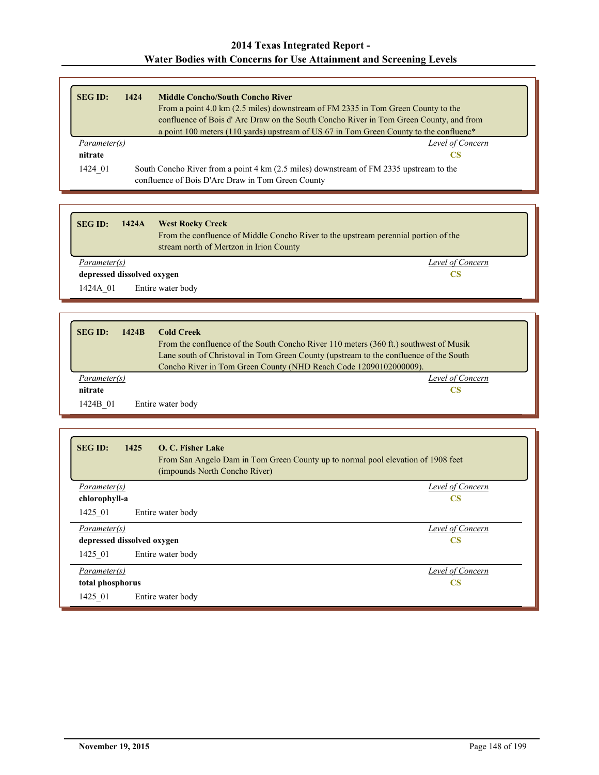| <b>SEG ID:</b>      | 1424 | <b>Middle Concho/South Concho River</b>                                                                                                     |
|---------------------|------|---------------------------------------------------------------------------------------------------------------------------------------------|
|                     |      | From a point 4.0 km (2.5 miles) downstream of FM 2335 in Tom Green County to the                                                            |
|                     |      | confluence of Bois d' Arc Draw on the South Concho River in Tom Green County, and from                                                      |
|                     |      | a point 100 meters (110 yards) upstream of US 67 in Tom Green County to the confluenc <sup>*</sup>                                          |
| <i>Parameter(s)</i> |      | Level of Concern                                                                                                                            |
| nitrate             |      | CS                                                                                                                                          |
| 1424 01             |      | South Concho River from a point 4 km (2.5 miles) downstream of FM 2335 upstream to the<br>confluence of Bois D'Arc Draw in Tom Green County |

| <b>SEG ID:</b><br>1424A    | <b>West Rocky Creek</b><br>From the confluence of Middle Concho River to the upstream perennial portion of the<br>stream north of Mertzon in Irion County |
|----------------------------|-----------------------------------------------------------------------------------------------------------------------------------------------------------|
| Parameter(s)               | Level of Concern                                                                                                                                          |
| depressed dissolved oxygen | CS                                                                                                                                                        |
| 1424A 01                   | Entire water body                                                                                                                                         |

| <b>SEG ID:</b> | 1424B<br><b>Cold Creek</b><br>From the confluence of the South Concho River 110 meters (360 ft.) southwest of Musik<br>Lane south of Christoval in Tom Green County (upstream to the confluence of the South<br>Concho River in Tom Green County (NHD Reach Code 12090102000009). |  |  |
|----------------|-----------------------------------------------------------------------------------------------------------------------------------------------------------------------------------------------------------------------------------------------------------------------------------|--|--|
| Parameter(s)   | Level of Concern                                                                                                                                                                                                                                                                  |  |  |
| nitrate        | CS                                                                                                                                                                                                                                                                                |  |  |
| 1424B 01       | Entire water body                                                                                                                                                                                                                                                                 |  |  |

| <b>SEG ID:</b><br>1425<br>O. C. Fisher Lake<br>From San Angelo Dam in Tom Green County up to normal pool elevation of 1908 feet<br>(impounds North Concho River) |                        |
|------------------------------------------------------------------------------------------------------------------------------------------------------------------|------------------------|
| Parameter(s)                                                                                                                                                     | Level of Concern       |
| chlorophyll-a                                                                                                                                                    | $\overline{\text{CS}}$ |
| 1425 01<br>Entire water body                                                                                                                                     |                        |
| Parameter(s)                                                                                                                                                     | Level of Concern       |
| depressed dissolved oxygen                                                                                                                                       | $\overline{\text{CS}}$ |
| 1425 01<br>Entire water body                                                                                                                                     |                        |
| Parameter(s)                                                                                                                                                     | Level of Concern       |
| $\overline{\text{CS}}$<br>total phosphorus                                                                                                                       |                        |
| 1425 01<br>Entire water body                                                                                                                                     |                        |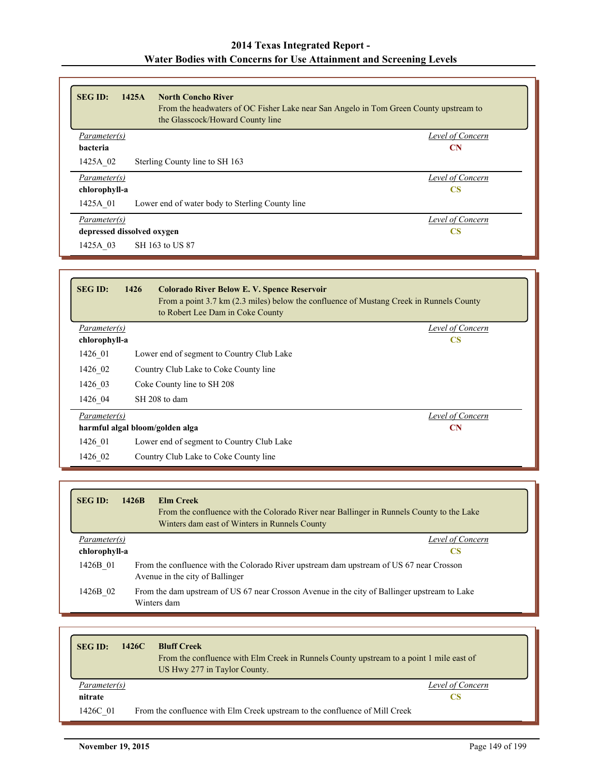| <b>SEG ID:</b><br>1425A<br><b>North Concho River</b><br>From the headwaters of OC Fisher Lake near San Angelo in Tom Green County upstream to<br>the Glasscock/Howard County line |                  |
|-----------------------------------------------------------------------------------------------------------------------------------------------------------------------------------|------------------|
| <i>Parameter(s)</i>                                                                                                                                                               | Level of Concern |
| <b>bacteria</b>                                                                                                                                                                   | <b>CN</b>        |
| 1425A 02<br>Sterling County line to SH 163                                                                                                                                        |                  |
| Parameter(s)                                                                                                                                                                      | Level of Concern |
| chlorophyll-a                                                                                                                                                                     | <b>CS</b>        |
| 1425A 01<br>Lower end of water body to Sterling County line                                                                                                                       |                  |
| Parameter(s)                                                                                                                                                                      | Level of Concern |
| depressed dissolved oxygen                                                                                                                                                        | CS               |
| SH 163 to US 87<br>1425A 03                                                                                                                                                       |                  |

| <b>SEG ID:</b>                  | 1426<br><b>Colorado River Below E. V. Spence Reservoir</b><br>From a point 3.7 km (2.3 miles) below the confluence of Mustang Creek in Runnels County<br>to Robert Lee Dam in Coke County |                  |
|---------------------------------|-------------------------------------------------------------------------------------------------------------------------------------------------------------------------------------------|------------------|
| <i>Parameter(s)</i>             |                                                                                                                                                                                           | Level of Concern |
| chlorophyll-a                   |                                                                                                                                                                                           | <b>CS</b>        |
| 1426 01                         | Lower end of segment to Country Club Lake                                                                                                                                                 |                  |
| 1426 02                         | Country Club Lake to Coke County line                                                                                                                                                     |                  |
| 1426 03                         | Coke County line to SH 208                                                                                                                                                                |                  |
| 1426 04                         | SH 208 to dam                                                                                                                                                                             |                  |
|                                 | Parameter(s)<br>Level of Concern                                                                                                                                                          |                  |
| harmful algal bloom/golden alga |                                                                                                                                                                                           | <b>CN</b>        |
| 1426 01                         | Lower end of segment to Country Club Lake                                                                                                                                                 |                  |
| 1426 02                         | Country Club Lake to Coke County line                                                                                                                                                     |                  |

| <b>SEG ID:</b> | 1426B | <b>Elm Creek</b><br>From the confluence with the Colorado River near Ballinger in Runnels County to the Lake<br>Winters dam east of Winters in Runnels County |
|----------------|-------|---------------------------------------------------------------------------------------------------------------------------------------------------------------|
| Parameter(s)   |       | Level of Concern                                                                                                                                              |
| chlorophyll-a  |       | CS                                                                                                                                                            |
| 1426B 01       |       | From the confluence with the Colorado River upstream dam upstream of US 67 near Crosson<br>Avenue in the city of Ballinger                                    |
| 1426B 02       |       | From the dam upstream of US 67 near Crosson Avenue in the city of Ballinger upstream to Lake<br>Winters dam                                                   |

| <b>SEG ID:</b> | 1426C<br><b>Bluff Creek</b><br>From the confluence with Elm Creek in Runnels County upstream to a point 1 mile east of<br>US Hwy 277 in Taylor County. |
|----------------|--------------------------------------------------------------------------------------------------------------------------------------------------------|
| Parameter(s)   | Level of Concern                                                                                                                                       |
| nitrate        | CS                                                                                                                                                     |
| 1426C 01       | From the confluence with Elm Creek upstream to the confluence of Mill Creek                                                                            |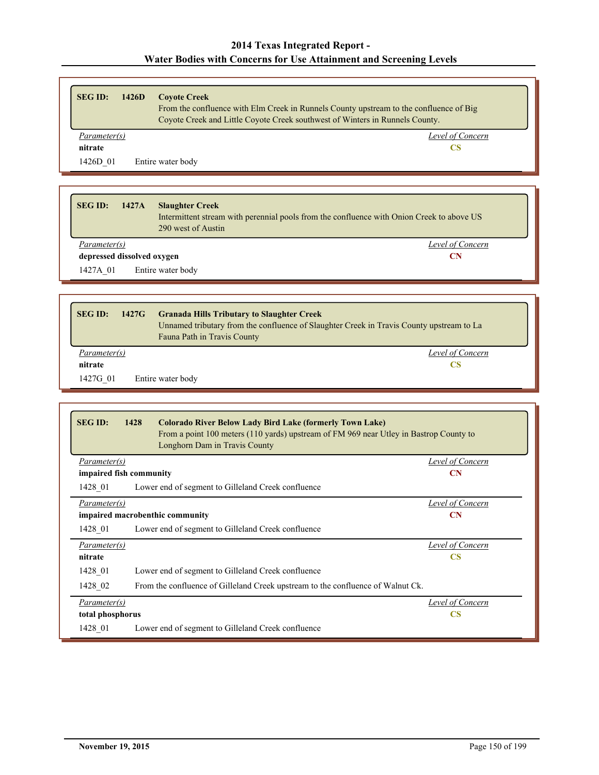| <b>SEG ID:</b> | <b>Covote Creek</b><br>1426D<br>Coyote Creek and Little Coyote Creek southwest of Winters in Runnels County. | From the confluence with Elm Creek in Runnels County upstream to the confluence of Big |
|----------------|--------------------------------------------------------------------------------------------------------------|----------------------------------------------------------------------------------------|
| Parameter(s)   |                                                                                                              | Level of Concern                                                                       |
| nitrate        |                                                                                                              | CS                                                                                     |
| 1426D 01       | Entire water body                                                                                            |                                                                                        |

| <b>SEG ID:</b><br>1427A | <b>Slaughter Creek</b><br>Intermittent stream with perennial pools from the confluence with Onion Creek to above US<br>290 west of Austin |  |
|-------------------------|-------------------------------------------------------------------------------------------------------------------------------------------|--|
| Parameter(s)            | Level of Concern                                                                                                                          |  |
|                         | depressed dissolved oxygen                                                                                                                |  |
| 1427A 01                | Entire water body                                                                                                                         |  |

| <b>SEG ID:</b>      | <b>Granada Hills Tributary to Slaughter Creek</b><br>1427G<br>Unnamed tributary from the confluence of Slaughter Creek in Travis County upstream to La<br>Fauna Path in Travis County |                  |
|---------------------|---------------------------------------------------------------------------------------------------------------------------------------------------------------------------------------|------------------|
| <i>Parameter(s)</i> |                                                                                                                                                                                       | Level of Concern |
| nitrate             |                                                                                                                                                                                       | CS               |
| 1427G 01            | Entire water body                                                                                                                                                                     |                  |

| <b>SEG ID:</b>          | 1428<br><b>Colorado River Below Lady Bird Lake (formerly Town Lake)</b><br>From a point 100 meters (110 yards) upstream of FM 969 near Utley in Bastrop County to<br>Longhorn Dam in Travis County |                  |  |
|-------------------------|----------------------------------------------------------------------------------------------------------------------------------------------------------------------------------------------------|------------------|--|
| <i>Parameter(s)</i>     |                                                                                                                                                                                                    | Level of Concern |  |
| impaired fish community |                                                                                                                                                                                                    | <b>CN</b>        |  |
| 1428 01                 | Lower end of segment to Gilleland Creek confluence                                                                                                                                                 |                  |  |
| <i>Parameter(s)</i>     |                                                                                                                                                                                                    | Level of Concern |  |
|                         | impaired macrobenthic community<br>CN                                                                                                                                                              |                  |  |
| 1428 01                 | Lower end of segment to Gilleland Creek confluence                                                                                                                                                 |                  |  |
| <i>Parameter(s)</i>     |                                                                                                                                                                                                    | Level of Concern |  |
| nitrate                 |                                                                                                                                                                                                    | <b>CS</b>        |  |
| 1428 01                 | Lower end of segment to Gilleland Creek confluence                                                                                                                                                 |                  |  |
| 1428 02                 | From the confluence of Gilleland Creek upstream to the confluence of Walnut Ck.                                                                                                                    |                  |  |
| <i>Parameter(s)</i>     |                                                                                                                                                                                                    | Level of Concern |  |
| total phosphorus        |                                                                                                                                                                                                    | <b>CS</b>        |  |
| 1428 01                 | Lower end of segment to Gilleland Creek confluence                                                                                                                                                 |                  |  |

ľ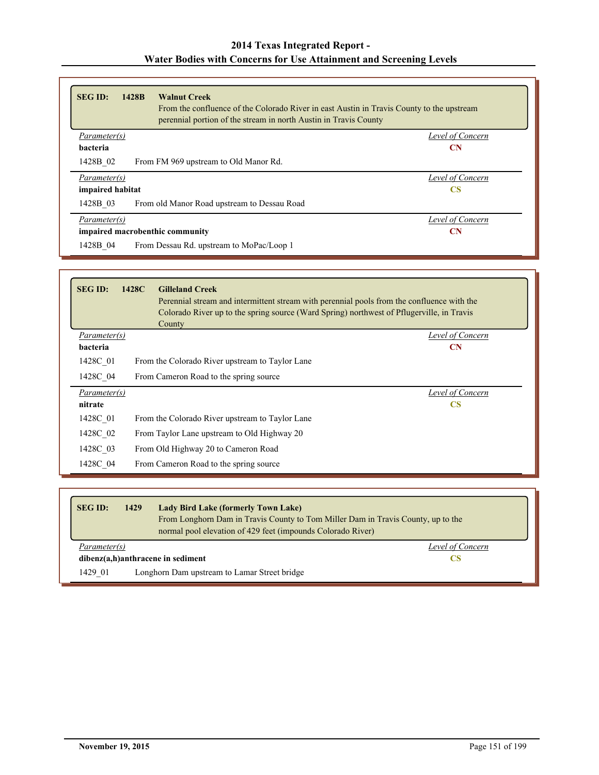| <b>SEG ID:</b><br>1428B<br><b>Walnut Creek</b><br>perennial portion of the stream in north Austin in Travis County | From the confluence of the Colorado River in east Austin in Travis County to the upstream |
|--------------------------------------------------------------------------------------------------------------------|-------------------------------------------------------------------------------------------|
| Parameter(s)                                                                                                       | Level of Concern                                                                          |
| <b>bacteria</b>                                                                                                    | <b>CN</b>                                                                                 |
| 1428B 02<br>From FM 969 upstream to Old Manor Rd.                                                                  |                                                                                           |
| Parameter(s)                                                                                                       | Level of Concern                                                                          |
| impaired habitat                                                                                                   | <b>CS</b>                                                                                 |
| 1428B 03<br>From old Manor Road upstream to Dessau Road                                                            |                                                                                           |
| Parameter(s)                                                                                                       | Level of Concern                                                                          |
| impaired macrobenthic community                                                                                    | <b>CN</b>                                                                                 |
| 1428B 04<br>From Dessau Rd. upstream to MoPac/Loop 1                                                               |                                                                                           |

| <b>SEG ID:</b> | 1428C<br><b>Gilleland Creek</b><br>Perennial stream and intermittent stream with perennial pools from the confluence with the<br>Colorado River up to the spring source (Ward Spring) northwest of Pflugerville, in Travis<br>County |                  |
|----------------|--------------------------------------------------------------------------------------------------------------------------------------------------------------------------------------------------------------------------------------|------------------|
| Parameter(s)   |                                                                                                                                                                                                                                      | Level of Concern |
| bacteria       |                                                                                                                                                                                                                                      | <b>CN</b>        |
| 1428C 01       | From the Colorado River upstream to Taylor Lane                                                                                                                                                                                      |                  |
| 1428C 04       | From Cameron Road to the spring source                                                                                                                                                                                               |                  |
| Parameter(s)   |                                                                                                                                                                                                                                      | Level of Concern |
| nitrate        |                                                                                                                                                                                                                                      | <b>CS</b>        |
| 1428C 01       | From the Colorado River upstream to Taylor Lane                                                                                                                                                                                      |                  |
| 1428C 02       | From Taylor Lane upstream to Old Highway 20                                                                                                                                                                                          |                  |
| 1428C 03       | From Old Highway 20 to Cameron Road                                                                                                                                                                                                  |                  |
| 1428C 04       | From Cameron Road to the spring source                                                                                                                                                                                               |                  |

| <b>SEG ID:</b> | 1429 | <b>Lady Bird Lake (formerly Town Lake)</b><br>From Longhorn Dam in Travis County to Tom Miller Dam in Travis County, up to the<br>normal pool elevation of 429 feet (impounds Colorado River) |
|----------------|------|-----------------------------------------------------------------------------------------------------------------------------------------------------------------------------------------------|
| Parameter(s)   |      | Level of Concern                                                                                                                                                                              |
|                |      | dibenz(a,h)anthracene in sediment                                                                                                                                                             |
| 1429 01        |      | Longhorn Dam upstream to Lamar Street bridge                                                                                                                                                  |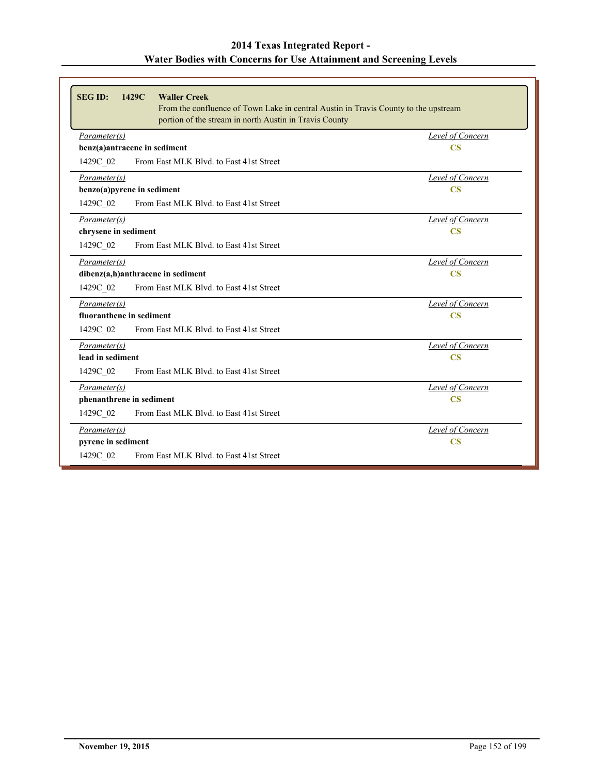| <b>SEG ID:</b><br><b>Waller Creek</b><br>1429C<br>From the confluence of Town Lake in central Austin in Travis County to the upstream<br>portion of the stream in north Austin in Travis County |                         |
|-------------------------------------------------------------------------------------------------------------------------------------------------------------------------------------------------|-------------------------|
| Parameter(s)                                                                                                                                                                                    | <b>Level of Concern</b> |
| benz(a)antracene in sediment                                                                                                                                                                    | $\overline{\text{CS}}$  |
| 1429C 02<br>From East MLK Blvd. to East 41st Street                                                                                                                                             |                         |
| Parameter(s)                                                                                                                                                                                    | Level of Concern        |
| benzo(a)pyrene in sediment                                                                                                                                                                      | $\overline{\text{CS}}$  |
| From East MLK Blvd. to East 41st Street<br>1429C 02                                                                                                                                             |                         |
| Parameter(s)                                                                                                                                                                                    | <b>Level of Concern</b> |
| chrysene in sediment                                                                                                                                                                            | $\overline{\text{CS}}$  |
| 1429C 02<br>From East MLK Blvd. to East 41st Street                                                                                                                                             |                         |
| Parameter(s)                                                                                                                                                                                    | <b>Level of Concern</b> |
| dibenz(a,h)anthracene in sediment                                                                                                                                                               | $\overline{\text{CS}}$  |
| 1429C 02<br>From East MLK Blvd. to East 41st Street                                                                                                                                             |                         |
| Parameter(s)                                                                                                                                                                                    | Level of Concern        |
| fluoranthene in sediment                                                                                                                                                                        | $\overline{\text{CS}}$  |
| From East MLK Blvd. to East 41st Street<br>1429C 02                                                                                                                                             |                         |
| Parameter(s)                                                                                                                                                                                    | Level of Concern        |
| lead in sediment                                                                                                                                                                                | $\overline{\text{CS}}$  |
| 1429C 02<br>From East MLK Blvd. to East 41st Street                                                                                                                                             |                         |
| Parameter(s)                                                                                                                                                                                    | Level of Concern        |
| phenanthrene in sediment                                                                                                                                                                        | $\overline{\text{CS}}$  |
| 1429C 02<br>From East MLK Blvd. to East 41st Street                                                                                                                                             |                         |
| Parameter(s)                                                                                                                                                                                    | Level of Concern        |
| pyrene in sediment                                                                                                                                                                              | $\overline{\text{CS}}$  |
| 1429C 02<br>From East MLK Blvd. to East 41st Street                                                                                                                                             |                         |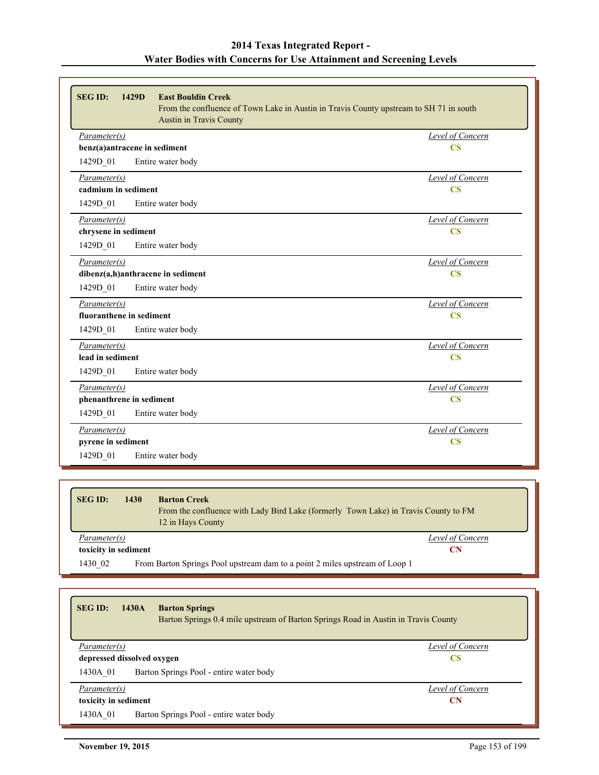| <b>SEG ID:</b><br>1429D<br><b>East Bouldin Creek</b><br>From the confluence of Town Lake in Austin in Travis County upstream to SH 71 in south<br><b>Austin in Travis County</b> |                        |  |
|----------------------------------------------------------------------------------------------------------------------------------------------------------------------------------|------------------------|--|
| Parameter(s)                                                                                                                                                                     | Level of Concern       |  |
| benz(a)antracene in sediment                                                                                                                                                     | <b>CS</b>              |  |
| 1429D 01<br>Entire water body                                                                                                                                                    |                        |  |
| Parameter(s)                                                                                                                                                                     | Level of Concern       |  |
| cadmium in sediment                                                                                                                                                              | $\overline{\text{CS}}$ |  |
| 1429D 01<br>Entire water body                                                                                                                                                    |                        |  |
| Parameter(s)                                                                                                                                                                     | Level of Concern       |  |
| chrysene in sediment                                                                                                                                                             | <b>CS</b>              |  |
| 1429D 01<br>Entire water body                                                                                                                                                    |                        |  |
| Parameter(s)                                                                                                                                                                     | Level of Concern       |  |
| dibenz(a,h)anthracene in sediment<br>$\overline{\text{CS}}$                                                                                                                      |                        |  |
| 1429D 01<br>Entire water body                                                                                                                                                    |                        |  |
| Parameter(s)                                                                                                                                                                     | Level of Concern       |  |
| fluoranthene in sediment                                                                                                                                                         | $\overline{\text{CS}}$ |  |
| 1429D 01<br>Entire water body                                                                                                                                                    |                        |  |
| Parameter(s)                                                                                                                                                                     | Level of Concern       |  |
| lead in sediment                                                                                                                                                                 | <b>CS</b>              |  |
| 1429D_01<br>Entire water body                                                                                                                                                    |                        |  |
| Parameter(s)                                                                                                                                                                     | Level of Concern       |  |
| phenanthrene in sediment                                                                                                                                                         | $\overline{\text{CS}}$ |  |
| 1429D 01<br>Entire water body                                                                                                                                                    |                        |  |
| Parameter(s)                                                                                                                                                                     | Level of Concern       |  |
| pyrene in sediment                                                                                                                                                               | $\overline{\text{CS}}$ |  |
| 1429D 01<br>Entire water body                                                                                                                                                    |                        |  |

| <b>SEG ID:</b>       | 1430 | <b>Barton Creek</b><br>From the confluence with Lady Bird Lake (formerly Town Lake) in Travis County to FM<br>12 in Hays County |
|----------------------|------|---------------------------------------------------------------------------------------------------------------------------------|
| Parameter(s)         |      | Level of Concern                                                                                                                |
| toxicity in sediment |      | CN                                                                                                                              |
| 1430 02              |      | From Barton Springs Pool upstream dam to a point 2 miles upstream of Loop 1                                                     |

| <b>SEG ID:</b><br>1430A                                                           | <b>Barton Springs</b><br>Barton Springs 0.4 mile upstream of Barton Springs Road in Austin in Travis County |                               |
|-----------------------------------------------------------------------------------|-------------------------------------------------------------------------------------------------------------|-------------------------------|
| Parameter(s)                                                                      |                                                                                                             | Level of Concern<br><b>CS</b> |
| depressed dissolved oxygen<br>Barton Springs Pool - entire water body<br>1430A 01 |                                                                                                             |                               |
| Parameter(s)                                                                      |                                                                                                             | Level of Concern              |
| toxicity in sediment<br>$\mathbf C\mathbf N$                                      |                                                                                                             |                               |
| 1430A 01                                                                          | Barton Springs Pool - entire water body                                                                     |                               |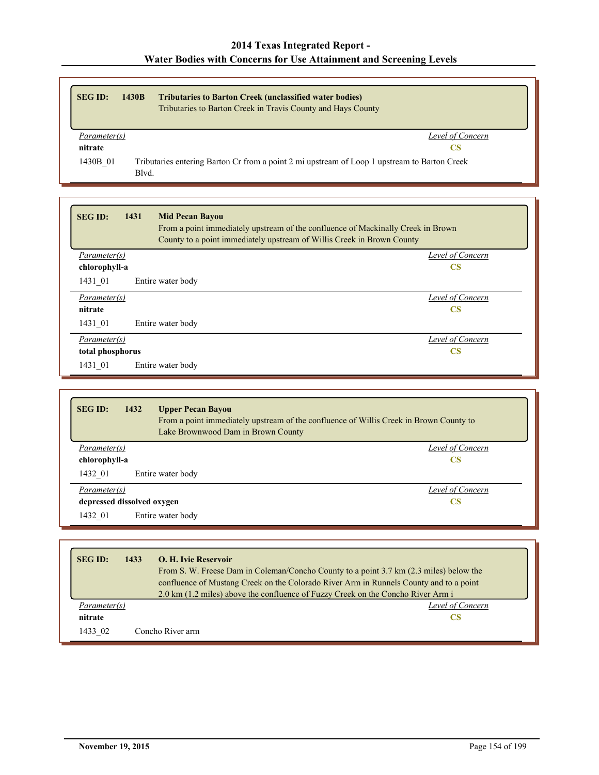| <b>SEG ID:</b>      | 1430B | <b>Tributaries to Barton Creek (unclassified water bodies)</b> |                  |
|---------------------|-------|----------------------------------------------------------------|------------------|
|                     |       | Tributaries to Barton Creek in Travis County and Hays County   |                  |
|                     |       |                                                                |                  |
| <i>Parameter(s)</i> |       |                                                                | Level of Concern |
|                     |       |                                                                | CS               |
| nitrate             |       |                                                                |                  |

| 1431<br><b>SEG ID:</b><br><b>Mid Pecan Bayou</b> | From a point immediately upstream of the confluence of Mackinally Creek in Brown<br>County to a point immediately upstream of Willis Creek in Brown County |
|--------------------------------------------------|------------------------------------------------------------------------------------------------------------------------------------------------------------|
| Parameter(s)                                     | Level of Concern                                                                                                                                           |
| chlorophyll-a                                    | <b>CS</b>                                                                                                                                                  |
| 1431 01<br>Entire water body                     |                                                                                                                                                            |
| Parameter(s)                                     | Level of Concern                                                                                                                                           |
| nitrate                                          | <b>CS</b>                                                                                                                                                  |
| 1431 01<br>Entire water body                     |                                                                                                                                                            |
| Parameter(s)                                     | Level of Concern                                                                                                                                           |
| total phosphorus                                 | <b>CS</b>                                                                                                                                                  |
| 1431 01<br>Entire water body                     |                                                                                                                                                            |

| <b>SEG ID:</b><br>1432<br><b>Upper Pecan Bayou</b><br>From a point immediately upstream of the confluence of Willis Creek in Brown County to<br>Lake Brownwood Dam in Brown County |                  |
|------------------------------------------------------------------------------------------------------------------------------------------------------------------------------------|------------------|
| Parameter(s)                                                                                                                                                                       | Level of Concern |
| chlorophyll-a                                                                                                                                                                      | CS               |
| 1432 01<br>Entire water body                                                                                                                                                       |                  |
| Parameter(s)                                                                                                                                                                       | Level of Concern |
| depressed dissolved oxygen                                                                                                                                                         | <b>CS</b>        |
| 1432 01<br>Entire water body                                                                                                                                                       |                  |

| <b>SEG ID:</b> | <b>O. H. Ivie Reservoir</b><br>1433                                                    |  |
|----------------|----------------------------------------------------------------------------------------|--|
|                | From S. W. Freese Dam in Coleman/Concho County to a point 3.7 km (2.3 miles) below the |  |
|                | confluence of Mustang Creek on the Colorado River Arm in Runnels County and to a point |  |
|                | 2.0 km (1.2 miles) above the confluence of Fuzzy Creek on the Concho River Arm i       |  |
| Parameter(s)   | Level of Concern                                                                       |  |
| nitrate        | CS                                                                                     |  |
| 1433 02        | Concho River arm                                                                       |  |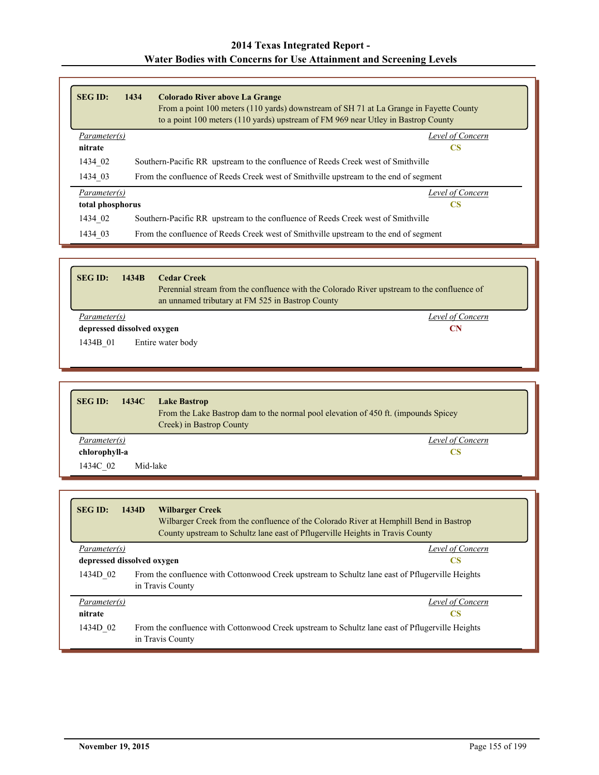| <b>SEG ID:</b>   | 1434<br><b>Colorado River above La Grange</b><br>to a point 100 meters (110 yards) upstream of FM 969 near Utley in Bastrop County | From a point 100 meters (110 yards) downstream of SH 71 at La Grange in Fayette County |
|------------------|------------------------------------------------------------------------------------------------------------------------------------|----------------------------------------------------------------------------------------|
| Parameter(s)     |                                                                                                                                    | Level of Concern                                                                       |
| nitrate          |                                                                                                                                    | <b>CS</b>                                                                              |
| 1434 02          | Southern-Pacific RR upstream to the confluence of Reeds Creek west of Smithville                                                   |                                                                                        |
| 1434 03          | From the confluence of Reeds Creek west of Smithville upstream to the end of segment                                               |                                                                                        |
| Parameter(s)     |                                                                                                                                    | Level of Concern                                                                       |
| total phosphorus |                                                                                                                                    | <b>CS</b>                                                                              |
| 1434 02          | Southern-Pacific RR upstream to the confluence of Reeds Creek west of Smithville                                                   |                                                                                        |
| 1434 03          | From the confluence of Reeds Creek west of Smithville upstream to the end of segment                                               |                                                                                        |

| <b>SEG ID:</b>             | 1434B | <b>Cedar Creek</b><br>Perennial stream from the confluence with the Colorado River upstream to the confluence of<br>an unnamed tributary at FM 525 in Bastrop County |
|----------------------------|-------|----------------------------------------------------------------------------------------------------------------------------------------------------------------------|
| Parameter(s)               |       | Level of Concern                                                                                                                                                     |
| depressed dissolved oxygen |       | CN                                                                                                                                                                   |
| 1434B 01                   |       | Entire water body                                                                                                                                                    |

| <b>SEG ID:</b><br>1434C | <b>Lake Bastrop</b><br>From the Lake Bastrop dam to the normal pool elevation of 450 ft. (impounds Spicey<br>Creek) in Bastrop County |
|-------------------------|---------------------------------------------------------------------------------------------------------------------------------------|
| Parameter(s)            | Level of Concern                                                                                                                      |
| chlorophyll-a           | CS                                                                                                                                    |
| Mid-lake<br>1434C 02    |                                                                                                                                       |

| <b>SEGID:</b>                    | 1434D<br><b>Wilbarger Creek</b><br>Wilbarger Creek from the confluence of the Colorado River at Hemphill Bend in Bastrop<br>County upstream to Schultz lane east of Pflugerville Heights in Travis County |  |  |
|----------------------------------|-----------------------------------------------------------------------------------------------------------------------------------------------------------------------------------------------------------|--|--|
| Level of Concern<br>Parameter(s) |                                                                                                                                                                                                           |  |  |
|                                  | depressed dissolved oxygen<br>CS                                                                                                                                                                          |  |  |
| 1434D 02                         | From the confluence with Cottonwood Creek upstream to Schultz lane east of Pflugerville Heights<br>in Travis County                                                                                       |  |  |
| Parameter(s)                     | Level of Concern                                                                                                                                                                                          |  |  |
| nitrate                          | <b>CS</b>                                                                                                                                                                                                 |  |  |
| 1434D 02                         | From the confluence with Cottonwood Creek upstream to Schultz lane east of Pflugerville Heights<br>in Travis County                                                                                       |  |  |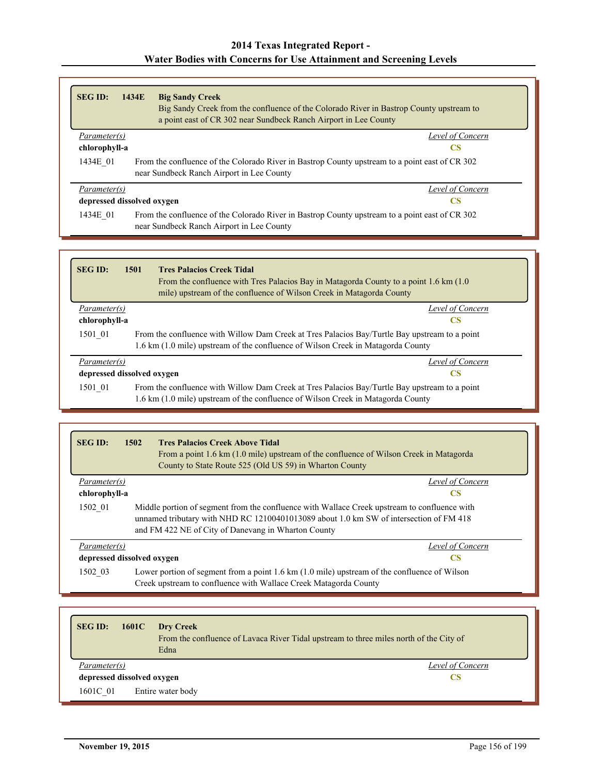| <b>SEG ID:</b>      | 1434E<br><b>Big Sandy Creek</b><br>Big Sandy Creek from the confluence of the Colorado River in Bastrop County upstream to<br>a point east of CR 302 near Sundbeck Ranch Airport in Lee County |  |
|---------------------|------------------------------------------------------------------------------------------------------------------------------------------------------------------------------------------------|--|
| Parameter(s)        | Level of Concern                                                                                                                                                                               |  |
| chlorophyll-a<br>CS |                                                                                                                                                                                                |  |
| 1434E 01            | From the confluence of the Colorado River in Bastrop County upstream to a point east of CR 302<br>near Sundbeck Ranch Airport in Lee County                                                    |  |
| Parameter(s)        | Level of Concern                                                                                                                                                                               |  |
|                     | depressed dissolved oxygen<br>CS                                                                                                                                                               |  |
| 1434E 01            | From the confluence of the Colorado River in Bastrop County upstream to a point east of CR 302<br>near Sundbeck Ranch Airport in Lee County                                                    |  |

| <b>SEGID:</b>                    | 1501<br><b>Tres Palacios Creek Tidal</b><br>From the confluence with Tres Palacios Bay in Matagorda County to a point 1.6 km (1.0)<br>mile) upstream of the confluence of Wilson Creek in Matagorda County |                  |  |
|----------------------------------|------------------------------------------------------------------------------------------------------------------------------------------------------------------------------------------------------------|------------------|--|
| Level of Concern<br>Parameter(s) |                                                                                                                                                                                                            |                  |  |
| chlorophyll-a                    | <b>CS</b>                                                                                                                                                                                                  |                  |  |
| 1501 01                          | From the confluence with Willow Dam Creek at Tres Palacios Bay/Turtle Bay upstream to a point<br>1.6 km (1.0 mile) upstream of the confluence of Wilson Creek in Matagorda County                          |                  |  |
| Parameter(s)                     |                                                                                                                                                                                                            | Level of Concern |  |
| depressed dissolved oxygen       |                                                                                                                                                                                                            | CS               |  |
| 1501 01                          | From the confluence with Willow Dam Creek at Tres Palacios Bay/Turtle Bay upstream to a point<br>1.6 km (1.0 mile) upstream of the confluence of Wilson Creek in Matagorda County                          |                  |  |

| <b>SEG ID:</b>                          | <b>Tres Palacios Creek Above Tidal</b><br>1502<br>From a point 1.6 km (1.0 mile) upstream of the confluence of Wilson Creek in Matagorda<br>County to State Route 525 (Old US 59) in Wharton County                                           |                  |
|-----------------------------------------|-----------------------------------------------------------------------------------------------------------------------------------------------------------------------------------------------------------------------------------------------|------------------|
| Parameter(s)                            |                                                                                                                                                                                                                                               | Level of Concern |
| chlorophyll-a                           |                                                                                                                                                                                                                                               | CS               |
| 1502 01                                 | Middle portion of segment from the confluence with Wallace Creek upstream to confluence with<br>unnamed tributary with NHD RC 12100401013089 about 1.0 km SW of intersection of FM 418<br>and FM 422 NE of City of Danevang in Wharton County |                  |
| Parameter(s)                            |                                                                                                                                                                                                                                               | Level of Concern |
| depressed dissolved oxygen<br><b>CS</b> |                                                                                                                                                                                                                                               |                  |
| 1502 03                                 | Lower portion of segment from a point 1.6 km (1.0 mile) upstream of the confluence of Wilson<br>Creek upstream to confluence with Wallace Creek Matagorda County                                                                              |                  |

| <b>SEG ID:</b>             | 1601C | <b>Dry Creek</b><br>From the confluence of Lavaca River Tidal upstream to three miles north of the City of<br>Edna |                  |
|----------------------------|-------|--------------------------------------------------------------------------------------------------------------------|------------------|
| Parameter(s)               |       |                                                                                                                    | Level of Concern |
| depressed dissolved oxygen |       |                                                                                                                    | CS               |
| 1601C 01                   |       | Entire water body                                                                                                  |                  |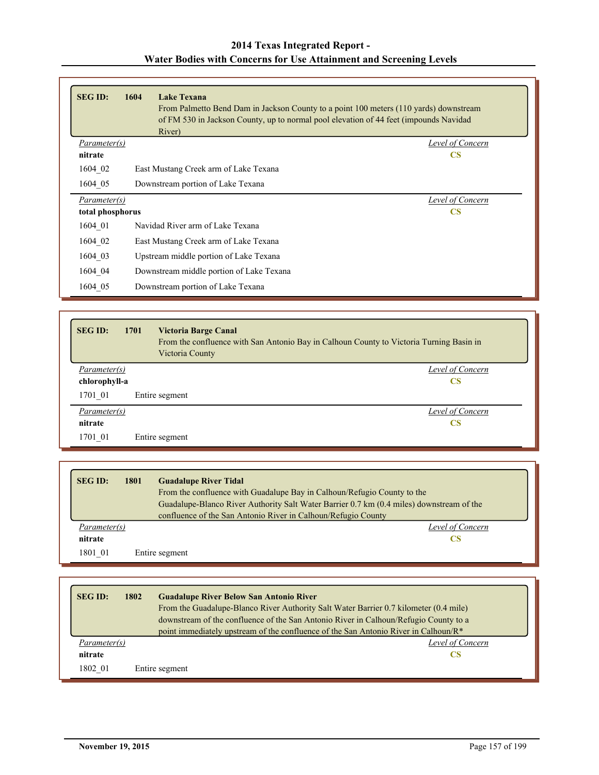| <b>SEG ID:</b>   | 1604<br><b>Lake Texana</b><br>From Palmetto Bend Dam in Jackson County to a point 100 meters (110 yards) downstream<br>of FM 530 in Jackson County, up to normal pool elevation of 44 feet (impounds Navidad<br>River) |                  |
|------------------|------------------------------------------------------------------------------------------------------------------------------------------------------------------------------------------------------------------------|------------------|
| Parameter(s)     |                                                                                                                                                                                                                        | Level of Concern |
| nitrate          |                                                                                                                                                                                                                        | <b>CS</b>        |
| 1604 02          | East Mustang Creek arm of Lake Texana                                                                                                                                                                                  |                  |
| 1604 05          | Downstream portion of Lake Texana                                                                                                                                                                                      |                  |
| Parameter(s)     |                                                                                                                                                                                                                        | Level of Concern |
| total phosphorus |                                                                                                                                                                                                                        | <b>CS</b>        |
| 1604 01          | Navidad River arm of Lake Texana                                                                                                                                                                                       |                  |
| 1604 02          | East Mustang Creek arm of Lake Texana                                                                                                                                                                                  |                  |
| 1604 03          | Upstream middle portion of Lake Texana                                                                                                                                                                                 |                  |
| 1604 04          | Downstream middle portion of Lake Texana                                                                                                                                                                               |                  |
| 1604 05          | Downstream portion of Lake Texana                                                                                                                                                                                      |                  |

| <b>SEG ID:</b><br>1701 | Victoria Barge Canal<br>From the confluence with San Antonio Bay in Calhoun County to Victoria Turning Basin in<br>Victoria County |
|------------------------|------------------------------------------------------------------------------------------------------------------------------------|
| Parameter(s)           | Level of Concern                                                                                                                   |
| chlorophyll-a          | <b>CS</b>                                                                                                                          |
| 1701 01                | Entire segment                                                                                                                     |
| Parameter(s)           | Level of Concern                                                                                                                   |
| nitrate                | <b>CS</b>                                                                                                                          |
| 1701 01                | Entire segment                                                                                                                     |

| <b>SEG ID:</b> | 1801<br><b>Guadalupe River Tidal</b><br>From the confluence with Guadalupe Bay in Calhoun/Refugio County to the<br>Guadalupe-Blanco River Authority Salt Water Barrier 0.7 km (0.4 miles) downstream of the<br>confluence of the San Antonio River in Calhoun/Refugio County |  |  |
|----------------|------------------------------------------------------------------------------------------------------------------------------------------------------------------------------------------------------------------------------------------------------------------------------|--|--|
| Parameter(s)   | Level of Concern                                                                                                                                                                                                                                                             |  |  |
| nitrate        | CS                                                                                                                                                                                                                                                                           |  |  |
| 1801 01        | Entire segment                                                                                                                                                                                                                                                               |  |  |

| <b>SEG ID:</b> | 1802<br><b>Guadalupe River Below San Antonio River</b>                                          |
|----------------|-------------------------------------------------------------------------------------------------|
|                | From the Guadalupe-Blanco River Authority Salt Water Barrier 0.7 kilometer (0.4 mile)           |
|                | downstream of the confluence of the San Antonio River in Calhoun/Refugio County to a            |
|                | point immediately upstream of the confluence of the San Antonio River in Calhoun/R <sup>*</sup> |
| Parameter(s)   | Level of Concern                                                                                |
| nitrate        | CS                                                                                              |
| 1802 01        | Entire segment                                                                                  |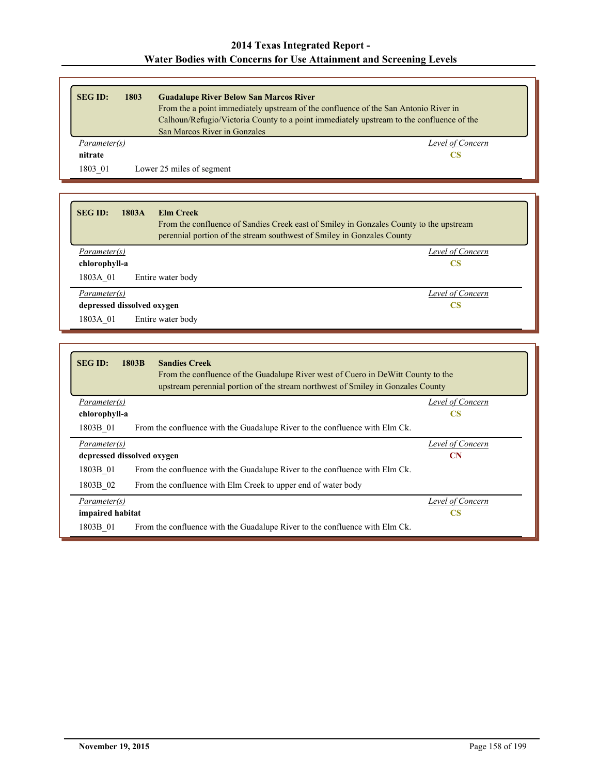| <b>SEG ID:</b> | 1803<br><b>Guadalupe River Below San Marcos River</b>                                    |
|----------------|------------------------------------------------------------------------------------------|
|                | From the a point immediately upstream of the confluence of the San Antonio River in      |
|                | Calhoun/Refugio/Victoria County to a point immediately upstream to the confluence of the |
|                | San Marcos River in Gonzales                                                             |
| Parameter(s)   | Level of Concern                                                                         |
| nitrate        | CS                                                                                       |
| 1803 01        | Lower 25 miles of segment                                                                |

| <b>SEG ID:</b> | 1803A<br><b>Elm Creek</b><br>perennial portion of the stream southwest of Smiley in Gonzales County | From the confluence of Sandies Creek east of Smiley in Gonzales County to the upstream |
|----------------|-----------------------------------------------------------------------------------------------------|----------------------------------------------------------------------------------------|
| Parameter(s)   |                                                                                                     | Level of Concern                                                                       |
| chlorophyll-a  |                                                                                                     | CS                                                                                     |
| 1803A 01       | Entire water body                                                                                   |                                                                                        |
| Parameter(s)   |                                                                                                     | Level of Concern                                                                       |
|                | depressed dissolved oxygen                                                                          | CS                                                                                     |
| 1803A 01       | Entire water body                                                                                   |                                                                                        |

| <b>SEG ID:</b>             | 1803B<br><b>Sandies Creek</b><br>From the confluence of the Guadalupe River west of Cuero in DeWitt County to the<br>upstream perennial portion of the stream northwest of Smiley in Gonzales County |                  |
|----------------------------|------------------------------------------------------------------------------------------------------------------------------------------------------------------------------------------------------|------------------|
| Parameter(s)               |                                                                                                                                                                                                      | Level of Concern |
| chlorophyll-a              |                                                                                                                                                                                                      | <b>CS</b>        |
| 1803B 01                   | From the confluence with the Guadalupe River to the confluence with Elm Ck.                                                                                                                          |                  |
| Parameter(s)               |                                                                                                                                                                                                      | Level of Concern |
| depressed dissolved oxygen |                                                                                                                                                                                                      | <b>CN</b>        |
| 1803B 01                   | From the confluence with the Guadalupe River to the confluence with Elm Ck.                                                                                                                          |                  |
| 1803B 02                   | From the confluence with Elm Creek to upper end of water body                                                                                                                                        |                  |
| Parameter(s)               |                                                                                                                                                                                                      | Level of Concern |
| impaired habitat           |                                                                                                                                                                                                      | <b>CS</b>        |
| 1803B 01                   | From the confluence with the Guadalupe River to the confluence with Elm Ck.                                                                                                                          |                  |

r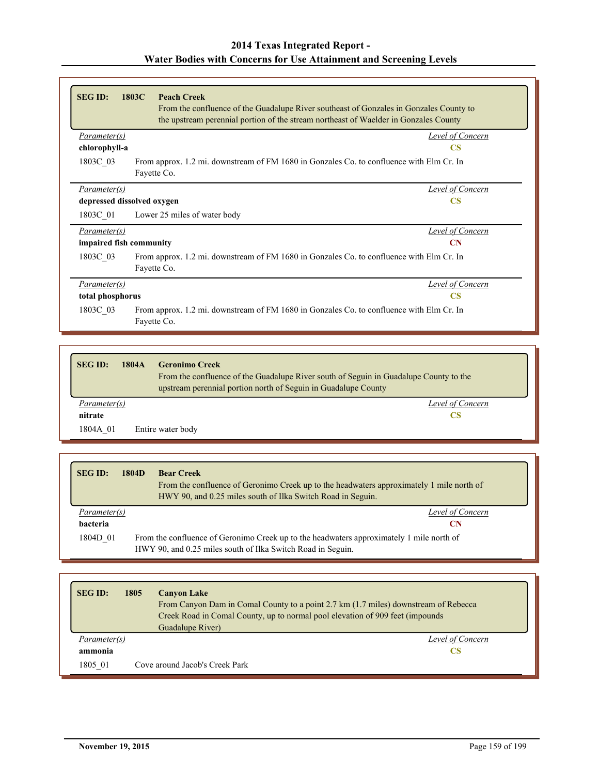| <b>SEG ID:</b>             | 1803C<br><b>Peach Creek</b><br>From the confluence of the Guadalupe River southeast of Gonzales in Gonzales County to<br>the upstream perennial portion of the stream northeast of Waelder in Gonzales County |                        |
|----------------------------|---------------------------------------------------------------------------------------------------------------------------------------------------------------------------------------------------------------|------------------------|
| Parameter(s)               |                                                                                                                                                                                                               | Level of Concern       |
| chlorophyll-a              |                                                                                                                                                                                                               | CS                     |
| 1803C 03                   | From approx. 1.2 mi. downstream of FM 1680 in Gonzales Co. to confluence with Elm Cr. In<br>Fayette Co.                                                                                                       |                        |
| Parameter(s)               |                                                                                                                                                                                                               | Level of Concern       |
| depressed dissolved oxygen |                                                                                                                                                                                                               | <b>CS</b>              |
| 1803C 01                   | Lower 25 miles of water body                                                                                                                                                                                  |                        |
| Parameter(s)               |                                                                                                                                                                                                               | Level of Concern       |
| impaired fish community    |                                                                                                                                                                                                               | $\mathbf C\mathbf N$   |
| 1803C 03                   | From approx. 1.2 mi. downstream of FM 1680 in Gonzales Co. to confluence with Elm Cr. In<br>Fayette Co.                                                                                                       |                        |
| Parameter(s)               |                                                                                                                                                                                                               | Level of Concern       |
| total phosphorus           |                                                                                                                                                                                                               | $\overline{\text{CS}}$ |
| 1803C 03                   | From approx. 1.2 mi. downstream of FM 1680 in Gonzales Co. to confluence with Elm Cr. In<br>Fayette Co.                                                                                                       |                        |

| <b>SEG ID:</b> | 1804A<br><b>Geronimo Creek</b><br>From the confluence of the Guadalupe River south of Seguin in Guadalupe County to the<br>upstream perennial portion north of Seguin in Guadalupe County |
|----------------|-------------------------------------------------------------------------------------------------------------------------------------------------------------------------------------------|
| Parameter(s)   | Level of Concern                                                                                                                                                                          |
| nitrate        | CS                                                                                                                                                                                        |
| 1804A 01       | Entire water body                                                                                                                                                                         |

| <b>SEG ID:</b>           | 1804D | <b>Bear Creek</b><br>From the confluence of Geronimo Creek up to the headwaters approximately 1 mile north of<br>HWY 90, and 0.25 miles south of Ilka Switch Road in Seguin. |
|--------------------------|-------|------------------------------------------------------------------------------------------------------------------------------------------------------------------------------|
| Parameter(s)<br>bacteria |       | Level of Concern<br>CN                                                                                                                                                       |
|                          |       |                                                                                                                                                                              |
| 1804D 01                 |       | From the confluence of Geronimo Creek up to the headwaters approximately 1 mile north of<br>HWY 90, and 0.25 miles south of Ilka Switch Road in Seguin.                      |

| <b>SEG ID:</b> | 1805<br><b>Canyon Lake</b><br>From Canyon Dam in Comal County to a point 2.7 km (1.7 miles) downstream of Rebecca<br>Creek Road in Comal County, up to normal pool elevation of 909 feet (impounds<br>Guadalupe River) |  |
|----------------|------------------------------------------------------------------------------------------------------------------------------------------------------------------------------------------------------------------------|--|
| Parameter(s)   | Level of Concern                                                                                                                                                                                                       |  |
| ammonia        | CS                                                                                                                                                                                                                     |  |
| 1805 01        | Cove around Jacob's Creek Park                                                                                                                                                                                         |  |

г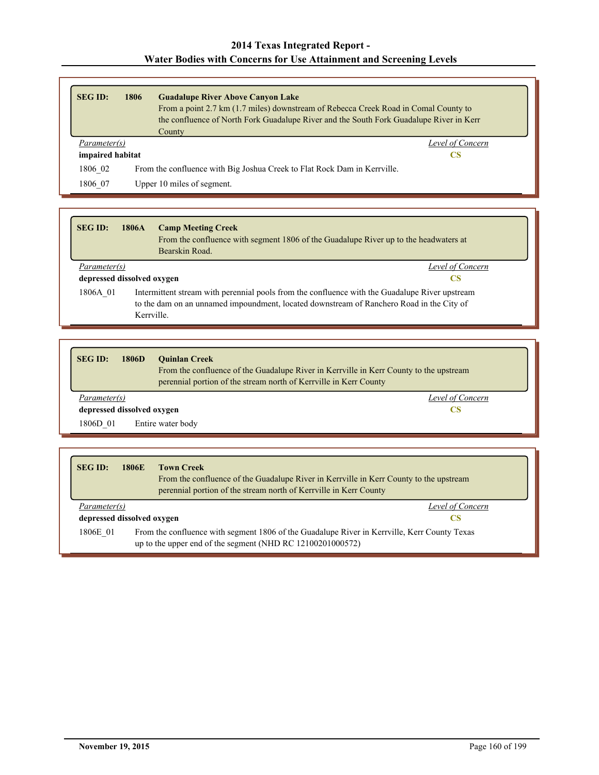| <b>SEG ID:</b>   | 1806 | <b>Guadalupe River Above Canyon Lake</b>                                                |
|------------------|------|-----------------------------------------------------------------------------------------|
|                  |      | From a point 2.7 km (1.7 miles) downstream of Rebecca Creek Road in Comal County to     |
|                  |      | the confluence of North Fork Guadalupe River and the South Fork Guadalupe River in Kerr |
|                  |      | County                                                                                  |
| Parameter(s)     |      | Level of Concern                                                                        |
| impaired habitat |      | CS                                                                                      |
| 1806 02          |      | From the confluence with Big Joshua Creek to Flat Rock Dam in Kerrville.                |
| 1806 07          |      | Upper 10 miles of segment.                                                              |

| <b>SEG ID:</b>                   | 1806A      | <b>Camp Meeting Creek</b><br>From the confluence with segment 1806 of the Guadalupe River up to the headwaters at<br>Bearskin Road.                                                        |    |
|----------------------------------|------------|--------------------------------------------------------------------------------------------------------------------------------------------------------------------------------------------|----|
| Level of Concern<br>Parameter(s) |            |                                                                                                                                                                                            |    |
| depressed dissolved oxygen       |            |                                                                                                                                                                                            | CS |
| 1806A 01                         | Kerrville. | Intermittent stream with perennial pools from the confluence with the Guadalupe River upstream<br>to the dam on an unnamed impoundment, located downstream of Ranchero Road in the City of |    |

| <b>SEG ID:</b>             | <b>1806D</b> | <b>Quinlan Creek</b><br>From the confluence of the Guadalupe River in Kerrville in Kerr County to the upstream<br>perennial portion of the stream north of Kerryille in Kerr County |  |
|----------------------------|--------------|-------------------------------------------------------------------------------------------------------------------------------------------------------------------------------------|--|
| Parameter(s)               |              | Level of Concern                                                                                                                                                                    |  |
| depressed dissolved oxygen |              |                                                                                                                                                                                     |  |
| 1806D 01                   |              | Entire water body                                                                                                                                                                   |  |

| <b>SEG ID:</b> | <b>Town Creek</b><br>1806E<br>From the confluence of the Guadalupe River in Kerryille in Kerr County to the upstream<br>perennial portion of the stream north of Kerryille in Kerr County |  |
|----------------|-------------------------------------------------------------------------------------------------------------------------------------------------------------------------------------------|--|
| Parameter(s)   | Level of Concern                                                                                                                                                                          |  |
|                | depressed dissolved oxygen<br>CS                                                                                                                                                          |  |
| 1806E 01       | From the confluence with segment 1806 of the Guadalupe River in Kerryille, Kerr County Texas<br>up to the upper end of the segment (NHD RC 12100201000572)                                |  |

Ъ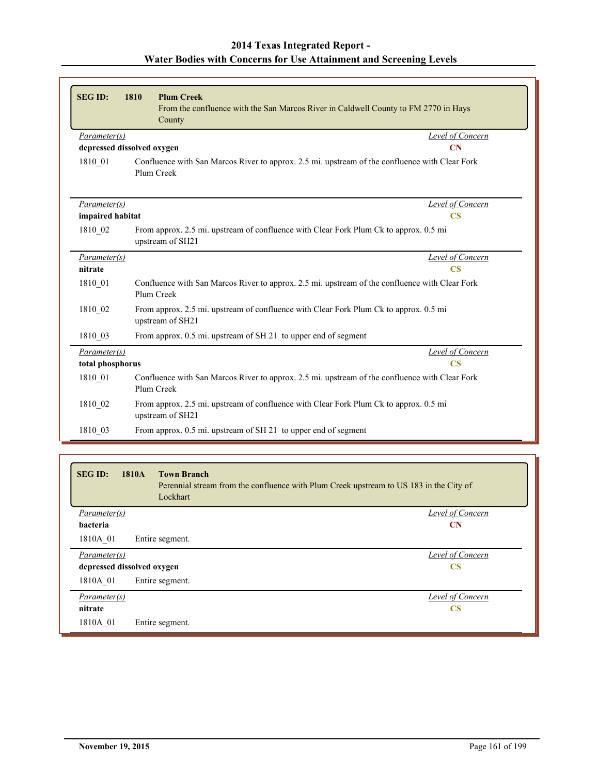| <b>SEG ID:</b>             | <b>Plum Creek</b><br>1810<br>From the confluence with the San Marcos River in Caldwell County to FM 2770 in Hays<br>County |                         |
|----------------------------|----------------------------------------------------------------------------------------------------------------------------|-------------------------|
| Parameter(s)               |                                                                                                                            | <b>Level of Concern</b> |
| depressed dissolved oxygen |                                                                                                                            | CN                      |
| 1810_01                    | Confluence with San Marcos River to approx. 2.5 mi. upstream of the confluence with Clear Fork<br>Plum Creek               |                         |
| Parameter(s)               |                                                                                                                            | Level of Concern        |
| impaired habitat           |                                                                                                                            | $\overline{\text{CS}}$  |
| 1810 02                    | From approx. 2.5 mi. upstream of confluence with Clear Fork Plum Ck to approx. 0.5 mi<br>upstream of SH21                  |                         |
| Parameter(s)               |                                                                                                                            | <b>Level of Concern</b> |
| nitrate                    |                                                                                                                            | $\overline{\text{CS}}$  |
| 1810 01                    | Confluence with San Marcos River to approx. 2.5 mi. upstream of the confluence with Clear Fork<br>Plum Creek               |                         |
| 1810 02                    | From approx. 2.5 mi. upstream of confluence with Clear Fork Plum Ck to approx. 0.5 mi<br>upstream of SH21                  |                         |
| 1810 03                    | From approx. 0.5 mi. upstream of SH 21 to upper end of segment                                                             |                         |
| Parameter(s)               |                                                                                                                            | Level of Concern        |
| total phosphorus           |                                                                                                                            | $\overline{\text{CS}}$  |
| 1810 01                    | Confluence with San Marcos River to approx. 2.5 mi. upstream of the confluence with Clear Fork<br>Plum Creek               |                         |
| 1810 02                    | From approx. 2.5 mi. upstream of confluence with Clear Fork Plum Ck to approx. 0.5 mi<br>upstream of SH21                  |                         |
| 1810 03                    | From approx. 0.5 mi. upstream of SH 21 to upper end of segment                                                             |                         |

| <b>SEG ID:</b><br>1810A    | <b>Town Branch</b><br>Perennial stream from the confluence with Plum Creek upstream to US 183 in the City of<br>Lockhart |                        |
|----------------------------|--------------------------------------------------------------------------------------------------------------------------|------------------------|
| Parameter(s)               |                                                                                                                          | Level of Concern       |
| bacteria                   |                                                                                                                          | CN                     |
| 1810A 01                   | Entire segment.                                                                                                          |                        |
| Parameter(s)               |                                                                                                                          | Level of Concern       |
| depressed dissolved oxygen |                                                                                                                          | <b>CS</b>              |
| 1810A 01                   | Entire segment.                                                                                                          |                        |
| Parameter(s)               |                                                                                                                          | Level of Concern       |
| nitrate                    |                                                                                                                          | $\overline{\text{CS}}$ |
| 1810A 01                   | Entire segment.                                                                                                          |                        |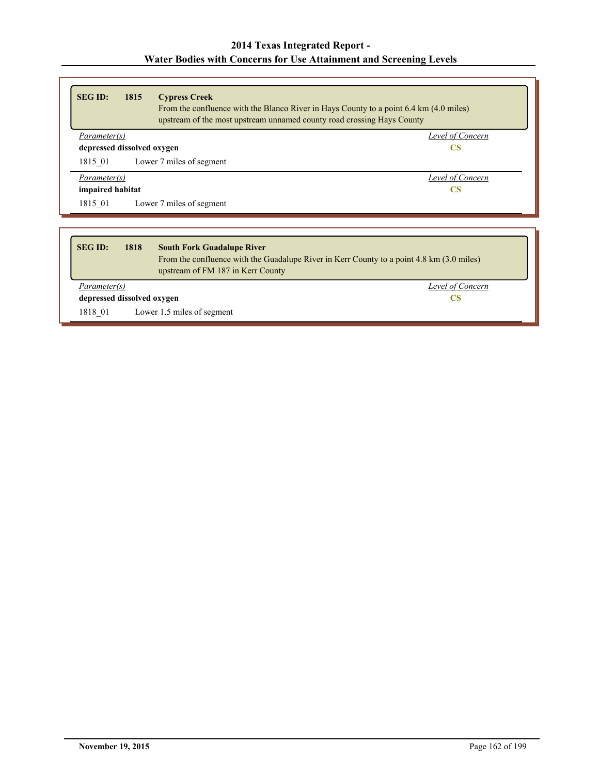| <b>SEG ID:</b>                                                       | 1815 | <b>Cypress Creek</b><br>From the confluence with the Blanco River in Hays County to a point 6.4 km (4.0 miles)<br>upstream of the most upstream unnamed county road crossing Hays County |                  |
|----------------------------------------------------------------------|------|------------------------------------------------------------------------------------------------------------------------------------------------------------------------------------------|------------------|
| Level of Concern<br>Parameter(s)<br>depressed dissolved oxygen<br>CS |      |                                                                                                                                                                                          |                  |
| 1815 01                                                              |      | Lower 7 miles of segment                                                                                                                                                                 |                  |
| Parameter(s)                                                         |      |                                                                                                                                                                                          | Level of Concern |
| impaired habitat                                                     |      |                                                                                                                                                                                          | <b>CS</b>        |
| 1815 01                                                              |      | Lower 7 miles of segment                                                                                                                                                                 |                  |

| <b>SEG ID:</b>             | 1818 | <b>South Fork Guadalupe River</b><br>From the confluence with the Guadalupe River in Kerr County to a point 4.8 km (3.0 miles)<br>upstream of FM 187 in Kerr County |
|----------------------------|------|---------------------------------------------------------------------------------------------------------------------------------------------------------------------|
| Parameter(s)               |      | Level of Concern                                                                                                                                                    |
| depressed dissolved oxygen |      | CS                                                                                                                                                                  |
| 1818 01                    |      | Lower 1.5 miles of segment                                                                                                                                          |

ľ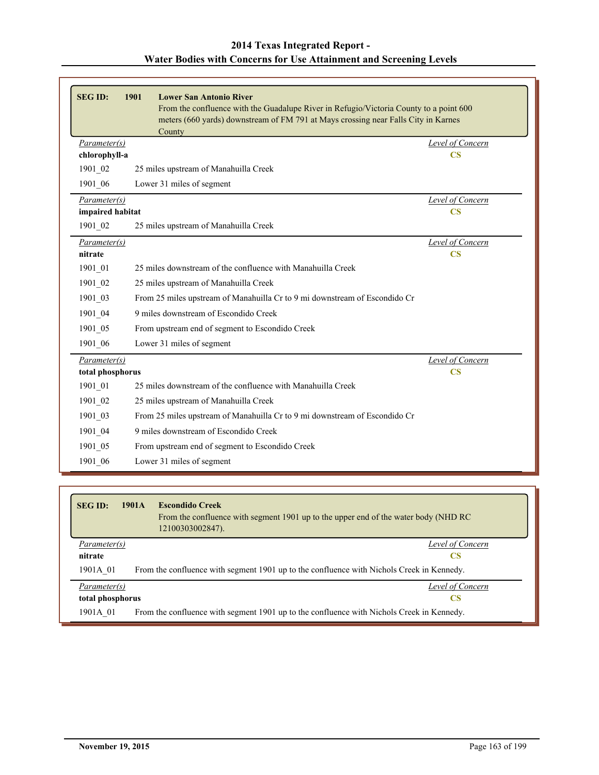| <b>SEG ID:</b>          | 1901<br><b>Lower San Antonio River</b><br>From the confluence with the Guadalupe River in Refugio/Victoria County to a point 600<br>meters (660 yards) downstream of FM 791 at Mays crossing near Falls City in Karnes<br>County |                                          |
|-------------------------|----------------------------------------------------------------------------------------------------------------------------------------------------------------------------------------------------------------------------------|------------------------------------------|
| Parameter(s)            |                                                                                                                                                                                                                                  | Level of Concern                         |
| chlorophyll-a           |                                                                                                                                                                                                                                  | $\overline{\text{CS}}$                   |
| 1901 02                 | 25 miles upstream of Manahuilla Creek                                                                                                                                                                                            |                                          |
| 1901 06                 | Lower 31 miles of segment                                                                                                                                                                                                        |                                          |
| Parameter(s)            |                                                                                                                                                                                                                                  | Level of Concern                         |
| impaired habitat        |                                                                                                                                                                                                                                  | $\overline{\text{CS}}$                   |
| 1901 02                 | 25 miles upstream of Manahuilla Creek                                                                                                                                                                                            |                                          |
| Parameter(s)<br>nitrate |                                                                                                                                                                                                                                  | <b>Level of Concern</b><br>$\mathbf{CS}$ |
| 1901 01                 | 25 miles downstream of the confluence with Manahuilla Creek                                                                                                                                                                      |                                          |
| 1901 02                 | 25 miles upstream of Manahuilla Creek                                                                                                                                                                                            |                                          |
| 1901 03                 | From 25 miles upstream of Manahuilla Cr to 9 mi downstream of Escondido Cr                                                                                                                                                       |                                          |
| 1901 04                 | 9 miles downstream of Escondido Creek                                                                                                                                                                                            |                                          |
| 1901 05                 | From upstream end of segment to Escondido Creek                                                                                                                                                                                  |                                          |
| 1901 06                 | Lower 31 miles of segment                                                                                                                                                                                                        |                                          |
| Parameter(s)            |                                                                                                                                                                                                                                  | Level of Concern                         |
| total phosphorus        |                                                                                                                                                                                                                                  | <b>CS</b>                                |
| 1901 01                 | 25 miles downstream of the confluence with Manahuilla Creek                                                                                                                                                                      |                                          |
| 1901 02                 | 25 miles upstream of Manahuilla Creek                                                                                                                                                                                            |                                          |
| 1901 03                 | From 25 miles upstream of Manahuilla Cr to 9 mi downstream of Escondido Cr                                                                                                                                                       |                                          |
| 1901 04                 | 9 miles downstream of Escondido Creek                                                                                                                                                                                            |                                          |
| 1901 05                 | From upstream end of segment to Escondido Creek                                                                                                                                                                                  |                                          |
| 1901 06                 | Lower 31 miles of segment                                                                                                                                                                                                        |                                          |

| <b>SEG ID:</b>   | 1901A                                                                                     | <b>Escondido Creek</b><br>From the confluence with segment 1901 up to the upper end of the water body (NHD RC)<br>12100303002847). |
|------------------|-------------------------------------------------------------------------------------------|------------------------------------------------------------------------------------------------------------------------------------|
| Parameter(s)     |                                                                                           | Level of Concern                                                                                                                   |
| nitrate          |                                                                                           | CS                                                                                                                                 |
| 1901A 01         |                                                                                           | From the confluence with segment 1901 up to the confluence with Nichols Creek in Kennedy.                                          |
| Parameter(s)     |                                                                                           | Level of Concern                                                                                                                   |
| total phosphorus |                                                                                           | CS                                                                                                                                 |
| 1901A 01         | From the confluence with segment 1901 up to the confluence with Nichols Creek in Kennedy. |                                                                                                                                    |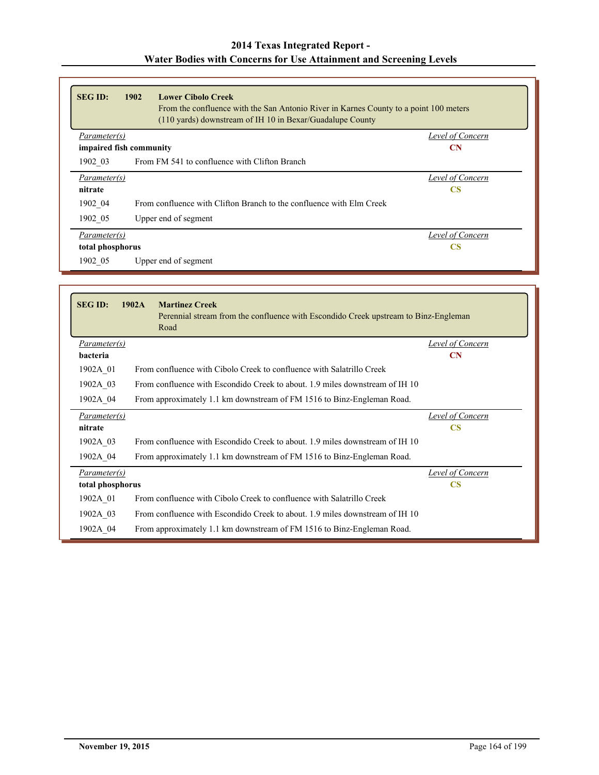| <b>SEG ID:</b>   | 1902<br><b>Lower Cibolo Creek</b><br>From the confluence with the San Antonio River in Karnes County to a point 100 meters<br>$(110 \text{ yards})$ downstream of IH 10 in Bexar/Guadalupe County |                  |
|------------------|---------------------------------------------------------------------------------------------------------------------------------------------------------------------------------------------------|------------------|
| Parameter(s)     |                                                                                                                                                                                                   | Level of Concern |
|                  | impaired fish community                                                                                                                                                                           | <b>CN</b>        |
| 1902 03          | From FM 541 to confluence with Clifton Branch                                                                                                                                                     |                  |
| Parameter(s)     |                                                                                                                                                                                                   | Level of Concern |
| nitrate          |                                                                                                                                                                                                   | <b>CS</b>        |
| 1902 04          | From confluence with Clifton Branch to the confluence with Elm Creek                                                                                                                              |                  |
| 1902 05          | Upper end of segment                                                                                                                                                                              |                  |
| Parameter(s)     |                                                                                                                                                                                                   | Level of Concern |
| total phosphorus |                                                                                                                                                                                                   | <b>CS</b>        |
| 1902 05          | Upper end of segment                                                                                                                                                                              |                  |

| <b>SEG ID:</b>   | 1902A<br><b>Martinez Creek</b><br>Perennial stream from the confluence with Escondido Creek upstream to Binz-Engleman<br>Road |                  |
|------------------|-------------------------------------------------------------------------------------------------------------------------------|------------------|
| Parameter(s)     |                                                                                                                               | Level of Concern |
| bacteria         |                                                                                                                               | <b>CN</b>        |
| 1902A 01         | From confluence with Cibolo Creek to confluence with Salatrillo Creek                                                         |                  |
| 1902A 03         | From confluence with Escondido Creek to about 1.9 miles downstream of IH 10                                                   |                  |
| 1902A 04         | From approximately 1.1 km downstream of FM 1516 to Binz-Engleman Road.                                                        |                  |
| Parameter(s)     |                                                                                                                               | Level of Concern |
| nitrate          |                                                                                                                               | <b>CS</b>        |
| 1902A 03         | From confluence with Escondido Creek to about 1.9 miles downstream of IH 10                                                   |                  |
| 1902A 04         | From approximately 1.1 km downstream of FM 1516 to Binz-Engleman Road.                                                        |                  |
| Parameter(s)     |                                                                                                                               | Level of Concern |
| total phosphorus |                                                                                                                               | <b>CS</b>        |
| 1902A 01         | From confluence with Cibolo Creek to confluence with Salatrillo Creek                                                         |                  |
| 1902A 03         | From confluence with Escondido Creek to about, 1.9 miles downstream of IH 10                                                  |                  |
| 1902A 04         | From approximately 1.1 km downstream of FM 1516 to Binz-Engleman Road.                                                        |                  |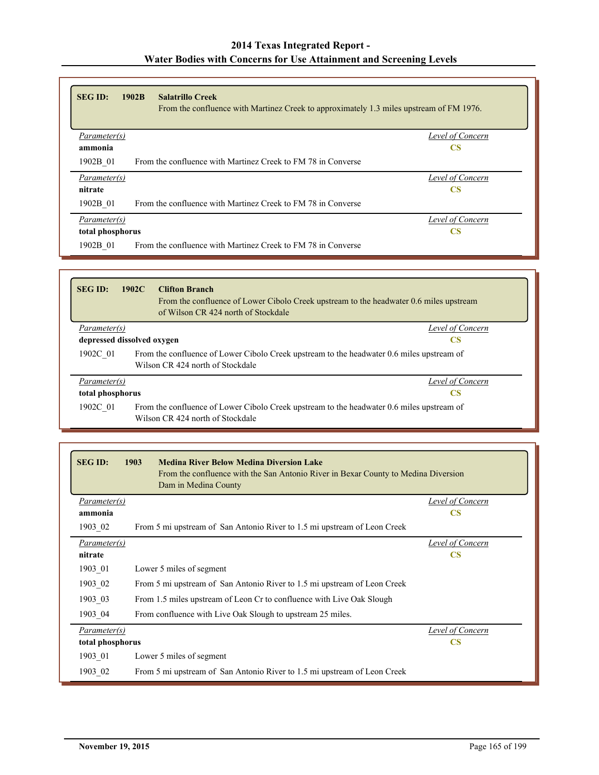| <b>SEGID:</b>    | 1902B<br><b>Salatrillo Creek</b>                             | From the confluence with Martinez Creek to approximately 1.3 miles upstream of FM 1976. |
|------------------|--------------------------------------------------------------|-----------------------------------------------------------------------------------------|
| Parameter(s)     |                                                              | Level of Concern                                                                        |
| ammonia          |                                                              | <b>CS</b>                                                                               |
| 1902B 01         | From the confluence with Martinez Creek to FM 78 in Converse |                                                                                         |
| Parameter(s)     |                                                              | Level of Concern                                                                        |
| nitrate          |                                                              | <b>CS</b>                                                                               |
| 1902B 01         | From the confluence with Martinez Creek to FM 78 in Converse |                                                                                         |
| Parameter(s)     |                                                              | Level of Concern                                                                        |
| total phosphorus |                                                              | <b>CS</b>                                                                               |
| 1902B 01         | From the confluence with Martinez Creek to FM 78 in Converse |                                                                                         |

| <b>SEG ID:</b>   | 1902C<br><b>Clifton Branch</b><br>From the confluence of Lower Cibolo Creek upstream to the headwater 0.6 miles upstream<br>of Wilson CR 424 north of Stockdale |                  |
|------------------|-----------------------------------------------------------------------------------------------------------------------------------------------------------------|------------------|
| Parameter(s)     |                                                                                                                                                                 | Level of Concern |
|                  | depressed dissolved oxygen                                                                                                                                      | <b>CS</b>        |
| 1902C 01         | From the confluence of Lower Cibolo Creek upstream to the headwater 0.6 miles upstream of<br>Wilson CR 424 north of Stockdale                                   |                  |
| Parameter(s)     |                                                                                                                                                                 | Level of Concern |
| total phosphorus |                                                                                                                                                                 | <b>CS</b>        |
| 1902C 01         | From the confluence of Lower Cibolo Creek upstream to the headwater 0.6 miles upstream of<br>Wilson CR 424 north of Stockdale                                   |                  |

| <b>SEG ID:</b>   | 1903<br><b>Medina River Below Medina Diversion Lake</b><br>From the confluence with the San Antonio River in Bexar County to Medina Diversion<br>Dam in Medina County |                  |
|------------------|-----------------------------------------------------------------------------------------------------------------------------------------------------------------------|------------------|
| Parameter(s)     |                                                                                                                                                                       | Level of Concern |
| ammonia          |                                                                                                                                                                       | <b>CS</b>        |
| 1903 02          | From 5 mi upstream of San Antonio River to 1.5 mi upstream of Leon Creek                                                                                              |                  |
| Parameter(s)     |                                                                                                                                                                       | Level of Concern |
| nitrate          |                                                                                                                                                                       | $\mathbf{CS}$    |
| 1903 01          | Lower 5 miles of segment                                                                                                                                              |                  |
| 1903 02          | From 5 mi upstream of San Antonio River to 1.5 mi upstream of Leon Creek                                                                                              |                  |
| 1903 03          | From 1.5 miles upstream of Leon Cr to confluence with Live Oak Slough                                                                                                 |                  |
| 1903 04          | From confluence with Live Oak Slough to upstream 25 miles.                                                                                                            |                  |
| Parameter(s)     |                                                                                                                                                                       | Level of Concern |
| total phosphorus |                                                                                                                                                                       | <b>CS</b>        |
| 1903 01          | Lower 5 miles of segment                                                                                                                                              |                  |
| 1903 02          | From 5 mi upstream of San Antonio River to 1.5 mi upstream of Leon Creek                                                                                              |                  |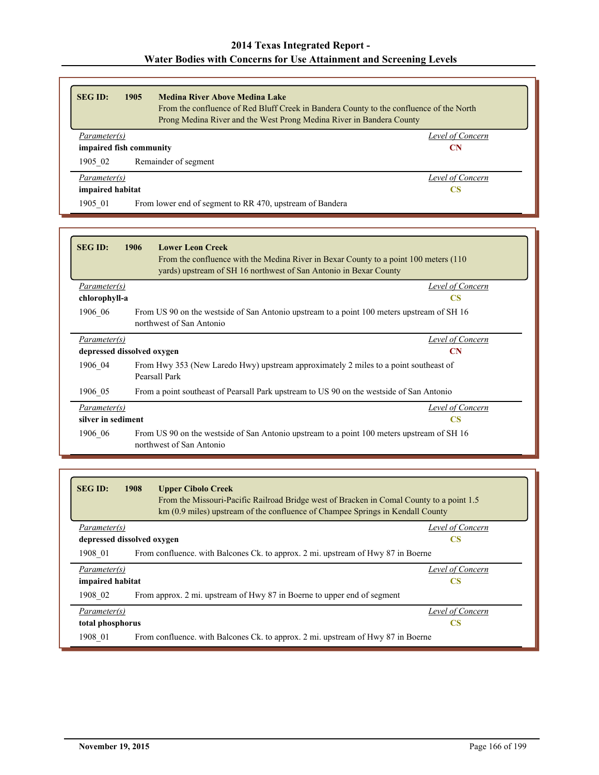| <b>SEG ID:</b>          | 1905 | <b>Medina River Above Medina Lake</b><br>From the confluence of Red Bluff Creek in Bandera County to the confluence of the North<br>Prong Medina River and the West Prong Medina River in Bandera County |                  |
|-------------------------|------|----------------------------------------------------------------------------------------------------------------------------------------------------------------------------------------------------------|------------------|
| Parameter(s)            |      |                                                                                                                                                                                                          | Level of Concern |
| impaired fish community |      |                                                                                                                                                                                                          | CN               |
| 1905 02                 |      | Remainder of segment                                                                                                                                                                                     |                  |
| Parameter(s)            |      |                                                                                                                                                                                                          | Level of Concern |
| impaired habitat        |      |                                                                                                                                                                                                          | CS               |
| 1905 01                 |      | From lower end of segment to RR 470, upstream of Bandera                                                                                                                                                 |                  |

| <b>SEG ID:</b>     | <b>Lower Leon Creek</b><br>1906<br>From the confluence with the Medina River in Bexar County to a point 100 meters (110)<br>yards) upstream of SH 16 northwest of San Antonio in Bexar County |  |
|--------------------|-----------------------------------------------------------------------------------------------------------------------------------------------------------------------------------------------|--|
| Parameter(s)       | Level of Concern                                                                                                                                                                              |  |
| chlorophyll-a      | <b>CS</b>                                                                                                                                                                                     |  |
| 1906 06            | From US 90 on the westside of San Antonio upstream to a point 100 meters upstream of SH 16<br>northwest of San Antonio                                                                        |  |
| Parameter(s)       | Level of Concern                                                                                                                                                                              |  |
|                    | depressed dissolved oxygen<br><b>CN</b>                                                                                                                                                       |  |
| 1906 04            | From Hwy 353 (New Laredo Hwy) upstream approximately 2 miles to a point southeast of<br>Pearsall Park                                                                                         |  |
| 1906 05            | From a point southeast of Pearsall Park upstream to US 90 on the westside of San Antonio                                                                                                      |  |
| Parameter(s)       | Level of Concern                                                                                                                                                                              |  |
| silver in sediment | <b>CS</b>                                                                                                                                                                                     |  |
| 1906 06            | From US 90 on the westside of San Antonio upstream to a point 100 meters upstream of SH 16<br>northwest of San Antonio                                                                        |  |

| <b>SEG ID:</b><br>1908<br><b>Upper Cibolo Creek</b><br>From the Missouri-Pacific Railroad Bridge west of Bracken in Comal County to a point 1.5<br>km (0.9 miles) upstream of the confluence of Champee Springs in Kendall County |                  |
|-----------------------------------------------------------------------------------------------------------------------------------------------------------------------------------------------------------------------------------|------------------|
| Parameter(s)                                                                                                                                                                                                                      | Level of Concern |
| depressed dissolved oxygen                                                                                                                                                                                                        |                  |
| 1908 01<br>From confluence, with Balcones Ck, to approx. 2 mi, upstream of Hwy 87 in Boerne                                                                                                                                       |                  |
| Parameter(s)                                                                                                                                                                                                                      | Level of Concern |
| impaired habitat                                                                                                                                                                                                                  | CS               |
| 1908 02<br>From approx. 2 mi. upstream of Hwy 87 in Boerne to upper end of segment                                                                                                                                                |                  |
| Parameter(s)                                                                                                                                                                                                                      | Level of Concern |
| total phosphorus                                                                                                                                                                                                                  | CS               |
| 1908 01<br>From confluence, with Balcones Ck, to approx, 2 mi, upstream of Hwy 87 in Boerne                                                                                                                                       |                  |

Г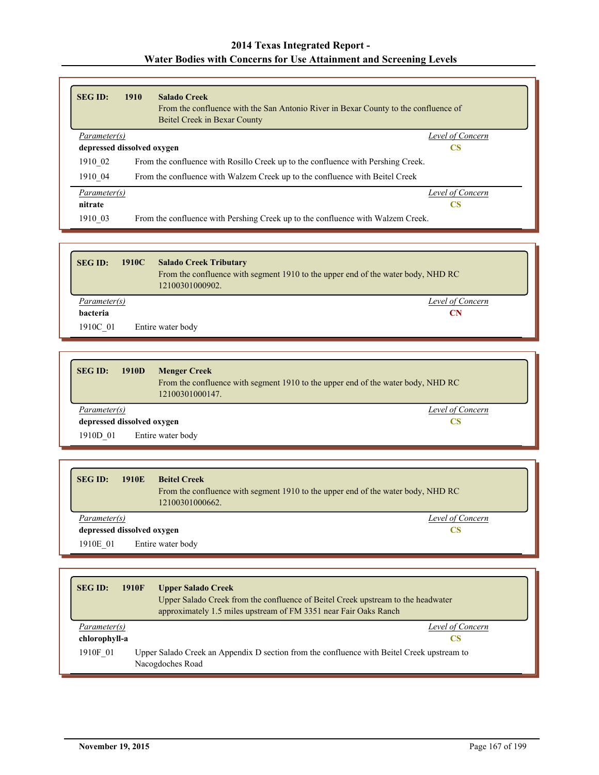| <b>SEG ID:</b>             | 1910 | <b>Salado Creek</b><br>From the confluence with the San Antonio River in Bexar County to the confluence of<br>Beitel Creek in Bexar County |                  |
|----------------------------|------|--------------------------------------------------------------------------------------------------------------------------------------------|------------------|
| Parameter(s)               |      |                                                                                                                                            | Level of Concern |
| depressed dissolved oxygen |      |                                                                                                                                            | CS               |
| 1910 02                    |      | From the confluence with Rosillo Creek up to the confluence with Pershing Creek.                                                           |                  |
| 1910 04                    |      | From the confluence with Walzem Creek up to the confluence with Beitel Creek                                                               |                  |
| Parameter(s)               |      |                                                                                                                                            | Level of Concern |
| nitrate                    |      |                                                                                                                                            | <b>CS</b>        |
| 1910 03                    |      | From the confluence with Pershing Creek up to the confluence with Walzem Creek.                                                            |                  |

| <b>SEG ID:</b> | 1910C<br><b>Salado Creek Tributary</b>                                           |                  |
|----------------|----------------------------------------------------------------------------------|------------------|
|                | From the confluence with segment 1910 to the upper end of the water body, NHD RC |                  |
|                | 12100301000902.                                                                  |                  |
| Parameter(s)   |                                                                                  | Level of Concern |
| bacteria       |                                                                                  | CN               |
| 1910C 01       | Entire water body                                                                |                  |

| <b>SEG ID:</b><br>1910D    | <b>Menger Creek</b><br>From the confluence with segment 1910 to the upper end of the water body, NHD RC<br>12100301000147. |  |
|----------------------------|----------------------------------------------------------------------------------------------------------------------------|--|
| Parameter(s)               | Level of Concern                                                                                                           |  |
| depressed dissolved oxygen | CS                                                                                                                         |  |
| 1910D 01                   | Entire water body                                                                                                          |  |

| <b>SEGID:</b><br>1910E     | <b>Beitel Creek</b>                                                              |                  |
|----------------------------|----------------------------------------------------------------------------------|------------------|
|                            | From the confluence with segment 1910 to the upper end of the water body, NHD RC |                  |
|                            | 12100301000662.                                                                  |                  |
| Parameter(s)               |                                                                                  | Level of Concern |
| depressed dissolved oxygen |                                                                                  | CS               |
| 1910E 01                   | Entire water body                                                                |                  |

| <b>SEG ID:</b> | 1910F | <b>Upper Salado Creek</b><br>Upper Salado Creek from the confluence of Beitel Creek upstream to the headwater<br>approximately 1.5 miles upstream of FM 3351 near Fair Oaks Ranch |
|----------------|-------|-----------------------------------------------------------------------------------------------------------------------------------------------------------------------------------|
| Parameter(s)   |       | Level of Concern                                                                                                                                                                  |
| chlorophyll-a  |       | CS                                                                                                                                                                                |
| 1910F 01       |       | Upper Salado Creek an Appendix D section from the confluence with Beitel Creek upstream to<br>Nacogdoches Road                                                                    |

Г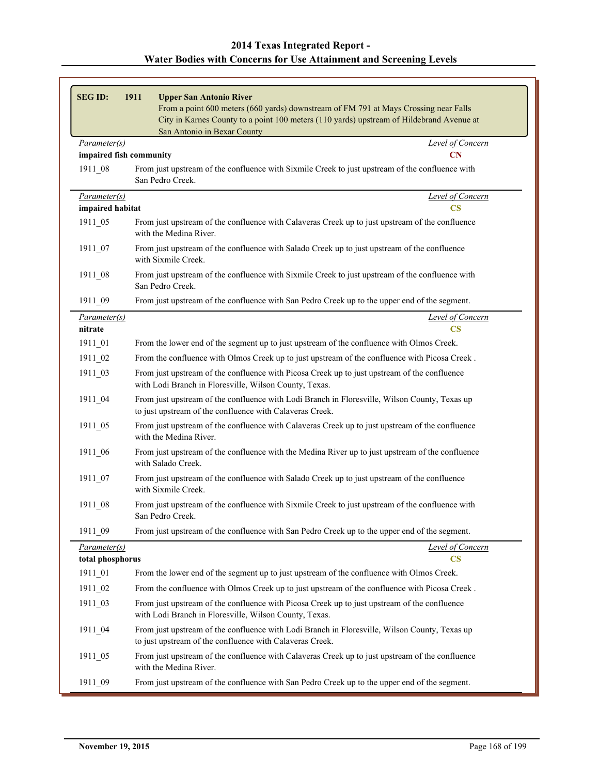| 2014 Texas Integrated Report -                                     |
|--------------------------------------------------------------------|
| Water Bodies with Concerns for Use Attainment and Screening Levels |

| <b>SEGID:</b>       | 1911<br><b>Upper San Antonio River</b><br>From a point 600 meters (660 yards) downstream of FM 791 at Mays Crossing near Falls<br>City in Karnes County to a point 100 meters (110 yards) upstream of Hildebrand Avenue at<br>San Antonio in Bexar County |
|---------------------|-----------------------------------------------------------------------------------------------------------------------------------------------------------------------------------------------------------------------------------------------------------|
| Parameter(s)        | Level of Concern                                                                                                                                                                                                                                          |
|                     | impaired fish community<br>CN                                                                                                                                                                                                                             |
| 1911 08             | From just upstream of the confluence with Sixmile Creek to just upstream of the confluence with<br>San Pedro Creek.                                                                                                                                       |
| <i>Parameter(s)</i> | Level of Concern                                                                                                                                                                                                                                          |
| impaired habitat    | $\overline{\text{CS}}$                                                                                                                                                                                                                                    |
| 1911 05             | From just upstream of the confluence with Calaveras Creek up to just upstream of the confluence<br>with the Medina River.                                                                                                                                 |
| 1911_07             | From just upstream of the confluence with Salado Creek up to just upstream of the confluence<br>with Sixmile Creek.                                                                                                                                       |
| 1911 08             | From just upstream of the confluence with Sixmile Creek to just upstream of the confluence with<br>San Pedro Creek.                                                                                                                                       |
| 1911_09             | From just upstream of the confluence with San Pedro Creek up to the upper end of the segment.                                                                                                                                                             |
| Parameter(s)        | Level of Concern                                                                                                                                                                                                                                          |
| nitrate             | $\mathbf{CS}$                                                                                                                                                                                                                                             |
| 1911_01             | From the lower end of the segment up to just upstream of the confluence with Olmos Creek.                                                                                                                                                                 |
| 1911_02             | From the confluence with Olmos Creek up to just upstream of the confluence with Picosa Creek.                                                                                                                                                             |
| 1911 03             | From just upstream of the confluence with Picosa Creek up to just upstream of the confluence<br>with Lodi Branch in Floresville, Wilson County, Texas.                                                                                                    |
| 1911 04             | From just upstream of the confluence with Lodi Branch in Floresville, Wilson County, Texas up<br>to just upstream of the confluence with Calaveras Creek.                                                                                                 |
| $1911 - 05$         | From just upstream of the confluence with Calaveras Creek up to just upstream of the confluence<br>with the Medina River.                                                                                                                                 |
| 1911_06             | From just upstream of the confluence with the Medina River up to just upstream of the confluence<br>with Salado Creek.                                                                                                                                    |
| 1911 07             | From just upstream of the confluence with Salado Creek up to just upstream of the confluence<br>with Sixmile Creek.                                                                                                                                       |
| 1911_08             | From just upstream of the confluence with Sixmile Creek to just upstream of the confluence with<br>San Pedro Creek.                                                                                                                                       |
| 1911 09             | From just upstream of the confluence with San Pedro Creek up to the upper end of the segment.                                                                                                                                                             |
| Parameter(s)        | Level of Concern                                                                                                                                                                                                                                          |
| total phosphorus    | $\mathbf{CS}$                                                                                                                                                                                                                                             |
| 1911 01             | From the lower end of the segment up to just upstream of the confluence with Olmos Creek.                                                                                                                                                                 |
| 1911_02             | From the confluence with Olmos Creek up to just upstream of the confluence with Picosa Creek.                                                                                                                                                             |
| 1911 03             | From just upstream of the confluence with Picosa Creek up to just upstream of the confluence<br>with Lodi Branch in Floresville, Wilson County, Texas.                                                                                                    |
| 1911 04             | From just upstream of the confluence with Lodi Branch in Floresville, Wilson County, Texas up<br>to just upstream of the confluence with Calaveras Creek.                                                                                                 |
| 1911_05             | From just upstream of the confluence with Calaveras Creek up to just upstream of the confluence<br>with the Medina River.                                                                                                                                 |
| 1911_09             | From just upstream of the confluence with San Pedro Creek up to the upper end of the segment.                                                                                                                                                             |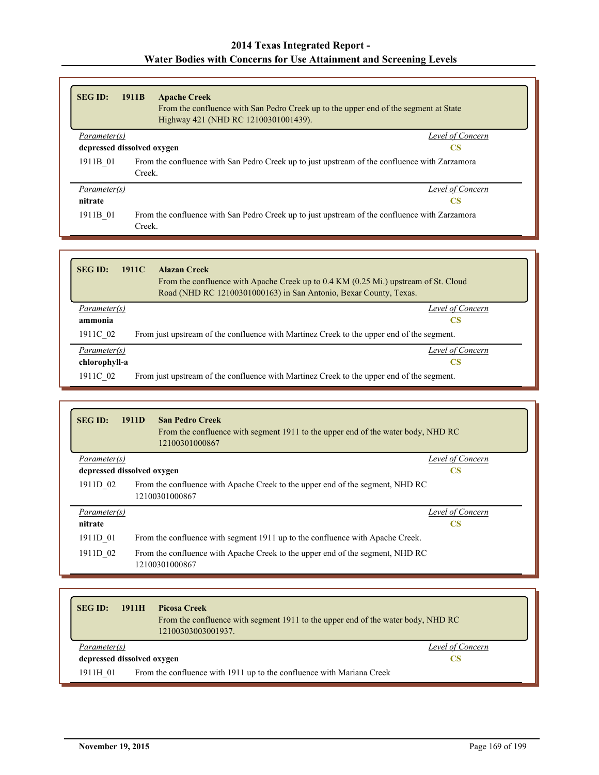| <b>SEG ID:</b> | 1911 <sub>B</sub><br><b>Apache Creek</b><br>From the confluence with San Pedro Creek up to the upper end of the segment at State<br>Highway 421 (NHD RC 12100301001439). |                  |
|----------------|--------------------------------------------------------------------------------------------------------------------------------------------------------------------------|------------------|
| Parameter(s)   |                                                                                                                                                                          | Level of Concern |
|                | depressed dissolved oxygen<br>CS                                                                                                                                         |                  |
| 1911B 01       | From the confluence with San Pedro Creek up to just upstream of the confluence with Zarzamora<br>Creek.                                                                  |                  |
| Parameter(s)   |                                                                                                                                                                          | Level of Concern |
| nitrate        |                                                                                                                                                                          | <b>CS</b>        |
| 1911B 01       | From the confluence with San Pedro Creek up to just upstream of the confluence with Zarzamora<br>Creek.                                                                  |                  |

| <b>SEG ID:</b> | 1911C<br><b>Alazan Creek</b><br>From the confluence with Apache Creek up to 0.4 KM (0.25 Mi.) upstream of St. Cloud<br>Road (NHD RC 12100301000163) in San Antonio, Bexar County, Texas. |
|----------------|------------------------------------------------------------------------------------------------------------------------------------------------------------------------------------------|
| Parameter(s)   | Level of Concern                                                                                                                                                                         |
| ammonia        | CS.                                                                                                                                                                                      |
| 1911C 02       | From just upstream of the confluence with Martinez Creek to the upper end of the segment.                                                                                                |
| Parameter(s)   | Level of Concern                                                                                                                                                                         |
| chlorophyll-a  | CS.                                                                                                                                                                                      |
| 1911C 02       | From just upstream of the confluence with Martinez Creek to the upper end of the segment.                                                                                                |

| <b>SEG ID:</b>             | 1911 <sub>D</sub><br><b>San Pedro Creek</b><br>From the confluence with segment 1911 to the upper end of the water body, NHD RC<br>12100301000867 |  |
|----------------------------|---------------------------------------------------------------------------------------------------------------------------------------------------|--|
| Parameter(s)               | Level of Concern                                                                                                                                  |  |
| depressed dissolved oxygen | <b>CS</b>                                                                                                                                         |  |
| 1911D 02                   | From the confluence with Apache Creek to the upper end of the segment, NHD RC<br>12100301000867                                                   |  |
| Parameter(s)               | Level of Concern                                                                                                                                  |  |
| nitrate                    | <b>CS</b>                                                                                                                                         |  |
| 1911D 01                   | From the confluence with segment 1911 up to the confluence with Apache Creek.                                                                     |  |
| 1911D 02                   | From the confluence with Apache Creek to the upper end of the segment, NHD RC<br>12100301000867                                                   |  |

| <b>SEG ID:</b> | 1911H                                   | <b>Picosa Creek</b><br>From the confluence with segment 1911 to the upper end of the water body, NHD RC<br>12100303003001937. |  |
|----------------|-----------------------------------------|-------------------------------------------------------------------------------------------------------------------------------|--|
|                | <i>Parameter(s)</i><br>Level of Concern |                                                                                                                               |  |
|                | depressed dissolved oxygen<br>CS        |                                                                                                                               |  |
| 1911H 01       |                                         | From the confluence with 1911 up to the confluence with Mariana Creek                                                         |  |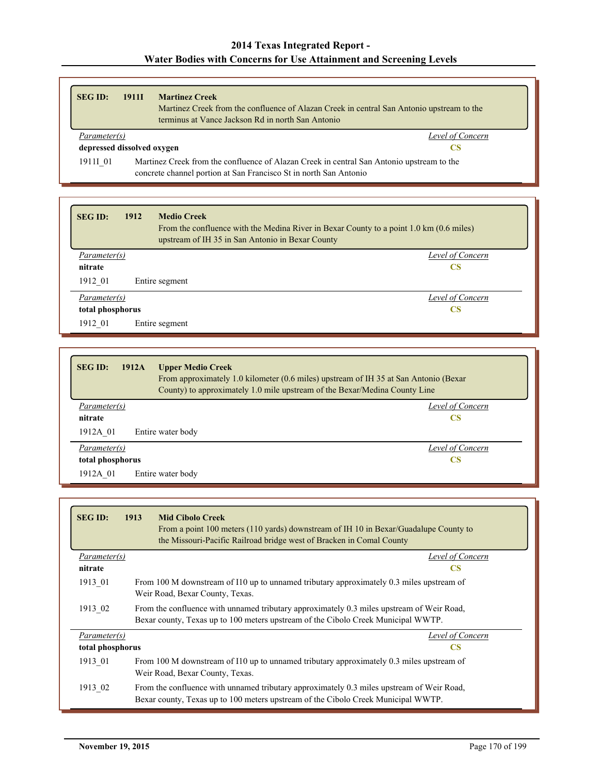| <b>SEG ID:</b>                   | 1911 <sub>I</sub>                                                                                                                                              | <b>Martinez Creek</b><br>Martinez Creek from the confluence of Alazan Creek in central San Antonio upstream to the<br>terminus at Vance Jackson Rd in north San Antonio |  |
|----------------------------------|----------------------------------------------------------------------------------------------------------------------------------------------------------------|-------------------------------------------------------------------------------------------------------------------------------------------------------------------------|--|
|                                  | Level of Concern<br>Parameter(s)                                                                                                                               |                                                                                                                                                                         |  |
| depressed dissolved oxygen<br>CS |                                                                                                                                                                |                                                                                                                                                                         |  |
| 19111 01                         | Martinez Creek from the confluence of Alazan Creek in central San Antonio upstream to the<br>concrete channel portion at San Francisco St in north San Antonio |                                                                                                                                                                         |  |

| <b>SEG ID:</b>      | 1912<br><b>Medio Creek</b><br>upstream of IH 35 in San Antonio in Bexar County | From the confluence with the Medina River in Bexar County to a point 1.0 km (0.6 miles) |
|---------------------|--------------------------------------------------------------------------------|-----------------------------------------------------------------------------------------|
| Parameter(s)        |                                                                                | Level of Concern                                                                        |
| nitrate             |                                                                                | CS                                                                                      |
| 1912 01             | Entire segment                                                                 |                                                                                         |
| <i>Parameter(s)</i> |                                                                                | Level of Concern                                                                        |
| total phosphorus    |                                                                                | CS                                                                                      |
| 1912 01             | Entire segment                                                                 |                                                                                         |

| <b>SEG ID:</b><br>1912A | <b>Upper Medio Creek</b><br>From approximately 1.0 kilometer (0.6 miles) upstream of IH 35 at San Antonio (Bexar<br>County) to approximately 1.0 mile upstream of the Bexar/Medina County Line |
|-------------------------|------------------------------------------------------------------------------------------------------------------------------------------------------------------------------------------------|
| Parameter(s)            | Level of Concern                                                                                                                                                                               |
| nitrate                 | CS                                                                                                                                                                                             |
| 1912A 01                | Entire water body                                                                                                                                                                              |
| Parameter(s)            | Level of Concern                                                                                                                                                                               |
| total phosphorus        | CS                                                                                                                                                                                             |
| 1912A 01                | Entire water body                                                                                                                                                                              |

| <b>SEG ID:</b>   | 1913<br><b>Mid Cibolo Creek</b><br>From a point 100 meters (110 yards) downstream of IH 10 in Bexar/Guadalupe County to<br>the Missouri-Pacific Railroad bridge west of Bracken in Comal County |
|------------------|-------------------------------------------------------------------------------------------------------------------------------------------------------------------------------------------------|
| Parameter(s)     | Level of Concern                                                                                                                                                                                |
| nitrate          | <b>CS</b>                                                                                                                                                                                       |
| 1913 01          | From 100 M downstream of 110 up to unnamed tributary approximately 0.3 miles upstream of<br>Weir Road, Bexar County, Texas.                                                                     |
| 1913 02          | From the confluence with unnamed tributary approximately 0.3 miles upstream of Weir Road,<br>Bexar county, Texas up to 100 meters upstream of the Cibolo Creek Municipal WWTP.                  |
| Parameter(s)     | Level of Concern                                                                                                                                                                                |
| total phosphorus | <b>CS</b>                                                                                                                                                                                       |
| 1913 01          | From 100 M downstream of 110 up to unnamed tributary approximately 0.3 miles upstream of<br>Weir Road, Bexar County, Texas.                                                                     |
| 1913 02          | From the confluence with unnamed tributary approximately 0.3 miles upstream of Weir Road,<br>Bexar county, Texas up to 100 meters upstream of the Cibolo Creek Municipal WWTP.                  |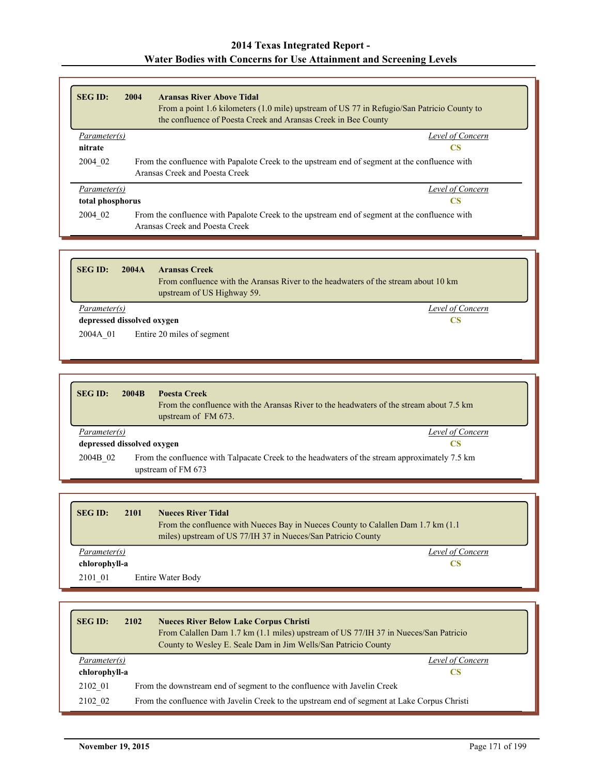| <b>SEG ID:</b>   | 2004             | <b>Aransas River Above Tidal</b><br>From a point 1.6 kilometers (1.0 mile) upstream of US 77 in Refugio/San Patricio County to<br>the confluence of Poesta Creek and Aransas Creek in Bee County |  |
|------------------|------------------|--------------------------------------------------------------------------------------------------------------------------------------------------------------------------------------------------|--|
| Parameter(s)     | Level of Concern |                                                                                                                                                                                                  |  |
| nitrate          |                  | CS.                                                                                                                                                                                              |  |
| 2004 02          |                  | From the confluence with Papalote Creek to the upstream end of segment at the confluence with<br>Aransas Creek and Poesta Creek                                                                  |  |
| Parameter(s)     |                  | Level of Concern                                                                                                                                                                                 |  |
| total phosphorus |                  | CS                                                                                                                                                                                               |  |
| 2004 02          |                  | From the confluence with Papalote Creek to the upstream end of segment at the confluence with<br>Aransas Creek and Poesta Creek                                                                  |  |

| <b>SEG ID:</b>             | 2004A | <b>Aransas Creek</b><br>From confluence with the Aransas River to the headwaters of the stream about 10 km<br>upstream of US Highway 59. |
|----------------------------|-------|------------------------------------------------------------------------------------------------------------------------------------------|
| Parameter(s)               |       | Level of Concern                                                                                                                         |
| depressed dissolved oxygen |       |                                                                                                                                          |
| 2004A 01                   |       | Entire 20 miles of segment                                                                                                               |

| <b>SEG ID:</b>             | 2004B | Poesta Creek<br>From the confluence with the Aransas River to the headwaters of the stream about 7.5 km<br>upstream of FM 673. |  |
|----------------------------|-------|--------------------------------------------------------------------------------------------------------------------------------|--|
| Parameter(s)               |       | Level of Concern                                                                                                               |  |
| depressed dissolved oxygen |       | CS                                                                                                                             |  |
| 2004B 02                   |       | From the confluence with Talpacate Creek to the headwaters of the stream approximately 7.5 km<br>upstream of FM 673            |  |

| <b>SEG ID:</b> | 2101 | <b>Nueces River Tidal</b><br>From the confluence with Nueces Bay in Nueces County to Calallen Dam 1.7 km (1.1)<br>miles) upstream of US 77/IH 37 in Nueces/San Patricio County |
|----------------|------|--------------------------------------------------------------------------------------------------------------------------------------------------------------------------------|
| Parameter(s)   |      | Level of Concern                                                                                                                                                               |
| chlorophyll-a  |      | CS                                                                                                                                                                             |
| 2101 01        |      | Entire Water Body                                                                                                                                                              |

| <b>SEG ID:</b> | 2102<br><b>Nueces River Below Lake Corpus Christi</b>                   | From Calallen Dam 1.7 km (1.1 miles) upstream of US 77/IH 37 in Nueces/San Patricio<br>County to Wesley E. Seale Dam in Jim Wells/San Patricio County |
|----------------|-------------------------------------------------------------------------|-------------------------------------------------------------------------------------------------------------------------------------------------------|
| Parameter(s)   |                                                                         | Level of Concern                                                                                                                                      |
| chlorophyll-a  |                                                                         | CS                                                                                                                                                    |
| 2102 01        | From the downstream end of segment to the confluence with Javelin Creek |                                                                                                                                                       |
| 2102 02        |                                                                         | From the confluence with Javelin Creek to the upstream end of segment at Lake Corpus Christi                                                          |

Г

г

Ъ

ī.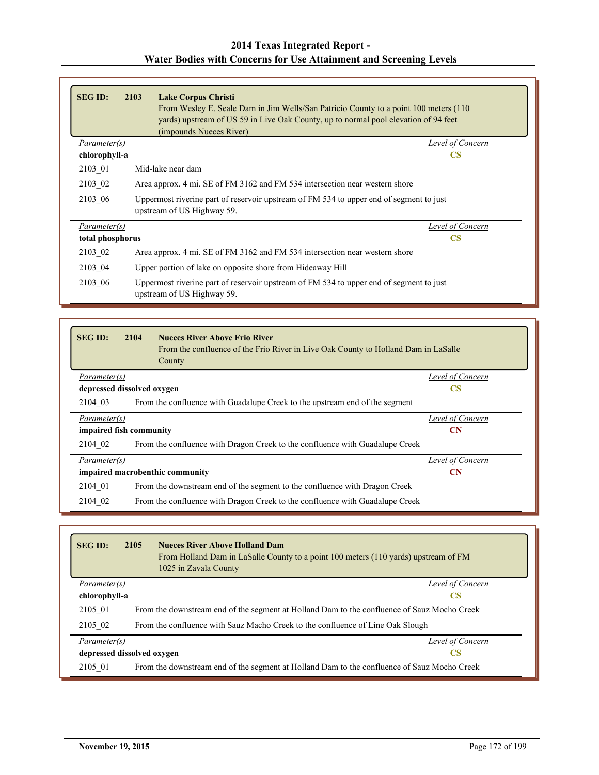| <b>SEG ID:</b>   | 2103<br><b>Lake Corpus Christi</b><br>From Wesley E. Seale Dam in Jim Wells/San Patricio County to a point 100 meters (110)<br>yards) upstream of US 59 in Live Oak County, up to normal pool elevation of 94 feet<br>(impounds Nueces River) |                        |
|------------------|-----------------------------------------------------------------------------------------------------------------------------------------------------------------------------------------------------------------------------------------------|------------------------|
| Parameter(s)     |                                                                                                                                                                                                                                               | Level of Concern       |
| chlorophyll-a    |                                                                                                                                                                                                                                               | <b>CS</b>              |
| 2103 01          | Mid-lake near dam                                                                                                                                                                                                                             |                        |
| 2103 02          | Area approx. 4 mi. SE of FM 3162 and FM 534 intersection near western shore                                                                                                                                                                   |                        |
| 2103 06          | Uppermost riverine part of reservoir upstream of FM 534 to upper end of segment to just<br>upstream of US Highway 59.                                                                                                                         |                        |
| Parameter(s)     |                                                                                                                                                                                                                                               | Level of Concern       |
| total phosphorus |                                                                                                                                                                                                                                               | $\overline{\text{CS}}$ |
| 2103 02          | Area approx. 4 mi. SE of FM 3162 and FM 534 intersection near western shore                                                                                                                                                                   |                        |
| 2103 04          | Upper portion of lake on opposite shore from Hideaway Hill                                                                                                                                                                                    |                        |
| 2103 06          | Uppermost riverine part of reservoir upstream of FM 534 to upper end of segment to just<br>upstream of US Highway 59.                                                                                                                         |                        |

| <b>SEG ID:</b>             | 2104<br><b>Nueces River Above Frio River</b><br>From the confluence of the Frio River in Live Oak County to Holland Dam in LaSalle<br>County |                  |
|----------------------------|----------------------------------------------------------------------------------------------------------------------------------------------|------------------|
| Parameter(s)               |                                                                                                                                              | Level of Concern |
| depressed dissolved oxygen |                                                                                                                                              | <b>CS</b>        |
| 2104 03                    | From the confluence with Guadalupe Creek to the upstream end of the segment                                                                  |                  |
| Parameter(s)               |                                                                                                                                              | Level of Concern |
| impaired fish community    |                                                                                                                                              | <b>CN</b>        |
| 2104 02                    | From the confluence with Dragon Creek to the confluence with Guadalupe Creek                                                                 |                  |
| Parameter(s)               |                                                                                                                                              | Level of Concern |
|                            | impaired macrobenthic community                                                                                                              | <b>CN</b>        |
| 2104 01                    | From the downstream end of the segment to the confluence with Dragon Creek                                                                   |                  |
| 2104 02                    | From the confluence with Dragon Creek to the confluence with Guadalupe Creek                                                                 |                  |

| <b>SEG ID:</b>                   | 2105<br><b>Nueces River Above Holland Dam</b><br>From Holland Dam in LaSalle County to a point 100 meters (110 yards) upstream of FM<br>1025 in Zavala County |                  |
|----------------------------------|---------------------------------------------------------------------------------------------------------------------------------------------------------------|------------------|
| Parameter(s)                     |                                                                                                                                                               | Level of Concern |
| chlorophyll-a                    |                                                                                                                                                               | <b>CS</b>        |
| 2105 01                          | From the downstream end of the segment at Holland Dam to the confluence of Sauz Mocho Creek                                                                   |                  |
| 2105 02                          | From the confluence with Sauz Macho Creek to the confluence of Line Oak Slough                                                                                |                  |
| Parameter(s)                     |                                                                                                                                                               | Level of Concern |
| depressed dissolved oxygen<br>CS |                                                                                                                                                               |                  |
| 2105 01                          | From the downstream end of the segment at Holland Dam to the confluence of Sauz Mocho Creek                                                                   |                  |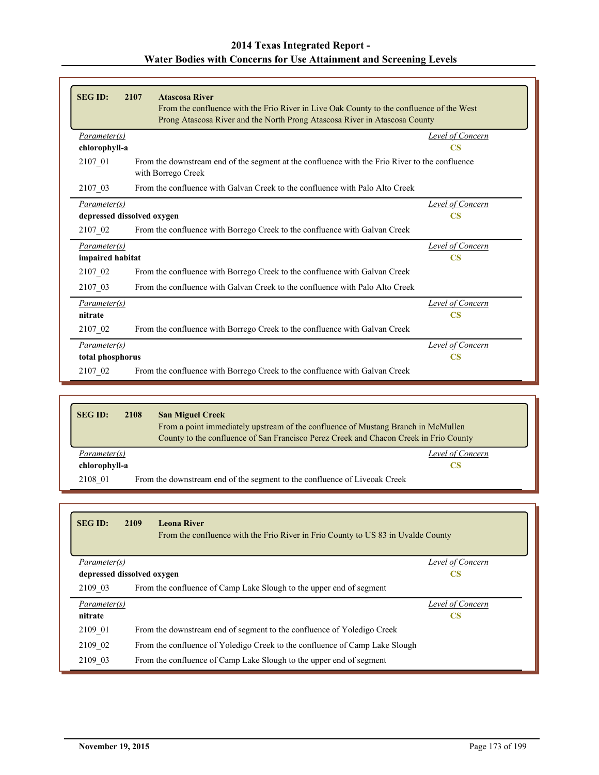| <b>SEG ID:</b>             | 2107<br><b>Atascosa River</b><br>From the confluence with the Frio River in Live Oak County to the confluence of the West<br>Prong Atascosa River and the North Prong Atascosa River in Atascosa County |                         |
|----------------------------|---------------------------------------------------------------------------------------------------------------------------------------------------------------------------------------------------------|-------------------------|
| Parameter(s)               |                                                                                                                                                                                                         | Level of Concern        |
| chlorophyll-a              |                                                                                                                                                                                                         | $\overline{\text{CS}}$  |
| 2107_01                    | From the downstream end of the segment at the confluence with the Frio River to the confluence<br>with Borrego Creek                                                                                    |                         |
| 2107_03                    | From the confluence with Galvan Creek to the confluence with Palo Alto Creek                                                                                                                            |                         |
| Parameter(s)               |                                                                                                                                                                                                         | <b>Level of Concern</b> |
| depressed dissolved oxygen |                                                                                                                                                                                                         | $\overline{\text{CS}}$  |
| 2107 02                    | From the confluence with Borrego Creek to the confluence with Galvan Creek                                                                                                                              |                         |
| Parameter(s)               |                                                                                                                                                                                                         | Level of Concern        |
| impaired habitat           |                                                                                                                                                                                                         | $\overline{\text{CS}}$  |
| 2107_02                    | From the confluence with Borrego Creek to the confluence with Galvan Creek                                                                                                                              |                         |
| 2107 03                    | From the confluence with Galvan Creek to the confluence with Palo Alto Creek                                                                                                                            |                         |
| Parameter(s)               |                                                                                                                                                                                                         | <b>Level of Concern</b> |
| nitrate                    |                                                                                                                                                                                                         | CS                      |
| 2107_02                    | From the confluence with Borrego Creek to the confluence with Galvan Creek                                                                                                                              |                         |
| Parameter(s)               |                                                                                                                                                                                                         | Level of Concern        |
| total phosphorus           |                                                                                                                                                                                                         | $\overline{\text{CS}}$  |
| 2107_02                    | From the confluence with Borrego Creek to the confluence with Galvan Creek                                                                                                                              |                         |

| <b>SEG ID:</b> | 2108 | <b>San Miguel Creek</b><br>From a point immediately upstream of the confluence of Mustang Branch in McMullen<br>County to the confluence of San Francisco Perez Creek and Chacon Creek in Frio County |
|----------------|------|-------------------------------------------------------------------------------------------------------------------------------------------------------------------------------------------------------|
| Parameter(s)   |      | Level of Concern                                                                                                                                                                                      |
| chlorophyll-a  |      | CS                                                                                                                                                                                                    |
| 2108 01        |      | From the downstream end of the segment to the confluence of Liveoak Creek                                                                                                                             |

| <b>SEG ID:</b> | 2109<br><b>Leona River</b><br>From the confluence with the Frio River in Frio County to US 83 in Uvalde County |                  |
|----------------|----------------------------------------------------------------------------------------------------------------|------------------|
| Parameter(s)   |                                                                                                                | Level of Concern |
|                | depressed dissolved oxygen                                                                                     | <b>CS</b>        |
| 2109 03        | From the confluence of Camp Lake Slough to the upper end of segment                                            |                  |
| Parameter(s)   |                                                                                                                | Level of Concern |
| nitrate        |                                                                                                                | <b>CS</b>        |
| 2109 01        | From the downstream end of segment to the confluence of Yoledigo Creek                                         |                  |
| 2109 02        | From the confluence of Yoledigo Creek to the confluence of Camp Lake Slough                                    |                  |
| 2109 03        | From the confluence of Camp Lake Slough to the upper end of segment                                            |                  |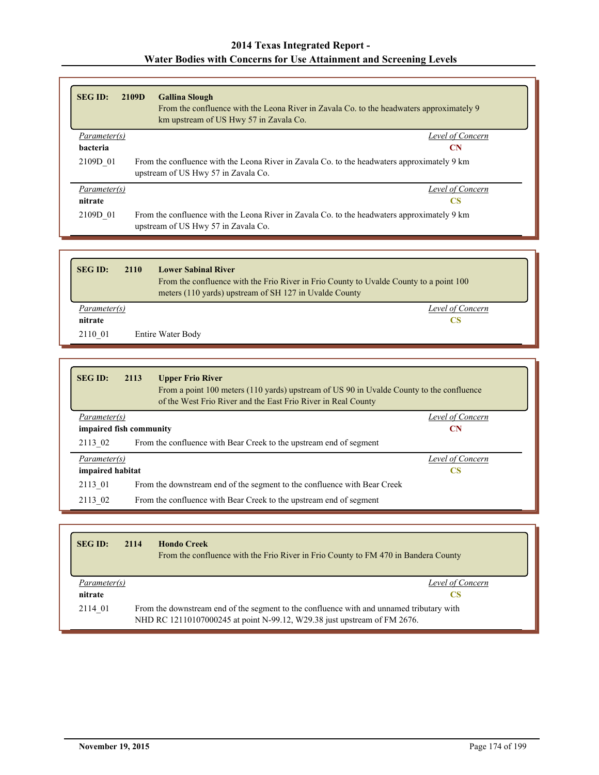| <b>SEG ID:</b>  | <b>2109D</b><br><b>Gallina Slough</b><br>From the confluence with the Leona River in Zavala Co. to the headwaters approximately 9<br>km upstream of US Hwy 57 in Zavala Co. |                  |
|-----------------|-----------------------------------------------------------------------------------------------------------------------------------------------------------------------------|------------------|
| Parameter(s)    |                                                                                                                                                                             | Level of Concern |
| <b>bacteria</b> |                                                                                                                                                                             | CN               |
| 2109D 01        | From the confluence with the Leona River in Zavala Co. to the headwaters approximately 9 km<br>upstream of US Hwy 57 in Zavala Co.                                          |                  |
| Parameter(s)    |                                                                                                                                                                             | Level of Concern |
| nitrate         |                                                                                                                                                                             | CS               |
| 2109D 01        | From the confluence with the Leona River in Zavala Co. to the headwaters approximately 9 km<br>upstream of US Hwy 57 in Zavala Co.                                          |                  |

| <b>SEG ID:</b> | 2110<br><b>Lower Sabinal River</b> | From the confluence with the Frio River in Frio County to Uvalde County to a point 100<br>meters (110 yards) upstream of SH 127 in Uvalde County |
|----------------|------------------------------------|--------------------------------------------------------------------------------------------------------------------------------------------------|
| Parameter(s)   |                                    | Level of Concern                                                                                                                                 |
| nitrate        |                                    | CS                                                                                                                                               |
| 2110 01        | Entire Water Body                  |                                                                                                                                                  |

| <b>SEG ID:</b>          | 2113 | <b>Upper Frio River</b><br>From a point 100 meters (110 yards) upstream of US 90 in Uvalde County to the confluence<br>of the West Frio River and the East Frio River in Real County |                  |
|-------------------------|------|--------------------------------------------------------------------------------------------------------------------------------------------------------------------------------------|------------------|
| Parameter(s)            |      |                                                                                                                                                                                      | Level of Concern |
| impaired fish community |      |                                                                                                                                                                                      | <b>CN</b>        |
| 2113 02                 |      | From the confluence with Bear Creek to the upstream end of segment                                                                                                                   |                  |
| Parameter(s)            |      |                                                                                                                                                                                      | Level of Concern |
| impaired habitat        |      |                                                                                                                                                                                      | <b>CS</b>        |
| 2113 01                 |      | From the downstream end of the segment to the confluence with Bear Creek                                                                                                             |                  |
| 2113 02                 |      | From the confluence with Bear Creek to the upstream end of segment                                                                                                                   |                  |

| <b>SEG ID:</b> | <b>Hondo Creek</b><br>2114<br>From the confluence with the Frio River in Frio County to FM 470 in Bandera County                                                     |
|----------------|----------------------------------------------------------------------------------------------------------------------------------------------------------------------|
| Parameter(s)   | Level of Concern                                                                                                                                                     |
| nitrate        | CS                                                                                                                                                                   |
| 2114 01        | From the downstream end of the segment to the confluence with and unnamed tributary with<br>NHD RC 12110107000245 at point N-99.12, W29.38 just upstream of FM 2676. |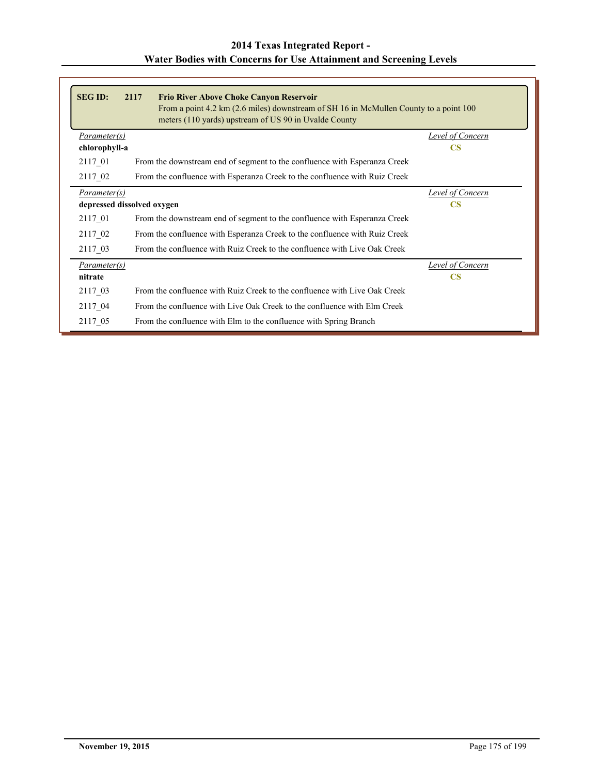| <b>SEG ID:</b>             | 2117<br><b>Frio River Above Choke Canyon Reservoir</b><br>From a point 4.2 km (2.6 miles) downstream of SH 16 in McMullen County to a point 100<br>meters (110 yards) upstream of US 90 in Uvalde County |                        |
|----------------------------|----------------------------------------------------------------------------------------------------------------------------------------------------------------------------------------------------------|------------------------|
| Parameter(s)               |                                                                                                                                                                                                          | Level of Concern       |
| chlorophyll-a              |                                                                                                                                                                                                          | <b>CS</b>              |
| 2117_01                    | From the downstream end of segment to the confluence with Esperanza Creek                                                                                                                                |                        |
| 2117 02                    | From the confluence with Esperanza Creek to the confluence with Ruiz Creek                                                                                                                               |                        |
| Parameter(s)               |                                                                                                                                                                                                          | Level of Concern       |
| depressed dissolved oxygen |                                                                                                                                                                                                          | $\overline{\text{CS}}$ |
| 2117 01                    | From the downstream end of segment to the confluence with Esperanza Creek                                                                                                                                |                        |
| 2117 02                    | From the confluence with Esperanza Creek to the confluence with Ruiz Creek                                                                                                                               |                        |
| 2117 03                    | From the confluence with Ruiz Creek to the confluence with Live Oak Creek                                                                                                                                |                        |
| <i>Parameter(s)</i>        |                                                                                                                                                                                                          | Level of Concern       |
| nitrate                    |                                                                                                                                                                                                          | <b>CS</b>              |
| 2117 03                    | From the confluence with Ruiz Creek to the confluence with Live Oak Creek                                                                                                                                |                        |
| 2117 04                    | From the confluence with Live Oak Creek to the confluence with Elm Creek                                                                                                                                 |                        |
| 2117_05                    | From the confluence with Elm to the confluence with Spring Branch                                                                                                                                        |                        |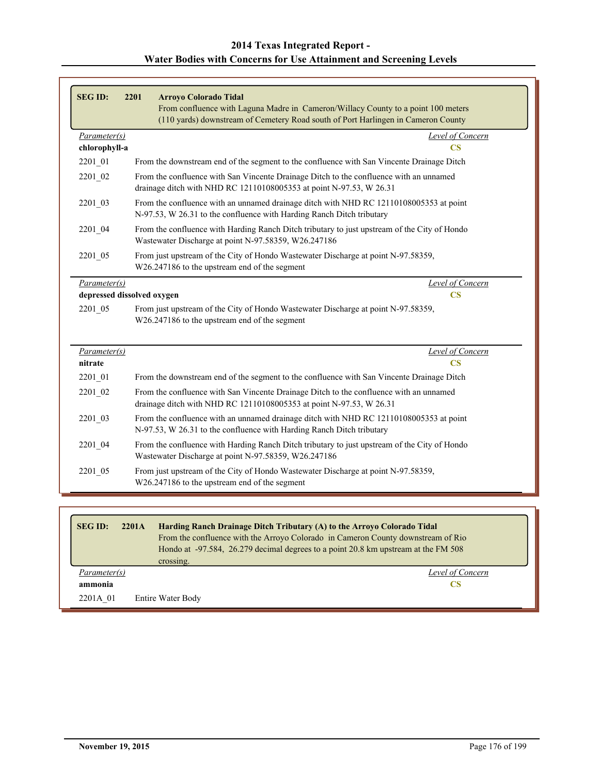|                               | From confluence with Laguna Madre in Cameron/Willacy County to a point 100 meters<br>(110 yards) downstream of Cemetery Road south of Port Harlingen in Cameron County |                                                   |
|-------------------------------|------------------------------------------------------------------------------------------------------------------------------------------------------------------------|---------------------------------------------------|
| Parameter(s)<br>chlorophyll-a |                                                                                                                                                                        | <b>Level of Concern</b><br>$\overline{\text{CS}}$ |
| 2201 01                       | From the downstream end of the segment to the confluence with San Vincente Drainage Ditch                                                                              |                                                   |
| 2201 02                       | From the confluence with San Vincente Drainage Ditch to the confluence with an unnamed<br>drainage ditch with NHD RC 12110108005353 at point N-97.53, W 26.31          |                                                   |
| 2201_03                       | From the confluence with an unnamed drainage ditch with NHD RC 12110108005353 at point<br>N-97.53, W 26.31 to the confluence with Harding Ranch Ditch tributary        |                                                   |
| 2201 04                       | From the confluence with Harding Ranch Ditch tributary to just upstream of the City of Hondo<br>Wastewater Discharge at point N-97.58359, W26.247186                   |                                                   |
| 2201 05                       | From just upstream of the City of Hondo Wastewater Discharge at point N-97.58359,<br>W26.247186 to the upstream end of the segment                                     |                                                   |
|                               |                                                                                                                                                                        |                                                   |
|                               |                                                                                                                                                                        | Level of Concern                                  |
| Parameter(s)                  | depressed dissolved oxygen                                                                                                                                             | $\overline{\text{CS}}$                            |
| 2201 05                       | From just upstream of the City of Hondo Wastewater Discharge at point N-97.58359,<br>W26.247186 to the upstream end of the segment                                     |                                                   |
| Parameter(s)                  |                                                                                                                                                                        | Level of Concern                                  |
| nitrate                       |                                                                                                                                                                        | $\overline{\text{CS}}$                            |
|                               | From the downstream end of the segment to the confluence with San Vincente Drainage Ditch                                                                              |                                                   |
| $2201 - 01$<br>2201 02        | From the confluence with San Vincente Drainage Ditch to the confluence with an unnamed<br>drainage ditch with NHD RC 12110108005353 at point N-97.53, W 26.31          |                                                   |
| 2201 03                       | From the confluence with an unnamed drainage ditch with NHD RC 12110108005353 at point<br>N-97.53, W 26.31 to the confluence with Harding Ranch Ditch tributary        |                                                   |
| 2201 04                       | From the confluence with Harding Ranch Ditch tributary to just upstream of the City of Hondo<br>Wastewater Discharge at point N-97.58359, W26.247186                   |                                                   |

| <b>SEG ID:</b> | Harding Ranch Drainage Ditch Tributary (A) to the Arroyo Colorado Tidal<br>2201A   |                  |
|----------------|------------------------------------------------------------------------------------|------------------|
|                | From the confluence with the Arroyo Colorado in Cameron County downstream of Rio   |                  |
|                | Hondo at -97.584, 26.279 decimal degrees to a point 20.8 km upstream at the FM 508 |                  |
|                | crossing.                                                                          |                  |
| Parameter(s)   |                                                                                    | Level of Concern |
| ammonia        |                                                                                    | CS               |
| 2201A 01       | Entire Water Body                                                                  |                  |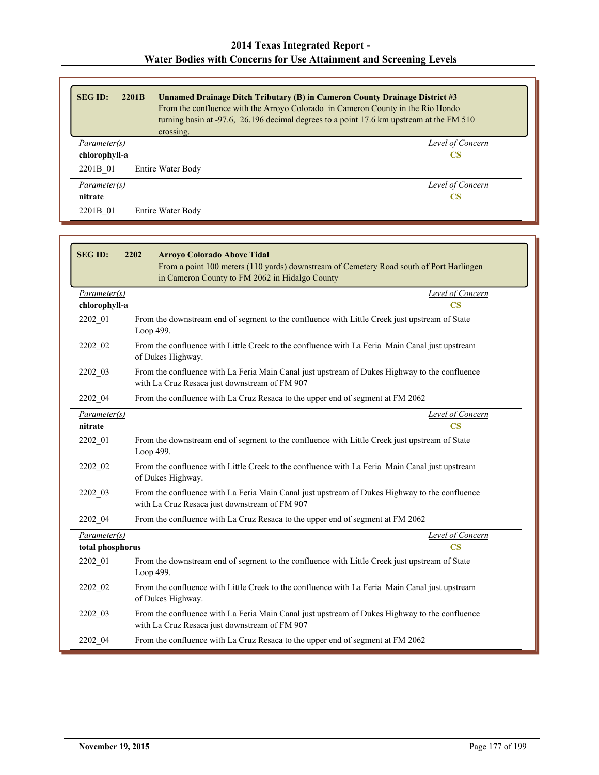| <b>SEG ID:</b> | 2201B<br><b>Unnamed Drainage Ditch Tributary (B) in Cameron County Drainage District #3</b><br>crossing. | From the confluence with the Arroyo Colorado in Cameron County in the Rio Hondo<br>turning basin at -97.6, 26.196 decimal degrees to a point 17.6 km upstream at the FM 510 |
|----------------|----------------------------------------------------------------------------------------------------------|-----------------------------------------------------------------------------------------------------------------------------------------------------------------------------|
| Parameter(s)   |                                                                                                          | Level of Concern                                                                                                                                                            |
| chlorophyll-a  |                                                                                                          | CS                                                                                                                                                                          |
| 2201B 01       | Entire Water Body                                                                                        |                                                                                                                                                                             |
| Parameter(s)   |                                                                                                          | Level of Concern                                                                                                                                                            |
| nitrate        |                                                                                                          | CS                                                                                                                                                                          |
| 2201B 01       | Entire Water Body                                                                                        |                                                                                                                                                                             |

| <b>SEGID:</b>                    | 2202<br><b>Arroyo Colorado Above Tidal</b><br>From a point 100 meters (110 yards) downstream of Cemetery Road south of Port Harlingen<br>in Cameron County to FM 2062 in Hidalgo County |
|----------------------------------|-----------------------------------------------------------------------------------------------------------------------------------------------------------------------------------------|
| Parameter(s)<br>chlorophyll-a    | Level of Concern<br>$\overline{\text{CS}}$                                                                                                                                              |
| 2202 01                          | From the downstream end of segment to the confluence with Little Creek just upstream of State<br>Loop 499.                                                                              |
| 2202 02                          | From the confluence with Little Creek to the confluence with La Feria Main Canal just upstream<br>of Dukes Highway.                                                                     |
| 2202_03                          | From the confluence with La Feria Main Canal just upstream of Dukes Highway to the confluence<br>with La Cruz Resaca just downstream of FM 907                                          |
| 2202 04                          | From the confluence with La Cruz Resaca to the upper end of segment at FM 2062                                                                                                          |
| Parameter(s)<br>nitrate          | <b>Level of Concern</b><br>$\overline{\text{CS}}$                                                                                                                                       |
| 2202 01                          | From the downstream end of segment to the confluence with Little Creek just upstream of State<br>Loop 499.                                                                              |
| 2202 02                          | From the confluence with Little Creek to the confluence with La Feria Main Canal just upstream<br>of Dukes Highway.                                                                     |
| 2202 03                          | From the confluence with La Feria Main Canal just upstream of Dukes Highway to the confluence<br>with La Cruz Resaca just downstream of FM 907                                          |
| 2202 04                          | From the confluence with La Cruz Resaca to the upper end of segment at FM 2062                                                                                                          |
| Parameter(s)<br>total phosphorus | <b>Level of Concern</b><br>$\overline{\text{CS}}$                                                                                                                                       |
| 2202 01                          | From the downstream end of segment to the confluence with Little Creek just upstream of State<br>Loop 499.                                                                              |
| 2202 02                          | From the confluence with Little Creek to the confluence with La Feria Main Canal just upstream<br>of Dukes Highway.                                                                     |
| 2202 03                          | From the confluence with La Feria Main Canal just upstream of Dukes Highway to the confluence<br>with La Cruz Resaca just downstream of FM 907                                          |
| 2202 04                          | From the confluence with La Cruz Resaca to the upper end of segment at FM 2062                                                                                                          |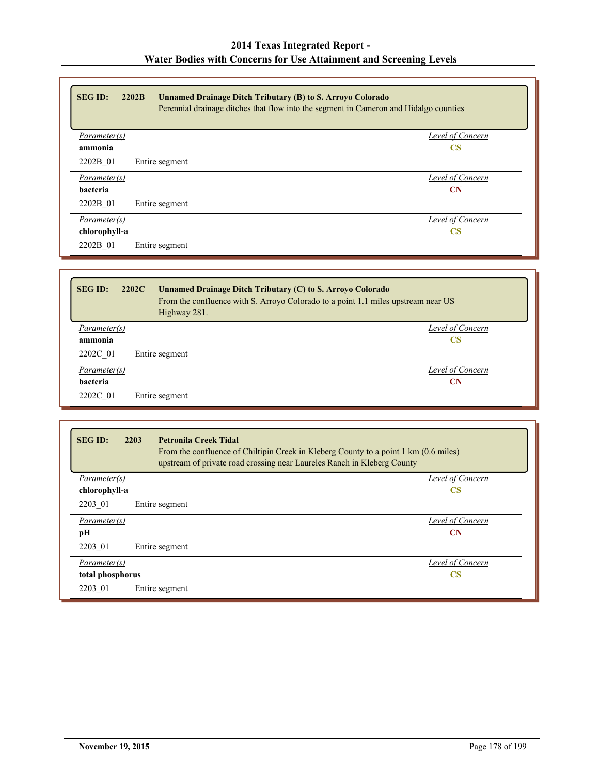| <b>SEG ID:</b><br>2202B<br>Unnamed Drainage Ditch Tributary (B) to S. Arroyo Colorado<br>Perennial drainage ditches that flow into the segment in Cameron and Hidalgo counties |                  |
|--------------------------------------------------------------------------------------------------------------------------------------------------------------------------------|------------------|
| Parameter(s)                                                                                                                                                                   | Level of Concern |
| ammonia                                                                                                                                                                        | <b>CS</b>        |
| 2202B 01<br>Entire segment                                                                                                                                                     |                  |
| Parameter(s)                                                                                                                                                                   | Level of Concern |
| bacteria                                                                                                                                                                       | <b>CN</b>        |
| 2202B 01<br>Entire segment                                                                                                                                                     |                  |
| Parameter(s)                                                                                                                                                                   | Level of Concern |
| chlorophyll-a                                                                                                                                                                  | <b>CS</b>        |
| 2202B 01<br>Entire segment                                                                                                                                                     |                  |

| <b>SEG ID:</b> | 2202C<br><b>Unnamed Drainage Ditch Tributary (C) to S. Arroyo Colorado</b><br>From the confluence with S. Arroyo Colorado to a point 1.1 miles upstream near US<br>Highway 281. |                  |
|----------------|---------------------------------------------------------------------------------------------------------------------------------------------------------------------------------|------------------|
| Parameter(s)   |                                                                                                                                                                                 | Level of Concern |
| ammonia        |                                                                                                                                                                                 | <b>CS</b>        |
| 2202C 01       | Entire segment                                                                                                                                                                  |                  |
| Parameter(s)   |                                                                                                                                                                                 | Level of Concern |
| bacteria       |                                                                                                                                                                                 | <b>CN</b>        |
| 2202C 01       | Entire segment                                                                                                                                                                  |                  |

| <b>SEG ID:</b><br>2203<br><b>Petronila Creek Tidal</b><br>From the confluence of Chiltipin Creek in Kleberg County to a point 1 km (0.6 miles)<br>upstream of private road crossing near Laureles Ranch in Kleberg County |                        |
|---------------------------------------------------------------------------------------------------------------------------------------------------------------------------------------------------------------------------|------------------------|
| Parameter(s)                                                                                                                                                                                                              | Level of Concern       |
| chlorophyll-a                                                                                                                                                                                                             | <b>CS</b>              |
| 2203 01<br>Entire segment                                                                                                                                                                                                 |                        |
| Parameter(s)                                                                                                                                                                                                              | Level of Concern       |
| pН                                                                                                                                                                                                                        | <b>CN</b>              |
| 2203 01<br>Entire segment                                                                                                                                                                                                 |                        |
| Parameter(s)                                                                                                                                                                                                              | Level of Concern       |
| total phosphorus                                                                                                                                                                                                          | $\overline{\text{CS}}$ |
| 2203 01<br>Entire segment                                                                                                                                                                                                 |                        |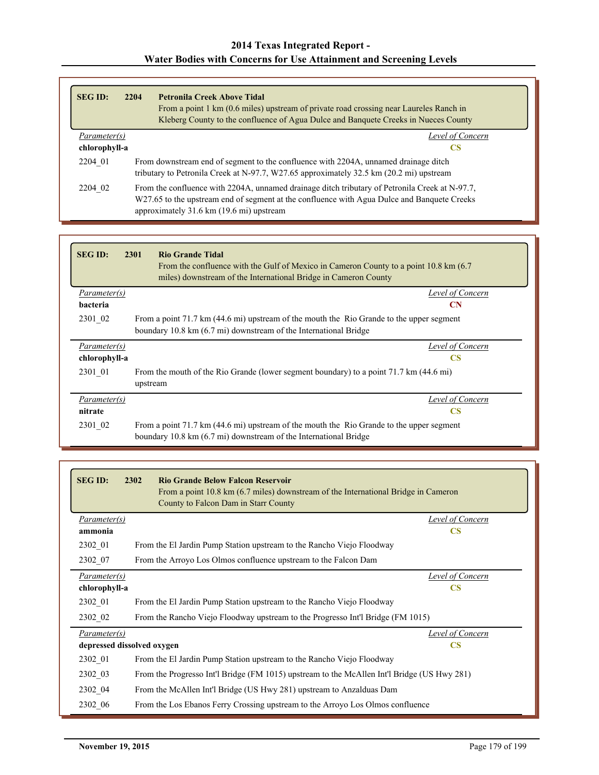| <b>SEG ID:</b> | 2204<br><b>Petronila Creek Above Tidal</b><br>From a point 1 km (0.6 miles) upstream of private road crossing near Laureles Ranch in<br>Kleberg County to the confluence of Agua Dulce and Banquete Creeks in Nueces County               |
|----------------|-------------------------------------------------------------------------------------------------------------------------------------------------------------------------------------------------------------------------------------------|
| Parameter(s)   | Level of Concern                                                                                                                                                                                                                          |
| chlorophyll-a  | CS                                                                                                                                                                                                                                        |
| 2204 01        | From downstream end of segment to the confluence with 2204A, unnamed drainage ditch<br>tributary to Petronila Creek at N-97.7, W27.65 approximately 32.5 km (20.2 mi) upstream                                                            |
| 2204 02        | From the confluence with 2204A, unnamed drainage ditch tributary of Petronila Creek at N-97.7,<br>W27.65 to the upstream end of segment at the confluence with Agua Dulce and Banquete Creeks<br>approximately 31.6 km (19.6 mi) upstream |

| <b>SEG ID:</b>      | 2301<br><b>Rio Grande Tidal</b><br>From the confluence with the Gulf of Mexico in Cameron County to a point 10.8 km (6.7)<br>miles) downstream of the International Bridge in Cameron County |
|---------------------|----------------------------------------------------------------------------------------------------------------------------------------------------------------------------------------------|
| Parameter(s)        | Level of Concern                                                                                                                                                                             |
| bacteria            | <b>CN</b>                                                                                                                                                                                    |
| 2301 02             | From a point 71.7 km (44.6 mi) upstream of the mouth the Rio Grande to the upper segment<br>boundary 10.8 km (6.7 mi) downstream of the International Bridge                                 |
| <i>Parameter(s)</i> | Level of Concern                                                                                                                                                                             |
| chlorophyll-a       | <b>CS</b>                                                                                                                                                                                    |
| 2301 01             | From the mouth of the Rio Grande (lower segment boundary) to a point 71.7 km (44.6 mi)<br>upstream                                                                                           |
| <i>Parameter(s)</i> | Level of Concern                                                                                                                                                                             |
| nitrate             | $\overline{\text{CS}}$                                                                                                                                                                       |
| 2301 02             | From a point 71.7 km (44.6 mi) upstream of the mouth the Rio Grande to the upper segment<br>boundary 10.8 km (6.7 mi) downstream of the International Bridge                                 |

| <b>SEG ID:</b> | 2302<br><b>Rio Grande Below Falcon Reservoir</b><br>From a point 10.8 km (6.7 miles) downstream of the International Bridge in Cameron<br>County to Falcon Dam in Starr County |  |
|----------------|--------------------------------------------------------------------------------------------------------------------------------------------------------------------------------|--|
| Parameter(s)   | Level of Concern                                                                                                                                                               |  |
| ammonia        | $\mathbf{CS}$                                                                                                                                                                  |  |
| 2302_01        | From the El Jardin Pump Station upstream to the Rancho Viejo Floodway                                                                                                          |  |
| 2302 07        | From the Arroyo Los Olmos confluence upstream to the Falcon Dam                                                                                                                |  |
| Parameter(s)   | Level of Concern                                                                                                                                                               |  |
| chlorophyll-a  | <b>CS</b>                                                                                                                                                                      |  |
| 2302 01        | From the El Jardin Pump Station upstream to the Rancho Viejo Floodway                                                                                                          |  |
| 2302 02        | From the Rancho Viejo Floodway upstream to the Progresso Int'l Bridge (FM 1015)                                                                                                |  |
| Parameter(s)   | <b>Level of Concern</b>                                                                                                                                                        |  |
|                | depressed dissolved oxygen<br>$\mathbf{CS}$                                                                                                                                    |  |
| 2302_01        | From the El Jardin Pump Station upstream to the Rancho Viejo Floodway                                                                                                          |  |
| 2302 03        | From the Progresso Int'l Bridge (FM 1015) upstream to the McAllen Int'l Bridge (US Hwy 281)                                                                                    |  |
| 2302 04        | From the McAllen Int'l Bridge (US Hwy 281) upstream to Anzalduas Dam                                                                                                           |  |
| 2302 06        | From the Los Ebanos Ferry Crossing upstream to the Arroyo Los Olmos confluence                                                                                                 |  |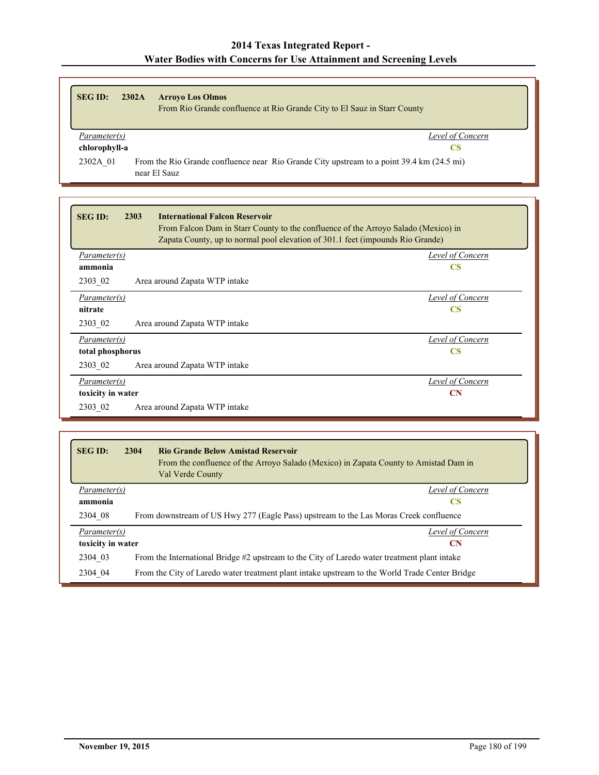| <b>SEG ID:</b>                | 2302A | <b>Arrovo Los Olmos</b><br>From Rio Grande confluence at Rio Grande City to El Sauz in Starr County       |  |
|-------------------------------|-------|-----------------------------------------------------------------------------------------------------------|--|
| Parameter(s)<br>chlorophyll-a |       | Level of Concern<br>CS                                                                                    |  |
| 2302A 01                      |       | From the Rio Grande confluence near Rio Grande City upstream to a point 39.4 km (24.5 mi)<br>near El Sauz |  |

| <b>SEG ID:</b><br>2303<br><b>International Falcon Reservoir</b><br>From Falcon Dam in Starr County to the confluence of the Arroyo Salado (Mexico) in<br>Zapata County, up to normal pool elevation of 301.1 feet (impounds Rio Grande) |                        |  |
|-----------------------------------------------------------------------------------------------------------------------------------------------------------------------------------------------------------------------------------------|------------------------|--|
| Parameter(s)                                                                                                                                                                                                                            | Level of Concern       |  |
| ammonia                                                                                                                                                                                                                                 | $\overline{\text{CS}}$ |  |
| 2303 02<br>Area around Zapata WTP intake                                                                                                                                                                                                |                        |  |
| Parameter(s)                                                                                                                                                                                                                            | Level of Concern       |  |
| nitrate                                                                                                                                                                                                                                 | <b>CS</b>              |  |
| 2303 02<br>Area around Zapata WTP intake                                                                                                                                                                                                |                        |  |
| Parameter(s)                                                                                                                                                                                                                            | Level of Concern       |  |
| total phosphorus<br><b>CS</b>                                                                                                                                                                                                           |                        |  |
| 2303 02<br>Area around Zapata WTP intake                                                                                                                                                                                                |                        |  |
| Parameter(s)                                                                                                                                                                                                                            | Level of Concern       |  |
| toxicity in water<br>CN                                                                                                                                                                                                                 |                        |  |
| 2303 02<br>Area around Zapata WTP intake                                                                                                                                                                                                |                        |  |

| <b>SEG ID:</b>          | 2304<br><b>Rio Grande Below Amistad Reservoir</b><br>From the confluence of the Arroyo Salado (Mexico) in Zapata County to Amistad Dam in<br>Val Verde County |
|-------------------------|---------------------------------------------------------------------------------------------------------------------------------------------------------------|
| Parameter(s)            | Level of Concern                                                                                                                                              |
| ammonia                 | <b>CS</b>                                                                                                                                                     |
| 2304 08                 | From downstream of US Hwy 277 (Eagle Pass) upstream to the Las Moras Creek confluence                                                                         |
| Parameter(s)            | Level of Concern                                                                                                                                              |
| toxicity in water<br>CN |                                                                                                                                                               |
| 2304 03                 | From the International Bridge #2 upstream to the City of Laredo water treatment plant intake                                                                  |
| 2304 04                 | From the City of Laredo water treatment plant intake upstream to the World Trade Center Bridge                                                                |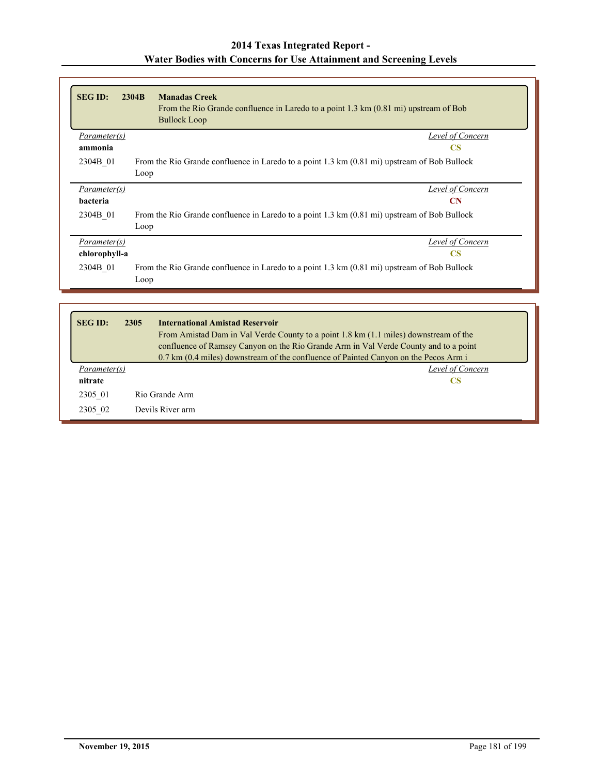| <b>SEGID:</b> | 2304B<br><b>Manadas Creek</b><br>From the Rio Grande confluence in Laredo to a point $1.3 \text{ km } (0.81 \text{ mi})$ upstream of Bob<br><b>Bullock Loop</b> |
|---------------|-----------------------------------------------------------------------------------------------------------------------------------------------------------------|
| Parameter(s)  | Level of Concern                                                                                                                                                |
| ammonia       | <b>CS</b>                                                                                                                                                       |
| 2304B 01      | From the Rio Grande confluence in Laredo to a point 1.3 km (0.81 mi) upstream of Bob Bullock                                                                    |
|               | Loop                                                                                                                                                            |
| Parameter(s)  | Level of Concern                                                                                                                                                |
| bacteria      | $\mathbf C\mathbf N$                                                                                                                                            |
| 2304B 01      | From the Rio Grande confluence in Laredo to a point 1.3 km (0.81 mi) upstream of Bob Bullock                                                                    |
|               | Loop                                                                                                                                                            |
| Parameter(s)  | Level of Concern                                                                                                                                                |
| chlorophyll-a | <b>CS</b>                                                                                                                                                       |
| 2304B 01      | From the Rio Grande confluence in Laredo to a point 1.3 km (0.81 mi) upstream of Bob Bullock<br>Loop                                                            |

| <b>SEG ID:</b> | 2305 | <b>International Amistad Reservoir</b>                                               |
|----------------|------|--------------------------------------------------------------------------------------|
|                |      | From Amistad Dam in Val Verde County to a point 1.8 km (1.1 miles) downstream of the |
|                |      | confluence of Ramsey Canyon on the Rio Grande Arm in Val Verde County and to a point |
|                |      | 0.7 km (0.4 miles) downstream of the confluence of Painted Canyon on the Pecos Arm i |
| Parameter(s)   |      | Level of Concern                                                                     |
| nitrate        |      | CS                                                                                   |
| 2305 01        |      | Rio Grande Arm                                                                       |
| 2305 02        |      | Devils River arm                                                                     |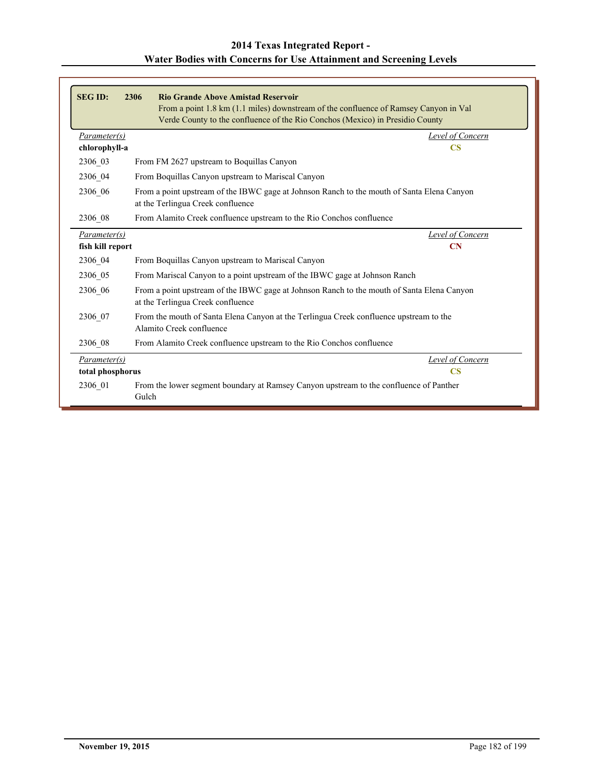| <b>SEG ID:</b>   | 2306<br><b>Rio Grande Above Amistad Reservoir</b><br>From a point 1.8 km (1.1 miles) downstream of the confluence of Ramsey Canyon in Val |                         |
|------------------|-------------------------------------------------------------------------------------------------------------------------------------------|-------------------------|
|                  | Verde County to the confluence of the Rio Conchos (Mexico) in Presidio County                                                             |                         |
| Parameter(s)     |                                                                                                                                           | Level of Concern        |
| chlorophyll-a    |                                                                                                                                           | $\overline{\text{CS}}$  |
| 2306_03          | From FM 2627 upstream to Boquillas Canyon                                                                                                 |                         |
| 2306_04          | From Boquillas Canyon upstream to Mariscal Canyon                                                                                         |                         |
| 2306 06          | From a point upstream of the IBWC gage at Johnson Ranch to the mouth of Santa Elena Canyon<br>at the Terlingua Creek confluence           |                         |
| 2306 08          | From Alamito Creek confluence upstream to the Rio Conchos confluence                                                                      |                         |
| Parameter(s)     |                                                                                                                                           | Level of Concern        |
| fish kill report |                                                                                                                                           | CN                      |
| 2306_04          | From Boquillas Canyon upstream to Mariscal Canyon                                                                                         |                         |
| 2306_05          | From Mariscal Canyon to a point upstream of the IBWC gage at Johnson Ranch                                                                |                         |
| 2306 06          | From a point upstream of the IBWC gage at Johnson Ranch to the mouth of Santa Elena Canyon<br>at the Terlingua Creek confluence           |                         |
| 2306 07          | From the mouth of Santa Elena Canyon at the Terlingua Creek confluence upstream to the<br>Alamito Creek confluence                        |                         |
| 2306 08          | From Alamito Creek confluence upstream to the Rio Conchos confluence                                                                      |                         |
| Parameter(s)     |                                                                                                                                           | <b>Level of Concern</b> |
| total phosphorus |                                                                                                                                           | $\overline{\text{CS}}$  |
| 2306 01          | From the lower segment boundary at Ramsey Canyon upstream to the confluence of Panther<br>Gulch                                           |                         |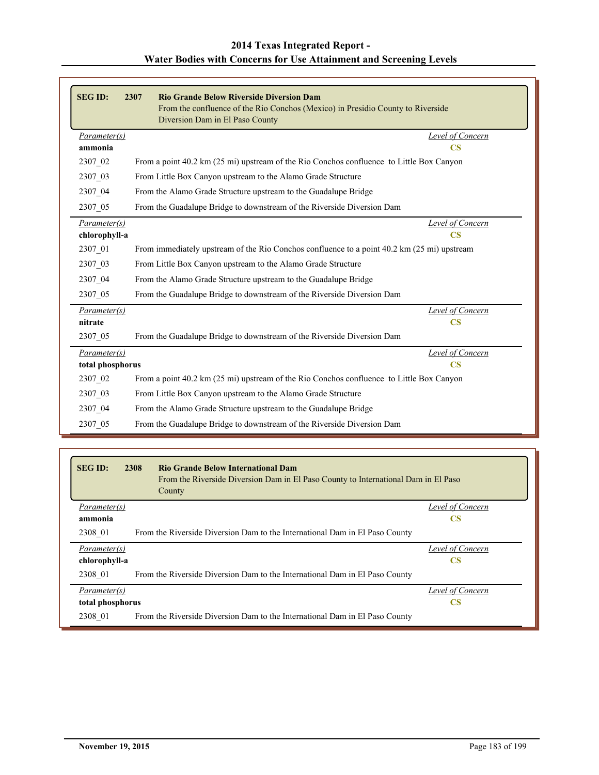| <b>SEG ID:</b>   | 2307<br><b>Rio Grande Below Riverside Diversion Dam</b><br>From the confluence of the Rio Conchos (Mexico) in Presidio County to Riverside<br>Diversion Dam in El Paso County |
|------------------|-------------------------------------------------------------------------------------------------------------------------------------------------------------------------------|
| Parameter(s)     | Level of Concern                                                                                                                                                              |
| ammonia          | $\overline{\text{CS}}$                                                                                                                                                        |
| 2307_02          | From a point 40.2 km (25 mi) upstream of the Rio Conchos confluence to Little Box Canyon                                                                                      |
| 2307 03          | From Little Box Canyon upstream to the Alamo Grade Structure                                                                                                                  |
| 2307 04          | From the Alamo Grade Structure upstream to the Guadalupe Bridge                                                                                                               |
| 2307 05          | From the Guadalupe Bridge to downstream of the Riverside Diversion Dam                                                                                                        |
| Parameter(s)     | Level of Concern                                                                                                                                                              |
| chlorophyll-a    | $\overline{\text{CS}}$                                                                                                                                                        |
| 2307 01          | From immediately upstream of the Rio Conchos confluence to a point 40.2 km (25 mi) upstream                                                                                   |
| 2307_03          | From Little Box Canyon upstream to the Alamo Grade Structure                                                                                                                  |
| 2307 04          | From the Alamo Grade Structure upstream to the Guadalupe Bridge                                                                                                               |
| 2307_05          | From the Guadalupe Bridge to downstream of the Riverside Diversion Dam                                                                                                        |
| Parameter(s)     | Level of Concern                                                                                                                                                              |
| nitrate          | $\overline{\mathbf{C}}$                                                                                                                                                       |
| 2307 05          | From the Guadalupe Bridge to downstream of the Riverside Diversion Dam                                                                                                        |
| Parameter(s)     | Level of Concern                                                                                                                                                              |
| total phosphorus | $\overline{\text{CS}}$                                                                                                                                                        |
| 2307 02          | From a point 40.2 km (25 mi) upstream of the Rio Conchos confluence to Little Box Canyon                                                                                      |
| 2307 03          | From Little Box Canyon upstream to the Alamo Grade Structure                                                                                                                  |
| 2307 04          | From the Alamo Grade Structure upstream to the Guadalupe Bridge                                                                                                               |
| 2307_05          | From the Guadalupe Bridge to downstream of the Riverside Diversion Dam                                                                                                        |

| <b>SEG ID:</b>   | 2308<br><b>Rio Grande Below International Dam</b><br>From the Riverside Diversion Dam in El Paso County to International Dam in El Paso<br>County |                  |
|------------------|---------------------------------------------------------------------------------------------------------------------------------------------------|------------------|
| Parameter(s)     |                                                                                                                                                   | Level of Concern |
| ammonia          |                                                                                                                                                   | <b>CS</b>        |
| 2308 01          | From the Riverside Diversion Dam to the International Dam in El Paso County                                                                       |                  |
| Parameter(s)     |                                                                                                                                                   | Level of Concern |
| chlorophyll-a    |                                                                                                                                                   | CS               |
| 2308 01          | From the Riverside Diversion Dam to the International Dam in El Paso County                                                                       |                  |
| Parameter(s)     |                                                                                                                                                   | Level of Concern |
| total phosphorus |                                                                                                                                                   | <b>CS</b>        |
| 2308 01          | From the Riverside Diversion Dam to the International Dam in El Paso County                                                                       |                  |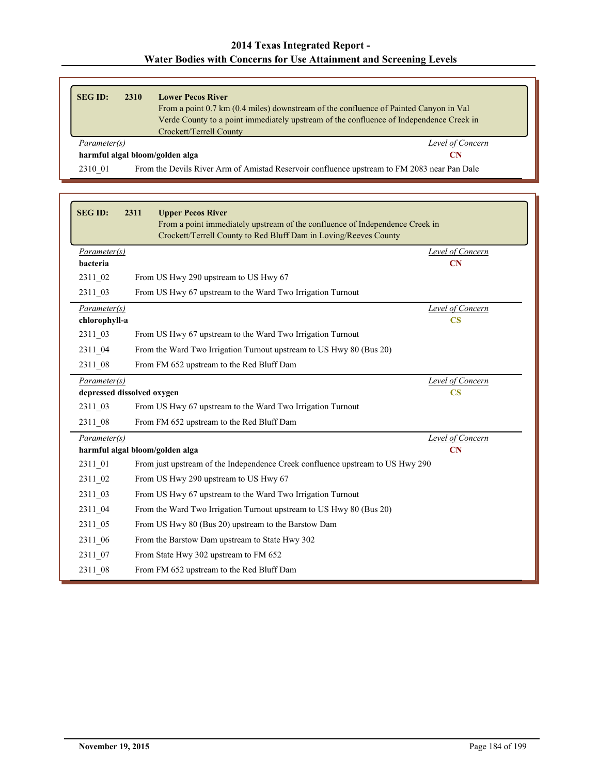| <b>SEG ID:</b> | 2310 | <b>Lower Pecos River</b><br>From a point 0.7 km (0.4 miles) downstream of the confluence of Painted Canyon in Val<br>Verde County to a point immediately upstream of the confluence of Independence Creek in<br>Crockett/Terrell County |
|----------------|------|-----------------------------------------------------------------------------------------------------------------------------------------------------------------------------------------------------------------------------------------|
| Parameter(s)   |      | Level of Concern                                                                                                                                                                                                                        |
|                |      | harmful algal bloom/golden alga<br>CN                                                                                                                                                                                                   |
| 2210.01        |      | Earne the Devils Diven Agus of Amirted December 2006, Concernational to EM 0009 agen Den Dela                                                                                                                                           |

2310\_01 From the Devils River Arm of Amistad Reservoir confluence upstream to FM 2083 near Pan Dale

| <b>SEG ID:</b>                | 2311<br><b>Upper Pecos River</b><br>From a point immediately upstream of the confluence of Independence Creek in<br>Crockett/Terrell County to Red Bluff Dam in Loving/Reeves County |                                                   |
|-------------------------------|--------------------------------------------------------------------------------------------------------------------------------------------------------------------------------------|---------------------------------------------------|
| Parameter(s)                  |                                                                                                                                                                                      | <b>Level of Concern</b>                           |
| bacteria                      |                                                                                                                                                                                      | CN                                                |
| 2311 02                       | From US Hwy 290 upstream to US Hwy 67                                                                                                                                                |                                                   |
| 2311 03                       | From US Hwy 67 upstream to the Ward Two Irrigation Turnout                                                                                                                           |                                                   |
| Parameter(s)<br>chlorophyll-a |                                                                                                                                                                                      | <b>Level of Concern</b><br>$\overline{\text{CS}}$ |
| 2311 03                       | From US Hwy 67 upstream to the Ward Two Irrigation Turnout                                                                                                                           |                                                   |
| 2311 04                       | From the Ward Two Irrigation Turnout upstream to US Hwy 80 (Bus 20)                                                                                                                  |                                                   |
| 2311 08                       | From FM 652 upstream to the Red Bluff Dam                                                                                                                                            |                                                   |
| Parameter(s)                  | depressed dissolved oxygen                                                                                                                                                           | <b>Level of Concern</b><br>$\overline{\text{CS}}$ |
| 2311_03                       | From US Hwy 67 upstream to the Ward Two Irrigation Turnout                                                                                                                           |                                                   |
| 2311 08                       | From FM 652 upstream to the Red Bluff Dam                                                                                                                                            |                                                   |
| Parameter(s)                  | harmful algal bloom/golden alga                                                                                                                                                      | Level of Concern<br>CN                            |
| 2311_01                       | From just upstream of the Independence Creek confluence upstream to US Hwy 290                                                                                                       |                                                   |
| 2311 02                       | From US Hwy 290 upstream to US Hwy 67                                                                                                                                                |                                                   |
| 2311_03                       | From US Hwy 67 upstream to the Ward Two Irrigation Turnout                                                                                                                           |                                                   |
| 2311 04                       | From the Ward Two Irrigation Turnout upstream to US Hwy 80 (Bus 20)                                                                                                                  |                                                   |
| 2311 05                       | From US Hwy 80 (Bus 20) upstream to the Barstow Dam                                                                                                                                  |                                                   |
| 2311 06                       | From the Barstow Dam upstream to State Hwy 302                                                                                                                                       |                                                   |
| 2311 07                       | From State Hwy 302 upstream to FM 652                                                                                                                                                |                                                   |
| 2311_08                       | From FM 652 upstream to the Red Bluff Dam                                                                                                                                            |                                                   |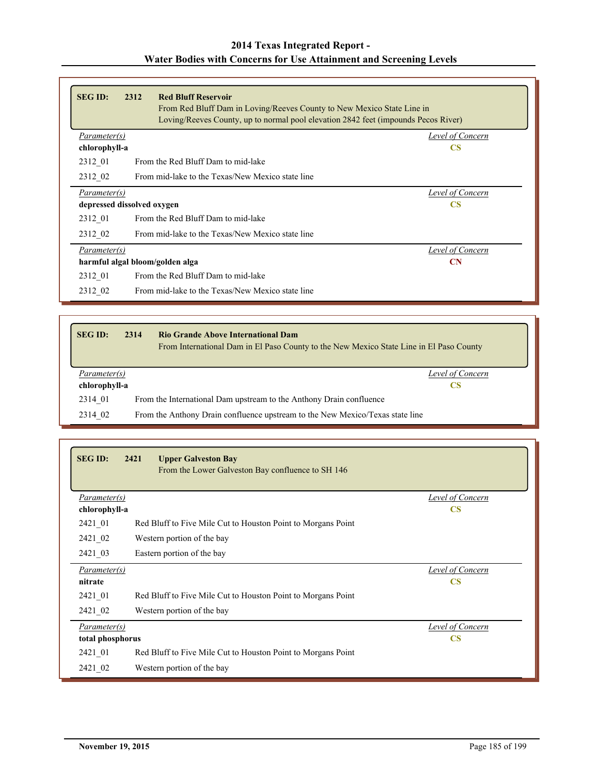| <b>SEG ID:</b>             | 2312 | <b>Red Bluff Reservoir</b><br>From Red Bluff Dam in Loving/Reeves County to New Mexico State Line in<br>Loving/Reeves County, up to normal pool elevation 2842 feet (impounds Pecos River) |                  |
|----------------------------|------|--------------------------------------------------------------------------------------------------------------------------------------------------------------------------------------------|------------------|
| Parameter(s)               |      |                                                                                                                                                                                            | Level of Concern |
| chlorophyll-a              |      |                                                                                                                                                                                            | <b>CS</b>        |
| 2312 01                    |      | From the Red Bluff Dam to mid-lake                                                                                                                                                         |                  |
| 2312 02                    |      | From mid-lake to the Texas/New Mexico state line                                                                                                                                           |                  |
| Parameter(s)               |      |                                                                                                                                                                                            | Level of Concern |
| depressed dissolved oxygen |      |                                                                                                                                                                                            | <b>CS</b>        |
| 2312 01                    |      | From the Red Bluff Dam to mid-lake                                                                                                                                                         |                  |
| 2312 02                    |      | From mid-lake to the Texas/New Mexico state line                                                                                                                                           |                  |
| Parameter(s)               |      |                                                                                                                                                                                            | Level of Concern |
|                            |      | harmful algal bloom/golden alga                                                                                                                                                            | CN               |
| 2312 01                    |      | From the Red Bluff Dam to mid-lake                                                                                                                                                         |                  |
| 2312 02                    |      | From mid-lake to the Texas/New Mexico state line                                                                                                                                           |                  |

| <b>SEG ID:</b> | 2314 | <b>Rio Grande Above International Dam</b><br>From International Dam in El Paso County to the New Mexico State Line in El Paso County |                  |
|----------------|------|--------------------------------------------------------------------------------------------------------------------------------------|------------------|
| Parameter(s)   |      |                                                                                                                                      | Level of Concern |
| chlorophyll-a  |      |                                                                                                                                      | <b>CS</b>        |
| 2314 01        |      | From the International Dam upstream to the Anthony Drain confluence                                                                  |                  |
| 2314 02        |      | From the Anthony Drain confluence upstream to the New Mexico/Texas state line                                                        |                  |

| <b>SEG ID:</b>                             | 2421<br><b>Upper Galveston Bay</b><br>From the Lower Galveston Bay confluence to SH 146 |                  |
|--------------------------------------------|-----------------------------------------------------------------------------------------|------------------|
| <i>Parameter(s)</i>                        |                                                                                         | Level of Concern |
| chlorophyll-a                              |                                                                                         | <b>CS</b>        |
| 2421_01                                    | Red Bluff to Five Mile Cut to Houston Point to Morgans Point                            |                  |
| 2421 02                                    | Western portion of the bay                                                              |                  |
| 2421 03                                    | Eastern portion of the bay                                                              |                  |
| Parameter(s)                               |                                                                                         | Level of Concern |
| nitrate                                    |                                                                                         | <b>CS</b>        |
| 2421 01                                    | Red Bluff to Five Mile Cut to Houston Point to Morgans Point                            |                  |
| 2421 02                                    | Western portion of the bay                                                              |                  |
| Parameter(s)                               |                                                                                         | Level of Concern |
| $\overline{\text{CS}}$<br>total phosphorus |                                                                                         |                  |
| 2421 01                                    | Red Bluff to Five Mile Cut to Houston Point to Morgans Point                            |                  |
| 2421_02                                    | Western portion of the bay                                                              |                  |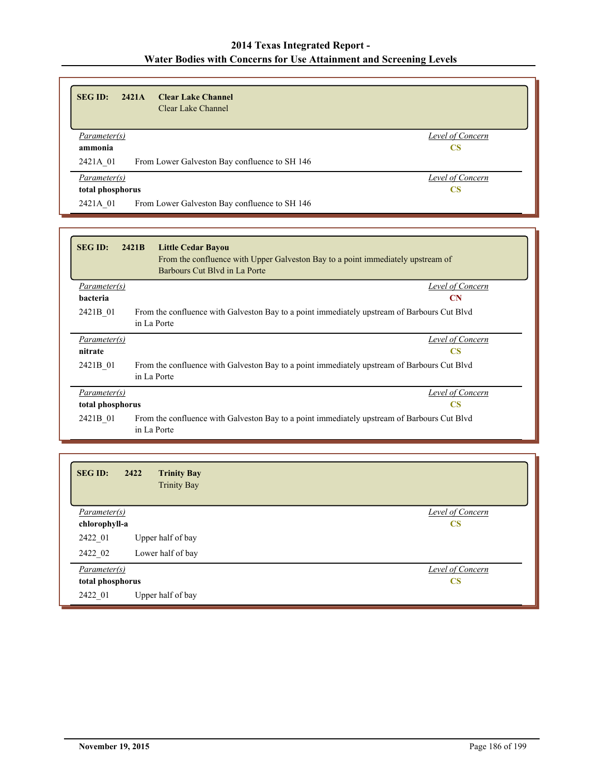| <b>SEG ID:</b>   | 2421A<br><b>Clear Lake Channel</b><br>Clear Lake Channel |                  |
|------------------|----------------------------------------------------------|------------------|
| Parameter(s)     |                                                          | Level of Concern |
| ammonia          |                                                          | <b>CS</b>        |
| 2421A 01         | From Lower Galveston Bay confluence to SH 146            |                  |
| Parameter(s)     |                                                          | Level of Concern |
| total phosphorus |                                                          | CS               |
| 2421A 01         | From Lower Galveston Bay confluence to SH 146            |                  |

| <b>SEG ID:</b>                | 2421B<br><b>Little Cedar Bayou</b><br>From the confluence with Upper Galveston Bay to a point immediately upstream of<br>Barbours Cut Blyd in La Porte |
|-------------------------------|--------------------------------------------------------------------------------------------------------------------------------------------------------|
| Parameter(s)                  | Level of Concern                                                                                                                                       |
| <b>bacteria</b>               | <b>CN</b>                                                                                                                                              |
| 2421B 01                      | From the confluence with Galveston Bay to a point immediately upstream of Barbours Cut Blvd<br>in La Porte                                             |
| Parameter(s)                  | Level of Concern                                                                                                                                       |
| nitrate                       | <b>CS</b>                                                                                                                                              |
| 2421B 01                      | From the confluence with Galveston Bay to a point immediately upstream of Barbours Cut Blvd<br>in La Porte                                             |
| Parameter(s)                  | Level of Concern                                                                                                                                       |
| <b>CS</b><br>total phosphorus |                                                                                                                                                        |
| 2421B 01                      | From the confluence with Galveston Bay to a point immediately upstream of Barbours Cut Blvd<br>in La Porte                                             |

| <b>SEG ID:</b>      | 2422<br><b>Trinity Bay</b><br><b>Trinity Bay</b> |                  |
|---------------------|--------------------------------------------------|------------------|
| Parameter(s)        |                                                  | Level of Concern |
| chlorophyll-a       |                                                  | $\mathbf{CS}$    |
| 2422 01             | Upper half of bay                                |                  |
| 2422 02             | Lower half of bay                                |                  |
| <i>Parameter(s)</i> |                                                  | Level of Concern |
| total phosphorus    |                                                  | $\mathbf{CS}$    |
| 2422 01             | Upper half of bay                                |                  |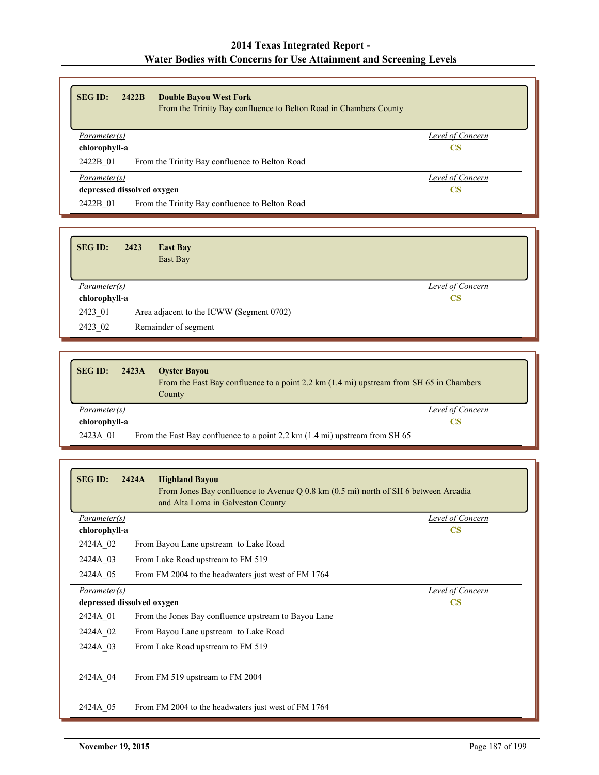| <b>SEG ID:</b> | 2422B<br><b>Double Bayou West Fork</b>                            |                  |
|----------------|-------------------------------------------------------------------|------------------|
|                | From the Trinity Bay confluence to Belton Road in Chambers County |                  |
|                |                                                                   |                  |
| Parameter(s)   |                                                                   | Level of Concern |
| chlorophyll-a  |                                                                   | CS               |
| 2422B 01       | From the Trinity Bay confluence to Belton Road                    |                  |
| Parameter(s)   |                                                                   | Level of Concern |
|                | depressed dissolved oxygen                                        | CS               |
| 2422B 01       | From the Trinity Bay confluence to Belton Road                    |                  |

| <b>SEG ID:</b> | 2423 | <b>East Bay</b><br>East Bay              |
|----------------|------|------------------------------------------|
| Parameter(s)   |      | <b>Level of Concern</b>                  |
| chlorophyll-a  |      | $\mathbf{C}\mathbf{S}$                   |
| 2423 01        |      | Area adjacent to the ICWW (Segment 0702) |
| 2423 02        |      | Remainder of segment                     |

| <b>SEG ID:</b> | 2423A<br><b>Oyster Bayou</b><br>From the East Bay confluence to a point 2.2 km (1.4 mi) upstream from SH 65 in Chambers<br>County |  |
|----------------|-----------------------------------------------------------------------------------------------------------------------------------|--|
| Parameter(s)   | Level of Concern                                                                                                                  |  |
| chlorophyll-a  | CS                                                                                                                                |  |
| 2423A 01       | From the East Bay confluence to a point 2.2 km $(1.4 \text{ mi})$ upstream from SH 65                                             |  |

| <b>SEG ID:</b> | 2424A<br><b>Highland Bayou</b><br>From Jones Bay confluence to Avenue Q 0.8 km (0.5 mi) north of SH 6 between Arcadia<br>and Alta Loma in Galveston County |                  |
|----------------|------------------------------------------------------------------------------------------------------------------------------------------------------------|------------------|
| Parameter(s)   |                                                                                                                                                            | Level of Concern |
| chlorophyll-a  |                                                                                                                                                            | <b>CS</b>        |
| 2424A 02       | From Bayou Lane upstream to Lake Road                                                                                                                      |                  |
| 2424A 03       | From Lake Road upstream to FM 519                                                                                                                          |                  |
| 2424A 05       | From FM 2004 to the headwaters just west of FM 1764                                                                                                        |                  |
| Parameter(s)   |                                                                                                                                                            | Level of Concern |
|                | depressed dissolved oxygen                                                                                                                                 | $\mathbf{CS}$    |
| 2424A 01       | From the Jones Bay confluence upstream to Bayou Lane                                                                                                       |                  |
| 2424A 02       | From Bayou Lane upstream to Lake Road                                                                                                                      |                  |
| 2424A 03       | From Lake Road upstream to FM 519                                                                                                                          |                  |
| 2424A 04       | From FM 519 upstream to FM 2004                                                                                                                            |                  |
| 2424A 05       | From FM 2004 to the headwaters just west of FM 1764                                                                                                        |                  |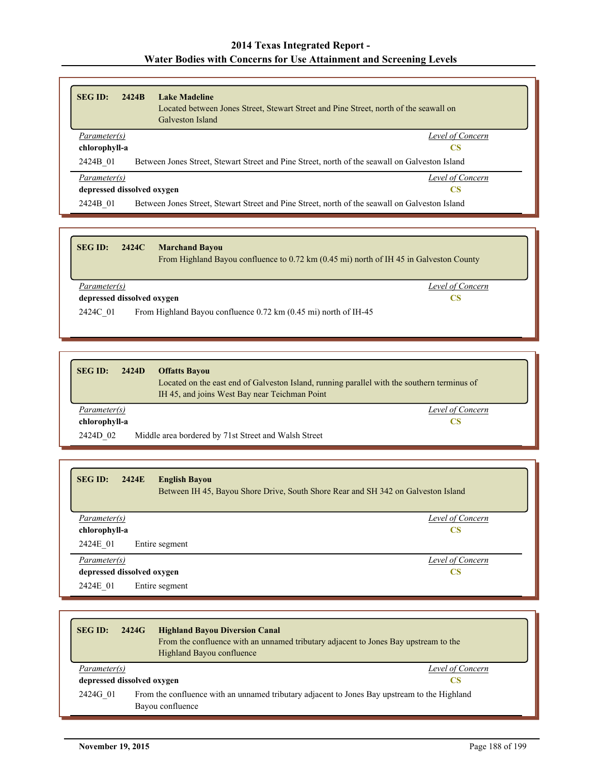| <b>SEG ID:</b>                   | 2424B                                                                                          | <b>Lake Madeline</b><br>Located between Jones Street, Stewart Street and Pine Street, north of the seawall on<br>Galveston Island |
|----------------------------------|------------------------------------------------------------------------------------------------|-----------------------------------------------------------------------------------------------------------------------------------|
| Parameter(s)                     |                                                                                                | Level of Concern                                                                                                                  |
|                                  | chlorophyll-a<br>CS                                                                            |                                                                                                                                   |
| 2424B 01                         | Between Jones Street, Stewart Street and Pine Street, north of the seawall on Galveston Island |                                                                                                                                   |
| Parameter(s)                     |                                                                                                | Level of Concern                                                                                                                  |
| depressed dissolved oxygen<br>CS |                                                                                                |                                                                                                                                   |
| 2424B 01                         | Between Jones Street, Stewart Street and Pine Street, north of the seawall on Galveston Island |                                                                                                                                   |

| <b>SEG ID:</b>             | 2424C | <b>Marchand Bayou</b><br>From Highland Bayou confluence to 0.72 km (0.45 mi) north of IH 45 in Galveston County |
|----------------------------|-------|-----------------------------------------------------------------------------------------------------------------|
| Parameter(s)               |       | Level of Concern                                                                                                |
| depressed dissolved oxygen |       |                                                                                                                 |

| <b>SEG ID:</b><br>2424D | <b>Offatts Bayou</b><br>Located on the east end of Galveston Island, running parallel with the southern terminus of<br>IH 45, and joins West Bay near Teichman Point |
|-------------------------|----------------------------------------------------------------------------------------------------------------------------------------------------------------------|
| Parameter(s)            | Level of Concern                                                                                                                                                     |
| chlorophyll-a           | CS.                                                                                                                                                                  |

2424D\_02 Middle area bordered by 71st Street and Walsh Street

2424C\_01 From Highland Bayou confluence 0.72 km (0.45 mi) north of IH-45

| <b>SEG ID:</b><br>2424E<br><b>English Bayou</b> | Between IH 45, Bayou Shore Drive, South Shore Rear and SH 342 on Galveston Island |
|-------------------------------------------------|-----------------------------------------------------------------------------------|
| <i>Parameter(s)</i>                             | Level of Concern                                                                  |
| chlorophyll-a                                   | CS                                                                                |
| 2424E 01<br>Entire segment                      |                                                                                   |
| Parameter(s)                                    | Level of Concern                                                                  |
| depressed dissolved oxygen                      | CS                                                                                |
| 2424E 01<br>Entire segment                      |                                                                                   |

| <b>SEG ID:</b>             | 2424G                            | <b>Highland Bayou Diversion Canal</b><br>From the confluence with an unnamed tributary adjacent to Jones Bay upstream to the<br>Highland Bayou confluence |  |
|----------------------------|----------------------------------|-----------------------------------------------------------------------------------------------------------------------------------------------------------|--|
|                            | Level of Concern<br>Parameter(s) |                                                                                                                                                           |  |
| depressed dissolved oxygen |                                  | CS                                                                                                                                                        |  |
| 2424G 01                   |                                  | From the confluence with an unnamed tributary adjacent to Jones Bay upstream to the Highland<br>Bayou confluence                                          |  |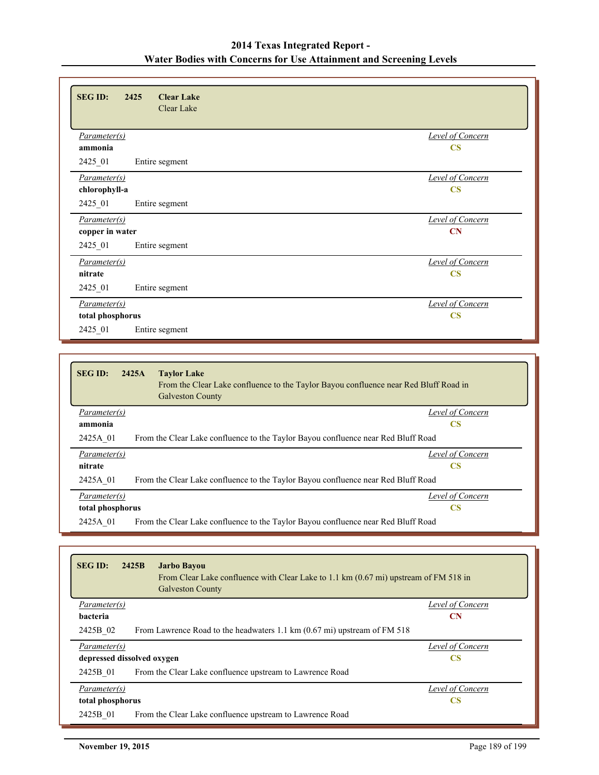| <b>SEG ID:</b><br>2425<br><b>Clear Lake</b><br>Clear Lake |                  |
|-----------------------------------------------------------|------------------|
| Parameter(s)                                              | Level of Concern |
| ammonia                                                   | $\mathbf{CS}$    |
| 2425 01<br>Entire segment                                 |                  |
| Parameter(s)                                              | Level of Concern |
| chlorophyll-a                                             | $\mathbf{CS}$    |
| 2425_01<br>Entire segment                                 |                  |
| Parameter(s)                                              | Level of Concern |
| copper in water                                           | CN               |
| 2425_01<br>Entire segment                                 |                  |
| Parameter(s)                                              | Level of Concern |
| nitrate                                                   | $\mathbf{CS}$    |
| 2425 01<br>Entire segment                                 |                  |
| Parameter(s)                                              | Level of Concern |
| total phosphorus                                          | $\mathbf{CS}$    |
| 2425 01<br>Entire segment                                 |                  |

| <b>SEG ID:</b>   | 2425A<br><b>Taylor Lake</b><br>From the Clear Lake confluence to the Taylor Bayou confluence near Red Bluff Road in<br><b>Galveston County</b> |
|------------------|------------------------------------------------------------------------------------------------------------------------------------------------|
| Parameter(s)     | Level of Concern                                                                                                                               |
| ammonia          | <b>CS</b>                                                                                                                                      |
| 2425A 01         | From the Clear Lake confluence to the Taylor Bayou confluence near Red Bluff Road                                                              |
| Parameter(s)     | Level of Concern                                                                                                                               |
| nitrate          | <b>CS</b>                                                                                                                                      |
| 2425A 01         | From the Clear Lake confluence to the Taylor Bayou confluence near Red Bluff Road                                                              |
| Parameter(s)     | Level of Concern                                                                                                                               |
| total phosphorus | <b>CS</b>                                                                                                                                      |
| 2425A 01         | From the Clear Lake confluence to the Taylor Bayou confluence near Red Bluff Road                                                              |

| <b>SEG ID:</b><br>2425B<br><b>Jarbo Bayou</b><br>From Clear Lake confluence with Clear Lake to 1.1 km (0.67 mi) upstream of FM 518 in<br><b>Galveston County</b> |                  |
|------------------------------------------------------------------------------------------------------------------------------------------------------------------|------------------|
| Parameter(s)                                                                                                                                                     | Level of Concern |
| <b>bacteria</b>                                                                                                                                                  | <b>CN</b>        |
| 2425B 02<br>From Lawrence Road to the headwaters 1.1 km (0.67 mi) upstream of FM 518                                                                             |                  |
| Parameter(s)                                                                                                                                                     | Level of Concern |
| depressed dissolved oxygen                                                                                                                                       | CS               |
| 2425B 01<br>From the Clear Lake confluence upstream to Lawrence Road                                                                                             |                  |
| Parameter(s)                                                                                                                                                     | Level of Concern |
| total phosphorus                                                                                                                                                 | <b>CS</b>        |
| 2425B 01<br>From the Clear Lake confluence upstream to Lawrence Road                                                                                             |                  |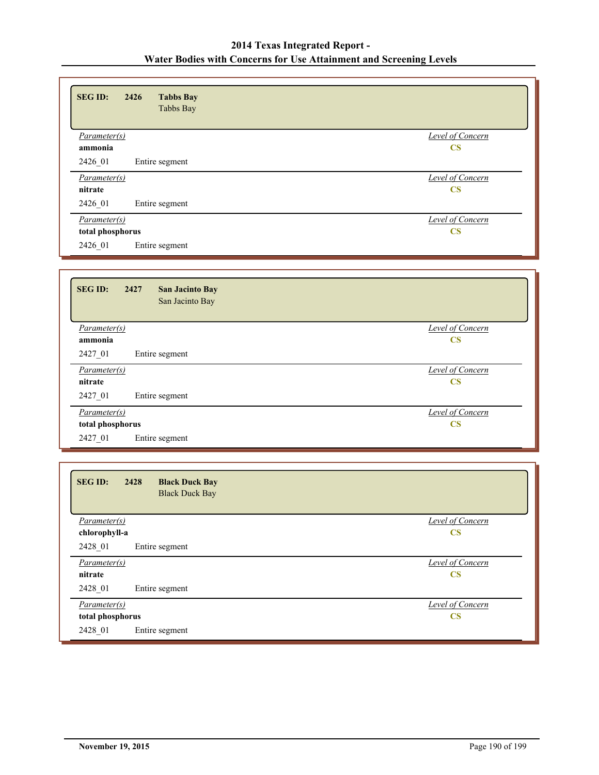| <b>SEG ID:</b><br>2426<br><b>Tabbs Bay</b><br>Tabbs Bay |                         |
|---------------------------------------------------------|-------------------------|
| Parameter(s)                                            | <b>Level of Concern</b> |
| ammonia                                                 | $\mathbf{CS}$           |
| 2426 01<br>Entire segment                               |                         |
| Parameter(s)                                            | <b>Level of Concern</b> |
| nitrate                                                 | <b>CS</b>               |
| 2426 01<br>Entire segment                               |                         |
| Parameter(s)                                            | <b>Level of Concern</b> |
| total phosphorus                                        | $\mathbf{CS}$           |
| 2426 01<br>Entire segment                               |                         |

| <b>SEG ID:</b><br>2427<br><b>San Jacinto Bay</b><br>San Jacinto Bay |                         |
|---------------------------------------------------------------------|-------------------------|
| Parameter(s)                                                        | <b>Level of Concern</b> |
| ammonia                                                             | $\overline{\text{CS}}$  |
| 2427 01<br>Entire segment                                           |                         |
| Parameter(s)                                                        | Level of Concern        |
| nitrate                                                             | $\mathbf{CS}$           |
| 2427 01<br>Entire segment                                           |                         |
| Parameter(s)                                                        | Level of Concern        |
| total phosphorus                                                    | $\mathbf{CS}$           |
| 2427 01<br>Entire segment                                           |                         |

| <b>SEG ID:</b><br>2428<br><b>Black Duck Bay</b><br><b>Black Duck Bay</b> |                         |
|--------------------------------------------------------------------------|-------------------------|
| Parameter(s)                                                             | Level of Concern        |
| chlorophyll-a                                                            | $\overline{\text{CS}}$  |
| 2428 01<br>Entire segment                                                |                         |
| Parameter(s)                                                             | <b>Level of Concern</b> |
| nitrate                                                                  | $\mathbf{CS}$           |
| 2428 01<br>Entire segment                                                |                         |
| Level of Concern<br>Parameter(s)                                         |                         |
| total phosphorus                                                         | $\mathbf{CS}$           |
| 2428 01<br>Entire segment                                                |                         |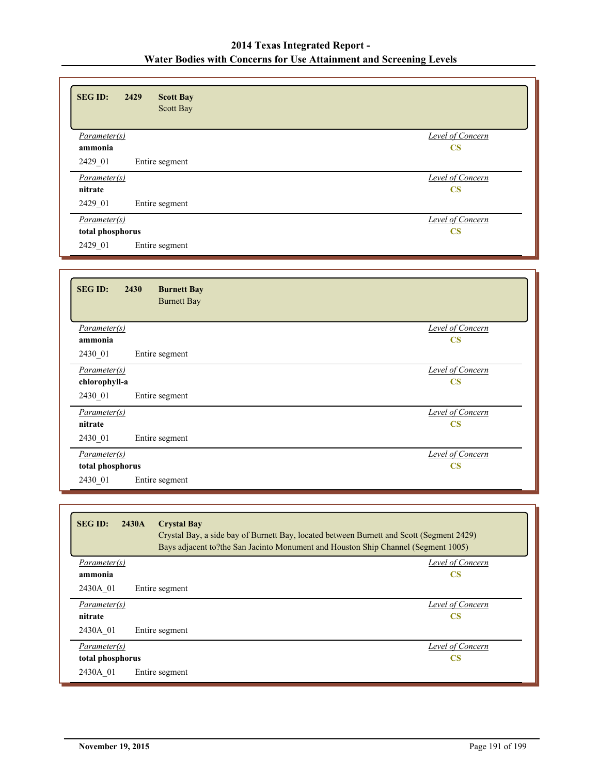| <b>SEG ID:</b><br>2429<br><b>Scott Bay</b><br>Scott Bay |                         |
|---------------------------------------------------------|-------------------------|
| <i>Parameter(s)</i>                                     | <b>Level of Concern</b> |
| ammonia                                                 | $\mathbf{CS}$           |
| 2429 01<br>Entire segment                               |                         |
| Parameter(s)                                            | Level of Concern        |
| nitrate                                                 | $\overline{\text{CS}}$  |
| 2429 01<br>Entire segment                               |                         |
| Parameter(s)                                            | <b>Level of Concern</b> |
| total phosphorus                                        | $\mathbf{CS}$           |
| 2429 01<br>Entire segment                               |                         |

| <b>SEG ID:</b><br>2430<br><b>Burnett Bay</b><br><b>Burnett Bay</b> |                        |
|--------------------------------------------------------------------|------------------------|
| Parameter(s)                                                       | Level of Concern       |
| ammonia                                                            | $\overline{\text{CS}}$ |
| 2430 01<br>Entire segment                                          |                        |
| Parameter(s)                                                       | Level of Concern       |
| chlorophyll-a                                                      | $\mathbf{CS}$          |
| 2430 01<br>Entire segment                                          |                        |
| Parameter(s)                                                       | Level of Concern       |
| nitrate                                                            | $\mathbf{CS}$          |
| 2430 01<br>Entire segment                                          |                        |
| <i>Parameter(s)</i>                                                | Level of Concern       |
| total phosphorus                                                   | $\mathbf{CS}$          |
| 2430 01<br>Entire segment                                          |                        |

| 2430A<br><b>Crystal Bay</b><br><b>SEGID:</b><br>Crystal Bay, a side bay of Burnett Bay, located between Burnett and Scott (Segment 2429)<br>Bays adjacent to?the San Jacinto Monument and Houston Ship Channel (Segment 1005) |                        |
|-------------------------------------------------------------------------------------------------------------------------------------------------------------------------------------------------------------------------------|------------------------|
| <i>Parameter(s)</i>                                                                                                                                                                                                           | Level of Concern       |
| ammonia                                                                                                                                                                                                                       | <b>CS</b>              |
| 2430A 01<br>Entire segment                                                                                                                                                                                                    |                        |
| Parameter(s)                                                                                                                                                                                                                  | Level of Concern       |
| nitrate                                                                                                                                                                                                                       | $\overline{\text{CS}}$ |
| 2430A 01<br>Entire segment                                                                                                                                                                                                    |                        |
| Parameter(s)                                                                                                                                                                                                                  | Level of Concern       |
| total phosphorus                                                                                                                                                                                                              | <b>CS</b>              |
| 2430A 01<br>Entire segment                                                                                                                                                                                                    |                        |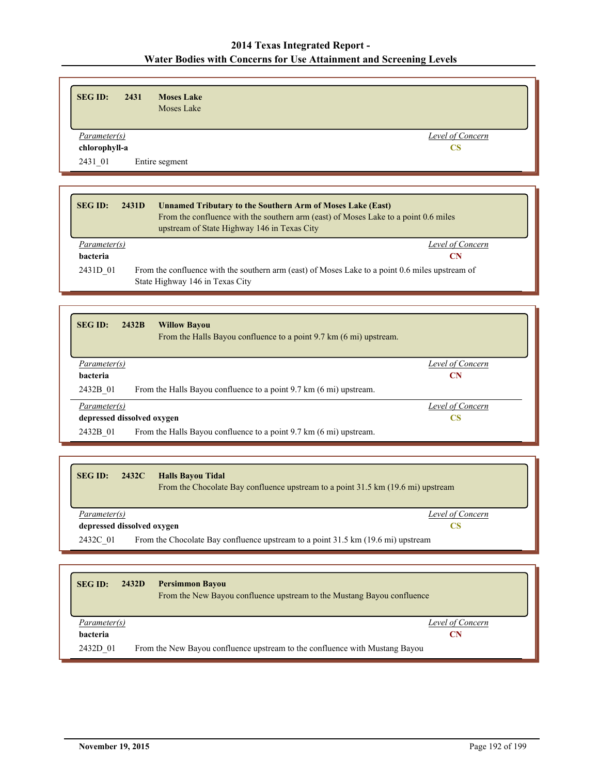| <b>SEG ID:</b> | 2431<br><b>Moses Lake</b><br>Moses Lake |                  |
|----------------|-----------------------------------------|------------------|
| Parameter(s)   |                                         | Level of Concern |
| chlorophyll-a  |                                         | <b>CS</b>        |
| 2431 01        | Entire segment                          |                  |

| <b>SEG ID:</b>      | Unnamed Tributary to the Southern Arm of Moses Lake (East)<br>2431D<br>From the confluence with the southern arm (east) of Moses Lake to a point 0.6 miles<br>upstream of State Highway 146 in Texas City |  |
|---------------------|-----------------------------------------------------------------------------------------------------------------------------------------------------------------------------------------------------------|--|
| <i>Parameter(s)</i> | Level of Concern                                                                                                                                                                                          |  |
| bacteria            | CN                                                                                                                                                                                                        |  |
| 2431D 01            | From the confluence with the southern arm (east) of Moses Lake to a point 0.6 miles upstream of<br>State Highway 146 in Texas City                                                                        |  |

| <b>SEG ID:</b>                   | 2432B<br><b>Willow Bayou</b><br>From the Halls Bayou confluence to a point 9.7 km (6 mi) upstream. |                  |
|----------------------------------|----------------------------------------------------------------------------------------------------|------------------|
| Parameter(s)                     |                                                                                                    | Level of Concern |
| <b>bacteria</b>                  |                                                                                                    | CN               |
| 2432B 01                         | From the Halls Bayou confluence to a point 9.7 km (6 mi) upstream.                                 |                  |
| Parameter(s)                     |                                                                                                    | Level of Concern |
| depressed dissolved oxygen<br>CS |                                                                                                    |                  |
| 2432B 01                         | From the Halls Bayou confluence to a point 9.7 km (6 mi) upstream.                                 |                  |

| <b>SEG ID:</b>                                                                               | 2432C | <b>Halls Bayou Tidal</b><br>From the Chocolate Bay confluence upstream to a point 31.5 km (19.6 mi) upstream |                  |
|----------------------------------------------------------------------------------------------|-------|--------------------------------------------------------------------------------------------------------------|------------------|
|                                                                                              |       |                                                                                                              |                  |
| Parameter(s)                                                                                 |       |                                                                                                              | Level of Concern |
| depressed dissolved oxygen                                                                   |       |                                                                                                              |                  |
| From the Chocolate Bay confluence upstream to a point 31.5 km (19.6 mi) upstream<br>2432C 01 |       |                                                                                                              |                  |

| <b>SEG ID:</b>      | 2432D<br><b>Persimmon Bayou</b><br>From the New Bayou confluence upstream to the Mustang Bayou confluence |
|---------------------|-----------------------------------------------------------------------------------------------------------|
| <i>Parameter(s)</i> | Level of Concern                                                                                          |
| <b>bacteria</b>     | CN                                                                                                        |
| 2432D 01            | From the New Bayou confluence upstream to the confluence with Mustang Bayou                               |

Ъ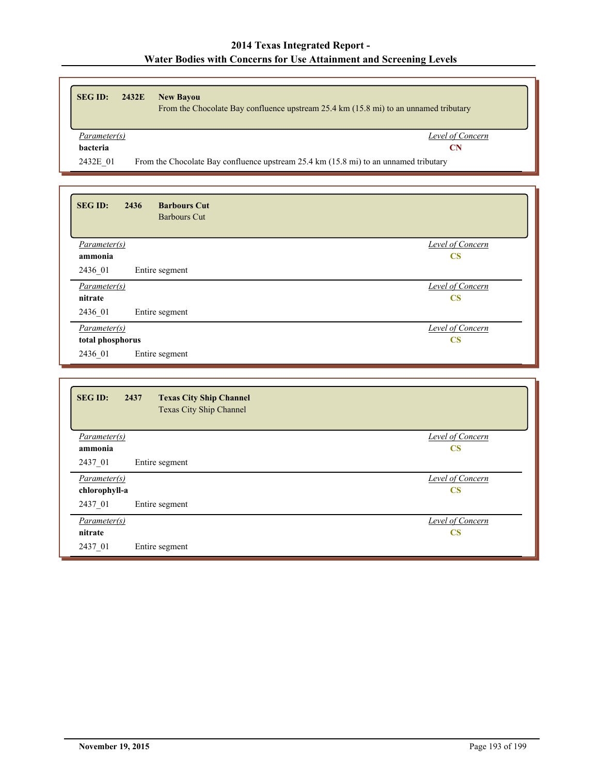| <b>SEG ID:</b>  | 2432E | <b>New Bayou</b><br>From the Chocolate Bay confluence upstream 25.4 km (15.8 mi) to an unnamed tributary |
|-----------------|-------|----------------------------------------------------------------------------------------------------------|
|                 |       |                                                                                                          |
| Parameter(s)    |       | Level of Concern                                                                                         |
| <b>bacteria</b> |       | CN                                                                                                       |

| <b>SEG ID:</b><br>2436<br><b>Barbours Cut</b><br><b>Barbours Cut</b> |                         |
|----------------------------------------------------------------------|-------------------------|
| Parameter(s)                                                         | Level of Concern        |
| ammonia                                                              | $\mathbf{CS}$           |
| 2436 01<br>Entire segment                                            |                         |
| Parameter(s)                                                         | Level of Concern        |
| nitrate                                                              | $\mathbf{CS}$           |
| 2436 01<br>Entire segment                                            |                         |
| Parameter(s)                                                         | <b>Level of Concern</b> |
| total phosphorus                                                     | $\overline{\text{CS}}$  |
| 2436 01<br>Entire segment                                            |                         |

| <b>SEG ID:</b><br>2437<br><b>Texas City Ship Channel</b><br>Texas City Ship Channel |                         |
|-------------------------------------------------------------------------------------|-------------------------|
| Parameter(s)                                                                        | <b>Level of Concern</b> |
| ammonia                                                                             | $\mathbf{CS}$           |
| 2437 01<br>Entire segment                                                           |                         |
| Parameter(s)                                                                        | <b>Level of Concern</b> |
| chlorophyll-a                                                                       | $\mathbf{CS}$           |
| 2437 01<br>Entire segment                                                           |                         |
| Parameter(s)                                                                        | <b>Level of Concern</b> |
| nitrate                                                                             | $\mathbf{CS}$           |
| 2437 01<br>Entire segment                                                           |                         |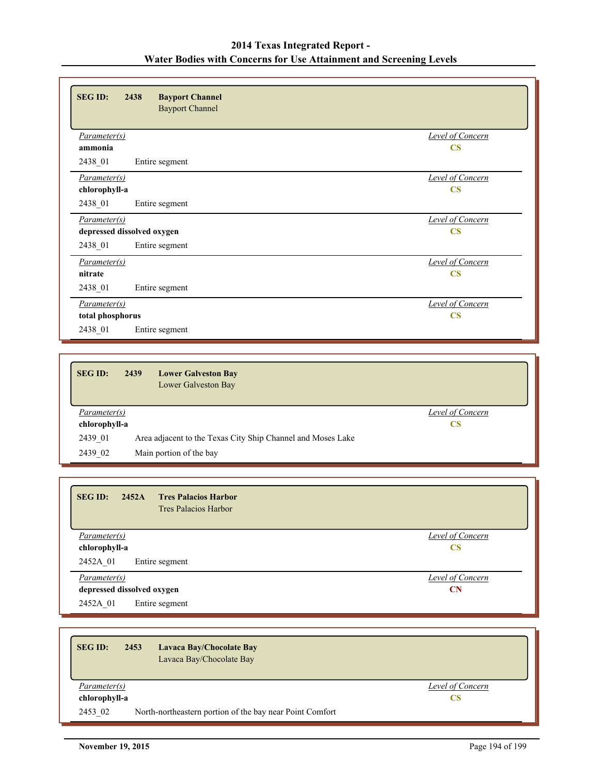| <b>SEGID:</b><br>2438<br><b>Bayport Channel</b><br><b>Bayport Channel</b> |                         |
|---------------------------------------------------------------------------|-------------------------|
| Parameter(s)                                                              | <b>Level of Concern</b> |
| ammonia                                                                   | $\mathbf{CS}$           |
| 2438_01<br>Entire segment                                                 |                         |
| Parameter(s)                                                              | Level of Concern        |
| chlorophyll-a                                                             | $\mathbf{CS}$           |
| 2438 01<br>Entire segment                                                 |                         |
| Parameter(s)                                                              | Level of Concern        |
| depressed dissolved oxygen                                                | $\mathbf{CS}$           |
| 2438 01<br>Entire segment                                                 |                         |
| Parameter(s)                                                              | Level of Concern        |
| nitrate                                                                   | $\overline{\text{CS}}$  |
| 2438_01<br>Entire segment                                                 |                         |
| <i>Parameter(s)</i>                                                       | Level of Concern        |
| total phosphorus                                                          | $\mathbf{CS}$           |
| 2438_01<br>Entire segment                                                 |                         |

| <b>SEG ID:</b> | 2439<br><b>Lower Galveston Bay</b><br>Lower Galveston Bay   |                  |
|----------------|-------------------------------------------------------------|------------------|
| Parameter(s)   |                                                             | Level of Concern |
| chlorophyll-a  |                                                             | <b>CS</b>        |
| 2439 01        | Area adjacent to the Texas City Ship Channel and Moses Lake |                  |
| 2439 02        | Main portion of the bay                                     |                  |

| 2452A<br><b>Tres Palacios Harbor</b><br><b>SEG ID:</b><br><b>Tres Palacios Harbor</b> |                         |
|---------------------------------------------------------------------------------------|-------------------------|
| Parameter(s)                                                                          | <b>Level of Concern</b> |
| chlorophyll-a                                                                         | $\mathbf{CS}$           |
| 2452A 01<br>Entire segment                                                            |                         |
| Parameter(s)                                                                          | Level of Concern        |
| depressed dissolved oxygen                                                            | <b>CN</b>               |
| 2452A 01<br>Entire segment                                                            |                         |

| <b>SEG ID:</b> | 2453<br><b>Lavaca Bay/Chocolate Bay</b><br>Lavaca Bay/Chocolate Bay |                  |
|----------------|---------------------------------------------------------------------|------------------|
| Parameter(s)   |                                                                     | Level of Concern |
| chlorophyll-a  |                                                                     | <b>CS</b>        |
| 2453 02        | North-northeastern portion of the bay near Point Comfort            |                  |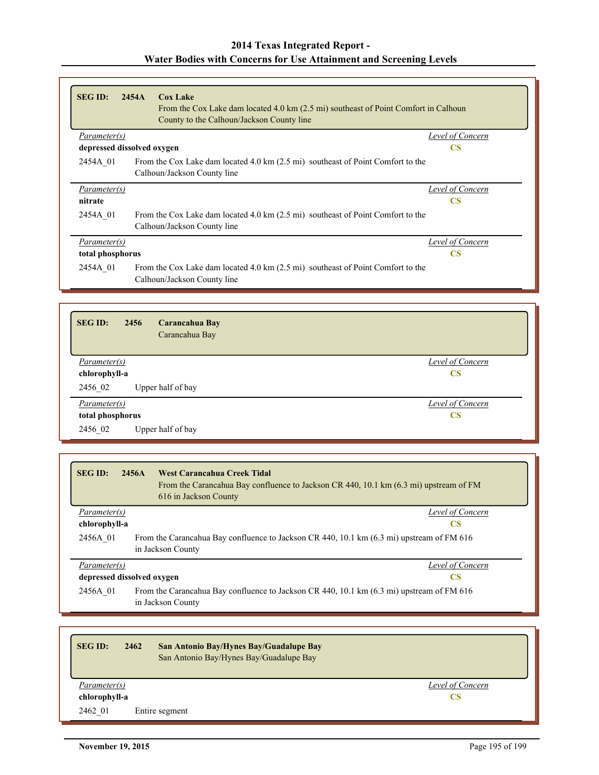| <b>SEG ID:</b>             | 2454A<br><b>Cox Lake</b><br>From the Cox Lake dam located 4.0 km (2.5 mi) southeast of Point Comfort in Calhoun<br>County to the Calhoun/Jackson County line |                  |
|----------------------------|--------------------------------------------------------------------------------------------------------------------------------------------------------------|------------------|
| Parameter(s)               |                                                                                                                                                              | Level of Concern |
| depressed dissolved oxygen |                                                                                                                                                              | <b>CS</b>        |
| 2454A 01                   | From the Cox Lake dam located 4.0 km (2.5 mi) southeast of Point Comfort to the<br>Calhoun/Jackson County line                                               |                  |
| Parameter(s)               |                                                                                                                                                              | Level of Concern |
| nitrate                    |                                                                                                                                                              | <b>CS</b>        |
| 2454A 01                   | From the Cox Lake dam located 4.0 km (2.5 mi) southeast of Point Comfort to the<br>Calhoun/Jackson County line                                               |                  |
| Parameter(s)               |                                                                                                                                                              | Level of Concern |
| total phosphorus           |                                                                                                                                                              | <b>CS</b>        |
| 2454A 01                   | From the Cox Lake dam located 4.0 km (2.5 mi) southeast of Point Comfort to the<br>Calhoun/Jackson County line                                               |                  |

| <b>SEG ID:</b>   | 2456<br>Carancahua Bay<br>Carancahua Bay |                  |
|------------------|------------------------------------------|------------------|
| Parameter(s)     |                                          | Level of Concern |
| chlorophyll-a    |                                          | <b>CS</b>        |
| 2456 02          | Upper half of bay                        |                  |
| Parameter(s)     |                                          | Level of Concern |
| total phosphorus |                                          | $\mathbf{CS}$    |
| 2456 02          | Upper half of bay                        |                  |

| <b>SEGID:</b>       | <b>West Carancahua Creek Tidal</b><br>2456A<br>From the Carancahua Bay confluence to Jackson CR 440, 10.1 km (6.3 mi) upstream of FM<br>616 in Jackson County |  |
|---------------------|---------------------------------------------------------------------------------------------------------------------------------------------------------------|--|
| Parameter(s)        | Level of Concern                                                                                                                                              |  |
| chlorophyll-a       | <b>CS</b>                                                                                                                                                     |  |
| 2456A 01            | From the Carancahua Bay confluence to Jackson CR 440, 10.1 km (6.3 mi) upstream of FM 616<br>in Jackson County                                                |  |
| <i>Parameter(s)</i> | Level of Concern                                                                                                                                              |  |
|                     | depressed dissolved oxygen<br>CS                                                                                                                              |  |
| 2456A 01            | From the Carancahua Bay confluence to Jackson CR 440, 10.1 km (6.3 mi) upstream of FM 616<br>in Jackson County                                                |  |

| <b>SEG ID:</b>      | 2462 | San Antonio Bay/Hynes Bay/Guadalupe Bay<br>San Antonio Bay/Hynes Bay/Guadalupe Bay |  |
|---------------------|------|------------------------------------------------------------------------------------|--|
| <i>Parameter(s)</i> |      | Level of Concern                                                                   |  |
| chlorophyll-a       |      | CS                                                                                 |  |
| 2462 01             |      | Entire segment                                                                     |  |

Г

Г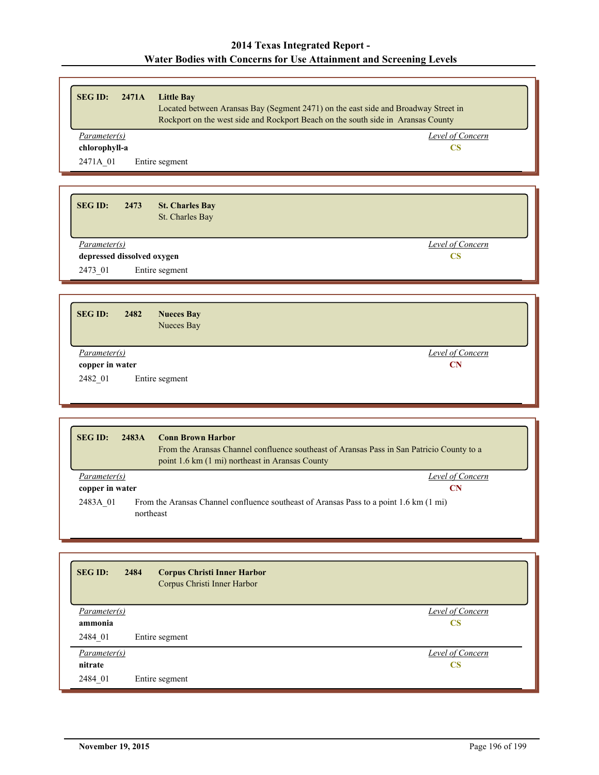| <b>SEG ID:</b>            | 2471A | <b>Little Bay</b><br>Located between Aransas Bay (Segment 2471) on the east side and Broadway Street in<br>Rockport on the west side and Rockport Beach on the south side in Aransas County |
|---------------------------|-------|---------------------------------------------------------------------------------------------------------------------------------------------------------------------------------------------|
| Parameter(s)              |       | Level of Concern                                                                                                                                                                            |
| chlorophyll-a<br>2471A 01 |       | CS<br>Entire segment                                                                                                                                                                        |

| Level of Concern<br>Parameter(s)<br>depressed dissolved oxygen<br>$\mathbf{CS}$ |
|---------------------------------------------------------------------------------|
| 2473 01<br>Entire segment                                                       |

| <u>bud iv.</u>      | - - - -<br>11000000000 |                  |
|---------------------|------------------------|------------------|
|                     | Nueces Bay             |                  |
|                     |                        |                  |
|                     |                        |                  |
| <i>Parameter(s)</i> |                        | Level of Concern |
| copper in water     |                        | <b>CN</b>        |
| 2482 01             | Entire segment         |                  |
|                     |                        |                  |

| <b>SEG ID:</b>  | 2483A     | <b>Conn Brown Harbor</b><br>From the Aransas Channel confluence southeast of Aransas Pass in San Patricio County to a<br>point 1.6 km (1 mi) northeast in Aransas County |
|-----------------|-----------|--------------------------------------------------------------------------------------------------------------------------------------------------------------------------|
| Parameter(s)    |           | Level of Concern                                                                                                                                                         |
| copper in water |           | CN                                                                                                                                                                       |
| 2483A 01        | northeast | From the Aransas Channel confluence southeast of Aransas Pass to a point 1.6 km (1 mi)                                                                                   |

| <b>SEG ID:</b>          | 2484<br><b>Corpus Christi Inner Harbor</b><br>Corpus Christi Inner Harbor |                                      |
|-------------------------|---------------------------------------------------------------------------|--------------------------------------|
| Parameter(s)<br>ammonia |                                                                           | <b>Level of Concern</b><br><b>CS</b> |
| 2484 01                 | Entire segment                                                            |                                      |
| Parameter(s)<br>nitrate |                                                                           | Level of Concern<br><b>CS</b>        |
| 2484 01                 | Entire segment                                                            |                                      |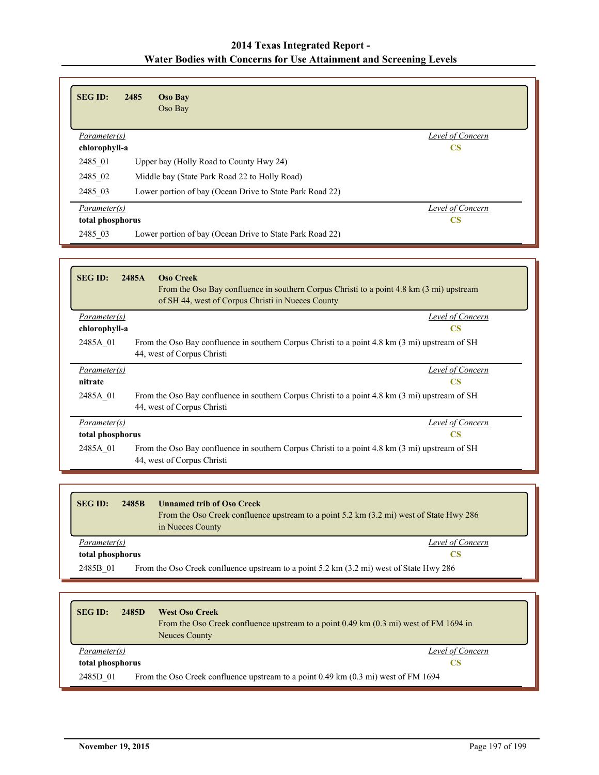| <b>SEG ID:</b>   | 2485<br><b>Oso Bay</b><br>Oso Bay                        |                  |
|------------------|----------------------------------------------------------|------------------|
| Parameter(s)     |                                                          | Level of Concern |
| chlorophyll-a    |                                                          | <b>CS</b>        |
| 2485 01          | Upper bay (Holly Road to County Hwy 24)                  |                  |
| 2485 02          | Middle bay (State Park Road 22 to Holly Road)            |                  |
| 2485 03          | Lower portion of bay (Ocean Drive to State Park Road 22) |                  |
| Parameter(s)     |                                                          | Level of Concern |
| total phosphorus |                                                          | <b>CS</b>        |
| 2485 03          | Lower portion of bay (Ocean Drive to State Park Road 22) |                  |

| <b>SEG ID:</b>      | 2485A<br><b>Oso Creek</b><br>From the Oso Bay confluence in southern Corpus Christi to a point 4.8 km (3 mi) upstream<br>of SH 44, west of Corpus Christi in Nueces County |
|---------------------|----------------------------------------------------------------------------------------------------------------------------------------------------------------------------|
| <i>Parameter(s)</i> | Level of Concern                                                                                                                                                           |
| chlorophyll-a       | <b>CS</b>                                                                                                                                                                  |
| 2485A 01            | From the Oso Bay confluence in southern Corpus Christi to a point 4.8 km (3 mi) upstream of SH<br>44, west of Corpus Christi                                               |
| <i>Parameter(s)</i> | Level of Concern                                                                                                                                                           |
| nitrate             | <b>CS</b>                                                                                                                                                                  |
| 2485A 01            | From the Oso Bay confluence in southern Corpus Christi to a point 4.8 km (3 mi) upstream of SH<br>44, west of Corpus Christi                                               |
| Parameter(s)        | Level of Concern                                                                                                                                                           |
| total phosphorus    | CS                                                                                                                                                                         |
| 2485A 01            | From the Oso Bay confluence in southern Corpus Christi to a point 4.8 km (3 mi) upstream of SH<br>44, west of Corpus Christi                                               |

| <b>SEGID:</b>    | 2485 <sub>R</sub> | <b>Unnamed trib of Oso Creek</b><br>From the Oso Creek confluence upstream to a point 5.2 km (3.2 mi) west of State Hwy 286<br>in Nueces County |
|------------------|-------------------|-------------------------------------------------------------------------------------------------------------------------------------------------|
| Parameter(s)     |                   | Level of Concern                                                                                                                                |
| total phosphorus |                   | CS                                                                                                                                              |
| 2485B 01         |                   | From the Oso Creek confluence upstream to a point 5.2 km (3.2 mi) west of State Hwy 286                                                         |

| <b>SEG ID:</b>   | 2485D<br><b>West Oso Creek</b><br>From the Oso Creek confluence upstream to a point 0.49 km (0.3 mi) west of FM 1694 in<br><b>Neuces County</b> |                  |
|------------------|-------------------------------------------------------------------------------------------------------------------------------------------------|------------------|
| Parameter(s)     |                                                                                                                                                 | Level of Concern |
| total phosphorus |                                                                                                                                                 | CS               |
| 2485D 01         | From the Oso Creek confluence upstream to a point 0.49 km (0.3 mi) west of FM 1694                                                              |                  |

Г

ī.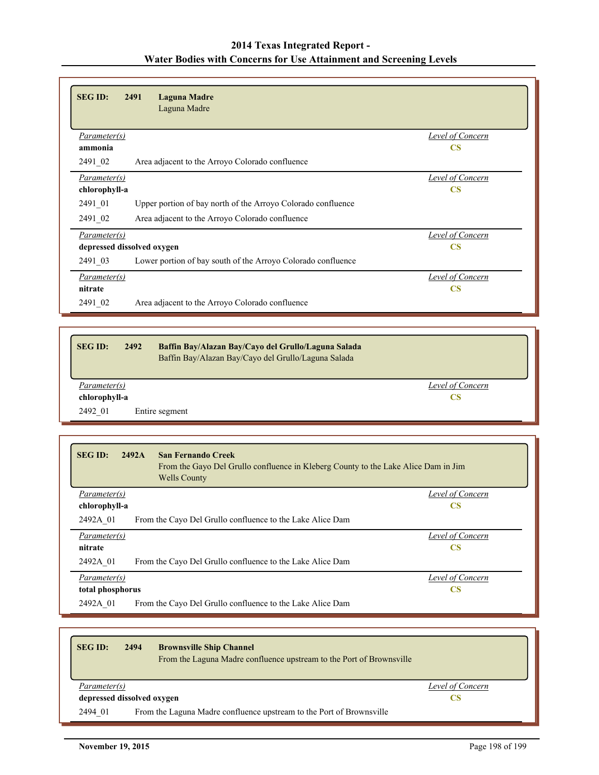| <b>SEG ID:</b><br>2491<br>Laguna Madre<br>Laguna Madre                                                                                |                                             |
|---------------------------------------------------------------------------------------------------------------------------------------|---------------------------------------------|
| Parameter(s)<br>ammonia                                                                                                               | <b>Level of Concern</b><br><b>CS</b>        |
| 2491 02<br>Area adjacent to the Arroyo Colorado confluence                                                                            |                                             |
| Parameter(s)<br>chlorophyll-a                                                                                                         | <b>Level of Concern</b><br>$\mathbf{CS}$    |
| 2491 01<br>Upper portion of bay north of the Arroyo Colorado confluence<br>2491 02<br>Area adjacent to the Arroyo Colorado confluence |                                             |
| Parameter(s)<br>depressed dissolved oxygen<br>2491 03<br>Lower portion of bay south of the Arroyo Colorado confluence                 | Level of Concern<br>$\mathbf{CS}$           |
| Parameter(s)<br>nitrate                                                                                                               | Level of Concern<br>$\overline{\mathbf{C}}$ |
| 2491 02<br>Area adjacent to the Arroyo Colorado confluence                                                                            |                                             |

| <b>SEG ID:</b> | 2492 | Baffin Bay/Alazan Bay/Cayo del Grullo/Laguna Salada<br>Baffin Bay/Alazan Bay/Cayo del Grullo/Laguna Salada |  |
|----------------|------|------------------------------------------------------------------------------------------------------------|--|
| Parameter(s)   |      | Level of Concern                                                                                           |  |
| chlorophyll-a  |      | CS                                                                                                         |  |
| 2492 01        |      | Entire segment                                                                                             |  |

| 2492A<br><b>SEGID:</b><br><b>San Fernando Creek</b><br>From the Gayo Del Grullo confluence in Kleberg County to the Lake Alice Dam in Jim<br><b>Wells County</b> |                  |
|------------------------------------------------------------------------------------------------------------------------------------------------------------------|------------------|
| Parameter(s)                                                                                                                                                     | Level of Concern |
| chlorophyll-a                                                                                                                                                    | <b>CS</b>        |
| 2492A 01<br>From the Cayo Del Grullo confluence to the Lake Alice Dam                                                                                            |                  |
| Parameter(s)                                                                                                                                                     | Level of Concern |
| nitrate                                                                                                                                                          | <b>CS</b>        |
| 2492A 01<br>From the Cayo Del Grullo confluence to the Lake Alice Dam                                                                                            |                  |
| Parameter(s)                                                                                                                                                     | Level of Concern |
| total phosphorus                                                                                                                                                 | <b>CS</b>        |
| 2492A 01<br>From the Cavo Del Grullo confluence to the Lake Alice Dam                                                                                            |                  |

| <b>SEG ID:</b>                             | 2494 | <b>Brownsville Ship Channel</b>                                      |                  |
|--------------------------------------------|------|----------------------------------------------------------------------|------------------|
|                                            |      | From the Laguna Madre confluence upstream to the Port of Brownsville |                  |
|                                            |      |                                                                      |                  |
|                                            |      |                                                                      |                  |
|                                            |      |                                                                      | Level of Concern |
| Parameter(s)<br>depressed dissolved oxygen |      |                                                                      | CS               |